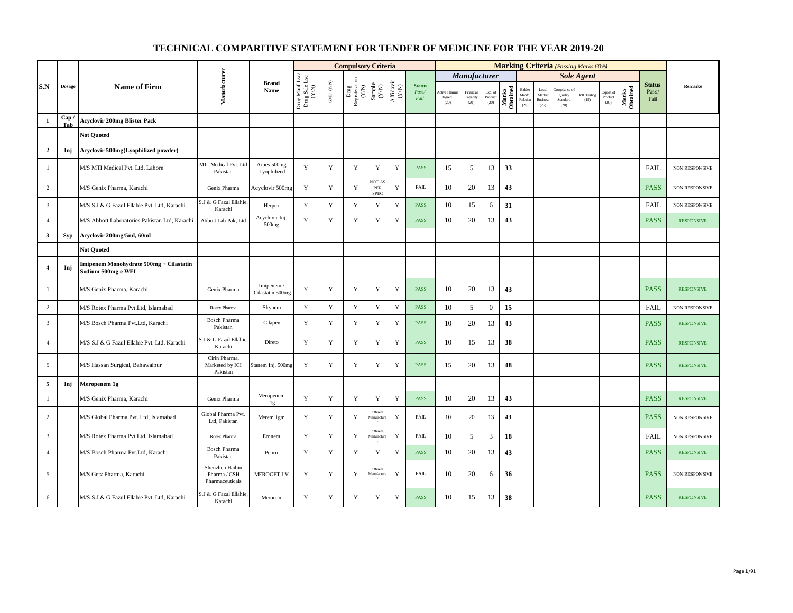|                |              |                                                               |                                                    |                                |                                          |                      | <b>Compulsory Criteria</b>                                                               |                                                                                                 |             |                                |                                 |                               |                            |                   |                                     |                                                     |                                          | <b>Marking Criteria</b> (Passing Marks 60%) |                              |                   |                                |                       |
|----------------|--------------|---------------------------------------------------------------|----------------------------------------------------|--------------------------------|------------------------------------------|----------------------|------------------------------------------------------------------------------------------|-------------------------------------------------------------------------------------------------|-------------|--------------------------------|---------------------------------|-------------------------------|----------------------------|-------------------|-------------------------------------|-----------------------------------------------------|------------------------------------------|---------------------------------------------|------------------------------|-------------------|--------------------------------|-----------------------|
|                |              |                                                               |                                                    |                                |                                          |                      |                                                                                          |                                                                                                 |             |                                |                                 | <b>Manufacturer</b>           |                            |                   |                                     |                                                     |                                          | <b>Sole Agent</b>                           |                              |                   |                                |                       |
| S.N            | Dosage       | <b>Name of Firm</b>                                           | Manufacturer                                       | <b>Brand</b><br>Name           | Drug Manf.Lsc/<br>Drug Sale Lsc<br>(Y/N) | GMP $(\mathbf{Y/N})$ | $\begin{array}{c} \mathrm{Drag} \\ \mathrm{Registeration} \\ (Y/\mathrm{N}) \end{array}$ | $\begin{array}{c} \text{Sample} \\ (\text{Y/N}) \\ \text{Affdavit} \\ (\text{Y/N}) \end{array}$ |             | <b>Status</b><br>Pass/<br>Fail | Active Pharr<br>Ingred.<br>(20) | Financial<br>Capacity<br>(20) | Exp. of<br>Product<br>(20) | Marks<br>Obtained | Bidder<br>Manfe<br>Relation<br>(20) | $_{\rm Local}$<br>Market<br><b>Business</b><br>(25) | ompliance<br>Quality<br>Standard<br>(20) | Intl. Testing<br>(15)                       | Export of<br>Product<br>(20) | Marks<br>Obtained | <b>Status</b><br>Pass/<br>Fail | <b>Remarks</b>        |
| $\mathbf{1}$   | Cap /<br>Tab | <b>Acyclovir 200mg Blister Pack</b>                           |                                                    |                                |                                          |                      |                                                                                          |                                                                                                 |             |                                |                                 |                               |                            |                   |                                     |                                                     |                                          |                                             |                              |                   |                                |                       |
|                |              | <b>Not Quoted</b>                                             |                                                    |                                |                                          |                      |                                                                                          |                                                                                                 |             |                                |                                 |                               |                            |                   |                                     |                                                     |                                          |                                             |                              |                   |                                |                       |
| $\overline{2}$ | Inj          | Acyclovir 500mg(Lyophilized powder)                           |                                                    |                                |                                          |                      |                                                                                          |                                                                                                 |             |                                |                                 |                               |                            |                   |                                     |                                                     |                                          |                                             |                              |                   |                                |                       |
| -1             |              | M/S MTI Medical Pvt. Ltd, Lahore                              | MTI Medical Pvt. Ltd<br>Pakistan                   | Arpes 500mg<br>Lyophilized     | Y                                        | Y                    | Y                                                                                        | Y                                                                                               | Y           | <b>PASS</b>                    | 15                              | 5                             | 13                         | 33                |                                     |                                                     |                                          |                                             |                              |                   | <b>FAIL</b>                    | NON RESPONSIVE        |
| 2              |              | M/S Genix Pharma, Karachi                                     | Genix Pharma                                       | Acyclovir 500mg                | Y                                        | Y                    | Y                                                                                        | NOT AS<br>${\tt PER}$<br>SPEC                                                                   | Y           | <b>FAIL</b>                    | 10                              | 20                            | 13                         | 43                |                                     |                                                     |                                          |                                             |                              |                   | <b>PASS</b>                    | NON RESPONSIVE        |
| $\overline{3}$ |              | M/S S.J & G Fazul Ellahie Pvt. Ltd, Karachi                   | S.J & G Fazul Ellahie<br>Karachi                   | Herpex                         | Y                                        | $\mathbf Y$          | Y                                                                                        | $\mathbf Y$                                                                                     | $\mathbf Y$ | <b>PASS</b>                    | 10                              | 15                            | 6                          | 31                |                                     |                                                     |                                          |                                             |                              |                   | FAIL                           | NON RESPONSIVE        |
| $\overline{4}$ |              | M/S Abbott Laboratories Pakistan Ltd, Karachi                 | Abbott Lab Pak, Ltd                                | Acyclovir Inj.<br>500mg        | Y                                        | $\mathbf Y$          | $\mathbf Y$                                                                              | Y                                                                                               | $\mathbf Y$ | PASS                           | 10                              | 20                            | 13                         | 43                |                                     |                                                     |                                          |                                             |                              |                   | <b>PASS</b>                    | <b>RESPONSIVE</b>     |
| $\mathbf{3}$   | Syp          | Acyclovir 200mg/5ml, 60ml                                     |                                                    |                                |                                          |                      |                                                                                          |                                                                                                 |             |                                |                                 |                               |                            |                   |                                     |                                                     |                                          |                                             |                              |                   |                                |                       |
|                |              | <b>Not Quoted</b>                                             |                                                    |                                |                                          |                      |                                                                                          |                                                                                                 |             |                                |                                 |                               |                            |                   |                                     |                                                     |                                          |                                             |                              |                   |                                |                       |
| $\overline{4}$ | Inj          | Imipenem Monohydrate 500mg + Cilastatin<br>Sodium 500mg ē WFI |                                                    |                                |                                          |                      |                                                                                          |                                                                                                 |             |                                |                                 |                               |                            |                   |                                     |                                                     |                                          |                                             |                              |                   |                                |                       |
| -1             |              | M/S Genix Pharma, Karachi                                     | Genix Pharma                                       | Imipenem /<br>Cilastatin 500mg | Y                                        | $\mathbf Y$          | Y                                                                                        | $\mathbf Y$                                                                                     | $\mathbf Y$ | <b>PASS</b>                    | 10                              | 20                            | 13                         | 43                |                                     |                                                     |                                          |                                             |                              |                   | <b>PASS</b>                    | <b>RESPONSIVE</b>     |
| $\overline{2}$ |              | M/S Rotex Pharma Pvt.Ltd, Islamabad                           | Rotex Pharma                                       | Skynem                         | Y                                        | $\mathbf Y$          | $\mathbf Y$                                                                              | Y                                                                                               | Y           | <b>PASS</b>                    | 10                              | 5                             | $\mathbf{0}$               | 15                |                                     |                                                     |                                          |                                             |                              |                   | <b>FAIL</b>                    | <b>NON RESPONSIVE</b> |
| $\overline{3}$ |              | M/S Bosch Pharma Pvt.Ltd, Karachi                             | <b>Bosch Pharma</b><br>Pakistan                    | Cilapen                        | Y                                        | $\mathbf Y$          | Y                                                                                        | $\mathbf Y$                                                                                     | $\mathbf Y$ | <b>PASS</b>                    | 10                              | 20                            | 13                         | 43                |                                     |                                                     |                                          |                                             |                              |                   | <b>PASS</b>                    | <b>RESPONSIVE</b>     |
| $\overline{4}$ |              | M/S S.J & G Fazul Ellahie Pvt. Ltd, Karachi                   | S.J & G Fazul Ellahie<br>Karachi                   | Direto                         | Y                                        | Y                    | Y                                                                                        | $\mathbf Y$                                                                                     | Y           | <b>PASS</b>                    | 10                              | 15                            | 13                         | 38                |                                     |                                                     |                                          |                                             |                              |                   | <b>PASS</b>                    | <b>RESPONSIVE</b>     |
| 5              |              | M/S Hassan Surgical, Bahawalpur                               | Cirin Pharma,<br>Marketed by ICI<br>Pakistan       | Stanem Inj. 500mg              | Y                                        | Y                    | Y                                                                                        | Y                                                                                               | Y           | <b>PASS</b>                    | 15                              | 20                            | 13                         | 48                |                                     |                                                     |                                          |                                             |                              |                   | <b>PASS</b>                    | <b>RESPONSIVE</b>     |
| $\overline{5}$ | Inj          | Meropenem 1g                                                  |                                                    |                                |                                          |                      |                                                                                          |                                                                                                 |             |                                |                                 |                               |                            |                   |                                     |                                                     |                                          |                                             |                              |                   |                                |                       |
| $\mathbf{1}$   |              | M/S Genix Pharma, Karachi                                     | Genix Pharma                                       | Meropenem<br>1g                | $\mathbf Y$                              | $\mathbf Y$          | Y                                                                                        | $\mathbf Y$                                                                                     | $\mathbf Y$ | <b>PASS</b>                    | 10                              | 20                            | 13                         | 43                |                                     |                                                     |                                          |                                             |                              |                   | <b>PASS</b>                    | <b>RESPONSIVE</b>     |
| $\overline{2}$ |              | M/S Global Pharma Pvt. Ltd, Islamabad                         | Global Pharma Pvt.<br>Ltd, Pakistan                | Merem 1gm                      | Y                                        | $\mathbf Y$          | Y                                                                                        | different<br>fanufactu<br>$\mathbf{r}$                                                          | $\mathbf Y$ | <b>FAIL</b>                    | 10                              | 20                            | 13                         | 43                |                                     |                                                     |                                          |                                             |                              |                   | <b>PASS</b>                    | <b>NON RESPONSIVE</b> |
| $\overline{3}$ |              | M/S Rotex Pharma Pvt.Ltd, Islamabad                           | Rotex Pharma                                       | Eronem                         | Y                                        | Y                    | Y                                                                                        | differen<br>fanufactu<br>r                                                                      | Y           | <b>FAIL</b>                    | 10                              | 5                             | $\mathfrak{Z}$             | 18                |                                     |                                                     |                                          |                                             |                              |                   | FAIL                           | NON RESPONSIVE        |
| $\overline{4}$ |              | M/S Bosch Pharma Pvt.Ltd, Karachi                             | <b>Bosch Pharma</b><br>Pakistan                    | Penro                          | Y                                        | $\mathbf Y$          | Y                                                                                        | $\mathbf Y$                                                                                     | $\mathbf Y$ | PASS                           | 10                              | 20                            | 13                         | 43                |                                     |                                                     |                                          |                                             |                              |                   | <b>PASS</b>                    | <b>RESPONSIVE</b>     |
| 5              |              | M/S Getz Pharma, Karachi                                      | Shenzhen Haibin<br>Pharma / CSH<br>Pharmaceuticals | <b>MEROGET I.V</b>             | Y                                        | $\mathbf Y$          | Y                                                                                        | differen<br>fanufactu<br>r                                                                      | Y           | <b>FAIL</b>                    | 10                              | 20                            | 6                          | 36                |                                     |                                                     |                                          |                                             |                              |                   | <b>PASS</b>                    | NON RESPONSIVE        |
| 6              |              | M/S S.J & G Fazul Ellahie Pvt. Ltd, Karachi                   | S.J & G Fazul Ellahie<br>Karachi                   | Merocon                        | Y                                        | Y                    | Y                                                                                        | Y                                                                                               | Y           | PASS                           | 10                              | 15                            | 13                         | 38                |                                     |                                                     |                                          |                                             |                              |                   | <b>PASS</b>                    | <b>RESPONSIVE</b>     |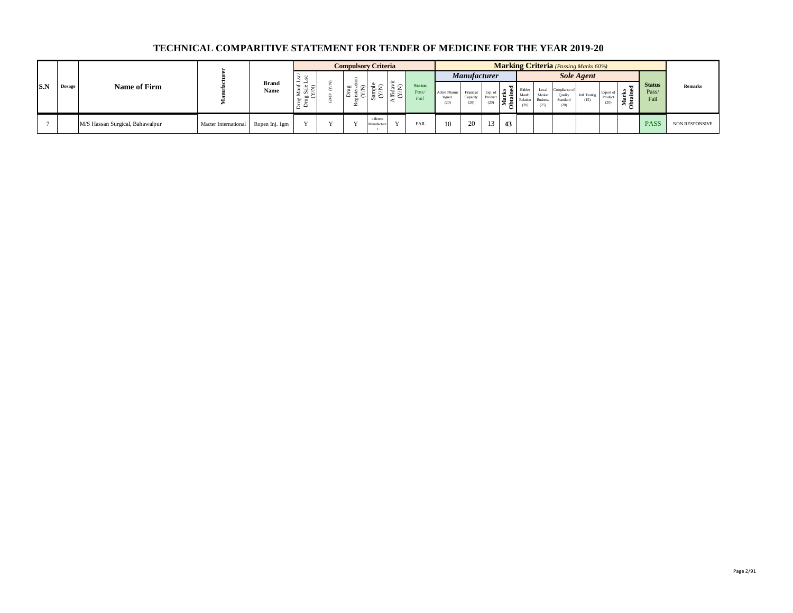|            |               |                                 |                                     |                      |              |   | <b>Compulsory Criteria</b> |                               |                           |                                |                                  |                               |                 |    |                                                | <b>Marking Criteria</b> (Passing Marks 60%)                            |                       |                              |                  |                                |                       |
|------------|---------------|---------------------------------|-------------------------------------|----------------------|--------------|---|----------------------------|-------------------------------|---------------------------|--------------------------------|----------------------------------|-------------------------------|-----------------|----|------------------------------------------------|------------------------------------------------------------------------|-----------------------|------------------------------|------------------|--------------------------------|-----------------------|
|            |               |                                 |                                     |                      |              |   |                            |                               | مست                       |                                |                                  | <b>Manufacturer</b>           |                 |    |                                                |                                                                        | <b>Sole Agent</b>     |                              |                  |                                |                       |
| <b>S.N</b> | <b>Dosage</b> | Name of Firm                    |                                     | <b>Brand</b><br>Name |              | ~ | 먈<br>-                     |                               | $=$<br>$\sim$ $\sim$<br>汨 | <b>Status</b><br>Pass/<br>Fail | Active Pharma<br>Ingred.<br>(20) | Financial<br>Capacity<br>(20) | Product<br>(20) |    | 집 Bidder<br>Mant<br>$\sum_{i=1}^{10}$ Relation | Local<br>Complance o<br>Market<br>Standard<br>Business<br>(25)<br>(20) | Intl. Testing<br>(15) | Export of<br>Product<br>(20) | -≍ ⊆<br>-57<br>÷ | <b>Status</b><br>Pass/<br>Fail | <b>Remarks</b>        |
|            |               | M/S Hassan Surgical, Bahawalpur | Macter International Ropen Inj. 1gm |                      | $\mathbf{v}$ |   |                            | different<br><b>Aanufactu</b> | $\mathbf{v}$              | <b>FAIL</b>                    |                                  | 20                            |                 | 43 |                                                |                                                                        |                       |                              |                  | <b>PASS</b>                    | <b>NON RESPONSIVE</b> |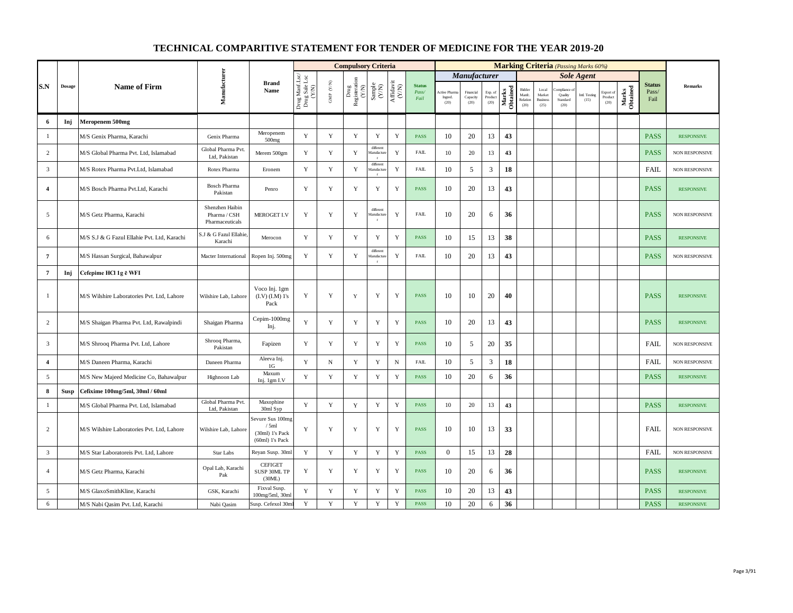|                |               |                                             |                                                    |                                                                  |                                          |                                          | <b>Compulsory Criteria</b>                                                               |                                                              |                    |                                |                                |                               |                            |                   |                                      |                                                     |                             | <b>Marking Criteria</b> (Passing Marks 60%) |                                                |                   |                                |                       |
|----------------|---------------|---------------------------------------------|----------------------------------------------------|------------------------------------------------------------------|------------------------------------------|------------------------------------------|------------------------------------------------------------------------------------------|--------------------------------------------------------------|--------------------|--------------------------------|--------------------------------|-------------------------------|----------------------------|-------------------|--------------------------------------|-----------------------------------------------------|-----------------------------|---------------------------------------------|------------------------------------------------|-------------------|--------------------------------|-----------------------|
|                |               |                                             |                                                    |                                                                  |                                          |                                          |                                                                                          |                                                              |                    |                                |                                | Manufacturer                  |                            |                   |                                      |                                                     |                             | <b>Sole Agent</b>                           |                                                |                   |                                |                       |
| S.N            | <b>Dosage</b> | <b>Name of Firm</b>                         | Manufacturer                                       | <b>Brand</b><br>Name                                             | Drug Manf.Lsc/<br>Drug Sale Lsc<br>(Y/N) | $\ensuremath{\mathsf{GMP}}\xspace$ (Y/N) | $\begin{array}{c} \mathrm{Drag} \\ \mathrm{Resisteration} \\ (Y/\mathrm{N}) \end{array}$ | $\begin{array}{c} \text{Sample} \\ (\text{Y/N}) \end{array}$ | Affidavit<br>(Y/N) | <b>Status</b><br>Pass/<br>Fail | Active Phan<br>Ingred.<br>(20) | Financial<br>Capacity<br>(20) | Exp. of<br>Product<br>(20) | Marks<br>Obtained | Bidder<br>Manfc.<br>Relation<br>(20) | $_{\rm Local}$<br>Market<br><b>Business</b><br>(25) | Quality<br>Standard<br>(20) | Intl. Testing<br>(15)                       | Export of<br>$\mathop{\text{Product}}$<br>(20) | Marks<br>Obtained | <b>Status</b><br>Pass/<br>Fail | Remarks               |
| 6              | Inj           | Meropenem 500mg                             |                                                    |                                                                  |                                          |                                          |                                                                                          |                                                              |                    |                                |                                |                               |                            |                   |                                      |                                                     |                             |                                             |                                                |                   |                                |                       |
| $\mathbf{1}$   |               | M/S Genix Pharma, Karachi                   | Genix Pharma                                       | Meropenem<br>500mg                                               | Y                                        | $\mathbf Y$                              | $\mathbf Y$                                                                              | $\mathbf Y$                                                  | $\mathbf Y$        | <b>PASS</b>                    | 10                             | 20                            | 13                         | 43                |                                      |                                                     |                             |                                             |                                                |                   | <b>PASS</b>                    | <b>RESPONSIVE</b>     |
| 2              |               | M/S Global Pharma Pvt. Ltd, Islamabad       | Global Pharma Pvt.<br>Ltd. Pakistan                | Merem 500gm                                                      | Y                                        | $\mathbf Y$                              | $\mathbf Y$                                                                              | different<br>fanufactur<br>$\mathbf{r}$                      | $\mathbf Y$        | FAIL                           | 10                             | 20                            | 13                         | 43                |                                      |                                                     |                             |                                             |                                                |                   | <b>PASS</b>                    | NON RESPONSIVE        |
| $\overline{3}$ |               | M/S Rotex Pharma Pvt.Ltd, Islamabad         | Rotex Pharma                                       | Eronem                                                           | Y                                        | $\mathbf Y$                              | $\mathbf Y$                                                                              | different<br>fanufactun                                      | Y                  | <b>FAIL</b>                    | 10                             | 5                             | 3                          | 18                |                                      |                                                     |                             |                                             |                                                |                   | <b>FAIL</b>                    | NON RESPONSIVE        |
| $\overline{4}$ |               | M/S Bosch Pharma Pvt.Ltd, Karachi           | <b>Bosch Pharma</b><br>Pakistan                    | Penro                                                            | Y                                        | $\mathbf Y$                              | $\mathbf Y$                                                                              | $\mathbf Y$                                                  | $\mathbf Y$        | <b>PASS</b>                    | 10                             | 20                            | 13                         | 43                |                                      |                                                     |                             |                                             |                                                |                   | <b>PASS</b>                    | <b>RESPONSIVE</b>     |
| 5              |               | M/S Getz Pharma, Karachi                    | Shenzhen Haibin<br>Pharma / CSH<br>Pharmaceuticals | MEROGET I.V                                                      | Y                                        | Y                                        | $\mathbf Y$                                                                              | different<br>fanufactur<br>$\mathbf r$                       | $\mathbf Y$        | <b>FAIL</b>                    | 10                             | 20                            | 6                          | 36                |                                      |                                                     |                             |                                             |                                                |                   | <b>PASS</b>                    | NON RESPONSIVE        |
| 6              |               | M/S S.J & G Fazul Ellahie Pvt. Ltd, Karachi | S.J & G Fazul Ellahie<br>Karachi                   | Merocon                                                          | $\mathbf Y$                              | $\mathbf Y$                              | $\mathbf Y$                                                                              | $\mathbf Y$                                                  | Y                  | PASS                           | 10                             | 15                            | 13                         | 38                |                                      |                                                     |                             |                                             |                                                |                   | <b>PASS</b>                    | <b>RESPONSIVE</b>     |
| $\overline{7}$ |               | M/S Hassan Surgical, Bahawalpur             | Macter International                               | Ropen Inj. 500mg                                                 | Y                                        | Y                                        | $\mathbf Y$                                                                              | different<br>anufactur<br><b>r</b>                           | $\mathbf Y$        | <b>FAIL</b>                    | 10                             | 20                            | 13                         | 43                |                                      |                                                     |                             |                                             |                                                |                   | <b>PASS</b>                    | NON RESPONSIVE        |
| $\overline{7}$ | Inj           | Cefepime HCl 1g ë WFI                       |                                                    |                                                                  |                                          |                                          |                                                                                          |                                                              |                    |                                |                                |                               |                            |                   |                                      |                                                     |                             |                                             |                                                |                   |                                |                       |
| $\mathbf{1}$   |               | M/S Wilshire Laboratories Pvt. Ltd, Lahore  | Wilshire Lab, Lahore                               | Voco Inj. 1gm<br>(I.V) (I.M) 1's<br>Pack                         | Y                                        | $\mathbf Y$                              | $\mathbf Y$                                                                              | $\mathbf Y$                                                  | Y                  | PASS                           | 10                             | 10                            | 20                         | 40                |                                      |                                                     |                             |                                             |                                                |                   | <b>PASS</b>                    | <b>RESPONSIVE</b>     |
| $\overline{c}$ |               | M/S Shaigan Pharma Pvt. Ltd, Rawalpindi     | Shaigan Pharma                                     | Cepim-1000mg<br>Inj.                                             | Y                                        | Y                                        | Y                                                                                        | Y                                                            | Y                  | <b>PASS</b>                    | 10                             | 20                            | 13                         | 43                |                                      |                                                     |                             |                                             |                                                |                   | <b>PASS</b>                    | <b>RESPONSIVE</b>     |
| $\overline{3}$ |               | M/S Shrooq Pharma Pvt. Ltd, Lahore          | Shrooq Pharma,<br>Pakistan                         | Fapizen                                                          | Y                                        | $\mathbf Y$                              | $\mathbf Y$                                                                              | $\mathbf Y$                                                  | $\mathbf Y$        | <b>PASS</b>                    | 10                             | 5                             | 20                         | 35                |                                      |                                                     |                             |                                             |                                                |                   | FAIL                           | <b>NON RESPONSIVE</b> |
| $\overline{4}$ |               | M/S Daneen Pharma, Karachi                  | Daneen Pharma                                      | Aleeva Inj.<br>1G                                                | Y                                        | $_{\rm N}$                               | $\mathbf Y$                                                                              | $\mathbf Y$                                                  | $_{\rm N}$         | <b>FAIL</b>                    | 10                             | 5                             | $\mathfrak{Z}$             | 18                |                                      |                                                     |                             |                                             |                                                |                   | <b>FAIL</b>                    | NON RESPONSIVE        |
| 5              |               | M/S New Majeed Medicine Co, Bahawalpur      | Highnoon Lab                                       | $\operatorname{Maxum}$<br>Inj. 1gm I.V                           | $\mathbf Y$                              | $\mathbf Y$                              | $\mathbf Y$                                                                              | Y                                                            | $\mathbf Y$        | <b>PASS</b>                    | 10                             | 20                            | 6                          | 36                |                                      |                                                     |                             |                                             |                                                |                   | <b>PASS</b>                    | <b>RESPONSIVE</b>     |
| 8              | Susp          | Cefixime 100mg/5ml, 30ml / 60ml             |                                                    |                                                                  |                                          |                                          |                                                                                          |                                                              |                    |                                |                                |                               |                            |                   |                                      |                                                     |                             |                                             |                                                |                   |                                |                       |
| $\mathbf{1}$   |               | M/S Global Pharma Pvt. Ltd, Islamabad       | Global Pharma Pvt.<br>Ltd, Pakistan                | Maxophine<br>30ml Syp                                            | Y                                        | $\mathbf Y$                              | $\mathbf Y$                                                                              | $\mathbf Y$                                                  | $\mathbf Y$        | PASS                           | 10                             | 20                            | 13                         | 43                |                                      |                                                     |                             |                                             |                                                |                   | <b>PASS</b>                    | <b>RESPONSIVE</b>     |
| 2              |               | M/S Wilshire Laboratories Pvt. Ltd, Lahore  | Wilshire Lab, Lahore                               | Sevure Sus 100mg<br>/5ml<br>(30ml) 1's Pack<br>$(60ml)$ 1's Pack | Y                                        | $\mathbf Y$                              | $\mathbf Y$                                                                              | Y                                                            | $\mathbf Y$        | PASS                           | 10                             | 10                            | 13                         | 33                |                                      |                                                     |                             |                                             |                                                |                   | <b>FAIL</b>                    | <b>NON RESPONSIVE</b> |
| $\overline{3}$ |               | M/S Star Laboratoreis Pvt. Ltd, Lahore      | <b>Star Labs</b>                                   | Reyan Susp. 30ml                                                 | Y                                        | $\mathbf Y$                              | $\mathbf Y$                                                                              | $\mathbf Y$                                                  | Y                  | <b>PASS</b>                    | $\mathbf{0}$                   | 15                            | 13                         | 28                |                                      |                                                     |                             |                                             |                                                |                   | FAIL                           | NON RESPONSIVE        |
| $\overline{4}$ |               | M/S Getz Pharma, Karachi                    | Opal Lab, Karachi<br>Pak                           | <b>CEFIGET</b><br>SUSP 30ML TP<br>(30ML)                         | Y                                        | Y                                        | Y                                                                                        | Y                                                            | $\mathbf Y$        | <b>PASS</b>                    | 10                             | 20                            | 6                          | 36                |                                      |                                                     |                             |                                             |                                                |                   | <b>PASS</b>                    | <b>RESPONSIVE</b>     |
| 5              |               | M/S GlaxoSmithKline, Karachi                | GSK, Karachi                                       | Fixval Susp.<br>100mg/5ml, 30ml                                  | Y                                        | Y                                        | $\mathbf Y$                                                                              | Y                                                            | $\mathbf Y$        | <b>PASS</b>                    | 10                             | 20                            | 13                         | 43                |                                      |                                                     |                             |                                             |                                                |                   | <b>PASS</b>                    | <b>RESPONSIVE</b>     |
| 6              |               | M/S Nabi Qasim Pvt. Ltd, Karachi            | Nabi Qasim                                         | Susp. Cefexol 30ml                                               | $\mathbf{Y}$                             | Y                                        | Y                                                                                        | Y                                                            | $\mathbf Y$        | <b>PASS</b>                    | 10                             | 20                            | 6                          | 36                |                                      |                                                     |                             |                                             |                                                |                   | <b>PASS</b>                    | <b>RESPONSIVE</b>     |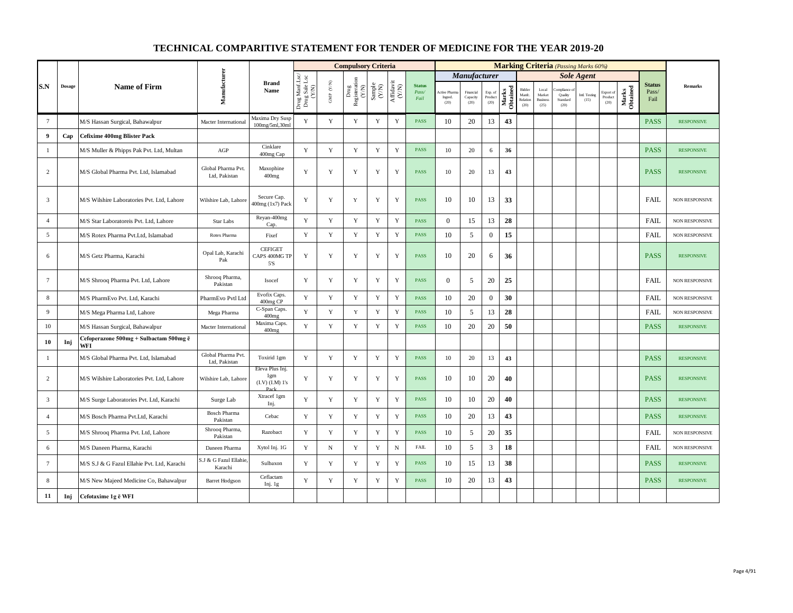|                         |               |                                               |                                     |                                                   |                                          |                                          | <b>Compulsory Criteria</b>                                                               |                                                              |                                      |                                |                                 |                               |                            |                   |                                      |                                            | <b>Marking Criteria</b> (Passing Marks 60%) |                       |                              |                   |                                |                       |
|-------------------------|---------------|-----------------------------------------------|-------------------------------------|---------------------------------------------------|------------------------------------------|------------------------------------------|------------------------------------------------------------------------------------------|--------------------------------------------------------------|--------------------------------------|--------------------------------|---------------------------------|-------------------------------|----------------------------|-------------------|--------------------------------------|--------------------------------------------|---------------------------------------------|-----------------------|------------------------------|-------------------|--------------------------------|-----------------------|
|                         |               |                                               |                                     |                                                   |                                          |                                          |                                                                                          |                                                              |                                      |                                |                                 | Manufacturer                  |                            |                   |                                      |                                            |                                             | <b>Sole Agent</b>     |                              |                   |                                |                       |
| S.N                     | <b>Dosage</b> | <b>Name of Firm</b>                           | Manufacturer                        | <b>Brand</b><br>Name                              | Drug Manf.Lsc/<br>Drug Sale Lsc<br>(Y/N) | $\text{GMP}\,$ $\left(\text{Y/N}\right)$ | $\begin{array}{l} \mathrm{Drag} \\ \mathrm{Registeration} \\ (Y/\mathrm{N}) \end{array}$ | $\begin{array}{c} \text{Sample} \\ (\text{Y/N}) \end{array}$ | $\frac{\text{Affdavit}}{\text{C/N}}$ | <b>Status</b><br>Pass/<br>Fail | Active Pharr<br>Ingred.<br>(20) | Financial<br>Capacity<br>(20) | Exp. of<br>Product<br>(20) | Marks<br>Obtained | Bidder<br>Manfc.<br>Relation<br>(20) | Local<br>Market<br><b>Business</b><br>(25) | Quality<br>Standard<br>(20)                 | Intl. Testing<br>(15) | Export of<br>Product<br>(20) | Marks<br>Obtained | <b>Status</b><br>Pass/<br>Fail | Remarks               |
| $7\phantom{.0}$         |               | M/S Hassan Surgical, Bahawalpur               | Macter International                | Maxima Dry Susp<br>100mg/5ml,30ml                 | Y                                        | Y                                        | Y                                                                                        | Y                                                            | $\mathbf Y$                          | <b>PASS</b>                    | 10                              | 20                            | 13                         | 43                |                                      |                                            |                                             |                       |                              |                   | <b>PASS</b>                    | <b>RESPONSIVE</b>     |
| $\overline{\mathbf{9}}$ | Cap           | <b>Cefixime 400mg Blister Pack</b>            |                                     |                                                   |                                          |                                          |                                                                                          |                                                              |                                      |                                |                                 |                               |                            |                   |                                      |                                            |                                             |                       |                              |                   |                                |                       |
| $\mathbf{1}$            |               | M/S Muller & Phipps Pak Pvt. Ltd, Multan      | $\rm{AGP}$                          | Cinklare<br>400mg Cap                             | $\mathbf Y$                              | $\mathbf Y$                              | $\mathbf Y$                                                                              | $\mathbf Y$                                                  | $\mathbf Y$                          | <b>PASS</b>                    | 10                              | 20                            | 6                          | 36                |                                      |                                            |                                             |                       |                              |                   | <b>PASS</b>                    | <b>RESPONSIVE</b>     |
| 2                       |               | M/S Global Pharma Pvt. Ltd. Islamabad         | Global Pharma Pvt.<br>Ltd, Pakistan | Maxophine<br>400mg                                | Y                                        | Y                                        | Y                                                                                        | Y                                                            | Y                                    | <b>PASS</b>                    | $10\,$                          | 20                            | 13                         | 43                |                                      |                                            |                                             |                       |                              |                   | <b>PASS</b>                    | <b>RESPONSIVE</b>     |
| $\overline{3}$          |               | M/S Wilshire Laboratories Pvt. Ltd, Lahore    | Wilshire Lab, Lahore                | Secure Cap.<br>400mg (1x7) Pack                   | $\mathbf Y$                              | Y                                        | Y                                                                                        | Y                                                            | Y                                    | PASS                           | 10                              | 10                            | 13                         | 33                |                                      |                                            |                                             |                       |                              |                   | <b>FAIL</b>                    | NON RESPONSIVE        |
| $\overline{4}$          |               | M/S Star Laboratoreis Pvt. Ltd. Lahore        | Star Labs                           | Reyan-400mg<br>Cap.                               | Y                                        | Y                                        | $\mathbf Y$                                                                              | Y                                                            | $\mathbf Y$                          | <b>PASS</b>                    | $\overline{0}$                  | 15                            | 13                         | 28                |                                      |                                            |                                             |                       |                              |                   | <b>FAIL</b>                    | NON RESPONSIVE        |
| $5\overline{5}$         |               | M/S Rotex Pharma Pvt.Ltd, Islamabad           | Rotex Pharma                        | Fixef                                             | Y                                        | $\mathbf Y$                              | Y                                                                                        | $\mathbf Y$                                                  | Y                                    | <b>PASS</b>                    | 10                              | 5                             | $\boldsymbol{0}$           | 15                |                                      |                                            |                                             |                       |                              |                   | <b>FAIL</b>                    | NON RESPONSIVE        |
| 6                       |               | M/S Getz Pharma, Karachi                      | Opal Lab, Karachi<br>Pak            | <b>CEFIGET</b><br>CAPS 400MG TP<br>$5^{\prime}$ S | Y                                        | Y                                        | Y                                                                                        | Y                                                            | Y                                    | <b>PASS</b>                    | 10                              | 20                            | 6                          | 36                |                                      |                                            |                                             |                       |                              |                   | <b>PASS</b>                    | <b>RESPONSIVE</b>     |
| $7\overline{ }$         |               | M/S Shrooq Pharma Pvt. Ltd, Lahore            | Shrooq Pharma,<br>Pakistan          | Isocef                                            | Y                                        | Y                                        | Y                                                                                        | $\mathbf Y$                                                  | $\mathbf Y$                          | PASS                           | $\overline{0}$                  | 5                             | 20                         | 25                |                                      |                                            |                                             |                       |                              |                   | FAIL                           | NON RESPONSIVE        |
| 8                       |               | M/S PharmEvo Pvt. Ltd, Karachi                | PharmEvo Pvtl Ltd                   | Evofix Caps.<br>400mg CP                          | Y                                        | $\mathbf Y$                              | Y                                                                                        | $\mathbf Y$                                                  | $\mathbf Y$                          | <b>PASS</b>                    | 10                              | 20                            | $\overline{0}$             | 30                |                                      |                                            |                                             |                       |                              |                   | <b>FAIL</b>                    | NON RESPONSIVE        |
| $\overline{9}$          |               | M/S Mega Pharma Ltd, Lahore                   | Mega Pharma                         | C-Span Caps.<br>400mg                             | Y                                        | Y                                        | Y                                                                                        | Y                                                            | $\mathbf Y$                          | <b>PASS</b>                    | 10                              | 5                             | 13                         | 28                |                                      |                                            |                                             |                       |                              |                   | <b>FAIL</b>                    | <b>NON RESPONSIVE</b> |
| 10                      |               | M/S Hassan Surgical, Bahawalpur               | Macter International                | Maxima Caps.<br>400mg                             | Y                                        | Y                                        | Y                                                                                        | Y                                                            | $\mathbf Y$                          | <b>PASS</b>                    | 10                              | 20                            | 20                         | 50                |                                      |                                            |                                             |                       |                              |                   | <b>PASS</b>                    | <b>RESPONSIVE</b>     |
| 10                      | Inj           | Cefoperazone 500mg + Sulbactam 500mg ē<br>WFI |                                     |                                                   |                                          |                                          |                                                                                          |                                                              |                                      |                                |                                 |                               |                            |                   |                                      |                                            |                                             |                       |                              |                   |                                |                       |
| $\mathbf{1}$            |               | M/S Global Pharma Pvt. Ltd, Islamabad         | Global Pharma Pvt.<br>Ltd. Pakistan | Toxirid 1gm                                       | Y                                        | Y                                        | Y                                                                                        | Y                                                            | Y                                    | <b>PASS</b>                    | 10                              | 20                            | 13                         | 43                |                                      |                                            |                                             |                       |                              |                   | <b>PASS</b>                    | <b>RESPONSIVE</b>     |
| 2                       |               | M/S Wilshire Laboratories Pvt. Ltd, Lahore    | Wilshire Lab, Lahore                | Eleva Plus Inj.<br>1gm<br>(I.V) (I.M) 1's         | Y                                        | $\mathbf Y$                              | $\mathbf Y$                                                                              | $\mathbf Y$                                                  | $\mathbf Y$                          | <b>PASS</b>                    | 10                              | 10                            | 20                         | 40                |                                      |                                            |                                             |                       |                              |                   | <b>PASS</b>                    | <b>RESPONSIVE</b>     |
| $\overline{3}$          |               | M/S Surge Laboratories Pvt. Ltd, Karachi      | Surge Lab                           | Xtracef 1gm<br>Inj.                               | Y                                        | Y                                        | Y                                                                                        | $\mathbf Y$                                                  | $\mathbf Y$                          | PASS                           | 10                              | 10                            | 20                         | 40                |                                      |                                            |                                             |                       |                              |                   | <b>PASS</b>                    | <b>RESPONSIVE</b>     |
| $\overline{4}$          |               | M/S Bosch Pharma Pvt.Ltd, Karachi             | <b>Bosch Pharma</b><br>Pakistan     | Cebac                                             | Y                                        | Y                                        | Y                                                                                        | Y                                                            | $\mathbf Y$                          | <b>PASS</b>                    | 10                              | 20                            | 13                         | 43                |                                      |                                            |                                             |                       |                              |                   | <b>PASS</b>                    | <b>RESPONSIVE</b>     |
| 5                       |               | M/S Shrooq Pharma Pvt. Ltd, Lahore            | Shrooq Pharma,<br>Pakistan          | Razobact                                          | Y                                        | Y                                        | $\mathbf Y$                                                                              | $\mathbf Y$                                                  | $\mathbf Y$                          | <b>PASS</b>                    | 10                              | 5                             | 20                         | 35                |                                      |                                            |                                             |                       |                              |                   | <b>FAIL</b>                    | NON RESPONSIVE        |
| 6                       |               | M/S Daneen Pharma, Karachi                    | Daneen Pharma                       | Xytol Inj. 1G                                     | $\mathbf Y$                              | ${\bf N}$                                | $\mathbf Y$                                                                              | $\mathbf Y$                                                  | $\mathbf N$                          | <b>FAIL</b>                    | 10                              | 5                             | $\overline{3}$             | 18                |                                      |                                            |                                             |                       |                              |                   | FAIL                           | NON RESPONSIVE        |
| $7\phantom{.0}$         |               | M/S S.J & G Fazul Ellahie Pvt. Ltd, Karachi   | S.J & G Fazul Ellahie<br>Karachi    | Sulbaxon                                          | Y                                        | Y                                        | Y                                                                                        | Y                                                            | Y                                    | <b>PASS</b>                    | 10                              | 15                            | 13                         | 38                |                                      |                                            |                                             |                       |                              |                   | <b>PASS</b>                    | <b>RESPONSIVE</b>     |
| 8                       |               | M/S New Majeed Medicine Co, Bahawalpur        | <b>Barret Hodgson</b>               | Ceflactam<br>Inj. 1g                              | Y                                        | Y                                        | Y                                                                                        | Y                                                            | $\mathbf Y$                          | <b>PASS</b>                    | 10                              | 20                            | 13                         | 43                |                                      |                                            |                                             |                       |                              |                   | <b>PASS</b>                    | <b>RESPONSIVE</b>     |
| 11                      | Inj           | Cefotaxime 1g ē WFI                           |                                     |                                                   |                                          |                                          |                                                                                          |                                                              |                                      |                                |                                 |                               |                            |                   |                                      |                                            |                                             |                       |                              |                   |                                |                       |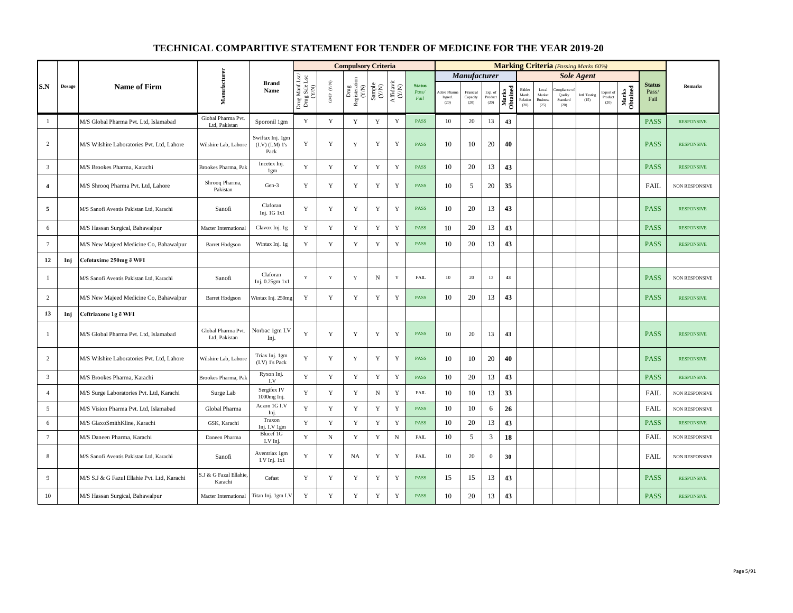|                 |               |                                             |                                     |                                             |                                          |                                          | <b>Compulsory Criteria</b>                                                |                                                                    |                                                                                                |                                |                                       |                               |                            |                   |                                      |                                            | <b>Marking Criteria</b> (Passing Marks 60%) |                       |                                                |                   |                                |                       |
|-----------------|---------------|---------------------------------------------|-------------------------------------|---------------------------------------------|------------------------------------------|------------------------------------------|---------------------------------------------------------------------------|--------------------------------------------------------------------|------------------------------------------------------------------------------------------------|--------------------------------|---------------------------------------|-------------------------------|----------------------------|-------------------|--------------------------------------|--------------------------------------------|---------------------------------------------|-----------------------|------------------------------------------------|-------------------|--------------------------------|-----------------------|
|                 |               |                                             |                                     |                                             |                                          |                                          |                                                                           |                                                                    |                                                                                                |                                |                                       | Manufacturer                  |                            |                   |                                      |                                            |                                             | <b>Sole Agent</b>     |                                                |                   |                                |                       |
| S.N             | $\bf{Dosage}$ | <b>Name of Firm</b>                         | Manufacturer                        | <b>Brand</b><br>Name                        | Drug Manf.Lsc/<br>Drug Sale Lsc<br>(Y/N) | $\ensuremath{\mathsf{GMP}}\xspace$ (Y/N) | $\begin{tabular}{l} \bf Drug \\ \bf Registeration \\ (Y/N) \end{tabular}$ | $\begin{array}{c} \text{Sample} \\ \text{C}(\text{N}) \end{array}$ | $\begin{array}{c} \mathrm{Aff} \mathrm{dav} \mathrm{i} \\ (\mathrm{Y} \mathrm{N}) \end{array}$ | <b>Status</b><br>Pass/<br>Fail | <b>Active Phan</b><br>Ingred.<br>(20) | Financial<br>Capacity<br>(20) | Exp. of<br>Product<br>(20) | Marks<br>Obtained | Bidder<br>Manfc.<br>Relation<br>(20) | Local<br>Market<br><b>Business</b><br>(25) | mpliance<br>Quality<br>Standard<br>(20)     | Intl. Testing<br>(15) | Export of<br>$\mathop{\text{Product}}$<br>(20) | Marks<br>Obtained | <b>Status</b><br>Pass/<br>Fail | <b>Remarks</b>        |
| $\mathbf{1}$    |               | M/S Global Pharma Pvt. Ltd, Islamabad       | Global Pharma Pvt.<br>Ltd, Pakistan | Sporonil 1gm                                | $\mathbf Y$                              | $\mathbf Y$                              | $\mathbf Y$                                                               | $\mathbf Y$                                                        | $\mathbf Y$                                                                                    | <b>PASS</b>                    | 10                                    | 20                            | 13                         | 43                |                                      |                                            |                                             |                       |                                                |                   | <b>PASS</b>                    | <b>RESPONSIVE</b>     |
| $\overline{c}$  |               | M/S Wilshire Laboratories Pvt. Ltd, Lahore  | Wilshire Lab, Lahore                | Swiftax Inj. 1gm<br>(I.V) (I.M) 1's<br>Pack | Y                                        | $\mathbf Y$                              | Y                                                                         | $\mathbf Y$                                                        | Y                                                                                              | <b>PASS</b>                    | 10                                    | 10                            | 20                         | 40                |                                      |                                            |                                             |                       |                                                |                   | <b>PASS</b>                    | <b>RESPONSIVE</b>     |
| $\overline{3}$  |               | M/S Brookes Pharma, Karachi                 | Brookes Pharma, Pak                 | Incetex Inj.<br>1gm                         | Y                                        | $\mathbf Y$                              | $\mathbf Y$                                                               | $\mathbf Y$                                                        | $\mathbf Y$                                                                                    | <b>PASS</b>                    | 10                                    | 20                            | 13                         | 43                |                                      |                                            |                                             |                       |                                                |                   | <b>PASS</b>                    | <b>RESPONSIVE</b>     |
| 4               |               | M/S Shrooq Pharma Pvt. Ltd, Lahore          | Shrooq Pharma,<br>Pakistan          | Gen-3                                       | Y                                        | Y                                        | $\mathbf Y$                                                               | Y                                                                  | $\mathbf Y$                                                                                    | <b>PASS</b>                    | 10                                    | 5                             | 20                         | 35                |                                      |                                            |                                             |                       |                                                |                   | FAIL                           | NON RESPONSIVE        |
| 5               |               | M/S Sanofi Aventis Pakistan Ltd, Karachi    | Sanofi                              | Claforan<br>Inj. 1G 1x1                     | Y                                        | Y                                        | Y                                                                         | Y                                                                  | Y                                                                                              | <b>PASS</b>                    | 10                                    | 20                            | 13                         | 43                |                                      |                                            |                                             |                       |                                                |                   | <b>PASS</b>                    | <b>RESPONSIVE</b>     |
| 6               |               | M/S Hassan Surgical, Bahawalpur             | Macter International                | Clavox Inj. 1g                              | Y                                        | Y                                        | Y                                                                         | $\mathbf Y$                                                        | $\mathbf Y$                                                                                    | <b>PASS</b>                    | 10                                    | 20                            | 13                         | 43                |                                      |                                            |                                             |                       |                                                |                   | <b>PASS</b>                    | <b>RESPONSIVE</b>     |
| $7\phantom{.0}$ |               | M/S New Majeed Medicine Co, Bahawalpur      | <b>Barret Hodgson</b>               | Wintax Inj. 1g                              | Y                                        | Y                                        | Y                                                                         | Y                                                                  | Y                                                                                              | <b>PASS</b>                    | 10                                    | 20                            | 13                         | 43                |                                      |                                            |                                             |                       |                                                |                   | <b>PASS</b>                    | <b>RESPONSIVE</b>     |
| 12              | Inj           | Cefotaxime 250mg ē WFI                      |                                     |                                             |                                          |                                          |                                                                           |                                                                    |                                                                                                |                                |                                       |                               |                            |                   |                                      |                                            |                                             |                       |                                                |                   |                                |                       |
| $\mathbf{1}$    |               | M/S Sanofi Aventis Pakistan Ltd, Karachi    | Sanofi                              | Claforan<br>Inj. 0.25gm 1x1                 | Y                                        | $\mathbf Y$                              | $\mathbf Y$                                                               | $\mathbf N$                                                        | $\mathbf Y$                                                                                    | <b>FAIL</b>                    | $10\,$                                | 20                            | 13                         | 43                |                                      |                                            |                                             |                       |                                                |                   | <b>PASS</b>                    | NON RESPONSIVE        |
| $\overline{c}$  |               | M/S New Majeed Medicine Co, Bahawalpur      | <b>Barret Hodgson</b>               | Wintax Inj. 250mg                           | Y                                        | Y                                        | Y                                                                         | Y                                                                  | Y                                                                                              | <b>PASS</b>                    | 10                                    | 20                            | 13                         | 43                |                                      |                                            |                                             |                       |                                                |                   | <b>PASS</b>                    | <b>RESPONSIVE</b>     |
| 13              | Inj           | Ceftriaxone 1g ē WFI                        |                                     |                                             |                                          |                                          |                                                                           |                                                                    |                                                                                                |                                |                                       |                               |                            |                   |                                      |                                            |                                             |                       |                                                |                   |                                |                       |
| $\mathbf{1}$    |               | M/S Global Pharma Pvt. Ltd, Islamabad       | Global Pharma Pvt.<br>Ltd, Pakistan | Norbac 1gm I.V<br>Inj.                      | Y                                        | $\mathbf Y$                              | Y                                                                         | $\mathbf Y$                                                        | $\mathbf Y$                                                                                    | <b>PASS</b>                    | 10                                    | 20                            | 13                         | 43                |                                      |                                            |                                             |                       |                                                |                   | <b>PASS</b>                    | <b>RESPONSIVE</b>     |
| $\overline{c}$  |               | M/S Wilshire Laboratories Pvt. Ltd, Lahore  | Wilshire Lab, Lahore                | Triax Inj. 1gm<br>(I.V) 1's Pack            | Y                                        | Y                                        | $\mathbf Y$                                                               | Y                                                                  | $\mathbf Y$                                                                                    | <b>PASS</b>                    | 10                                    | 10                            | 20                         | 40                |                                      |                                            |                                             |                       |                                                |                   | <b>PASS</b>                    | <b>RESPONSIVE</b>     |
| 3               |               | M/S Brookes Pharma, Karachi                 | Brookes Pharma, Pak                 | Ryxon Inj.<br>I.V                           | Y                                        | $\mathbf Y$                              | $\mathbf Y$                                                               | $\mathbf Y$                                                        | $\mathbf Y$                                                                                    | <b>PASS</b>                    | 10                                    | 20                            | 13                         | 43                |                                      |                                            |                                             |                       |                                                |                   | <b>PASS</b>                    | <b>RESPONSIVE</b>     |
| $\overline{4}$  |               | M/S Surge Laboratories Pvt. Ltd, Karachi    | Surge Lab                           | Sergifex IV<br>1000mg Inj.                  | Y                                        | Y                                        | Y                                                                         | $\, {\rm N}$                                                       | Y                                                                                              | <b>FAIL</b>                    | 10                                    | 10                            | 13                         | 33                |                                      |                                            |                                             |                       |                                                |                   | <b>FAIL</b>                    | NON RESPONSIVE        |
| 5               |               | M/S Vision Pharma Pvt. Ltd, Islamabad       | Global Pharma                       | Aczon 1G I.V<br>Inj.                        | Y                                        | Y                                        | Y                                                                         | Y                                                                  | $\mathbf Y$                                                                                    | <b>PASS</b>                    | 10                                    | 10                            | 6                          | 26                |                                      |                                            |                                             |                       |                                                |                   | FAIL                           | <b>NON RESPONSIVE</b> |
| 6               |               | M/S GlaxoSmithKline, Karachi                | GSK, Karachi                        | Traxon<br>Inj. I.V 1gm                      | Y                                        | $\mathbf Y$                              | $\mathbf Y$                                                               | Y                                                                  | $\mathbf Y$                                                                                    | <b>PASS</b>                    | 10                                    | 20                            | 13                         | 43                |                                      |                                            |                                             |                       |                                                |                   | <b>PASS</b>                    | <b>RESPONSIVE</b>     |
| $\tau$          |               | M/S Daneen Pharma, Karachi                  | Daneen Pharma                       | Blucef 1G<br>I.V Inj.                       | Y                                        | ${\bf N}$                                | Y                                                                         | $\mathbf Y$                                                        | ${\bf N}$                                                                                      | <b>FAIL</b>                    | 10                                    | 5                             | $\mathfrak{Z}$             | 18                |                                      |                                            |                                             |                       |                                                |                   | FAIL                           | NON RESPONSIVE        |
| 8               |               | M/S Sanofi Aventis Pakistan Ltd, Karachi    | Sanofi                              | Aventriax 1gm<br>I.V Inj. 1x1               | Y                                        | Y                                        | NA                                                                        | Y                                                                  | Y                                                                                              | <b>FAIL</b>                    | 10                                    | 20                            | $\mathbf{0}$               | 30                |                                      |                                            |                                             |                       |                                                |                   | <b>FAIL</b>                    | NON RESPONSIVE        |
| 9               |               | M/S S.J & G Fazul Ellahie Pvt. Ltd, Karachi | S.J & G Fazul Ellahie.<br>Karachi   | Cefast                                      | Y                                        | $\mathbf Y$                              | Y                                                                         | Y                                                                  | $\mathbf Y$                                                                                    | <b>PASS</b>                    | 15                                    | 15                            | 13                         | 43                |                                      |                                            |                                             |                       |                                                |                   | <b>PASS</b>                    | <b>RESPONSIVE</b>     |
| 10              |               | M/S Hassan Surgical, Bahawalpur             | Macter International                | Titan Inj. 1gm I.V                          | Y                                        | $\mathbf Y$                              | Y                                                                         | $\mathbf Y$                                                        | $\mathbf Y$                                                                                    | <b>PASS</b>                    | 10                                    | 20                            | 13                         | 43                |                                      |                                            |                                             |                       |                                                |                   | <b>PASS</b>                    | <b>RESPONSIVE</b>     |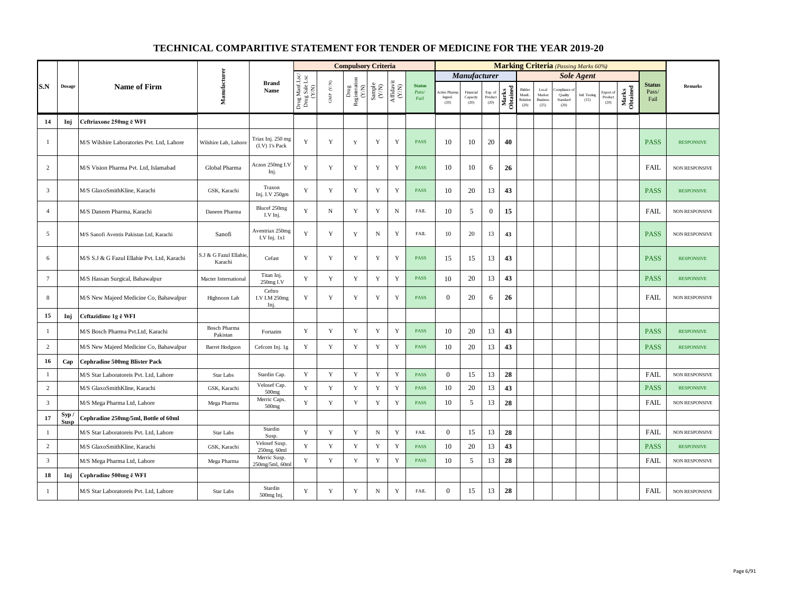|                |                     |                                             |                                   |                                     |                                          |                                         | <b>Compulsory Criteria</b>                                                     |                                                              |                                                                                       |                                |                               |                               |                            |                   |                                      |                                                     |                                         | <b>Marking Criteria</b> (Passing Marks 60%) |                              |                   |                                |                       |
|----------------|---------------------|---------------------------------------------|-----------------------------------|-------------------------------------|------------------------------------------|-----------------------------------------|--------------------------------------------------------------------------------|--------------------------------------------------------------|---------------------------------------------------------------------------------------|--------------------------------|-------------------------------|-------------------------------|----------------------------|-------------------|--------------------------------------|-----------------------------------------------------|-----------------------------------------|---------------------------------------------|------------------------------|-------------------|--------------------------------|-----------------------|
|                |                     |                                             |                                   |                                     |                                          |                                         |                                                                                |                                                              |                                                                                       |                                |                               | <b>Manufacturer</b>           |                            |                   |                                      |                                                     |                                         | <b>Sole Agent</b>                           |                              |                   |                                |                       |
| S.N            | Dosage              | <b>Name of Firm</b>                         | Manufacturer                      | <b>Brand</b><br>Name                | Drug Manf.Lsc/<br>Drug Sale Lsc<br>(Y/N) | $\ensuremath{\mathsf{GMP}}\xspace$ (YN) | $\begin{tabular}{l} \bf{Drag} \\ \bf{Res} is iteration \\ (Y/N) \end{tabular}$ | $\begin{array}{c} \text{Sample} \\ (\text{Y/N}) \end{array}$ | $\begin{array}{c} \mathrm{Aff} \mathrm{dav} \mathrm{i} \\ (\mathrm{Y/N}) \end{array}$ | <b>Status</b><br>Pass/<br>Fail | Active Pha<br>Ingred.<br>(20) | Financial<br>Capacity<br>(20) | Exp. of<br>Product<br>(20) | Marks<br>Obtained | Bidder<br>Manfc.<br>Relation<br>(20) | $_{\rm Local}$<br>Market<br><b>Business</b><br>(25) | mpliance<br>Quality<br>Standard<br>(20) | Intl. Testing<br>(15)                       | Export of<br>Product<br>(20) | Marks<br>Obtained | <b>Status</b><br>Pass/<br>Fail | <b>Remarks</b>        |
| 14             | Inj                 | Ceftriaxone 250mg ē WFI                     |                                   |                                     |                                          |                                         |                                                                                |                                                              |                                                                                       |                                |                               |                               |                            |                   |                                      |                                                     |                                         |                                             |                              |                   |                                |                       |
| $\mathbf{1}$   |                     | M/S Wilshire Laboratories Pvt. Ltd, Lahore  | Wilshire Lab, Lahore              | Triax Inj. 250 mg<br>(I.V) 1's Pack | Y                                        | Y                                       | $\mathbf Y$                                                                    | Y                                                            | Y                                                                                     | <b>PASS</b>                    | 10                            | 10                            | 20                         | 40                |                                      |                                                     |                                         |                                             |                              |                   | <b>PASS</b>                    | <b>RESPONSIVE</b>     |
| $\overline{c}$ |                     | M/S Vision Pharma Pvt. Ltd, Islamabad       | Global Pharma                     | Aczon 250mg I.V<br>Inj.             | $\mathbf Y$                              | $\mathbf Y$                             | Y                                                                              | Y                                                            | $\mathbf Y$                                                                           | <b>PASS</b>                    | 10                            | 10                            | 6                          | 26                |                                      |                                                     |                                         |                                             |                              |                   | FAIL                           | <b>NON RESPONSIVE</b> |
| $\mathbf{3}$   |                     | M/S GlaxoSmithKline, Karachi                | GSK, Karachi                      | Traxon<br>Inj. I.V 250gm            | Y                                        | $\mathbf Y$                             | Y                                                                              | Y                                                            | $\mathbf Y$                                                                           | <b>PASS</b>                    | 10                            | 20                            | 13                         | 43                |                                      |                                                     |                                         |                                             |                              |                   | <b>PASS</b>                    | <b>RESPONSIVE</b>     |
| $\overline{4}$ |                     | M/S Daneen Pharma, Karachi                  | Daneen Pharma                     | Blucef 250mg<br>I.V Inj.            | Y                                        | $_{\rm N}$                              | Y                                                                              | $\mathbf Y$                                                  | ${\bf N}$                                                                             | <b>FAIL</b>                    | 10                            | 5                             | $\boldsymbol{0}$           | 15                |                                      |                                                     |                                         |                                             |                              |                   | <b>FAIL</b>                    | <b>NON RESPONSIVE</b> |
| 5              |                     | M/S Sanofi Aventis Pakistan Ltd, Karachi    | Sanofi                            | Aventriax 250mg<br>I.V Inj. 1x1     | $\mathbf Y$                              | $\mathbf Y$                             | Y                                                                              | ${\bf N}$                                                    | Y                                                                                     | <b>FAIL</b>                    | 10                            | 20                            | 13                         | 43                |                                      |                                                     |                                         |                                             |                              |                   | <b>PASS</b>                    | NON RESPONSIVE        |
| 6              |                     | M/S S.J & G Fazul Ellahie Pvt. Ltd, Karachi | S.J & G Fazul Ellahie,<br>Karachi | Cefast                              | Y                                        | Y                                       | Y                                                                              | Y                                                            | Y                                                                                     | <b>PASS</b>                    | 15                            | 15                            | 13                         | 43                |                                      |                                                     |                                         |                                             |                              |                   | <b>PASS</b>                    | <b>RESPONSIVE</b>     |
| $\overline{7}$ |                     | M/S Hassan Surgical, Bahawalpur             | Macter International              | Titan Inj.<br>250mg I.V             | Y                                        | Y                                       | Y                                                                              | Y                                                            | Y                                                                                     | <b>PASS</b>                    | 10                            | 20                            | 13                         | 43                |                                      |                                                     |                                         |                                             |                              |                   | <b>PASS</b>                    | <b>RESPONSIVE</b>     |
| 8              |                     | M/S New Majeed Medicine Co, Bahawalpur      | Highnoon Lab                      | Ceftro<br>I.V I.M 250mg<br>Inj.     | Y                                        | Y                                       | Y                                                                              | $\mathbf Y$                                                  | Y                                                                                     | <b>PASS</b>                    | $\overline{0}$                | 20                            | 6                          | 26                |                                      |                                                     |                                         |                                             |                              |                   | <b>FAIL</b>                    | NON RESPONSIVE        |
| 15             | Inj                 | Ceftazidime 1g ē WFI                        |                                   |                                     |                                          |                                         |                                                                                |                                                              |                                                                                       |                                |                               |                               |                            |                   |                                      |                                                     |                                         |                                             |                              |                   |                                |                       |
| $\mathbf{1}$   |                     | M/S Bosch Pharma Pvt.Ltd, Karachi           | <b>Bosch Pharma</b><br>Pakistan   | Fortazim                            | $\mathbf Y$                              | $\mathbf Y$                             | Y                                                                              | $\mathbf Y$                                                  | $\mathbf Y$                                                                           | <b>PASS</b>                    | 10                            | 20                            | 13                         | 43                |                                      |                                                     |                                         |                                             |                              |                   | <b>PASS</b>                    | <b>RESPONSIVE</b>     |
| $\overline{c}$ |                     | M/S New Majeed Medicine Co, Bahawalpur      | <b>Barret Hodgson</b>             | Cefcom Inj. 1g                      | Y                                        | Y                                       | $\mathbf Y$                                                                    | Y                                                            | $\mathbf Y$                                                                           | <b>PASS</b>                    | 10                            | 20                            | 13                         | 43                |                                      |                                                     |                                         |                                             |                              |                   | <b>PASS</b>                    | <b>RESPONSIVE</b>     |
| 16             | Cap                 | <b>Cephradine 500mg Blister Pack</b>        |                                   |                                     |                                          |                                         |                                                                                |                                                              |                                                                                       |                                |                               |                               |                            |                   |                                      |                                                     |                                         |                                             |                              |                   |                                |                       |
| $\mathbf{1}$   |                     | M/S Star Laboratoreis Pvt. Ltd, Lahore      | Star Labs                         | Stardin Cap.                        | $\mathbf Y$                              | $\mathbf Y$                             | $\mathbf Y$                                                                    | $\mathbf Y$                                                  | $\mathbf Y$                                                                           | <b>PASS</b>                    | $\boldsymbol{0}$              | 15                            | 13                         | 28                |                                      |                                                     |                                         |                                             |                              |                   | <b>FAIL</b>                    | NON RESPONSIVE        |
| $\overline{c}$ |                     | M/S GlaxoSmithKline, Karachi                | GSK, Karachi                      | Velosef Cap.<br>500mg               | Y                                        | Y                                       | $\mathbf Y$                                                                    | Y                                                            | $\mathbf Y$                                                                           | <b>PASS</b>                    | 10                            | 20                            | 13                         | 43                |                                      |                                                     |                                         |                                             |                              |                   | <b>PASS</b>                    | <b>RESPONSIVE</b>     |
| $\overline{3}$ |                     | M/S Mega Pharma Ltd, Lahore                 | Mega Pharma                       | Merric Caps.<br>500mg               | Y                                        | $\mathbf Y$                             | $\mathbf Y$                                                                    | Y                                                            | $\mathbf Y$                                                                           | <b>PASS</b>                    | 10                            | 5                             | 13                         | 28                |                                      |                                                     |                                         |                                             |                              |                   | <b>FAIL</b>                    | <b>NON RESPONSIVE</b> |
| 17             | Syp/<br><b>Susp</b> | Cephradine 250mg/5ml, Bottle of 60ml        |                                   |                                     |                                          |                                         |                                                                                |                                                              |                                                                                       |                                |                               |                               |                            |                   |                                      |                                                     |                                         |                                             |                              |                   |                                |                       |
| $\mathbf{1}$   |                     | M/S Star Laboratoreis Pvt. Ltd, Lahore      | Star Labs                         | Stardin<br>Susp.                    | Y                                        | $\mathbf Y$                             | $\mathbf Y$                                                                    | ${\bf N}$                                                    | $\mathbf Y$                                                                           | <b>FAIL</b>                    | $\boldsymbol{0}$              | 15                            | 13                         | 28                |                                      |                                                     |                                         |                                             |                              |                   | FAIL                           | NON RESPONSIVE        |
| $\overline{c}$ |                     | M/S GlaxoSmithKline, Karachi                | GSK, Karachi                      | Velosef Susp.<br>250mg, 60ml        | Y                                        | Y                                       | $\mathbf Y$                                                                    | Y                                                            | $\mathbf Y$                                                                           | <b>PASS</b>                    | 10                            | 20                            | 13                         | 43                |                                      |                                                     |                                         |                                             |                              |                   | <b>PASS</b>                    | <b>RESPONSIVE</b>     |
| $\overline{3}$ |                     | M/S Mega Pharma Ltd, Lahore                 | Mega Pharma                       | Merric Susp.<br>250mg/5ml, 60ml     | Y                                        | Y                                       | Y                                                                              | Y                                                            | Y                                                                                     | <b>PASS</b>                    | 10                            | 5                             | 13                         | 28                |                                      |                                                     |                                         |                                             |                              |                   | <b>FAIL</b>                    | NON RESPONSIVE        |
| 18             | Inj                 | Cephradine 500mg ē WFI                      |                                   |                                     |                                          |                                         |                                                                                |                                                              |                                                                                       |                                |                               |                               |                            |                   |                                      |                                                     |                                         |                                             |                              |                   |                                |                       |
| $\mathbf{1}$   |                     | M/S Star Laboratoreis Pvt. Ltd, Lahore      | Star Labs                         | Stardin<br>500mg Inj.               | $\mathbf Y$                              | $\mathbf Y$                             | Y                                                                              | $\mathbf N$                                                  | $\mathbf Y$                                                                           | <b>FAIL</b>                    | $\mathbf{0}$                  | 15                            | 13                         | 28                |                                      |                                                     |                                         |                                             |                              |                   | <b>FAIL</b>                    | NON RESPONSIVE        |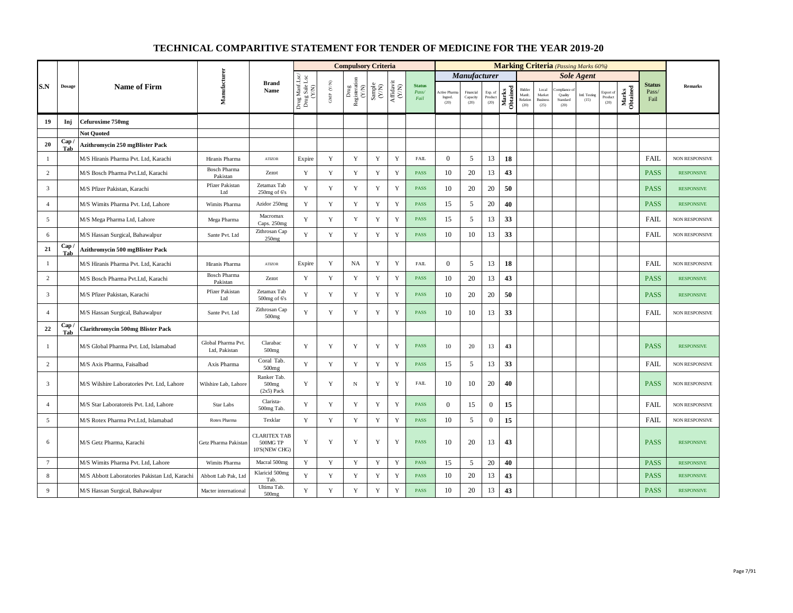|                 |               |                                               |                                     |                                                  |                                          |                          | <b>Compulsory Criteria</b>                                                               |                                                              |                                                                              |                                |                                |                               |                            |                   |                                      |                                            | <b>Marking Criteria</b> (Passing Marks 60%) |                       |                              |                   |                                |                       |
|-----------------|---------------|-----------------------------------------------|-------------------------------------|--------------------------------------------------|------------------------------------------|--------------------------|------------------------------------------------------------------------------------------|--------------------------------------------------------------|------------------------------------------------------------------------------|--------------------------------|--------------------------------|-------------------------------|----------------------------|-------------------|--------------------------------------|--------------------------------------------|---------------------------------------------|-----------------------|------------------------------|-------------------|--------------------------------|-----------------------|
|                 |               |                                               |                                     |                                                  |                                          |                          |                                                                                          |                                                              |                                                                              |                                |                                | <b>Manufacturer</b>           |                            |                   |                                      |                                            |                                             | <b>Sole Agent</b>     |                              |                   |                                |                       |
| S.N             | <b>Dosage</b> | <b>Name of Firm</b>                           | Manufacturer                        | <b>Brand</b><br>Name                             | Drug Manf.Lsc/<br>Drug Sale Lsc<br>(Y/N) | ${\rm GMP}$ ${\rm (YN)}$ | $\begin{array}{c} \mathrm{Drag} \\ \mathrm{Resisteration} \\ (Y/\mathrm{N}) \end{array}$ | $\begin{array}{c} \text{Sample} \\ (\text{Y/N}) \end{array}$ | $\begin{array}{c} \mathrm{Aff} \mathrm{davit} \\ (\mathrm{Y/N}) \end{array}$ | <b>Status</b><br>Pass/<br>Fail | Active Phar<br>Ingred.<br>(20) | Financial<br>Capacity<br>(20) | Exp. of<br>Product<br>(20) | Marks<br>Obtained | Bidder<br>Manfc.<br>Relation<br>(20) | Local<br>Market<br><b>Business</b><br>(25) | mpliance<br>Quality<br>Standard<br>(20)     | Intl. Testing<br>(15) | Export of<br>Product<br>(20) | Marks<br>Obtained | <b>Status</b><br>Pass/<br>Fail | Remarks               |
| 19              | Inj           | Cefuroxime 750mg                              |                                     |                                                  |                                          |                          |                                                                                          |                                                              |                                                                              |                                |                                |                               |                            |                   |                                      |                                            |                                             |                       |                              |                   |                                |                       |
|                 |               | <b>Not Quoted</b>                             |                                     |                                                  |                                          |                          |                                                                                          |                                                              |                                                                              |                                |                                |                               |                            |                   |                                      |                                            |                                             |                       |                              |                   |                                |                       |
| 20              | Cap<br>Tab    | <b>Azithromycin 250 mgBlister Pack</b>        |                                     |                                                  |                                          |                          |                                                                                          |                                                              |                                                                              |                                |                                |                               |                            |                   |                                      |                                            |                                             |                       |                              |                   |                                |                       |
| $\mathbf{1}$    |               | M/S Hiranis Pharma Pvt. Ltd, Karachi          | Hiranis Pharma                      | <b>ATIZOR</b>                                    | Expire                                   | $\mathbf Y$              | $\mathbf Y$                                                                              | $\mathbf Y$                                                  | $\mathbf Y$                                                                  | FAIL                           | $\mathbf{0}$                   | 5                             | 13                         | 18                |                                      |                                            |                                             |                       |                              |                   | <b>FAIL</b>                    | NON RESPONSIVE        |
| $\overline{2}$  |               | M/S Bosch Pharma Pvt.Ltd, Karachi             | <b>Bosch Pharma</b><br>Pakistan     | Zezot                                            | Y                                        | $\mathbf Y$              | $\mathbf Y$                                                                              | $\mathbf Y$                                                  | $\mathbf Y$                                                                  | <b>PASS</b>                    | 10                             | 20                            | 13                         | 43                |                                      |                                            |                                             |                       |                              |                   | <b>PASS</b>                    | <b>RESPONSIVE</b>     |
| $\overline{3}$  |               | M/S Pfizer Pakistan, Karachi                  | Pfizer Pakistan<br>Ltd              | Zetamax Tab<br>$250$ mg of $6$ 's                | Y                                        | $\mathbf Y$              | $\mathbf Y$                                                                              | $\mathbf Y$                                                  | $\mathbf Y$                                                                  | PASS                           | 10                             | 20                            | 20                         | 50                |                                      |                                            |                                             |                       |                              |                   | <b>PASS</b>                    | <b>RESPONSIVE</b>     |
| $\overline{4}$  |               | M/S Wimits Pharma Pvt. Ltd, Lahore            | Wimits Pharma                       | Azidor 250mg                                     | Y                                        | Y                        | $\mathbf Y$                                                                              | $\mathbf Y$                                                  | $\mathbf Y$                                                                  | <b>PASS</b>                    | 15                             | 5                             | 20                         | 40                |                                      |                                            |                                             |                       |                              |                   | <b>PASS</b>                    | <b>RESPONSIVE</b>     |
| 5               |               | M/S Mega Pharma Ltd, Lahore                   | Mega Pharma                         | Macromax<br>Caps. 250mg                          | Y                                        | $\mathbf Y$              | $\mathbf Y$                                                                              | $\mathbf Y$                                                  | Y                                                                            | <b>PASS</b>                    | 15                             | 5                             | 13                         | 33                |                                      |                                            |                                             |                       |                              |                   | FAIL                           | <b>NON RESPONSIVE</b> |
| 6               |               | M/S Hassan Surgical, Bahawalpur               | Sante Pvt. Ltd                      | Zithrosan Cap<br>250mg                           | Y                                        | $\mathbf Y$              | $\mathbf Y$                                                                              | Y                                                            | Y                                                                            | PASS                           | 10                             | 10                            | 13                         | 33                |                                      |                                            |                                             |                       |                              |                   | <b>FAIL</b>                    | <b>NON RESPONSIVE</b> |
| 21              | Cap<br>Tab    | <b>Azithromycin 500 mgBlister Pack</b>        |                                     |                                                  |                                          |                          |                                                                                          |                                                              |                                                                              |                                |                                |                               |                            |                   |                                      |                                            |                                             |                       |                              |                   |                                |                       |
| $\mathbf{1}$    |               | M/S Hiranis Pharma Pvt. Ltd, Karachi          | Hiranis Pharma                      | <b>ATIZOR</b>                                    | Expire                                   | $\mathbf Y$              | NA                                                                                       | $\mathbf Y$                                                  | Y                                                                            | FAIL                           | $\overline{0}$                 | 5                             | 13                         | 18                |                                      |                                            |                                             |                       |                              |                   | FAIL                           | NON RESPONSIVE        |
| $\overline{c}$  |               | M/S Bosch Pharma Pvt.Ltd, Karachi             | Bosch Pharma<br>Pakistan            | Zezot                                            | Y                                        | Y                        | Y                                                                                        | $\mathbf Y$                                                  | Y                                                                            | <b>PASS</b>                    | 10                             | 20                            | 13                         | 43                |                                      |                                            |                                             |                       |                              |                   | <b>PASS</b>                    | <b>RESPONSIVE</b>     |
| $\overline{3}$  |               | M/S Pfizer Pakistan, Karachi                  | Pfizer Pakistan<br>Ltd              | Zetamax Tab<br>500mg of 6's                      | Y                                        | Y                        | Y                                                                                        | Y                                                            | Y                                                                            | <b>PASS</b>                    | 10                             | 20                            | 20                         | 50                |                                      |                                            |                                             |                       |                              |                   | <b>PASS</b>                    | <b>RESPONSIVE</b>     |
| $\overline{4}$  |               | M/S Hassan Surgical, Bahawalpur               | Sante Pvt. Ltd                      | Zithrosan Cap<br>500mg                           | Y                                        | Y                        | Y                                                                                        | Y                                                            | Y                                                                            | PASS                           | 10                             | 10                            | 13                         | 33                |                                      |                                            |                                             |                       |                              |                   | <b>FAIL</b>                    | NON RESPONSIVE        |
| 22              | Cap<br>Tab    | <b>Clarithromycin 500mg Blister Pack</b>      |                                     |                                                  |                                          |                          |                                                                                          |                                                              |                                                                              |                                |                                |                               |                            |                   |                                      |                                            |                                             |                       |                              |                   |                                |                       |
| -1              |               | M/S Global Pharma Pvt. Ltd, Islamabad         | Global Pharma Pvt.<br>Ltd, Pakistan | Clarabac<br>500 <sub>mg</sub>                    | Y                                        | Y                        | $\mathbf Y$                                                                              | $\mathbf Y$                                                  | $\mathbf Y$                                                                  | <b>PASS</b>                    | 10                             | 20                            | 13                         | 43                |                                      |                                            |                                             |                       |                              |                   | <b>PASS</b>                    | <b>RESPONSIVE</b>     |
| 2               |               | M/S Axis Pharma, Faisalbad                    | Axis Pharma                         | Coral Tab.<br>500mg                              | Y                                        | $\mathbf Y$              | $\mathbf Y$                                                                              | Y                                                            | $\mathbf Y$                                                                  | PASS                           | 15                             | 5                             | 13                         | 33                |                                      |                                            |                                             |                       |                              |                   | <b>FAIL</b>                    | <b>NON RESPONSIVE</b> |
| $\overline{3}$  |               | M/S Wilshire Laboratories Pvt. Ltd, Lahore    | Wilshire Lab, Lahore                | Ranker Tab.<br>500 <sub>mg</sub><br>$(2x5)$ Pack | Y                                        | Y                        | $_{\rm N}$                                                                               | Y                                                            | $\mathbf Y$                                                                  | <b>FAIL</b>                    | 10                             | 10                            | 20                         | 40                |                                      |                                            |                                             |                       |                              |                   | <b>PASS</b>                    | NON RESPONSIVE        |
| $\overline{4}$  |               | M/S Star Laboratoreis Pvt. Ltd, Lahore        | Star Labs                           | Clarista-<br>500mg Tab.                          | Y                                        | Y                        | Y                                                                                        | Y                                                            | Y                                                                            | <b>PASS</b>                    | $\overline{0}$                 | 15                            | $\mathbf{0}$               | 15                |                                      |                                            |                                             |                       |                              |                   | <b>FAIL</b>                    | NON RESPONSIVE        |
| 5               |               | M/S Rotex Pharma Pvt.Ltd, Islamabad           | Rotex Pharma                        | Texklar                                          | Y                                        | Y                        | Y                                                                                        | Y                                                            | Y                                                                            | PASS                           | 10                             | 5                             | $\boldsymbol{0}$           | 15                |                                      |                                            |                                             |                       |                              |                   | <b>FAIL</b>                    | NON RESPONSIVE        |
| 6               |               | M/S Getz Pharma, Karachi                      | Getz Pharma Pakistan                | <b>CLARITEX TAB</b><br>500MG TP<br>10'S(NEW CHG) | Y                                        | $\mathbf Y$              | Y                                                                                        | $\mathbf Y$                                                  | Y                                                                            | <b>PASS</b>                    | 10                             | 20                            | 13                         | 43                |                                      |                                            |                                             |                       |                              |                   | <b>PASS</b>                    | <b>RESPONSIVE</b>     |
| $7\phantom{.0}$ |               | M/S Wimits Pharma Pvt. Ltd, Lahore            | Wimits Pharma                       | Macral 500mg                                     | Y                                        | $\mathbf Y$              | $\mathbf Y$                                                                              | $\mathbf Y$                                                  | $\mathbf Y$                                                                  | PASS                           | 15                             | 5                             | 20                         | 40                |                                      |                                            |                                             |                       |                              |                   | <b>PASS</b>                    | <b>RESPONSIVE</b>     |
| 8               |               | M/S Abbott Laboratories Pakistan Ltd, Karachi | Abbott Lab Pak, Ltd                 | Klaricid 500mg<br>Tab.                           | Y                                        | $\mathbf Y$              | $\mathbf Y$                                                                              | $\mathbf Y$                                                  | $\mathbf Y$                                                                  | PASS                           | 10                             | 20                            | 13                         | 43                |                                      |                                            |                                             |                       |                              |                   | <b>PASS</b>                    | <b>RESPONSIVE</b>     |
| 9               |               | M/S Hassan Surgical, Bahawalpur               | Macter international                | Ultima Tab.<br>500 <sub>mg</sub>                 | $\mathbf Y$                              | $\mathbf Y$              | $\mathbf Y$                                                                              | $\mathbf Y$                                                  | $\mathbf Y$                                                                  | <b>PASS</b>                    | 10                             | $20\,$                        | 13                         | 43                |                                      |                                            |                                             |                       |                              |                   | <b>PASS</b>                    | <b>RESPONSIVE</b>     |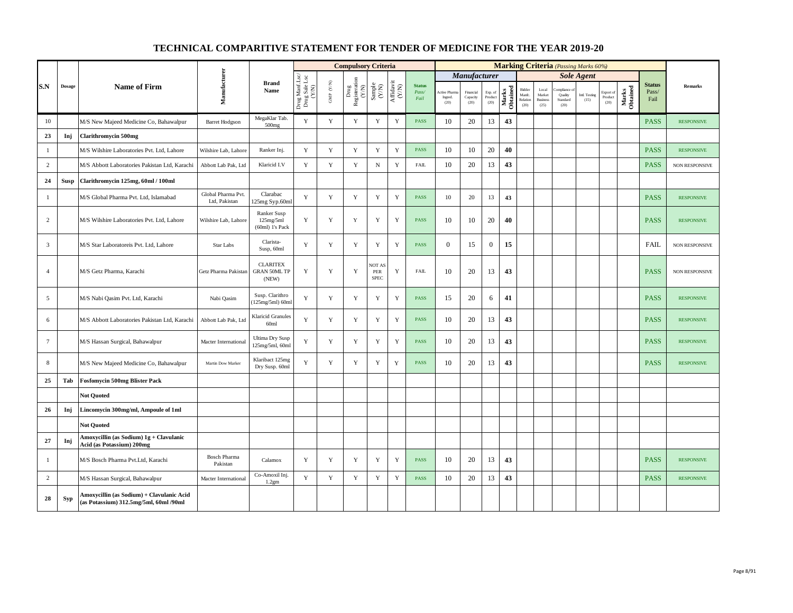|                 |             |                                                                                     |                                     |                                                 |                                          |                      | <b>Compulsory Criteria</b>                                                      |                                                              |                                      |                                |                                |                               |                            |                   |                                      |                                            |                             | <b>Marking Criteria</b> (Passing Marks 60%) |                              |                   |                                |                       |
|-----------------|-------------|-------------------------------------------------------------------------------------|-------------------------------------|-------------------------------------------------|------------------------------------------|----------------------|---------------------------------------------------------------------------------|--------------------------------------------------------------|--------------------------------------|--------------------------------|--------------------------------|-------------------------------|----------------------------|-------------------|--------------------------------------|--------------------------------------------|-----------------------------|---------------------------------------------|------------------------------|-------------------|--------------------------------|-----------------------|
|                 |             |                                                                                     |                                     |                                                 |                                          |                      |                                                                                 |                                                              |                                      |                                |                                | <b>Manufacturer</b>           |                            |                   |                                      |                                            |                             | <b>Sole Agent</b>                           |                              |                   |                                |                       |
| S.N             | Dosage      | <b>Name of Firm</b>                                                                 | Manufacturer                        | <b>Brand</b><br>Name                            | Drug Manf.Lsc/<br>Drug Sale Lsc<br>(Y/N) | GMP $(\mathbf{Y/N})$ | $\begin{array}{c} \mathrm{Drag} \\ \mathrm{Resisteration} \\ (Y/N) \end{array}$ | $\begin{array}{c} \text{Sample} \\ (\text{Y/N}) \end{array}$ | $\frac{\text{Affdavit}}{\text{N/N}}$ | <b>Status</b><br>Pass/<br>Fail | Active Phan<br>Ingred.<br>(20) | Financial<br>Capacity<br>(20) | Exp. of<br>Product<br>(20) | Marks<br>Obtained | Bidder<br>Manfe.<br>Relation<br>(20) | Local<br>Market<br><b>Business</b><br>(25) | Quality<br>Standard<br>(20) | Intl. Testing<br>(15)                       | Export of<br>Product<br>(20) | Marks<br>Obtained | <b>Status</b><br>Pass/<br>Fail | <b>Remarks</b>        |
| 10              |             | M/S New Majeed Medicine Co, Bahawalpur                                              | <b>Barret Hodgson</b>               | MegaKlar Tab.<br>$500$ mg                       | Y                                        | Y                    | Y                                                                               | $\mathbf Y$                                                  | Y                                    | PASS                           | 10                             | 20                            | 13                         | 43                |                                      |                                            |                             |                                             |                              |                   | <b>PASS</b>                    | <b>RESPONSIVE</b>     |
| 23              | Inj         | <b>Clarithromycin 500mg</b>                                                         |                                     |                                                 |                                          |                      |                                                                                 |                                                              |                                      |                                |                                |                               |                            |                   |                                      |                                            |                             |                                             |                              |                   |                                |                       |
| $\mathbf{1}$    |             | M/S Wilshire Laboratories Pvt. Ltd, Lahore                                          | Wilshire Lab, Lahore                | Ranker Inj.                                     | Y                                        | Y                    | Y                                                                               | $\mathbf Y$                                                  | $\mathbf Y$                          | <b>PASS</b>                    | 10                             | 10                            | 20                         | 40                |                                      |                                            |                             |                                             |                              |                   | <b>PASS</b>                    | <b>RESPONSIVE</b>     |
| $\overline{2}$  |             | M/S Abbott Laboratories Pakistan Ltd, Karachi                                       | Abbott Lab Pak, Ltd                 | Klaricid I.V                                    | Y                                        | $\mathbf Y$          | $\mathbf Y$                                                                     | ${\bf N}$                                                    | $\mathbf Y$                          | <b>FAIL</b>                    | 10                             | 20                            | 13                         | 43                |                                      |                                            |                             |                                             |                              |                   | <b>PASS</b>                    | NON RESPONSIVE        |
| 24              | <b>Susp</b> | Clarithromycin 125mg, 60ml / 100ml                                                  |                                     |                                                 |                                          |                      |                                                                                 |                                                              |                                      |                                |                                |                               |                            |                   |                                      |                                            |                             |                                             |                              |                   |                                |                       |
| $\mathbf{1}$    |             | M/S Global Pharma Pvt. Ltd, Islamabad                                               | Global Pharma Pvt.<br>Ltd, Pakistan | Clarabac<br>125mg Syp.60ml                      | Y                                        | $\mathbf Y$          | $\mathbf Y$                                                                     | $\mathbf Y$                                                  | $\mathbf Y$                          | <b>PASS</b>                    | 10                             | 20                            | 13                         | 43                |                                      |                                            |                             |                                             |                              |                   | <b>PASS</b>                    | <b>RESPONSIVE</b>     |
| $\overline{c}$  |             | M/S Wilshire Laboratories Pvt. Ltd, Lahore                                          | Wilshire Lab, Lahore                | Ranker Susp<br>125mg/5ml<br>$(60ml)$ 1's Pack   | Y                                        | $\mathbf Y$          | $\mathbf Y$                                                                     | $\mathbf Y$                                                  | $\mathbf Y$                          | <b>PASS</b>                    | 10                             | 10                            | 20                         | 40                |                                      |                                            |                             |                                             |                              |                   | <b>PASS</b>                    | <b>RESPONSIVE</b>     |
| $\overline{3}$  |             | M/S Star Laboratoreis Pvt. Ltd, Lahore                                              | Star Labs                           | Clarista-<br>Susp, 60ml                         | Y                                        | Y                    | Y                                                                               | Y                                                            | $\mathbf Y$                          | <b>PASS</b>                    | $\mathbf{0}$                   | 15                            | $\mathbf{0}$               | 15                |                                      |                                            |                             |                                             |                              |                   | <b>FAIL</b>                    | NON RESPONSIVE        |
| $\overline{4}$  |             | M/S Getz Pharma, Karachi                                                            | Getz Pharma Pakistan                | <b>CLARITEX</b><br><b>GRAN 50ML TP</b><br>(NEW) | Y                                        | Y                    | $\mathbf Y$                                                                     | NOT AS<br>${\tt PER}$<br><b>SPEC</b>                         | Y                                    | <b>FAIL</b>                    | 10                             | 20                            | 13                         | 43                |                                      |                                            |                             |                                             |                              |                   | <b>PASS</b>                    | <b>NON RESPONSIVE</b> |
| 5               |             | M/S Nabi Qasim Pvt. Ltd, Karachi                                                    | Nabi Qasim                          | Susp. Clarithro<br>(125mg/5ml) 60ml             | Y                                        | Y                    | Y                                                                               | Y                                                            | Y                                    | <b>PASS</b>                    | 15                             | 20                            | 6                          | 41                |                                      |                                            |                             |                                             |                              |                   | <b>PASS</b>                    | <b>RESPONSIVE</b>     |
| 6               |             | M/S Abbott Laboratories Pakistan Ltd, Karachi                                       | Abbott Lab Pak, Ltd                 | <b>Klaricid Granules</b><br>60ml                | Y                                        | Y                    | Y                                                                               | Y                                                            | Y                                    | <b>PASS</b>                    | 10                             | 20                            | 13                         | 43                |                                      |                                            |                             |                                             |                              |                   | <b>PASS</b>                    | <b>RESPONSIVE</b>     |
| $7\overline{ }$ |             | M/S Hassan Surgical, Bahawalpur                                                     | Macter International                | <b>Ultima Dry Susp</b><br>125mg/5ml, 60ml       | Y                                        | Y                    | Y                                                                               | Y                                                            | $\mathbf Y$                          | <b>PASS</b>                    | 10                             | 20                            | 13                         | 43                |                                      |                                            |                             |                                             |                              |                   | <b>PASS</b>                    | <b>RESPONSIVE</b>     |
| 8               |             | M/S New Majeed Medicine Co, Bahawalpur                                              | Martin Dow Marker                   | Klaribact 125mg<br>Dry Susp. 60ml               | $\mathbf Y$                              | $\mathbf Y$          | Y                                                                               | $\mathbf Y$                                                  | $\mathbf Y$                          | PASS                           | 10                             | 20                            | 13                         | 43                |                                      |                                            |                             |                                             |                              |                   | <b>PASS</b>                    | <b>RESPONSIVE</b>     |
| 25              | Tab         | <b>Fosfomycin 500mg Blister Pack</b>                                                |                                     |                                                 |                                          |                      |                                                                                 |                                                              |                                      |                                |                                |                               |                            |                   |                                      |                                            |                             |                                             |                              |                   |                                |                       |
|                 |             | <b>Not Quoted</b>                                                                   |                                     |                                                 |                                          |                      |                                                                                 |                                                              |                                      |                                |                                |                               |                            |                   |                                      |                                            |                             |                                             |                              |                   |                                |                       |
| 26              | Inj         | Lincomycin 300mg/ml, Ampoule of 1ml                                                 |                                     |                                                 |                                          |                      |                                                                                 |                                                              |                                      |                                |                                |                               |                            |                   |                                      |                                            |                             |                                             |                              |                   |                                |                       |
|                 |             | <b>Not Quoted</b>                                                                   |                                     |                                                 |                                          |                      |                                                                                 |                                                              |                                      |                                |                                |                               |                            |                   |                                      |                                            |                             |                                             |                              |                   |                                |                       |
| 27              | Inj         | Amoxycillin (as Sodium) 1g + Clavulanic<br>Acid (as Potassium) 200mg                |                                     |                                                 |                                          |                      |                                                                                 |                                                              |                                      |                                |                                |                               |                            |                   |                                      |                                            |                             |                                             |                              |                   |                                |                       |
| $\mathbf{1}$    |             | M/S Bosch Pharma Pvt.Ltd, Karachi                                                   | <b>Bosch Pharma</b><br>Pakistan     | Calamox                                         | Y                                        | $\mathbf Y$          | Y                                                                               | $\mathbf Y$                                                  | $\mathbf Y$                          | <b>PASS</b>                    | 10                             | 20                            | 13                         | 43                |                                      |                                            |                             |                                             |                              |                   | <b>PASS</b>                    | <b>RESPONSIVE</b>     |
| 2               |             | M/S Hassan Surgical, Bahawalpur                                                     | Macter International                | Co-Amoxil Inj.<br>1.2gm                         | Y                                        | $\mathbf Y$          | $\mathbf Y$                                                                     | $\mathbf Y$                                                  | Y                                    | PASS                           | 10                             | 20                            | 13                         | 43                |                                      |                                            |                             |                                             |                              |                   | <b>PASS</b>                    | <b>RESPONSIVE</b>     |
| 28              | <b>Syp</b>  | Amoxycillin (as Sodium) + Clavulanic Acid<br>(as Potassium) 312.5mg/5ml, 60ml /90ml |                                     |                                                 |                                          |                      |                                                                                 |                                                              |                                      |                                |                                |                               |                            |                   |                                      |                                            |                             |                                             |                              |                   |                                |                       |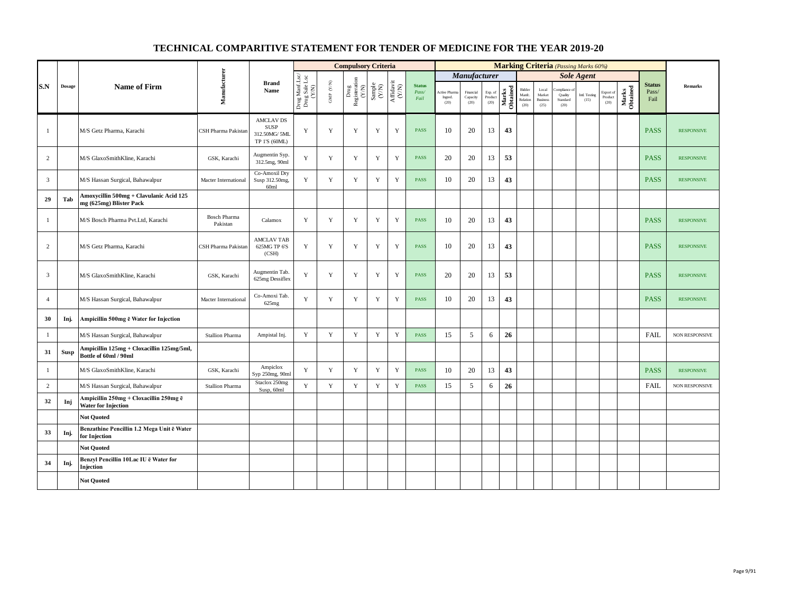|                |               |                                                                      |                                 |                                                                  |                                          |                      | <b>Compulsory Criteria</b>                                                |                                                                     |                                                                              |                                |                                         |                               |                            |                   |                                      |                                            |                                            | <b>Marking Criteria</b> (Passing Marks 60%) |                              |                   |                                |                   |
|----------------|---------------|----------------------------------------------------------------------|---------------------------------|------------------------------------------------------------------|------------------------------------------|----------------------|---------------------------------------------------------------------------|---------------------------------------------------------------------|------------------------------------------------------------------------------|--------------------------------|-----------------------------------------|-------------------------------|----------------------------|-------------------|--------------------------------------|--------------------------------------------|--------------------------------------------|---------------------------------------------|------------------------------|-------------------|--------------------------------|-------------------|
|                |               |                                                                      |                                 |                                                                  |                                          |                      |                                                                           |                                                                     |                                                                              |                                |                                         | <b>Manufacturer</b>           |                            |                   |                                      |                                            |                                            | <b>Sole Agent</b>                           |                              |                   |                                |                   |
| S.N            | <b>Dosage</b> | <b>Name of Firm</b>                                                  | Manufacturer                    | <b>Brand</b><br>Name                                             | Drug Manf.Lsc/<br>Drug Sale Lsc<br>(Y/N) | GMP $(\mathbf{Y/N})$ | $\begin{tabular}{l} \bf Drug \\ \bf Registeration \\ (Y/N) \end{tabular}$ | $\begin{array}{c} \text{Sample} \\ \text{C}(\text{NN}) \end{array}$ | $\begin{array}{c} \mathrm{Aff} \mathrm{davit} \\ (\mathrm{Y/N}) \end{array}$ | <b>Status</b><br>Pass/<br>Fail | <b>Active Pharma</b><br>Ingred.<br>(20) | Financial<br>Capacity<br>(20) | Exp. of<br>Product<br>(20) | Marks<br>Obtained | Bidder<br>Manfe.<br>Relation<br>(20) | Local<br>Market<br><b>Business</b><br>(25) | ompliance o<br>Quality<br>Standard<br>(20) | Intl. Testing<br>(15)                       | Export of<br>Product<br>(20) | Marks<br>Obtained | <b>Status</b><br>Pass/<br>Fail | <b>Remarks</b>    |
| $\mathbf{1}$   |               | M/S Getz Pharma, Karachi                                             | CSH Pharma Pakistan             | <b>AMCLAV DS</b><br><b>SUSP</b><br>312.50MG/5ML<br>TP 1'S (60ML) | Y                                        | Y                    | Y                                                                         | Y                                                                   | Y                                                                            | <b>PASS</b>                    | 10                                      | 20                            | 13                         | 43                |                                      |                                            |                                            |                                             |                              |                   | <b>PASS</b>                    | <b>RESPONSIVE</b> |
| $\overline{c}$ |               | M/S GlaxoSmithKline, Karachi                                         | GSK, Karachi                    | Augmentin Syp.<br>312.5mg, 90ml                                  | Y                                        | Y                    | Y                                                                         | Y                                                                   | Y                                                                            | <b>PASS</b>                    | 20                                      | 20                            | 13                         | 53                |                                      |                                            |                                            |                                             |                              |                   | <b>PASS</b>                    | <b>RESPONSIVE</b> |
| 3              |               | M/S Hassan Surgical, Bahawalpur                                      | Macter International            | Co-Amoxil Dry<br>Susp 312.50mg,<br>60ml                          | Y                                        | Y                    | Y                                                                         | Y                                                                   | Y                                                                            | <b>PASS</b>                    | 10                                      | 20                            | 13                         | 43                |                                      |                                            |                                            |                                             |                              |                   | <b>PASS</b>                    | <b>RESPONSIVE</b> |
| 29             | Tab           | Amoxycillin 500mg + Clavulanic Acid 125<br>mg (625mg) Blister Pack   |                                 |                                                                  |                                          |                      |                                                                           |                                                                     |                                                                              |                                |                                         |                               |                            |                   |                                      |                                            |                                            |                                             |                              |                   |                                |                   |
| $\mathbf{1}$   |               | M/S Bosch Pharma Pvt.Ltd, Karachi                                    | <b>Bosch Pharma</b><br>Pakistan | Calamox                                                          | Y                                        | $\mathbf Y$          | $\mathbf Y$                                                               | $\mathbf Y$                                                         | $\mathbf Y$                                                                  | <b>PASS</b>                    | 10                                      | 20                            | 13                         | 43                |                                      |                                            |                                            |                                             |                              |                   | <b>PASS</b>                    | <b>RESPONSIVE</b> |
| 2              |               | M/S Getz Pharma, Karachi                                             | CSH Pharma Pakistan             | <b>AMCLAV TAB</b><br>625MG TP 6'S<br>(CSH)                       | Y                                        | Y                    | Y                                                                         | Y                                                                   | Y                                                                            | <b>PASS</b>                    | 10                                      | 20                            | 13                         | 43                |                                      |                                            |                                            |                                             |                              |                   | <b>PASS</b>                    | <b>RESPONSIVE</b> |
| 3              |               | M/S GlaxoSmithKline, Karachi                                         | GSK, Karachi                    | Augmentin Tab.<br>625mg Dessiflex                                | Y                                        | Y                    | Y                                                                         | Y                                                                   | Y                                                                            | <b>PASS</b>                    | 20                                      | 20                            | 13                         | 53                |                                      |                                            |                                            |                                             |                              |                   | <b>PASS</b>                    | <b>RESPONSIVE</b> |
| $\overline{4}$ |               | M/S Hassan Surgical, Bahawalpur                                      | Macter International            | Co-Amoxi Tab.<br>625mg                                           | Y                                        | Y                    | Y                                                                         | Y                                                                   | Y                                                                            | <b>PASS</b>                    | 10                                      | 20                            | 13                         | 43                |                                      |                                            |                                            |                                             |                              |                   | <b>PASS</b>                    | <b>RESPONSIVE</b> |
| 30             | Inj.          | Ampicillin 500mg ë Water for Injection                               |                                 |                                                                  |                                          |                      |                                                                           |                                                                     |                                                                              |                                |                                         |                               |                            |                   |                                      |                                            |                                            |                                             |                              |                   |                                |                   |
| $\mathbf{1}$   |               | M/S Hassan Surgical, Bahawalpur                                      | <b>Stallion Pharma</b>          | Ampistal Inj.                                                    | Y                                        | $\mathbf Y$          | $\mathbf Y$                                                               | $\mathbf Y$                                                         | $\mathbf Y$                                                                  | <b>PASS</b>                    | 15                                      | 5                             | 6                          | 26                |                                      |                                            |                                            |                                             |                              |                   | FAIL                           | NON RESPONSIVE    |
| 31             | Susp          | Ampicillin 125mg + Cloxacillin 125mg/5ml,<br>Bottle of 60ml / 90ml   |                                 |                                                                  |                                          |                      |                                                                           |                                                                     |                                                                              |                                |                                         |                               |                            |                   |                                      |                                            |                                            |                                             |                              |                   |                                |                   |
| $\mathbf{1}$   |               | M/S GlaxoSmithKline, Karachi                                         | GSK, Karachi                    | Ampiclox<br>Syp 250mg, 90ml                                      | Y                                        | Y                    | Y                                                                         | Y                                                                   | Y                                                                            | <b>PASS</b>                    | 10                                      | 20                            | 13                         | 43                |                                      |                                            |                                            |                                             |                              |                   | <b>PASS</b>                    | <b>RESPONSIVE</b> |
| $\overline{c}$ |               | M/S Hassan Surgical, Bahawalpur                                      | <b>Stallion Pharma</b>          | Staclox 250mg<br>Susp, 60ml                                      | Y                                        | $\mathbf Y$          | $\mathbf Y$                                                               | $\mathbf Y$                                                         | $\mathbf Y$                                                                  | <b>PASS</b>                    | 15                                      | 5                             | 6                          | 26                |                                      |                                            |                                            |                                             |                              |                   | FAIL                           | NON RESPONSIVE    |
| 32             | Inj           | Ampicillin 250mg + Cloxacillin 250mg ē<br><b>Water for Injection</b> |                                 |                                                                  |                                          |                      |                                                                           |                                                                     |                                                                              |                                |                                         |                               |                            |                   |                                      |                                            |                                            |                                             |                              |                   |                                |                   |
|                |               | <b>Not Quoted</b>                                                    |                                 |                                                                  |                                          |                      |                                                                           |                                                                     |                                                                              |                                |                                         |                               |                            |                   |                                      |                                            |                                            |                                             |                              |                   |                                |                   |
| 33             | Inj.          | Benzathine Pencillin 1.2 Mega Unit ē Water<br>for Injection          |                                 |                                                                  |                                          |                      |                                                                           |                                                                     |                                                                              |                                |                                         |                               |                            |                   |                                      |                                            |                                            |                                             |                              |                   |                                |                   |
|                |               | <b>Not Ouoted</b>                                                    |                                 |                                                                  |                                          |                      |                                                                           |                                                                     |                                                                              |                                |                                         |                               |                            |                   |                                      |                                            |                                            |                                             |                              |                   |                                |                   |
| 34             | Inj.          | Benzyl Pencillin 10Lac IU ē Water for<br>Injection                   |                                 |                                                                  |                                          |                      |                                                                           |                                                                     |                                                                              |                                |                                         |                               |                            |                   |                                      |                                            |                                            |                                             |                              |                   |                                |                   |
|                |               | <b>Not Quoted</b>                                                    |                                 |                                                                  |                                          |                      |                                                                           |                                                                     |                                                                              |                                |                                         |                               |                            |                   |                                      |                                            |                                            |                                             |                              |                   |                                |                   |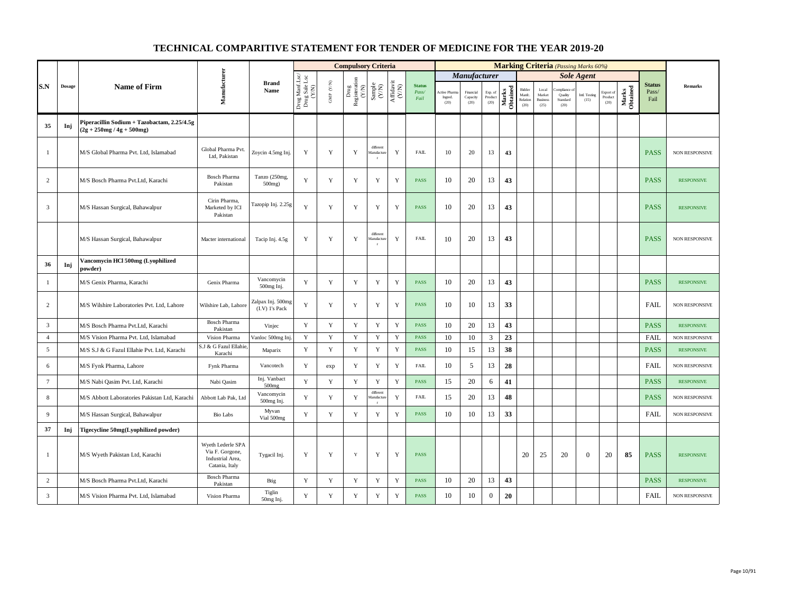|                 |               |                                                                            |                                                                            |                                       |                                          |                                          | <b>Compulsory Criteria</b>                                                |                                                              |                                      |                                |                                       |                               |                            |                   |                                      |                                            | <b>Marking Criteria</b> (Passing Marks 60%) |                       |                                    |                   |                                |                       |
|-----------------|---------------|----------------------------------------------------------------------------|----------------------------------------------------------------------------|---------------------------------------|------------------------------------------|------------------------------------------|---------------------------------------------------------------------------|--------------------------------------------------------------|--------------------------------------|--------------------------------|---------------------------------------|-------------------------------|----------------------------|-------------------|--------------------------------------|--------------------------------------------|---------------------------------------------|-----------------------|------------------------------------|-------------------|--------------------------------|-----------------------|
|                 |               |                                                                            |                                                                            |                                       |                                          |                                          |                                                                           |                                                              |                                      |                                |                                       | Manufacturer                  |                            |                   |                                      |                                            |                                             | <b>Sole Agent</b>     |                                    |                   |                                |                       |
| S.N             | $\bf{Dosage}$ | <b>Name of Firm</b>                                                        | Manufacturer                                                               | <b>Brand</b><br>Name                  | Drug Manf.Lsc/<br>Drug Sale Lsc<br>(Y/N) | $\ensuremath{\mathsf{GMP}}\xspace$ (Y/N) | $\begin{tabular}{l} \bf Drug \\ \bf Registeration \\ (Y/N) \end{tabular}$ | $\begin{array}{c} \text{Sample} \\ (\text{Y/N}) \end{array}$ | $\frac{\text{Affdavit}}{\text{N/N}}$ | <b>Status</b><br>Pass/<br>Fail | <b>Active Phan</b><br>Ingred.<br>(20) | Financial<br>Capacity<br>(20) | Exp. of<br>Product<br>(20) | Marks<br>Obtained | Bidder<br>Manfc.<br>Relation<br>(20) | Local<br>Market<br><b>Business</b><br>(25) | mpliance<br>Quality<br>Standard<br>(20)     | Intl. Testing<br>(15) | Export of<br>$\bf Product$<br>(20) | Marks<br>Obtained | <b>Status</b><br>Pass/<br>Fail | <b>Remarks</b>        |
| 35              | Inj           | Piperacillin Sodium + Tazobactam, 2.25/4.5g<br>$(2g + 250mg / 4g + 500mg)$ |                                                                            |                                       |                                          |                                          |                                                                           |                                                              |                                      |                                |                                       |                               |                            |                   |                                      |                                            |                                             |                       |                                    |                   |                                |                       |
| $\mathbf{1}$    |               | M/S Global Pharma Pvt. Ltd, Islamabad                                      | Global Pharma Pvt.<br>Ltd. Pakistan                                        | Zoycin 4.5mg Inj.                     | Y                                        | Y                                        | Y                                                                         | different<br>Aanufactur<br>$\mathbf{r}$                      | Y                                    | <b>FAIL</b>                    | 10                                    | 20                            | 13                         | 43                |                                      |                                            |                                             |                       |                                    |                   | <b>PASS</b>                    | NON RESPONSIVE        |
| $\overline{c}$  |               | M/S Bosch Pharma Pvt.Ltd, Karachi                                          | <b>Bosch Pharma</b><br>Pakistan                                            | Tanzo (250mg,<br>500mg)               | Y                                        | Y                                        | Y                                                                         | Y                                                            | Y                                    | <b>PASS</b>                    | 10                                    | 20                            | 13                         | 43                |                                      |                                            |                                             |                       |                                    |                   | <b>PASS</b>                    | <b>RESPONSIVE</b>     |
| 3               |               | M/S Hassan Surgical, Bahawalpur                                            | Cirin Pharma,<br>Marketed by ICI<br>Pakistan                               | Tazopip Inj. 2.25g                    | Y                                        | Y                                        | Y                                                                         | Y                                                            | Y                                    | <b>PASS</b>                    | 10                                    | 20                            | 13                         | 43                |                                      |                                            |                                             |                       |                                    |                   | <b>PASS</b>                    | <b>RESPONSIVE</b>     |
|                 |               | M/S Hassan Surgical, Bahawalpur                                            | Macter international                                                       | Tacip Inj. 4.5g                       | Y                                        | Y                                        | Y                                                                         | different<br><b>fanufactu</b>                                | Y                                    | <b>FAIL</b>                    | 10                                    | 20                            | 13                         | 43                |                                      |                                            |                                             |                       |                                    |                   | <b>PASS</b>                    | <b>NON RESPONSIVE</b> |
| 36              | Inj           | Vancomycin HCl 500mg (Lyophilized<br>powder)                               |                                                                            |                                       |                                          |                                          |                                                                           |                                                              |                                      |                                |                                       |                               |                            |                   |                                      |                                            |                                             |                       |                                    |                   |                                |                       |
| -1              |               | M/S Genix Pharma, Karachi                                                  | Genix Pharma                                                               | Vancomycin<br>500mg Inj.              | Y                                        | $\mathbf Y$                              | $\mathbf Y$                                                               | Y                                                            | $\mathbf Y$                          | <b>PASS</b>                    | 10                                    | 20                            | 13                         | 43                |                                      |                                            |                                             |                       |                                    |                   | <b>PASS</b>                    | <b>RESPONSIVE</b>     |
| 2               |               | M/S Wilshire Laboratories Pvt. Ltd. Lahore                                 | Wilshire Lab, Lahore                                                       | Zalpax Inj. 500mg<br>$(I.V)$ 1's Pack | Y                                        | Y                                        | Y                                                                         | Y                                                            | Y                                    | <b>PASS</b>                    | 10                                    | 10                            | 13                         | 33                |                                      |                                            |                                             |                       |                                    |                   | <b>FAIL</b>                    | <b>NON RESPONSIVE</b> |
| $\overline{3}$  |               | M/S Bosch Pharma Pvt.Ltd, Karachi                                          | <b>Bosch Pharma</b><br>Pakistan                                            | Vinjec                                | Y                                        | Y                                        | $\mathbf Y$                                                               | Y                                                            | $\mathbf Y$                          | <b>PASS</b>                    | 10                                    | 20                            | 13                         | 43                |                                      |                                            |                                             |                       |                                    |                   | <b>PASS</b>                    | <b>RESPONSIVE</b>     |
| $\overline{4}$  |               | M/S Vision Pharma Pvt. Ltd, Islamabad                                      | Vision Pharma                                                              | Vanloc 500mg Inj                      | Y                                        | Y                                        | $\mathbf Y$                                                               | Y                                                            | $\mathbf Y$                          | PASS                           | 10                                    | 10                            | 3                          | 23                |                                      |                                            |                                             |                       |                                    |                   | <b>FAIL</b>                    | <b>NON RESPONSIVE</b> |
| 5               |               | M/S S.J & G Fazul Ellahie Pvt. Ltd, Karachi                                | J & G Fazul Ellahi<br>Karachi                                              | Maparix                               | $\mathbf Y$                              | Y                                        | $\mathbf Y$                                                               | Y                                                            | $\mathbf Y$                          | <b>PASS</b>                    | 10                                    | 15                            | 13                         | 38                |                                      |                                            |                                             |                       |                                    |                   | <b>PASS</b>                    | <b>RESPONSIVE</b>     |
| 6               |               | M/S Fynk Pharma, Lahore                                                    | Fynk Pharma                                                                | Vancotech                             | Y                                        | exp                                      | $\mathbf Y$                                                               | $\mathbf Y$                                                  | $\mathbf Y$                          | <b>FAIL</b>                    | 10                                    | 5                             | 13                         | 28                |                                      |                                            |                                             |                       |                                    |                   | <b>FAIL</b>                    | <b>NON RESPONSIVE</b> |
| $7\phantom{.0}$ |               | M/S Nabi Qasim Pvt. Ltd, Karachi                                           | Nabi Qasim                                                                 | Inj. Vanbact<br>$500$ mg              | Y                                        | Y                                        | $\mathbf Y$                                                               | Y                                                            | $\mathbf Y$                          | <b>PASS</b>                    | 15                                    | 20                            | 6                          | 41                |                                      |                                            |                                             |                       |                                    |                   | <b>PASS</b>                    | <b>RESPONSIVE</b>     |
| 8               |               | M/S Abbott Laboratories Pakistan Ltd, Karachi                              | Abbott Lab Pak, Ltd                                                        | Vancomycin<br>500mg Inj.              | Y                                        | $\mathbf Y$                              | Y                                                                         | different<br><b>Ianufactur</b><br>$\mathbf{r}$               | Y                                    | <b>FAIL</b>                    | 15                                    | 20                            | 13                         | 48                |                                      |                                            |                                             |                       |                                    |                   | <b>PASS</b>                    | NON RESPONSIVE        |
| 9               |               | M/S Hassan Surgical, Bahawalpur                                            | <b>Bio Labs</b>                                                            | Myvan<br>Vial 500mg                   | Y                                        | $\mathbf Y$                              | $\mathbf Y$                                                               | Y                                                            | $\mathbf Y$                          | <b>PASS</b>                    | 10                                    | 10                            | 13                         | 33                |                                      |                                            |                                             |                       |                                    |                   | FAIL                           | NON RESPONSIVE        |
| 37              | Inj           | Tigecycline 50mg(Lyophilized powder)                                       |                                                                            |                                       |                                          |                                          |                                                                           |                                                              |                                      |                                |                                       |                               |                            |                   |                                      |                                            |                                             |                       |                                    |                   |                                |                       |
| $\mathbf{1}$    |               | M/S Wyeth Pakistan Ltd, Karachi                                            | Wyeth Lederle SPA<br>Via F. Gorgone,<br>Industrial Area,<br>Catania, Italy | Tygacil Inj.                          | Y                                        | Y                                        | Y                                                                         | Y                                                            | Y                                    | <b>PASS</b>                    |                                       |                               |                            |                   | 20                                   | 25                                         | 20                                          | $\overline{0}$        | 20                                 | 85                | <b>PASS</b>                    | <b>RESPONSIVE</b>     |
| 2               |               | M/S Bosch Pharma Pvt.Ltd, Karachi                                          | <b>Bosch Pharma</b><br>Pakistan                                            | Btig                                  | Y                                        | Y                                        | $\mathbf Y$                                                               | Y                                                            | $\mathbf Y$                          | <b>PASS</b>                    | 10                                    | 20                            | 13                         | 43                |                                      |                                            |                                             |                       |                                    |                   | <b>PASS</b>                    | <b>RESPONSIVE</b>     |
| 3               |               | M/S Vision Pharma Pvt. Ltd, Islamabad                                      | Vision Pharma                                                              | Tiglin<br>50mg Inj.                   | Y                                        | $\mathbf Y$                              | Y                                                                         | $\mathbf Y$                                                  | $\mathbf Y$                          | <b>PASS</b>                    | 10                                    | 10                            | $\mathbf{0}$               | 20                |                                      |                                            |                                             |                       |                                    |                   | <b>FAIL</b>                    | NON RESPONSIVE        |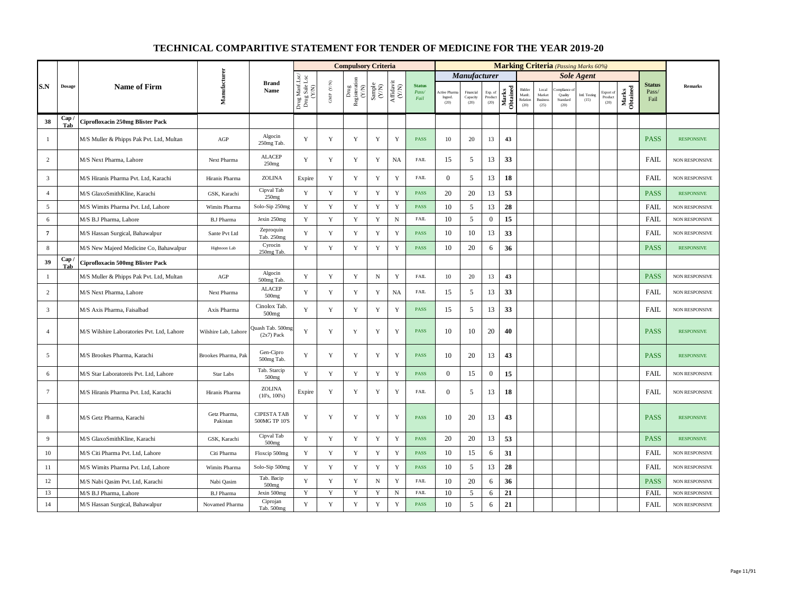|                 |               |                                            |                          |                                     |                                          |                      | <b>Compulsory Criteria</b>                                                |                                                                                                 |             |                                |                                 |                               |                            |                   |                                     |                                            |                                          | <b>Marking Criteria</b> (Passing Marks 60%) |                              |                   |                                |                       |
|-----------------|---------------|--------------------------------------------|--------------------------|-------------------------------------|------------------------------------------|----------------------|---------------------------------------------------------------------------|-------------------------------------------------------------------------------------------------|-------------|--------------------------------|---------------------------------|-------------------------------|----------------------------|-------------------|-------------------------------------|--------------------------------------------|------------------------------------------|---------------------------------------------|------------------------------|-------------------|--------------------------------|-----------------------|
|                 |               |                                            |                          |                                     |                                          |                      |                                                                           |                                                                                                 |             |                                |                                 | <b>Manufacturer</b>           |                            |                   |                                     |                                            |                                          | <b>Sole Agent</b>                           |                              |                   |                                |                       |
| S.N             | <b>Dosage</b> | <b>Name of Firm</b>                        | Manufacturer             | <b>Brand</b><br>Name                | Drug Manf.Lsc/<br>Drug Sale Lsc<br>(Y/N) | GMP $(\mathbf{Y/N})$ | $\begin{tabular}{l} \bf Drug \\ \bf Registeration \\ (Y/N) \end{tabular}$ | $\begin{array}{c} \text{Sample} \\ (\text{Y/N}) \\ \text{Affdavit} \\ (\text{Y/N}) \end{array}$ |             | <b>Status</b><br>Pass/<br>Fail | Active Pharn<br>Ingred.<br>(20) | Financial<br>Capacity<br>(20) | Exp. of<br>Product<br>(20) | Marks<br>Obtained | Bidder<br>Manfc<br>Relation<br>(20) | Local<br>Market<br><b>Business</b><br>(25) | ompliance<br>Quality<br>Standard<br>(20) | Intl. Testing<br>(15)                       | Export of<br>Product<br>(20) | Marks<br>Obtained | <b>Status</b><br>Pass/<br>Fail | <b>Remarks</b>        |
| 38              | Cap /<br>Tab  | Ciprofloxacin 250mg Blister Pack           |                          |                                     |                                          |                      |                                                                           |                                                                                                 |             |                                |                                 |                               |                            |                   |                                     |                                            |                                          |                                             |                              |                   |                                |                       |
| -1              |               | M/S Muller & Phipps Pak Pvt. Ltd, Multan   | AGP                      | Algocin<br>250mg Tab.               | Y                                        | Y                    | Y                                                                         | Y                                                                                               | Y           | PASS                           | 10                              | 20                            | 13                         | 43                |                                     |                                            |                                          |                                             |                              |                   | <b>PASS</b>                    | <b>RESPONSIVE</b>     |
| 2               |               | M/S Next Pharma, Lahore                    | Next Pharma              | <b>ALACEP</b><br>250mg              | Y                                        | Y                    | Y                                                                         | Y                                                                                               | <b>NA</b>   | <b>FAIL</b>                    | 15                              | 5                             | 13                         | 33                |                                     |                                            |                                          |                                             |                              |                   | <b>FAIL</b>                    | <b>NON RESPONSIVE</b> |
| $\overline{3}$  |               | M/S Hiranis Pharma Pvt. Ltd, Karachi       | Hiranis Pharma           | ZOLINA                              | Expire                                   | Y                    | Y                                                                         | Y                                                                                               | Y           | <b>FAIL</b>                    | $\boldsymbol{0}$                | 5                             | 13                         | 18                |                                     |                                            |                                          |                                             |                              |                   | FAIL                           | NON RESPONSIVE        |
| $\overline{4}$  |               | M/S GlaxoSmithKline, Karachi               | GSK, Karachi             | Cipval Tab<br>250mg                 | Y                                        | Y                    | Y                                                                         | $\mathbf Y$                                                                                     | $\mathbf Y$ | <b>PASS</b>                    | 20                              | 20                            | 13                         | 53                |                                     |                                            |                                          |                                             |                              |                   | <b>PASS</b>                    | <b>RESPONSIVE</b>     |
| 5               |               | M/S Wimits Pharma Pvt. Ltd, Lahore         | Wimits Pharma            | Solo-Sip 250mg                      | Y                                        | $\mathbf Y$          | $\mathbf Y$                                                               | $\mathbf Y$                                                                                     | $\mathbf Y$ | <b>PASS</b>                    | 10                              | 5                             | 13                         | 28                |                                     |                                            |                                          |                                             |                              |                   | FAIL                           | NON RESPONSIVE        |
| 6               |               | M/S B.J Pharma, Lahore                     | <b>B.J Pharma</b>        | Jexin 250mg                         | Y                                        | $\mathbf Y$          | Y                                                                         | $\mathbf Y$                                                                                     | $\,$ N      | <b>FAIL</b>                    | 10                              | 5                             | $\overline{0}$             | 15                |                                     |                                            |                                          |                                             |                              |                   | <b>FAIL</b>                    | <b>NON RESPONSIVE</b> |
| $\overline{7}$  |               | M/S Hassan Surgical, Bahawalpur            | Sante Pvt Ltd            | Zeproquin<br>Tab. 250mg             | Y                                        | $\mathbf Y$          | $\mathbf Y$                                                               | $\mathbf Y$                                                                                     | $\mathbf Y$ | <b>PASS</b>                    | 10                              | 10                            | 13                         | 33                |                                     |                                            |                                          |                                             |                              |                   | FAIL                           | <b>NON RESPONSIVE</b> |
| $\,$ 8 $\,$     |               | M/S New Majeed Medicine Co, Bahawalpur     | Highnoon Lab             | Cyrocin<br>250mg Tab                | $\mathbf Y$                              | $\mathbf Y$          | $\mathbf Y$                                                               | $\mathbf Y$                                                                                     | $\mathbf Y$ | PASS                           | 10                              | 20                            | 6                          | 36                |                                     |                                            |                                          |                                             |                              |                   | <b>PASS</b>                    | <b>RESPONSIVE</b>     |
| 39              | Cap<br>Tab    | Ciprofloxacin 500mg Blister Pack           |                          |                                     |                                          |                      |                                                                           |                                                                                                 |             |                                |                                 |                               |                            |                   |                                     |                                            |                                          |                                             |                              |                   |                                |                       |
| $\mathbf{1}$    |               | M/S Muller & Phipps Pak Pvt. Ltd, Multan   | AGP                      | Algocin<br>500mg Tab.               | Y                                        | Y                    | $\mathbf Y$                                                               | ${\bf N}$                                                                                       | $\mathbf Y$ | <b>FAIL</b>                    | 10                              | 20                            | 13                         | 43                |                                     |                                            |                                          |                                             |                              |                   | <b>PASS</b>                    | <b>NON RESPONSIVE</b> |
| $\overline{c}$  |               | M/S Next Pharma, Lahore                    | Next Pharma              | <b>ALACEP</b><br>500 <sub>mg</sub>  | Y                                        | $\mathbf Y$          | Y                                                                         | Y                                                                                               | <b>NA</b>   | <b>FAIL</b>                    | 15                              | 5                             | 13                         | 33                |                                     |                                            |                                          |                                             |                              |                   | <b>FAIL</b>                    | NON RESPONSIVE        |
| $\overline{3}$  |               | M/S Axis Pharma, Faisalbad                 | Axis Pharma              | Cinolox Tab.<br>500 <sub>mg</sub>   | Y                                        | Y                    | Y                                                                         | $\mathbf Y$                                                                                     | $\mathbf Y$ | <b>PASS</b>                    | 15                              | 5                             | 13                         | 33                |                                     |                                            |                                          |                                             |                              |                   | <b>FAIL</b>                    | NON RESPONSIVE        |
| $\overline{4}$  |               | M/S Wilshire Laboratories Pvt. Ltd, Lahore | Wilshire Lab, Lahore     | Quash Tab. 500mg<br>$(2x7)$ Pack    | Y                                        | Y                    | Y                                                                         | Y                                                                                               | Y           | PASS                           | 10                              | 10                            | 20                         | 40                |                                     |                                            |                                          |                                             |                              |                   | <b>PASS</b>                    | <b>RESPONSIVE</b>     |
| 5               |               | M/S Brookes Pharma, Karachi                | Brookes Pharma, Pak      | Gen-Cipro<br>500mg Tab.             | Y                                        | $\mathbf Y$          | Y                                                                         | $\mathbf Y$                                                                                     | $\mathbf Y$ | <b>PASS</b>                    | 10                              | 20                            | 13                         | 43                |                                     |                                            |                                          |                                             |                              |                   | <b>PASS</b>                    | <b>RESPONSIVE</b>     |
| 6               |               | M/S Star Laboratoreis Pvt. Ltd, Lahore     | <b>Star Labs</b>         | Tab. Starcip<br>500mg               | Y                                        | $\mathbf Y$          | Y                                                                         | $\mathbf Y$                                                                                     | $\mathbf Y$ | <b>PASS</b>                    | $\boldsymbol{0}$                | 15                            | $\boldsymbol{0}$           | 15                |                                     |                                            |                                          |                                             |                              |                   | <b>FAIL</b>                    | <b>NON RESPONSIVE</b> |
| $7\phantom{.0}$ |               | M/S Hiranis Pharma Pvt. Ltd, Karachi       | Hiranis Pharma           | <b>ZOLINA</b><br>(10's, 100's)      | Expire                                   | Y                    | Y                                                                         | $\mathbf Y$                                                                                     | $\mathbf Y$ | <b>FAIL</b>                    | $\overline{0}$                  | 5                             | 13                         | 18                |                                     |                                            |                                          |                                             |                              |                   | FAIL                           | NON RESPONSIVE        |
| 8               |               | M/S Getz Pharma, Karachi                   | Getz Pharma,<br>Pakistan | <b>CIPESTA TAB</b><br>500MG TP 10'S | Y                                        | Y                    | Y                                                                         | Y                                                                                               | Y           | <b>PASS</b>                    | 10                              | 20                            | 13                         | 43                |                                     |                                            |                                          |                                             |                              |                   | <b>PASS</b>                    | <b>RESPONSIVE</b>     |
| 9               |               | M/S GlaxoSmithKline, Karachi               | GSK, Karachi             | Cipval Tab<br>500mg                 | $\mathbf Y$                              | $\mathbf Y$          | $\mathbf Y$                                                               | $\mathbf Y$                                                                                     | $\mathbf Y$ | <b>PASS</b>                    | 20                              | 20                            | 13                         | 53                |                                     |                                            |                                          |                                             |                              |                   | <b>PASS</b>                    | <b>RESPONSIVE</b>     |
| 10              |               | M/S Citi Pharma Pvt. Ltd, Lahore           | Citi Pharma              | Floxcip 500mg                       | Y                                        | $\mathbf Y$          | $\mathbf Y$                                                               | $\mathbf Y$                                                                                     | $\mathbf Y$ | PASS                           | 10                              | 15                            | 6                          | 31                |                                     |                                            |                                          |                                             |                              |                   | FAIL                           | <b>NON RESPONSIVE</b> |
| 11              |               | M/S Wimits Pharma Pvt. Ltd, Lahore         | Wimits Pharma            | Solo-Sip 500mg                      | Y                                        | $\mathbf Y$          | Y                                                                         | Y                                                                                               | $\mathbf Y$ | <b>PASS</b>                    | 10                              | 5                             | 13                         | 28                |                                     |                                            |                                          |                                             |                              |                   | <b>FAIL</b>                    | NON RESPONSIVE        |
| 12              |               | M/S Nabi Qasim Pvt. Ltd, Karachi           | Nabi Qasim               | Tab. Bacip<br>500 <sub>mg</sub>     | Y                                        | $\mathbf Y$          | Y                                                                         | $\, {\rm N}$                                                                                    | $\mathbf Y$ | <b>FAIL</b>                    | 10                              | 20                            | 6                          | 36                |                                     |                                            |                                          |                                             |                              |                   | <b>PASS</b>                    | <b>NON RESPONSIVE</b> |
| 13              |               | M/S B.J Pharma, Lahore                     | <b>B.J Pharma</b>        | Jexin 500mg                         | Y                                        | Y                    | Y                                                                         | Y                                                                                               | N           | FAIL                           | 10                              | 5                             | 6                          | 21                |                                     |                                            |                                          |                                             |                              |                   | <b>FAIL</b>                    | <b>NON RESPONSIVE</b> |
| 14              |               | M/S Hassan Surgical, Bahawalpur            | Novamed Pharma           | Ciprojan<br>Tab. 500mg              | $\mathbf Y$                              | $\mathbf Y$          | $\mathbf Y$                                                               | $\mathbf Y$                                                                                     | $\mathbf Y$ | <b>PASS</b>                    | 10                              | $\sqrt{5}$                    | 6                          | 21                |                                     |                                            |                                          |                                             |                              |                   | <b>FAIL</b>                    | <b>NON RESPONSIVE</b> |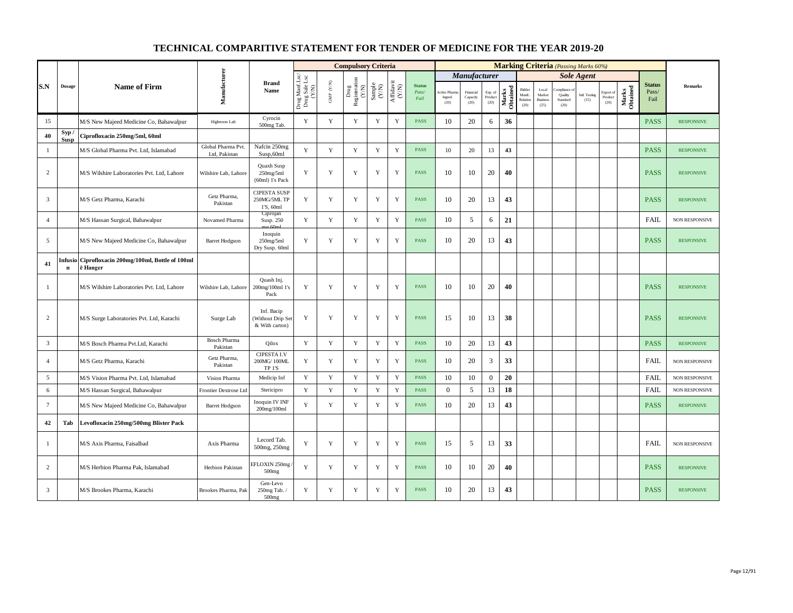|                 |               |                                                        |                                     |                                                   |                                          |                          | <b>Compulsory Criteria</b>                                                                |                                                                     |                    |                                |                                 |                               |                            |                   |                                      |                                            | <b>Marking Criteria</b> (Passing Marks 60%) |                       |                              |                   |                                |                       |
|-----------------|---------------|--------------------------------------------------------|-------------------------------------|---------------------------------------------------|------------------------------------------|--------------------------|-------------------------------------------------------------------------------------------|---------------------------------------------------------------------|--------------------|--------------------------------|---------------------------------|-------------------------------|----------------------------|-------------------|--------------------------------------|--------------------------------------------|---------------------------------------------|-----------------------|------------------------------|-------------------|--------------------------------|-----------------------|
|                 |               |                                                        |                                     |                                                   |                                          |                          |                                                                                           |                                                                     |                    |                                |                                 | Manufacturer                  |                            |                   |                                      |                                            |                                             | <b>Sole Agent</b>     |                              |                   |                                |                       |
| S.N             | <b>Dosage</b> | <b>Name of Firm</b>                                    | Manufacturer                        | <b>Brand</b><br>Name                              | Drug Manf.Lsc/<br>Drug Sale Lsc<br>(Y/N) | ${\rm GMP}$ ${\rm (YN)}$ | $\begin{array}{c} \mathrm{ Drug} \\ \mathrm{Registeration} \\ \mathrm{(Y/N)} \end{array}$ | $\begin{array}{c} \text{Sample} \\ \text{C}(\text{NN}) \end{array}$ | Affidavit<br>(Y/N) | <b>Status</b><br>Pass/<br>Fail | Active Pharn<br>Ingred.<br>(20) | Financial<br>Capacity<br>(20) | Exp. of<br>Product<br>(20) | Marks<br>Obtained | Bidder<br>Manfc.<br>Relation<br>(20) | Local<br>Market<br><b>Business</b><br>(25) | mpliance<br>Quality<br>Standard<br>(20)     | Intl. Testing<br>(15) | Export of<br>Product<br>(20) | Marks<br>Obtained | <b>Status</b><br>Pass/<br>Fail | Remarks               |
| 15              |               | M/S New Majeed Medicine Co, Bahawalpur                 | Highnoon Lab                        | Cyrocin<br>500mg Tab.                             | Y                                        | $\mathbf Y$              | Y                                                                                         | $\mathbf Y$                                                         | $\mathbf Y$        | <b>PASS</b>                    | 10                              | 20                            | 6                          | 36                |                                      |                                            |                                             |                       |                              |                   | <b>PASS</b>                    | <b>RESPONSIVE</b>     |
| 40              | Syp/<br>Susp  | Ciprofloxacin 250mg/5ml, 60ml                          |                                     |                                                   |                                          |                          |                                                                                           |                                                                     |                    |                                |                                 |                               |                            |                   |                                      |                                            |                                             |                       |                              |                   |                                |                       |
| -1              |               | M/S Global Pharma Pvt. Ltd, Islamabad                  | Global Pharma Pvt.<br>Ltd, Pakistan | Nafcin 250mg<br>Susp,60ml                         | Y                                        | Y                        | Y                                                                                         | Y                                                                   | $\mathbf Y$        | <b>PASS</b>                    | 10                              | 20                            | 13                         | 43                |                                      |                                            |                                             |                       |                              |                   | <b>PASS</b>                    | <b>RESPONSIVE</b>     |
| $\overline{c}$  |               | M/S Wilshire Laboratories Pvt. Ltd. Lahore             | Wilshire Lab, Lahore                | Quaxh Susp<br>$250$ mg/5ml<br>(60ml) 1's Pack     | Y                                        | Y                        | Y                                                                                         | Y                                                                   | Y                  | <b>PASS</b>                    | 10                              | 10                            | 20                         | 40                |                                      |                                            |                                             |                       |                              |                   | <b>PASS</b>                    | <b>RESPONSIVE</b>     |
| $\overline{3}$  |               | M/S Getz Pharma, Karachi                               | Getz Pharma,<br>Pakistan            | <b>CIPESTA SUSP</b><br>250MG/5ML TP<br>1'S, 60ml  | Y                                        | Y                        | Y                                                                                         | Y                                                                   | Y                  | <b>PASS</b>                    | 10                              | 20                            | 13                         | 43                |                                      |                                            |                                             |                       |                              |                   | <b>PASS</b>                    | <b>RESPONSIVE</b>     |
| $\overline{4}$  |               | M/S Hassan Surgical, Bahawalpur                        | Novamed Pharma                      | Ciprojan<br>Susp. 250                             | Y                                        | $\mathbf Y$              | Y                                                                                         | Y                                                                   | Y                  | <b>PASS</b>                    | 10                              | 5                             | 6                          | 21                |                                      |                                            |                                             |                       |                              |                   | <b>FAIL</b>                    | <b>NON RESPONSIVE</b> |
| 5               |               | M/S New Majeed Medicine Co, Bahawalpur                 | <b>Barret Hodgson</b>               | Inoquin<br>250mg/5ml<br>Dry Susp. 60ml            | Y                                        | $\mathbf Y$              | Y                                                                                         | Y                                                                   | $\mathbf Y$        | PASS                           | 10                              | 20                            | 13                         | 43                |                                      |                                            |                                             |                       |                              |                   | <b>PASS</b>                    | <b>RESPONSIVE</b>     |
| 41              | Infusio<br>n  | Ciprofloxacin 200mg/100ml, Bottle of 100ml<br>ē Hanger |                                     |                                                   |                                          |                          |                                                                                           |                                                                     |                    |                                |                                 |                               |                            |                   |                                      |                                            |                                             |                       |                              |                   |                                |                       |
| $\mathbf{1}$    |               | M/S Wilshire Laboratories Pvt. Ltd, Lahore             | Wilshire Lab, Lahore                | Quash Inj.<br>200mg/100ml 1's<br>Pack             | Y                                        | Y                        | Y                                                                                         | $\mathbf Y$                                                         | $\mathbf Y$        | <b>PASS</b>                    | 10                              | 10                            | 20                         | 40                |                                      |                                            |                                             |                       |                              |                   | <b>PASS</b>                    | <b>RESPONSIVE</b>     |
| $\overline{c}$  |               | M/S Surge Laboratories Pvt. Ltd, Karachi               | Surge Lab                           | Inf. Bacip<br>(Without Drip Set<br>& With carton) | $\mathbf Y$                              | $\mathbf Y$              | $\mathbf Y$                                                                               | $\mathbf Y$                                                         | $\mathbf Y$        | <b>PASS</b>                    | 15                              | 10                            | 13                         | 38                |                                      |                                            |                                             |                       |                              |                   | <b>PASS</b>                    | <b>RESPONSIVE</b>     |
| $\overline{3}$  |               | M/S Bosch Pharma Pvt.Ltd, Karachi                      | <b>Bosch Pharma</b><br>Pakistan     | Qilox                                             | Y                                        | $\mathbf Y$              | $\mathbf Y$                                                                               | $\mathbf Y$                                                         | $\mathbf Y$        | <b>PASS</b>                    | 10                              | 20                            | 13                         | 43                |                                      |                                            |                                             |                       |                              |                   | <b>PASS</b>                    | <b>RESPONSIVE</b>     |
| $\overline{4}$  |               | M/S Getz Pharma, Karachi                               | Getz Pharma,<br>Pakistan            | <b>CIPESTA I.V</b><br>200MG/100ML<br>TP 1'S       | Y                                        | Y                        | Y                                                                                         | Y                                                                   | Y                  | <b>PASS</b>                    | 10                              | 20                            | 3                          | 33                |                                      |                                            |                                             |                       |                              |                   | <b>FAIL</b>                    | <b>NON RESPONSIVE</b> |
| 5               |               | M/S Vision Pharma Pvt. Ltd, Islamabad                  | Vision Pharma                       | Medicip Inf                                       | Y                                        | Y                        | Y                                                                                         | Y                                                                   | $\mathbf Y$        | PASS                           | 10                              | 10                            | $\boldsymbol{0}$           | 20                |                                      |                                            |                                             |                       |                              |                   | FAIL                           | NON RESPONSIVE        |
| 6               |               | M/S Hassan Surgical, Bahawalpur                        | Frontier Dextrose Ltd               | Stericipro                                        | Y                                        | $\mathbf Y$              | $\mathbf Y$                                                                               | Y                                                                   | $\mathbf Y$        | <b>PASS</b>                    | $\overline{0}$                  | 5                             | 13                         | 18                |                                      |                                            |                                             |                       |                              |                   | <b>FAIL</b>                    | NON RESPONSIVE        |
| $7\overline{ }$ |               | M/S New Majeed Medicine Co, Bahawalpur                 | <b>Barret Hodgson</b>               | Inoquin IV INF<br>200mg/100ml                     | Y                                        | Y                        | Y                                                                                         | Y                                                                   | Y                  | <b>PASS</b>                    | 10                              | 20                            | 13                         | 43                |                                      |                                            |                                             |                       |                              |                   | <b>PASS</b>                    | <b>RESPONSIVE</b>     |
| 42              | Tab           | Levofloxacin 250mg/500mg Blister Pack                  |                                     |                                                   |                                          |                          |                                                                                           |                                                                     |                    |                                |                                 |                               |                            |                   |                                      |                                            |                                             |                       |                              |                   |                                |                       |
| $\mathbf{1}$    |               | M/S Axis Pharma, Faisalbad                             | Axis Pharma                         | Lecord Tab.<br>500mg, 250mg                       | $\mathbf Y$                              | $\mathbf Y$              | $\mathbf Y$                                                                               | $\mathbf Y$                                                         | $\mathbf Y$        | <b>PASS</b>                    | 15                              | 5                             | 13                         | 33                |                                      |                                            |                                             |                       |                              |                   | FAIL                           | NON RESPONSIVE        |
| $\overline{c}$  |               | M/S Herbion Pharma Pak, Islamabad                      | Herbion Pakistan                    | EFLOXIN 250mg<br>500 <sub>mg</sub>                | Y                                        | $\mathbf Y$              | Y                                                                                         | Y                                                                   | $\mathbf Y$        | <b>PASS</b>                    | 10                              | 10                            | 20                         | 40                |                                      |                                            |                                             |                       |                              |                   | <b>PASS</b>                    | <b>RESPONSIVE</b>     |
| $\overline{3}$  |               | M/S Brookes Pharma, Karachi                            | Brookes Pharma, Pak                 | Gen-Levo<br>250mg Tab.<br>500 <sub>mg</sub>       | $\mathbf Y$                              | Y                        | Y                                                                                         | Y                                                                   | $\mathbf Y$        | <b>PASS</b>                    | 10                              | 20                            | 13                         | 43                |                                      |                                            |                                             |                       |                              |                   | <b>PASS</b>                    | <b>RESPONSIVE</b>     |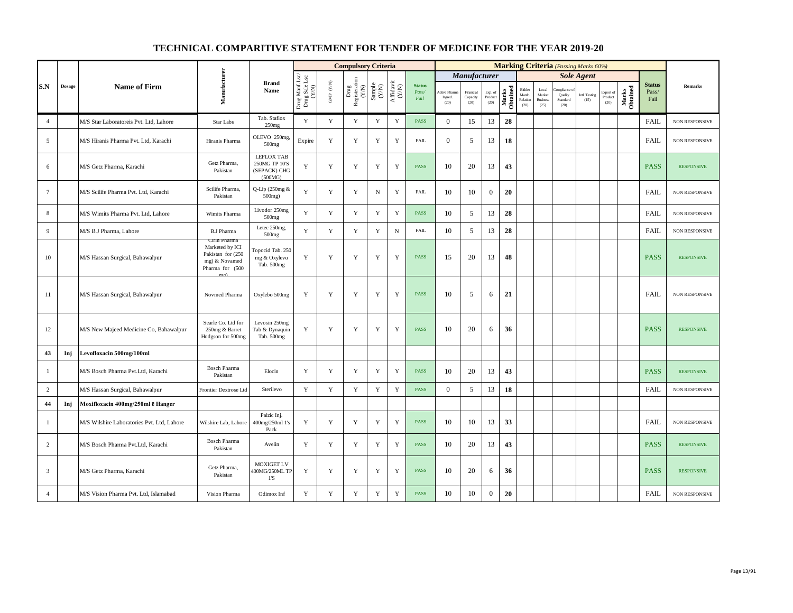|                         |               |                                            |                                                                                          |                                                        |                                          |                          | <b>Compulsory Criteria</b>                                                          |                                                              |                                      |                                |                                 |                               |                            |                   |                                      |                                            |                                          | <b>Marking Criteria</b> (Passing Marks 60%) |                              |                   |                                |                       |
|-------------------------|---------------|--------------------------------------------|------------------------------------------------------------------------------------------|--------------------------------------------------------|------------------------------------------|--------------------------|-------------------------------------------------------------------------------------|--------------------------------------------------------------|--------------------------------------|--------------------------------|---------------------------------|-------------------------------|----------------------------|-------------------|--------------------------------------|--------------------------------------------|------------------------------------------|---------------------------------------------|------------------------------|-------------------|--------------------------------|-----------------------|
|                         |               |                                            |                                                                                          |                                                        |                                          |                          |                                                                                     |                                                              |                                      |                                |                                 | <b>Manufacturer</b>           |                            |                   |                                      |                                            |                                          | <b>Sole Agent</b>                           |                              |                   |                                |                       |
| S.N                     | $\bf{Dosage}$ | <b>Name of Firm</b>                        | Manufacturer                                                                             | <b>Brand</b><br>Name                                   | Drug Manf.Lsc/<br>Drug Sale Lsc<br>(Y/N) | ${\rm GMP}$ ${\rm (YN)}$ | $\begin{array}{c} \text{ Drug} \\ \text{Registeration} \\ (Y/\text{N}) \end{array}$ | $\begin{array}{c} \text{Sample} \\ (\text{Y/N}) \end{array}$ | $\frac{\text{Affdavit}}{\text{N/N}}$ | <b>Status</b><br>Pass/<br>Fail | Active Pharm<br>Ingred.<br>(20) | Financial<br>Capacity<br>(20) | Exp. of<br>Product<br>(20) | Marks<br>Obtained | Bidder<br>Manfc.<br>Relation<br>(20) | Local<br>Market<br><b>Business</b><br>(25) | moliance.<br>Quality<br>Standard<br>(20) | Intl. Testing<br>(15)                       | Export of<br>Product<br>(20) | Marks<br>Obtained | <b>Status</b><br>Pass/<br>Fail | <b>Remarks</b>        |
| $\overline{4}$          |               | M/S Star Laboratoreis Pvt. Ltd, Lahore     | Star Labs                                                                                | Tab. Staflox<br>250mg                                  | $\mathbf Y$                              | $\mathbf Y$              | $\mathbf Y$                                                                         | $\mathbf Y$                                                  | $\mathbf Y$                          | <b>PASS</b>                    | $\overline{0}$                  | 15                            | 13                         | 28                |                                      |                                            |                                          |                                             |                              |                   | FAIL                           | NON RESPONSIVE        |
| 5                       |               | M/S Hiranis Pharma Pvt. Ltd, Karachi       | Hiranis Pharma                                                                           | OLEVO 250mg,<br>500 <sub>mg</sub>                      | Expire                                   | $\mathbf Y$              | Y                                                                                   | $\mathbf Y$                                                  | $\mathbf Y$                          | <b>FAIL</b>                    | $\overline{0}$                  | 5                             | 13                         | 18                |                                      |                                            |                                          |                                             |                              |                   | <b>FAIL</b>                    | NON RESPONSIVE        |
| 6                       |               | M/S Getz Pharma, Karachi                   | Getz Pharma,<br>Pakistan                                                                 | LEFLOX TAB<br>250MG TP 10'S<br>(SEPACK) CHG<br>(500MG) | Y                                        | $\mathbf Y$              | Y                                                                                   | Y                                                            | $\mathbf Y$                          | <b>PASS</b>                    | 10                              | 20                            | 13                         | 43                |                                      |                                            |                                          |                                             |                              |                   | <b>PASS</b>                    | <b>RESPONSIVE</b>     |
| $7\phantom{.0}$         |               | M/S Scilife Pharma Pvt. Ltd, Karachi       | Scilife Pharma.<br>Pakistan                                                              | Q-Lip (250mg &<br>500mg)                               | $\mathbf Y$                              | $\mathbf Y$              | $\mathbf Y$                                                                         | ${\bf N}$                                                    | $\mathbf Y$                          | <b>FAIL</b>                    | 10                              | 10                            | $\overline{0}$             | 20                |                                      |                                            |                                          |                                             |                              |                   | FAIL                           | NON RESPONSIVE        |
| 8                       |               | M/S Wimits Pharma Pvt. Ltd, Lahore         | Wimits Pharma                                                                            | Livodor 250mg<br>500mg                                 | Y                                        | Y                        | Y                                                                                   | Y                                                            | Y                                    | <b>PASS</b>                    | 10                              | 5                             | 13                         | 28                |                                      |                                            |                                          |                                             |                              |                   | <b>FAIL</b>                    | NON RESPONSIVE        |
| 9                       |               | M/S B.J Pharma, Lahore                     | <b>B.J Pharma</b>                                                                        | Letec 250mg,<br>500 <sub>mg</sub>                      | $\mathbf Y$                              | $\mathbf Y$              | $\mathbf Y$                                                                         | $\mathbf Y$                                                  | $\, {\rm N}$                         | <b>FAIL</b>                    | 10                              | 5                             | 13                         | 28                |                                      |                                            |                                          |                                             |                              |                   | FAIL                           | NON RESPONSIVE        |
| 10                      |               | M/S Hassan Surgical, Bahawalpur            | Cirin Pharma<br>Marketed by ICI<br>Pakistan for (250<br>mg) & Novamed<br>Pharma for (500 | Topocid Tab. 250<br>mg & Oxylevo<br>Tab. 500mg         | Y                                        | $\mathbf Y$              | Y                                                                                   | $\mathbf Y$                                                  | $\mathbf Y$                          | PASS                           | 15                              | 20                            | 13                         | 48                |                                      |                                            |                                          |                                             |                              |                   | <b>PASS</b>                    | <b>RESPONSIVE</b>     |
| 11                      |               | M/S Hassan Surgical, Bahawalpur            | Novmed Pharma                                                                            | Oxylebo 500mg                                          | Y                                        | Y                        | Y                                                                                   | Y                                                            | Y                                    | <b>PASS</b>                    | 10                              | 5                             | 6                          | 21                |                                      |                                            |                                          |                                             |                              |                   | <b>FAIL</b>                    | <b>NON RESPONSIVE</b> |
| 12                      |               | M/S New Majeed Medicine Co, Bahawalpur     | Searle Co. Ltd for<br>250mg & Barret<br>Hodgson for 500mg                                | Levosin 250mg<br>Tab & Dynaquin<br>Tab. 500mg          | Y                                        | Y                        | Y                                                                                   | Y                                                            | $\mathbf Y$                          | <b>PASS</b>                    | 10                              | 20                            | 6                          | 36                |                                      |                                            |                                          |                                             |                              |                   | <b>PASS</b>                    | <b>RESPONSIVE</b>     |
| 43                      | Inj           | Levofloxacin 500mg/100ml                   |                                                                                          |                                                        |                                          |                          |                                                                                     |                                                              |                                      |                                |                                 |                               |                            |                   |                                      |                                            |                                          |                                             |                              |                   |                                |                       |
| 1                       |               | M/S Bosch Pharma Pvt.Ltd, Karachi          | <b>Bosch Pharma</b><br>Pakistan                                                          | Elocin                                                 | Y                                        | Y                        | Y                                                                                   | Y                                                            | Y                                    | <b>PASS</b>                    | 10                              | 20                            | 13                         | 43                |                                      |                                            |                                          |                                             |                              |                   | <b>PASS</b>                    | <b>RESPONSIVE</b>     |
| $\overline{2}$          |               | M/S Hassan Surgical, Bahawalpur            | Frontier Dextrose Ltd                                                                    | Sterilevo                                              | $\mathbf Y$                              | $\mathbf Y$              | $\mathbf Y$                                                                         | $\mathbf Y$                                                  | $\mathbf Y$                          | <b>PASS</b>                    | $\overline{0}$                  | 5                             | 13                         | 18                |                                      |                                            |                                          |                                             |                              |                   | <b>FAIL</b>                    | NON RESPONSIVE        |
| 44                      | Inj           | Moxifloxacin 400mg/250ml ē Hanger          |                                                                                          |                                                        |                                          |                          |                                                                                     |                                                              |                                      |                                |                                 |                               |                            |                   |                                      |                                            |                                          |                                             |                              |                   |                                |                       |
| -1                      |               | M/S Wilshire Laboratories Pvt. Ltd. Lahore | Wilshire Lab, Lahore                                                                     | Palzic Inj.<br>400mg/250ml 1's<br>Pack                 | Y                                        | Y                        | Y                                                                                   | Y                                                            | $\mathbf Y$                          | <b>PASS</b>                    | 10                              | 10                            | 13                         | 33                |                                      |                                            |                                          |                                             |                              |                   | <b>FAIL</b>                    | <b>NON RESPONSIVE</b> |
| 2                       |               | M/S Bosch Pharma Pvt.Ltd, Karachi          | <b>Bosch Pharma</b><br>Pakistan                                                          | Avelin                                                 | Y                                        | Y                        | Y                                                                                   | Y                                                            | $\mathbf Y$                          | <b>PASS</b>                    | 10                              | 20                            | 13                         | 43                |                                      |                                            |                                          |                                             |                              |                   | <b>PASS</b>                    | <b>RESPONSIVE</b>     |
| $\overline{\mathbf{3}}$ |               | M/S Getz Pharma, Karachi                   | Getz Pharma,<br>Pakistan                                                                 | MOXIGET I.V<br>400MG/250ML TP<br>1'S                   | Y                                        | $\mathbf Y$              | Y                                                                                   | $\mathbf Y$                                                  | $\mathbf Y$                          | <b>PASS</b>                    | 10                              | 20                            | 6                          | 36                |                                      |                                            |                                          |                                             |                              |                   | <b>PASS</b>                    | <b>RESPONSIVE</b>     |
| $\overline{4}$          |               | M/S Vision Pharma Pvt. Ltd, Islamabad      | Vision Pharma                                                                            | Odimox Inf                                             | Y                                        | Y                        | Y                                                                                   | $\mathbf Y$                                                  | $\mathbf Y$                          | <b>PASS</b>                    | 10                              | 10                            | $\boldsymbol{0}$           | 20                |                                      |                                            |                                          |                                             |                              |                   | <b>FAIL</b>                    | NON RESPONSIVE        |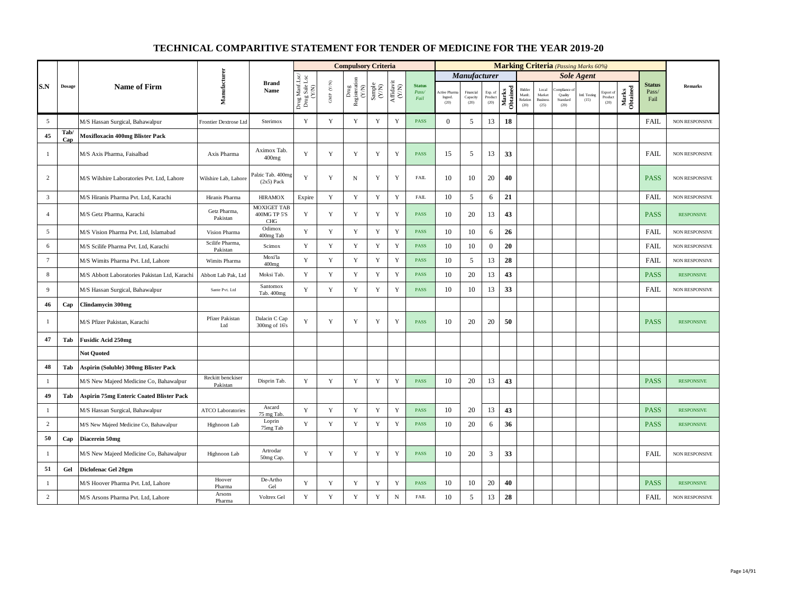|                 |               |                                                 |                               |                                                  |                                          |                          | <b>Compulsory Criteria</b>                                                               |                                                              |                                                                              |                                |                                 |                               |                            |                   |                                      |                                            | <b>Marking Criteria</b> (Passing Marks 60%) |                       |                              |                   |                                |                       |
|-----------------|---------------|-------------------------------------------------|-------------------------------|--------------------------------------------------|------------------------------------------|--------------------------|------------------------------------------------------------------------------------------|--------------------------------------------------------------|------------------------------------------------------------------------------|--------------------------------|---------------------------------|-------------------------------|----------------------------|-------------------|--------------------------------------|--------------------------------------------|---------------------------------------------|-----------------------|------------------------------|-------------------|--------------------------------|-----------------------|
|                 |               |                                                 |                               |                                                  |                                          |                          |                                                                                          |                                                              |                                                                              |                                |                                 | <b>Manufacturer</b>           |                            |                   |                                      |                                            |                                             | <b>Sole Agent</b>     |                              |                   |                                |                       |
| S.N             | <b>Dosage</b> | <b>Name of Firm</b>                             | Manufacturer                  | <b>Brand</b><br>Name                             | Drug Manf.Lsc/<br>Drug Sale Lsc<br>(Y/N) | ${\rm GMP}$ ${\rm (YN)}$ | $\begin{array}{c} \mathrm{Drag} \\ \mathrm{Registeration} \\ (Y/\mathrm{N}) \end{array}$ | $\begin{array}{c} \text{Sample} \\ (\text{Y/N}) \end{array}$ | $\begin{array}{c} \mathrm{Aff} \mathrm{davit} \\ (\mathrm{Y/N}) \end{array}$ | <b>Status</b><br>Pass/<br>Fail | Active Pharr<br>Ingred.<br>(20) | Financial<br>Capacity<br>(20) | Exp. of<br>Product<br>(20) | Marks<br>Obtained | Bidder<br>Manfc.<br>Relation<br>(20) | Local<br>Market<br><b>Business</b><br>(25) | Quality<br>Standard<br>(20)                 | Intl. Testing<br>(15) | Export of<br>Product<br>(20) | Marks<br>Obtained | <b>Status</b><br>Pass/<br>Fail | <b>Remarks</b>        |
| 5               |               | M/S Hassan Surgical, Bahawalpur                 | Frontier Dextrose Ltd         | Sterimox                                         | Y                                        | Y                        | Y                                                                                        | Y                                                            | $\mathbf Y$                                                                  | <b>PASS</b>                    | $\overline{0}$                  | 5                             | 13                         | 18                |                                      |                                            |                                             |                       |                              |                   | <b>FAIL</b>                    | NON RESPONSIVE        |
| 45              | Tab/<br>Cap   | <b>Moxifloxacin 400mg Blister Pack</b>          |                               |                                                  |                                          |                          |                                                                                          |                                                              |                                                                              |                                |                                 |                               |                            |                   |                                      |                                            |                                             |                       |                              |                   |                                |                       |
| 1               |               | M/S Axis Pharma, Faisalbad                      | Axis Pharma                   | Aximox Tab.<br>400mg                             | Y                                        | Y                        | Y                                                                                        | Y                                                            | Y                                                                            | PASS                           | 15                              | 5                             | 13                         | 33                |                                      |                                            |                                             |                       |                              |                   | <b>FAIL</b>                    | <b>NON RESPONSIVE</b> |
| 2               |               | M/S Wilshire Laboratories Pvt. Ltd. Lahore      | Wilshire Lab, Lahore          | Palzic Tab. 400mg<br>$(2x5)$ Pack                | Y                                        | Y                        | N                                                                                        | Y                                                            | Y                                                                            | <b>FAIL</b>                    | 10                              | 10                            | 20                         | 40                |                                      |                                            |                                             |                       |                              |                   | <b>PASS</b>                    | <b>NON RESPONSIVE</b> |
| $\overline{3}$  |               | M/S Hiranis Pharma Pvt. Ltd, Karachi            | Hiranis Pharma                | <b>HIRAMOX</b>                                   | Expire                                   | $\mathbf Y$              | $\mathbf Y$                                                                              | $\mathbf Y$                                                  | $\mathbf Y$                                                                  | <b>FAIL</b>                    | 10                              | 5                             | 6                          | 21                |                                      |                                            |                                             |                       |                              |                   | <b>FAIL</b>                    | NON RESPONSIVE        |
| $\overline{4}$  |               | M/S Getz Pharma, Karachi                        | Getz Pharma,<br>Pakistan      | <b>MOXIGET TAB</b><br>400MG TP 5'S<br><b>CHG</b> | Y                                        | Y                        | Y                                                                                        | Y                                                            | Y                                                                            | <b>PASS</b>                    | 10                              | 20                            | 13                         | 43                |                                      |                                            |                                             |                       |                              |                   | <b>PASS</b>                    | <b>RESPONSIVE</b>     |
| 5               |               | M/S Vision Pharma Pvt. Ltd. Islamabad           | Vision Pharma                 | Odimox<br>400mg Tab                              | Y                                        | Y                        | Y                                                                                        | $\mathbf Y$                                                  | $\mathbf Y$                                                                  | <b>PASS</b>                    | 10                              | 10                            | 6                          | 26                |                                      |                                            |                                             |                       |                              |                   | <b>FAIL</b>                    | NON RESPONSIVE        |
| 6               |               | M/S Scilife Pharma Pvt. Ltd, Karachi            | Scilife Pharma,<br>Pakistan   | Scimox                                           | Y                                        | $\mathbf Y$              | Y                                                                                        | $\mathbf Y$                                                  | $\mathbf Y$                                                                  | <b>PASS</b>                    | 10                              | 10                            | $\overline{0}$             | 20                |                                      |                                            |                                             |                       |                              |                   | <b>FAIL</b>                    | <b>NON RESPONSIVE</b> |
| $7\overline{ }$ |               | M/S Wimits Pharma Pvt. Ltd, Lahore              | Wimits Pharma                 | Moxi'la<br>$400$ mg                              | Y                                        | Y                        | $\mathbf Y$                                                                              | $\mathbf Y$                                                  | Y                                                                            | <b>PASS</b>                    | 10                              | 5                             | 13                         | 28                |                                      |                                            |                                             |                       |                              |                   | <b>FAIL</b>                    | <b>NON RESPONSIVE</b> |
| 8               |               | M/S Abbott Laboratories Pakistan Ltd, Karachi   | Abbott Lab Pak, Ltd           | Moksi Tab.                                       | Y                                        | $\mathbf Y$              | Y                                                                                        | $\mathbf Y$                                                  | $\mathbf Y$                                                                  | PASS                           | 10                              | 20                            | 13                         | 43                |                                      |                                            |                                             |                       |                              |                   | <b>PASS</b>                    | <b>RESPONSIVE</b>     |
| 9               |               | M/S Hassan Surgical, Bahawalpur                 | Sante Pvt. Ltd                | Santomox<br>Tab. 400mg                           | Y                                        | Y                        | $\mathbf Y$                                                                              | Y                                                            | $\mathbf Y$                                                                  | <b>PASS</b>                    | 10                              | 10                            | 13                         | 33                |                                      |                                            |                                             |                       |                              |                   | <b>FAIL</b>                    | <b>NON RESPONSIVE</b> |
| 46              | Cap           | <b>Clindamycin 300mg</b>                        |                               |                                                  |                                          |                          |                                                                                          |                                                              |                                                                              |                                |                                 |                               |                            |                   |                                      |                                            |                                             |                       |                              |                   |                                |                       |
| -1              |               | M/S Pfizer Pakistan, Karachi                    | Pfizer Pakistan<br>Ltd        | Dalacin C Cap<br>300mg of 16's                   | Y                                        | Y                        | Y                                                                                        | Y                                                            | Y                                                                            | <b>PASS</b>                    | 10                              | 20                            | 20                         | 50                |                                      |                                            |                                             |                       |                              |                   | <b>PASS</b>                    | <b>RESPONSIVE</b>     |
| 47              | Tab           | <b>Fusidic Acid 250mg</b>                       |                               |                                                  |                                          |                          |                                                                                          |                                                              |                                                                              |                                |                                 |                               |                            |                   |                                      |                                            |                                             |                       |                              |                   |                                |                       |
|                 |               | <b>Not Ouoted</b>                               |                               |                                                  |                                          |                          |                                                                                          |                                                              |                                                                              |                                |                                 |                               |                            |                   |                                      |                                            |                                             |                       |                              |                   |                                |                       |
| 48              | Tab           | Aspirin (Soluble) 300mg Blister Pack            |                               |                                                  |                                          |                          |                                                                                          |                                                              |                                                                              |                                |                                 |                               |                            |                   |                                      |                                            |                                             |                       |                              |                   |                                |                       |
| -1              |               | M/S New Majeed Medicine Co, Bahawalpur          | Reckitt benckiser<br>Pakistan | Disprin Tab.                                     | Y                                        | $\mathbf Y$              | Y                                                                                        | $\mathbf Y$                                                  | $\mathbf Y$                                                                  | <b>PASS</b>                    | 10                              | 20                            | 13                         | 43                |                                      |                                            |                                             |                       |                              |                   | <b>PASS</b>                    | <b>RESPONSIVE</b>     |
| 49              | Tab           | <b>Aspirin 75mg Enteric Coated Blister Pack</b> |                               |                                                  |                                          |                          |                                                                                          |                                                              |                                                                              |                                |                                 |                               |                            |                   |                                      |                                            |                                             |                       |                              |                   |                                |                       |
| 1               |               | M/S Hassan Surgical, Bahawalpur                 | <b>ATCO Laboratories</b>      | Ascard<br>75 mg Tab                              | Y                                        | Y                        | Y                                                                                        | Y                                                            | $\mathbf Y$                                                                  | <b>PASS</b>                    | 10                              | 20                            | 13                         | 43                |                                      |                                            |                                             |                       |                              |                   | <b>PASS</b>                    | <b>RESPONSIVE</b>     |
| $\overline{2}$  |               | M/S New Majeed Medicine Co, Bahawalpur          | Highnoon Lab                  | Loprin<br>75mg Tab                               | Y                                        | $\mathbf Y$              | Y                                                                                        | $\mathbf Y$                                                  | $\mathbf Y$                                                                  | <b>PASS</b>                    | 10                              | 20                            | 6                          | 36                |                                      |                                            |                                             |                       |                              |                   | <b>PASS</b>                    | <b>RESPONSIVE</b>     |
| 50              | Cap           | Diacerein 50mg                                  |                               |                                                  |                                          |                          |                                                                                          |                                                              |                                                                              |                                |                                 |                               |                            |                   |                                      |                                            |                                             |                       |                              |                   |                                |                       |
| $\mathbf{1}$    |               | M/S New Majeed Medicine Co, Bahawalpur          | Highnoon Lab                  | Artrodar<br>50mg Cap.                            | Y                                        | Y                        | Y                                                                                        | Y                                                            | Y                                                                            | <b>PASS</b>                    | 10                              | 20                            | $\mathbf{3}$               | 33                |                                      |                                            |                                             |                       |                              |                   | <b>FAIL</b>                    | NON RESPONSIVE        |
| 51              | Gel           | Diclofenac Gel 20gm                             |                               |                                                  |                                          |                          |                                                                                          |                                                              |                                                                              |                                |                                 |                               |                            |                   |                                      |                                            |                                             |                       |                              |                   |                                |                       |
| 1               |               | M/S Hoover Pharma Pvt. Ltd, Lahore              | Hoover<br>Pharma              | De-Artho<br>Gel                                  | Y                                        | $\mathbf Y$              | Y                                                                                        | $\mathbf Y$                                                  | $\mathbf Y$                                                                  | <b>PASS</b>                    | 10                              | 10                            | 20                         | 40                |                                      |                                            |                                             |                       |                              |                   | <b>PASS</b>                    | <b>RESPONSIVE</b>     |
| 2               |               | M/S Arsons Pharma Pvt. Ltd, Lahore              | Arsons<br>Pharma              | Voltrex Gel                                      | $\mathbf Y$                              | $\mathbf Y$              | Y                                                                                        | $\mathbf Y$                                                  | $_{\rm N}$                                                                   | <b>FAIL</b>                    | 10                              | 5                             | 13                         | 28                |                                      |                                            |                                             |                       |                              |                   | FAIL                           | NON RESPONSIVE        |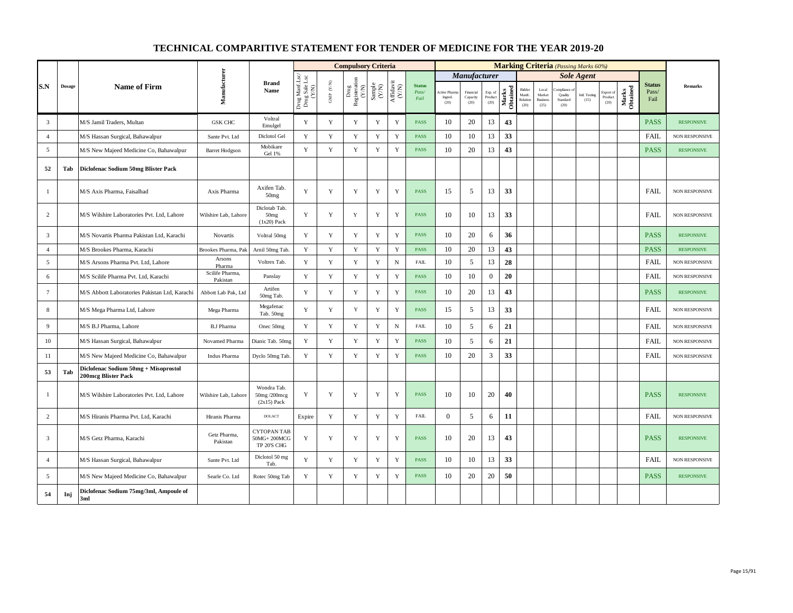|                 |               |                                                             |                             |                                                    |                                          |                          | <b>Compulsory Criteria</b>                                                                |                                                              |                                      |                                |                                 |                               |                            |                   |                                      |                                            | <b>Marking Criteria</b> (Passing Marks 60%) |                       |                                                |                   |                                |                       |
|-----------------|---------------|-------------------------------------------------------------|-----------------------------|----------------------------------------------------|------------------------------------------|--------------------------|-------------------------------------------------------------------------------------------|--------------------------------------------------------------|--------------------------------------|--------------------------------|---------------------------------|-------------------------------|----------------------------|-------------------|--------------------------------------|--------------------------------------------|---------------------------------------------|-----------------------|------------------------------------------------|-------------------|--------------------------------|-----------------------|
|                 |               |                                                             |                             |                                                    |                                          |                          |                                                                                           |                                                              |                                      |                                |                                 | <b>Manufacturer</b>           |                            |                   |                                      |                                            |                                             | <b>Sole Agent</b>     |                                                |                   |                                |                       |
| S.N             | $\bf{Dosage}$ | <b>Name of Firm</b>                                         | Manufacturer                | <b>Brand</b><br>Name                               | Drug Manf.Lsc/<br>Drug Sale Lsc<br>(Y/N) | ${\rm GMP}$ ${\rm (YN)}$ | $\begin{array}{c} \mathrm{ Drug} \\ \mathrm{Registeration} \\ (Y/\mathrm{N}) \end{array}$ | $\begin{array}{c} \text{Sample} \\ (\text{Y/N}) \end{array}$ | $\frac{\text{Affdavit}}{\text{N/N}}$ | <b>Status</b><br>Pass/<br>Fail | Active Pharr<br>Ingred.<br>(20) | Financial<br>Capacity<br>(20) | Exp. of<br>Product<br>(20) | Marks<br>Obtained | Bidder<br>Manfc.<br>Relation<br>(20) | Local<br>Market<br><b>Business</b><br>(25) | Quality<br>Standard<br>(20)                 | Intl. Testing<br>(15) | Export of<br>$\mathop{\text{Product}}$<br>(20) | Marks<br>Obtained | <b>Status</b><br>Pass/<br>Fail | Remarks               |
| $\overline{3}$  |               | M/S Jamil Traders, Multan                                   | <b>GSK CHC</b>              | Voltral<br>Emulgel                                 | Y                                        | $\mathbf Y$              | Y                                                                                         | Y                                                            | $\mathbf Y$                          | <b>PASS</b>                    | 10                              | 20                            | 13                         | 43                |                                      |                                            |                                             |                       |                                                |                   | <b>PASS</b>                    | <b>RESPONSIVE</b>     |
| $\overline{4}$  |               | M/S Hassan Surgical, Bahawalpur                             | Sante Pvt. Ltd              | Diclotol Gel                                       | Y                                        | $\mathbf Y$              | $\mathbf Y$                                                                               | $\mathbf Y$                                                  | $\mathbf Y$                          | <b>PASS</b>                    | 10                              | 10                            | 13                         | 33                |                                      |                                            |                                             |                       |                                                |                   | FAIL                           | <b>NON RESPONSIVE</b> |
| 5               |               | M/S New Majeed Medicine Co, Bahawalpur                      | <b>Barret Hodgson</b>       | Mobikare<br>Gel 1%                                 | Y                                        | Y                        | Y                                                                                         | Y                                                            | Y                                    | <b>PASS</b>                    | 10                              | 20                            | 13                         | 43                |                                      |                                            |                                             |                       |                                                |                   | <b>PASS</b>                    | <b>RESPONSIVE</b>     |
| 52              | Tab           | Diclofenac Sodium 50mg Blister Pack                         |                             |                                                    |                                          |                          |                                                                                           |                                                              |                                      |                                |                                 |                               |                            |                   |                                      |                                            |                                             |                       |                                                |                   |                                |                       |
| $\mathbf{1}$    |               | M/S Axis Pharma, Faisalbad                                  | Axis Pharma                 | Axifen Tab.<br>50mg                                | Y                                        | Y                        | Y                                                                                         | Y                                                            | Y                                    | <b>PASS</b>                    | 15                              | 5                             | 13                         | 33                |                                      |                                            |                                             |                       |                                                |                   | <b>FAIL</b>                    | NON RESPONSIVE        |
| $\overline{c}$  |               | M/S Wilshire Laboratories Pvt. Ltd, Lahore                  | Wilshire Lab, Lahore        | Diclotab Tab.<br>50 <sub>mg</sub><br>$(1x20)$ Pack | Y                                        | $\mathbf Y$              | $\mathbf Y$                                                                               | $\mathbf Y$                                                  | $\mathbf Y$                          | <b>PASS</b>                    | 10                              | 10                            | 13                         | 33                |                                      |                                            |                                             |                       |                                                |                   | <b>FAIL</b>                    | <b>NON RESPONSIVE</b> |
| $\overline{3}$  |               | M/S Novartis Pharma Pakistan Ltd, Karachi                   | Novartis                    | Voltral 50mg                                       | Y                                        | Y                        | Y                                                                                         | Y                                                            | $\mathbf Y$                          | <b>PASS</b>                    | 10                              | 20                            | 6                          | 36                |                                      |                                            |                                             |                       |                                                |                   | <b>PASS</b>                    | <b>RESPONSIVE</b>     |
| $\overline{4}$  |               | M/S Brookes Pharma, Karachi                                 | Brookes Pharma, Pal         | Arnil 50mg Tab                                     | Y                                        | Y                        | $\mathbf Y$                                                                               | Y                                                            | $\mathbf Y$                          | <b>PASS</b>                    | 10                              | 20                            | 13                         | 43                |                                      |                                            |                                             |                       |                                                |                   | <b>PASS</b>                    | <b>RESPONSIVE</b>     |
| 5               |               | M/S Arsons Pharma Pvt. Ltd, Lahore                          | Arsons<br>Pharma            | Voltrex Tab.                                       | Y                                        | Y                        | Y                                                                                         | $\mathbf Y$                                                  | $\mathbf N$                          | <b>FAIL</b>                    | 10                              | 5                             | 13                         | 28                |                                      |                                            |                                             |                       |                                                |                   | FAIL                           | NON RESPONSIVE        |
| 6               |               | M/S Scilife Pharma Pvt. Ltd, Karachi                        | Scilife Pharma,<br>Pakistan | Panslay                                            | $\mathbf Y$                              | $\mathbf Y$              | $\mathbf Y$                                                                               | $\mathbf Y$                                                  | $\mathbf Y$                          | PASS                           | 10                              | 10                            | $\boldsymbol{0}$           | 20                |                                      |                                            |                                             |                       |                                                |                   | FAIL                           | NON RESPONSIVE        |
| $7\phantom{.0}$ |               | M/S Abbott Laboratories Pakistan Ltd, Karachi               | Abbott Lab Pak, Ltd         | Artifen<br>50mg Tab.                               | Y                                        | $\mathbf Y$              | $\mathbf Y$                                                                               | $\mathbf Y$                                                  | $\mathbf Y$                          | <b>PASS</b>                    | 10                              | 20                            | 13                         | 43                |                                      |                                            |                                             |                       |                                                |                   | <b>PASS</b>                    | <b>RESPONSIVE</b>     |
| 8               |               | M/S Mega Pharma Ltd, Lahore                                 | Mega Pharma                 | Megafenac<br>Tab. 50mg                             | Y                                        | Y                        | Y                                                                                         | $\mathbf Y$                                                  | $\mathbf Y$                          | <b>PASS</b>                    | 15                              | 5                             | 13                         | 33                |                                      |                                            |                                             |                       |                                                |                   | FAIL                           | NON RESPONSIVE        |
| 9               |               | M/S B.J Pharma, Lahore                                      | <b>B.J Pharma</b>           | Onec 50mg                                          | Y                                        | Y                        | Y                                                                                         | Y                                                            | $_{\rm N}$                           | <b>FAIL</b>                    | 10                              | 5                             | 6                          | 21                |                                      |                                            |                                             |                       |                                                |                   | FAIL                           | <b>NON RESPONSIVE</b> |
| 10              |               | M/S Hassan Surgical, Bahawalpur                             | Novamed Pharma              | Dianic Tab. 50mg                                   | Y                                        | $\mathbf Y$              | $\mathbf Y$                                                                               | $\mathbf Y$                                                  | $\mathbf Y$                          | <b>PASS</b>                    | 10                              | 5                             | 6                          | 21                |                                      |                                            |                                             |                       |                                                |                   | <b>FAIL</b>                    | NON RESPONSIVE        |
| 11              |               | M/S New Majeed Medicine Co, Bahawalpur                      | Indus Pharma                | Dyclo 50mg Tab                                     | $\mathbf Y$                              | $\mathbf Y$              | $\mathbf Y$                                                                               | $\mathbf Y$                                                  | $\mathbf Y$                          | <b>PASS</b>                    | 10                              | 20                            | 3                          | 33                |                                      |                                            |                                             |                       |                                                |                   | FAIL                           | <b>NON RESPONSIVE</b> |
| 53              | Tab           | Diclofenac Sodium 50mg + Misoprostol<br>200mcg Blister Pack |                             |                                                    |                                          |                          |                                                                                           |                                                              |                                      |                                |                                 |                               |                            |                   |                                      |                                            |                                             |                       |                                                |                   |                                |                       |
| -1              |               | M/S Wilshire Laboratories Pvt. Ltd, Lahore                  | Wilshire Lab, Lahore        | Wondra Tab.<br>50mg/200mcg<br>$(2x15)$ Pack        | Y                                        | Y                        | Y                                                                                         | Y                                                            | $\mathbf Y$                          | <b>PASS</b>                    | 10                              | 10                            | 20                         | 40                |                                      |                                            |                                             |                       |                                                |                   | <b>PASS</b>                    | <b>RESPONSIVE</b>     |
| $\overline{2}$  |               | M/S Hiranis Pharma Pvt. Ltd, Karachi                        | Hiranis Pharma              | <b>DOLACT</b>                                      | Expire                                   | Y                        | Y                                                                                         | Y                                                            | $\mathbf Y$                          | <b>FAIL</b>                    | $\theta$                        | 5                             | 6                          | 11                |                                      |                                            |                                             |                       |                                                |                   | <b>FAIL</b>                    | NON RESPONSIVE        |
| $\overline{3}$  |               | M/S Getz Pharma, Karachi                                    | Getz Pharma,<br>Pakistan    | <b>CYTOPAN TAB</b><br>50MG+200MCG<br>TP 20'S CHG   | Y                                        | $\mathbf Y$              | Y                                                                                         | $\mathbf Y$                                                  | $\mathbf Y$                          | <b>PASS</b>                    | 10                              | 20                            | 13                         | 43                |                                      |                                            |                                             |                       |                                                |                   | <b>PASS</b>                    | <b>RESPONSIVE</b>     |
| $\overline{4}$  |               | M/S Hassan Surgical, Bahawalpur                             | Sante Pvt. Ltd              | Diclotol 50 mg<br>Tab                              | Y                                        | $\mathbf Y$              | Y                                                                                         | $\mathbf Y$                                                  | Y                                    | <b>PASS</b>                    | 10                              | 10                            | 13                         | 33                |                                      |                                            |                                             |                       |                                                |                   | <b>FAIL</b>                    | NON RESPONSIVE        |
| 5               |               | M/S New Majeed Medicine Co, Bahawalpur                      | Searle Co. Ltd              | Rotec 50mg Tab                                     | Y                                        | $\mathbf Y$              | $\mathbf Y$                                                                               | $\mathbf Y$                                                  | $\mathbf Y$                          | <b>PASS</b>                    | 10                              | 20                            | 20                         | 50                |                                      |                                            |                                             |                       |                                                |                   | <b>PASS</b>                    | <b>RESPONSIVE</b>     |
| 54              | Inj           | Diclofenac Sodium 75mg/3ml, Ampoule of<br>3ml               |                             |                                                    |                                          |                          |                                                                                           |                                                              |                                      |                                |                                 |                               |                            |                   |                                      |                                            |                                             |                       |                                                |                   |                                |                       |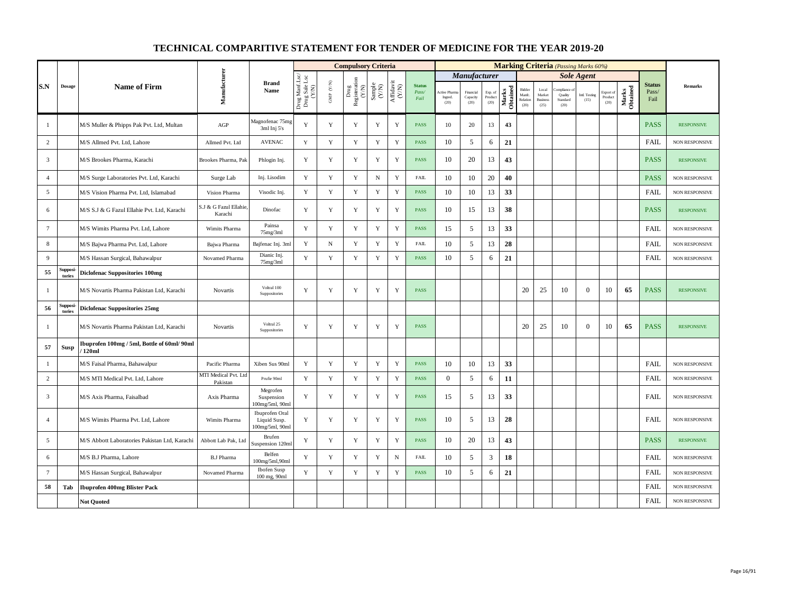|                 |                   |                                                       |                                   |                                                   |                                          |                      | <b>Compulsory Criteria</b>                                                |                                                             |                                                                        |                                |                                       |                               |                            |                   |                                      |                                            |                                          | <b>Marking Criteria</b> (Passing Marks 60%) |                              |                   |                                |                       |
|-----------------|-------------------|-------------------------------------------------------|-----------------------------------|---------------------------------------------------|------------------------------------------|----------------------|---------------------------------------------------------------------------|-------------------------------------------------------------|------------------------------------------------------------------------|--------------------------------|---------------------------------------|-------------------------------|----------------------------|-------------------|--------------------------------------|--------------------------------------------|------------------------------------------|---------------------------------------------|------------------------------|-------------------|--------------------------------|-----------------------|
|                 |                   |                                                       |                                   |                                                   |                                          |                      |                                                                           |                                                             |                                                                        |                                |                                       | <b>Manufacturer</b>           |                            |                   |                                      |                                            |                                          | <b>Sole Agent</b>                           |                              |                   |                                |                       |
| S.N             | $\bf{Dosage}$     | <b>Name of Firm</b>                                   | Manufacturer                      | <b>Brand</b><br>Name                              | Drug Manf.Lsc/<br>Drug Sale Lsc<br>(Y/N) | GMP $(\mathbf{Y/N})$ | $\begin{tabular}{l} \bf Drug \\ \bf Registeration \\ (Y/N) \end{tabular}$ | $\begin{array}{c} \text{Sample} \\ \text{C/N)} \end{array}$ | $\begin{array}{c} \text{Aff} \text{davit} \\ (\text{Y/N}) \end{array}$ | <b>Status</b><br>Pass/<br>Fail | <b>Active Pham</b><br>Ingred.<br>(20) | Financial<br>Capacity<br>(20) | Exp. of<br>Product<br>(20) | Marks<br>Obtained | Bidder<br>Manfc.<br>Relation<br>(20) | Local<br>Market<br><b>Business</b><br>(25) | mpliance.<br>Quality<br>Standard<br>(20) | Intl. Testing<br>(15)                       | Export of<br>Product<br>(20) | Marks<br>Obtained | <b>Status</b><br>Pass/<br>Fail | <b>Remarks</b>        |
| -1              |                   | M/S Muller & Phipps Pak Pvt. Ltd, Multan              | AGP                               | Magnofenac 75mg<br>3ml Inj 5's                    | Y                                        | Y                    | Y                                                                         | $\mathbf Y$                                                 | Y                                                                      | <b>PASS</b>                    | 10                                    | 20                            | 13                         | 43                |                                      |                                            |                                          |                                             |                              |                   | <b>PASS</b>                    | <b>RESPONSIVE</b>     |
| $\overline{2}$  |                   | M/S Allmed Pvt. Ltd, Lahore                           | Allmed Pvt. Ltd                   | <b>AVENAC</b>                                     | Y                                        | $\mathbf Y$          | $\mathbf Y$                                                               | Y                                                           | $\mathbf Y$                                                            | <b>PASS</b>                    | 10                                    | 5                             | 6                          | 21                |                                      |                                            |                                          |                                             |                              |                   | <b>FAIL</b>                    | <b>NON RESPONSIVE</b> |
| $\overline{3}$  |                   | M/S Brookes Pharma, Karachi                           | Brookes Pharma, Pak               | Phlogin Inj.                                      | Y                                        | Y                    | Y                                                                         | Y                                                           | Y                                                                      | <b>PASS</b>                    | 10                                    | 20                            | 13                         | 43                |                                      |                                            |                                          |                                             |                              |                   | <b>PASS</b>                    | <b>RESPONSIVE</b>     |
| $\overline{4}$  |                   | M/S Surge Laboratories Pvt. Ltd, Karachi              | Surge Lab                         | Inj. Lisodim                                      | Y                                        | Y                    | $\mathbf Y$                                                               | ${\bf N}$                                                   | $\mathbf Y$                                                            | <b>FAIL</b>                    | 10                                    | 10                            | 20                         | 40                |                                      |                                            |                                          |                                             |                              |                   | <b>PASS</b>                    | <b>NON RESPONSIVE</b> |
| 5               |                   | M/S Vision Pharma Pvt. Ltd, Islamabad                 | Vision Pharma                     | Visodic Inj.                                      | Y                                        | $\mathbf Y$          | $\mathbf Y$                                                               | Y                                                           | $\mathbf Y$                                                            | <b>PASS</b>                    | 10                                    | 10                            | 13                         | 33                |                                      |                                            |                                          |                                             |                              |                   | FAIL                           | NON RESPONSIVE        |
| 6               |                   | M/S S.J & G Fazul Ellahie Pvt. Ltd, Karachi           | S.J & G Fazul Ellahie,<br>Karachi | Dinofac                                           | $\mathbf Y$                              | $\mathbf Y$          | Y                                                                         | Y                                                           | $\mathbf Y$                                                            | <b>PASS</b>                    | 10                                    | 15                            | 13                         | 38                |                                      |                                            |                                          |                                             |                              |                   | <b>PASS</b>                    | <b>RESPONSIVE</b>     |
| $7\phantom{.0}$ |                   | M/S Wimits Pharma Pvt. Ltd, Lahore                    | Wimits Pharma                     | Painsa<br>75mg/3ml                                | $\mathbf Y$                              | Y                    | Y                                                                         | $\mathbf Y$                                                 | $\mathbf Y$                                                            | <b>PASS</b>                    | 15                                    | 5                             | 13                         | 33                |                                      |                                            |                                          |                                             |                              |                   | FAIL                           | <b>NON RESPONSIVE</b> |
| 8               |                   | M/S Bajwa Pharma Pvt. Ltd, Lahore                     | Bajwa Pharma                      | Bajfenac Inj. 3ml                                 | Y                                        | $\mathbf N$          | $\mathbf Y$                                                               | Y                                                           | $\mathbf Y$                                                            | <b>FAIL</b>                    | 10                                    | 5                             | 13                         | 28                |                                      |                                            |                                          |                                             |                              |                   | <b>FAIL</b>                    | NON RESPONSIVE        |
| 9               |                   | M/S Hassan Surgical, Bahawalpur                       | Novamed Pharma                    | Dianic Inj.<br>75mg/3ml                           | $\mathbf Y$                              | $\mathbf Y$          | $\mathbf Y$                                                               | $\mathbf Y$                                                 | $\mathbf Y$                                                            | <b>PASS</b>                    | 10                                    | 5                             | 6                          | 21                |                                      |                                            |                                          |                                             |                              |                   | <b>FAIL</b>                    | NON RESPONSIVE        |
| 55              | Suppos<br>tories  | <b>Diclofenac Suppositories 100mg</b>                 |                                   |                                                   |                                          |                      |                                                                           |                                                             |                                                                        |                                |                                       |                               |                            |                   |                                      |                                            |                                          |                                             |                              |                   |                                |                       |
| -1              |                   | M/S Novartis Pharma Pakistan Ltd, Karachi             | Novartis                          | Voltral 100<br>Suppositories                      | Y                                        | Y                    | Y                                                                         | Y                                                           | Y                                                                      | <b>PASS</b>                    |                                       |                               |                            |                   | 20                                   | 25                                         | 10                                       | $\overline{0}$                              | 10                           | 65                | <b>PASS</b>                    | <b>RESPONSIVE</b>     |
| 56              | Supposi<br>tories | <b>Diclofenac Suppositories 25mg</b>                  |                                   |                                                   |                                          |                      |                                                                           |                                                             |                                                                        |                                |                                       |                               |                            |                   |                                      |                                            |                                          |                                             |                              |                   |                                |                       |
| -1              |                   | M/S Novartis Pharma Pakistan Ltd, Karachi             | Novartis                          | Voltral 25<br>Suppositories                       | Y                                        | $\mathbf Y$          | Y                                                                         | $\mathbf Y$                                                 | $\mathbf Y$                                                            | <b>PASS</b>                    |                                       |                               |                            |                   | 20                                   | 25                                         | 10                                       | $\mathbf{0}$                                | 10                           | 65                | <b>PASS</b>                    | <b>RESPONSIVE</b>     |
| 57              | Susp              | Ibuprofen 100mg / 5ml, Bottle of 60ml/ 90ml<br>/120ml |                                   |                                                   |                                          |                      |                                                                           |                                                             |                                                                        |                                |                                       |                               |                            |                   |                                      |                                            |                                          |                                             |                              |                   |                                |                       |
| $\mathbf{1}$    |                   | M/S Faisal Pharma, Bahawalpur                         | Pacific Pharma                    | Xiben Sus 90ml                                    | Y                                        | $\mathbf Y$          | $\mathbf Y$                                                               | $\mathbf Y$                                                 | $\mathbf Y$                                                            | <b>PASS</b>                    | 10                                    | 10                            | 13                         | 33                |                                      |                                            |                                          |                                             |                              |                   | <b>FAIL</b>                    | <b>NON RESPONSIVE</b> |
| $\overline{c}$  |                   | M/S MTI Medical Pvt. Ltd, Lahore                      | MTI Medical Pvt. Ltd<br>Pakistan  | Prufie 90ml                                       | Y                                        | $\mathbf Y$          | $\mathbf Y$                                                               | Y                                                           | $\mathbf Y$                                                            | <b>PASS</b>                    | $\mathbf{0}$                          | 5                             | 6                          | 11                |                                      |                                            |                                          |                                             |                              |                   | FAIL                           | <b>NON RESPONSIVE</b> |
| $\overline{3}$  |                   | M/S Axis Pharma, Faisalbad                            | Axis Pharma                       | Megrofen<br>Suspension<br>100mg/5ml, 90ml         | Y                                        | Y                    | Y                                                                         | $\mathbf Y$                                                 | $\mathbf Y$                                                            | <b>PASS</b>                    | 15                                    | 5                             | 13                         | 33                |                                      |                                            |                                          |                                             |                              |                   | <b>FAIL</b>                    | NON RESPONSIVE        |
| $\overline{4}$  |                   | M/S Wimits Pharma Pvt. Ltd, Lahore                    | Wimits Pharma                     | Ibuprofen Oral<br>Liquid Susp.<br>100mg/5ml, 90ml | $\mathbf Y$                              | Y                    | Y                                                                         | Y                                                           | $\mathbf Y$                                                            | <b>PASS</b>                    | 10                                    | 5                             | 13                         | 28                |                                      |                                            |                                          |                                             |                              |                   | <b>FAIL</b>                    | NON RESPONSIVE        |
| 5               |                   | M/S Abbott Laboratories Pakistan Ltd, Karachi         | Abbott Lab Pak, Ltd               | Brufen<br>Suspension 120ml                        | Y                                        | Y                    | Y                                                                         | Y                                                           | Y                                                                      | <b>PASS</b>                    | 10                                    | 20                            | 13                         | 43                |                                      |                                            |                                          |                                             |                              |                   | <b>PASS</b>                    | <b>RESPONSIVE</b>     |
| 6               |                   | M/S B.J Pharma, Lahore                                | <b>B.J Pharma</b>                 | Belfen<br>100mg/5ml,90ml                          | $\mathbf Y$                              | $\mathbf Y$          | $\mathbf Y$                                                               | $\mathbf Y$                                                 | ${\bf N}$                                                              | ${\rm FAIL}$                   | 10                                    | 5                             | $\mathfrak{Z}$             | 18                |                                      |                                            |                                          |                                             |                              |                   | <b>FAIL</b>                    | NON RESPONSIVE        |
| $7\phantom{.0}$ |                   | M/S Hassan Surgical, Bahawalpur                       | Novamed Pharma                    | Ibofen Susp<br>100 mg, 90ml                       | Y                                        | $\mathbf Y$          | $\mathbf Y$                                                               | Y                                                           | $\mathbf Y$                                                            | <b>PASS</b>                    | 10                                    | 5                             | 6                          | 21                |                                      |                                            |                                          |                                             |                              |                   | <b>FAIL</b>                    | NON RESPONSIVE        |
| 58              | Tab               | <b>Ibuprofen 400mg Blister Pack</b>                   |                                   |                                                   |                                          |                      |                                                                           |                                                             |                                                                        |                                |                                       |                               |                            |                   |                                      |                                            |                                          |                                             |                              |                   | FAIL                           | NON RESPONSIVE        |
|                 |                   | <b>Not Quoted</b>                                     |                                   |                                                   |                                          |                      |                                                                           |                                                             |                                                                        |                                |                                       |                               |                            |                   |                                      |                                            |                                          |                                             |                              |                   | FAIL                           | NON RESPONSIVE        |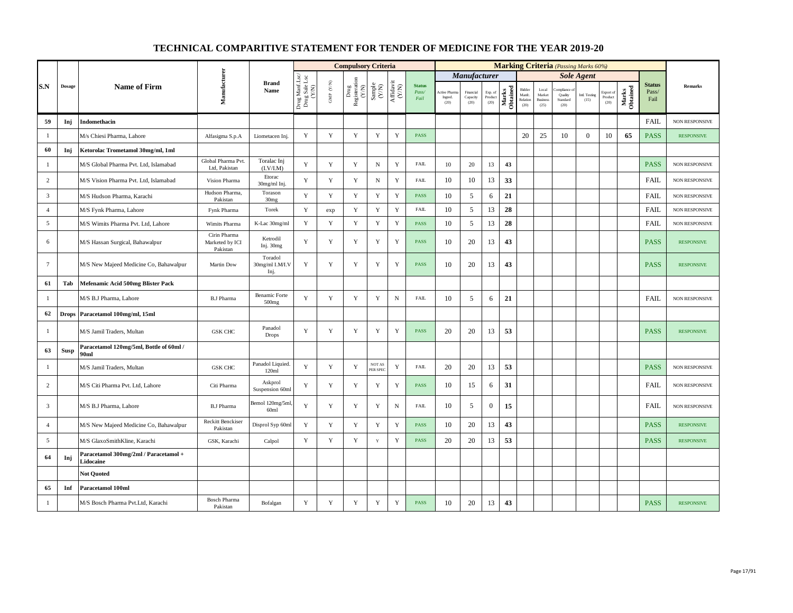|                 |               |                                                    |                                             |                                           |                                          |                                          | <b>Compulsory Criteria</b>                                                |                                                                                                 |             |                                |                                 |                               |                            |                   |                                     |                                            |                                          | <b>Marking Criteria</b> (Passing Marks 60%) |                              |                   |                                |                       |
|-----------------|---------------|----------------------------------------------------|---------------------------------------------|-------------------------------------------|------------------------------------------|------------------------------------------|---------------------------------------------------------------------------|-------------------------------------------------------------------------------------------------|-------------|--------------------------------|---------------------------------|-------------------------------|----------------------------|-------------------|-------------------------------------|--------------------------------------------|------------------------------------------|---------------------------------------------|------------------------------|-------------------|--------------------------------|-----------------------|
|                 |               |                                                    |                                             |                                           |                                          |                                          |                                                                           |                                                                                                 |             |                                |                                 | <b>Manufacturer</b>           |                            |                   |                                     |                                            |                                          | <b>Sole Agent</b>                           |                              |                   |                                |                       |
| S.N             | <b>Dosage</b> | <b>Name of Firm</b>                                | Manufacturer                                | <b>Brand</b><br>Name                      | Drug Manf.Lsc/<br>Drug Sale Lsc<br>(Y/N) | $\ensuremath{\mathrm{GMP}}\xspace$ (Y/N) | $\begin{tabular}{l} \bf Drug \\ \bf Registeration \\ (Y/N) \end{tabular}$ | $\begin{array}{c} \text{Sample} \\ (\text{Y/N}) \\ \text{Affdavit} \\ (\text{Y/N}) \end{array}$ |             | <b>Status</b><br>Pass/<br>Fail | Active Pharm<br>Ingred.<br>(20) | Financial<br>Capacity<br>(20) | Exp. of<br>Product<br>(20) | Marks<br>Obtained | Bidder<br>Manfe<br>Relation<br>(20) | Local<br>Market<br><b>Business</b><br>(25) | ompliance<br>Quality<br>Standard<br>(20) | Intl. Testing<br>(15)                       | Export of<br>Product<br>(20) | Marks<br>Obtained | <b>Status</b><br>Pass/<br>Fail | <b>Remarks</b>        |
| 59              | Inj           | Indomethacin                                       |                                             |                                           |                                          |                                          |                                                                           |                                                                                                 |             |                                |                                 |                               |                            |                   |                                     |                                            |                                          |                                             |                              |                   | <b>FAIL</b>                    | NON RESPONSIVE        |
| $\mathbf{1}$    |               | M/s Chiesi Pharma, Lahore                          | Alfasigma S.p.A                             | Liometacen Inj.                           | Y                                        | $\mathbf Y$                              | $\mathbf Y$                                                               | $\mathbf Y$                                                                                     | $\mathbf Y$ | <b>PASS</b>                    |                                 |                               |                            |                   | 20                                  | 25                                         | 10                                       | $\overline{0}$                              | 10                           | 65                | <b>PASS</b>                    | <b>RESPONSIVE</b>     |
| 60              | Inj           | Ketorolac Trometamol 30mg/ml, 1ml                  |                                             |                                           |                                          |                                          |                                                                           |                                                                                                 |             |                                |                                 |                               |                            |                   |                                     |                                            |                                          |                                             |                              |                   |                                |                       |
| 1               |               | M/S Global Pharma Pvt. Ltd, Islamabad              | Global Pharma Pvt.<br>Ltd, Pakistan         | Toralac Inj<br>(I.V/I.M)                  | Y                                        | $\mathbf Y$                              | Y                                                                         | $\, {\rm N}$                                                                                    | $\mathbf Y$ | FAIL                           | 10                              | 20                            | 13                         | 43                |                                     |                                            |                                          |                                             |                              |                   | <b>PASS</b>                    | NON RESPONSIVE        |
| $\overline{2}$  |               | M/S Vision Pharma Pvt. Ltd, Islamabad              | Vision Pharma                               | Etorac<br>30mg/ml Inj.                    | Y                                        | Y                                        | Y                                                                         | $\mathbf N$                                                                                     | $\mathbf Y$ | <b>FAIL</b>                    | 10                              | 10                            | 13                         | 33                |                                     |                                            |                                          |                                             |                              |                   | <b>FAIL</b>                    | <b>NON RESPONSIVE</b> |
| $\mathbf{3}$    |               | M/S Hudson Pharma, Karachi                         | Hudson Pharma,<br>Pakistan                  | Torason<br>30 <sub>mg</sub>               | $\mathbf Y$                              | $\mathbf Y$                              | $\mathbf Y$                                                               | $\mathbf Y$                                                                                     | $\mathbf Y$ | PASS                           | 10                              | 5                             | 6                          | 21                |                                     |                                            |                                          |                                             |                              |                   | <b>FAIL</b>                    | NON RESPONSIVE        |
| $\overline{4}$  |               | M/S Fynk Pharma, Lahore                            | Fynk Pharma                                 | Torek                                     | Y                                        | exp                                      | Y                                                                         | $\mathbf Y$                                                                                     | $\mathbf Y$ | <b>FAIL</b>                    | 10                              | 5                             | 13                         | 28                |                                     |                                            |                                          |                                             |                              |                   | <b>FAIL</b>                    | NON RESPONSIVE        |
| 5               |               | M/S Wimits Pharma Pvt. Ltd, Lahore                 | Wimits Pharma                               | K-Lac 30mg/ml                             | Y                                        | $\mathbf Y$                              | $\mathbf Y$                                                               | $\mathbf Y$                                                                                     | $\mathbf Y$ | <b>PASS</b>                    | 10                              | 5                             | 13                         | 28                |                                     |                                            |                                          |                                             |                              |                   | <b>FAIL</b>                    | <b>NON RESPONSIVE</b> |
| 6               |               | M/S Hassan Surgical, Bahawalpur                    | Cirin Pharma<br>Marketed by ICI<br>Pakistan | Ketrodil<br>Inj. 30mg                     | $\mathbf Y$                              | $\mathbf Y$                              | $\mathbf Y$                                                               | $\mathbf Y$                                                                                     | $\mathbf Y$ | PASS                           | 10                              | 20                            | 13                         | 43                |                                     |                                            |                                          |                                             |                              |                   | <b>PASS</b>                    | <b>RESPONSIVE</b>     |
| $7\overline{ }$ |               | M/S New Majeed Medicine Co, Bahawalpur             | Martin Dow                                  | Toradol<br>30mg/ml I.M/I.V<br>Inj.        | Y                                        | $\mathbf Y$                              | Y                                                                         | $\mathbf Y$                                                                                     | $\mathbf Y$ | PASS                           | 10                              | 20                            | 13                         | 43                |                                     |                                            |                                          |                                             |                              |                   | <b>PASS</b>                    | <b>RESPONSIVE</b>     |
| 61              | Tab           | Mefenamic Acid 500mg Blister Pack                  |                                             |                                           |                                          |                                          |                                                                           |                                                                                                 |             |                                |                                 |                               |                            |                   |                                     |                                            |                                          |                                             |                              |                   |                                |                       |
| -1              |               | M/S B.J Pharma, Lahore                             | <b>B.J Pharma</b>                           | <b>Benamic Forte</b><br>500 <sub>mg</sub> | Y                                        | Y                                        | Y                                                                         | Y                                                                                               | N           | <b>FAIL</b>                    | 10                              | 5                             | 6                          | 21                |                                     |                                            |                                          |                                             |                              |                   | <b>FAIL</b>                    | NON RESPONSIVE        |
| 62              | <b>Drops</b>  | Paracetamol 100mg/ml, 15ml                         |                                             |                                           |                                          |                                          |                                                                           |                                                                                                 |             |                                |                                 |                               |                            |                   |                                     |                                            |                                          |                                             |                              |                   |                                |                       |
| 1               |               | M/S Jamil Traders, Multan                          | <b>GSK CHC</b>                              | Panadol<br>Drops                          | $\mathbf Y$                              | $\mathbf Y$                              | $\mathbf Y$                                                               | $\mathbf Y$                                                                                     | $\mathbf Y$ | PASS                           | 20                              | 20                            | 13                         | 53                |                                     |                                            |                                          |                                             |                              |                   | <b>PASS</b>                    | <b>RESPONSIVE</b>     |
| 63              | Susp          | Paracetamol 120mg/5ml, Bottle of 60ml /<br>90ml    |                                             |                                           |                                          |                                          |                                                                           |                                                                                                 |             |                                |                                 |                               |                            |                   |                                     |                                            |                                          |                                             |                              |                   |                                |                       |
| 1               |               | M/S Jamil Traders, Multan                          | <b>GSK CHC</b>                              | Panadol Liquied<br>120ml                  | Y                                        | $\mathbf Y$                              | Y                                                                         | <b>NOT AS</b><br>PER SPEC                                                                       | Y           | FAIL                           | 20                              | 20                            | 13                         | 53                |                                     |                                            |                                          |                                             |                              |                   | <b>PASS</b>                    | NON RESPONSIVE        |
| $\overline{c}$  |               | M/S Citi Pharma Pvt. Ltd, Lahore                   | Citi Pharma                                 | Askprol<br>Suspension 60ml                | Y                                        | Y                                        | Y                                                                         | Y                                                                                               | Y           | PASS                           | 10                              | 15                            | 6                          | 31                |                                     |                                            |                                          |                                             |                              |                   | FAIL                           | NON RESPONSIVE        |
| $\overline{3}$  |               | M/S B.J Pharma, Lahore                             | <b>B.J Pharma</b>                           | Bemol 120mg/5ml,<br>60ml                  | Y                                        | Y                                        | Y                                                                         | Y                                                                                               | $\mathbf N$ | <b>FAIL</b>                    | 10                              | 5                             | $\overline{0}$             | 15                |                                     |                                            |                                          |                                             |                              |                   | <b>FAIL</b>                    | NON RESPONSIVE        |
| $\overline{4}$  |               | M/S New Majeed Medicine Co, Bahawalpur             | Reckitt Benckiser<br>Pakistan               | Disprol Syp 60ml                          | Y                                        | $\mathbf Y$                              | Y                                                                         | $\mathbf Y$                                                                                     | $\mathbf Y$ | PASS                           | 10                              | 20                            | 13                         | 43                |                                     |                                            |                                          |                                             |                              |                   | <b>PASS</b>                    | <b>RESPONSIVE</b>     |
| 5               |               | M/S GlaxoSmithKline, Karachi                       | GSK, Karachi                                | Calpol                                    | Y                                        | $\mathbf Y$                              | $\mathbf Y$                                                               | $\mathbf Y$                                                                                     | $\mathbf Y$ | <b>PASS</b>                    | 20                              | 20                            | 13                         | 53                |                                     |                                            |                                          |                                             |                              |                   | <b>PASS</b>                    | <b>RESPONSIVE</b>     |
| 64              | Inj           | Paracetamol 300mg/2ml / Paracetamol +<br>Lidocaine |                                             |                                           |                                          |                                          |                                                                           |                                                                                                 |             |                                |                                 |                               |                            |                   |                                     |                                            |                                          |                                             |                              |                   |                                |                       |
|                 |               | <b>Not Quoted</b>                                  |                                             |                                           |                                          |                                          |                                                                           |                                                                                                 |             |                                |                                 |                               |                            |                   |                                     |                                            |                                          |                                             |                              |                   |                                |                       |
| 65              | Inf           | Paracetamol 100ml                                  |                                             |                                           |                                          |                                          |                                                                           |                                                                                                 |             |                                |                                 |                               |                            |                   |                                     |                                            |                                          |                                             |                              |                   |                                |                       |
| 1               |               | M/S Bosch Pharma Pvt.Ltd, Karachi                  | <b>Bosch Pharma</b><br>Pakistan             | Bofalgan                                  | Y                                        | Y                                        | Y                                                                         | Y                                                                                               | Y           | <b>PASS</b>                    | 10                              | 20                            | 13                         | 43                |                                     |                                            |                                          |                                             |                              |                   | <b>PASS</b>                    | <b>RESPONSIVE</b>     |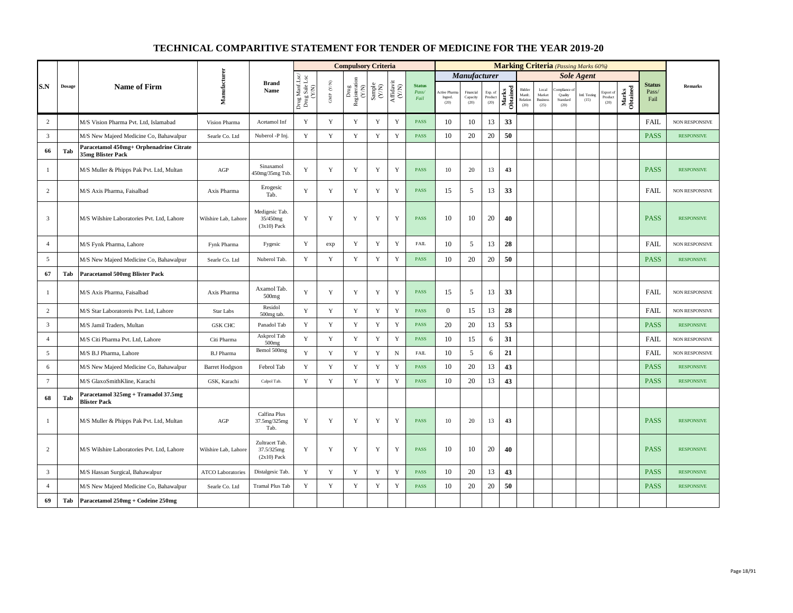|                 |        |                                                              |                          |                                               |                                          |                                  | <b>Compulsory Criteria</b>                                               |                                                                    |                                      |                                |                                 |                               |                            |                   |                                      |                                            | <b>Marking Criteria</b> (Passing Marks 60%) |                       |                                    |                   |                                |                       |
|-----------------|--------|--------------------------------------------------------------|--------------------------|-----------------------------------------------|------------------------------------------|----------------------------------|--------------------------------------------------------------------------|--------------------------------------------------------------------|--------------------------------------|--------------------------------|---------------------------------|-------------------------------|----------------------------|-------------------|--------------------------------------|--------------------------------------------|---------------------------------------------|-----------------------|------------------------------------|-------------------|--------------------------------|-----------------------|
|                 |        |                                                              |                          |                                               |                                          |                                  |                                                                          |                                                                    |                                      |                                |                                 | <b>Manufacturer</b>           |                            |                   |                                      |                                            |                                             | <b>Sole Agent</b>     |                                    |                   |                                |                       |
| S.N             | Dosage | <b>Name of Firm</b>                                          | Manufacturer             | <b>Brand</b><br>Name                          | Drug Manf.Lsc/<br>Drug Sale Lsc<br>(Y/N) | $\text{GMP}\space$ $\text{(YN)}$ | Drug<br>Registeration $\left( \begin{array}{c} \chi \end{array} \right)$ | $\begin{array}{c} \text{Sample} \\ \text{C}(\text{N}) \end{array}$ | $\frac{\text{Affdavit}}{\text{N/N}}$ | <b>Status</b><br>Pass/<br>Fail | Active Pharr<br>Ingred.<br>(20) | Financial<br>Capacity<br>(20) | Exp. of<br>Product<br>(20) | Marks<br>Obtained | Bidder<br>Manfc.<br>Relation<br>(20) | Local<br>Market<br><b>Business</b><br>(25) | Quality<br>Standard<br>(20)                 | Intl. Testing<br>(15) | Export of<br>$\bf Product$<br>(20) | Marks<br>Obtained | <b>Status</b><br>Pass/<br>Fail | Remarks               |
| $\overline{c}$  |        | M/S Vision Pharma Pvt. Ltd, Islamabad                        | Vision Pharma            | Acetamol Inf                                  | Y                                        | $\mathbf Y$                      | Y                                                                        | $\mathbf Y$                                                        | $\mathbf Y$                          | <b>PASS</b>                    | 10                              | 10                            | 13                         | 33                |                                      |                                            |                                             |                       |                                    |                   | FAIL                           | <b>NON RESPONSIVE</b> |
| $\overline{3}$  |        | M/S New Majeed Medicine Co, Bahawalpur                       | Searle Co. Ltd           | Nuberol -P Inj.                               | Y                                        | Y                                | Y                                                                        | Y                                                                  | $\mathbf Y$                          | <b>PASS</b>                    | 10                              | 20                            | 20                         | 50                |                                      |                                            |                                             |                       |                                    |                   | <b>PASS</b>                    | <b>RESPONSIVE</b>     |
| 66              | Tab    | Paracetamol 450mg+ Orphenadrine Citrate<br>35mg Blister Pack |                          |                                               |                                          |                                  |                                                                          |                                                                    |                                      |                                |                                 |                               |                            |                   |                                      |                                            |                                             |                       |                                    |                   |                                |                       |
| -1              |        | M/S Muller & Phipps Pak Pvt. Ltd, Multan                     | AGP                      | Sinaxamol<br>450mg/35mg Tsb.                  | Y                                        | $\mathbf Y$                      | Y                                                                        | $\mathbf Y$                                                        | $\mathbf Y$                          | <b>PASS</b>                    | 10                              | 20                            | 13                         | 43                |                                      |                                            |                                             |                       |                                    |                   | <b>PASS</b>                    | <b>RESPONSIVE</b>     |
| 2               |        | M/S Axis Pharma, Faisalbad                                   | Axis Pharma              | Erogesic<br>Tab.                              | Y                                        | $\mathbf Y$                      | $\mathbf Y$                                                              | $\mathbf Y$                                                        | $\mathbf Y$                          | <b>PASS</b>                    | 15                              | 5                             | 13                         | 33                |                                      |                                            |                                             |                       |                                    |                   | <b>FAIL</b>                    | NON RESPONSIVE        |
| $\overline{3}$  |        | M/S Wilshire Laboratories Pvt. Ltd, Lahore                   | Wilshire Lab, Lahore     | Medigesic Tab<br>35/450mg<br>$(3x10)$ Pack    | Y                                        | Y                                | Y                                                                        | Y                                                                  | Y                                    | <b>PASS</b>                    | 10                              | 10                            | 20                         | 40                |                                      |                                            |                                             |                       |                                    |                   | <b>PASS</b>                    | <b>RESPONSIVE</b>     |
| $\overline{4}$  |        | M/S Fynk Pharma, Lahore                                      | Fynk Pharma              | Fygesic                                       | Y                                        | exp                              | Y                                                                        | Y                                                                  | $\mathbf Y$                          | <b>FAIL</b>                    | 10                              | 5                             | 13                         | 28                |                                      |                                            |                                             |                       |                                    |                   | <b>FAIL</b>                    | <b>NON RESPONSIVE</b> |
| 5               |        | M/S New Majeed Medicine Co, Bahawalpur                       | Searle Co. Ltd           | Nuberol Tab.                                  | Y                                        | $\mathbf Y$                      | $\mathbf Y$                                                              | Y                                                                  | $\mathbf Y$                          | <b>PASS</b>                    | 10                              | 20                            | 20                         | 50                |                                      |                                            |                                             |                       |                                    |                   | <b>PASS</b>                    | <b>RESPONSIVE</b>     |
| 67              | Tab    | <b>Paracetamol 500mg Blister Pack</b>                        |                          |                                               |                                          |                                  |                                                                          |                                                                    |                                      |                                |                                 |                               |                            |                   |                                      |                                            |                                             |                       |                                    |                   |                                |                       |
| $\mathbf{1}$    |        | M/S Axis Pharma, Faisalbad                                   | Axis Pharma              | Axamol Tab.<br>500 <sub>mg</sub>              | Y                                        | Y                                | Y                                                                        | Y                                                                  | Y                                    | <b>PASS</b>                    | 15                              | 5                             | 13                         | 33                |                                      |                                            |                                             |                       |                                    |                   | <b>FAIL</b>                    | NON RESPONSIVE        |
| 2               |        | M/S Star Laboratoreis Pvt. Ltd, Lahore                       | <b>Star Labs</b>         | Residol<br>500mg tab.                         | Y                                        | $\mathbf Y$                      | $\mathbf Y$                                                              | $\mathbf Y$                                                        | $\mathbf Y$                          | <b>PASS</b>                    | $\mathbf{0}$                    | 15                            | 13                         | 28                |                                      |                                            |                                             |                       |                                    |                   | <b>FAIL</b>                    | <b>NON RESPONSIVE</b> |
| $\mathbf{3}$    |        | M/S Jamil Traders, Multan                                    | <b>GSK CHC</b>           | Panadol Tab                                   | $\mathbf Y$                              | $\mathbf Y$                      | $\mathbf Y$                                                              | $\mathbf Y$                                                        | $\mathbf Y$                          | PASS                           | 20                              | 20                            | 13                         | 53                |                                      |                                            |                                             |                       |                                    |                   | <b>PASS</b>                    | <b>RESPONSIVE</b>     |
| $\overline{4}$  |        | M/S Citi Pharma Pvt. Ltd, Lahore                             | Citi Pharma              | Askprol Tab<br>500 <sub>mg</sub>              | Y                                        | $\mathbf Y$                      | Y                                                                        | $\mathbf Y$                                                        | $\mathbf Y$                          | <b>PASS</b>                    | 10                              | 15                            | 6                          | 31                |                                      |                                            |                                             |                       |                                    |                   | <b>FAIL</b>                    | <b>NON RESPONSIVE</b> |
| 5               |        | M/S B.J Pharma, Lahore                                       | <b>B.J Pharma</b>        | Bemol 500mg                                   | Y                                        | $\mathbf Y$                      | Y                                                                        | $\mathbf Y$                                                        | $\,$ N                               | <b>FAIL</b>                    | 10                              | 5                             | 6                          | 21                |                                      |                                            |                                             |                       |                                    |                   | FAIL                           | NON RESPONSIVE        |
| 6               |        | M/S New Majeed Medicine Co, Bahawalpur                       | <b>Barret Hodgson</b>    | Febrol Tab                                    | $\mathbf Y$                              | $\mathbf Y$                      | $\mathbf Y$                                                              | $\mathbf Y$                                                        | $\mathbf Y$                          | <b>PASS</b>                    | 10                              | 20                            | 13                         | 43                |                                      |                                            |                                             |                       |                                    |                   | <b>PASS</b>                    | <b>RESPONSIVE</b>     |
| $7\overline{ }$ |        | M/S GlaxoSmithKline, Karachi                                 | GSK, Karachi             | Calpol Tab.                                   | Y                                        | $\mathbf Y$                      | Y                                                                        | Y                                                                  | Y                                    | <b>PASS</b>                    | 10                              | 20                            | 13                         | 43                |                                      |                                            |                                             |                       |                                    |                   | <b>PASS</b>                    | <b>RESPONSIVE</b>     |
| 68              | Tab    | Paracetamol 325mg + Tramadol 37.5mg<br><b>Blister Pack</b>   |                          |                                               |                                          |                                  |                                                                          |                                                                    |                                      |                                |                                 |                               |                            |                   |                                      |                                            |                                             |                       |                                    |                   |                                |                       |
| $\mathbf{1}$    |        | M/S Muller & Phipps Pak Pvt. Ltd, Multan                     | AGP                      | Calfina Plus<br>37.5mg/325mg<br>Tab.          | Y                                        | $\mathbf Y$                      | Y                                                                        | $\mathbf Y$                                                        | $\mathbf Y$                          | <b>PASS</b>                    | 10                              | 20                            | 13                         | 43                |                                      |                                            |                                             |                       |                                    |                   | <b>PASS</b>                    | <b>RESPONSIVE</b>     |
| 2               |        | M/S Wilshire Laboratories Pvt. Ltd, Lahore                   | Wilshire Lab, Lahore     | Zultracet Tab.<br>37.5/325mg<br>$(2x10)$ Pack | Y                                        | Y                                | Y                                                                        | Y                                                                  | Y                                    | <b>PASS</b>                    | 10                              | 10                            | 20                         | 40                |                                      |                                            |                                             |                       |                                    |                   | <b>PASS</b>                    | <b>RESPONSIVE</b>     |
| $\overline{3}$  |        | M/S Hassan Surgical, Bahawalpur                              | <b>ATCO Laboratories</b> | Distalgesic Tab.                              | Y                                        | $\mathbf Y$                      | Y                                                                        | Y                                                                  | $\mathbf Y$                          | <b>PASS</b>                    | 10                              | 20                            | 13                         | 43                |                                      |                                            |                                             |                       |                                    |                   | <b>PASS</b>                    | <b>RESPONSIVE</b>     |
| $\overline{4}$  |        | M/S New Majeed Medicine Co, Bahawalpur                       | Searle Co. Ltd           | <b>Tramal Plus Tab</b>                        | Y                                        | Y                                | Y                                                                        | $\mathbf Y$                                                        | $\mathbf Y$                          | <b>PASS</b>                    | 10                              | 20                            | 20                         | 50                |                                      |                                            |                                             |                       |                                    |                   | <b>PASS</b>                    | <b>RESPONSIVE</b>     |
| 69              | Tab    | Paracetamol 250mg + Codeine 250mg                            |                          |                                               |                                          |                                  |                                                                          |                                                                    |                                      |                                |                                 |                               |                            |                   |                                      |                                            |                                             |                       |                                    |                   |                                |                       |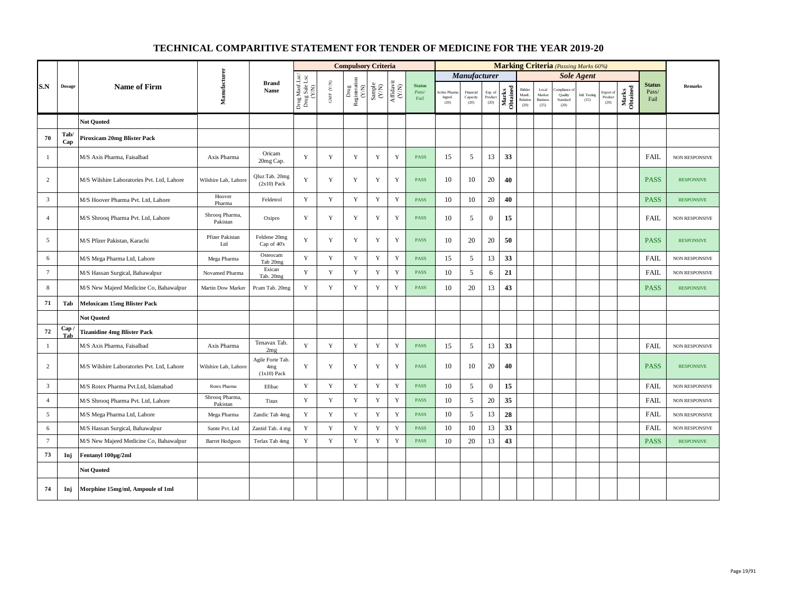|                 |               |                                            |                            |                                                      |                                          |                      | <b>Compulsory Criteria</b>                      |             |                                                                              |                                |                                         |                               |                            |                   |                                      |                                            |                                            | <b>Marking Criteria</b> (Passing Marks 60%) |                              |                   |                                |                       |
|-----------------|---------------|--------------------------------------------|----------------------------|------------------------------------------------------|------------------------------------------|----------------------|-------------------------------------------------|-------------|------------------------------------------------------------------------------|--------------------------------|-----------------------------------------|-------------------------------|----------------------------|-------------------|--------------------------------------|--------------------------------------------|--------------------------------------------|---------------------------------------------|------------------------------|-------------------|--------------------------------|-----------------------|
|                 |               |                                            |                            |                                                      |                                          |                      |                                                 |             |                                                                              |                                |                                         | <b>Manufacturer</b>           |                            |                   |                                      |                                            |                                            | <b>Sole Agent</b>                           |                              |                   |                                |                       |
| S.N             | <b>Dosage</b> | <b>Name of Firm</b>                        | Manufacturer               | <b>Brand</b><br>Name                                 | Drug Manf.Lsc/<br>Drug Sale Lsc<br>(Y/N) | GMP $(\mathbf{Y/N})$ | Drug<br>Registeration (Y/N)<br>Sample<br>Sample |             | $\begin{array}{c} \mathrm{Aff} \mathrm{davit} \\ (\mathrm{Y/N}) \end{array}$ | <b>Status</b><br>Pass/<br>Fail | <b>Active Pharma</b><br>Ingred.<br>(20) | Financial<br>Capacity<br>(20) | Exp. of<br>Product<br>(20) | Marks<br>Obtained | Bidder<br>Manfc.<br>Relation<br>(20) | Local<br>Market<br><b>Business</b><br>(25) | ompliance o<br>Quality<br>Standard<br>(20) | <b>Intl. Testing</b><br>(15)                | Export of<br>Product<br>(20) | Marks<br>Obtained | <b>Status</b><br>Pass/<br>Fail | <b>Remarks</b>        |
|                 |               | <b>Not Ouoted</b>                          |                            |                                                      |                                          |                      |                                                 |             |                                                                              |                                |                                         |                               |                            |                   |                                      |                                            |                                            |                                             |                              |                   |                                |                       |
| 70              | Tab/<br>Cap   | <b>Piroxicam 20mg Blister Pack</b>         |                            |                                                      |                                          |                      |                                                 |             |                                                                              |                                |                                         |                               |                            |                   |                                      |                                            |                                            |                                             |                              |                   |                                |                       |
| $\mathbf{1}$    |               | M/S Axis Pharma, Faisalbad                 | Axis Pharma                | Oricam<br>20mg Cap.                                  | Y                                        | $\mathbf Y$          | $\mathbf Y$                                     | $\mathbf Y$ | $\mathbf Y$                                                                  | <b>PASS</b>                    | 15                                      | 5                             | 13                         | 33                |                                      |                                            |                                            |                                             |                              |                   | <b>FAIL</b>                    | <b>NON RESPONSIVE</b> |
| $\overline{c}$  |               | M/S Wilshire Laboratories Pvt. Ltd, Lahore | Wilshire Lab, Lahore       | Qluz Tab. 20mg<br>$(2x10)$ Pack                      | $\mathbf Y$                              | $\mathbf Y$          | Y                                               | $\mathbf Y$ | $\mathbf Y$                                                                  | <b>PASS</b>                    | 10                                      | 10                            | 20                         | 40                |                                      |                                            |                                            |                                             |                              |                   | <b>PASS</b>                    | <b>RESPONSIVE</b>     |
| $\overline{3}$  |               | M/S Hoover Pharma Pvt. Ltd, Lahore         | Hoover<br>Pharma           | Feldetrol                                            | $\mathbf Y$                              | $\mathbf Y$          | $\mathbf Y$                                     | $\mathbf Y$ | $\mathbf Y$                                                                  | PASS                           | 10                                      | 10                            | 20                         | 40                |                                      |                                            |                                            |                                             |                              |                   | <b>PASS</b>                    | <b>RESPONSIVE</b>     |
| $\overline{4}$  |               | M/S Shrooq Pharma Pvt. Ltd, Lahore         | Shrooq Pharma,<br>Pakistan | Oxipro                                               | Y                                        | Y                    | Y                                               | Y           | Y                                                                            | <b>PASS</b>                    | 10                                      | 5                             | $\boldsymbol{0}$           | 15                |                                      |                                            |                                            |                                             |                              |                   | <b>FAIL</b>                    | NON RESPONSIVE        |
| 5               |               | M/S Pfizer Pakistan, Karachi               | Pfizer Pakistan<br>Ltd     | Feldene 20mg<br>Cap of 40's                          | Y                                        | Y                    | Y                                               | Y           | Y                                                                            | <b>PASS</b>                    | 10                                      | 20                            | 20                         | 50                |                                      |                                            |                                            |                                             |                              |                   | <b>PASS</b>                    | <b>RESPONSIVE</b>     |
| 6               |               | M/S Mega Pharma Ltd, Lahore                | Mega Pharma                | Osteocam<br>Tab 20mg                                 | Y                                        | Y                    | $\mathbf Y$                                     | $\mathbf Y$ | $\mathbf Y$                                                                  | <b>PASS</b>                    | 15                                      | 5                             | 13                         | 33                |                                      |                                            |                                            |                                             |                              |                   | <b>FAIL</b>                    | <b>NON RESPONSIVE</b> |
| $7\phantom{.0}$ |               | M/S Hassan Surgical, Bahawalpur            | Novamed Pharma             | Exican<br>Tab. 20mg                                  | Y                                        | $\mathbf Y$          | $\mathbf Y$                                     | $\mathbf Y$ | $\mathbf Y$                                                                  | <b>PASS</b>                    | 10                                      | 5                             | 6                          | 21                |                                      |                                            |                                            |                                             |                              |                   | <b>FAIL</b>                    | <b>NON RESPONSIVE</b> |
| 8               |               | M/S New Majeed Medicine Co, Bahawalpur     | Martin Dow Marker          | Pcam Tab. 20mg                                       | $\mathbf Y$                              | $\mathbf Y$          | $\mathbf Y$                                     | $\mathbf Y$ | $\mathbf Y$                                                                  | <b>PASS</b>                    | 10                                      | 20                            | 13                         | 43                |                                      |                                            |                                            |                                             |                              |                   | <b>PASS</b>                    | <b>RESPONSIVE</b>     |
| 71              | Tab           | <b>Meloxicam 15mg Blister Pack</b>         |                            |                                                      |                                          |                      |                                                 |             |                                                                              |                                |                                         |                               |                            |                   |                                      |                                            |                                            |                                             |                              |                   |                                |                       |
|                 |               | <b>Not Quoted</b>                          |                            |                                                      |                                          |                      |                                                 |             |                                                                              |                                |                                         |                               |                            |                   |                                      |                                            |                                            |                                             |                              |                   |                                |                       |
| 72              | Cap.<br>Tab   | <b>Tizanidine 4mg Blister Pack</b>         |                            |                                                      |                                          |                      |                                                 |             |                                                                              |                                |                                         |                               |                            |                   |                                      |                                            |                                            |                                             |                              |                   |                                |                       |
| $\mathbf{1}$    |               | M/S Axis Pharma, Faisalbad                 | Axis Pharma                | Tenavax Tab.<br>2mg                                  | Y                                        | $\mathbf Y$          | $\mathbf Y$                                     | $\mathbf Y$ | $\mathbf Y$                                                                  | <b>PASS</b>                    | 15                                      | 5                             | 13                         | 33                |                                      |                                            |                                            |                                             |                              |                   | <b>FAIL</b>                    | <b>NON RESPONSIVE</b> |
| $\overline{c}$  |               | M/S Wilshire Laboratories Pvt. Ltd, Lahore | Wilshire Lab, Lahore       | Agile Forte Tab.<br>4 <sub>mg</sub><br>$(1x10)$ Pack | $\mathbf Y$                              | $\mathbf Y$          | Y                                               | Y           | $\mathbf Y$                                                                  | PASS                           | 10                                      | 10                            | 20                         | 40                |                                      |                                            |                                            |                                             |                              |                   | <b>PASS</b>                    | <b>RESPONSIVE</b>     |
| 3               |               | M/S Rotex Pharma Pvt.Ltd, Islamabad        | Rotex Pharma               | Efibac                                               | Y                                        | Y                    | Y                                               | $\mathbf Y$ | $\mathbf Y$                                                                  | <b>PASS</b>                    | 10                                      | 5                             | $\overline{0}$             | 15                |                                      |                                            |                                            |                                             |                              |                   | <b>FAIL</b>                    | NON RESPONSIVE        |
| $\overline{4}$  |               | M/S Shrooq Pharma Pvt. Ltd, Lahore         | Shrooq Pharma,<br>Pakistan | Tizax                                                | Y                                        | $\mathbf Y$          | $\mathbf Y$                                     | $\mathbf Y$ | $\mathbf Y$                                                                  | <b>PASS</b>                    | 10                                      | 5                             | $20\,$                     | 35                |                                      |                                            |                                            |                                             |                              |                   | <b>FAIL</b>                    | NON RESPONSIVE        |
| 5               |               | M/S Mega Pharma Ltd, Lahore                | Mega Pharma                | Zandic Tab 4mg                                       | $\mathbf Y$                              | $\mathbf Y$          | $\mathbf Y$                                     | $\mathbf Y$ | $\mathbf Y$                                                                  | <b>PASS</b>                    | 10                                      | 5                             | 13                         | 28                |                                      |                                            |                                            |                                             |                              |                   | <b>FAIL</b>                    | NON RESPONSIVE        |
| 6               |               | M/S Hassan Surgical, Bahawalpur            | Sante Pvt. Ltd             | Zantid Tab. 4 mg                                     | Y                                        | $\mathbf Y$          | $\mathbf Y$                                     | $\mathbf Y$ | $\mathbf Y$                                                                  | <b>PASS</b>                    | 10                                      | 10                            | 13                         | 33                |                                      |                                            |                                            |                                             |                              |                   | <b>FAIL</b>                    | NON RESPONSIVE        |
| $7\phantom{.0}$ |               | M/S New Majeed Medicine Co, Bahawalpur     | <b>Barret Hodgson</b>      | Terlax Tab 4mg                                       | $\mathbf Y$                              | $\mathbf Y$          | $\mathbf Y$                                     | $\mathbf Y$ | $\mathbf Y$                                                                  | <b>PASS</b>                    | 10                                      | 20                            | 13                         | 43                |                                      |                                            |                                            |                                             |                              |                   | <b>PASS</b>                    | <b>RESPONSIVE</b>     |
| 73              | Inj           | Fentanyl 100µg/2ml                         |                            |                                                      |                                          |                      |                                                 |             |                                                                              |                                |                                         |                               |                            |                   |                                      |                                            |                                            |                                             |                              |                   |                                |                       |
|                 |               | <b>Not Quoted</b>                          |                            |                                                      |                                          |                      |                                                 |             |                                                                              |                                |                                         |                               |                            |                   |                                      |                                            |                                            |                                             |                              |                   |                                |                       |
| 74              | Inj           | Morphine 15mg/ml, Ampoule of 1ml           |                            |                                                      |                                          |                      |                                                 |             |                                                                              |                                |                                         |                               |                            |                   |                                      |                                            |                                            |                                             |                              |                   |                                |                       |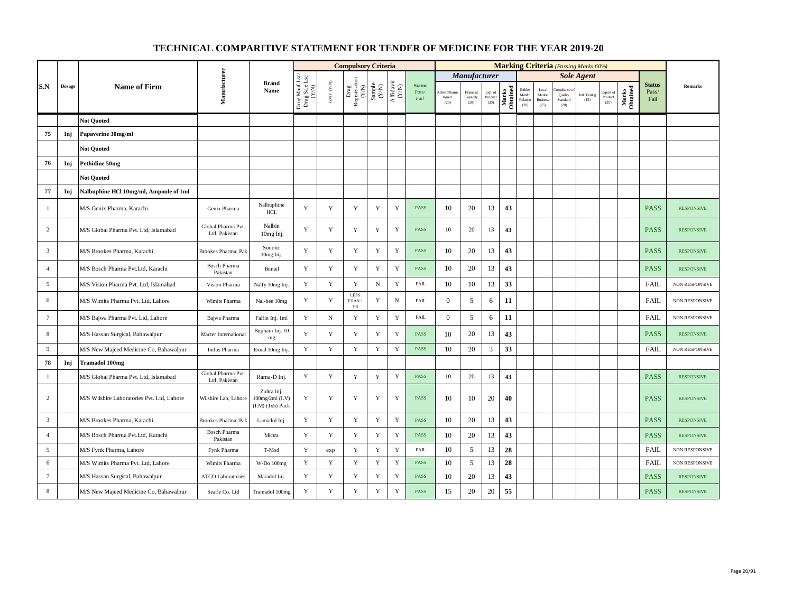|                |               |                                            |                                     |                                                        |                                          |                                         | <b>Compulsory Criteria</b>                                                |                                                                     |                                      |                                |                                       |                               |                            |                   |                                            |                                            | <b>Marking Criteria</b> (Passing Marks 60%) |                       |                              |                   |                                |                       |
|----------------|---------------|--------------------------------------------|-------------------------------------|--------------------------------------------------------|------------------------------------------|-----------------------------------------|---------------------------------------------------------------------------|---------------------------------------------------------------------|--------------------------------------|--------------------------------|---------------------------------------|-------------------------------|----------------------------|-------------------|--------------------------------------------|--------------------------------------------|---------------------------------------------|-----------------------|------------------------------|-------------------|--------------------------------|-----------------------|
|                |               |                                            |                                     |                                                        |                                          |                                         |                                                                           |                                                                     |                                      |                                |                                       | Manufacturer                  |                            |                   |                                            |                                            |                                             | <b>Sole Agent</b>     |                              |                   |                                |                       |
| S.N            | $\bf{Dosage}$ | <b>Name of Firm</b>                        | Manufacturer                        | <b>Brand</b><br>Name                                   | Drug Manf.Lsc/<br>Drug Sale Lsc<br>(Y/N) | $\ensuremath{\mathsf{GMP}}\xspace$ (YN) | $\begin{tabular}{l} \bf Drug \\ \bf Registeration \\ (Y/N) \end{tabular}$ | $\begin{array}{c} \text{Sample} \\ \text{C}(\text{NN}) \end{array}$ | $\frac{\text{Affdavit}}{\text{N/N}}$ | <b>Status</b><br>Pass/<br>Fail | <b>Active Pham</b><br>Ingred.<br>(20) | Financial<br>Capacity<br>(20) | Exp. of<br>Product<br>(20) | Marks<br>Obtained | Bidder<br>Manfc.<br>$\sf Relation$<br>(20) | Local<br>Market<br><b>Business</b><br>(25) | ompliance<br>Quality<br>Standard<br>(20)    | Intl. Testing<br>(15) | Export of<br>Product<br>(20) | Marks<br>Obtained | <b>Status</b><br>Pass/<br>Fail | Remarks               |
|                |               | <b>Not Quoted</b>                          |                                     |                                                        |                                          |                                         |                                                                           |                                                                     |                                      |                                |                                       |                               |                            |                   |                                            |                                            |                                             |                       |                              |                   |                                |                       |
| 75             | Inj           | Papaverine 30mg/ml                         |                                     |                                                        |                                          |                                         |                                                                           |                                                                     |                                      |                                |                                       |                               |                            |                   |                                            |                                            |                                             |                       |                              |                   |                                |                       |
|                |               | <b>Not Ouoted</b>                          |                                     |                                                        |                                          |                                         |                                                                           |                                                                     |                                      |                                |                                       |                               |                            |                   |                                            |                                            |                                             |                       |                              |                   |                                |                       |
| 76             | Inj           | Pethidine 50mg                             |                                     |                                                        |                                          |                                         |                                                                           |                                                                     |                                      |                                |                                       |                               |                            |                   |                                            |                                            |                                             |                       |                              |                   |                                |                       |
|                |               | <b>Not Quoted</b>                          |                                     |                                                        |                                          |                                         |                                                                           |                                                                     |                                      |                                |                                       |                               |                            |                   |                                            |                                            |                                             |                       |                              |                   |                                |                       |
| 77             | Inj           | Nalbuphine HCl 10mg/ml, Ampoule of 1ml     |                                     |                                                        |                                          |                                         |                                                                           |                                                                     |                                      |                                |                                       |                               |                            |                   |                                            |                                            |                                             |                       |                              |                   |                                |                       |
| $\mathbf{1}$   |               | M/S Genix Pharma, Karachi                  | Genix Pharma                        | Nalbuphine<br><b>HCL</b>                               | Y                                        | $\mathbf Y$                             | Y                                                                         | $\mathbf Y$                                                         | $\mathbf Y$                          | <b>PASS</b>                    | 10                                    | 20                            | 13                         | 43                |                                            |                                            |                                             |                       |                              |                   | <b>PASS</b>                    | <b>RESPONSIVE</b>     |
| 2              |               | M/S Global Pharma Pvt. Ltd, Islamabad      | Global Pharma Pvt.<br>Ltd, Pakistan | Nalbin<br>10mg Inj.                                    | Y                                        | Y                                       | $\mathbf Y$                                                               | $\mathbf Y$                                                         | $\mathbf Y$                          | <b>PASS</b>                    | 10                                    | 20                            | 13                         | 43                |                                            |                                            |                                             |                       |                              |                   | <b>PASS</b>                    | <b>RESPONSIVE</b>     |
| $\overline{3}$ |               | M/S Brookes Pharma, Karachi                | Brookes Pharma, Pak                 | Sonotic<br>10mg Inj.                                   | Y                                        | $\mathbf Y$                             | $\mathbf Y$                                                               | $\mathbf Y$                                                         | $\mathbf Y$                          | <b>PASS</b>                    | 10                                    | 20                            | 13                         | 43                |                                            |                                            |                                             |                       |                              |                   | <b>PASS</b>                    | <b>RESPONSIVE</b>     |
| $\overline{4}$ |               | M/S Bosch Pharma Pvt.Ltd, Karachi          | <b>Bosch Pharma</b><br>Pakistan     | Bunail                                                 | Y                                        | $\mathbf Y$                             | $\mathbf Y$                                                               | $\mathbf Y$                                                         | $\mathbf Y$                          | <b>PASS</b>                    | 10                                    | 20                            | 13                         | 43                |                                            |                                            |                                             |                       |                              |                   | <b>PASS</b>                    | <b>RESPONSIVE</b>     |
| 5              |               | M/S Vision Pharma Pvt. Ltd, Islamabad      | Vision Pharma                       | Nalfy 10mg Inj.                                        | Y                                        | $\mathbf Y$                             | $\mathbf Y$                                                               | ${\bf N}$                                                           | $\mathbf Y$                          | <b>FAIL</b>                    | 10                                    | 10                            | 13                         | 33                |                                            |                                            |                                             |                       |                              |                   | FAIL                           | <b>NON RESPONSIVE</b> |
| 6              |               | M/S Wimits Pharma Pvt. Ltd, Lahore         | Wimits Pharma                       | Nal-bee 10mg                                           | Y                                        | Y                                       | <b>LESS</b><br>THAN 1<br>YR                                               | Y                                                                   | $\mathbf N$                          | <b>FAIL</b>                    | $\overline{0}$                        | 5                             | 6                          | 11                |                                            |                                            |                                             |                       |                              |                   | <b>FAIL</b>                    | NON RESPONSIVE        |
| $\tau$         |               | M/S Bajwa Pharma Pvt. Ltd, Lahore          | Bajwa Pharma                        | Falfin Inj. 1ml                                        | Y                                        | $_{\rm N}$                              | $\mathbf Y$                                                               | $\mathbf Y$                                                         | $\mathbf Y$                          | <b>FAIL</b>                    | $\mathbf{0}$                          | 5                             | 6                          | 11                |                                            |                                            |                                             |                       |                              |                   | <b>FAIL</b>                    | <b>NON RESPONSIVE</b> |
| 8              |               | M/S Hassan Surgical, Bahawalpur            | Macter International                | Buphain Inj. 10<br>mg                                  | Y                                        | Y                                       | Y                                                                         | Y                                                                   | $\mathbf Y$                          | <b>PASS</b>                    | 10                                    | 20                            | 13                         | 43                |                                            |                                            |                                             |                       |                              |                   | <b>PASS</b>                    | <b>RESPONSIVE</b>     |
| 9              |               | M/S New Majeed Medicine Co, Bahawalpur     | Indus Pharma                        | Exnal 10mg Inj.                                        | Y                                        | $\mathbf Y$                             | $\mathbf Y$                                                               | Y                                                                   | $\mathbf Y$                          | PASS                           | 10                                    | 20                            | 3                          | 33                |                                            |                                            |                                             |                       |                              |                   | FAIL                           | NON RESPONSIVE        |
| 78             | Inj           | <b>Tramadol 100mg</b>                      |                                     |                                                        |                                          |                                         |                                                                           |                                                                     |                                      |                                |                                       |                               |                            |                   |                                            |                                            |                                             |                       |                              |                   |                                |                       |
| $\mathbf{1}$   |               | M/S Global Pharma Pvt. Ltd, Islamabad      | Global Pharma Pvt.<br>Ltd. Pakistan | Rama-D Inj.                                            | Y                                        | $\mathbf Y$                             | $\mathbf Y$                                                               | Y                                                                   | $\mathbf Y$                          | <b>PASS</b>                    | 10                                    | 20                            | 13                         | 43                |                                            |                                            |                                             |                       |                              |                   | <b>PASS</b>                    | <b>RESPONSIVE</b>     |
| $\overline{c}$ |               | M/S Wilshire Laboratories Pvt. Ltd, Lahore | Wilshire Lab, Lahore                | Zultra Inj.<br>100mg/2ml (I.V)<br>$(I.M)$ $(1x5)$ Pack | Y                                        | $\mathbf Y$                             | Y                                                                         | $\mathbf Y$                                                         | Y                                    | <b>PASS</b>                    | 10                                    | 10                            | 20                         | 40                |                                            |                                            |                                             |                       |                              |                   | <b>PASS</b>                    | <b>RESPONSIVE</b>     |
| $\overline{3}$ |               | M/S Brookes Pharma, Karachi                | Brookes Pharma, Pak                 | Lamadol Inj.                                           | $\mathbf Y$                              | $\mathbf Y$                             | $\mathbf Y$                                                               | $\mathbf Y$                                                         | $\mathbf Y$                          | <b>PASS</b>                    | 10                                    | 20                            | 13                         | 43                |                                            |                                            |                                             |                       |                              |                   | <b>PASS</b>                    | <b>RESPONSIVE</b>     |
| $\overline{4}$ |               | M/S Bosch Pharma Pvt.Ltd, Karachi          | <b>Bosch Pharma</b><br>Pakistan     | Mictra                                                 | Y                                        | $\mathbf Y$                             | $\mathbf Y$                                                               | $\mathbf Y$                                                         | $\mathbf Y$                          | <b>PASS</b>                    | 10                                    | 20                            | 13                         | 43                |                                            |                                            |                                             |                       |                              |                   | <b>PASS</b>                    | <b>RESPONSIVE</b>     |
| 5              |               | M/S Fynk Pharma, Lahore                    | Fynk Pharma                         | T-Mod                                                  | Y                                        | exp                                     | $\mathbf Y$                                                               | $\mathbf Y$                                                         | $\mathbf Y$                          | ${\rm FAIL}$                   | 10                                    | 5                             | 13                         | 28                |                                            |                                            |                                             |                       |                              |                   | FAIL                           | <b>NON RESPONSIVE</b> |
| 6              |               | M/S Wimits Pharma Pvt. Ltd, Lahore         | Wimits Pharma                       | W-Do 100mg                                             | Y                                        | Y                                       | Y                                                                         | $\mathbf Y$                                                         | Y                                    | <b>PASS</b>                    | 10                                    | 5                             | 13                         | 28                |                                            |                                            |                                             |                       |                              |                   | <b>FAIL</b>                    | <b>NON RESPONSIVE</b> |
| $\tau$         |               | M/S Hassan Surgical, Bahawalpur            | <b>ATCO Laboratories</b>            | Maradol Inj.                                           | Y                                        | $\mathbf Y$                             | $\mathbf Y$                                                               | $\mathbf Y$                                                         | $\mathbf Y$                          | <b>PASS</b>                    | 10                                    | 20                            | 13                         | 43                |                                            |                                            |                                             |                       |                              |                   | <b>PASS</b>                    | <b>RESPONSIVE</b>     |
| 8              |               | M/S New Majeed Medicine Co, Bahawalpur     | Searle Co. Ltd                      | Tramadol 100mg                                         | $\mathbf Y$                              | $\mathbf Y$                             | $\mathbf Y$                                                               | $\mathbf Y$                                                         | $\mathbf Y$                          | <b>PASS</b>                    | 15                                    | 20                            | $20\,$                     | 55                |                                            |                                            |                                             |                       |                              |                   | <b>PASS</b>                    | <b>RESPONSIVE</b>     |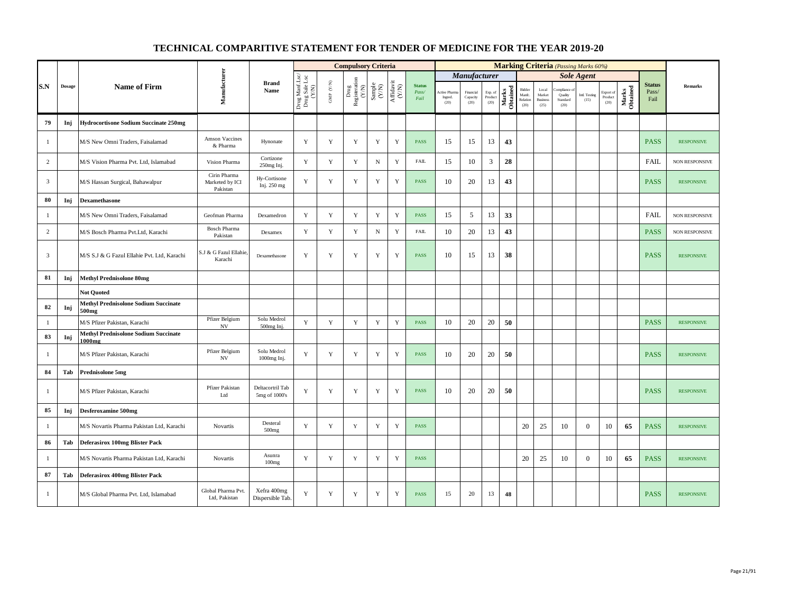|                |               |                                                                  |                                             |                                   |                                          |                                          | <b>Compulsory Criteria</b>                                                                |                                                              |                                      |                                |                               |                                                |    |                                                                                                                                                                         |                                      |                                            | <b>Marking Criteria</b> (Passing Marks 60%) |                       |                              |                   |                                |                       |
|----------------|---------------|------------------------------------------------------------------|---------------------------------------------|-----------------------------------|------------------------------------------|------------------------------------------|-------------------------------------------------------------------------------------------|--------------------------------------------------------------|--------------------------------------|--------------------------------|-------------------------------|------------------------------------------------|----|-------------------------------------------------------------------------------------------------------------------------------------------------------------------------|--------------------------------------|--------------------------------------------|---------------------------------------------|-----------------------|------------------------------|-------------------|--------------------------------|-----------------------|
|                |               |                                                                  |                                             |                                   |                                          |                                          |                                                                                           |                                                              |                                      |                                |                               | <b>Manufacturer</b>                            |    |                                                                                                                                                                         |                                      |                                            |                                             | <b>Sole Agent</b>     |                              |                   |                                |                       |
| S.N            | <b>Dosage</b> | <b>Name of Firm</b>                                              | Manufacturer                                | <b>Brand</b><br>Name              | Drug Manf.Lsc/<br>Drug Sale Lsc<br>(Y/N) | $\ensuremath{\mathsf{GMP}}\xspace$ (Y/N) | $\begin{array}{c} \mathrm{ Drug} \\ \mathrm{Registeration} \\ (Y/\mathrm{N}) \end{array}$ | $\begin{array}{c} \text{Sample} \\ (\text{Y/N}) \end{array}$ | $\frac{\text{Affdavit}}{\text{N/N}}$ | <b>Status</b><br>Pass/<br>Fail | ctive Pham<br>Ingred.<br>(20) | Financial<br>$\operatorname{Capacity}$<br>(20) |    | $\begin{tabular}{c} \bf Exp.\; of \\ \bf Product \\ (20) \\ \end{tabular} \begin{tabular}{c} \bf Exp. \\ \bf H \ddot{a}r \ddot{b}g \\ \bf E \ddot{b}g \\ \end{tabular}$ | Bidder<br>Manfc.<br>Relation<br>(20) | Local<br>Market<br><b>Business</b><br>(25) | pliance<br>Quality<br>Standard<br>(20)      | Intl. Testing<br>(15) | Export of<br>Product<br>(20) | Marks<br>Obtained | <b>Status</b><br>Pass/<br>Fail | <b>Remarks</b>        |
| 79             | Inj           | <b>Hydrocortisone Sodium Succinate 250mg</b>                     |                                             |                                   |                                          |                                          |                                                                                           |                                                              |                                      |                                |                               |                                                |    |                                                                                                                                                                         |                                      |                                            |                                             |                       |                              |                   |                                |                       |
| 1              |               | M/S New Omni Traders, Faisalamad                                 | Amson Vaccines<br>& Pharma                  | Hynonate                          | Y                                        | $\mathbf Y$                              | $\mathbf Y$                                                                               | $\mathbf Y$                                                  | Y                                    | PASS                           | 15                            | 15                                             | 13 | 43                                                                                                                                                                      |                                      |                                            |                                             |                       |                              |                   | <b>PASS</b>                    | <b>RESPONSIVE</b>     |
| $\overline{c}$ |               | M/S Vision Pharma Pvt. Ltd, Islamabad                            | Vision Pharma                               | Cortizone<br>250mg Inj.           | Y                                        | Y                                        | Y                                                                                         | $\, {\rm N}$                                                 | Y                                    | <b>FAIL</b>                    | 15                            | 10                                             | 3  | 28                                                                                                                                                                      |                                      |                                            |                                             |                       |                              |                   | <b>FAIL</b>                    | NON RESPONSIVE        |
| $\mathfrak{Z}$ |               | M/S Hassan Surgical, Bahawalpur                                  | Cirin Pharma<br>Marketed by ICI<br>Pakistan | Hy-Cortisone<br>Inj. 250 mg       | Y                                        | $\mathbf Y$                              | $\mathbf Y$                                                                               | $\mathbf Y$                                                  | $\mathbf Y$                          | <b>PASS</b>                    | 10                            | 20                                             | 13 | 43                                                                                                                                                                      |                                      |                                            |                                             |                       |                              |                   | <b>PASS</b>                    | <b>RESPONSIVE</b>     |
| 80             | Inj           | Dexamethasone                                                    |                                             |                                   |                                          |                                          |                                                                                           |                                                              |                                      |                                |                               |                                                |    |                                                                                                                                                                         |                                      |                                            |                                             |                       |                              |                   |                                |                       |
| -1             |               | M/S New Omni Traders, Faisalamad                                 | Geofman Pharma                              | Dexamedron                        | Y                                        | Y                                        | $\mathbf Y$                                                                               | $\mathbf Y$                                                  | $\mathbf Y$                          | PASS                           | 15                            | 5                                              | 13 | 33                                                                                                                                                                      |                                      |                                            |                                             |                       |                              |                   | <b>FAIL</b>                    | NON RESPONSIVE        |
| $\overline{c}$ |               | M/S Bosch Pharma Pvt.Ltd, Karachi                                | <b>Bosch Pharma</b><br>Pakistan             | Dexamex                           | Y                                        | $\mathbf Y$                              | Y                                                                                         | ${\bf N}$                                                    | $\mathbf Y$                          | <b>FAIL</b>                    | 10                            | 20                                             | 13 | 43                                                                                                                                                                      |                                      |                                            |                                             |                       |                              |                   | <b>PASS</b>                    | <b>NON RESPONSIVE</b> |
| $\overline{3}$ |               | M/S S.J & G Fazul Ellahie Pvt. Ltd, Karachi                      | S.J & G Fazul Ellahie<br>Karachi            | Dexamethasone                     | Y                                        | $\mathbf Y$                              | Y                                                                                         | Y                                                            | Y                                    | <b>PASS</b>                    | 10                            | 15                                             | 13 | 38                                                                                                                                                                      |                                      |                                            |                                             |                       |                              |                   | <b>PASS</b>                    | <b>RESPONSIVE</b>     |
| 81             | Inj           | <b>Methyl Prednisolone 80mg</b>                                  |                                             |                                   |                                          |                                          |                                                                                           |                                                              |                                      |                                |                               |                                                |    |                                                                                                                                                                         |                                      |                                            |                                             |                       |                              |                   |                                |                       |
|                |               | <b>Not Ouoted</b>                                                |                                             |                                   |                                          |                                          |                                                                                           |                                                              |                                      |                                |                               |                                                |    |                                                                                                                                                                         |                                      |                                            |                                             |                       |                              |                   |                                |                       |
| 82             | Inj           | <b>Methyl Prednisolone Sodium Succinate</b><br>500 <sub>mg</sub> |                                             |                                   |                                          |                                          |                                                                                           |                                                              |                                      |                                |                               |                                                |    |                                                                                                                                                                         |                                      |                                            |                                             |                       |                              |                   |                                |                       |
| $\mathbf{1}$   |               | M/S Pfizer Pakistan, Karachi                                     | Pfizer Belgium<br>NV                        | Solu Medrol<br>500mg Inj.         | Y                                        | Y                                        | Y                                                                                         | Y                                                            | Y                                    | PASS                           | 10                            | 20                                             | 20 | 50                                                                                                                                                                      |                                      |                                            |                                             |                       |                              |                   | <b>PASS</b>                    | <b>RESPONSIVE</b>     |
| 83             | Inj           | <b>Methyl Prednisolone Sodium Succinate</b><br>1000mg            |                                             |                                   |                                          |                                          |                                                                                           |                                                              |                                      |                                |                               |                                                |    |                                                                                                                                                                         |                                      |                                            |                                             |                       |                              |                   |                                |                       |
| $\overline{1}$ |               | M/S Pfizer Pakistan, Karachi                                     | Pfizer Belgium<br><b>NV</b>                 | Solu Medrol<br>1000mg Inj.        | Y                                        | Y                                        | Y                                                                                         | $\mathbf Y$                                                  | Y                                    | <b>PASS</b>                    | 10                            | 20                                             | 20 | 50                                                                                                                                                                      |                                      |                                            |                                             |                       |                              |                   | <b>PASS</b>                    | <b>RESPONSIVE</b>     |
| 84             | Tab           | Prednisolone 5mg                                                 |                                             |                                   |                                          |                                          |                                                                                           |                                                              |                                      |                                |                               |                                                |    |                                                                                                                                                                         |                                      |                                            |                                             |                       |                              |                   |                                |                       |
| 1              |               | M/S Pfizer Pakistan, Karachi                                     | Pfizer Pakistan<br>Ltd                      | Deltacortril Tab<br>5mg of 1000's | Y                                        | Y                                        | Y                                                                                         | Y                                                            | Y                                    | <b>PASS</b>                    | 10                            | 20                                             | 20 | 50                                                                                                                                                                      |                                      |                                            |                                             |                       |                              |                   | <b>PASS</b>                    | <b>RESPONSIVE</b>     |
| 85             | Inj           | <b>Desferoxamine 500mg</b>                                       |                                             |                                   |                                          |                                          |                                                                                           |                                                              |                                      |                                |                               |                                                |    |                                                                                                                                                                         |                                      |                                            |                                             |                       |                              |                   |                                |                       |
| -1             |               | M/S Novartis Pharma Pakistan Ltd, Karachi                        | Novartis                                    | Desteral<br>500 <sub>mg</sub>     | Y                                        | Y                                        | $\mathbf Y$                                                                               | $\mathbf Y$                                                  | Y                                    | <b>PASS</b>                    |                               |                                                |    |                                                                                                                                                                         | 20                                   | 25                                         | 10                                          | $\Omega$              | 10                           | 65                | <b>PASS</b>                    | <b>RESPONSIVE</b>     |
| 86             | Tab           | <b>Deferasirox 100mg Blister Pack</b>                            |                                             |                                   |                                          |                                          |                                                                                           |                                                              |                                      |                                |                               |                                                |    |                                                                                                                                                                         |                                      |                                            |                                             |                       |                              |                   |                                |                       |
| 1              |               | M/S Novartis Pharma Pakistan Ltd, Karachi                        | Novartis                                    | Asunra<br>100mg                   | Y                                        | Y                                        | $\mathbf Y$                                                                               | Y                                                            | Y                                    | <b>PASS</b>                    |                               |                                                |    |                                                                                                                                                                         | 20                                   | 25                                         | 10                                          | $\overline{0}$        | 10                           | 65                | <b>PASS</b>                    | <b>RESPONSIVE</b>     |
| 87             | Tab           | <b>Deferasirox 400mg Blister Pack</b>                            |                                             |                                   |                                          |                                          |                                                                                           |                                                              |                                      |                                |                               |                                                |    |                                                                                                                                                                         |                                      |                                            |                                             |                       |                              |                   |                                |                       |
| $\mathbf{1}$   |               | M/S Global Pharma Pvt. Ltd, Islamabad                            | Global Pharma Pvt.<br>Ltd, Pakistan         | Xefra 400mg<br>Dispersible Tab.   | Y                                        | Y                                        | Y                                                                                         | Y                                                            | Y                                    | <b>PASS</b>                    | 15                            | 20                                             | 13 | 48                                                                                                                                                                      |                                      |                                            |                                             |                       |                              |                   | <b>PASS</b>                    | <b>RESPONSIVE</b>     |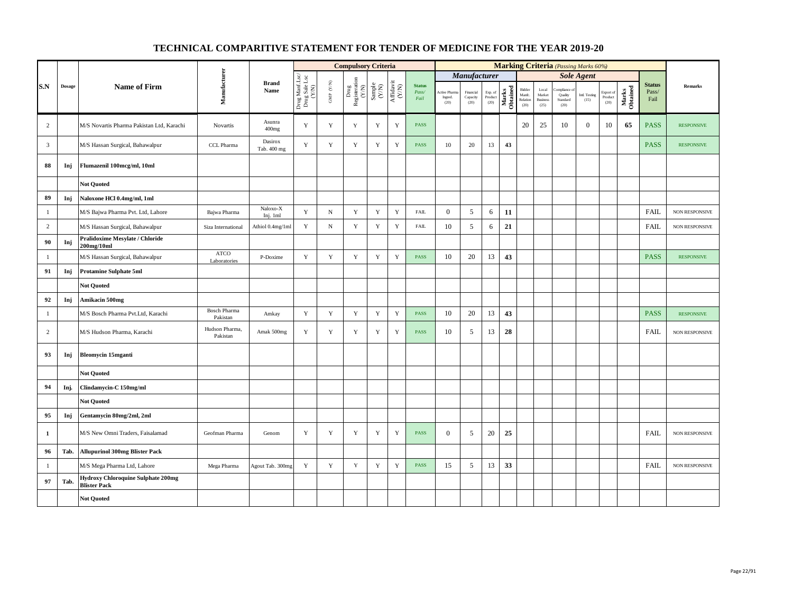|                |        |                                                                  |                                 |                        |                                          |                                                                       | <b>Compulsory Criteria</b>                                                                                                                |             |                                      |                                |                                 |                               |                            |                   |                                      |                                            |                                          | <b>Marking Criteria</b> (Passing Marks 60%) |                              |                   |                                |                       |
|----------------|--------|------------------------------------------------------------------|---------------------------------|------------------------|------------------------------------------|-----------------------------------------------------------------------|-------------------------------------------------------------------------------------------------------------------------------------------|-------------|--------------------------------------|--------------------------------|---------------------------------|-------------------------------|----------------------------|-------------------|--------------------------------------|--------------------------------------------|------------------------------------------|---------------------------------------------|------------------------------|-------------------|--------------------------------|-----------------------|
|                |        |                                                                  |                                 |                        |                                          |                                                                       |                                                                                                                                           |             |                                      |                                |                                 | Manufacturer                  |                            |                   |                                      |                                            |                                          | <b>Sole Agent</b>                           |                              |                   |                                |                       |
| S.N            | Dosage | <b>Name of Firm</b>                                              | Manufacturer                    | <b>Brand</b><br>Name   | Drug Manf.Lsc/<br>Drug Sale Lsc<br>(Y/N) | $\ensuremath{\mathsf{GMP}}\xspace$ $\ensuremath{\mathsf{C/N}}\xspace$ | $\begin{array}{c} \mathrm{Drag} \\ \mathrm{Res} \mathrm{interaction} \\ (\mathrm{Y/N}) \\ \mathrm{Sample} \\ \mathrm{Sample} \end{array}$ |             | $\frac{\text{Affdavit}}{\text{N/N}}$ | <b>Status</b><br>Pass/<br>Fail | Active Pharm<br>Ingred.<br>(20) | Financial<br>Capacity<br>(20) | Exp. of<br>Product<br>(20) | Marks<br>Obtained | Bidder<br>Manfc.<br>Relation<br>(20) | Local<br>Market<br><b>Business</b><br>(25) | ompliance<br>Quality<br>Standard<br>(20) | <b>Intl. Testing</b><br>(15)                | Export of<br>Product<br>(20) | Marks<br>Obtained | <b>Status</b><br>Pass/<br>Fail | <b>Remarks</b>        |
| 2              |        | M/S Novartis Pharma Pakistan Ltd, Karachi                        | Novartis                        | Asunra<br>400mg        | Y                                        | Y                                                                     | Y                                                                                                                                         | Y           | Y                                    | <b>PASS</b>                    |                                 |                               |                            |                   | 20                                   | 25                                         | 10                                       | $\mathbf{0}$                                | 10                           | 65                | <b>PASS</b>                    | <b>RESPONSIVE</b>     |
| $\mathbf{3}$   |        | M/S Hassan Surgical, Bahawalpur                                  | CCL Pharma                      | Dasirox<br>Tab. 400 mg | Y                                        | Y                                                                     | Y                                                                                                                                         | Y           | Y                                    | <b>PASS</b>                    | 10                              | 20                            | 13                         | 43                |                                      |                                            |                                          |                                             |                              |                   | <b>PASS</b>                    | <b>RESPONSIVE</b>     |
| 88             | Inj    | Flumazenil 100mcg/ml, 10ml                                       |                                 |                        |                                          |                                                                       |                                                                                                                                           |             |                                      |                                |                                 |                               |                            |                   |                                      |                                            |                                          |                                             |                              |                   |                                |                       |
|                |        | <b>Not Quoted</b>                                                |                                 |                        |                                          |                                                                       |                                                                                                                                           |             |                                      |                                |                                 |                               |                            |                   |                                      |                                            |                                          |                                             |                              |                   |                                |                       |
| 89             | Inj    | Naloxone HCl 0.4mg/ml, 1ml                                       |                                 |                        |                                          |                                                                       |                                                                                                                                           |             |                                      |                                |                                 |                               |                            |                   |                                      |                                            |                                          |                                             |                              |                   |                                |                       |
| $\mathbf{1}$   |        | M/S Bajwa Pharma Pvt. Ltd, Lahore                                | Bajwa Pharma                    | Naloxo-X<br>Inj. 1ml   | Y                                        | ${\bf N}$                                                             | $\mathbf Y$                                                                                                                               | $\mathbf Y$ | $\mathbf Y$                          | FAIL                           | $\mathbf{0}$                    | 5                             | 6                          | 11                |                                      |                                            |                                          |                                             |                              |                   | <b>FAIL</b>                    | NON RESPONSIVE        |
| $\overline{c}$ |        | M/S Hassan Surgical, Bahawalpur                                  | Siza International              | Athiol 0.4mg/1ml       | $\mathbf Y$                              | $\, {\rm N}$                                                          | $\mathbf Y$                                                                                                                               | $\mathbf Y$ | $\mathbf Y$                          | <b>FAIL</b>                    | 10                              | 5                             | 6                          | 21                |                                      |                                            |                                          |                                             |                              |                   | <b>FAIL</b>                    | NON RESPONSIVE        |
| 90             | Inj    | Pralidoxime Mesylate / Chloride<br>200mg/10ml                    |                                 |                        |                                          |                                                                       |                                                                                                                                           |             |                                      |                                |                                 |                               |                            |                   |                                      |                                            |                                          |                                             |                              |                   |                                |                       |
| $\mathbf{1}$   |        | M/S Hassan Surgical, Bahawalpur                                  | <b>ATCO</b><br>Laboratories     | P-Doxime               | $\mathbf Y$                              | $\mathbf Y$                                                           | $\mathbf Y$                                                                                                                               | $\mathbf Y$ | $\mathbf Y$                          | <b>PASS</b>                    | 10                              | 20                            | 13                         | 43                |                                      |                                            |                                          |                                             |                              |                   | <b>PASS</b>                    | <b>RESPONSIVE</b>     |
| 91             | Inj    | <b>Protamine Sulphate 5ml</b>                                    |                                 |                        |                                          |                                                                       |                                                                                                                                           |             |                                      |                                |                                 |                               |                            |                   |                                      |                                            |                                          |                                             |                              |                   |                                |                       |
|                |        | <b>Not Quoted</b>                                                |                                 |                        |                                          |                                                                       |                                                                                                                                           |             |                                      |                                |                                 |                               |                            |                   |                                      |                                            |                                          |                                             |                              |                   |                                |                       |
| 92             | Inj    | Amikacin 500mg                                                   |                                 |                        |                                          |                                                                       |                                                                                                                                           |             |                                      |                                |                                 |                               |                            |                   |                                      |                                            |                                          |                                             |                              |                   |                                |                       |
| $\mathbf{1}$   |        | M/S Bosch Pharma Pvt.Ltd, Karachi                                | <b>Bosch Pharma</b><br>Pakistan | Amkay                  | $\mathbf Y$                              | $\mathbf Y$                                                           | $\mathbf Y$                                                                                                                               | $\mathbf Y$ | $\mathbf Y$                          | <b>PASS</b>                    | 10                              | 20                            | 13                         | 43                |                                      |                                            |                                          |                                             |                              |                   | <b>PASS</b>                    | <b>RESPONSIVE</b>     |
| $\overline{c}$ |        | M/S Hudson Pharma, Karachi                                       | Hudson Pharma,<br>Pakistan      | Amak 500mg             | Y                                        | Y                                                                     | $\mathbf Y$                                                                                                                               | Y           | $\mathbf Y$                          | <b>PASS</b>                    | 10                              | 5                             | 13                         | 28                |                                      |                                            |                                          |                                             |                              |                   | FAIL                           | <b>NON RESPONSIVE</b> |
| 93             | Inj    | <b>Bleomycin 15mganti</b>                                        |                                 |                        |                                          |                                                                       |                                                                                                                                           |             |                                      |                                |                                 |                               |                            |                   |                                      |                                            |                                          |                                             |                              |                   |                                |                       |
|                |        | <b>Not Ouoted</b>                                                |                                 |                        |                                          |                                                                       |                                                                                                                                           |             |                                      |                                |                                 |                               |                            |                   |                                      |                                            |                                          |                                             |                              |                   |                                |                       |
| 94             | Inj.   | Clindamycin-C 150mg/ml                                           |                                 |                        |                                          |                                                                       |                                                                                                                                           |             |                                      |                                |                                 |                               |                            |                   |                                      |                                            |                                          |                                             |                              |                   |                                |                       |
|                |        | <b>Not Quoted</b>                                                |                                 |                        |                                          |                                                                       |                                                                                                                                           |             |                                      |                                |                                 |                               |                            |                   |                                      |                                            |                                          |                                             |                              |                   |                                |                       |
| 95             | Inj    | Gentamycin 80mg/2ml, 2ml                                         |                                 |                        |                                          |                                                                       |                                                                                                                                           |             |                                      |                                |                                 |                               |                            |                   |                                      |                                            |                                          |                                             |                              |                   |                                |                       |
| $\mathbf{1}$   |        | M/S New Omni Traders, Faisalamad                                 | Geofman Pharma                  | Genom                  | Y                                        | Y                                                                     | Y                                                                                                                                         | $\mathbf Y$ | $\mathbf Y$                          | <b>PASS</b>                    | $\mathbf{0}$                    | 5                             | 20                         | 25                |                                      |                                            |                                          |                                             |                              |                   | <b>FAIL</b>                    | NON RESPONSIVE        |
| 96             | Tab.   | <b>Allupurinol 300mg Blister Pack</b>                            |                                 |                        |                                          |                                                                       |                                                                                                                                           |             |                                      |                                |                                 |                               |                            |                   |                                      |                                            |                                          |                                             |                              |                   |                                |                       |
| $\mathbf{1}$   |        | M/S Mega Pharma Ltd, Lahore                                      | Mega Pharma                     | Agout Tab. 300mg       | Y                                        | Y                                                                     | $\mathbf Y$                                                                                                                               | Y           | $\mathbf Y$                          | <b>PASS</b>                    | 15                              | 5                             | 13                         | 33                |                                      |                                            |                                          |                                             |                              |                   | <b>FAIL</b>                    | <b>NON RESPONSIVE</b> |
| 97             | Tab.   | <b>Hydroxy Chloroquine Sulphate 200mg</b><br><b>Blister Pack</b> |                                 |                        |                                          |                                                                       |                                                                                                                                           |             |                                      |                                |                                 |                               |                            |                   |                                      |                                            |                                          |                                             |                              |                   |                                |                       |
|                |        | <b>Not Quoted</b>                                                |                                 |                        |                                          |                                                                       |                                                                                                                                           |             |                                      |                                |                                 |                               |                            |                   |                                      |                                            |                                          |                                             |                              |                   |                                |                       |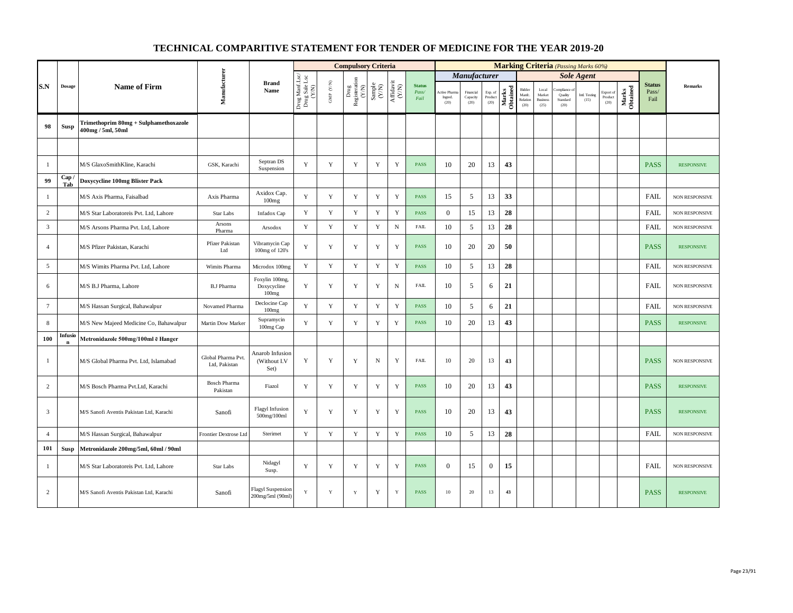|                 |                        |                                                            |                                     |                                              |                                          |                           | <b>Compulsory Criteria</b>                                                                                                      |                                                                     |                                                                             |                                |                                        |                               |                            |                   |                                      |                                            |                                           | <b>Marking Criteria</b> (Passing Marks 60%) |                              |                   |                                |                       |
|-----------------|------------------------|------------------------------------------------------------|-------------------------------------|----------------------------------------------|------------------------------------------|---------------------------|---------------------------------------------------------------------------------------------------------------------------------|---------------------------------------------------------------------|-----------------------------------------------------------------------------|--------------------------------|----------------------------------------|-------------------------------|----------------------------|-------------------|--------------------------------------|--------------------------------------------|-------------------------------------------|---------------------------------------------|------------------------------|-------------------|--------------------------------|-----------------------|
|                 |                        |                                                            |                                     |                                              |                                          |                           |                                                                                                                                 |                                                                     |                                                                             |                                |                                        | Manufacturer                  |                            |                   |                                      |                                            |                                           | <b>Sole Agent</b>                           |                              |                   |                                |                       |
| S.N             | <b>Dosage</b>          | <b>Name of Firm</b>                                        | Manufacturer                        | <b>Brand</b><br>Name                         | Drug Manf.Lsc/<br>Drug Sale Lsc<br>(Y/N) | ${\rm GMP}$ ${\rm (V/N)}$ | $\begin{tabular}{l} \hline \textbf{Drug} \\ \textbf{Re} \textbf{g} \text{isteration} \\ (\textbf{Y/N}) \\ \hline \end{tabular}$ | $\begin{array}{c} \text{Sample} \\ \text{C}(\text{NN}) \end{array}$ | $\begin{array}{c} \textrm{Affdavit} \\ \textrm{(\textbf{Y/N})} \end{array}$ | <b>Status</b><br>Pass/<br>Fail | <b>Active Pharm</b><br>Ingred.<br>(20) | Financial<br>Capacity<br>(20) | Exp. of<br>Product<br>(20) | Marks<br>Obtained | Bidder<br>Manfe.<br>Relation<br>(20) | Local<br>Market<br><b>Business</b><br>(25) | ampliance.<br>Quality<br>Standard<br>(20) | Intl. Testing<br>(15)                       | Export of<br>Product<br>(20) | Marks<br>Obtained | <b>Status</b><br>Pass/<br>Fail | <b>Remarks</b>        |
| 98              | Susp                   | Trimethoprim 80mg + Sulphamethoxazole<br>400mg / 5ml, 50ml |                                     |                                              |                                          |                           |                                                                                                                                 |                                                                     |                                                                             |                                |                                        |                               |                            |                   |                                      |                                            |                                           |                                             |                              |                   |                                |                       |
|                 |                        |                                                            |                                     |                                              |                                          |                           |                                                                                                                                 |                                                                     |                                                                             |                                |                                        |                               |                            |                   |                                      |                                            |                                           |                                             |                              |                   |                                |                       |
| 1               |                        | M/S GlaxoSmithKline, Karachi                               | GSK, Karachi                        | Septran DS<br>Suspension                     | Y                                        | Y                         | Y                                                                                                                               | Y                                                                   | Y                                                                           | <b>PASS</b>                    | 10                                     | 20                            | 13                         | 43                |                                      |                                            |                                           |                                             |                              |                   | <b>PASS</b>                    | <b>RESPONSIVE</b>     |
| 99              | Cap.<br>Tab            | Doxycycline 100mg Blister Pack                             |                                     |                                              |                                          |                           |                                                                                                                                 |                                                                     |                                                                             |                                |                                        |                               |                            |                   |                                      |                                            |                                           |                                             |                              |                   |                                |                       |
| -1              |                        | M/S Axis Pharma, Faisalbad                                 | Axis Pharma                         | Axidox Cap.<br>100mg                         | $\mathbf Y$                              | $\mathbf Y$               | Y                                                                                                                               | Y                                                                   | Y                                                                           | <b>PASS</b>                    | 15                                     | 5                             | 13                         | 33                |                                      |                                            |                                           |                                             |                              |                   | <b>FAIL</b>                    | NON RESPONSIVE        |
| 2               |                        | M/S Star Laboratoreis Pvt. Ltd, Lahore                     | Star Labs                           | <b>Infadox Cap</b>                           | Y                                        | Y                         | Y                                                                                                                               | $\mathbf Y$                                                         | $\mathbf Y$                                                                 | <b>PASS</b>                    | $\theta$                               | 15                            | 13                         | 28                |                                      |                                            |                                           |                                             |                              |                   | <b>FAIL</b>                    | <b>NON RESPONSIVE</b> |
| $\overline{3}$  |                        | M/S Arsons Pharma Pvt. Ltd, Lahore                         | Arsons<br>Pharma                    | Arsodox                                      | Y                                        | $\mathbf Y$               | $\mathbf Y$                                                                                                                     | Y                                                                   | ${\bf N}$                                                                   | <b>FAIL</b>                    | 10                                     | 5                             | 13                         | 28                |                                      |                                            |                                           |                                             |                              |                   | <b>FAIL</b>                    | <b>NON RESPONSIVE</b> |
| $\overline{4}$  |                        | M/S Pfizer Pakistan, Karachi                               | Pfizer Pakistan<br>Ltd              | Vibramycin Cap<br>100mg of 120's             | Y                                        | $\mathbf Y$               | Y                                                                                                                               | Y                                                                   | $\mathbf Y$                                                                 | <b>PASS</b>                    | 10                                     | 20                            | 20                         | 50                |                                      |                                            |                                           |                                             |                              |                   | <b>PASS</b>                    | <b>RESPONSIVE</b>     |
| 5               |                        | M/S Wimits Pharma Pvt. Ltd, Lahore                         | Wimits Pharma                       | Microdox 100mg                               | $\mathbf Y$                              | Y                         | $\mathbf Y$                                                                                                                     | $\mathbf Y$                                                         | Y                                                                           | <b>PASS</b>                    | 10                                     | 5                             | 13                         | 28                |                                      |                                            |                                           |                                             |                              |                   | <b>FAIL</b>                    | NON RESPONSIVE        |
| 6               |                        | M/S B.J Pharma, Lahore                                     | <b>B.J Pharma</b>                   | Foxylin 100mg,<br>Doxycycline<br>100mg       | Y                                        | $\mathbf Y$               | Y                                                                                                                               | Y                                                                   | $\,$ N                                                                      | <b>FAIL</b>                    | 10                                     | 5                             | 6                          | 21                |                                      |                                            |                                           |                                             |                              |                   | <b>FAIL</b>                    | NON RESPONSIVE        |
| $7\phantom{.0}$ |                        | M/S Hassan Surgical, Bahawalpur                            | Novamed Pharma                      | Declocine Cap<br>100mg                       | Y                                        | $\mathbf Y$               | $\mathbf Y$                                                                                                                     | $\mathbf Y$                                                         | $\mathbf Y$                                                                 | <b>PASS</b>                    | 10                                     | 5                             | 6                          | 21                |                                      |                                            |                                           |                                             |                              |                   | <b>FAIL</b>                    | NON RESPONSIVE        |
| 8               |                        | M/S New Majeed Medicine Co, Bahawalpur                     | Martin Dow Marker                   | Supramycin<br>100mg Cap                      | Y                                        | Y                         | Y                                                                                                                               | Y                                                                   | $\mathbf Y$                                                                 | <b>PASS</b>                    | 10                                     | 20                            | 13                         | 43                |                                      |                                            |                                           |                                             |                              |                   | <b>PASS</b>                    | <b>RESPONSIVE</b>     |
| 100             | Infusio<br>$\mathbf n$ | Metronidazole 500mg/100ml ē Hanger                         |                                     |                                              |                                          |                           |                                                                                                                                 |                                                                     |                                                                             |                                |                                        |                               |                            |                   |                                      |                                            |                                           |                                             |                              |                   |                                |                       |
| $\mathbf{1}$    |                        | M/S Global Pharma Pvt. Ltd, Islamabad                      | Global Pharma Pvt.<br>Ltd, Pakistan | Anarob Infusion<br>(Without I.V<br>Set)      | Y                                        | $\mathbf Y$               | Y                                                                                                                               | $_{\rm N}$                                                          | $\mathbf Y$                                                                 | FAIL                           | 10                                     | 20                            | 13                         | 43                |                                      |                                            |                                           |                                             |                              |                   | <b>PASS</b>                    | <b>NON RESPONSIVE</b> |
| 2               |                        | M/S Bosch Pharma Pvt.Ltd, Karachi                          | <b>Bosch Pharma</b><br>Pakistan     | Fiazol                                       | Y                                        | $\mathbf Y$               | Y                                                                                                                               | $\mathbf Y$                                                         | $\mathbf Y$                                                                 | <b>PASS</b>                    | 10                                     | 20                            | 13                         | 43                |                                      |                                            |                                           |                                             |                              |                   | <b>PASS</b>                    | <b>RESPONSIVE</b>     |
| 3               |                        | M/S Sanofi Aventis Pakistan Ltd, Karachi                   | Sanofi                              | <b>Flagyl Infusion</b><br>500mg/100ml        | Y                                        | Y                         | Y                                                                                                                               | Y                                                                   | Y                                                                           | <b>PASS</b>                    | 10                                     | 20                            | 13                         | 43                |                                      |                                            |                                           |                                             |                              |                   | <b>PASS</b>                    | <b>RESPONSIVE</b>     |
| $\overline{4}$  |                        | M/S Hassan Surgical, Bahawalpur                            | Frontier Dextrose Ltd               | Sterimet                                     | Y                                        | $\mathbf Y$               | $\mathbf Y$                                                                                                                     | $\mathbf Y$                                                         | Y                                                                           | <b>PASS</b>                    | 10                                     | 5                             | 13                         | 28                |                                      |                                            |                                           |                                             |                              |                   | FAIL                           | NON RESPONSIVE        |
| 101             | Susp                   | Metronidazole 200mg/5ml, 60ml / 90ml                       |                                     |                                              |                                          |                           |                                                                                                                                 |                                                                     |                                                                             |                                |                                        |                               |                            |                   |                                      |                                            |                                           |                                             |                              |                   |                                |                       |
| -1              |                        | M/S Star Laboratoreis Pvt. Ltd, Lahore                     | Star Labs                           | Nidagyl<br>Susp.                             | Y                                        | $\mathbf Y$               | Y                                                                                                                               | Y                                                                   | Y                                                                           | <b>PASS</b>                    | $\overline{0}$                         | 15                            | $\mathbf{0}$               | 15                |                                      |                                            |                                           |                                             |                              |                   | <b>FAIL</b>                    | NON RESPONSIVE        |
| $\overline{c}$  |                        | M/S Sanofi Aventis Pakistan Ltd, Karachi                   | Sanofi                              | <b>Flagyl Suspension</b><br>200mg/5ml (90ml) | Y                                        | Y                         | Y                                                                                                                               | Y                                                                   | $\mathbf Y$                                                                 | <b>PASS</b>                    | 10                                     | 20                            | 13                         | 43                |                                      |                                            |                                           |                                             |                              |                   | <b>PASS</b>                    | <b>RESPONSIVE</b>     |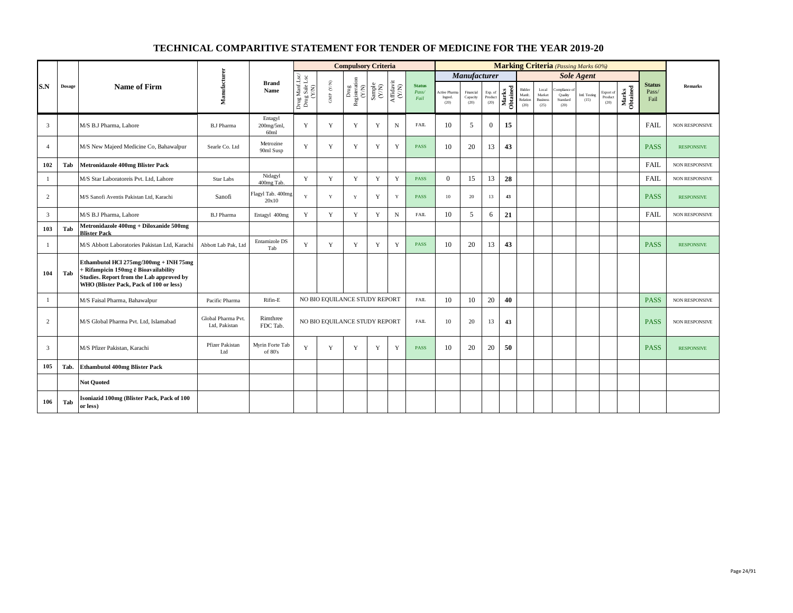|                |               |                                                                                                                                                                      |                                     |                                           |                                          |                               | <b>Compulsory Criteria</b>                                  |                                                              |                                      |                                |                                 |                               |                            |                   |                                      |                                            | <b>Marking Criteria</b> (Passing Marks 60%) |                       |                              |                   |                                |                       |
|----------------|---------------|----------------------------------------------------------------------------------------------------------------------------------------------------------------------|-------------------------------------|-------------------------------------------|------------------------------------------|-------------------------------|-------------------------------------------------------------|--------------------------------------------------------------|--------------------------------------|--------------------------------|---------------------------------|-------------------------------|----------------------------|-------------------|--------------------------------------|--------------------------------------------|---------------------------------------------|-----------------------|------------------------------|-------------------|--------------------------------|-----------------------|
|                |               |                                                                                                                                                                      |                                     |                                           |                                          |                               |                                                             |                                                              |                                      |                                |                                 | Manufacturer                  |                            |                   |                                      |                                            |                                             | <b>Sole Agent</b>     |                              |                   |                                |                       |
| S.N            | <b>Dosage</b> | <b>Name of Firm</b>                                                                                                                                                  | Manufacturer                        | <b>Brand</b><br>Name                      | Drug Manf.Lsc/<br>Drug Sale Lsc<br>(Y/N) | GMP $(\mathbf{Y/N})$          | Drug<br>Registeration $\stackrel{\text{N}}{\left(N\right)}$ | $\begin{array}{c} \text{Sample} \\ (\text{Y/N}) \end{array}$ | $\frac{\text{Affdavit}}{\text{N/N}}$ | <b>Status</b><br>Pass/<br>Fail | Active Pharm<br>Ingred.<br>(20) | Financial<br>Capacity<br>(20) | Exp. of<br>Product<br>(20) | Marks<br>Obtained | Bidder<br>Manfe.<br>Relation<br>(20) | Local<br>Market<br><b>Business</b><br>(25) | ompliance of<br>Quality<br>Standard<br>(20) | Intl. Testing<br>(15) | Export of<br>Product<br>(20) | Marks<br>Obtained | <b>Status</b><br>Pass/<br>Fail | <b>Remarks</b>        |
| $\overline{3}$ |               | M/S B.J Pharma, Lahore                                                                                                                                               | <b>B.J Pharma</b>                   | Entagyl<br>200mg/5ml,<br>60 <sub>ml</sub> | Y                                        | Y                             | Y                                                           | Y                                                            | $\mathbf N$                          | <b>FAIL</b>                    | 10                              | 5                             | $\overline{0}$             | 15                |                                      |                                            |                                             |                       |                              |                   | <b>FAIL</b>                    | <b>NON RESPONSIVE</b> |
| $\overline{4}$ |               | M/S New Majeed Medicine Co, Bahawalpur                                                                                                                               | Searle Co. Ltd                      | Metrozine<br>90ml Susp                    | $\mathbf{Y}$                             | Y                             | Y                                                           | Y                                                            | Y                                    | <b>PASS</b>                    | 10                              | 20                            | 13                         | 43                |                                      |                                            |                                             |                       |                              |                   | <b>PASS</b>                    | <b>RESPONSIVE</b>     |
| 102            | Tab           | Metronidazole 400mg Blister Pack                                                                                                                                     |                                     |                                           |                                          |                               |                                                             |                                                              |                                      |                                |                                 |                               |                            |                   |                                      |                                            |                                             |                       |                              |                   | <b>FAIL</b>                    | NON RESPONSIVE        |
| -1             |               | M/S Star Laboratoreis Pvt. Ltd, Lahore                                                                                                                               | Star Labs                           | Nidagyl<br>400mg Tab.                     | Y                                        | Y                             | Y                                                           | Y                                                            | Y                                    | <b>PASS</b>                    | $\overline{0}$                  | 15                            | 13                         | 28                |                                      |                                            |                                             |                       |                              |                   | <b>FAIL</b>                    | <b>NON RESPONSIVE</b> |
| 2              |               | M/S Sanofi Aventis Pakistan Ltd, Karachi                                                                                                                             | Sanofi                              | Flagyl Tab. 400mg<br>20x10                | Y                                        | Y                             | Y                                                           | Y                                                            | Y                                    | <b>PASS</b>                    | 10 <sup>°</sup>                 | 20                            | 13                         | 43                |                                      |                                            |                                             |                       |                              |                   | <b>PASS</b>                    | <b>RESPONSIVE</b>     |
| $\overline{3}$ |               | M/S B.J Pharma, Lahore                                                                                                                                               | <b>B.J Pharma</b>                   | Entagyl 400mg                             | Y                                        | Y                             | Y                                                           | Y                                                            | $\mathbf N$                          | FAIL                           | 10                              | 5                             | 6                          | 21                |                                      |                                            |                                             |                       |                              |                   | FAIL                           | NON RESPONSIVE        |
| 103            | Tab           | Metronidazole 400mg + Diloxanide 500mg<br><b>Blister Pack</b>                                                                                                        |                                     |                                           |                                          |                               |                                                             |                                                              |                                      |                                |                                 |                               |                            |                   |                                      |                                            |                                             |                       |                              |                   |                                |                       |
| 1              |               | M/S Abbott Laboratories Pakistan Ltd, Karachi                                                                                                                        | Abbott Lab Pak, Ltd                 | Entamizole DS<br>Tab                      | Y                                        | Y                             | Y                                                           | Y                                                            | Y                                    | <b>PASS</b>                    | 10                              | 20                            | 13                         | 43                |                                      |                                            |                                             |                       |                              |                   | <b>PASS</b>                    | <b>RESPONSIVE</b>     |
| 104            | Tab           | Ethambutol HCl 275mg/300mg + INH 75mg<br>+ Rifampicin 150mg ë Bioavailability<br>Studies. Report from the Lab approved by<br>WHO (Blister Pack, Pack of 100 or less) |                                     |                                           |                                          |                               |                                                             |                                                              |                                      |                                |                                 |                               |                            |                   |                                      |                                            |                                             |                       |                              |                   |                                |                       |
| -1             |               | M/S Faisal Pharma, Bahawalpur                                                                                                                                        | Pacific Pharma                      | Rifin-E                                   |                                          | NO BIO EQUILANCE STUDY REPORT |                                                             |                                                              |                                      | FAIL                           | 10                              | 10                            | 20                         | 40                |                                      |                                            |                                             |                       |                              |                   | <b>PASS</b>                    | NON RESPONSIVE        |
| 2              |               | M/S Global Pharma Pvt. Ltd, Islamabad                                                                                                                                | Global Pharma Pvt.<br>Ltd. Pakistan | Rimthree<br>FDC Tab.                      |                                          | NO BIO EQUILANCE STUDY REPORT |                                                             |                                                              |                                      | <b>FAIL</b>                    | 10                              | 20                            | 13                         | 43                |                                      |                                            |                                             |                       |                              |                   | <b>PASS</b>                    | <b>NON RESPONSIVE</b> |
| $\overline{3}$ |               | M/S Pfizer Pakistan, Karachi                                                                                                                                         | Pfizer Pakistan<br>Ltd              | Myrin Forte Tab<br>of 80's                | Y                                        | Y                             | Y                                                           | Y                                                            | Y                                    | <b>PASS</b>                    | 10                              | 20                            | 20                         | 50                |                                      |                                            |                                             |                       |                              |                   | <b>PASS</b>                    | <b>RESPONSIVE</b>     |
| 105            | Tab.          | <b>Ethambutol 400mg Blister Pack</b>                                                                                                                                 |                                     |                                           |                                          |                               |                                                             |                                                              |                                      |                                |                                 |                               |                            |                   |                                      |                                            |                                             |                       |                              |                   |                                |                       |
|                |               | <b>Not Ouoted</b>                                                                                                                                                    |                                     |                                           |                                          |                               |                                                             |                                                              |                                      |                                |                                 |                               |                            |                   |                                      |                                            |                                             |                       |                              |                   |                                |                       |
| 106            | Tab           | Isoniazid 100mg (Blister Pack, Pack of 100<br>or less)                                                                                                               |                                     |                                           |                                          |                               |                                                             |                                                              |                                      |                                |                                 |                               |                            |                   |                                      |                                            |                                             |                       |                              |                   |                                |                       |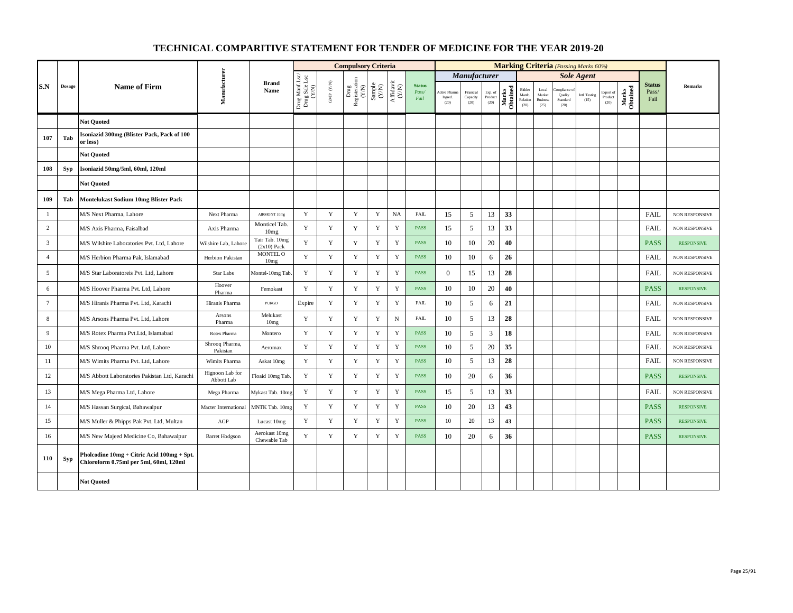|                 |               |                                                                                      |                               |                                 |                                          |                                          | <b>Compulsory Criteria</b>                                                               |                                                              |                                                                                       |                                |                                |                               |                            |                   |                                      |                                            |                                            | <b>Marking Criteria</b> (Passing Marks 60%) |                              |                   |                                |                       |
|-----------------|---------------|--------------------------------------------------------------------------------------|-------------------------------|---------------------------------|------------------------------------------|------------------------------------------|------------------------------------------------------------------------------------------|--------------------------------------------------------------|---------------------------------------------------------------------------------------|--------------------------------|--------------------------------|-------------------------------|----------------------------|-------------------|--------------------------------------|--------------------------------------------|--------------------------------------------|---------------------------------------------|------------------------------|-------------------|--------------------------------|-----------------------|
|                 |               |                                                                                      |                               |                                 |                                          |                                          |                                                                                          |                                                              |                                                                                       |                                |                                | <b>Manufacturer</b>           |                            |                   |                                      |                                            |                                            | <b>Sole Agent</b>                           |                              |                   |                                |                       |
| S.N             | <b>Dosage</b> | Name of Firm                                                                         | Manufacturer                  | <b>Brand</b><br>Name            | Drug Manf.Lsc/<br>Drug Sale Lsc<br>(Y/N) | $\ensuremath{\mathrm{GMP}}\xspace$ (Y/N) | $\begin{array}{c} \mathrm{Drag} \\ \mathrm{Registeration} \\ (Y/\mathrm{N}) \end{array}$ | $\begin{array}{c} \text{Sample} \\ (\text{Y/N}) \end{array}$ | $\begin{array}{c} \mathrm{Aff} \mathrm{dav} \mathrm{i} \\ (\mathrm{Y/N}) \end{array}$ | <b>Status</b><br>Pass/<br>Fail | ctive Pharm<br>Ingred.<br>(20) | Financial<br>Capacity<br>(20) | Exp. of<br>Product<br>(20) | Marks<br>Obtained | Bidder<br>Manfc.<br>Relation<br>(20) | Local<br>Market<br><b>Business</b><br>(25) | ompliance o<br>Quality<br>Standard<br>(20) | Intl. Testing<br>(15)                       | Export of<br>Product<br>(20) | Marks<br>Obtained | <b>Status</b><br>Pass/<br>Fail | <b>Remarks</b>        |
|                 |               | <b>Not Ouoted</b>                                                                    |                               |                                 |                                          |                                          |                                                                                          |                                                              |                                                                                       |                                |                                |                               |                            |                   |                                      |                                            |                                            |                                             |                              |                   |                                |                       |
| 107             | Tab           | Isoniazid 300mg (Blister Pack, Pack of 100<br>or less)                               |                               |                                 |                                          |                                          |                                                                                          |                                                              |                                                                                       |                                |                                |                               |                            |                   |                                      |                                            |                                            |                                             |                              |                   |                                |                       |
|                 |               | <b>Not Quoted</b>                                                                    |                               |                                 |                                          |                                          |                                                                                          |                                                              |                                                                                       |                                |                                |                               |                            |                   |                                      |                                            |                                            |                                             |                              |                   |                                |                       |
| 108             | <b>Syp</b>    | Isoniazid 50mg/5ml, 60ml, 120ml                                                      |                               |                                 |                                          |                                          |                                                                                          |                                                              |                                                                                       |                                |                                |                               |                            |                   |                                      |                                            |                                            |                                             |                              |                   |                                |                       |
|                 |               | <b>Not Quoted</b>                                                                    |                               |                                 |                                          |                                          |                                                                                          |                                                              |                                                                                       |                                |                                |                               |                            |                   |                                      |                                            |                                            |                                             |                              |                   |                                |                       |
| 109             | Tab           | <b>Montelukast Sodium 10mg Blister Pack</b>                                          |                               |                                 |                                          |                                          |                                                                                          |                                                              |                                                                                       |                                |                                |                               |                            |                   |                                      |                                            |                                            |                                             |                              |                   |                                |                       |
| -1              |               | M/S Next Pharma, Lahore                                                              | Next Pharma                   | AIRMONT 10mg                    | Y                                        | Y                                        | Y                                                                                        | Y                                                            | NA                                                                                    | <b>FAIL</b>                    | 15                             | 5                             | 13                         | 33                |                                      |                                            |                                            |                                             |                              |                   | FAIL                           | NON RESPONSIVE        |
| $\overline{2}$  |               | M/S Axis Pharma, Faisalbad                                                           | Axis Pharma                   | Monticel Tab.<br>10mg           | Y                                        | $\mathbf Y$                              | $\mathbf Y$                                                                              | $\mathbf Y$                                                  | $\mathbf Y$                                                                           | <b>PASS</b>                    | 15                             | 5                             | 13                         | 33                |                                      |                                            |                                            |                                             |                              |                   | <b>FAIL</b>                    | <b>NON RESPONSIVE</b> |
| $\overline{3}$  |               | M/S Wilshire Laboratories Pvt. Ltd, Lahore                                           | Wilshire Lab, Lahore          | Tair Tab. 10mg<br>$(2x10)$ Pack | Y                                        | $\mathbf Y$                              | $\mathbf Y$                                                                              | $\mathbf Y$                                                  | Y                                                                                     | <b>PASS</b>                    | 10                             | 10                            | 20                         | 40                |                                      |                                            |                                            |                                             |                              |                   | <b>PASS</b>                    | <b>RESPONSIVE</b>     |
| $\overline{4}$  |               | M/S Herbion Pharma Pak, Islamabad                                                    | Herbion Pakistan              | MONTEL O<br>10 <sub>mg</sub>    | $\mathbf Y$                              | $\mathbf Y$                              | $\mathbf Y$                                                                              | $\mathbf Y$                                                  | $\mathbf Y$                                                                           | <b>PASS</b>                    | 10                             | $10\,$                        | 6                          | 26                |                                      |                                            |                                            |                                             |                              |                   | <b>FAIL</b>                    | <b>NON RESPONSIVE</b> |
| 5               |               | M/S Star Laboratoreis Pvt. Ltd, Lahore                                               | Star Labs                     | Montel-10mg Tab                 | Y                                        | Y                                        | $\mathbf Y$                                                                              | Y                                                            | Y                                                                                     | <b>PASS</b>                    | $\overline{0}$                 | 15                            | 13                         | 28                |                                      |                                            |                                            |                                             |                              |                   | <b>FAIL</b>                    | NON RESPONSIVE        |
| 6               |               | M/S Hoover Pharma Pvt. Ltd, Lahore                                                   | Hoover<br>Pharma              | Femokast                        | Y                                        | Y                                        | $\mathbf Y$                                                                              | $\mathbf Y$                                                  | $\mathbf Y$                                                                           | <b>PASS</b>                    | 10                             | 10                            | 20                         | 40                |                                      |                                            |                                            |                                             |                              |                   | <b>PASS</b>                    | <b>RESPONSIVE</b>     |
| $7\phantom{.0}$ |               | M/S Hiranis Pharma Pvt. Ltd, Karachi                                                 | Hiranis Pharma                | PURGO                           | Expire                                   | $\mathbf Y$                              | $\mathbf Y$                                                                              | $\mathbf Y$                                                  | $\mathbf Y$                                                                           | <b>FAIL</b>                    | 10                             | $\sqrt{5}$                    | 6                          | 21                |                                      |                                            |                                            |                                             |                              |                   | <b>FAIL</b>                    | NON RESPONSIVE        |
| 8               |               | M/S Arsons Pharma Pvt. Ltd, Lahore                                                   | Arsons<br>Pharma              | Melukast<br>10mg                | Y                                        | Y                                        | $\mathbf Y$                                                                              | $\mathbf Y$                                                  | $\mathbf N$                                                                           | <b>FAIL</b>                    | 10                             | 5                             | 13                         | 28                |                                      |                                            |                                            |                                             |                              |                   | <b>FAIL</b>                    | NON RESPONSIVE        |
| 9               |               | M/S Rotex Pharma Pvt.Ltd. Islamabad                                                  | Rotex Pharma                  | Montero                         | Y                                        | $\mathbf Y$                              | $\mathbf Y$                                                                              | $\mathbf Y$                                                  | Y                                                                                     | <b>PASS</b>                    | 10                             | $5\overline{)}$               | 3                          | 18                |                                      |                                            |                                            |                                             |                              |                   | <b>FAIL</b>                    | NON RESPONSIVE        |
| $10\,$          |               | M/S Shrooq Pharma Pvt. Ltd, Lahore                                                   | Shrooq Pharma,<br>Pakistan    | Aeromax                         | $\mathbf Y$                              | $\mathbf Y$                              | $\mathbf Y$                                                                              | $\mathbf Y$                                                  | Y                                                                                     | <b>PASS</b>                    | 10                             | 5                             | 20                         | 35                |                                      |                                            |                                            |                                             |                              |                   | <b>FAIL</b>                    | NON RESPONSIVE        |
| 11              |               | M/S Wimits Pharma Pvt. Ltd, Lahore                                                   | Wimits Pharma                 | Askat 10mg                      | Y                                        | $\mathbf Y$                              | $\mathbf Y$                                                                              | $\mathbf Y$                                                  | $\mathbf Y$                                                                           | <b>PASS</b>                    | 10                             | 5                             | 13                         | 28                |                                      |                                            |                                            |                                             |                              |                   | FAIL                           | <b>NON RESPONSIVE</b> |
| 12              |               | M/S Abbott Laboratories Pakistan Ltd, Karachi                                        | Hignoon Lab for<br>Abbott Lab | Floaid 10mg Tab                 | Y                                        | $\mathbf Y$                              | $\mathbf Y$                                                                              | $\mathbf Y$                                                  | $\mathbf Y$                                                                           | <b>PASS</b>                    | 10                             | 20                            | 6                          | 36                |                                      |                                            |                                            |                                             |                              |                   | <b>PASS</b>                    | <b>RESPONSIVE</b>     |
| 13              |               | M/S Mega Pharma Ltd, Lahore                                                          | Mega Pharma                   | Mykast Tab. 10mg                | Y                                        | Y                                        | $\mathbf Y$                                                                              | $\mathbf Y$                                                  | Y                                                                                     | <b>PASS</b>                    | 15                             | 5                             | 13                         | 33                |                                      |                                            |                                            |                                             |                              |                   | <b>FAIL</b>                    | NON RESPONSIVE        |
| 14              |               | M/S Hassan Surgical, Bahawalpur                                                      | Macter International          | MNTK Tab. 10mg                  | Y                                        | Y                                        | $\mathbf Y$                                                                              | $\mathbf Y$                                                  | $\mathbf Y$                                                                           | <b>PASS</b>                    | 10                             | 20                            | 13                         | 43                |                                      |                                            |                                            |                                             |                              |                   | <b>PASS</b>                    | <b>RESPONSIVE</b>     |
| 15              |               | M/S Muller & Phipps Pak Pvt. Ltd, Multan                                             | $AGP$                         | Lucast 10mg                     | Y                                        | $\mathbf Y$                              | $\mathbf Y$                                                                              | $\mathbf Y$                                                  | $\mathbf Y$                                                                           | <b>PASS</b>                    | 10                             | 20                            | 13                         | 43                |                                      |                                            |                                            |                                             |                              |                   | <b>PASS</b>                    | <b>RESPONSIVE</b>     |
| 16              |               | M/S New Majeed Medicine Co, Bahawalpur                                               | <b>Barret Hodgson</b>         | Aerokast 10mg<br>Chewable Tab   | Y                                        | $\mathbf Y$                              | Y                                                                                        | Y                                                            | Y                                                                                     | <b>PASS</b>                    | 10                             | 20                            | 6                          | 36                |                                      |                                            |                                            |                                             |                              |                   | <b>PASS</b>                    | <b>RESPONSIVE</b>     |
| 110             | Syp           | Pholcodine 10mg + Citric Acid 100mg + Spt.<br>Chloroform 0.75ml per 5ml, 60ml, 120ml |                               |                                 |                                          |                                          |                                                                                          |                                                              |                                                                                       |                                |                                |                               |                            |                   |                                      |                                            |                                            |                                             |                              |                   |                                |                       |
|                 |               | <b>Not Ouoted</b>                                                                    |                               |                                 |                                          |                                          |                                                                                          |                                                              |                                                                                       |                                |                                |                               |                            |                   |                                      |                                            |                                            |                                             |                              |                   |                                |                       |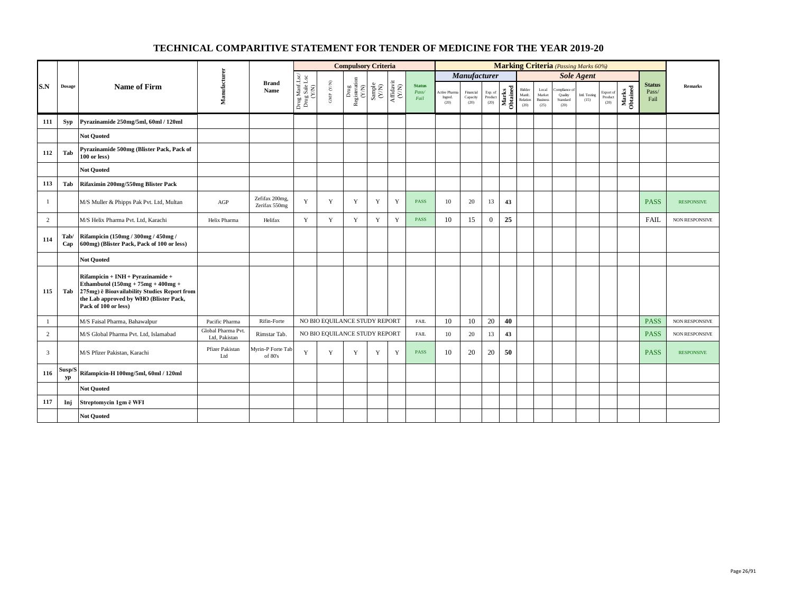|                |               |                                                                                                                                                                                             |                                     |                                 |                                                                                            |                               | <b>Compulsory Criteria</b>                                                |                                                              |                                                                              |                                |                                         |                               |                            |                   |                                      |                                            | <b>Marking Criteria</b> (Passing Marks 60%)  |                       |                              |                   |                                |                   |
|----------------|---------------|---------------------------------------------------------------------------------------------------------------------------------------------------------------------------------------------|-------------------------------------|---------------------------------|--------------------------------------------------------------------------------------------|-------------------------------|---------------------------------------------------------------------------|--------------------------------------------------------------|------------------------------------------------------------------------------|--------------------------------|-----------------------------------------|-------------------------------|----------------------------|-------------------|--------------------------------------|--------------------------------------------|----------------------------------------------|-----------------------|------------------------------|-------------------|--------------------------------|-------------------|
|                |               |                                                                                                                                                                                             |                                     |                                 |                                                                                            |                               |                                                                           |                                                              |                                                                              |                                |                                         | Manufacturer                  |                            |                   |                                      |                                            |                                              | <b>Sole Agent</b>     |                              |                   |                                |                   |
| S.N            | <b>Dosage</b> | Name of Firm                                                                                                                                                                                | Manufacturer                        | <b>Brand</b><br>Name            | $\begin{array}{c} \text{Drug MantLsc} \\ \text{Drug Sale Lsc} \\ (\text{X/M}) \end{array}$ | GMP $(\mathbf{Y/N})$          | $\begin{tabular}{l} \bf Drug \\ \bf Registeration \\ (Y/N) \end{tabular}$ | $\begin{array}{c} \text{Sample} \\ (\text{Y/N}) \end{array}$ | $\begin{array}{c} \mathrm{Aff} \mathrm{davit} \\ (\mathrm{Y/N}) \end{array}$ | <b>Status</b><br>Pass/<br>Fail | <b>Active Pharma</b><br>Ingred.<br>(20) | Financial<br>Capacity<br>(20) | Exp. of<br>Product<br>(20) | Marks<br>Obtained | Bidder<br>Manfc.<br>Relation<br>(20) | Local<br>Market<br><b>Business</b><br>(25) | Compliance of<br>Quality<br>Standard<br>(20) | Intl. Testing<br>(15) | Export of<br>Product<br>(20) | Marks<br>Obtained | <b>Status</b><br>Pass/<br>Fail | <b>Remarks</b>    |
| 111            | <b>Syp</b>    | Pyrazinamide 250mg/5ml, 60ml / 120ml                                                                                                                                                        |                                     |                                 |                                                                                            |                               |                                                                           |                                                              |                                                                              |                                |                                         |                               |                            |                   |                                      |                                            |                                              |                       |                              |                   |                                |                   |
|                |               | <b>Not Ouoted</b>                                                                                                                                                                           |                                     |                                 |                                                                                            |                               |                                                                           |                                                              |                                                                              |                                |                                         |                               |                            |                   |                                      |                                            |                                              |                       |                              |                   |                                |                   |
| 112            | Tab           | Pyrazinamide 500mg (Blister Pack, Pack of<br>$100$ or less)                                                                                                                                 |                                     |                                 |                                                                                            |                               |                                                                           |                                                              |                                                                              |                                |                                         |                               |                            |                   |                                      |                                            |                                              |                       |                              |                   |                                |                   |
|                |               | <b>Not Ouoted</b>                                                                                                                                                                           |                                     |                                 |                                                                                            |                               |                                                                           |                                                              |                                                                              |                                |                                         |                               |                            |                   |                                      |                                            |                                              |                       |                              |                   |                                |                   |
| 113            | Tab           | Rifaximin 200mg/550mg Blister Pack                                                                                                                                                          |                                     |                                 |                                                                                            |                               |                                                                           |                                                              |                                                                              |                                |                                         |                               |                            |                   |                                      |                                            |                                              |                       |                              |                   |                                |                   |
| -1             |               | M/S Muller & Phipps Pak Pvt. Ltd, Multan                                                                                                                                                    | AGP                                 | Zefifax 200mg,<br>Zerifax 550mg | Y                                                                                          | Y                             | Y                                                                         | Y                                                            | Y                                                                            | <b>PASS</b>                    | 10                                      | 20                            | 13                         | 43                |                                      |                                            |                                              |                       |                              |                   | <b>PASS</b>                    | <b>RESPONSIVE</b> |
| $\overline{c}$ |               | M/S Helix Pharma Pvt. Ltd, Karachi                                                                                                                                                          | Helix Pharma                        | Helifax                         | Y                                                                                          | Y                             | Y                                                                         | Y                                                            | Y                                                                            | <b>PASS</b>                    | 10                                      | 15                            | $\theta$                   | 25                |                                      |                                            |                                              |                       |                              |                   | <b>FAIL</b>                    | NON RESPONSIVE    |
| 114            | Tab/<br>Cap   | Rifampicin (150mg / 300mg / 450mg /<br>600mg) (Blister Pack, Pack of 100 or less)                                                                                                           |                                     |                                 |                                                                                            |                               |                                                                           |                                                              |                                                                              |                                |                                         |                               |                            |                   |                                      |                                            |                                              |                       |                              |                   |                                |                   |
|                |               | <b>Not Ouoted</b>                                                                                                                                                                           |                                     |                                 |                                                                                            |                               |                                                                           |                                                              |                                                                              |                                |                                         |                               |                            |                   |                                      |                                            |                                              |                       |                              |                   |                                |                   |
| 115            | Tab           | Rifampicin + INH + Pyrazinamide +<br>Ethambutol $(150mg + 75mg + 400mg +$<br>275mg) ē Bioavailability Studies Report from<br>the Lab approved by WHO (Blister Pack,<br>Pack of 100 or less) |                                     |                                 |                                                                                            |                               |                                                                           |                                                              |                                                                              |                                |                                         |                               |                            |                   |                                      |                                            |                                              |                       |                              |                   |                                |                   |
| 1              |               | M/S Faisal Pharma, Bahawalpur                                                                                                                                                               | Pacific Pharma                      | Rifin-Forte                     |                                                                                            | NO BIO EQUILANCE STUDY REPORT |                                                                           |                                                              |                                                                              | <b>FAIL</b>                    | 10                                      | 10                            | 20                         | 40                |                                      |                                            |                                              |                       |                              |                   | <b>PASS</b>                    | NON RESPONSIVE    |
| 2              |               | M/S Global Pharma Pvt. Ltd, Islamabad                                                                                                                                                       | Global Pharma Pvt.<br>Ltd, Pakistan | Rimstar Tab.                    |                                                                                            | NO BIO EQUILANCE STUDY REPORT |                                                                           |                                                              |                                                                              | <b>FAIL</b>                    | 10                                      | 20                            | 13                         | 43                |                                      |                                            |                                              |                       |                              |                   | <b>PASS</b>                    | NON RESPONSIVE    |
| 3              |               | M/S Pfizer Pakistan, Karachi                                                                                                                                                                | Pfizer Pakistan<br>Ltd              | Myrin-P Forte Tab<br>of 80's    | Y                                                                                          | $\mathbf Y$                   | Y                                                                         | $\mathbf Y$                                                  | Y                                                                            | <b>PASS</b>                    | 10                                      | 20                            | 20                         | 50                |                                      |                                            |                                              |                       |                              |                   | <b>PASS</b>                    | <b>RESPONSIVE</b> |
| 116            | Susp/S<br>уp  | Rifampicin-H 100mg/5ml, 60ml / 120ml                                                                                                                                                        |                                     |                                 |                                                                                            |                               |                                                                           |                                                              |                                                                              |                                |                                         |                               |                            |                   |                                      |                                            |                                              |                       |                              |                   |                                |                   |
|                |               | <b>Not Ouoted</b>                                                                                                                                                                           |                                     |                                 |                                                                                            |                               |                                                                           |                                                              |                                                                              |                                |                                         |                               |                            |                   |                                      |                                            |                                              |                       |                              |                   |                                |                   |
| 117            | Inj           | Streptomycin 1gm ē WFI                                                                                                                                                                      |                                     |                                 |                                                                                            |                               |                                                                           |                                                              |                                                                              |                                |                                         |                               |                            |                   |                                      |                                            |                                              |                       |                              |                   |                                |                   |
|                |               | <b>Not Quoted</b>                                                                                                                                                                           |                                     |                                 |                                                                                            |                               |                                                                           |                                                              |                                                                              |                                |                                         |                               |                            |                   |                                      |                                            |                                              |                       |                              |                   |                                |                   |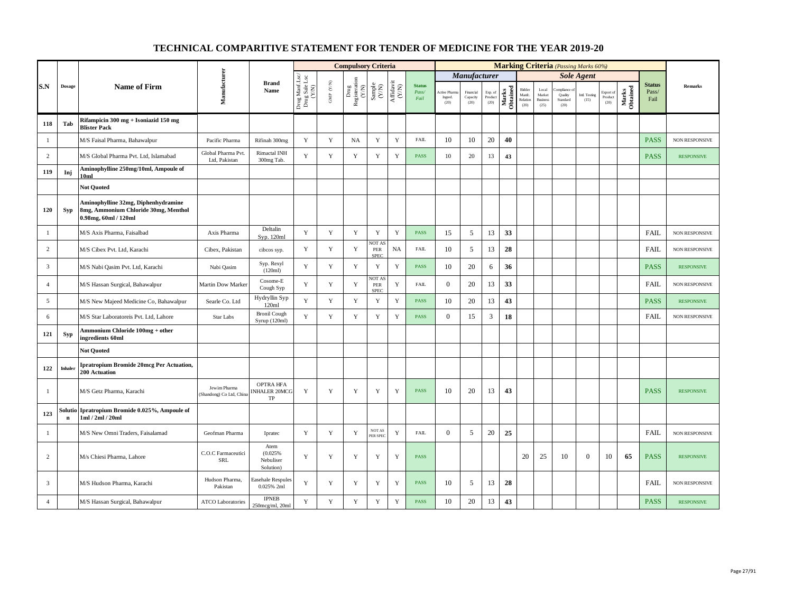|                |               |                                                                                                     |                                        |                                           |                                          |                                         | <b>Compulsory Criteria</b>    |                                                             |                                      |                                |                                       |                               |                            |                   |                                      |                                            | Marking Criteria (Passing Marks 60%)     |                       |                              |                   |                                |                       |
|----------------|---------------|-----------------------------------------------------------------------------------------------------|----------------------------------------|-------------------------------------------|------------------------------------------|-----------------------------------------|-------------------------------|-------------------------------------------------------------|--------------------------------------|--------------------------------|---------------------------------------|-------------------------------|----------------------------|-------------------|--------------------------------------|--------------------------------------------|------------------------------------------|-----------------------|------------------------------|-------------------|--------------------------------|-----------------------|
|                |               |                                                                                                     |                                        |                                           |                                          |                                         |                               |                                                             |                                      |                                |                                       | <b>Manufacturer</b>           |                            |                   |                                      |                                            |                                          | <b>Sole Agent</b>     |                              |                   |                                |                       |
| S.N            | <b>Dosage</b> | <b>Name of Firm</b>                                                                                 | Manufacturer                           | <b>Brand</b><br>Name                      | Drug Manf.Lsc/<br>Drug Sale Lsc<br>(Y/N) | $\ensuremath{\mathsf{GMP}}\xspace$ (YN) | Drug<br>Registeration $(Y/N)$ | $\begin{array}{c} \text{Sample} \\ \text{C/N)} \end{array}$ | $\frac{\text{Affdavit}}{\text{N/N}}$ | <b>Status</b><br>Pass/<br>Fail | <b>Active Pham</b><br>Ingred.<br>(20) | Financial<br>Capacity<br>(20) | Exp. of<br>Product<br>(20) | Marks<br>Obtained | Bidder<br>Manfc.<br>Relation<br>(20) | Local<br>Market<br><b>Business</b><br>(25) | ompliance<br>Quality<br>Standard<br>(20) | Intl. Testing<br>(15) | Export of<br>Product<br>(20) | Marks<br>Obtained | <b>Status</b><br>Pass/<br>Fail | Remarks               |
| 118            | Tab           | Rifampicin 300 mg + Isoniazid 150 mg<br><b>Blister Pack</b>                                         |                                        |                                           |                                          |                                         |                               |                                                             |                                      |                                |                                       |                               |                            |                   |                                      |                                            |                                          |                       |                              |                   |                                |                       |
| -1             |               | M/S Faisal Pharma, Bahawalpur                                                                       | Pacific Pharma                         | Rifinah 300mg                             | $\mathbf Y$                              | $\mathbf Y$                             | <b>NA</b>                     | $\mathbf Y$                                                 | $\mathbf Y$                          | <b>FAIL</b>                    | 10                                    | 10                            | 20                         | 40                |                                      |                                            |                                          |                       |                              |                   | <b>PASS</b>                    | NON RESPONSIVE        |
| $\overline{c}$ |               | M/S Global Pharma Pvt. Ltd, Islamabad                                                               | Global Pharma Pvt.<br>Ltd, Pakistan    | Rimactal INH<br>300mg Tab.                | Y                                        | $\mathbf Y$                             | $\mathbf Y$                   | Y                                                           | $\mathbf Y$                          | <b>PASS</b>                    | 10                                    | 20                            | 13                         | 43                |                                      |                                            |                                          |                       |                              |                   | <b>PASS</b>                    | <b>RESPONSIVE</b>     |
| 119            | Inj           | Aminophylline 250mg/10ml, Ampoule of<br>10ml                                                        |                                        |                                           |                                          |                                         |                               |                                                             |                                      |                                |                                       |                               |                            |                   |                                      |                                            |                                          |                       |                              |                   |                                |                       |
|                |               | <b>Not Quoted</b>                                                                                   |                                        |                                           |                                          |                                         |                               |                                                             |                                      |                                |                                       |                               |                            |                   |                                      |                                            |                                          |                       |                              |                   |                                |                       |
| 120            | Syp           | Aminophylline 32mg, Diphenhydramine<br>8mg, Ammonium Chloride 30mg, Menthol<br>0.98mg, 60ml / 120ml |                                        |                                           |                                          |                                         |                               |                                                             |                                      |                                |                                       |                               |                            |                   |                                      |                                            |                                          |                       |                              |                   |                                |                       |
| $\mathbf{1}$   |               | M/S Axis Pharma, Faisalbad                                                                          | Axis Pharma                            | Deltalin<br>Syp. 120ml                    | Y                                        | $\mathbf Y$                             | $\mathbf Y$                   | $\mathbf Y$                                                 | $\mathbf Y$                          | <b>PASS</b>                    | 15                                    | 5                             | 13                         | 33                |                                      |                                            |                                          |                       |                              |                   | <b>FAIL</b>                    | NON RESPONSIVE        |
| 2              |               | M/S Cibex Pvt. Ltd, Karachi                                                                         | Cibex, Pakistan                        | cibcos syp.                               | $\mathbf Y$                              | $\mathbf Y$                             | $\mathbf Y$                   | NOT AS<br>${\tt PER}$<br>SPEC                               | <b>NA</b>                            | <b>FAIL</b>                    | 10                                    | 5                             | 13                         | 28                |                                      |                                            |                                          |                       |                              |                   | <b>FAIL</b>                    | <b>NON RESPONSIVE</b> |
| 3              |               | M/S Nabi Qasim Pvt. Ltd, Karachi                                                                    | Nabi Qasim                             | Syp. Rexyl<br>(120ml)                     | Y                                        | Y                                       | Y                             | $\mathbf Y$                                                 | $\mathbf Y$                          | <b>PASS</b>                    | 10                                    | 20                            | 6                          | 36                |                                      |                                            |                                          |                       |                              |                   | <b>PASS</b>                    | <b>RESPONSIVE</b>     |
| $\overline{4}$ |               | M/S Hassan Surgical, Bahawalpur                                                                     | Martin Dow Marker                      | Cosome-E<br>Cough Syp                     | Y                                        | $\mathbf Y$                             | $\mathbf Y$                   | NOT AS<br>PER<br>SPEC                                       | $\mathbf Y$                          | <b>FAIL</b>                    | $\mathbf{0}$                          | 20                            | 13                         | 33                |                                      |                                            |                                          |                       |                              |                   | <b>FAIL</b>                    | <b>NON RESPONSIVE</b> |
| 5              |               | M/S New Majeed Medicine Co, Bahawalpur                                                              | Searle Co. Ltd                         | Hydryllin Syp<br>120ml                    | Y                                        | $\mathbf Y$                             | $\mathbf Y$                   | $\mathbf Y$                                                 | $\mathbf Y$                          | <b>PASS</b>                    | 10                                    | 20                            | 13                         | 43                |                                      |                                            |                                          |                       |                              |                   | <b>PASS</b>                    | <b>RESPONSIVE</b>     |
| 6              |               | M/S Star Laboratoreis Pvt. Ltd, Lahore                                                              | Star Labs                              | <b>Bronil Cough</b><br>Syrup (120ml)      | $\mathbf Y$                              | $\mathbf Y$                             | $\mathbf Y$                   | Y                                                           | $\mathbf Y$                          | <b>PASS</b>                    | $\mathbf{0}$                          | 15                            | 3                          | 18                |                                      |                                            |                                          |                       |                              |                   | <b>FAIL</b>                    | NON RESPONSIVE        |
| 121            | Syp           | Ammonium Chloride 100mg + other<br>ingredients 60ml                                                 |                                        |                                           |                                          |                                         |                               |                                                             |                                      |                                |                                       |                               |                            |                   |                                      |                                            |                                          |                       |                              |                   |                                |                       |
|                |               | <b>Not Quoted</b>                                                                                   |                                        |                                           |                                          |                                         |                               |                                                             |                                      |                                |                                       |                               |                            |                   |                                      |                                            |                                          |                       |                              |                   |                                |                       |
| 122            | Inhaler       | <b>Ipratropium Bromide 20mcg Per Actuation,</b><br>200 Actuation                                    |                                        |                                           |                                          |                                         |                               |                                                             |                                      |                                |                                       |                               |                            |                   |                                      |                                            |                                          |                       |                              |                   |                                |                       |
| $\mathbf{1}$   |               | M/S Getz Pharma, Karachi                                                                            | Jewim Pharma<br>Shandong) Co Ltd, Chin | <b>OPTRA HFA</b><br>NHALER 20MCG<br>TP    | Y                                        | Y                                       | Y                             | Y                                                           | Y                                    | <b>PASS</b>                    | 10                                    | 20                            | 13                         | 43                |                                      |                                            |                                          |                       |                              |                   | <b>PASS</b>                    | <b>RESPONSIVE</b>     |
| 123            | $\bf n$       | Solutio Ipratropium Bromide 0.025%, Ampoule of<br>1ml / 2ml / 20ml                                  |                                        |                                           |                                          |                                         |                               |                                                             |                                      |                                |                                       |                               |                            |                   |                                      |                                            |                                          |                       |                              |                   |                                |                       |
| $\mathbf{1}$   |               | M/S New Omni Traders, Faisalamad                                                                    | Geofman Pharma                         | Ipratec                                   | Y                                        | Y                                       | Y                             | <b>NOTAS</b><br>PER SPEC                                    | $\mathbf Y$                          | <b>FAIL</b>                    | $\mathbf{0}$                          | 5                             | 20                         | 25                |                                      |                                            |                                          |                       |                              |                   | <b>FAIL</b>                    | NON RESPONSIVE        |
| $\overline{c}$ |               | M/s Chiesi Pharma, Lahore                                                                           | C.O.C Farmaceutici<br><b>SRL</b>       | Atem<br>(0.025%<br>Nebuliser<br>Solution) | Y                                        | $\mathbf Y$                             | $\mathbf Y$                   | Y                                                           | $\mathbf Y$                          | <b>PASS</b>                    |                                       |                               |                            |                   | 20                                   | 25                                         | 10                                       | $\overline{0}$        | 10                           | 65                | <b>PASS</b>                    | <b>RESPONSIVE</b>     |
| $\overline{3}$ |               | M/S Hudson Pharma, Karachi                                                                          | Hudson Pharma,<br>Pakistan             | Easehale Respules<br>0.025% 2ml           | Y                                        | Y                                       | Y                             | Y                                                           | Y                                    | <b>PASS</b>                    | 10                                    | 5                             | 13                         | 28                |                                      |                                            |                                          |                       |                              |                   | <b>FAIL</b>                    | <b>NON RESPONSIVE</b> |
| $\overline{4}$ |               | M/S Hassan Surgical, Bahawalpur                                                                     | <b>ATCO Laboratories</b>               | <b>IPNEB</b><br>250mcg/ml, 20ml           | $\mathbf Y$                              | Y                                       | $\mathbf Y$                   | Y                                                           | $\mathbf Y$                          | <b>PASS</b>                    | 10                                    | 20                            | 13                         | 43                |                                      |                                            |                                          |                       |                              |                   | <b>PASS</b>                    | <b>RESPONSIVE</b>     |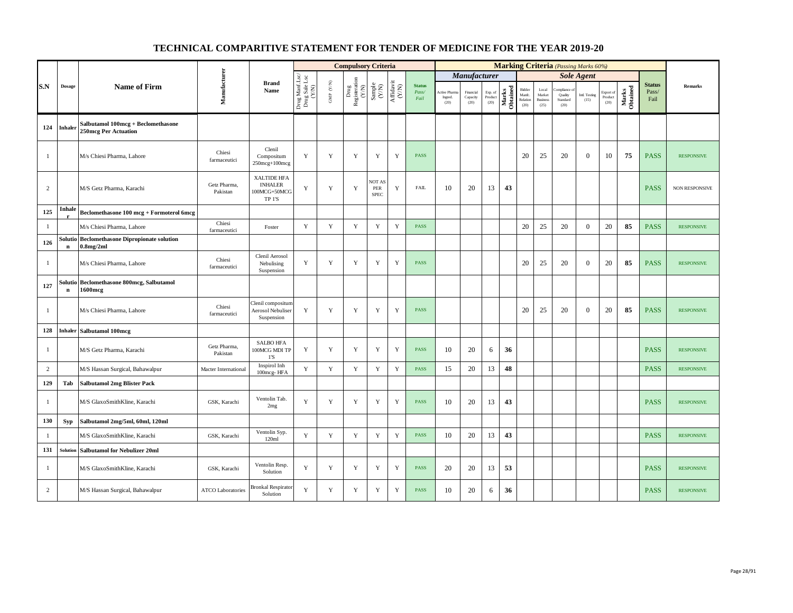|                |             |                                                                   |                          |                                                             |                                          |                                          | <b>Compulsory Criteria</b>                                                                |                                                                     |                                                                              |                                |                               |                               |                            |                   |                                      |                                            |                                         | <b>Marking Criteria</b> (Passing Marks 60%) |                                    |                   |                                |                       |
|----------------|-------------|-------------------------------------------------------------------|--------------------------|-------------------------------------------------------------|------------------------------------------|------------------------------------------|-------------------------------------------------------------------------------------------|---------------------------------------------------------------------|------------------------------------------------------------------------------|--------------------------------|-------------------------------|-------------------------------|----------------------------|-------------------|--------------------------------------|--------------------------------------------|-----------------------------------------|---------------------------------------------|------------------------------------|-------------------|--------------------------------|-----------------------|
|                |             |                                                                   |                          |                                                             |                                          |                                          |                                                                                           |                                                                     |                                                                              |                                |                               | Manufacturer                  |                            |                   |                                      |                                            |                                         | <b>Sole Agent</b>                           |                                    |                   |                                |                       |
| S.N            | Dosage      | <b>Name of Firm</b>                                               | Manufacturer             | <b>Brand</b><br>Name                                        | Drug Manf.Lsc/<br>Drug Sale Lsc<br>(Y/N) | $\ensuremath{\mathsf{GMP}}\xspace$ (Y/N) | $\begin{array}{c} \mathrm{ Drug} \\ \mathrm{Registeration} \\ (\mathrm{Y/N}) \end{array}$ | $\begin{array}{c} \text{Sample} \\ \text{C}(\text{NN}) \end{array}$ | $\begin{array}{c} \mathrm{Aff} \mathrm{davit} \\ (\mathrm{Y/N}) \end{array}$ | <b>Status</b><br>Pass/<br>Fail | Active Pha<br>Ingred.<br>(20) | Financial<br>Capacity<br>(20) | Exp. of<br>Product<br>(20) | Marks<br>Obtained | Bidder<br>Manfe.<br>Relation<br>(20) | Local<br>Market<br><b>Business</b><br>(25) | mpliance<br>Quality<br>Standard<br>(20) | Intl. Testing<br>(15)                       | Export of<br>$\bf Product$<br>(20) | Marks<br>Obtained | <b>Status</b><br>Pass/<br>Fail | Remarks               |
| 124            | Inhaler     | Salbutamol 100mcg + Beclomethasone<br><b>250mcg Per Actuation</b> |                          |                                                             |                                          |                                          |                                                                                           |                                                                     |                                                                              |                                |                               |                               |                            |                   |                                      |                                            |                                         |                                             |                                    |                   |                                |                       |
| $\mathbf{1}$   |             | M/s Chiesi Pharma, Lahore                                         | Chiesi<br>farmaceutici   | Clenil<br>Compositum<br>250mcg+100mcg                       | Y                                        | $\mathbf Y$                              | $\mathbf Y$                                                                               | $\mathbf Y$                                                         | $\mathbf Y$                                                                  | <b>PASS</b>                    |                               |                               |                            |                   | 20                                   | 25                                         | 20                                      | $\overline{0}$                              | 10                                 | 75                | <b>PASS</b>                    | <b>RESPONSIVE</b>     |
| 2              |             | M/S Getz Pharma, Karachi                                          | Getz Pharma,<br>Pakistan | XALTIDE HFA<br><b>INHALER</b><br>100MCG+50MCG<br>TP 1'S     | Y                                        | $\mathbf Y$                              | $\mathbf Y$                                                                               | NOT AS<br>PER<br><b>SPEC</b>                                        | Y                                                                            | <b>FAIL</b>                    | 10                            | 20                            | 13                         | 43                |                                      |                                            |                                         |                                             |                                    |                   | <b>PASS</b>                    | <b>NON RESPONSIVE</b> |
| 125            | Inhale      | Beclomethasone 100 mcg + Formoterol 6mcg                          |                          |                                                             |                                          |                                          |                                                                                           |                                                                     |                                                                              |                                |                               |                               |                            |                   |                                      |                                            |                                         |                                             |                                    |                   |                                |                       |
| $\mathbf{1}$   |             | M/s Chiesi Pharma, Lahore                                         | Chiesi<br>farmaceutici   | Foster                                                      | Y                                        | Y                                        | $\mathbf Y$                                                                               | $\mathbf Y$                                                         | Y                                                                            | <b>PASS</b>                    |                               |                               |                            |                   | 20                                   | 25                                         | 20                                      | $\overline{0}$                              | 20                                 | 85                | <b>PASS</b>                    | <b>RESPONSIVE</b>     |
| 126            | $\mathbf n$ | Solutio Beclomethasone Dipropionate solution<br>$0.8$ mg/2ml      |                          |                                                             |                                          |                                          |                                                                                           |                                                                     |                                                                              |                                |                               |                               |                            |                   |                                      |                                            |                                         |                                             |                                    |                   |                                |                       |
| $\mathbf{1}$   |             | M/s Chiesi Pharma, Lahore                                         | Chiesi<br>farmaceutici   | Clenil Aerosol<br>Nebulising<br>Suspension                  | Y                                        | $\mathbf Y$                              | $\mathbf Y$                                                                               | $\mathbf Y$                                                         | Y                                                                            | <b>PASS</b>                    |                               |                               |                            |                   | 20                                   | 25                                         | 20                                      | $\overline{0}$                              | 20                                 | 85                | <b>PASS</b>                    | <b>RESPONSIVE</b>     |
| 127            | $\mathbf n$ | Solutio Beclomethasone 800mcg, Salbutamol<br>1600mcg              |                          |                                                             |                                          |                                          |                                                                                           |                                                                     |                                                                              |                                |                               |                               |                            |                   |                                      |                                            |                                         |                                             |                                    |                   |                                |                       |
| $\mathbf{1}$   |             | M/s Chiesi Pharma, Lahore                                         | Chiesi<br>farmaceutici   | Clenil compositun<br><b>Aerosol Nebuliser</b><br>Suspension | Y                                        | Y                                        | Y                                                                                         | Y                                                                   | Y                                                                            | <b>PASS</b>                    |                               |                               |                            |                   | 20                                   | 25                                         | 20                                      | $\mathbf{0}$                                | 20                                 | 85                | <b>PASS</b>                    | <b>RESPONSIVE</b>     |
| 128            | Inhaler     | Salbutamol 100mcg                                                 |                          |                                                             |                                          |                                          |                                                                                           |                                                                     |                                                                              |                                |                               |                               |                            |                   |                                      |                                            |                                         |                                             |                                    |                   |                                |                       |
| $\mathbf{1}$   |             | M/S Getz Pharma, Karachi                                          | Getz Pharma,<br>Pakistan | <b>SALBO HFA</b><br>100MCG MDI TP<br>1'S                    | $\mathbf Y$                              | $\mathbf Y$                              | $\mathbf Y$                                                                               | $\mathbf Y$                                                         | $\mathbf Y$                                                                  | PASS                           | 10                            | 20                            | 6                          | 36                |                                      |                                            |                                         |                                             |                                    |                   | <b>PASS</b>                    | <b>RESPONSIVE</b>     |
| $\overline{c}$ |             | M/S Hassan Surgical, Bahawalpur                                   | Macter International     | Inspirol Inh<br>100mcg-HFA                                  | $\mathbf Y$                              | $\mathbf Y$                              | $\mathbf Y$                                                                               | $\mathbf Y$                                                         | $\mathbf Y$                                                                  | PASS                           | 15                            | 20                            | 13                         | 48                |                                      |                                            |                                         |                                             |                                    |                   | <b>PASS</b>                    | <b>RESPONSIVE</b>     |
| 129            | Tab         | <b>Salbutamol 2mg Blister Pack</b>                                |                          |                                                             |                                          |                                          |                                                                                           |                                                                     |                                                                              |                                |                               |                               |                            |                   |                                      |                                            |                                         |                                             |                                    |                   |                                |                       |
| $\mathbf{1}$   |             | M/S GlaxoSmithKline, Karachi                                      | GSK, Karachi             | Ventolin Tab.<br>2mg                                        | Y                                        | $\mathbf Y$                              | $\mathbf Y$                                                                               | $\mathbf Y$                                                         | Y                                                                            | <b>PASS</b>                    | 10                            | 20                            | 13                         | 43                |                                      |                                            |                                         |                                             |                                    |                   | <b>PASS</b>                    | <b>RESPONSIVE</b>     |
| 130            | <b>Syp</b>  | Salbutamol 2mg/5ml, 60ml, 120ml                                   |                          |                                                             |                                          |                                          |                                                                                           |                                                                     |                                                                              |                                |                               |                               |                            |                   |                                      |                                            |                                         |                                             |                                    |                   |                                |                       |
| $\mathbf{1}$   |             | M/S GlaxoSmithKline, Karachi                                      | GSK, Karachi             | Ventolin Syp.<br>120ml                                      | Y                                        | Y                                        | $\mathbf Y$                                                                               | $\mathbf Y$                                                         | Y                                                                            | <b>PASS</b>                    | 10                            | 20                            | 13                         | 43                |                                      |                                            |                                         |                                             |                                    |                   | <b>PASS</b>                    | <b>RESPONSIVE</b>     |
| 131            | Solution    | <b>Salbutamol for Nebulizer 20ml</b>                              |                          |                                                             |                                          |                                          |                                                                                           |                                                                     |                                                                              |                                |                               |                               |                            |                   |                                      |                                            |                                         |                                             |                                    |                   |                                |                       |
| $\mathbf{1}$   |             | M/S GlaxoSmithKline, Karachi                                      | GSK, Karachi             | Ventolin Resp.<br>Solution                                  | Y                                        | Y                                        | $\mathbf Y$                                                                               | $\mathbf Y$                                                         | $\mathbf Y$                                                                  | <b>PASS</b>                    | 20                            | 20                            | 13                         | 53                |                                      |                                            |                                         |                                             |                                    |                   | <b>PASS</b>                    | <b>RESPONSIVE</b>     |
| $\overline{c}$ |             | M/S Hassan Surgical, Bahawalpur                                   | <b>ATCO Laboratories</b> | Bronkal Respirator<br>Solution                              | Y                                        | Y                                        | Y                                                                                         | Y                                                                   | Y                                                                            | <b>PASS</b>                    | 10                            | 20                            | 6                          | 36                |                                      |                                            |                                         |                                             |                                    |                   | <b>PASS</b>                    | <b>RESPONSIVE</b>     |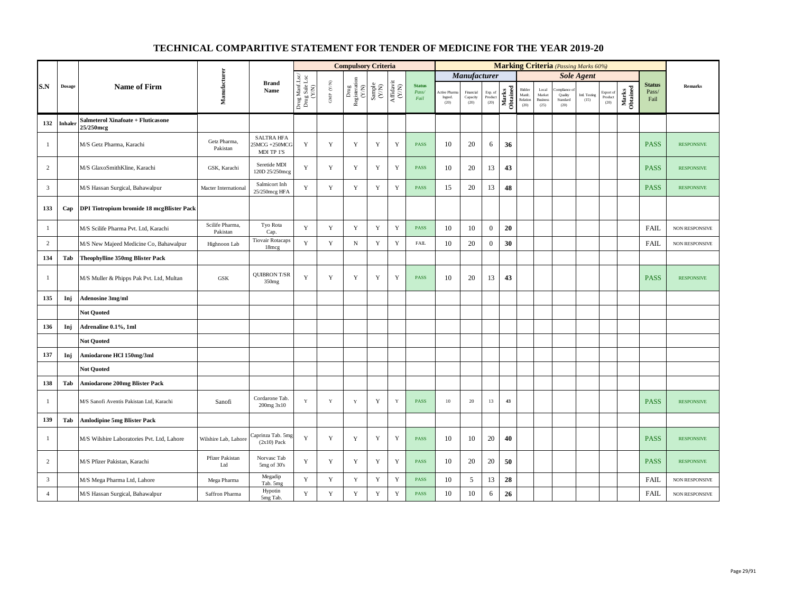|                |               |                                                 |                             |                                                 |                                          |                          | <b>Compulsory Criteria</b>    |                                                            |                    |                                |                                |                               |                            |                   |                                      |                                                     | <b>Marking Criteria</b> (Passing Marks 60%) |                       |                                                    |                   |                                |                       |
|----------------|---------------|-------------------------------------------------|-----------------------------|-------------------------------------------------|------------------------------------------|--------------------------|-------------------------------|------------------------------------------------------------|--------------------|--------------------------------|--------------------------------|-------------------------------|----------------------------|-------------------|--------------------------------------|-----------------------------------------------------|---------------------------------------------|-----------------------|----------------------------------------------------|-------------------|--------------------------------|-----------------------|
|                |               |                                                 |                             |                                                 |                                          |                          |                               |                                                            |                    |                                |                                | Manufacturer                  |                            |                   |                                      |                                                     |                                             | <b>Sole Agent</b>     |                                                    |                   |                                |                       |
| S.N            | <b>Dosage</b> | <b>Name of Firm</b>                             | Manufacturer                | <b>Brand</b><br>Name                            | Drug Manf.Lsc/<br>Drug Sale Lsc<br>(Y/N) | ${\rm GMP}$ ${\rm (YN)}$ | Drug<br>Registeration $(Y/N)$ | $\begin{array}{c} \text{Sample} \\ \text{CAN} \end{array}$ | Affidavit<br>(Y/N) | <b>Status</b><br>Pass/<br>Fail | Active Phan<br>Ingred.<br>(20) | Financial<br>Capacity<br>(20) | Exp. of<br>Product<br>(20) | Marks<br>Obtained | Bidder<br>Manfc.<br>Relation<br>(20) | $_{\rm Local}$<br>Market<br><b>Business</b><br>(25) | mpliance<br>Quality<br>Standard<br>(20)     | Intl. Testing<br>(15) | Export of<br>$\mathop{\text{\rm Product}}$<br>(20) | Marks<br>Obtained | <b>Status</b><br>Pass/<br>Fail | <b>Remarks</b>        |
| 132            | Inhaler       | Salmeterol Xinafoate + Fluticasone<br>25/250mcg |                             |                                                 |                                          |                          |                               |                                                            |                    |                                |                                |                               |                            |                   |                                      |                                                     |                                             |                       |                                                    |                   |                                |                       |
| $\mathbf{1}$   |               | M/S Getz Pharma, Karachi                        | Getz Pharma,<br>Pakistan    | <b>SALTRA HFA</b><br>5MCG +250MCC<br>MDI TP 1'S | Y                                        | $\mathbf Y$              | $\mathbf Y$                   | $\mathbf Y$                                                | $\mathbf Y$        | PASS                           | 10                             | 20                            | 6                          | 36                |                                      |                                                     |                                             |                       |                                                    |                   | <b>PASS</b>                    | <b>RESPONSIVE</b>     |
| $\overline{c}$ |               | M/S GlaxoSmithKline, Karachi                    | GSK, Karachi                | Seretide MDI<br>120D 25/250mcg                  | $\mathbf Y$                              | $\mathbf Y$              | $\mathbf Y$                   | $\mathbf Y$                                                | $\mathbf Y$        | <b>PASS</b>                    | 10                             | 20                            | 13                         | 43                |                                      |                                                     |                                             |                       |                                                    |                   | <b>PASS</b>                    | <b>RESPONSIVE</b>     |
| $\overline{3}$ |               | M/S Hassan Surgical, Bahawalpur                 | Macter International        | Salmicort Inh<br>25/250mcg HFA                  | Y                                        | Y                        | Y                             | Y                                                          | Y                  | <b>PASS</b>                    | 15                             | 20                            | 13                         | 48                |                                      |                                                     |                                             |                       |                                                    |                   | <b>PASS</b>                    | <b>RESPONSIVE</b>     |
| 133            | Cap           | DPI Tiotropium bromide 18 mcgBlister Pack       |                             |                                                 |                                          |                          |                               |                                                            |                    |                                |                                |                               |                            |                   |                                      |                                                     |                                             |                       |                                                    |                   |                                |                       |
| $\mathbf{1}$   |               | M/S Scilife Pharma Pvt. Ltd, Karachi            | Scilife Pharma,<br>Pakistan | Tyo Rota<br>Cap.                                | Y                                        | $\mathbf Y$              | $\mathbf Y$                   | $\mathbf Y$                                                | $\mathbf Y$        | <b>PASS</b>                    | 10                             | 10                            | $\mathbf{0}$               | 20                |                                      |                                                     |                                             |                       |                                                    |                   | FAIL                           | NON RESPONSIVE        |
| 2              |               | M/S New Majeed Medicine Co, Bahawalpur          | Highnoon Lab                | <b>Tiovair Rotacaps</b><br>18mcg                | Y                                        | Y                        | $_{\rm N}$                    | $\mathbf Y$                                                | Y                  | FAIL                           | 10                             | 20                            | $\mathbf{0}$               | 30                |                                      |                                                     |                                             |                       |                                                    |                   | FAIL                           | NON RESPONSIVE        |
| 134            | Tab           | Theophylline 350mg Blister Pack                 |                             |                                                 |                                          |                          |                               |                                                            |                    |                                |                                |                               |                            |                   |                                      |                                                     |                                             |                       |                                                    |                   |                                |                       |
| $\overline{1}$ |               | M/S Muller & Phipps Pak Pvt. Ltd, Multan        | GSK                         | <b>QUIBRON T/SR</b><br>350mg                    | Y                                        | $\mathbf Y$              | $\mathbf Y$                   | $\mathbf Y$                                                | Y                  | PASS                           | 10                             | 20                            | 13                         | 43                |                                      |                                                     |                                             |                       |                                                    |                   | <b>PASS</b>                    | <b>RESPONSIVE</b>     |
| 135            | Inj           | <b>Adenosine 3mg/ml</b>                         |                             |                                                 |                                          |                          |                               |                                                            |                    |                                |                                |                               |                            |                   |                                      |                                                     |                                             |                       |                                                    |                   |                                |                       |
|                |               | <b>Not Quoted</b>                               |                             |                                                 |                                          |                          |                               |                                                            |                    |                                |                                |                               |                            |                   |                                      |                                                     |                                             |                       |                                                    |                   |                                |                       |
| 136            | Inj           | Adrenaline 0.1%, 1ml                            |                             |                                                 |                                          |                          |                               |                                                            |                    |                                |                                |                               |                            |                   |                                      |                                                     |                                             |                       |                                                    |                   |                                |                       |
|                |               | <b>Not Quoted</b>                               |                             |                                                 |                                          |                          |                               |                                                            |                    |                                |                                |                               |                            |                   |                                      |                                                     |                                             |                       |                                                    |                   |                                |                       |
| 137            | Inj           | Amiodarone HCl 150mg/3ml                        |                             |                                                 |                                          |                          |                               |                                                            |                    |                                |                                |                               |                            |                   |                                      |                                                     |                                             |                       |                                                    |                   |                                |                       |
|                |               | <b>Not Ouoted</b>                               |                             |                                                 |                                          |                          |                               |                                                            |                    |                                |                                |                               |                            |                   |                                      |                                                     |                                             |                       |                                                    |                   |                                |                       |
| 138            | Tab           | <b>Amiodarone 200mg Blister Pack</b>            |                             |                                                 |                                          |                          |                               |                                                            |                    |                                |                                |                               |                            |                   |                                      |                                                     |                                             |                       |                                                    |                   |                                |                       |
| $\mathbf{1}$   |               | M/S Sanofi Aventis Pakistan Ltd, Karachi        | Sanofi                      | Cordarone Tab.<br>200mg 3x10                    | Y                                        | Y                        | Y                             | $\mathbf Y$                                                | $\mathbf Y$        | <b>PASS</b>                    | 10 <sup>10</sup>               | 20                            | 13                         | 43                |                                      |                                                     |                                             |                       |                                                    |                   | <b>PASS</b>                    | <b>RESPONSIVE</b>     |
| 139            | Tab           | <b>Amlodipine 5mg Blister Pack</b>              |                             |                                                 |                                          |                          |                               |                                                            |                    |                                |                                |                               |                            |                   |                                      |                                                     |                                             |                       |                                                    |                   |                                |                       |
| $\mathbf{1}$   |               | M/S Wilshire Laboratories Pvt. Ltd, Lahore      | Wilshire Lab, Lahore        | Caprinza Tab. 5mg<br>$(2x10)$ Pack              | Y                                        | Y                        | Y                             | Y                                                          | Y                  | <b>PASS</b>                    | 10                             | 10                            | 20                         | 40                |                                      |                                                     |                                             |                       |                                                    |                   | <b>PASS</b>                    | <b>RESPONSIVE</b>     |
| 2              |               | M/S Pfizer Pakistan, Karachi                    | Pfizer Pakistan<br>Ltd      | Norvasc Tab<br>5mg of 30's                      | Y                                        | $\mathbf Y$              | Y                             | $\mathbf Y$                                                | Y                  | PASS                           | 10                             | 20                            | 20                         | 50                |                                      |                                                     |                                             |                       |                                                    |                   | <b>PASS</b>                    | <b>RESPONSIVE</b>     |
| $\overline{3}$ |               | M/S Mega Pharma Ltd, Lahore                     | Mega Pharma                 | Megadip<br>Tab. 5mg                             | Y                                        | $\mathbf Y$              | Y                             | $\mathbf Y$                                                | $\mathbf Y$        | PASS                           | 10                             | 5                             | 13                         | 28                |                                      |                                                     |                                             |                       |                                                    |                   | FAIL                           | <b>NON RESPONSIVE</b> |
| $\overline{4}$ |               | M/S Hassan Surgical, Bahawalpur                 | Saffron Pharma              | Hypotin<br>5mg Tab.                             | $\mathbf Y$                              | $\mathbf Y$              | $\mathbf Y$                   | $\mathbf Y$                                                | $\mathbf Y$        | PASS                           | $10\,$                         | $10\,$                        | 6                          | 26                |                                      |                                                     |                                             |                       |                                                    |                   | <b>FAIL</b>                    | NON RESPONSIVE        |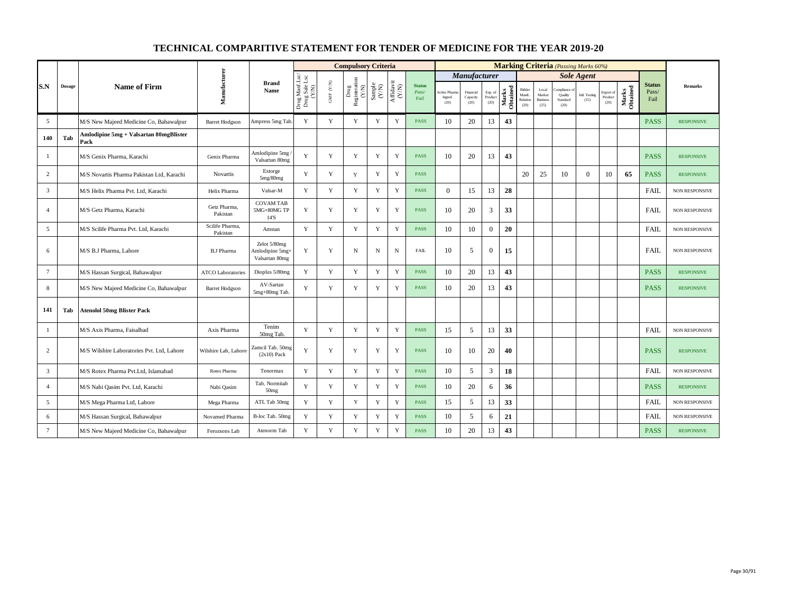|                 |               |                                                |                             |                                                   |                                          |                           | <b>Compulsory Criteria</b>                                                      |                                                              |                    |                                |                                 |                               |                            |                   |                                     |                                            |                                            | <b>Marking Criteria</b> (Passing Marks 60%) |                              |                   |                                |                       |
|-----------------|---------------|------------------------------------------------|-----------------------------|---------------------------------------------------|------------------------------------------|---------------------------|---------------------------------------------------------------------------------|--------------------------------------------------------------|--------------------|--------------------------------|---------------------------------|-------------------------------|----------------------------|-------------------|-------------------------------------|--------------------------------------------|--------------------------------------------|---------------------------------------------|------------------------------|-------------------|--------------------------------|-----------------------|
|                 |               |                                                |                             |                                                   |                                          |                           |                                                                                 |                                                              |                    |                                |                                 | Manufacturer                  |                            |                   |                                     |                                            |                                            | <b>Sole Agent</b>                           |                              |                   |                                |                       |
| S.N             | <b>Dosage</b> | <b>Name of Firm</b>                            | Manufacturer                | <b>Brand</b><br>Name                              | Drug Manf.Lsc/<br>Drug Sale Lsc<br>(Y/N) | ${\rm GMP}$ ${\rm (V/N)}$ | $\begin{array}{c} \mathrm{Drag} \\ \mathrm{Resisteration} \\ (Y/N) \end{array}$ | $\begin{array}{c} \text{Sample} \\ (\text{Y/N}) \end{array}$ | Affidavit<br>(Y/N) | <b>Status</b><br>Pass/<br>Fail | Active Pharm<br>Ingred.<br>(20) | Financial<br>Capacity<br>(20) | Exp. of<br>Product<br>(20) | Obtained<br>Marks | Bidder<br>Manfc<br>Relation<br>(20) | Local<br>Market<br><b>Business</b><br>(25) | ompliance o<br>Quality<br>Standard<br>(20) | Intl. Testing<br>(15)                       | Export of<br>Product<br>(20) | Marks<br>Obtained | <b>Status</b><br>Pass/<br>Fail | <b>Remarks</b>        |
| 5               |               | M/S New Majeed Medicine Co, Bahawalpur         | <b>Barret Hodgson</b>       | Ampress 5mg Tab                                   | Y                                        | $\mathbf Y$               | Y                                                                               | $\mathbf Y$                                                  | $\mathbf Y$        | <b>PASS</b>                    | 10                              | 20                            | 13                         | 43                |                                     |                                            |                                            |                                             |                              |                   | <b>PASS</b>                    | <b>RESPONSIVE</b>     |
| 140             | Tab           | Amlodipine 5mg + Valsartan 80mgBlister<br>Pack |                             |                                                   |                                          |                           |                                                                                 |                                                              |                    |                                |                                 |                               |                            |                   |                                     |                                            |                                            |                                             |                              |                   |                                |                       |
| -1              |               | M/S Genix Pharma, Karachi                      | Genix Pharma                | Amlodipine 5mg<br>Valsartan 80mg                  | Y                                        | Y                         | Y                                                                               | Y                                                            | Y                  | <b>PASS</b>                    | 10                              | 20                            | 13                         | 43                |                                     |                                            |                                            |                                             |                              |                   | <b>PASS</b>                    | <b>RESPONSIVE</b>     |
| $\overline{2}$  |               | M/S Novartis Pharma Pakistan Ltd, Karachi      | <b>Novartis</b>             | Extorge<br>5mg/80mg                               | Y                                        | Y                         | Y                                                                               | Y                                                            | Y                  | <b>PASS</b>                    |                                 |                               |                            |                   | 20                                  | 25                                         | 10                                         | $\Omega$                                    | 10                           | 65                | <b>PASS</b>                    | <b>RESPONSIVE</b>     |
| $\overline{3}$  |               | M/S Helix Pharma Pvt. Ltd, Karachi             | Helix Pharma                | Valsar-M                                          | Y                                        | Y                         | Y                                                                               | Y                                                            | $\mathbf Y$        | <b>PASS</b>                    | $\overline{0}$                  | 15                            | 13                         | 28                |                                     |                                            |                                            |                                             |                              |                   | <b>FAIL</b>                    | <b>NON RESPONSIVE</b> |
| $\overline{4}$  |               | M/S Getz Pharma, Karachi                       | Getz Pharma,<br>Pakistan    | <b>COVAM TAB</b><br>5MG+80MG TP<br>14'S           | Y                                        | Y                         | Y                                                                               | Y                                                            | $\mathbf Y$        | <b>PASS</b>                    | 10                              | 20                            | 3                          | 33                |                                     |                                            |                                            |                                             |                              |                   | <b>FAIL</b>                    | <b>NON RESPONSIVE</b> |
| 5               |               | M/S Scilife Pharma Pvt. Ltd, Karachi           | Scilife Pharma,<br>Pakistan | Amstan                                            | Y                                        | Y                         | Y                                                                               | Y                                                            | $\mathbf Y$        | <b>PASS</b>                    | 10                              | 10                            | $\overline{0}$             | 20                |                                     |                                            |                                            |                                             |                              |                   | <b>FAIL</b>                    | NON RESPONSIVE        |
| 6               |               | M/S B.J Pharma, Lahore                         | <b>B.J Pharma</b>           | Zelot 5/80mg<br>Amlodipine 5mg+<br>Valsartan 80mg | Y                                        | $\mathbf Y$               | N                                                                               | $_{\rm N}$                                                   | $\mathbf N$        | <b>FAIL</b>                    | 10                              | 5                             | $\overline{0}$             | 15                |                                     |                                            |                                            |                                             |                              |                   | FAIL                           | <b>NON RESPONSIVE</b> |
| $7\phantom{.0}$ |               | M/S Hassan Surgical, Bahawalpur                | <b>ATCO Laboratories</b>    | Dioplus 5/80mg                                    | Y                                        | Y                         | Y                                                                               | Y                                                            | Y                  | <b>PASS</b>                    | 10                              | 20                            | 13                         | 43                |                                     |                                            |                                            |                                             |                              |                   | <b>PASS</b>                    | <b>RESPONSIVE</b>     |
| 8               |               | M/S New Majeed Medicine Co, Bahawalpur         | <b>Barret Hodgson</b>       | AV-Sartan<br>5mg+80mg Tab.                        | Y                                        | Y                         | Y                                                                               | Y                                                            | Y                  | <b>PASS</b>                    | 10                              | 20                            | 13                         | 43                |                                     |                                            |                                            |                                             |                              |                   | <b>PASS</b>                    | <b>RESPONSIVE</b>     |
| 141             | Tab           | <b>Atenolol 50mg Blister Pack</b>              |                             |                                                   |                                          |                           |                                                                                 |                                                              |                    |                                |                                 |                               |                            |                   |                                     |                                            |                                            |                                             |                              |                   |                                |                       |
|                 |               | M/S Axis Pharma, Faisalbad                     | Axis Pharma                 | Tenim<br>50mg Tab.                                | Y                                        | $\mathbf Y$               | Y                                                                               | $\mathbf Y$                                                  | $\mathbf Y$        | <b>PASS</b>                    | 15                              | 5                             | 13                         | 33                |                                     |                                            |                                            |                                             |                              |                   | <b>FAIL</b>                    | NON RESPONSIVE        |
| $\overline{c}$  |               | M/S Wilshire Laboratories Pvt. Ltd, Lahore     | Wilshire Lab, Lahore        | Zamcil Tab. 50mg<br>$(2x10)$ Pack                 | Y                                        | $\mathbf Y$               | Y                                                                               | $\mathbf Y$                                                  | $\mathbf Y$        | <b>PASS</b>                    | 10                              | 10                            | 20                         | 40                |                                     |                                            |                                            |                                             |                              |                   | <b>PASS</b>                    | <b>RESPONSIVE</b>     |
| $\overline{3}$  |               | M/S Rotex Pharma Pvt.Ltd. Islamabad            | Rotex Pharma                | Tenormax                                          | Y                                        | Y                         | Y                                                                               | $\mathbf Y$                                                  | $\mathbf Y$        | <b>PASS</b>                    | 10                              | 5                             | 3                          | 18                |                                     |                                            |                                            |                                             |                              |                   | <b>FAIL</b>                    | NON RESPONSIVE        |
| $\overline{4}$  |               | M/S Nabi Qasim Pvt. Ltd, Karachi               | Nabi Qasim                  | Tab. Normitab<br>50 <sub>mg</sub>                 | Y                                        | Y                         | Y                                                                               | Y                                                            | $\mathbf Y$        | <b>PASS</b>                    | 10                              | 20                            | 6                          | 36                |                                     |                                            |                                            |                                             |                              |                   | <b>PASS</b>                    | <b>RESPONSIVE</b>     |
| 5               |               | M/S Mega Pharma Ltd, Lahore                    | Mega Pharma                 | ATL Tab 50mg                                      | Y                                        | Y                         | Y                                                                               | Y                                                            | $\mathbf Y$        | <b>PASS</b>                    | 15                              | 5                             | 13                         | 33                |                                     |                                            |                                            |                                             |                              |                   | <b>FAIL</b>                    | NON RESPONSIVE        |
| 6               |               | M/S Hassan Surgical, Bahawalpur                | Novamed Pharma              | B-loc Tab. 50mg                                   | Y                                        | $\mathbf Y$               | Y                                                                               | $\mathbf Y$                                                  | $\mathbf Y$        | <b>PASS</b>                    | 10                              | 5                             | 6                          | 21                |                                     |                                            |                                            |                                             |                              |                   | <b>FAIL</b>                    | NON RESPONSIVE        |
| $\overline{7}$  |               | M/S New Majeed Medicine Co, Bahawalpur         | Ferozsons Lab               | Atenorm Tab                                       | Y                                        | Y                         | Y                                                                               | Y                                                            | Y                  | <b>PASS</b>                    | 10                              | 20                            | 13                         | 43                |                                     |                                            |                                            |                                             |                              |                   | <b>PASS</b>                    | <b>RESPONSIVE</b>     |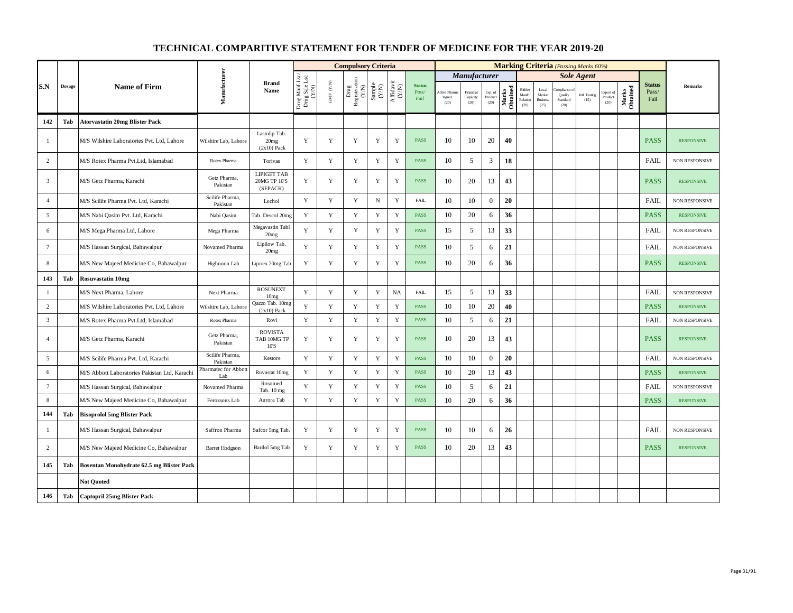|                 |               |                                               |                             |                                                |                                          |                           | <b>Compulsory Criteria</b>                   |                                                              |                                                                              |                                |                                 |                               |                            |                   |                                      |                                            | <b>Marking Criteria</b> (Passing Marks 60%) |                       |                              |                   |                                |                       |
|-----------------|---------------|-----------------------------------------------|-----------------------------|------------------------------------------------|------------------------------------------|---------------------------|----------------------------------------------|--------------------------------------------------------------|------------------------------------------------------------------------------|--------------------------------|---------------------------------|-------------------------------|----------------------------|-------------------|--------------------------------------|--------------------------------------------|---------------------------------------------|-----------------------|------------------------------|-------------------|--------------------------------|-----------------------|
|                 |               |                                               |                             |                                                |                                          |                           |                                              |                                                              |                                                                              |                                |                                 | <b>Manufacturer</b>           |                            |                   |                                      |                                            |                                             | <b>Sole Agent</b>     |                              |                   |                                |                       |
| S.N             | <b>Dosage</b> | <b>Name of Firm</b>                           | Manufacturer                | <b>Brand</b><br>Name                           | Drug Manf.Lsc/<br>Drug Sale Lsc<br>(Y/N) | ${\rm GMP}$ ${\rm (V/N)}$ | Registeration ${\rm (YM)}$<br>$_{\rm{Drag}}$ | $\begin{array}{c} \text{Sample} \\ (\text{Y/N}) \end{array}$ | $\begin{array}{c} \mathrm{Aff} \mathrm{davit} \\ (\mathrm{Y/N}) \end{array}$ | <b>Status</b><br>Pass/<br>Fail | Active Pharr<br>Ingred.<br>(20) | Financial<br>Capacity<br>(20) | Exp. of<br>Product<br>(20) | Marks<br>Obtained | Bidder<br>Manfe.<br>Relation<br>(20) | Local<br>Market<br><b>Business</b><br>(25) | mpliance<br>Quality<br>Standard<br>(20)     | Intl. Testing<br>(15) | Export of<br>Product<br>(20) | Marks<br>Obtained | <b>Status</b><br>Pass/<br>Fail | Remarks               |
| 142             | Tab           | <b>Atorvastatin 20mg Blister Pack</b>         |                             |                                                |                                          |                           |                                              |                                                              |                                                                              |                                |                                 |                               |                            |                   |                                      |                                            |                                             |                       |                              |                   |                                |                       |
| -1              |               | M/S Wilshire Laboratories Pvt. Ltd, Lahore    | Wilshire Lab, Lahore        | Lastolip Tab.<br>20mg<br>$(2x10)$ Pack         | Y                                        | Y                         | Y                                            | Y                                                            | Y                                                                            | <b>PASS</b>                    | 10                              | 10                            | 20                         | 40                |                                      |                                            |                                             |                       |                              |                   | <b>PASS</b>                    | <b>RESPONSIVE</b>     |
| $\overline{c}$  |               | M/S Rotex Pharma Pvt.Ltd, Islamabad           | Rotex Pharma                | Torivas                                        | Y                                        | $\mathbf Y$               | $\mathbf Y$                                  | $\mathbf Y$                                                  | $\mathbf Y$                                                                  | <b>PASS</b>                    | 10                              | 5                             | 3                          | 18                |                                      |                                            |                                             |                       |                              |                   | FAIL                           | NON RESPONSIVE        |
| $\overline{3}$  |               | M/S Getz Pharma, Karachi                      | Getz Pharma,<br>Pakistan    | <b>LIPIGET TAB</b><br>20MG TP 10'S<br>(SEPACK) | Y                                        | Y                         | Y                                            | Y                                                            | Y                                                                            | <b>PASS</b>                    | 10                              | 20                            | 13                         | 43                |                                      |                                            |                                             |                       |                              |                   | <b>PASS</b>                    | <b>RESPONSIVE</b>     |
| $\overline{4}$  |               | M/S Scilife Pharma Pvt. Ltd, Karachi          | Scilife Pharma,<br>Pakistan | Lochol                                         | Y                                        | $\mathbf Y$               | $\mathbf Y$                                  | $_{\rm N}$                                                   | $\mathbf Y$                                                                  | <b>FAIL</b>                    | 10                              | 10                            | $\boldsymbol{0}$           | 20                |                                      |                                            |                                             |                       |                              |                   | <b>FAIL</b>                    | <b>NON RESPONSIVE</b> |
| $\overline{5}$  |               | M/S Nabi Qasim Pvt. Ltd, Karachi              | Nabi Qasim                  | Tab. Descol 20mg                               | $\mathbf Y$                              | $\mathbf Y$               | $\mathbf Y$                                  | $\mathbf Y$                                                  | $\mathbf Y$                                                                  | <b>PASS</b>                    | 10                              | 20                            | 6                          | 36                |                                      |                                            |                                             |                       |                              |                   | <b>PASS</b>                    | <b>RESPONSIVE</b>     |
| 6               |               | M/S Mega Pharma Ltd, Lahore                   | Mega Pharma                 | Megavastin Tabl<br>20 <sub>mg</sub>            | Y                                        | Y                         | $\mathbf Y$                                  | Y                                                            | $\mathbf Y$                                                                  | <b>PASS</b>                    | 15                              | 5                             | 13                         | 33                |                                      |                                            |                                             |                       |                              |                   | <b>FAIL</b>                    | <b>NON RESPONSIVE</b> |
| $7\phantom{.0}$ |               | M/S Hassan Surgical, Bahawalpur               | Novamed Pharma              | Lipilow Tab.<br>20 <sub>mg</sub>               | Y                                        | $\mathbf Y$               | $\mathbf Y$                                  | $\mathbf Y$                                                  | $\mathbf Y$                                                                  | <b>PASS</b>                    | 10                              | 5                             | 6                          | 21                |                                      |                                            |                                             |                       |                              |                   | FAIL                           | <b>NON RESPONSIVE</b> |
| $\,$ 8 $\,$     |               | M/S New Majeed Medicine Co, Bahawalpur        | Highnoon Lab                | Lipirex 20mg Tab                               | Y                                        | $\mathbf Y$               | $\mathbf Y$                                  | $\mathbf Y$                                                  | $\mathbf Y$                                                                  | <b>PASS</b>                    | 10                              | 20                            | 6                          | 36                |                                      |                                            |                                             |                       |                              |                   | <b>PASS</b>                    | <b>RESPONSIVE</b>     |
| 143             | Tab           | <b>Rosuvastatin 10mg</b>                      |                             |                                                |                                          |                           |                                              |                                                              |                                                                              |                                |                                 |                               |                            |                   |                                      |                                            |                                             |                       |                              |                   |                                |                       |
| $\mathbf{1}$    |               | M/S Next Pharma, Lahore                       | Next Pharma                 | <b>ROSUNEXT</b><br>10mg                        | Y                                        | $\mathbf Y$               | $\mathbf Y$                                  | $\mathbf Y$                                                  | <b>NA</b>                                                                    | <b>FAIL</b>                    | 15                              | 5                             | 13                         | 33                |                                      |                                            |                                             |                       |                              |                   | <b>FAIL</b>                    | NON RESPONSIVE        |
| 2               |               | M/S Wilshire Laboratories Pvt. Ltd, Lahore    | Wilshire Lab, Lahon         | Qazzo Tab. 10mg<br>$(2x10)$ Pack               | Y                                        | Y                         | Y                                            | $\mathbf Y$                                                  | $\mathbf Y$                                                                  | <b>PASS</b>                    | 10                              | 10                            | 20                         | 40                |                                      |                                            |                                             |                       |                              |                   | <b>PASS</b>                    | <b>RESPONSIVE</b>     |
| $\overline{3}$  |               | M/S Rotex Pharma Pvt.Ltd, Islamabad           | Rotex Pharma                | Rovi                                           | Y                                        | $\mathbf Y$               | $\mathbf Y$                                  | $\mathbf Y$                                                  | $\mathbf Y$                                                                  | <b>PASS</b>                    | 10                              | 5                             | 6                          | 21                |                                      |                                            |                                             |                       |                              |                   | <b>FAIL</b>                    | <b>NON RESPONSIVE</b> |
| $\overline{4}$  |               | M/S Getz Pharma, Karachi                      | Getz Pharma,<br>Pakistan    | <b>ROVISTA</b><br>TAB 10MG TP<br>10'S          | Y                                        | Y                         | Y                                            | Y                                                            | Y                                                                            | <b>PASS</b>                    | 10                              | 20                            | 13                         | 43                |                                      |                                            |                                             |                       |                              |                   | <b>PASS</b>                    | <b>RESPONSIVE</b>     |
| 5               |               | M/S Scilife Pharma Pvt. Ltd, Karachi          | Scilife Pharma,<br>Pakistan | Kestore                                        | Y                                        | $\mathbf Y$               | $\mathbf Y$                                  | $\mathbf Y$                                                  | $\mathbf Y$                                                                  | <b>PASS</b>                    | 10                              | 10                            | $\mathbf{0}$               | 20                |                                      |                                            |                                             |                       |                              |                   | FAIL                           | NON RESPONSIVE        |
| 6               |               | M/S Abbott Laboratories Pakistan Ltd, Karachi | Pharmatec for Abbot<br>Lab  | Ruvastat 10mg                                  | Y                                        | Y                         | $\mathbf Y$                                  | $\mathbf Y$                                                  | $\mathbf Y$                                                                  | <b>PASS</b>                    | 10                              | 20                            | 13                         | 43                |                                      |                                            |                                             |                       |                              |                   | <b>PASS</b>                    | <b>RESPONSIVE</b>     |
| $7\phantom{.0}$ |               | M/S Hassan Surgical, Bahawalpur               | Novamed Pharma              | Rosomed<br>Tab. 10 mg                          | Y                                        | $\mathbf Y$               | $\mathbf Y$                                  | $\mathbf Y$                                                  | $\mathbf Y$                                                                  | <b>PASS</b>                    | 10                              | 5                             | 6                          | 21                |                                      |                                            |                                             |                       |                              |                   | FAIL                           | <b>NON RESPONSIVE</b> |
| 8               |               | M/S New Majeed Medicine Co, Bahawalpur        | Ferozsons Lab               | Aurora Tab                                     | Y                                        | $\mathbf Y$               | $\mathbf Y$                                  | $\mathbf Y$                                                  | $\mathbf Y$                                                                  | <b>PASS</b>                    | 10                              | 20                            | 6                          | 36                |                                      |                                            |                                             |                       |                              |                   | <b>PASS</b>                    | <b>RESPONSIVE</b>     |
| 144             | Tab           | <b>Bisoprolol 5mg Blister Pack</b>            |                             |                                                |                                          |                           |                                              |                                                              |                                                                              |                                |                                 |                               |                            |                   |                                      |                                            |                                             |                       |                              |                   |                                |                       |
| $\mathbf{1}$    |               | M/S Hassan Surgical, Bahawalpur               | Saffron Pharma              | Safcor 5mg Tab.                                | Y                                        | $\mathbf Y$               | Y                                            | $\mathbf Y$                                                  | $\mathbf Y$                                                                  | <b>PASS</b>                    | 10                              | 10                            | 6                          | 26                |                                      |                                            |                                             |                       |                              |                   | FAIL                           | NON RESPONSIVE        |
| $\overline{c}$  |               | M/S New Majeed Medicine Co, Bahawalpur        | <b>Barret Hodgson</b>       | Barilol 5mg Tab                                | Y                                        | $\mathbf Y$               | Y                                            | Y                                                            | $\mathbf Y$                                                                  | <b>PASS</b>                    | 10                              | 20                            | 13                         | 43                |                                      |                                            |                                             |                       |                              |                   | <b>PASS</b>                    | <b>RESPONSIVE</b>     |
| 145             | Tab           | Bosentan Monohydrate 62.5 mg Blister Pack     |                             |                                                |                                          |                           |                                              |                                                              |                                                                              |                                |                                 |                               |                            |                   |                                      |                                            |                                             |                       |                              |                   |                                |                       |
|                 |               | <b>Not Quoted</b>                             |                             |                                                |                                          |                           |                                              |                                                              |                                                                              |                                |                                 |                               |                            |                   |                                      |                                            |                                             |                       |                              |                   |                                |                       |
| 146             | Tab           | <b>Captopril 25mg Blister Pack</b>            |                             |                                                |                                          |                           |                                              |                                                              |                                                                              |                                |                                 |                               |                            |                   |                                      |                                            |                                             |                       |                              |                   |                                |                       |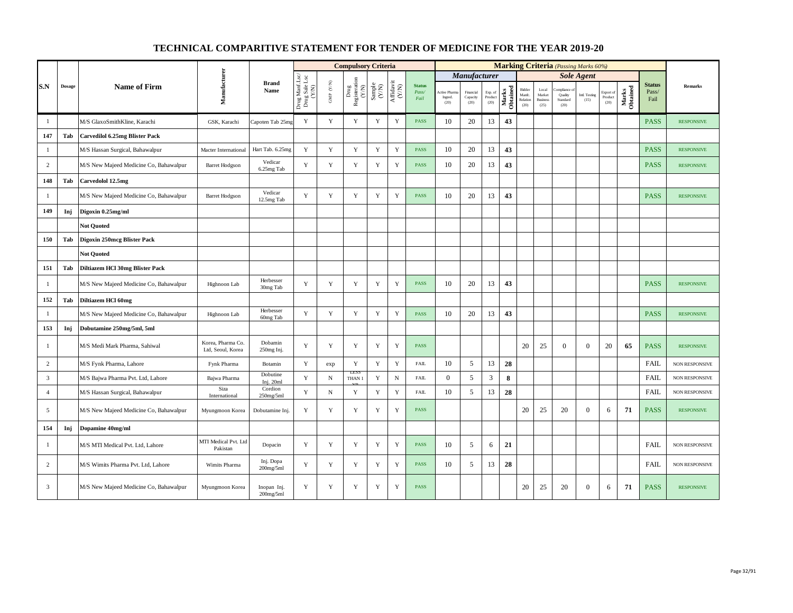|                |               |                                        |                                        |                           |                                          |                                                                       | <b>Compulsory Criteria</b>                                                     |                                                              |                                                                                                      |                                |                                |                               |                            |                   |                                      |                                            |                                         | <b>Marking Criteria</b> (Passing Marks 60%) |                              |                   |                                |                       |
|----------------|---------------|----------------------------------------|----------------------------------------|---------------------------|------------------------------------------|-----------------------------------------------------------------------|--------------------------------------------------------------------------------|--------------------------------------------------------------|------------------------------------------------------------------------------------------------------|--------------------------------|--------------------------------|-------------------------------|----------------------------|-------------------|--------------------------------------|--------------------------------------------|-----------------------------------------|---------------------------------------------|------------------------------|-------------------|--------------------------------|-----------------------|
|                |               |                                        |                                        |                           |                                          |                                                                       |                                                                                |                                                              |                                                                                                      |                                |                                | <b>Manufacturer</b>           |                            |                   |                                      |                                            |                                         | <b>Sole Agent</b>                           |                              |                   |                                |                       |
| S.N            | <b>Dosage</b> | <b>Name of Firm</b>                    | Manufacturer                           | <b>Brand</b><br>Name      | Drug Manf.Lsc/<br>Drug Sale Lsc<br>(Y/N) | $\ensuremath{\mathrm{GMP}}\xspace$ $\ensuremath{\mathrm{C/N}}\xspace$ | $\begin{tabular}{c} \bf{Drag} \\ \bf{Res} is iteration \\ (Y/N) \end{tabular}$ | $\begin{array}{c} \text{Sample} \\ (\text{Y/N}) \end{array}$ | $\begin{array}{c} \mathrm{Aff} \mathrm{dav} \, \mathrm{i} \\ (\mathrm{Y} \, \mathrm{N}) \end{array}$ | <b>Status</b><br>Pass/<br>Fail | Active Phar<br>Ingred.<br>(20) | Financial<br>Capacity<br>(20) | Exp. of<br>Product<br>(20) | Obtained<br>Marks | Bidder<br>Manfc.<br>Relation<br>(20) | Local<br>Market<br><b>Business</b><br>(25) | mpliance<br>Quality<br>Standard<br>(20) | Intl. Testing<br>(15)                       | Export of<br>Product<br>(20) | Marks<br>Obtained | <b>Status</b><br>Pass/<br>Fail | <b>Remarks</b>        |
| $\mathbf{1}$   |               | M/S GlaxoSmithKline, Karachi           | GSK, Karachi                           | Capoten Tab 25mg          | Y                                        | Y                                                                     | Y                                                                              | Y                                                            | Y                                                                                                    | <b>PASS</b>                    | 10                             | 20                            | 13                         | 43                |                                      |                                            |                                         |                                             |                              |                   | <b>PASS</b>                    | <b>RESPONSIVE</b>     |
| 147            | Tab           | <b>Carvedilol 6.25mg Blister Pack</b>  |                                        |                           |                                          |                                                                       |                                                                                |                                                              |                                                                                                      |                                |                                |                               |                            |                   |                                      |                                            |                                         |                                             |                              |                   |                                |                       |
| $\mathbf{1}$   |               | M/S Hassan Surgical, Bahawalpur        | Macter International                   | Hart Tab. 6.25mg          | Y                                        | $\mathbf Y$                                                           | $\mathbf Y$                                                                    | $\mathbf Y$                                                  | $\mathbf Y$                                                                                          | <b>PASS</b>                    | 10                             | 20                            | 13                         | 43                |                                      |                                            |                                         |                                             |                              |                   | <b>PASS</b>                    | <b>RESPONSIVE</b>     |
| $\overline{c}$ |               | M/S New Majeed Medicine Co, Bahawalpur | <b>Barret Hodgson</b>                  | Vedicar<br>6.25mg Tab     | Y                                        | $\mathbf Y$                                                           | $\mathbf Y$                                                                    | Y                                                            | $\mathbf Y$                                                                                          | <b>PASS</b>                    | 10                             | 20                            | 13                         | 43                |                                      |                                            |                                         |                                             |                              |                   | <b>PASS</b>                    | <b>RESPONSIVE</b>     |
| 148            | Tab           | Carvedolol 12.5mg                      |                                        |                           |                                          |                                                                       |                                                                                |                                                              |                                                                                                      |                                |                                |                               |                            |                   |                                      |                                            |                                         |                                             |                              |                   |                                |                       |
| $\mathbf{1}$   |               | M/S New Majeed Medicine Co, Bahawalpur | <b>Barret Hodgson</b>                  | Vedicar<br>12.5mg Tab     | Y                                        | Y                                                                     | Y                                                                              | Y                                                            | $\mathbf Y$                                                                                          | <b>PASS</b>                    | 10                             | 20                            | 13                         | 43                |                                      |                                            |                                         |                                             |                              |                   | <b>PASS</b>                    | <b>RESPONSIVE</b>     |
| 149            | Inj           | Digoxin 0.25mg/ml                      |                                        |                           |                                          |                                                                       |                                                                                |                                                              |                                                                                                      |                                |                                |                               |                            |                   |                                      |                                            |                                         |                                             |                              |                   |                                |                       |
|                |               | <b>Not Quoted</b>                      |                                        |                           |                                          |                                                                       |                                                                                |                                                              |                                                                                                      |                                |                                |                               |                            |                   |                                      |                                            |                                         |                                             |                              |                   |                                |                       |
| 150            | Tab           | Digoxin 250mcg Blister Pack            |                                        |                           |                                          |                                                                       |                                                                                |                                                              |                                                                                                      |                                |                                |                               |                            |                   |                                      |                                            |                                         |                                             |                              |                   |                                |                       |
|                |               | <b>Not Quoted</b>                      |                                        |                           |                                          |                                                                       |                                                                                |                                                              |                                                                                                      |                                |                                |                               |                            |                   |                                      |                                            |                                         |                                             |                              |                   |                                |                       |
| 151            | Tab           | Diltiazem HCl 30mg Blister Pack        |                                        |                           |                                          |                                                                       |                                                                                |                                                              |                                                                                                      |                                |                                |                               |                            |                   |                                      |                                            |                                         |                                             |                              |                   |                                |                       |
| $\mathbf{1}$   |               | M/S New Majeed Medicine Co, Bahawalpur | Highnoon Lab                           | Herbesser<br>30mg Tab     | Y                                        | Y                                                                     | Y                                                                              | Y                                                            | Y                                                                                                    | <b>PASS</b>                    | 10                             | 20                            | 13                         | 43                |                                      |                                            |                                         |                                             |                              |                   | <b>PASS</b>                    | <b>RESPONSIVE</b>     |
| 152            | Tab           | Diltiazem HCl 60mg                     |                                        |                           |                                          |                                                                       |                                                                                |                                                              |                                                                                                      |                                |                                |                               |                            |                   |                                      |                                            |                                         |                                             |                              |                   |                                |                       |
| -1             |               | M/S New Majeed Medicine Co, Bahawalpur | Highnoon Lab                           | Herbesser<br>60mg Tab     | Y                                        | Y                                                                     | $\mathbf Y$                                                                    | $\mathbf Y$                                                  | $\mathbf Y$                                                                                          | <b>PASS</b>                    | 10                             | 20                            | 13                         | 43                |                                      |                                            |                                         |                                             |                              |                   | <b>PASS</b>                    | <b>RESPONSIVE</b>     |
| 153            | Inj           | Dobutamine 250mg/5ml, 5ml              |                                        |                           |                                          |                                                                       |                                                                                |                                                              |                                                                                                      |                                |                                |                               |                            |                   |                                      |                                            |                                         |                                             |                              |                   |                                |                       |
| -1             |               | M/S Medi Mark Pharma, Sahiwal          | Korea, Pharma Co.<br>Ltd, Seoul, Korea | Dobamin<br>250mg Inj.     | Y                                        | Y                                                                     | Y                                                                              | Y                                                            | Y                                                                                                    | <b>PASS</b>                    |                                |                               |                            |                   | 20                                   | 25                                         | $\Omega$                                | $\Omega$                                    | 20                           | 65                | <b>PASS</b>                    | <b>RESPONSIVE</b>     |
| $\overline{c}$ |               | M/S Fynk Pharma, Lahore                | Fynk Pharma                            | Botamin                   | Y                                        | exp                                                                   | $\mathbf Y$                                                                    | Y                                                            | $\mathbf Y$                                                                                          | <b>FAIL</b>                    | 10                             | 5                             | 13                         | 28                |                                      |                                            |                                         |                                             |                              |                   | <b>FAIL</b>                    | <b>NON RESPONSIVE</b> |
| $\overline{3}$ |               | M/S Bajwa Pharma Pvt. Ltd, Lahore      | Bajwa Pharma                           | Dobutine<br>Inj. 20ml     | Y                                        | $\mathbf N$                                                           | LES.<br>THAN 1                                                                 | Y                                                            | ${\bf N}$                                                                                            | <b>FAIL</b>                    | $\theta$                       | 5                             | 3                          | 8                 |                                      |                                            |                                         |                                             |                              |                   | <b>FAIL</b>                    | <b>NON RESPONSIVE</b> |
| $\overline{4}$ |               | M/S Hassan Surgical, Bahawalpur        | Siza<br>International                  | Cordion<br>$250$ mg/5ml   | $\mathbf Y$                              | $\mathbf N$                                                           | $\mathbf Y$                                                                    | Y                                                            | $\mathbf Y$                                                                                          | <b>FAIL</b>                    | 10                             | 5                             | 13                         | 28                |                                      |                                            |                                         |                                             |                              |                   | <b>FAIL</b>                    | NON RESPONSIVE        |
| 5              |               | M/S New Majeed Medicine Co, Bahawalpur | Myungmoon Korea                        | Dobutamine Inj.           | Y                                        | Y                                                                     | Y                                                                              | Y                                                            | Y                                                                                                    | <b>PASS</b>                    |                                |                               |                            |                   | 20                                   | 25                                         | 20                                      | $\overline{0}$                              | 6                            | 71                | <b>PASS</b>                    | <b>RESPONSIVE</b>     |
| 154            | Inj           | Dopamine 40mg/ml                       |                                        |                           |                                          |                                                                       |                                                                                |                                                              |                                                                                                      |                                |                                |                               |                            |                   |                                      |                                            |                                         |                                             |                              |                   |                                |                       |
| $\mathbf{1}$   |               | M/S MTI Medical Pvt. Ltd, Lahore       | MTI Medical Pvt. Ltd<br>Pakistan       | Dopacin                   | $\mathbf Y$                              | $\mathbf Y$                                                           | Y                                                                              | Y                                                            | $\mathbf Y$                                                                                          | PASS                           | 10                             | 5                             | 6                          | 21                |                                      |                                            |                                         |                                             |                              |                   | <b>FAIL</b>                    | NON RESPONSIVE        |
| 2              |               | M/S Wimits Pharma Pvt. Ltd, Lahore     | Wimits Pharma                          | Inj. Dopa<br>$200$ mg/5ml | Y                                        | Y                                                                     | Y                                                                              | Y                                                            | Y                                                                                                    | <b>PASS</b>                    | 10                             | 5                             | 13                         | 28                |                                      |                                            |                                         |                                             |                              |                   | <b>FAIL</b>                    | NON RESPONSIVE        |
| $\overline{3}$ |               | M/S New Majeed Medicine Co, Bahawalpur | Myungmoon Korea                        | Inopan Inj.<br>200mg/5ml  | Y                                        | Y                                                                     | Y                                                                              | Y                                                            | $\mathbf Y$                                                                                          | <b>PASS</b>                    |                                |                               |                            |                   | 20                                   | 25                                         | 20                                      | $\boldsymbol{0}$                            | 6                            | 71                | <b>PASS</b>                    | <b>RESPONSIVE</b>     |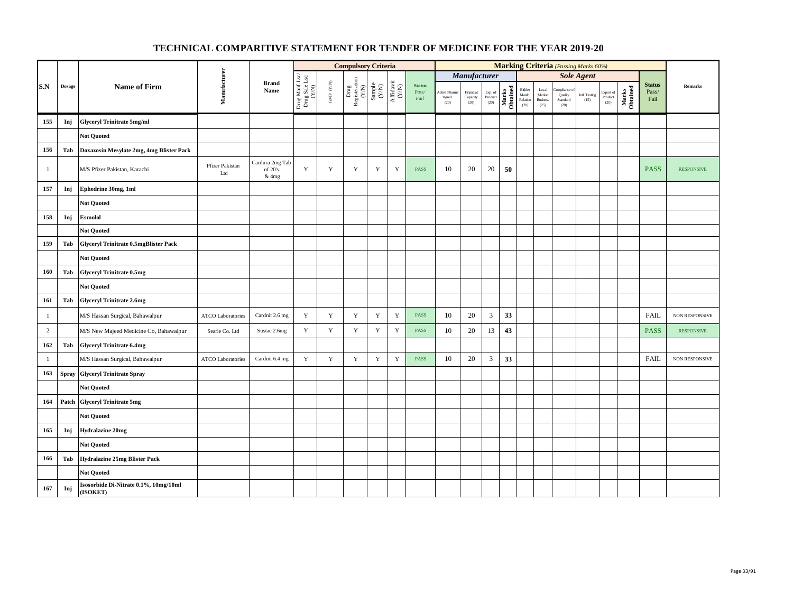|                |               |                                                   |                          |                                     |                                          |                                          | <b>Compulsory Criteria</b>                                                |                                                                     |                                                                              |                                |                                |                                          |                            |                   |                                                                                    |                                            | <b>Marking Criteria</b> (Passing Marks 60%) |                       |                              |                   |                                |                       |
|----------------|---------------|---------------------------------------------------|--------------------------|-------------------------------------|------------------------------------------|------------------------------------------|---------------------------------------------------------------------------|---------------------------------------------------------------------|------------------------------------------------------------------------------|--------------------------------|--------------------------------|------------------------------------------|----------------------------|-------------------|------------------------------------------------------------------------------------|--------------------------------------------|---------------------------------------------|-----------------------|------------------------------|-------------------|--------------------------------|-----------------------|
|                |               |                                                   |                          |                                     |                                          |                                          |                                                                           |                                                                     |                                                                              |                                |                                | Manufacturer                             |                            |                   |                                                                                    |                                            |                                             | <b>Sole Agent</b>     |                              |                   |                                |                       |
| S.N            | <b>Dosage</b> | <b>Name of Firm</b>                               | Manufacturer             | <b>Brand</b><br>Name                | Drug Manf.Lsc/<br>Drug Sale Lsc<br>(Y/N) | $\ensuremath{\mathrm{GMP}}\xspace$ (Y/N) | $\begin{tabular}{c} \bf Drug \\ \bf Registeration \\ (Y/N) \end{tabular}$ | $\begin{array}{c} \text{Sample} \\ \text{C}(\text{NN}) \end{array}$ | $\begin{array}{c} \mathrm{Aff} \mathrm{davit} \\ (\mathrm{Y/N}) \end{array}$ | <b>Status</b><br>Pass/<br>Fail | Active Pham<br>Ingred.<br>(20) | Financial<br>Capacity $\left( 20\right)$ | Exp. of<br>Product<br>(20) | Marks<br>Obtained | Bidder<br>$\begin{array}{ll} \text{Manfc.} \\ \text{Relation} \end{array}$<br>(20) | Local<br>Market<br><b>Business</b><br>(25) | ompliance o<br>Quality<br>Standard<br>(20)  | Intl. Testing<br>(15) | Export of<br>Product<br>(20) | Marks<br>Obtained | <b>Status</b><br>Pass/<br>Fail | <b>Remarks</b>        |
| 155            | Inj           | <b>Glyceryl Trinitrate 5mg/ml</b>                 |                          |                                     |                                          |                                          |                                                                           |                                                                     |                                                                              |                                |                                |                                          |                            |                   |                                                                                    |                                            |                                             |                       |                              |                   |                                |                       |
|                |               | <b>Not Quoted</b>                                 |                          |                                     |                                          |                                          |                                                                           |                                                                     |                                                                              |                                |                                |                                          |                            |                   |                                                                                    |                                            |                                             |                       |                              |                   |                                |                       |
| 156            | Tab           | Doxazosin Mesylate 2mg, 4mg Blister Pack          |                          |                                     |                                          |                                          |                                                                           |                                                                     |                                                                              |                                |                                |                                          |                            |                   |                                                                                    |                                            |                                             |                       |                              |                   |                                |                       |
| $\mathbf{1}$   |               | M/S Pfizer Pakistan, Karachi                      | Pfizer Pakistan<br>Ltd   | Cardura 2mg Tab<br>of 20's<br>& 4mg | $\mathbf Y$                              | $\mathbf Y$                              | $\mathbf Y$                                                               | $\mathbf Y$                                                         | $\mathbf Y$                                                                  | <b>PASS</b>                    | 10                             | 20                                       | 20                         | 50                |                                                                                    |                                            |                                             |                       |                              |                   | <b>PASS</b>                    | <b>RESPONSIVE</b>     |
| 157            | Inj           | Ephedrine 30mg, 1ml                               |                          |                                     |                                          |                                          |                                                                           |                                                                     |                                                                              |                                |                                |                                          |                            |                   |                                                                                    |                                            |                                             |                       |                              |                   |                                |                       |
|                |               | <b>Not Quoted</b>                                 |                          |                                     |                                          |                                          |                                                                           |                                                                     |                                                                              |                                |                                |                                          |                            |                   |                                                                                    |                                            |                                             |                       |                              |                   |                                |                       |
| 158            | Inj           | <b>Esmolol</b>                                    |                          |                                     |                                          |                                          |                                                                           |                                                                     |                                                                              |                                |                                |                                          |                            |                   |                                                                                    |                                            |                                             |                       |                              |                   |                                |                       |
|                |               | <b>Not Quoted</b>                                 |                          |                                     |                                          |                                          |                                                                           |                                                                     |                                                                              |                                |                                |                                          |                            |                   |                                                                                    |                                            |                                             |                       |                              |                   |                                |                       |
| 159            | Tab           | <b>Glyceryl Trinitrate 0.5mgBlister Pack</b>      |                          |                                     |                                          |                                          |                                                                           |                                                                     |                                                                              |                                |                                |                                          |                            |                   |                                                                                    |                                            |                                             |                       |                              |                   |                                |                       |
|                |               | <b>Not Quoted</b>                                 |                          |                                     |                                          |                                          |                                                                           |                                                                     |                                                                              |                                |                                |                                          |                            |                   |                                                                                    |                                            |                                             |                       |                              |                   |                                |                       |
| 160            | Tab           | <b>Glyceryl Trinitrate 0.5mg</b>                  |                          |                                     |                                          |                                          |                                                                           |                                                                     |                                                                              |                                |                                |                                          |                            |                   |                                                                                    |                                            |                                             |                       |                              |                   |                                |                       |
|                |               | <b>Not Quoted</b>                                 |                          |                                     |                                          |                                          |                                                                           |                                                                     |                                                                              |                                |                                |                                          |                            |                   |                                                                                    |                                            |                                             |                       |                              |                   |                                |                       |
| 161            | Tab           | <b>Glyceryl Trinitrate 2.6mg</b>                  |                          |                                     |                                          |                                          |                                                                           |                                                                     |                                                                              |                                |                                |                                          |                            |                   |                                                                                    |                                            |                                             |                       |                              |                   |                                |                       |
| $\mathbf{1}$   |               | M/S Hassan Surgical, Bahawalpur                   | <b>ATCO Laboratories</b> | Cardnit 2.6 mg                      | $\mathbf Y$                              | $\mathbf Y$                              | $\mathbf Y$                                                               | $\mathbf Y$                                                         | $\mathbf Y$                                                                  | PASS                           | 10                             | $20\,$                                   | $\sqrt{3}$                 | 33                |                                                                                    |                                            |                                             |                       |                              |                   | <b>FAIL</b>                    | NON RESPONSIVE        |
| $\overline{c}$ |               | M/S New Majeed Medicine Co, Bahawalpur            | Searle Co. Ltd           | Sustac 2.6mg                        | $\mathbf Y$                              | $\mathbf Y$                              | $\mathbf Y$                                                               | $\mathbf Y$                                                         | $\mathbf Y$                                                                  | PASS                           | 10                             | 20                                       | 13                         | 43                |                                                                                    |                                            |                                             |                       |                              |                   | <b>PASS</b>                    | <b>RESPONSIVE</b>     |
| 162            | Tab           | <b>Glyceryl Trinitrate 6.4mg</b>                  |                          |                                     |                                          |                                          |                                                                           |                                                                     |                                                                              |                                |                                |                                          |                            |                   |                                                                                    |                                            |                                             |                       |                              |                   |                                |                       |
| $\mathbf{1}$   |               | M/S Hassan Surgical, Bahawalpur                   | <b>ATCO Laboratories</b> | Cardnit 6.4 mg                      | Y                                        | $\mathbf Y$                              | $\mathbf Y$                                                               | $\mathbf Y$                                                         | $\mathbf Y$                                                                  | PASS                           | 10                             | 20                                       | $\mathfrak{Z}$             | 33                |                                                                                    |                                            |                                             |                       |                              |                   | <b>FAIL</b>                    | <b>NON RESPONSIVE</b> |
| 163            | <b>Spray</b>  | <b>Glyceryl Trinitrate Spray</b>                  |                          |                                     |                                          |                                          |                                                                           |                                                                     |                                                                              |                                |                                |                                          |                            |                   |                                                                                    |                                            |                                             |                       |                              |                   |                                |                       |
|                |               | <b>Not Quoted</b>                                 |                          |                                     |                                          |                                          |                                                                           |                                                                     |                                                                              |                                |                                |                                          |                            |                   |                                                                                    |                                            |                                             |                       |                              |                   |                                |                       |
| 164            | Patch         | <b>Glyceryl Trinitrate 5mg</b>                    |                          |                                     |                                          |                                          |                                                                           |                                                                     |                                                                              |                                |                                |                                          |                            |                   |                                                                                    |                                            |                                             |                       |                              |                   |                                |                       |
|                |               | <b>Not Quoted</b>                                 |                          |                                     |                                          |                                          |                                                                           |                                                                     |                                                                              |                                |                                |                                          |                            |                   |                                                                                    |                                            |                                             |                       |                              |                   |                                |                       |
| 165            | Inj           | <b>Hydralazine 20mg</b>                           |                          |                                     |                                          |                                          |                                                                           |                                                                     |                                                                              |                                |                                |                                          |                            |                   |                                                                                    |                                            |                                             |                       |                              |                   |                                |                       |
|                |               | <b>Not Quoted</b>                                 |                          |                                     |                                          |                                          |                                                                           |                                                                     |                                                                              |                                |                                |                                          |                            |                   |                                                                                    |                                            |                                             |                       |                              |                   |                                |                       |
| 166            | Tab           | Hydralazine 25mg Blister Pack                     |                          |                                     |                                          |                                          |                                                                           |                                                                     |                                                                              |                                |                                |                                          |                            |                   |                                                                                    |                                            |                                             |                       |                              |                   |                                |                       |
|                |               | <b>Not Quoted</b>                                 |                          |                                     |                                          |                                          |                                                                           |                                                                     |                                                                              |                                |                                |                                          |                            |                   |                                                                                    |                                            |                                             |                       |                              |                   |                                |                       |
| 167            | Inj           | Isosorbide Di-Nitrate 0.1%, 10mg/10ml<br>(ISOKET) |                          |                                     |                                          |                                          |                                                                           |                                                                     |                                                                              |                                |                                |                                          |                            |                   |                                                                                    |                                            |                                             |                       |                              |                   |                                |                       |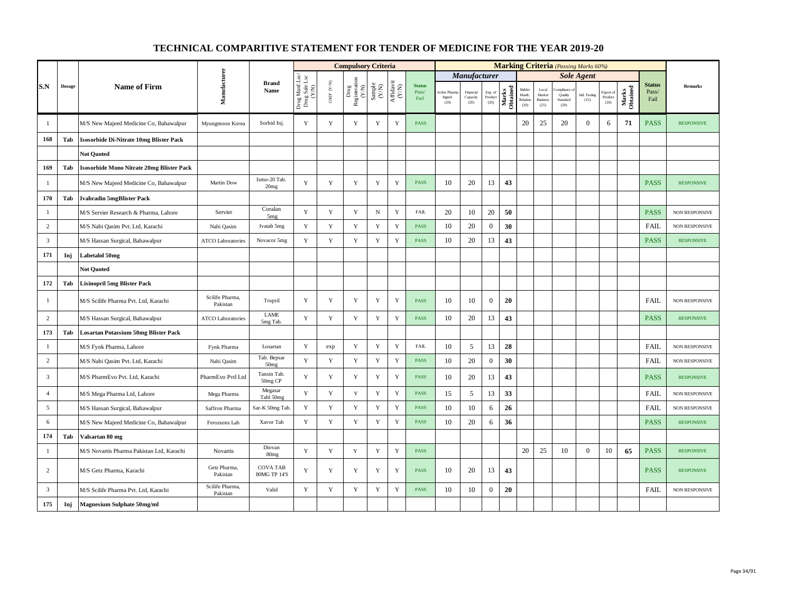|                |        |                                                  |                             |                                  |                                          |                           | <b>Compulsory Criteria</b>                                                                |                                                              |                    |                                |                                 |                               |                            |                   |                                     |                                            |                             | <b>Marking Criteria</b> (Passing Marks 60%) |                              |                   |                                |                       |
|----------------|--------|--------------------------------------------------|-----------------------------|----------------------------------|------------------------------------------|---------------------------|-------------------------------------------------------------------------------------------|--------------------------------------------------------------|--------------------|--------------------------------|---------------------------------|-------------------------------|----------------------------|-------------------|-------------------------------------|--------------------------------------------|-----------------------------|---------------------------------------------|------------------------------|-------------------|--------------------------------|-----------------------|
|                |        |                                                  |                             |                                  |                                          |                           |                                                                                           |                                                              |                    |                                |                                 | <b>Manufacturer</b>           |                            |                   |                                     |                                            |                             | <b>Sole Agent</b>                           |                              |                   |                                |                       |
| S.N            | Dosage | <b>Name of Firm</b>                              | Manufacturer                | <b>Brand</b><br>Name             | Drug Manf.Lsc/<br>Drug Sale Lsc<br>(Y/N) | ${\rm GMP}$ ${\rm (V/N)}$ | $\begin{array}{c} \mathrm{ Drug} \\ \mathrm{Registeration} \\ (\mathrm{Y/N}) \end{array}$ | $\begin{array}{c} \text{Sample} \\ (\text{Y/N}) \end{array}$ | Affidavit<br>(Y/N) | <b>Status</b><br>Pass/<br>Fail | Active Pharm<br>Ingred.<br>(20) | Financial<br>Capacity<br>(20) | Exp. of<br>Product<br>(20) | Marks<br>Obtained | Bidde<br>Manfc.<br>Relation<br>(20) | Local<br>Market<br><b>Business</b><br>(25) | Quality<br>Standard<br>(20) | Intl. Testing<br>(15)                       | Export of<br>Product<br>(20) | Marks<br>Obtained | <b>Status</b><br>Pass/<br>Fail | <b>Remarks</b>        |
| 1              |        | M/S New Majeed Medicine Co, Bahawalpur           | Myungmoon Korea             | Sorbid Inj.                      | Y                                        | Y                         | Y                                                                                         | Y                                                            | Y                  | <b>PASS</b>                    |                                 |                               |                            |                   | 20                                  | 25                                         | 20                          | $\overline{0}$                              | 6                            | 71                | <b>PASS</b>                    | <b>RESPONSIVE</b>     |
| 168            | Tab    | <b>Isosorbide Di-Nitrate 10mg Blister Pack</b>   |                             |                                  |                                          |                           |                                                                                           |                                                              |                    |                                |                                 |                               |                            |                   |                                     |                                            |                             |                                             |                              |                   |                                |                       |
|                |        | <b>Not Quoted</b>                                |                             |                                  |                                          |                           |                                                                                           |                                                              |                    |                                |                                 |                               |                            |                   |                                     |                                            |                             |                                             |                              |                   |                                |                       |
| 169            | Tab    | <b>Isosorbide Mono Nitrate 20mg Blister Pack</b> |                             |                                  |                                          |                           |                                                                                           |                                                              |                    |                                |                                 |                               |                            |                   |                                     |                                            |                             |                                             |                              |                   |                                |                       |
| $\mathbf{1}$   |        | M/S New Majeed Medicine Co, Bahawalpur           | Martin Dow                  | Ismo-20 Tab.<br>20 <sub>mg</sub> | Y                                        | $\mathbf Y$               | Y                                                                                         | Y                                                            | Y                  | <b>PASS</b>                    | 10                              | 20                            | 13                         | 43                |                                     |                                            |                             |                                             |                              |                   | <b>PASS</b>                    | <b>RESPONSIVE</b>     |
| 170            | Tab    | <b>Ivabradin 5mgBlister Pack</b>                 |                             |                                  |                                          |                           |                                                                                           |                                                              |                    |                                |                                 |                               |                            |                   |                                     |                                            |                             |                                             |                              |                   |                                |                       |
| $\mathbf{1}$   |        | M/S Servier Research & Pharma, Lahore            | Servier                     | Coralan<br>5mg                   | Y                                        | $\mathbf Y$               | $\mathbf Y$                                                                               | $_{\rm N}$                                                   | Y                  | FAIL                           | 20                              | 10                            | 20                         | 50                |                                     |                                            |                             |                                             |                              |                   | <b>PASS</b>                    | NON RESPONSIVE        |
| $\overline{c}$ |        | M/S Nabi Qasim Pvt. Ltd, Karachi                 | Nabi Qasim                  | Ivatab 5mg                       | $\mathbf Y$                              | $\mathbf Y$               | $\mathbf Y$                                                                               | $\mathbf Y$                                                  | $\mathbf Y$        | <b>PASS</b>                    | 10                              | 20                            | $\boldsymbol{0}$           | 30                |                                     |                                            |                             |                                             |                              |                   | <b>FAIL</b>                    | NON RESPONSIVE        |
| $\mathbf{3}$   |        | M/S Hassan Surgical, Bahawalpur                  | <b>ATCO Laboratories</b>    | Novacor 5mg                      | Y                                        | Y                         | $\mathbf Y$                                                                               | Y                                                            | Y                  | <b>PASS</b>                    | 10                              | 20                            | 13                         | 43                |                                     |                                            |                             |                                             |                              |                   | <b>PASS</b>                    | <b>RESPONSIVE</b>     |
| 171            | Inj    | Labetalol 50mg                                   |                             |                                  |                                          |                           |                                                                                           |                                                              |                    |                                |                                 |                               |                            |                   |                                     |                                            |                             |                                             |                              |                   |                                |                       |
|                |        | <b>Not Ouoted</b>                                |                             |                                  |                                          |                           |                                                                                           |                                                              |                    |                                |                                 |                               |                            |                   |                                     |                                            |                             |                                             |                              |                   |                                |                       |
| 172            | Tab    | <b>Lisinopril 5mg Blister Pack</b>               |                             |                                  |                                          |                           |                                                                                           |                                                              |                    |                                |                                 |                               |                            |                   |                                     |                                            |                             |                                             |                              |                   |                                |                       |
| $\mathbf{1}$   |        | M/S Scilife Pharma Pvt. Ltd, Karachi             | Scilife Pharma,<br>Pakistan | Trupril                          | Y                                        | $\mathbf Y$               | $\mathbf Y$                                                                               | $\mathbf Y$                                                  | $\mathbf Y$        | <b>PASS</b>                    | 10                              | 10                            | $\mathbf{0}$               | 20                |                                     |                                            |                             |                                             |                              |                   | <b>FAIL</b>                    | <b>NON RESPONSIVE</b> |
| $\overline{c}$ |        | M/S Hassan Surgical, Bahawalpur                  | <b>ATCO</b> Laboratories    | LAME<br>5mg Tab.                 | Y                                        | Y                         | $\mathbf Y$                                                                               | $\mathbf Y$                                                  | Y                  | <b>PASS</b>                    | 10                              | 20                            | 13                         | 43                |                                     |                                            |                             |                                             |                              |                   | <b>PASS</b>                    | <b>RESPONSIVE</b>     |
| 173            | Tab    | <b>Losartan Potassium 50mg Blister Pack</b>      |                             |                                  |                                          |                           |                                                                                           |                                                              |                    |                                |                                 |                               |                            |                   |                                     |                                            |                             |                                             |                              |                   |                                |                       |
| $\mathbf{1}$   |        | M/S Fynk Pharma, Lahore                          | Fynk Pharma                 | Losartan                         | $\mathbf Y$                              | exp                       | $\mathbf Y$                                                                               | $\mathbf Y$                                                  | $\mathbf Y$        | <b>FAIL</b>                    | 10                              | 5                             | 13                         | 28                |                                     |                                            |                             |                                             |                              |                   | <b>FAIL</b>                    | NON RESPONSIVE        |
| $\overline{c}$ |        | M/S Nabi Qasim Pvt. Ltd, Karachi                 | Nabi Qasim                  | Tab. Bepsar<br>50 <sub>mg</sub>  | Y                                        | $\mathbf Y$               | $\mathbf Y$                                                                               | $\mathbf Y$                                                  | $\mathbf Y$        | <b>PASS</b>                    | 10                              | 20                            | $\mathbf{0}$               | 30                |                                     |                                            |                             |                                             |                              |                   | <b>FAIL</b>                    | <b>NON RESPONSIVE</b> |
| $\overline{3}$ |        | M/S PharmEvo Pvt. Ltd, Karachi                   | PharmEvo Pvtl Ltd           | Tansin Tab.<br>50mg CP           | Y                                        | $\mathbf Y$               | $\mathbf Y$                                                                               | $\mathbf Y$                                                  | $\mathbf Y$        | PASS                           | 10                              | 20                            | 13                         | 43                |                                     |                                            |                             |                                             |                              |                   | <b>PASS</b>                    | <b>RESPONSIVE</b>     |
| $\overline{4}$ |        | M/S Mega Pharma Ltd, Lahore                      | Mega Pharma                 | Megasar<br>Tabl 50mg             | Y                                        | $\mathbf Y$               | $\mathbf Y$                                                                               | $\mathbf Y$                                                  | $\mathbf Y$        | <b>PASS</b>                    | 15                              | 5                             | 13                         | 33                |                                     |                                            |                             |                                             |                              |                   | <b>FAIL</b>                    | NON RESPONSIVE        |
| 5              |        | M/S Hassan Surgical, Bahawalpur                  | Saffron Pharma              | Sar-K 50mg Tab.                  | Y                                        | $\mathbf Y$               | $\mathbf Y$                                                                               | $\mathbf Y$                                                  | Y                  | <b>PASS</b>                    | 10                              | 10                            | 6                          | 26                |                                     |                                            |                             |                                             |                              |                   | <b>FAIL</b>                    | <b>NON RESPONSIVE</b> |
| 6              |        | M/S New Majeed Medicine Co, Bahawalpur           | Ferozsons Lab               | Xavor Tab                        | $\mathbf Y$                              | $\mathbf Y$               | $\mathbf Y$                                                                               | $\mathbf Y$                                                  | Y                  | <b>PASS</b>                    | 10                              | 20                            | 6                          | 36                |                                     |                                            |                             |                                             |                              |                   | <b>PASS</b>                    | <b>RESPONSIVE</b>     |
| 174            | Tab    | Valsartan 80 mg                                  |                             |                                  |                                          |                           |                                                                                           |                                                              |                    |                                |                                 |                               |                            |                   |                                     |                                            |                             |                                             |                              |                   |                                |                       |
| $\mathbf{1}$   |        | M/S Novartis Pharma Pakistan Ltd, Karachi        | Novartis                    | Diovan<br>80 <sub>mg</sub>       | Y                                        | $\mathbf Y$               | Y                                                                                         | $\mathbf Y$                                                  | $\mathbf Y$        | <b>PASS</b>                    |                                 |                               |                            |                   | 20                                  | 25                                         | 10                          | $\overline{0}$                              | 10                           | 65                | <b>PASS</b>                    | <b>RESPONSIVE</b>     |
| 2              |        | M/S Getz Pharma, Karachi                         | Getz Pharma,<br>Pakistan    | <b>COVA TAB</b><br>80MG TP 14'S  | Y                                        | Y                         | Y                                                                                         | $\mathbf Y$                                                  | Y                  | <b>PASS</b>                    | 10                              | 20                            | 13                         | 43                |                                     |                                            |                             |                                             |                              |                   | <b>PASS</b>                    | <b>RESPONSIVE</b>     |
| $\mathbf{3}$   |        | M/S Scilife Pharma Pvt. Ltd, Karachi             | Scilife Pharma,<br>Pakistan | Valid                            | $\mathbf Y$                              | $\mathbf Y$               | $\mathbf Y$                                                                               | $\mathbf Y$                                                  | $\mathbf Y$        | <b>PASS</b>                    | 10                              | 10                            | $\boldsymbol{0}$           | 20                |                                     |                                            |                             |                                             |                              |                   | <b>FAIL</b>                    | NON RESPONSIVE        |
| 175            | Inj    | <b>Magnesium Sulphate 50mg/ml</b>                |                             |                                  |                                          |                           |                                                                                           |                                                              |                    |                                |                                 |                               |                            |                   |                                     |                                            |                             |                                             |                              |                   |                                |                       |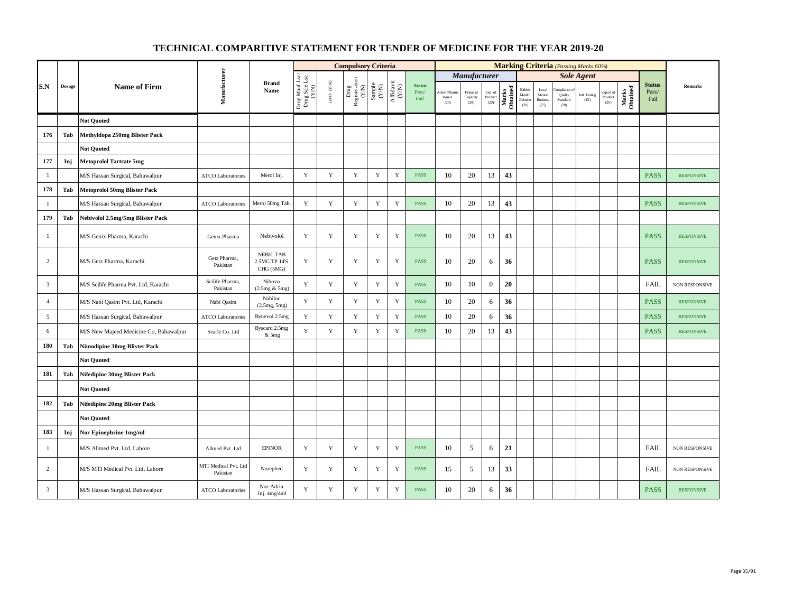|                |        |                                        |                                  |                                                |                                          |                                                                       | <b>Compulsory Criteria</b>    |                                                              |                                                                                       |                                |                                |                               |                            |                   |                                      |                                            | <b>Marking Criteria</b> (Passing Marks 60%)                  |                       |                              |                   |                                |                       |
|----------------|--------|----------------------------------------|----------------------------------|------------------------------------------------|------------------------------------------|-----------------------------------------------------------------------|-------------------------------|--------------------------------------------------------------|---------------------------------------------------------------------------------------|--------------------------------|--------------------------------|-------------------------------|----------------------------|-------------------|--------------------------------------|--------------------------------------------|--------------------------------------------------------------|-----------------------|------------------------------|-------------------|--------------------------------|-----------------------|
|                |        |                                        |                                  |                                                |                                          |                                                                       |                               |                                                              |                                                                                       |                                |                                | Manufacturer                  |                            |                   |                                      |                                            |                                                              | <b>Sole Agent</b>     |                              |                   |                                |                       |
| S.N            | Dosage | <b>Name of Firm</b>                    | Manufacturer                     | <b>Brand</b><br>Name                           | Drug Manf.Lsc/<br>Drug Sale Lsc<br>(Y/N) | $\ensuremath{\mathsf{GMP}}\xspace$ $\ensuremath{\mathsf{C/N}}\xspace$ | Drug<br>Registeration $(Y/N)$ | $\begin{array}{c} \text{Sample} \\ (\text{Y/N}) \end{array}$ | $\begin{array}{c} \mathrm{Aff} \mathrm{dav} \mathrm{i} \\ (\mathrm{Y/N}) \end{array}$ | <b>Status</b><br>Pass/<br>Fail | Active Phan<br>Ingred.<br>(20) | Financial<br>Capacity<br>(20) | Exp. of<br>Product<br>(20) | Marks<br>Obtained | Bidder<br>Manfc.<br>Relation<br>(20) | Local<br>Market<br><b>Business</b><br>(25) | mpliance<br>Quality<br>$\operatorname{\bf Standard}$<br>(20) | Intl. Testing<br>(15) | Export of<br>Product<br>(20) | Marks<br>Obtained | <b>Status</b><br>Pass/<br>Fail | <b>Remarks</b>        |
|                |        | <b>Not Quoted</b>                      |                                  |                                                |                                          |                                                                       |                               |                                                              |                                                                                       |                                |                                |                               |                            |                   |                                      |                                            |                                                              |                       |                              |                   |                                |                       |
| 176            | Tab    | Methyldopa 250mg Blister Pack          |                                  |                                                |                                          |                                                                       |                               |                                                              |                                                                                       |                                |                                |                               |                            |                   |                                      |                                            |                                                              |                       |                              |                   |                                |                       |
|                |        | <b>Not Quoted</b>                      |                                  |                                                |                                          |                                                                       |                               |                                                              |                                                                                       |                                |                                |                               |                            |                   |                                      |                                            |                                                              |                       |                              |                   |                                |                       |
| 177            | Inj    | <b>Metoprolol Tartrate 5mg</b>         |                                  |                                                |                                          |                                                                       |                               |                                                              |                                                                                       |                                |                                |                               |                            |                   |                                      |                                            |                                                              |                       |                              |                   |                                |                       |
| $\mathbf{1}$   |        | M/S Hassan Surgical, Bahawalpur        | <b>ATCO</b> Laboratories         | Merol Inj.                                     | $\mathbf Y$                              | $\mathbf Y$                                                           | $\mathbf Y$                   | $\mathbf Y$                                                  | $\mathbf Y$                                                                           | PASS                           | 10                             | 20                            | 13                         | 43                |                                      |                                            |                                                              |                       |                              |                   | <b>PASS</b>                    | <b>RESPONSIVE</b>     |
| 178            | Tab    | <b>Metoprolol 50mg Blister Pack</b>    |                                  |                                                |                                          |                                                                       |                               |                                                              |                                                                                       |                                |                                |                               |                            |                   |                                      |                                            |                                                              |                       |                              |                   |                                |                       |
| $\mathbf{1}$   |        | M/S Hassan Surgical, Bahawalpur        | <b>ATCO Laboratories</b>         | Merol 50mg Tab.                                | Y                                        | $\mathbf Y$                                                           | $\mathbf Y$                   | $\mathbf Y$                                                  | $\mathbf Y$                                                                           | <b>PASS</b>                    | 10                             | 20                            | 13                         | 43                |                                      |                                            |                                                              |                       |                              |                   | <b>PASS</b>                    | <b>RESPONSIVE</b>     |
| 179            | Tab    | Nebivolol 2.5mg/5mg Blister Pack       |                                  |                                                |                                          |                                                                       |                               |                                                              |                                                                                       |                                |                                |                               |                            |                   |                                      |                                            |                                                              |                       |                              |                   |                                |                       |
| $\mathbf{1}$   |        | M/S Genix Pharma, Karachi              | Genix Pharma                     | Nebivolol                                      | Y                                        | Y                                                                     | Y                             | Y                                                            | Y                                                                                     | <b>PASS</b>                    | 10                             | 20                            | 13                         | 43                |                                      |                                            |                                                              |                       |                              |                   | <b>PASS</b>                    | <b>RESPONSIVE</b>     |
| $\overline{c}$ |        | M/S Getz Pharma, Karachi               | Getz Pharma.<br>Pakistan         | <b>NEBIL TAB</b><br>2.5MG TP 14'S<br>CHG (5MG) | Y                                        | Y                                                                     | Y                             | Y                                                            | Y                                                                                     | <b>PASS</b>                    | 10                             | 20                            | 6                          | 36                |                                      |                                            |                                                              |                       |                              |                   | <b>PASS</b>                    | <b>RESPONSIVE</b>     |
| $\mathbf{3}$   |        | M/S Scilife Pharma Pvt. Ltd, Karachi   | Scilife Pharma,<br>Pakistan      | Nibovo<br>(2.5mg & 5mg)                        | Y                                        | $\mathbf Y$                                                           | $\mathbf Y$                   | $\mathbf Y$                                                  | $\mathbf Y$                                                                           | <b>PASS</b>                    | 10                             | 10                            | $\mathbf{0}$               | 20                |                                      |                                            |                                                              |                       |                              |                   | <b>FAIL</b>                    | <b>NON RESPONSIVE</b> |
| $\overline{4}$ |        | M/S Nabi Qasim Pvt. Ltd, Karachi       | Nabi Qasim                       | Nabiloc<br>(2.5mg, 5mg)                        | Y                                        | Y                                                                     | Y                             | $\mathbf Y$                                                  | Y                                                                                     | <b>PASS</b>                    | 10                             | 20                            | 6                          | 36                |                                      |                                            |                                                              |                       |                              |                   | <b>PASS</b>                    | <b>RESPONSIVE</b>     |
| 5              |        | M/S Hassan Surgical, Bahawalpur        | <b>ATCO Laboratories</b>         | Bynevol 2.5mg                                  | Y                                        | Y                                                                     | Y                             | Y                                                            | $\mathbf Y$                                                                           | <b>PASS</b>                    | 10                             | 20                            | 6                          | 36                |                                      |                                            |                                                              |                       |                              |                   | <b>PASS</b>                    | <b>RESPONSIVE</b>     |
| 6              |        | M/S New Majeed Medicine Co, Bahawalpur | Searle Co. Ltd                   | Byscard 2.5mg<br>& 5mg                         | Y                                        | $\mathbf Y$                                                           | $\mathbf Y$                   | Y                                                            | $\mathbf Y$                                                                           | <b>PASS</b>                    | 10                             | 20                            | 13                         | 43                |                                      |                                            |                                                              |                       |                              |                   | <b>PASS</b>                    | <b>RESPONSIVE</b>     |
| 180            | Tab    | <b>Nimodipine 30mg Blister Pack</b>    |                                  |                                                |                                          |                                                                       |                               |                                                              |                                                                                       |                                |                                |                               |                            |                   |                                      |                                            |                                                              |                       |                              |                   |                                |                       |
|                |        | <b>Not Quoted</b>                      |                                  |                                                |                                          |                                                                       |                               |                                                              |                                                                                       |                                |                                |                               |                            |                   |                                      |                                            |                                                              |                       |                              |                   |                                |                       |
| 181            | Tab    | Nifedipine 30mg Blister Pack           |                                  |                                                |                                          |                                                                       |                               |                                                              |                                                                                       |                                |                                |                               |                            |                   |                                      |                                            |                                                              |                       |                              |                   |                                |                       |
|                |        | <b>Not Quoted</b>                      |                                  |                                                |                                          |                                                                       |                               |                                                              |                                                                                       |                                |                                |                               |                            |                   |                                      |                                            |                                                              |                       |                              |                   |                                |                       |
| 182            | Tab    | Nifedipine 20mg Blister Pack           |                                  |                                                |                                          |                                                                       |                               |                                                              |                                                                                       |                                |                                |                               |                            |                   |                                      |                                            |                                                              |                       |                              |                   |                                |                       |
|                |        | <b>Not Ouoted</b>                      |                                  |                                                |                                          |                                                                       |                               |                                                              |                                                                                       |                                |                                |                               |                            |                   |                                      |                                            |                                                              |                       |                              |                   |                                |                       |
| 183            | Inj    | Nor Epinephrine 1mg/ml                 |                                  |                                                |                                          |                                                                       |                               |                                                              |                                                                                       |                                |                                |                               |                            |                   |                                      |                                            |                                                              |                       |                              |                   |                                |                       |
| $\mathbf{1}$   |        | M/S Allmed Pvt. Ltd, Lahore            | Allmed Pvt. Ltd                  | <b>EPINOR</b>                                  | Y                                        | $\mathbf Y$                                                           | Y                             | $\mathbf Y$                                                  | Y                                                                                     | <b>PASS</b>                    | 10                             | 5                             | 6                          | 21                |                                      |                                            |                                                              |                       |                              |                   | <b>FAIL</b>                    | NON RESPONSIVE        |
| $\overline{c}$ |        | M/S MTI Medical Pvt. Ltd, Lahore       | MTI Medical Pvt. Ltd<br>Pakistan | Norephed                                       | $\mathbf Y$                              | $\mathbf Y$                                                           | Y                             | $\mathbf Y$                                                  | $\mathbf Y$                                                                           | <b>PASS</b>                    | 15                             | 5                             | 13                         | 33                |                                      |                                            |                                                              |                       |                              |                   | <b>FAIL</b>                    | NON RESPONSIVE        |
| $\overline{3}$ |        | M/S Hassan Surgical, Bahawalpur        | <b>ATCO Laboratories</b>         | Nor-Adrin<br>Inj. 4mg/4ml                      | Y                                        | Y                                                                     | Y                             | Y                                                            | Y                                                                                     | <b>PASS</b>                    | 10                             | 20                            | 6                          | 36                |                                      |                                            |                                                              |                       |                              |                   | <b>PASS</b>                    | <b>RESPONSIVE</b>     |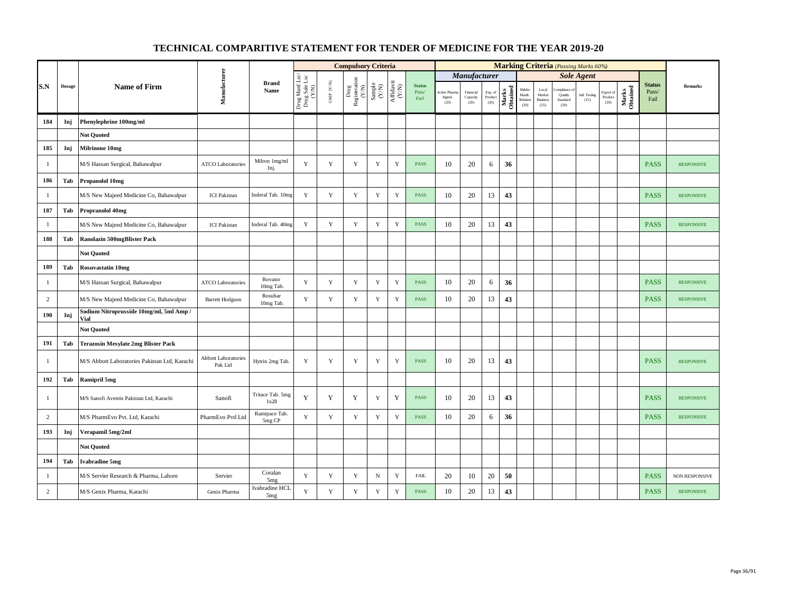|                |               |                                                 |                                       |                          |                                          |                                                                       | <b>Compulsory Criteria</b>                                                |                                                              |                                                                                       |                                |                                |                               |                            |                   |                                      |                                            | <b>Marking Criteria</b> (Passing Marks 60%) |                       |                              |                   |                                |                   |
|----------------|---------------|-------------------------------------------------|---------------------------------------|--------------------------|------------------------------------------|-----------------------------------------------------------------------|---------------------------------------------------------------------------|--------------------------------------------------------------|---------------------------------------------------------------------------------------|--------------------------------|--------------------------------|-------------------------------|----------------------------|-------------------|--------------------------------------|--------------------------------------------|---------------------------------------------|-----------------------|------------------------------|-------------------|--------------------------------|-------------------|
|                |               |                                                 |                                       |                          |                                          |                                                                       |                                                                           |                                                              |                                                                                       |                                |                                | <b>Manufacturer</b>           |                            |                   |                                      |                                            |                                             | <b>Sole Agent</b>     |                              |                   |                                |                   |
| S.N            | <b>Dosage</b> | <b>Name of Firm</b>                             | Manufacturer                          | <b>Brand</b><br>Name     | Drug Manf.Lsc/<br>Drug Sale Lsc<br>(Y/N) | $\ensuremath{\mathsf{GMP}}\xspace$ $\ensuremath{\mathsf{C/N}}\xspace$ | $\begin{tabular}{l} \bf Drug \\ \bf Registeration \\ (Y/N) \end{tabular}$ | $\begin{array}{c} \text{Sample} \\ (\text{Y/N}) \end{array}$ | $\begin{array}{c} \mathrm{Aff} \mathrm{dav} \mathrm{i} \\ (\mathrm{Y/N}) \end{array}$ | <b>Status</b><br>Pass/<br>Fail | Active Phan<br>Ingred.<br>(20) | Financial<br>Capacity<br>(20) | Exp. of<br>Product<br>(20) | Marks<br>Obtained | Bidder<br>Manfc.<br>Relation<br>(20) | Local<br>Market<br><b>Business</b><br>(25) | ompliance o<br>Quality<br>Standard<br>(20)  | Intl. Testing<br>(15) | Export of<br>Product<br>(20) | Marks<br>Obtained | <b>Status</b><br>Pass/<br>Fail | Remarks           |
| 184            | Inj           | Phenylephrine 100mg/ml                          |                                       |                          |                                          |                                                                       |                                                                           |                                                              |                                                                                       |                                |                                |                               |                            |                   |                                      |                                            |                                             |                       |                              |                   |                                |                   |
|                |               | <b>Not Ouoted</b>                               |                                       |                          |                                          |                                                                       |                                                                           |                                                              |                                                                                       |                                |                                |                               |                            |                   |                                      |                                            |                                             |                       |                              |                   |                                |                   |
| 185            | Inj           | <b>Milrinone 10mg</b>                           |                                       |                          |                                          |                                                                       |                                                                           |                                                              |                                                                                       |                                |                                |                               |                            |                   |                                      |                                            |                                             |                       |                              |                   |                                |                   |
| -1             |               | M/S Hassan Surgical, Bahawalpur                 | <b>ATCO Laboratories</b>              | Milron 1mg/ml<br>Inj.    | Y                                        | Y                                                                     | Y                                                                         | Y                                                            | Y                                                                                     | <b>PASS</b>                    | 10                             | 20                            | 6                          | 36                |                                      |                                            |                                             |                       |                              |                   | <b>PASS</b>                    | <b>RESPONSIVE</b> |
| 186            | Tab           | Propanolol 10mg                                 |                                       |                          |                                          |                                                                       |                                                                           |                                                              |                                                                                       |                                |                                |                               |                            |                   |                                      |                                            |                                             |                       |                              |                   |                                |                   |
| $\mathbf{1}$   |               | M/S New Majeed Medicine Co, Bahawalpur          | <b>ICI</b> Pakistan                   | Inderal Tab. 10mg        | $\mathbf Y$                              | $\mathbf Y$                                                           | $\mathbf Y$                                                               | $\mathbf Y$                                                  | $\mathbf Y$                                                                           | PASS                           | 10                             | 20                            | 13                         | 43                |                                      |                                            |                                             |                       |                              |                   | <b>PASS</b>                    | <b>RESPONSIVE</b> |
| 187            | Tab           | <b>Propranolol 40mg</b>                         |                                       |                          |                                          |                                                                       |                                                                           |                                                              |                                                                                       |                                |                                |                               |                            |                   |                                      |                                            |                                             |                       |                              |                   |                                |                   |
| $\mathbf{1}$   |               | M/S New Majeed Medicine Co, Bahawalpur          | <b>ICI</b> Pakistan                   | Inderal Tab. 40mg        | $\mathbf Y$                              | $\mathbf Y$                                                           | $\mathbf Y$                                                               | Y                                                            | $\mathbf Y$                                                                           | <b>PASS</b>                    | 10                             | 20                            | 13                         | 43                |                                      |                                            |                                             |                       |                              |                   | <b>PASS</b>                    | <b>RESPONSIVE</b> |
| 188            | Tab           | <b>Ranolazin 500mgBlister Pack</b>              |                                       |                          |                                          |                                                                       |                                                                           |                                                              |                                                                                       |                                |                                |                               |                            |                   |                                      |                                            |                                             |                       |                              |                   |                                |                   |
|                |               | <b>Not Quoted</b>                               |                                       |                          |                                          |                                                                       |                                                                           |                                                              |                                                                                       |                                |                                |                               |                            |                   |                                      |                                            |                                             |                       |                              |                   |                                |                   |
| 189            | Tab           | <b>Rosuvastatin 10mg</b>                        |                                       |                          |                                          |                                                                       |                                                                           |                                                              |                                                                                       |                                |                                |                               |                            |                   |                                      |                                            |                                             |                       |                              |                   |                                |                   |
| $\mathbf{1}$   |               | M/S Hassan Surgical, Bahawalpur                 | <b>ATCO Laboratories</b>              | Rovator<br>10mg Tab.     | $\mathbf Y$                              | $\mathbf Y$                                                           | $\mathbf Y$                                                               | $\mathbf Y$                                                  | $\mathbf Y$                                                                           | PASS                           | 10                             | 20                            | 6                          | 36                |                                      |                                            |                                             |                       |                              |                   | <b>PASS</b>                    | <b>RESPONSIVE</b> |
| $\overline{c}$ |               | M/S New Majeed Medicine Co, Bahawalpur          | <b>Barrett Hodgson</b>                | Rosubar<br>10mg Tab.     | Y                                        | $\mathbf Y$                                                           | $\mathbf Y$                                                               | Y                                                            | $\mathbf Y$                                                                           | <b>PASS</b>                    | 10                             | 20                            | 13                         | 43                |                                      |                                            |                                             |                       |                              |                   | <b>PASS</b>                    | <b>RESPONSIVE</b> |
| 190            | Inj           | Sodium Nitroprusside 10mg/ml, 5ml Amp /<br>Vial |                                       |                          |                                          |                                                                       |                                                                           |                                                              |                                                                                       |                                |                                |                               |                            |                   |                                      |                                            |                                             |                       |                              |                   |                                |                   |
|                |               | <b>Not Quoted</b>                               |                                       |                          |                                          |                                                                       |                                                                           |                                                              |                                                                                       |                                |                                |                               |                            |                   |                                      |                                            |                                             |                       |                              |                   |                                |                   |
| 191            | Tab           | <b>Terazosin Mesylate 2mg Blister Pack</b>      |                                       |                          |                                          |                                                                       |                                                                           |                                                              |                                                                                       |                                |                                |                               |                            |                   |                                      |                                            |                                             |                       |                              |                   |                                |                   |
| $\mathbf{1}$   |               | M/S Abbott Laboratories Pakistan Ltd, Karachi   | <b>Abbott Laboratories</b><br>Pak Ltd | Hytrin 2mg Tab.          | $\mathbf Y$                              | $\mathbf Y$                                                           | $\mathbf Y$                                                               | Y                                                            | $\mathbf Y$                                                                           | <b>PASS</b>                    | 10                             | 20                            | 13                         | 43                |                                      |                                            |                                             |                       |                              |                   | <b>PASS</b>                    | <b>RESPONSIVE</b> |
| 192            | Tab           | <b>Ramipril 5mg</b>                             |                                       |                          |                                          |                                                                       |                                                                           |                                                              |                                                                                       |                                |                                |                               |                            |                   |                                      |                                            |                                             |                       |                              |                   |                                |                   |
| $\mathbf{1}$   |               | M/S Sanofi Aventis Pakistan Ltd, Karachi        | Sanofi                                | Tritace Tab. 5mg<br>1x28 | Y                                        | Y                                                                     | Y                                                                         | $\mathbf Y$                                                  | Y                                                                                     | <b>PASS</b>                    | 10                             | 20                            | 13                         | 43                |                                      |                                            |                                             |                       |                              |                   | <b>PASS</b>                    | <b>RESPONSIVE</b> |
| $\overline{c}$ |               | M/S PharmEvo Pvt. Ltd, Karachi                  | PharmEvo Pvtl Ltd                     | Ramipace Tab.<br>5mg CP  | Y                                        | $\mathbf Y$                                                           | $\mathbf Y$                                                               | $\mathbf Y$                                                  | $\mathbf Y$                                                                           | <b>PASS</b>                    | 10                             | 20                            | 6                          | 36                |                                      |                                            |                                             |                       |                              |                   | <b>PASS</b>                    | <b>RESPONSIVE</b> |
| 193            | Inj           | Verapamil 5mg/2ml                               |                                       |                          |                                          |                                                                       |                                                                           |                                                              |                                                                                       |                                |                                |                               |                            |                   |                                      |                                            |                                             |                       |                              |                   |                                |                   |
|                |               | <b>Not Quoted</b>                               |                                       |                          |                                          |                                                                       |                                                                           |                                                              |                                                                                       |                                |                                |                               |                            |                   |                                      |                                            |                                             |                       |                              |                   |                                |                   |
| 194            | Tab           | <b>Ivabradine 5mg</b>                           |                                       |                          |                                          |                                                                       |                                                                           |                                                              |                                                                                       |                                |                                |                               |                            |                   |                                      |                                            |                                             |                       |                              |                   |                                |                   |
| $\mathbf{1}$   |               | M/S Servier Research & Pharma, Lahore           | Servier                               | Coralan<br>5mg           | $\mathbf Y$                              | $\mathbf Y$                                                           | $\mathbf Y$                                                               | ${\bf N}$                                                    | $\mathbf Y$                                                                           | <b>FAIL</b>                    | 20                             | 10                            | 20                         | 50                |                                      |                                            |                                             |                       |                              |                   | <b>PASS</b>                    | NON RESPONSIVE    |
| $\overline{c}$ |               | M/S Genix Pharma, Karachi                       | Genix Pharma                          | Ivabradine HCL<br>5mg    | $\mathbf Y$                              | $\mathbf Y$                                                           | $\mathbf Y$                                                               | $\mathbf Y$                                                  | $\mathbf Y$                                                                           | <b>PASS</b>                    | $10\,$                         | $20\,$                        | 13                         | 43                |                                      |                                            |                                             |                       |                              |                   | <b>PASS</b>                    | <b>RESPONSIVE</b> |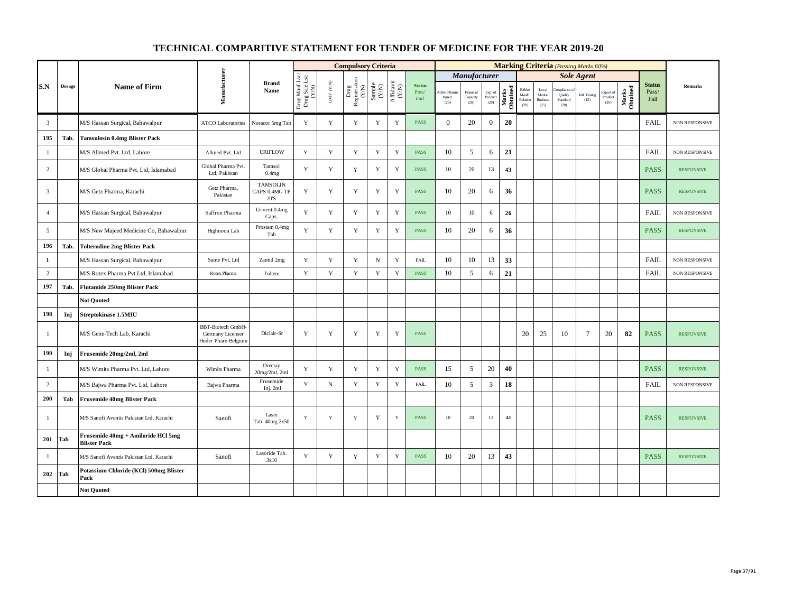|                         |               |                                                           |                                                                    |                                          |                                          |                                                         | <b>Compulsory Criteria</b>                                                                |                                                              |                                                                              |                                |                                  |                               |                            |                   |                                      |                                            | <b>Marking Criteria</b> (Passing Marks 60%) |                       |                              |                   |                                |                       |
|-------------------------|---------------|-----------------------------------------------------------|--------------------------------------------------------------------|------------------------------------------|------------------------------------------|---------------------------------------------------------|-------------------------------------------------------------------------------------------|--------------------------------------------------------------|------------------------------------------------------------------------------|--------------------------------|----------------------------------|-------------------------------|----------------------------|-------------------|--------------------------------------|--------------------------------------------|---------------------------------------------|-----------------------|------------------------------|-------------------|--------------------------------|-----------------------|
|                         |               |                                                           |                                                                    |                                          |                                          |                                                         |                                                                                           |                                                              |                                                                              |                                |                                  | <b>Manufacturer</b>           |                            |                   |                                      |                                            |                                             | <b>Sole Agent</b>     |                              |                   |                                |                       |
| S.N                     | <b>Dosage</b> | <b>Name of Firm</b>                                       | Manufacturer                                                       | <b>Brand</b><br>Name                     | Drug Manf.Lsc/<br>Drug Sale Lsc<br>(Y/N) | $\ensuremath{\mathrm{GMP}}$ $\ensuremath{\mathrm{N/N}}$ | $\begin{array}{c} \mathrm{ Drug} \\ \mathrm{Registeration} \\ \mathrm{(Y/N)} \end{array}$ | $\begin{array}{c} \text{Sample} \\ (\text{Y/N}) \end{array}$ | $\begin{array}{c} \mathrm{Aff} \mathrm{davit} \\ (\mathrm{Y/N}) \end{array}$ | <b>Status</b><br>Pass/<br>Fail | Active Pharma<br>Ingred.<br>(20) | Financial<br>Capacity<br>(20) | Exp. of<br>Product<br>(20) | Marks<br>Obtained | Bidder<br>Manfc.<br>Relation<br>(20) | Local<br>Market<br><b>Business</b><br>(25) | ompliance<br>Quality<br>Standard<br>(20)    | Intl. Testing<br>(15) | Export of<br>Product<br>(20) | Marks<br>Obtained | <b>Status</b><br>Pass/<br>Fail | <b>Remarks</b>        |
| $\overline{\mathbf{3}}$ |               | M/S Hassan Surgical, Bahawalpur                           | <b>ATCO Laboratories</b>                                           | Noracor 5mg Tab                          | $\mathbf Y$                              | $\mathbf Y$                                             | $\mathbf Y$                                                                               | $\mathbf Y$                                                  | $\mathbf Y$                                                                  | <b>PASS</b>                    | $\mathbf{0}$                     | 20                            | $\mathbf{0}$               | 20                |                                      |                                            |                                             |                       |                              |                   | <b>FAIL</b>                    | <b>NON RESPONSIVE</b> |
| 195                     | Tab.          | <b>Tamsulosin 0.4mg Blister Pack</b>                      |                                                                    |                                          |                                          |                                                         |                                                                                           |                                                              |                                                                              |                                |                                  |                               |                            |                   |                                      |                                            |                                             |                       |                              |                   |                                |                       |
| $\mathbf{1}$            |               | M/S Allmed Pvt. Ltd, Lahore                               | Allmed Pvt. Ltd                                                    | <b>URIFLOW</b>                           | Y                                        | $\mathbf Y$                                             | $\mathbf Y$                                                                               | $\mathbf Y$                                                  | $\mathbf Y$                                                                  | PASS                           | 10                               | 5                             | 6                          | 21                |                                      |                                            |                                             |                       |                              |                   | <b>FAIL</b>                    | <b>NON RESPONSIVE</b> |
| 2                       |               | M/S Global Pharma Pvt. Ltd, Islamabad                     | Global Pharma Pvt.<br>Ltd, Pakistan                                | Tamsol<br>0.4mg                          | Y                                        | $\mathbf Y$                                             | $\mathbf Y$                                                                               | Y                                                            | $\mathbf Y$                                                                  | <b>PASS</b>                    | 10                               | 20                            | 13                         | 43                |                                      |                                            |                                             |                       |                              |                   | <b>PASS</b>                    | <b>RESPONSIVE</b>     |
| $\overline{3}$          |               | M/S Getz Pharma, Karachi                                  | Getz Pharma,<br>Pakistan                                           | <b>TAMSOLIN</b><br>CAPS 0.4MG TP<br>20'S | Y                                        | Y                                                       | Y                                                                                         | Y                                                            | Y                                                                            | <b>PASS</b>                    | 10                               | 20                            | 6                          | 36                |                                      |                                            |                                             |                       |                              |                   | <b>PASS</b>                    | <b>RESPONSIVE</b>     |
| $\overline{4}$          |               | M/S Hassan Surgical, Bahawalpur                           | Saffron Pharma                                                     | Urivent 0.4mg<br>Caps.                   | Y                                        | $\mathbf Y$                                             | Y                                                                                         | Y                                                            | $\mathbf Y$                                                                  | <b>PASS</b>                    | 10                               | 10                            | 6                          | 26                |                                      |                                            |                                             |                       |                              |                   | <b>FAIL</b>                    | <b>NON RESPONSIVE</b> |
| 5                       |               | M/S New Majeed Medicine Co, Bahawalpur                    | Highnoon Lab                                                       | Prostam 0.4mg<br>Tab                     | Y                                        | $\mathbf Y$                                             | Y                                                                                         | $\mathbf Y$                                                  | $\mathbf Y$                                                                  | <b>PASS</b>                    | 10                               | 20                            | 6                          | 36                |                                      |                                            |                                             |                       |                              |                   | <b>PASS</b>                    | <b>RESPONSIVE</b>     |
| 196                     | Tab.          | <b>Tolterodine 2mg Blister Pack</b>                       |                                                                    |                                          |                                          |                                                         |                                                                                           |                                                              |                                                                              |                                |                                  |                               |                            |                   |                                      |                                            |                                             |                       |                              |                   |                                |                       |
| $\mathbf{1}$            |               | M/S Hassan Surgical, Bahawalpur                           | Sante Pvt. Ltd                                                     | Zantid 2mg                               | Y                                        | Y                                                       | Y                                                                                         | $_{\rm N}$                                                   | Y                                                                            | <b>FAIL</b>                    | 10                               | 10                            | 13                         | 33                |                                      |                                            |                                             |                       |                              |                   | <b>FAIL</b>                    | <b>NON RESPONSIVE</b> |
| $\overline{2}$          |               | M/S Rotex Pharma Pvt.Ltd, Islamabad                       | Rotex Pharma                                                       | Toltem                                   | $\mathbf Y$                              | $\mathbf Y$                                             | $\mathbf Y$                                                                               | $\mathbf Y$                                                  | $\mathbf Y$                                                                  | <b>PASS</b>                    | 10                               | 5                             | 6                          | 21                |                                      |                                            |                                             |                       |                              |                   | <b>FAIL</b>                    | NON RESPONSIVE        |
| 197                     | Tab.          | <b>Flutamide 250mg Blister Pack</b>                       |                                                                    |                                          |                                          |                                                         |                                                                                           |                                                              |                                                                              |                                |                                  |                               |                            |                   |                                      |                                            |                                             |                       |                              |                   |                                |                       |
|                         |               | <b>Not Quoted</b>                                         |                                                                    |                                          |                                          |                                                         |                                                                                           |                                                              |                                                                              |                                |                                  |                               |                            |                   |                                      |                                            |                                             |                       |                              |                   |                                |                       |
| 198                     | Inj           | Streptokinase 1.5MIU                                      |                                                                    |                                          |                                          |                                                         |                                                                                           |                                                              |                                                                              |                                |                                  |                               |                            |                   |                                      |                                            |                                             |                       |                              |                   |                                |                       |
| 1                       |               | M/S Gene-Tech Lab, Karachi                                | <b>BBT-Biotech GmbH</b><br>Germany Licenser<br>Hoder Phare-Belgiun | Diclair-St                               | Y                                        | Y                                                       | Y                                                                                         | Y                                                            | Y                                                                            | <b>PASS</b>                    |                                  |                               |                            |                   | 20                                   | 25                                         | 10                                          | 7                     | 20                           | 82                | <b>PASS</b>                    | <b>RESPONSIVE</b>     |
| 199                     | Inj           | Frusemide 20mg/2ml, 2ml                                   |                                                                    |                                          |                                          |                                                         |                                                                                           |                                                              |                                                                              |                                |                                  |                               |                            |                   |                                      |                                            |                                             |                       |                              |                   |                                |                       |
| 1                       |               | M/S Wimits Pharma Pvt. Ltd, Lahore                        | Wimits Pharma                                                      | Dreetay<br>20mg/2ml, 2ml                 | Y                                        | Y                                                       | Y                                                                                         | Y                                                            | Y                                                                            | <b>PASS</b>                    | 15                               | 5                             | 20                         | 40                |                                      |                                            |                                             |                       |                              |                   | <b>PASS</b>                    | <b>RESPONSIVE</b>     |
| 2                       |               | M/S Bajwa Pharma Pvt. Ltd, Lahore                         | Bajwa Pharma                                                       | Frusemide<br>Inj. 2ml                    | Y                                        | $_{\rm N}$                                              | $\mathbf Y$                                                                               | $\mathbf Y$                                                  | $\mathbf Y$                                                                  | <b>FAIL</b>                    | 10                               | 5                             | 3                          | 18                |                                      |                                            |                                             |                       |                              |                   | <b>FAIL</b>                    | NON RESPONSIVE        |
| 200                     | Tab           | <b>Frusemide 40mg Blister Pack</b>                        |                                                                    |                                          |                                          |                                                         |                                                                                           |                                                              |                                                                              |                                |                                  |                               |                            |                   |                                      |                                            |                                             |                       |                              |                   |                                |                       |
| $\mathbf{1}$            |               | M/S Sanofi Aventis Pakistan Ltd, Karachi                  | Sanofi                                                             | Lasix<br>Tab. 40mg 2x50                  | Y                                        | $\mathbf Y$                                             | $\mathbf Y$                                                                               | $\mathbf Y$                                                  | $\mathbf Y$                                                                  | <b>PASS</b>                    | $10\,$                           | 20                            | 13                         | 43                |                                      |                                            |                                             |                       |                              |                   | <b>PASS</b>                    | <b>RESPONSIVE</b>     |
| 201                     | Tab           | Frusemide 40mg + Amiloride HCl 5mg<br><b>Blister Pack</b> |                                                                    |                                          |                                          |                                                         |                                                                                           |                                                              |                                                                              |                                |                                  |                               |                            |                   |                                      |                                            |                                             |                       |                              |                   |                                |                       |
| -1                      |               | M/S Sanofi Aventis Pakistan Ltd, Karachi                  | Sanofi                                                             | Lasoride Tab.<br>3x10                    | $\mathbf Y$                              | $\mathbf Y$                                             | $\mathbf Y$                                                                               | $\mathbf Y$                                                  | $\mathbf Y$                                                                  | <b>PASS</b>                    | 10                               | 20                            | 13                         | 43                |                                      |                                            |                                             |                       |                              |                   | <b>PASS</b>                    | <b>RESPONSIVE</b>     |
| 202                     | Tab           | Potassium Chloride (KCl) 500mg Blister<br>Pack            |                                                                    |                                          |                                          |                                                         |                                                                                           |                                                              |                                                                              |                                |                                  |                               |                            |                   |                                      |                                            |                                             |                       |                              |                   |                                |                       |
|                         |               | <b>Not Quoted</b>                                         |                                                                    |                                          |                                          |                                                         |                                                                                           |                                                              |                                                                              |                                |                                  |                               |                            |                   |                                      |                                            |                                             |                       |                              |                   |                                |                       |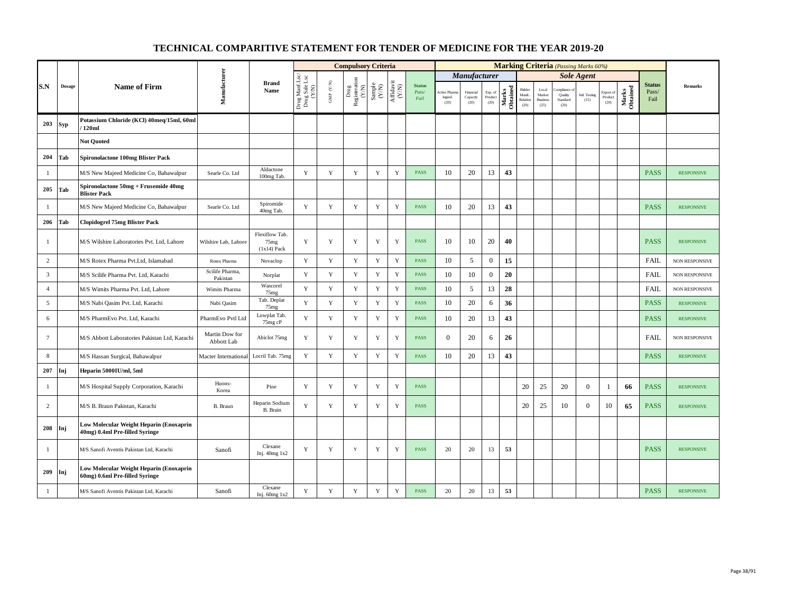|                 |               |                                                                           |                              |                                                     |                                          |                      | <b>Compulsory Criteria</b>                                                               |                                                              |                                                                              |                                |                                         |                               |                            |                   |                                      |                                            |                                          | <b>Marking Criteria</b> (Passing Marks 60%) |                              |                   |                                |                       |
|-----------------|---------------|---------------------------------------------------------------------------|------------------------------|-----------------------------------------------------|------------------------------------------|----------------------|------------------------------------------------------------------------------------------|--------------------------------------------------------------|------------------------------------------------------------------------------|--------------------------------|-----------------------------------------|-------------------------------|----------------------------|-------------------|--------------------------------------|--------------------------------------------|------------------------------------------|---------------------------------------------|------------------------------|-------------------|--------------------------------|-----------------------|
|                 |               |                                                                           |                              |                                                     |                                          |                      |                                                                                          |                                                              |                                                                              |                                |                                         | <i><b>Manufacturer</b></i>    |                            |                   |                                      |                                            |                                          | <b>Sole Agent</b>                           |                              |                   |                                |                       |
| S.N             | <b>Dosage</b> | <b>Name of Firm</b>                                                       | Manufacturer                 | <b>Brand</b><br>Name                                | Drug Manf.Lsc/<br>Drug Sale Lsc<br>(Y/N) | GMP $(\mathbf{Y/N})$ | $\begin{array}{c} \mathrm{Drug} \\ \mathrm{Registeration} \\ (Y/\mathrm{N}) \end{array}$ | $\begin{array}{c} \text{Sample} \\ (\text{Y/N}) \end{array}$ | $\begin{array}{c} \mathrm{Aff} \mathrm{davit} \\ (\mathrm{Y/N}) \end{array}$ | <b>Status</b><br>Pass/<br>Fail | <b>Active Pharma</b><br>Ingred.<br>(20) | Financial<br>Capacity<br>(20) | Exp. of<br>Product<br>(20) | Marks<br>Obtained | Bidder<br>Manfc.<br>Relation<br>(20) | Local<br>Market<br><b>Business</b><br>(25) | ompliance<br>Quality<br>Standard<br>(20) | Intl. Testing<br>(15)                       | Export of<br>Product<br>(20) | Marks<br>Obtained | <b>Status</b><br>Pass/<br>Fail | <b>Remarks</b>        |
| 203             | <b>Syp</b>    | Potassium Chloride (KCl) 40meq/15ml, 60ml<br>120ml                        |                              |                                                     |                                          |                      |                                                                                          |                                                              |                                                                              |                                |                                         |                               |                            |                   |                                      |                                            |                                          |                                             |                              |                   |                                |                       |
|                 |               | <b>Not Quoted</b>                                                         |                              |                                                     |                                          |                      |                                                                                          |                                                              |                                                                              |                                |                                         |                               |                            |                   |                                      |                                            |                                          |                                             |                              |                   |                                |                       |
| 204             | Tab           | <b>Spironolactone 100mg Blister Pack</b>                                  |                              |                                                     |                                          |                      |                                                                                          |                                                              |                                                                              |                                |                                         |                               |                            |                   |                                      |                                            |                                          |                                             |                              |                   |                                |                       |
| $\mathbf{1}$    |               | M/S New Majeed Medicine Co, Bahawalpur                                    | Searle Co. Ltd               | Aldactone<br>100mg Tab.                             | $\mathbf Y$                              | $\mathbf Y$          | $\mathbf Y$                                                                              | $\mathbf Y$                                                  | $\mathbf Y$                                                                  | PASS                           | 10                                      | 20                            | 13                         | 43                |                                      |                                            |                                          |                                             |                              |                   | <b>PASS</b>                    | <b>RESPONSIVE</b>     |
| 205             | Tab           | Spironolactone 50mg + Frusemide 40mg<br><b>Blister Pack</b>               |                              |                                                     |                                          |                      |                                                                                          |                                                              |                                                                              |                                |                                         |                               |                            |                   |                                      |                                            |                                          |                                             |                              |                   |                                |                       |
| $\mathbf{1}$    |               | M/S New Majeed Medicine Co, Bahawalpur                                    | Searle Co. Ltd               | Spiromide<br>40mg Tab.                              | Y                                        | $\mathbf Y$          | $\mathbf Y$                                                                              | Y                                                            | $\mathbf Y$                                                                  | PASS                           | 10                                      | 20                            | 13                         | 43                |                                      |                                            |                                          |                                             |                              |                   | <b>PASS</b>                    | <b>RESPONSIVE</b>     |
| 206             | Tab           | <b>Clopidogrel 75mg Blister Pack</b>                                      |                              |                                                     |                                          |                      |                                                                                          |                                                              |                                                                              |                                |                                         |                               |                            |                   |                                      |                                            |                                          |                                             |                              |                   |                                |                       |
| -1              |               | M/S Wilshire Laboratories Pvt. Ltd, Lahore                                | Wilshire Lab, Lahore         | Flexiflow Tab.<br>75 <sub>mg</sub><br>$(1x14)$ Pack | Y                                        | Y                    | Y                                                                                        | Y                                                            | Y                                                                            | <b>PASS</b>                    | 10                                      | 10                            | 20                         | 40                |                                      |                                            |                                          |                                             |                              |                   | <b>PASS</b>                    | <b>RESPONSIVE</b>     |
| 2               |               | M/S Rotex Pharma Pvt.Ltd, Islamabad                                       | Rotex Pharma                 | Novaclop                                            | Y                                        | Y                    | Y                                                                                        | Y                                                            | Y                                                                            | <b>PASS</b>                    | 10                                      | 5                             | $\mathbf{0}$               | 15                |                                      |                                            |                                          |                                             |                              |                   | FAIL                           | <b>NON RESPONSIVE</b> |
| 3               |               | M/S Scilife Pharma Pvt. Ltd, Karachi                                      | Scilife Pharma,<br>Pakistan  | Norplat                                             | $\mathbf Y$                              | $\mathbf Y$          | $\mathbf Y$                                                                              | $\mathbf Y$                                                  | $\mathbf Y$                                                                  | PASS                           | 10                                      | 10                            | $\mathbf{0}$               | 20                |                                      |                                            |                                          |                                             |                              |                   | <b>FAIL</b>                    | <b>NON RESPONSIVE</b> |
| $\overline{4}$  |               | M/S Wimits Pharma Pvt. Ltd, Lahore                                        | Wimits Pharma                | Wascorel<br>75 <sub>mg</sub>                        | Y                                        | $\mathbf Y$          | $\mathbf Y$                                                                              | $\mathbf Y$                                                  | $\mathbf Y$                                                                  | PASS                           | 10                                      | 5                             | 13                         | 28                |                                      |                                            |                                          |                                             |                              |                   | FAIL                           | <b>NON RESPONSIVE</b> |
| 5               |               | M/S Nabi Qasim Pvt. Ltd, Karachi                                          | Nabi Qasim                   | Tab. Deplat<br>75 <sub>mg</sub>                     | Y                                        | $\mathbf Y$          | $\mathbf Y$                                                                              | Y                                                            | $\mathbf Y$                                                                  | <b>PASS</b>                    | 10                                      | 20                            | 6                          | 36                |                                      |                                            |                                          |                                             |                              |                   | <b>PASS</b>                    | <b>RESPONSIVE</b>     |
| 6               |               | M/S PharmEvo Pvt. Ltd, Karachi                                            | PharmEvo Pvtl Ltd            | Lowplat Tab.<br>75mg cP                             | Y                                        | $\mathbf Y$          | $\mathbf Y$                                                                              | Y                                                            | $\mathbf Y$                                                                  | <b>PASS</b>                    | 10                                      | 20                            | 13                         | 43                |                                      |                                            |                                          |                                             |                              |                   | <b>PASS</b>                    | <b>RESPONSIVE</b>     |
| $7\phantom{.0}$ |               | M/S Abbott Laboratories Pakistan Ltd, Karachi                             | Martin Dow for<br>Abbott Lab | Abiclot 75mg                                        | Y                                        | Y                    | Y                                                                                        | $\mathbf Y$                                                  | Y                                                                            | PASS                           | $\mathbf{0}$                            | 20                            | 6                          | 26                |                                      |                                            |                                          |                                             |                              |                   | <b>FAIL</b>                    | <b>NON RESPONSIVE</b> |
| 8               |               | M/S Hassan Surgical, Bahawalpur                                           | Macter International         | Locril Tab. 75mg                                    | $\mathbf Y$                              | $\mathbf Y$          | $\mathbf Y$                                                                              | Y                                                            | $\mathbf Y$                                                                  | <b>PASS</b>                    | 10                                      | 20                            | 13                         | 43                |                                      |                                            |                                          |                                             |                              |                   | <b>PASS</b>                    | <b>RESPONSIVE</b>     |
| 207             | Inj           | Heparin 5000IU/ml, 5ml                                                    |                              |                                                     |                                          |                      |                                                                                          |                                                              |                                                                              |                                |                                         |                               |                            |                   |                                      |                                            |                                          |                                             |                              |                   |                                |                       |
| $\mathbf{1}$    |               | M/S Hospital Supply Corporation, Karachi                                  | Huons-<br>Korea              | Pine                                                | Y                                        | Y                    | Y                                                                                        | Y                                                            | Y                                                                            | <b>PASS</b>                    |                                         |                               |                            |                   | 20                                   | 25                                         | 20                                       | $\overline{0}$                              | -1                           | 66                | <b>PASS</b>                    | <b>RESPONSIVE</b>     |
| 2               |               | M/S B. Braun Pakistan, Karachi                                            | B. Braun                     | Heparin Sodium<br>B. Brain                          | Y                                        | $\mathbf Y$          | Y                                                                                        | Y                                                            | $\mathbf Y$                                                                  | <b>PASS</b>                    |                                         |                               |                            |                   | 20                                   | 25                                         | 10                                       | $\overline{0}$                              | 10                           | 65                | <b>PASS</b>                    | <b>RESPONSIVE</b>     |
| 208 Inj         |               | Low Molecular Weight Heparin (Enoxaprin<br>40mg) 0.4ml Pre-filled Syringe |                              |                                                     |                                          |                      |                                                                                          |                                                              |                                                                              |                                |                                         |                               |                            |                   |                                      |                                            |                                          |                                             |                              |                   |                                |                       |
| -1              |               | M/S Sanofi Aventis Pakistan Ltd, Karachi                                  | Sanofi                       | Clexane<br>Inj. $40mg$ 1x2                          | Y                                        | Y                    | Y                                                                                        | Y                                                            | Y                                                                            | <b>PASS</b>                    | 20                                      | 20                            | 13                         | 53                |                                      |                                            |                                          |                                             |                              |                   | <b>PASS</b>                    | <b>RESPONSIVE</b>     |
| 209             | Inj           | Low Molecular Weight Heparin (Enoxaprin<br>60mg) 0.6ml Pre-filled Syringe |                              |                                                     |                                          |                      |                                                                                          |                                                              |                                                                              |                                |                                         |                               |                            |                   |                                      |                                            |                                          |                                             |                              |                   |                                |                       |
| $\mathbf{1}$    |               | M/S Sanofi Aventis Pakistan Ltd, Karachi                                  | Sanofi                       | Clexane<br>Inj. $60mg$ 1x2                          | $\mathbf Y$                              | $\mathbf Y$          | $\mathbf Y$                                                                              | $\mathbf Y$                                                  | $\mathbf Y$                                                                  | <b>PASS</b>                    | 20                                      | 20                            | 13                         | 53                |                                      |                                            |                                          |                                             |                              |                   | <b>PASS</b>                    | <b>RESPONSIVE</b>     |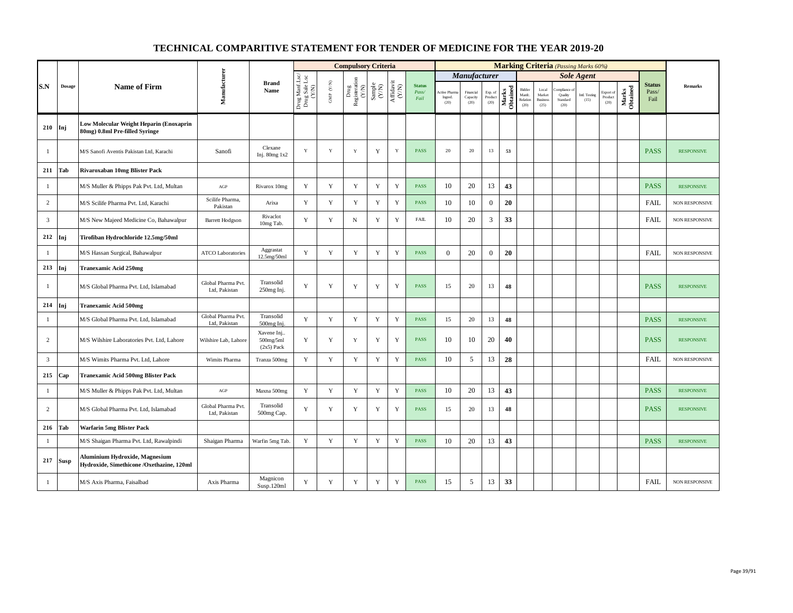|                |               |                                                                             |                                     |                                         |                                          |                      | <b>Compulsory Criteria</b>                        |             |                                                                              |                                |                                         |                               |                            |                   |                                      |                                            | <b>Marking Criteria</b> (Passing Marks 60%) |                       |                                                    |                   |                                |                   |
|----------------|---------------|-----------------------------------------------------------------------------|-------------------------------------|-----------------------------------------|------------------------------------------|----------------------|---------------------------------------------------|-------------|------------------------------------------------------------------------------|--------------------------------|-----------------------------------------|-------------------------------|----------------------------|-------------------|--------------------------------------|--------------------------------------------|---------------------------------------------|-----------------------|----------------------------------------------------|-------------------|--------------------------------|-------------------|
|                |               |                                                                             |                                     |                                         |                                          |                      |                                                   |             |                                                                              |                                |                                         | <i><b>Manufacturer</b></i>    |                            |                   |                                      |                                            |                                             | <b>Sole Agent</b>     |                                                    |                   |                                |                   |
| S.N            | <b>Dosage</b> | <b>Name of Firm</b>                                                         | Manufacturer                        | <b>Brand</b><br>Name                    | Drug Manf.Lsc/<br>Drug Sale Lsc<br>(Y/N) | GMP $(\mathbf{Y/N})$ | Drug<br>Registeration<br>(Y/N)<br>Sample<br>(Y/N) |             | $\begin{array}{c} \mathrm{Aff} \mathrm{davit} \\ (\mathrm{Y/N}) \end{array}$ | <b>Status</b><br>Pass/<br>Fail | <b>Active Pharma</b><br>Ingred.<br>(20) | Financial<br>Capacity<br>(20) | Exp. of<br>Product<br>(20) | Marks<br>Obtained | Bidder<br>Manfc.<br>Relation<br>(20) | Local<br>Market<br><b>Business</b><br>(25) | ompliance o<br>Quality<br>Standard<br>(20)  | Intl. Testing<br>(15) | Export of<br>$\mathop{\text{\rm Product}}$<br>(20) | Marks<br>Obtained | <b>Status</b><br>Pass/<br>Fail | <b>Remarks</b>    |
| 210            | Inj           | Low Molecular Weight Heparin (Enoxaprin<br>80mg) 0.8ml Pre-filled Syringe   |                                     |                                         |                                          |                      |                                                   |             |                                                                              |                                |                                         |                               |                            |                   |                                      |                                            |                                             |                       |                                                    |                   |                                |                   |
| -1             |               | M/S Sanofi Aventis Pakistan Ltd. Karachi                                    | Sanofi                              | Clexane<br>Inj. $80mg$ 1x2              | Y                                        | Y                    | Y                                                 | Y           | Y                                                                            | <b>PASS</b>                    | 20                                      | 20                            | 13                         | 53                |                                      |                                            |                                             |                       |                                                    |                   | <b>PASS</b>                    | <b>RESPONSIVE</b> |
| 211            | Tab           | Rivaroxaban 10mg Blister Pack                                               |                                     |                                         |                                          |                      |                                                   |             |                                                                              |                                |                                         |                               |                            |                   |                                      |                                            |                                             |                       |                                                    |                   |                                |                   |
| $\mathbf{1}$   |               | M/S Muller & Phipps Pak Pvt. Ltd, Multan                                    | AGP                                 | Rivarox 10mg                            | Y                                        | Y                    | Y                                                 | Y           | $\mathbf Y$                                                                  | <b>PASS</b>                    | 10                                      | 20                            | 13                         | 43                |                                      |                                            |                                             |                       |                                                    |                   | <b>PASS</b>                    | <b>RESPONSIVE</b> |
| 2              |               | M/S Scilife Pharma Pvt. Ltd, Karachi                                        | Scilife Pharma,<br>Pakistan         | Arixa                                   | Y                                        | Y                    | Y                                                 | Y           | $\mathbf Y$                                                                  | <b>PASS</b>                    | 10                                      | 10                            | $\mathbf{0}$               | 20                |                                      |                                            |                                             |                       |                                                    |                   | <b>FAIL</b>                    | NON RESPONSIVE    |
| $\overline{3}$ |               | M/S New Majeed Medicine Co, Bahawalpur                                      | <b>Barrett Hodgson</b>              | Rivaclot<br>10mg Tab.                   | Y                                        | Y                    | $\mathbf N$                                       | Y           | $\mathbf Y$                                                                  | <b>FAIL</b>                    | 10                                      | 20                            | 3                          | 33                |                                      |                                            |                                             |                       |                                                    |                   | <b>FAIL</b>                    | NON RESPONSIVE    |
| 212            | Inj           | Tirofiban Hydrochloride 12.5mg/50ml                                         |                                     |                                         |                                          |                      |                                                   |             |                                                                              |                                |                                         |                               |                            |                   |                                      |                                            |                                             |                       |                                                    |                   |                                |                   |
| $\mathbf{1}$   |               | M/S Hassan Surgical, Bahawalpur                                             | <b>ATCO Laboratories</b>            | Aggrastat<br>12.5mg/50ml                | Y                                        | $\mathbf Y$          | $\mathbf Y$                                       | Y           | $\mathbf Y$                                                                  | <b>PASS</b>                    | $\mathbf{0}$                            | 20                            | $\boldsymbol{0}$           | 20                |                                      |                                            |                                             |                       |                                                    |                   | <b>FAIL</b>                    | NON RESPONSIVE    |
| 213            | ľnj           | <b>Tranexamic Acid 250mg</b>                                                |                                     |                                         |                                          |                      |                                                   |             |                                                                              |                                |                                         |                               |                            |                   |                                      |                                            |                                             |                       |                                                    |                   |                                |                   |
| $\mathbf{1}$   |               | M/S Global Pharma Pvt. Ltd, Islamabad                                       | Global Pharma Pvt.<br>Ltd, Pakistan | Transolid<br>250mg Inj.                 | Y                                        | $\mathbf Y$          | Y                                                 | $\mathbf Y$ | $\mathbf Y$                                                                  | <b>PASS</b>                    | 15                                      | 20                            | 13                         | 48                |                                      |                                            |                                             |                       |                                                    |                   | <b>PASS</b>                    | <b>RESPONSIVE</b> |
| 214            | Inj           | <b>Tranexamic Acid 500mg</b>                                                |                                     |                                         |                                          |                      |                                                   |             |                                                                              |                                |                                         |                               |                            |                   |                                      |                                            |                                             |                       |                                                    |                   |                                |                   |
| $\mathbf{1}$   |               | M/S Global Pharma Pvt. Ltd, Islamabad                                       | Global Pharma Pvt.<br>Ltd, Pakistan | Transolid<br>500mg Ini                  | Y                                        | $\mathbf Y$          | $\mathbf Y$                                       | $\mathbf Y$ | $\mathbf Y$                                                                  | <b>PASS</b>                    | 15                                      | 20                            | 13                         | 48                |                                      |                                            |                                             |                       |                                                    |                   | <b>PASS</b>                    | <b>RESPONSIVE</b> |
| $\overline{c}$ |               | M/S Wilshire Laboratories Pvt. Ltd, Lahore                                  | Wilshire Lab, Lahore                | Xavene Inj<br>500mg/5ml<br>$(2x5)$ Pack | $\mathbf Y$                              | $\mathbf Y$          | $\mathbf Y$                                       | Y           | $\mathbf Y$                                                                  | <b>PASS</b>                    | 10                                      | 10                            | 20                         | 40                |                                      |                                            |                                             |                       |                                                    |                   | <b>PASS</b>                    | <b>RESPONSIVE</b> |
| 3              |               | M/S Wimits Pharma Pvt. Ltd, Lahore                                          | Wimits Pharma                       | Tranza 500mg                            | Y                                        | Y                    | Y                                                 | Y           | $\mathbf Y$                                                                  | <b>PASS</b>                    | 10                                      | 5                             | 13                         | 28                |                                      |                                            |                                             |                       |                                                    |                   | <b>FAIL</b>                    | NON RESPONSIVE    |
| 215            | Cap           | <b>Tranexamic Acid 500mg Blister Pack</b>                                   |                                     |                                         |                                          |                      |                                                   |             |                                                                              |                                |                                         |                               |                            |                   |                                      |                                            |                                             |                       |                                                    |                   |                                |                   |
| $\mathbf{1}$   |               | M/S Muller & Phipps Pak Pvt. Ltd, Multan                                    | $AGP$                               | Maxna 500mg                             | $\mathbf Y$                              | $\mathbf Y$          | $\mathbf Y$                                       | $\mathbf Y$ | $\mathbf Y$                                                                  | <b>PASS</b>                    | 10                                      | 20                            | 13                         | 43                |                                      |                                            |                                             |                       |                                                    |                   | <b>PASS</b>                    | <b>RESPONSIVE</b> |
| 2              |               | M/S Global Pharma Pvt. Ltd, Islamabad                                       | Global Pharma Pvt.<br>Ltd, Pakistan | Transolid<br>500mg Cap.                 | Y                                        | Y                    | Y                                                 | Y           | Y                                                                            | <b>PASS</b>                    | 15                                      | 20                            | 13                         | 48                |                                      |                                            |                                             |                       |                                                    |                   | <b>PASS</b>                    | <b>RESPONSIVE</b> |
| 216            | Tab           | Warfarin 5mg Blister Pack                                                   |                                     |                                         |                                          |                      |                                                   |             |                                                                              |                                |                                         |                               |                            |                   |                                      |                                            |                                             |                       |                                                    |                   |                                |                   |
| -1             |               | M/S Shaigan Pharma Pvt. Ltd, Rawalpindi                                     | Shaigan Pharma                      | Warfin 5mg Tab.                         | $\mathbf Y$                              | $\mathbf Y$          | $\mathbf Y$                                       | $\mathbf Y$ | $\mathbf Y$                                                                  | <b>PASS</b>                    | 10                                      | 20                            | 13                         | 43                |                                      |                                            |                                             |                       |                                                    |                   | <b>PASS</b>                    | <b>RESPONSIVE</b> |
| 217            | <b>Susp</b>   | Aluminium Hydroxide, Magnesium<br>Hydroxide, Simethicone /Oxethazine, 120ml |                                     |                                         |                                          |                      |                                                   |             |                                                                              |                                |                                         |                               |                            |                   |                                      |                                            |                                             |                       |                                                    |                   |                                |                   |
| -1             |               | M/S Axis Pharma, Faisalbad                                                  | Axis Pharma                         | Magnicon<br>Susp.120ml                  | $\mathbf Y$                              | $\mathbf Y$          | $\mathbf Y$                                       | $\mathbf Y$ | $\mathbf Y$                                                                  | <b>PASS</b>                    | 15                                      | 5                             | 13                         | 33                |                                      |                                            |                                             |                       |                                                    |                   | <b>FAIL</b>                    | NON RESPONSIVE    |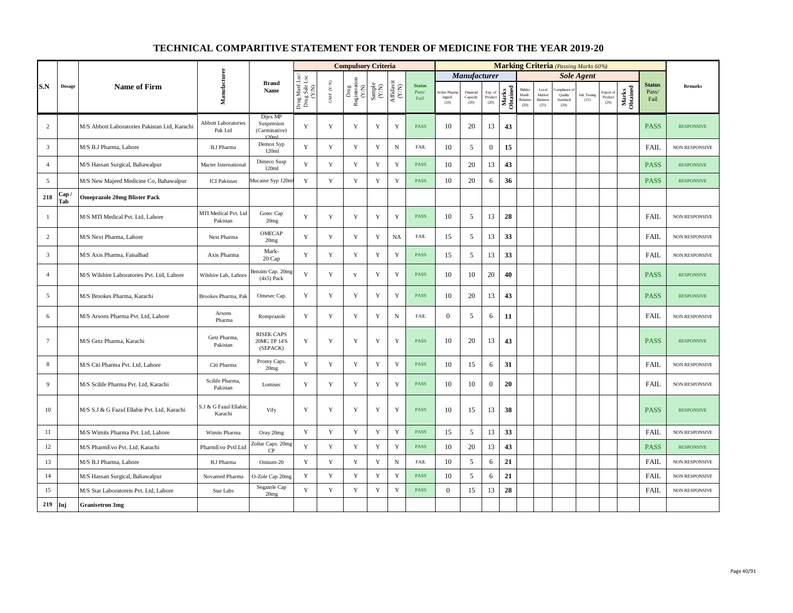|                 |               |                                               |                                       |                                               |                                          |                      | <b>Compulsory Criteria</b>    |                                                             |                                                                              |                                |                                       |                               |                            |                   |                                      |                                            |                                         | <b>Marking Criteria</b> (Passing Marks 60%) |                              |                   |                                |                       |
|-----------------|---------------|-----------------------------------------------|---------------------------------------|-----------------------------------------------|------------------------------------------|----------------------|-------------------------------|-------------------------------------------------------------|------------------------------------------------------------------------------|--------------------------------|---------------------------------------|-------------------------------|----------------------------|-------------------|--------------------------------------|--------------------------------------------|-----------------------------------------|---------------------------------------------|------------------------------|-------------------|--------------------------------|-----------------------|
|                 |               |                                               |                                       |                                               |                                          |                      |                               |                                                             |                                                                              |                                |                                       | <b>Manufacturer</b>           |                            |                   |                                      |                                            |                                         | <b>Sole Agent</b>                           |                              |                   |                                |                       |
| S.N             | <b>Dosage</b> | <b>Name of Firm</b>                           | Manufacturer                          | <b>Brand</b><br>Name                          | Drug Manf.Lsc/<br>Drug Sale Lsc<br>(Y/N) | GMP $(\mathbf{Y/N})$ | Drug<br>Registeration $(Y/N)$ | $\begin{array}{c} \text{Sample} \\ \text{C/N)} \end{array}$ | $\begin{array}{c} \mathrm{Aff} \mathrm{davit} \\ (\mathrm{Y/N}) \end{array}$ | <b>Status</b><br>Pass/<br>Fail | <b>Active Phan</b><br>Ingred.<br>(20) | Financial<br>Capacity<br>(20) | Exp. of<br>Product<br>(20) | Marks<br>Obtained | Bidder<br>Manfe.<br>Relation<br>(20) | Local<br>Market<br><b>Business</b><br>(25) | mpliance<br>Quality<br>Standard<br>(20) | Intl. Testing<br>(15)                       | Export of<br>Product<br>(20) | Marks<br>Obtained | <b>Status</b><br>Pass/<br>Fail | Remarks               |
| 2               |               | M/S Abbott Laboratories Pakistan Ltd, Karachi | <b>Abbott Laboratories</b><br>Pak Ltd | Dijex MP<br>Suspension<br>(Carminative)       | Y                                        | $\mathbf Y$          | Y                             | $\mathbf Y$                                                 | $\mathbf Y$                                                                  | PASS                           | 10                                    | 20                            | 13                         | 43                |                                      |                                            |                                         |                                             |                              |                   | <b>PASS</b>                    | <b>RESPONSIVE</b>     |
| $\overline{3}$  |               | M/S B.J Pharma, Lahore                        | <b>B.J Pharma</b>                     | Demox Syp<br>120ml                            | Y                                        | $\mathbf Y$          | $\mathbf Y$                   | $\mathbf Y$                                                 | $_{\rm N}$                                                                   | <b>FAIL</b>                    | 10                                    | 5                             | $\boldsymbol{0}$           | 15                |                                      |                                            |                                         |                                             |                              |                   | <b>FAIL</b>                    | <b>NON RESPONSIVE</b> |
| $\overline{4}$  |               | M/S Hassan Surgical, Bahawalpur               | Macter International                  | Dimeco Susp<br>120ml                          | Y                                        | $\mathbf Y$          | $\mathbf Y$                   | $\mathbf Y$                                                 | Y                                                                            | <b>PASS</b>                    | 10                                    | 20                            | 13                         | 43                |                                      |                                            |                                         |                                             |                              |                   | <b>PASS</b>                    | <b>RESPONSIVE</b>     |
| 5               |               | M/S New Majeed Medicine Co, Bahawalpur        | <b>ICI</b> Pakistan                   | Mucaine Syp 120m                              | Y                                        | $\mathbf Y$          | $\mathbf Y$                   | $\mathbf Y$                                                 | $\mathbf Y$                                                                  | PASS                           | 10                                    | 20                            | 6                          | 36                |                                      |                                            |                                         |                                             |                              |                   | <b>PASS</b>                    | <b>RESPONSIVE</b>     |
| 218             | ، Cap<br>Tab  | <b>Omeprazole 20mg Blister Pack</b>           |                                       |                                               |                                          |                      |                               |                                                             |                                                                              |                                |                                       |                               |                            |                   |                                      |                                            |                                         |                                             |                              |                   |                                |                       |
| -1              |               | M/S MTI Medical Pvt. Ltd, Lahore              | MTI Medical Pvt. Ltd<br>Pakistan      | Gotec Cap<br>20mg                             | Y                                        | $\mathbf Y$          | Y                             | Y                                                           | Y                                                                            | PASS                           | 10                                    | 5                             | 13                         | 28                |                                      |                                            |                                         |                                             |                              |                   | FAIL                           | NON RESPONSIVE        |
| $\overline{2}$  |               | M/S Next Pharma, Lahore                       | Next Pharma                           | OMECAP<br>20mg                                | Y                                        | Y                    | $\mathbf Y$                   | $\mathbf Y$                                                 | <b>NA</b>                                                                    | <b>FAIL</b>                    | 15                                    | 5                             | 13                         | 33                |                                      |                                            |                                         |                                             |                              |                   | <b>FAIL</b>                    | <b>NON RESPONSIVE</b> |
| $\overline{3}$  |               | M/S Axis Pharma, Faisalbad                    | Axis Pharma                           | Mark-<br>20 Cap                               | $\mathbf Y$                              | Y                    | Y                             | $\mathbf Y$                                                 | $\mathbf Y$                                                                  | <b>PASS</b>                    | 15                                    | 5                             | 13                         | 33                |                                      |                                            |                                         |                                             |                              |                   | <b>FAIL</b>                    | NON RESPONSIVE        |
| $\overline{4}$  |               | M/S Wilshire Laboratories Pvt. Ltd, Lahore    | Wilshire Lab, Lahore                  | Benzim Cap. 20mg<br>$(4x5)$ Pack              | Y                                        | $\mathbf Y$          | $\mathbf Y$                   | $\mathbf Y$                                                 | Y                                                                            | PASS                           | 10                                    | 10                            | 20                         | 40                |                                      |                                            |                                         |                                             |                              |                   | <b>PASS</b>                    | <b>RESPONSIVE</b>     |
| 5               |               | M/S Brookes Pharma, Karachi                   | Brookes Pharma, Pak                   | Omesec Cap.                                   | Y                                        | Y                    | Y                             | Y                                                           | Y                                                                            | PASS                           | 10                                    | 20                            | 13                         | 43                |                                      |                                            |                                         |                                             |                              |                   | <b>PASS</b>                    | <b>RESPONSIVE</b>     |
| 6               |               | M/S Arsons Pharma Pvt. Ltd, Lahore            | Arsons<br>Pharma                      | Romprazole                                    | $\mathbf Y$                              | $\mathbf Y$          | Y                             | $\mathbf Y$                                                 | ${\rm N}$                                                                    | ${\rm FAIL}$                   | $\mathbf{0}$                          | 5                             | 6                          | 11                |                                      |                                            |                                         |                                             |                              |                   | FAIL                           | <b>NON RESPONSIVE</b> |
| $7\phantom{.0}$ |               | M/S Getz Pharma, Karachi                      | Getz Pharma,<br>Pakistan              | <b>RISEK CAPS</b><br>20MG TP 14'S<br>(SEPACK) | Y                                        | $\mathbf Y$          | Y                             | Y                                                           | Y                                                                            | PASS                           | 10                                    | 20                            | 13                         | 43                |                                      |                                            |                                         |                                             |                              |                   | <b>PASS</b>                    | <b>RESPONSIVE</b>     |
| 8               |               | M/S Citi Pharma Pvt. Ltd, Lahore              | Citi Pharma                           | Promy Caps.<br>20mg                           | Y                                        | Y                    | $\mathbf Y$                   | Y                                                           | $\mathbf Y$                                                                  | PASS                           | 10                                    | 15                            | 6                          | 31                |                                      |                                            |                                         |                                             |                              |                   | FAIL                           | NON RESPONSIVE        |
| 9               |               | M/S Scilife Pharma Pvt. Ltd, Karachi          | Scilife Pharma,<br>Pakistan           | Lomisec                                       | Y                                        | $\mathbf Y$          | Y                             | $\mathbf Y$                                                 | $\mathbf Y$                                                                  | <b>PASS</b>                    | 10                                    | 10                            | $\overline{0}$             | 20                |                                      |                                            |                                         |                                             |                              |                   | <b>FAIL</b>                    | <b>NON RESPONSIVE</b> |
| 10              |               | M/S S.J & G Fazul Ellahie Pvt. Ltd, Karachi   | S.J & G Fazul Ellahie.<br>Karachi     | Vify                                          | Y                                        | Y                    | Y                             | Y                                                           | Y                                                                            | <b>PASS</b>                    | 10                                    | 15                            | 13                         | 38                |                                      |                                            |                                         |                                             |                              |                   | <b>PASS</b>                    | <b>RESPONSIVE</b>     |
| 11              |               | M/S Wimits Pharma Pvt. Ltd, Lahore            | Wimits Pharma                         | Oray 20mg                                     | Y                                        | $\mathbf Y$          | $\mathbf Y$                   | $\mathbf Y$                                                 | $\mathbf Y$                                                                  | <b>PASS</b>                    | 15                                    | 5                             | 13                         | 33                |                                      |                                            |                                         |                                             |                              |                   | <b>FAIL</b>                    | <b>NON RESPONSIVE</b> |
| 12              |               | M/S PharmEvo Pvt. Ltd, Karachi                | PharmEvo Pvtl Ltd                     | Zoltar Caps. 20mg<br>CP                       | Y                                        | $\mathbf Y$          | $\mathbf Y$                   | $\mathbf Y$                                                 | $\mathbf Y$                                                                  | PASS                           | 10                                    | 20                            | 13                         | 43                |                                      |                                            |                                         |                                             |                              |                   | <b>PASS</b>                    | <b>RESPONSIVE</b>     |
| 13              |               | M/S B.J Pharma, Lahore                        | <b>B.J Pharma</b>                     | Omium-20                                      | Y                                        | $\mathbf Y$          | $\mathbf Y$                   | $\mathbf Y$                                                 | $_{\rm N}$                                                                   | FAIL                           | 10                                    | 5                             | 6                          | 21                |                                      |                                            |                                         |                                             |                              |                   | <b>FAIL</b>                    | NON RESPONSIVE        |
| 14              |               | M/S Hassan Surgical, Bahawalpur               | Novamed Pharma                        | O-Zole Cap 20mg                               | $\mathbf Y$                              | $\mathbf Y$          | $\mathbf Y$                   | Y                                                           | $\mathbf Y$                                                                  | PASS                           | 10                                    | 5                             | 6                          | 21                |                                      |                                            |                                         |                                             |                              |                   | FAIL                           | <b>NON RESPONSIVE</b> |
| 15              |               | M/S Star Laboratoreis Pvt. Ltd, Lahore        | <b>Star Labs</b>                      | Segazole Cap<br>20mg                          | Y                                        | Y                    | Y                             | Y                                                           | $\mathbf Y$                                                                  | PASS                           | $\boldsymbol{0}$                      | 15                            | 13                         | 28                |                                      |                                            |                                         |                                             |                              |                   | <b>FAIL</b>                    | NON RESPONSIVE        |
| 219             | Inj           | <b>Granisetron 3mg</b>                        |                                       |                                               |                                          |                      |                               |                                                             |                                                                              |                                |                                       |                               |                            |                   |                                      |                                            |                                         |                                             |                              |                   |                                |                       |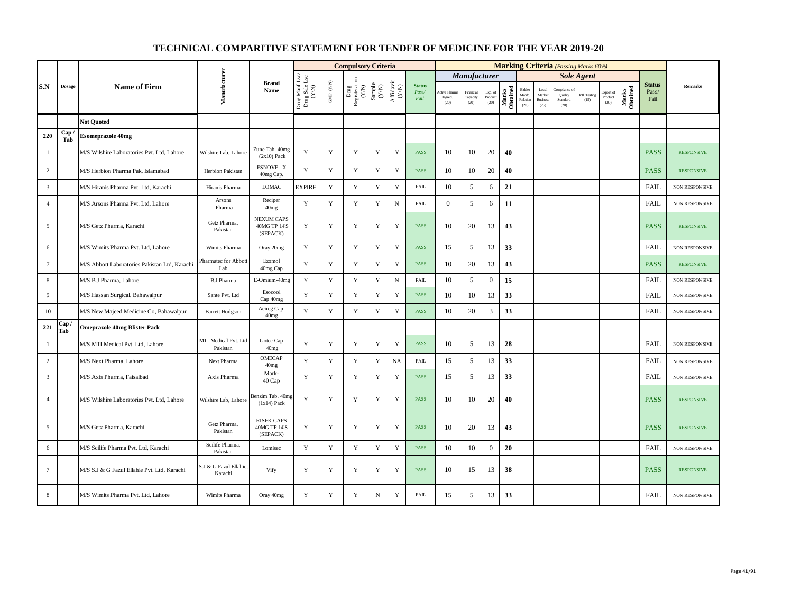|                 |               |                                               |                                   |                                               |                                          |                                         | <b>Compulsory Criteria</b>                                                |                                                                     |                                      |                                |                                       |                               |                            |                   |                                      |                                            | <b>Marking Criteria</b> (Passing Marks 60%) |                       |                                                    |                   |                                |                       |
|-----------------|---------------|-----------------------------------------------|-----------------------------------|-----------------------------------------------|------------------------------------------|-----------------------------------------|---------------------------------------------------------------------------|---------------------------------------------------------------------|--------------------------------------|--------------------------------|---------------------------------------|-------------------------------|----------------------------|-------------------|--------------------------------------|--------------------------------------------|---------------------------------------------|-----------------------|----------------------------------------------------|-------------------|--------------------------------|-----------------------|
|                 |               |                                               |                                   |                                               |                                          |                                         |                                                                           |                                                                     |                                      |                                |                                       | Manufacturer                  |                            |                   |                                      |                                            |                                             | <b>Sole Agent</b>     |                                                    |                   |                                |                       |
| S.N             | $\bf{Dosage}$ | <b>Name of Firm</b>                           | Manufacturer                      | <b>Brand</b><br>Name                          | Drug Manf.Lsc/<br>Drug Sale Lsc<br>(Y/N) | $\ensuremath{\mathsf{GMP}}\xspace$ (YN) | $\begin{tabular}{l} \bf Drug \\ \bf Registeration \\ (Y/N) \end{tabular}$ | $\begin{array}{c} \text{Sample} \\ \text{C}(\text{NN}) \end{array}$ | $\frac{\text{Affdavit}}{\text{N/N}}$ | <b>Status</b><br>Pass/<br>Fail | <b>Active Phan</b><br>Ingred.<br>(20) | Financial<br>Capacity<br>(20) | Exp. of<br>Product<br>(20) | Marks<br>Obtained | Bidder<br>Manfc.<br>Relation<br>(20) | Local<br>Market<br><b>Business</b><br>(25) | mpliance<br>Quality<br>Standard<br>(20)     | Intl. Testing<br>(15) | Export of<br>$\mathop{\text{\rm Product}}$<br>(20) | Marks<br>Obtained | <b>Status</b><br>Pass/<br>Fail | <b>Remarks</b>        |
|                 |               | <b>Not Quoted</b>                             |                                   |                                               |                                          |                                         |                                                                           |                                                                     |                                      |                                |                                       |                               |                            |                   |                                      |                                            |                                             |                       |                                                    |                   |                                |                       |
| 220             | Cap<br>Tab    | <b>Esomeprazole 40mg</b>                      |                                   |                                               |                                          |                                         |                                                                           |                                                                     |                                      |                                |                                       |                               |                            |                   |                                      |                                            |                                             |                       |                                                    |                   |                                |                       |
| $\mathbf{1}$    |               | M/S Wilshire Laboratories Pvt. Ltd, Lahore    | Wilshire Lab, Lahore              | Zune Tab. 40mg<br>$(2x10)$ Pack               | Y                                        | $\mathbf Y$                             | Y                                                                         | Y                                                                   | $\mathbf Y$                          | <b>PASS</b>                    | 10                                    | 10                            | 20                         | 40                |                                      |                                            |                                             |                       |                                                    |                   | <b>PASS</b>                    | <b>RESPONSIVE</b>     |
| 2               |               | M/S Herbion Pharma Pak, Islamabad             | Herbion Pakistan                  | ESNOVE X<br>40mg Cap.                         | Y                                        | $\mathbf Y$                             | Y                                                                         | Y                                                                   | $\mathbf Y$                          | <b>PASS</b>                    | 10                                    | 10                            | 20                         | 40                |                                      |                                            |                                             |                       |                                                    |                   | <b>PASS</b>                    | <b>RESPONSIVE</b>     |
| 3               |               | M/S Hiranis Pharma Pvt. Ltd. Karachi          | Hiranis Pharma                    | LOMAC                                         | <b>EXPIRE</b>                            | Y                                       | Y                                                                         | $\mathbf Y$                                                         | $\mathbf Y$                          | <b>FAIL</b>                    | 10                                    | 5                             | 6                          | 21                |                                      |                                            |                                             |                       |                                                    |                   | <b>FAIL</b>                    | <b>NON RESPONSIVE</b> |
| $\overline{4}$  |               | M/S Arsons Pharma Pvt. Ltd, Lahore            | Arsons<br>Pharma                  | Reciper<br>40 <sub>mg</sub>                   | Y                                        | Y                                       | $\mathbf Y$                                                               | Y                                                                   | ${\bf N}$                            | <b>FAIL</b>                    | $\mathbf{0}$                          | 5                             | 6                          | 11                |                                      |                                            |                                             |                       |                                                    |                   | FAIL                           | NON RESPONSIVE        |
| 5               |               | M/S Getz Pharma, Karachi                      | Getz Pharma,<br>Pakistan          | <b>NEXUM CAPS</b><br>40MG TP 14'S<br>(SEPACK) | $\mathbf Y$                              | $\mathbf Y$                             | Y                                                                         | Y                                                                   | Y                                    | <b>PASS</b>                    | 10                                    | 20                            | 13                         | 43                |                                      |                                            |                                             |                       |                                                    |                   | <b>PASS</b>                    | <b>RESPONSIVE</b>     |
| 6               |               | M/S Wimits Pharma Pvt. Ltd, Lahore            | Wimits Pharma                     | Oray 20mg                                     | Y                                        | Y                                       | Y                                                                         | $\mathbf Y$                                                         | $\mathbf Y$                          | <b>PASS</b>                    | 15                                    | 5                             | 13                         | 33                |                                      |                                            |                                             |                       |                                                    |                   | <b>FAIL</b>                    | NON RESPONSIVE        |
| $7\phantom{.0}$ |               | M/S Abbott Laboratories Pakistan Ltd, Karachi | Pharmatec for Abbott<br>Lab       | Ezomol<br>40mg Cap                            | Y                                        | $\mathbf Y$                             | $\mathbf Y$                                                               | $\mathbf Y$                                                         | $\mathbf Y$                          | <b>PASS</b>                    | 10                                    | 20                            | 13                         | 43                |                                      |                                            |                                             |                       |                                                    |                   | <b>PASS</b>                    | <b>RESPONSIVE</b>     |
| 8               |               | M/S B.J Pharma, Lahore                        | <b>B.J Pharma</b>                 | E-Omium-40mg                                  | Y                                        | $\mathbf Y$                             | $\mathbf Y$                                                               | $\mathbf Y$                                                         | ${\bf N}$                            | <b>FAIL</b>                    | 10                                    | 5                             | $\boldsymbol{0}$           | 15                |                                      |                                            |                                             |                       |                                                    |                   | <b>FAIL</b>                    | NON RESPONSIVE        |
| 9               |               | M/S Hassan Surgical, Bahawalpur               | Sante Pvt. Ltd                    | Esocool<br>Cap 40mg                           | Y                                        | $\mathbf Y$                             | Y                                                                         | $\mathbf Y$                                                         | $\mathbf Y$                          | <b>PASS</b>                    | 10                                    | 10                            | 13                         | 33                |                                      |                                            |                                             |                       |                                                    |                   | <b>FAIL</b>                    | NON RESPONSIVE        |
| 10              |               | M/S New Majeed Medicine Co, Bahawalpur        | <b>Barrett Hodgson</b>            | Acireg Cap.<br>40 <sub>mg</sub>               | Y                                        | Y                                       | Y                                                                         | Y                                                                   | Y                                    | <b>PASS</b>                    | 10                                    | 20                            | 3                          | 33                |                                      |                                            |                                             |                       |                                                    |                   | <b>FAIL</b>                    | <b>NON RESPONSIVE</b> |
| 221             | Cap /<br>Tab  | <b>Omeprazole 40mg Blister Pack</b>           |                                   |                                               |                                          |                                         |                                                                           |                                                                     |                                      |                                |                                       |                               |                            |                   |                                      |                                            |                                             |                       |                                                    |                   |                                |                       |
| $\mathbf{1}$    |               | M/S MTI Medical Pvt. Ltd, Lahore              | MTI Medical Pvt. Ltd<br>Pakistan  | Gotec Cap<br>40mg                             | Y                                        | Y                                       | Y                                                                         | Y                                                                   | $\mathbf Y$                          | <b>PASS</b>                    | 10                                    | 5                             | 13                         | 28                |                                      |                                            |                                             |                       |                                                    |                   | <b>FAIL</b>                    | NON RESPONSIVE        |
| $\overline{c}$  |               | M/S Next Pharma, Lahore                       | Next Pharma                       | OMECAP<br>40mg                                | Y                                        | Y                                       | $\mathbf Y$                                                               | $\mathbf Y$                                                         | <b>NA</b>                            | <b>FAIL</b>                    | 15                                    | 5                             | 13                         | 33                |                                      |                                            |                                             |                       |                                                    |                   | <b>FAIL</b>                    | NON RESPONSIVE        |
| $\overline{3}$  |               | M/S Axis Pharma, Faisalbad                    | Axis Pharma                       | Mark-<br>40 Cap                               | Y                                        | Y                                       | Y                                                                         | Y                                                                   | Y                                    | <b>PASS</b>                    | 15                                    | 5                             | 13                         | 33                |                                      |                                            |                                             |                       |                                                    |                   | <b>FAIL</b>                    | NON RESPONSIVE        |
| $\overline{4}$  |               | M/S Wilshire Laboratories Pvt. Ltd. Lahore    | Wilshire Lab, Lahore              | Benzim Tab. 40mg<br>$(1x14)$ Pack             | Y                                        | Y                                       | Y                                                                         | Y                                                                   | Y                                    | <b>PASS</b>                    | 10                                    | 10                            | 20                         | 40                |                                      |                                            |                                             |                       |                                                    |                   | <b>PASS</b>                    | <b>RESPONSIVE</b>     |
| 5               |               | M/S Getz Pharma, Karachi                      | Getz Pharma,<br>Pakistan          | <b>RISEK CAPS</b><br>40MG TP 14'S<br>(SEPACK) | Y                                        | Y                                       | Y                                                                         | $\mathbf Y$                                                         | Y                                    | <b>PASS</b>                    | 10                                    | 20                            | 13                         | 43                |                                      |                                            |                                             |                       |                                                    |                   | <b>PASS</b>                    | <b>RESPONSIVE</b>     |
| 6               |               | M/S Scilife Pharma Pvt. Ltd, Karachi          | Scilife Pharma,<br>Pakistan       | Lomisec                                       | Y                                        | Y                                       | $\mathbf Y$                                                               | Y                                                                   | $\mathbf Y$                          | <b>PASS</b>                    | 10                                    | 10                            | $\overline{0}$             | 20                |                                      |                                            |                                             |                       |                                                    |                   | FAIL                           | NON RESPONSIVE        |
| $7\phantom{.0}$ |               | M/S S.J & G Fazul Ellahie Pvt. Ltd, Karachi   | S.J & G Fazul Ellahie.<br>Karachi | Vify                                          | Y                                        | Y                                       | Y                                                                         | Y                                                                   | Y                                    | <b>PASS</b>                    | 10                                    | 15                            | 13                         | 38                |                                      |                                            |                                             |                       |                                                    |                   | <b>PASS</b>                    | <b>RESPONSIVE</b>     |
| 8               |               | M/S Wimits Pharma Pvt. Ltd, Lahore            | Wimits Pharma                     | Oray 40mg                                     | Y                                        | Y                                       | Y                                                                         | N                                                                   | Y                                    | <b>FAIL</b>                    | 15                                    | 5                             | 13                         | 33                |                                      |                                            |                                             |                       |                                                    |                   | <b>FAIL</b>                    | NON RESPONSIVE        |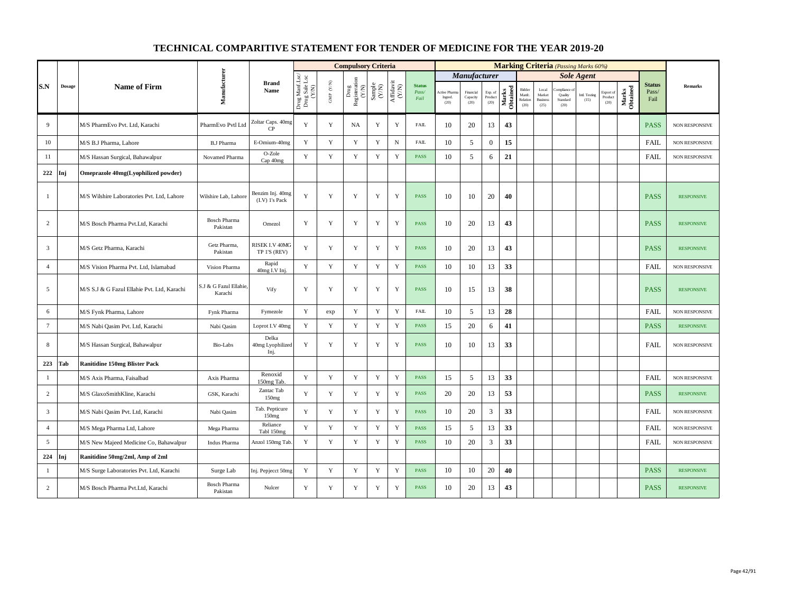|                 |               |                                             |                                   |                                       |                                          |                                          | <b>Compulsory Criteria</b>     |                                                              |                                                                              |                                |                                |                               |                            |                   |                                      |                                            | <b>Marking Criteria</b> (Passing Marks 60%) |                       |                              |                   |                                |                       |
|-----------------|---------------|---------------------------------------------|-----------------------------------|---------------------------------------|------------------------------------------|------------------------------------------|--------------------------------|--------------------------------------------------------------|------------------------------------------------------------------------------|--------------------------------|--------------------------------|-------------------------------|----------------------------|-------------------|--------------------------------------|--------------------------------------------|---------------------------------------------|-----------------------|------------------------------|-------------------|--------------------------------|-----------------------|
|                 |               |                                             |                                   |                                       |                                          |                                          |                                |                                                              |                                                                              |                                |                                | Manufacturer                  |                            |                   |                                      |                                            |                                             | <b>Sole Agent</b>     |                              |                   |                                |                       |
| S.N             | <b>Dosage</b> | <b>Name of Firm</b>                         | Manufacturer                      | <b>Brand</b><br>Name                  | Drug Manf.Lsc/<br>Drug Sale Lsc<br>(Y/N) | $\ensuremath{\mathsf{GMP}}\xspace$ (Y/N) | Drug<br>Registeration<br>(Y/N) | $\begin{array}{c} \text{Sample} \\ (\text{Y/N}) \end{array}$ | $\begin{array}{c} \mathrm{Aff} \mathrm{davit} \\ (\mathrm{Y/N}) \end{array}$ | <b>Status</b><br>Pass/<br>Fail | Active Phar<br>Ingred.<br>(20) | Financial<br>Capacity<br>(20) | Exp. of<br>Product<br>(20) | Marks<br>Obtained | Bidder<br>Manfc.<br>Relation<br>(20) | Local<br>Market<br><b>Business</b><br>(25) | mpliance<br>Quality<br>Standard<br>(20)     | Intl. Testing<br>(15) | Export of<br>Product<br>(20) | Marks<br>Obtained | <b>Status</b><br>Pass/<br>Fail | Remarks               |
| 9               |               | M/S PharmEvo Pvt. Ltd, Karachi              | PharmEvo Pvtl Ltd                 | Zoltar Caps. 40mg<br>CP <sub></sub>   | Y                                        | $\mathbf Y$                              | NA                             | $\mathbf Y$                                                  | $\mathbf Y$                                                                  | FAIL                           | 10                             | 20                            | 13                         | 43                |                                      |                                            |                                             |                       |                              |                   | <b>PASS</b>                    | NON RESPONSIVE        |
| 10              |               | M/S B.J Pharma, Lahore                      | <b>B.J Pharma</b>                 | E-Omium-40mg                          | Y                                        | Y                                        | Y                              | $\mathbf Y$                                                  | $_{\rm N}$                                                                   | FAIL                           | 10                             | 5                             | $\mathbf{0}$               | 15                |                                      |                                            |                                             |                       |                              |                   | <b>FAIL</b>                    | NON RESPONSIVE        |
| 11              |               | M/S Hassan Surgical, Bahawalpur             | Novamed Pharma                    | O-Zole<br>Cap 40mg                    | Y                                        | Y                                        | Y                              | $\mathbf Y$                                                  | Y                                                                            | PASS                           | 10                             | 5                             | 6                          | 21                |                                      |                                            |                                             |                       |                              |                   | <b>FAIL</b>                    | NON RESPONSIVE        |
| 222             | Inj           | Omeprazole 40mg(Lyophilized powder)         |                                   |                                       |                                          |                                          |                                |                                                              |                                                                              |                                |                                |                               |                            |                   |                                      |                                            |                                             |                       |                              |                   |                                |                       |
| $\overline{1}$  |               | M/S Wilshire Laboratories Pvt. Ltd, Lahore  | Wilshire Lab, Lahore              | Benzim Inj. 40mg<br>$(I.V)$ 1's Pack  | $\mathbf Y$                              | $\mathbf Y$                              | Y                              | $\mathbf Y$                                                  | $\mathbf Y$                                                                  | PASS                           | 10                             | 10                            | 20                         | 40                |                                      |                                            |                                             |                       |                              |                   | <b>PASS</b>                    | <b>RESPONSIVE</b>     |
| $\overline{c}$  |               | M/S Bosch Pharma Pvt.Ltd, Karachi           | <b>Bosch Pharma</b><br>Pakistan   | Omezol                                | Y                                        | $\mathbf Y$                              | Y                              | Y                                                            | Y                                                                            | <b>PASS</b>                    | 10                             | 20                            | 13                         | 43                |                                      |                                            |                                             |                       |                              |                   | <b>PASS</b>                    | <b>RESPONSIVE</b>     |
| $\overline{3}$  |               | M/S Getz Pharma, Karachi                    | Getz Pharma,<br>Pakistan          | <b>RISEK I.V 40MG</b><br>TP 1'S (REV) | Y                                        | $\mathbf Y$                              | Y                              | $\mathbf Y$                                                  | $\mathbf Y$                                                                  | PASS                           | 10                             | 20                            | 13                         | 43                |                                      |                                            |                                             |                       |                              |                   | <b>PASS</b>                    | <b>RESPONSIVE</b>     |
| $\overline{4}$  |               | M/S Vision Pharma Pvt. Ltd, Islamabad       | Vision Pharma                     | Rapid<br>40mg I.V Inj.                | $\mathbf Y$                              | $\mathbf Y$                              | $\mathbf Y$                    | $\mathbf Y$                                                  | $\mathbf Y$                                                                  | PASS                           | 10                             | 10                            | 13                         | 33                |                                      |                                            |                                             |                       |                              |                   | <b>FAIL</b>                    | NON RESPONSIVE        |
| 5               |               | M/S S.J & G Fazul Ellahie Pvt. Ltd, Karachi | S.J & G Fazul Ellahie,<br>Karachi | Vify                                  | $\mathbf Y$                              | $\mathbf Y$                              | Y                              | $\mathbf Y$                                                  | Y                                                                            | PASS                           | 10                             | 15                            | 13                         | 38                |                                      |                                            |                                             |                       |                              |                   | <b>PASS</b>                    | <b>RESPONSIVE</b>     |
| 6               |               | M/S Fynk Pharma, Lahore                     | Fynk Pharma                       | Fymezole                              | Y                                        | exp                                      | Y                              | Y                                                            | Y                                                                            | FAIL                           | 10                             | 5                             | 13                         | 28                |                                      |                                            |                                             |                       |                              |                   | <b>FAIL</b>                    | NON RESPONSIVE        |
| $7\phantom{.0}$ |               | M/S Nabi Qasim Pvt. Ltd, Karachi            | Nabi Qasim                        | Loprot I.V 40mg                       | Y                                        | $\mathbf Y$                              | $\mathbf Y$                    | $\mathbf Y$                                                  | $\mathbf Y$                                                                  | <b>PASS</b>                    | 15                             | 20                            | 6                          | 41                |                                      |                                            |                                             |                       |                              |                   | <b>PASS</b>                    | <b>RESPONSIVE</b>     |
| 8               |               | M/S Hassan Surgical, Bahawalpur             | Bio-Labs                          | Delka<br>40mg Lyophilized<br>Inj.     | Y                                        | Y                                        | Y                              | Y                                                            | Y                                                                            | <b>PASS</b>                    | 10                             | 10                            | 13                         | 33                |                                      |                                            |                                             |                       |                              |                   | <b>FAIL</b>                    | <b>NON RESPONSIVE</b> |
| 223             | Tab           | <b>Ranitidine 150mg Blister Pack</b>        |                                   |                                       |                                          |                                          |                                |                                                              |                                                                              |                                |                                |                               |                            |                   |                                      |                                            |                                             |                       |                              |                   |                                |                       |
| $\mathbf{1}$    |               | M/S Axis Pharma, Faisalbad                  | Axis Pharma                       | Renoxid<br>150mg Tab                  | $\mathbf Y$                              | $\mathbf Y$                              | $\mathbf Y$                    | $\mathbf Y$                                                  | $\mathbf Y$                                                                  | PASS                           | 15                             | 5                             | 13                         | 33                |                                      |                                            |                                             |                       |                              |                   | FAIL                           | NON RESPONSIVE        |
| $\overline{c}$  |               | M/S GlaxoSmithKline, Karachi                | GSK, Karachi                      | Zantac Tab<br>150mg                   | Y                                        | $\mathbf Y$                              | $\mathbf Y$                    | $\mathbf Y$                                                  | $\mathbf Y$                                                                  | PASS                           | 20                             | 20                            | 13                         | 53                |                                      |                                            |                                             |                       |                              |                   | <b>PASS</b>                    | <b>RESPONSIVE</b>     |
| $\overline{3}$  |               | M/S Nabi Qasim Pvt. Ltd, Karachi            | Nabi Qasim                        | Tab. Pepticure<br>150mg               | Y                                        | Y                                        | Y                              | Y                                                            | Y                                                                            | <b>PASS</b>                    | 10                             | 20                            | 3                          | 33                |                                      |                                            |                                             |                       |                              |                   | <b>FAIL</b>                    | NON RESPONSIVE        |
| $\overline{4}$  |               | M/S Mega Pharma Ltd, Lahore                 | Mega Pharma                       | Reliance<br>Tabl 150mg                | Y                                        | Y                                        | Y                              | Y                                                            | $\mathbf Y$                                                                  | <b>PASS</b>                    | 15                             | 5                             | 13                         | 33                |                                      |                                            |                                             |                       |                              |                   | <b>FAIL</b>                    | NON RESPONSIVE        |
| 5               |               | M/S New Majeed Medicine Co, Bahawalpur      | Indus Pharma                      | Anzol 150mg Tab                       | Y                                        | Y                                        | Y                              | $\mathbf Y$                                                  | Y                                                                            | <b>PASS</b>                    | 10                             | 20                            | 3                          | 33                |                                      |                                            |                                             |                       |                              |                   | FAIL                           | NON RESPONSIVE        |
| 224             | Inj           | Ranitidine 50mg/2ml, Amp of 2ml             |                                   |                                       |                                          |                                          |                                |                                                              |                                                                              |                                |                                |                               |                            |                   |                                      |                                            |                                             |                       |                              |                   |                                |                       |
| $\mathbf{1}$    |               | M/S Surge Laboratories Pvt. Ltd, Karachi    | Surge Lab                         | Inj. Pepjecct 50mg                    | Y                                        | $\mathbf Y$                              | Y                              | Y                                                            | Y                                                                            | PASS                           | 10                             | 10                            | 20                         | 40                |                                      |                                            |                                             |                       |                              |                   | <b>PASS</b>                    | <b>RESPONSIVE</b>     |
| 2               |               | M/S Bosch Pharma Pvt.Ltd, Karachi           | <b>Bosch Pharma</b><br>Pakistan   | Nulcer                                | Y                                        | $\mathbf Y$                              | $\mathbf Y$                    | $\mathbf Y$                                                  | Y                                                                            | PASS                           | 10                             | 20                            | 13                         | 43                |                                      |                                            |                                             |                       |                              |                   | <b>PASS</b>                    | <b>RESPONSIVE</b>     |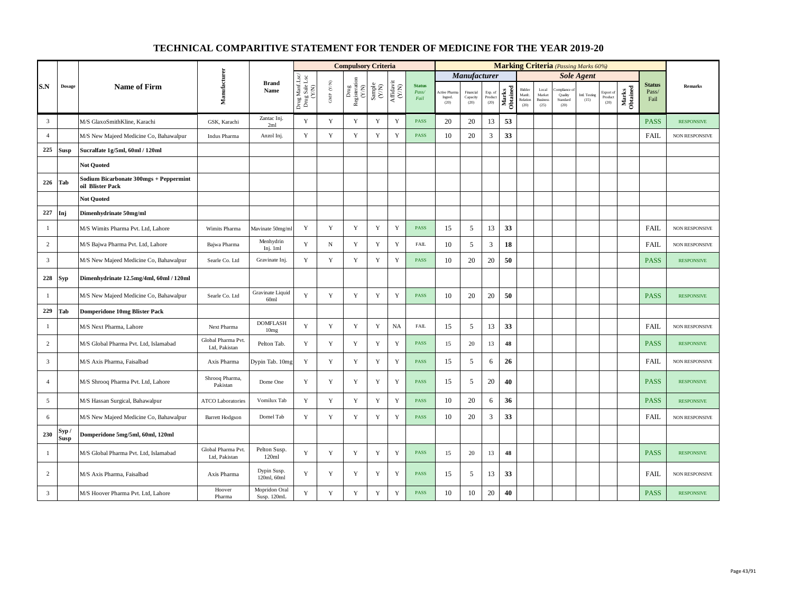|                 |                      |                                                            |                                     |                                      |                                          |                          | <b>Compulsory Criteria</b>                                                               |                                                             |                    |                                |                                |                               |                            |                   |                                      |                                            | <b>Marking Criteria</b> (Passing Marks 60%) |                       |                                                    |                   |                                |                       |
|-----------------|----------------------|------------------------------------------------------------|-------------------------------------|--------------------------------------|------------------------------------------|--------------------------|------------------------------------------------------------------------------------------|-------------------------------------------------------------|--------------------|--------------------------------|--------------------------------|-------------------------------|----------------------------|-------------------|--------------------------------------|--------------------------------------------|---------------------------------------------|-----------------------|----------------------------------------------------|-------------------|--------------------------------|-----------------------|
|                 |                      |                                                            |                                     |                                      |                                          |                          |                                                                                          |                                                             |                    |                                |                                | <b>Manufacturer</b>           |                            |                   |                                      |                                            |                                             | <b>Sole Agent</b>     |                                                    |                   |                                |                       |
| S.N             | <b>Dosage</b>        | <b>Name of Firm</b>                                        | Manufacturer                        | <b>Brand</b><br>Name                 | Drug Manf.Lsc/<br>Drug Sale Lsc<br>(Y/N) | ${\rm GMP}$ ${\rm (YN)}$ | $\begin{array}{c} \mathrm{Drug} \\ \mathrm{Registeration} \\ (Y/\mathrm{N}) \end{array}$ | $\begin{array}{c} \text{Sample} \\ \text{C/N)} \end{array}$ | Affidavit<br>(Y/N) | <b>Status</b><br>Pass/<br>Fail | Active Phan<br>Ingred.<br>(20) | Financial<br>Capacity<br>(20) | Exp. of<br>Product<br>(20) | Marks<br>Obtained | Bidder<br>Manfc.<br>Relation<br>(20) | Local<br>Market<br><b>Business</b><br>(25) | mpliance<br>Quality<br>Standard<br>(20)     | Intl. Testing<br>(15) | Export of<br>$\mathop{\text{\rm Product}}$<br>(20) | Marks<br>Obtained | <b>Status</b><br>Pass/<br>Fail | <b>Remarks</b>        |
| $\overline{3}$  |                      | M/S GlaxoSmithKline, Karachi                               | GSK, Karachi                        | Zantac Inj.<br>2ml                   | Y                                        | $\mathbf Y$              | Y                                                                                        | Y                                                           | $\mathbf Y$        | <b>PASS</b>                    | 20                             | 20                            | 13                         | 53                |                                      |                                            |                                             |                       |                                                    |                   | <b>PASS</b>                    | <b>RESPONSIVE</b>     |
| $\overline{4}$  |                      | M/S New Majeed Medicine Co, Bahawalpur                     | Indus Pharma                        | Anzol Inj.                           | Y                                        | $\mathbf Y$              | $\mathbf Y$                                                                              | Y                                                           | $\mathbf Y$        | PASS                           | 10                             | 20                            | 3                          | 33                |                                      |                                            |                                             |                       |                                                    |                   | <b>FAIL</b>                    | <b>NON RESPONSIVE</b> |
| 225             | Susp                 | Sucralfate 1g/5ml, 60ml / 120ml                            |                                     |                                      |                                          |                          |                                                                                          |                                                             |                    |                                |                                |                               |                            |                   |                                      |                                            |                                             |                       |                                                    |                   |                                |                       |
|                 |                      | <b>Not Quoted</b>                                          |                                     |                                      |                                          |                          |                                                                                          |                                                             |                    |                                |                                |                               |                            |                   |                                      |                                            |                                             |                       |                                                    |                   |                                |                       |
| 226             | Tab                  | Sodium Bicarbonate 300mgs + Peppermint<br>oil Blister Pack |                                     |                                      |                                          |                          |                                                                                          |                                                             |                    |                                |                                |                               |                            |                   |                                      |                                            |                                             |                       |                                                    |                   |                                |                       |
|                 |                      | <b>Not Quoted</b>                                          |                                     |                                      |                                          |                          |                                                                                          |                                                             |                    |                                |                                |                               |                            |                   |                                      |                                            |                                             |                       |                                                    |                   |                                |                       |
| 227             | Inj                  | Dimenhydrinate 50mg/ml                                     |                                     |                                      |                                          |                          |                                                                                          |                                                             |                    |                                |                                |                               |                            |                   |                                      |                                            |                                             |                       |                                                    |                   |                                |                       |
| $\mathbf{1}$    |                      | M/S Wimits Pharma Pvt. Ltd, Lahore                         | Wimits Pharma                       | Mavinate 50mg/m                      | Y                                        | $\mathbf Y$              | Y                                                                                        | $\mathbf Y$                                                 | $\mathbf Y$        | <b>PASS</b>                    | 15                             | 5                             | 13                         | 33                |                                      |                                            |                                             |                       |                                                    |                   | FAIL                           | NON RESPONSIVE        |
| $\overline{c}$  |                      | M/S Bajwa Pharma Pvt. Ltd, Lahore                          | Bajwa Pharma                        | Menhydrin<br>Inj. 1ml                | Y                                        | ${\bf N}$                | $\mathbf Y$                                                                              | $\mathbf Y$                                                 | $\mathbf Y$        | <b>FAIL</b>                    | 10                             | 5                             | 3                          | 18                |                                      |                                            |                                             |                       |                                                    |                   | <b>FAIL</b>                    | NON RESPONSIVE        |
| $\overline{3}$  |                      | M/S New Majeed Medicine Co, Bahawalpur                     | Searle Co. Ltd                      | Gravinate Inj.                       | Y                                        | $\mathbf Y$              | Y                                                                                        | Y                                                           | $\mathbf Y$        | <b>PASS</b>                    | 10                             | 20                            | 20                         | 50                |                                      |                                            |                                             |                       |                                                    |                   | <b>PASS</b>                    | <b>RESPONSIVE</b>     |
| 228             | Syp                  | Dimenhydrinate 12.5mg/4ml, 60ml / 120ml                    |                                     |                                      |                                          |                          |                                                                                          |                                                             |                    |                                |                                |                               |                            |                   |                                      |                                            |                                             |                       |                                                    |                   |                                |                       |
| $\mathbf{1}$    |                      | M/S New Majeed Medicine Co, Bahawalpur                     | Searle Co. Ltd                      | Gravinate Liquid<br>60 <sub>ml</sub> | Y                                        | $\mathbf Y$              | Y                                                                                        | Y                                                           | $\mathbf Y$        | <b>PASS</b>                    | 10                             | 20                            | 20                         | 50                |                                      |                                            |                                             |                       |                                                    |                   | <b>PASS</b>                    | <b>RESPONSIVE</b>     |
| 229             | Tab                  | <b>Domperidone 10mg Blister Pack</b>                       |                                     |                                      |                                          |                          |                                                                                          |                                                             |                    |                                |                                |                               |                            |                   |                                      |                                            |                                             |                       |                                                    |                   |                                |                       |
| 1               |                      | M/S Next Pharma, Lahore                                    | Next Pharma                         | <b>DOMFLASH</b><br>10 <sub>mg</sub>  | Y                                        | $\mathbf Y$              | Y                                                                                        | Y                                                           | <b>NA</b>          | <b>FAIL</b>                    | 15                             | 5                             | 13                         | 33                |                                      |                                            |                                             |                       |                                                    |                   | FAIL                           | NON RESPONSIVE        |
| $\overline{2}$  |                      | M/S Global Pharma Pvt. Ltd, Islamabad                      | Global Pharma Pvt.<br>Ltd. Pakistan | Pelton Tab.                          | Y                                        | Y                        | Y                                                                                        | Y                                                           | $\mathbf Y$        | <b>PASS</b>                    | 15                             | 20                            | 13                         | 48                |                                      |                                            |                                             |                       |                                                    |                   | <b>PASS</b>                    | <b>RESPONSIVE</b>     |
| $\overline{3}$  |                      | M/S Axis Pharma, Faisalbad                                 | Axis Pharma                         | Dypin Tab. 10mg                      | Y                                        | $\mathbf Y$              | $\mathbf Y$                                                                              | $\mathbf Y$                                                 | $\mathbf Y$        | PASS                           | 15                             | 5                             | 6                          | 26                |                                      |                                            |                                             |                       |                                                    |                   | FAIL                           | NON RESPONSIVE        |
| $\overline{4}$  |                      | M/S Shrooq Pharma Pvt. Ltd, Lahore                         | Shrooq Pharma,<br>Pakistan          | Dome One                             | Y                                        | Y                        | Y                                                                                        | $\mathbf Y$                                                 | $\mathbf Y$        | <b>PASS</b>                    | 15                             | 5                             | 20                         | 40                |                                      |                                            |                                             |                       |                                                    |                   | <b>PASS</b>                    | <b>RESPONSIVE</b>     |
| $5\overline{5}$ |                      | M/S Hassan Surgical, Bahawalpur                            | <b>ATCO Laboratories</b>            | Vomilux Tab                          | Y                                        | $\mathbf Y$              | $\mathbf Y$                                                                              | $\mathbf Y$                                                 | $\mathbf Y$        | <b>PASS</b>                    | 10                             | 20                            | 6                          | 36                |                                      |                                            |                                             |                       |                                                    |                   | <b>PASS</b>                    | <b>RESPONSIVE</b>     |
| 6               |                      | M/S New Majeed Medicine Co, Bahawalpur                     | <b>Barrett Hodgson</b>              | Domel Tab                            | Y                                        | $\mathbf Y$              | $\mathbf Y$                                                                              | $\mathbf Y$                                                 | $\mathbf Y$        | <b>PASS</b>                    | 10                             | 20                            | 3                          | 33                |                                      |                                            |                                             |                       |                                                    |                   | FAIL                           | <b>NON RESPONSIVE</b> |
| 230             | Syp /<br><b>Susp</b> | Domperidone 5mg/5ml, 60ml, 120ml                           |                                     |                                      |                                          |                          |                                                                                          |                                                             |                    |                                |                                |                               |                            |                   |                                      |                                            |                                             |                       |                                                    |                   |                                |                       |
| $\mathbf{1}$    |                      | M/S Global Pharma Pvt. Ltd, Islamabad                      | Global Pharma Pvt.<br>Ltd, Pakistan | Pelton Susp.<br>120ml                | Y                                        | $\mathbf Y$              | $\mathbf Y$                                                                              | $\mathbf Y$                                                 | $\mathbf Y$        | <b>PASS</b>                    | 15                             | 20                            | 13                         | 48                |                                      |                                            |                                             |                       |                                                    |                   | <b>PASS</b>                    | <b>RESPONSIVE</b>     |
| $\overline{c}$  |                      | M/S Axis Pharma, Faisalbad                                 | Axis Pharma                         | Dypin Susp.<br>120ml, 60ml           | $\mathbf Y$                              | $\mathbf Y$              | Y                                                                                        | $\mathbf Y$                                                 | $\mathbf Y$        | PASS                           | 15                             | 5                             | 13                         | 33                |                                      |                                            |                                             |                       |                                                    |                   | <b>FAIL</b>                    | NON RESPONSIVE        |
| $\mathbf{3}$    |                      | M/S Hoover Pharma Pvt. Ltd, Lahore                         | Hoover<br>Pharma                    | Mopridon Oral<br>Susp. 120mL         | $\mathbf Y$                              | $\mathbf Y$              | $\mathbf Y$                                                                              | $\mathbf Y$                                                 | $\mathbf Y$        | <b>PASS</b>                    | 10                             | $10\,$                        | $20\,$                     | 40                |                                      |                                            |                                             |                       |                                                    |                   | <b>PASS</b>                    | <b>RESPONSIVE</b>     |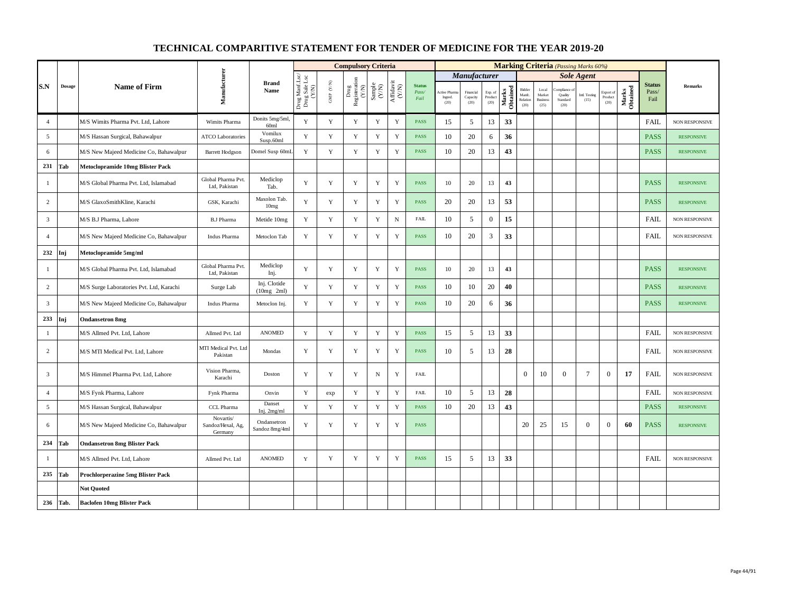|                         |        |                                          |                                           |                               |                                                                                                                                                                                                                                       |                          | <b>Compulsory Criteria</b>                                                               |                                                              |                    |                                |                                 |                               |                            |                   |                                      |                                            | <b>Marking Criteria</b> (Passing Marks 60%) |                       |                              |                   |                                |                       |
|-------------------------|--------|------------------------------------------|-------------------------------------------|-------------------------------|---------------------------------------------------------------------------------------------------------------------------------------------------------------------------------------------------------------------------------------|--------------------------|------------------------------------------------------------------------------------------|--------------------------------------------------------------|--------------------|--------------------------------|---------------------------------|-------------------------------|----------------------------|-------------------|--------------------------------------|--------------------------------------------|---------------------------------------------|-----------------------|------------------------------|-------------------|--------------------------------|-----------------------|
|                         |        |                                          |                                           |                               |                                                                                                                                                                                                                                       |                          |                                                                                          |                                                              |                    |                                |                                 | <b>Manufacturer</b>           |                            |                   |                                      |                                            |                                             | <b>Sole Agent</b>     |                              |                   |                                |                       |
| S.N                     | Dosage | <b>Name of Firm</b>                      | Manufacturer                              | <b>Brand</b><br>Name          | $\begin{array}{c} \mathbf{D}\mathbf{r}\mathbf{u}\mathbf{g}\,\mathbf{M}\mathbf{m}\text{f.Lsc}\\ \mathbf{D}\mathbf{r}\mathbf{u}\mathbf{g}\,\mathbf{S}\mathbf{a}\mathbf{b}\,\mathbf{L}\mathbf{sc}\\ (\mathbf{X}/\mathbf{N}) \end{array}$ | ${\rm GMP}$ ${\rm (YN)}$ | $\begin{array}{c} \mathrm{Drug} \\ \mathrm{Registeration} \\ (Y/\mathrm{N}) \end{array}$ | $\begin{array}{c} \text{Sample} \\ (\text{Y/N}) \end{array}$ | Affidavit<br>(Y/N) | <b>Status</b><br>Pass/<br>Fail | Active Pharn<br>Ingred.<br>(20) | Financial<br>Capacity<br>(20) | Exp. of<br>Product<br>(20) | Marks<br>Obtained | Bidder<br>Manfc.<br>Relation<br>(20) | Local<br>Market<br><b>Business</b><br>(25) | mpIance<br>Quality<br>Standard<br>(20)      | Intl. Testing<br>(15) | Export of<br>Product<br>(20) | Marks<br>Obtained | <b>Status</b><br>Pass/<br>Fail | <b>Remarks</b>        |
| $\overline{4}$          |        | M/S Wimits Pharma Pvt. Ltd, Lahore       | Wimits Pharma                             | Donits 5mg/5ml,<br>60ml       | Y                                                                                                                                                                                                                                     | $\mathbf Y$              | Y                                                                                        | Y                                                            | Y                  | <b>PASS</b>                    | 15                              | 5                             | 13                         | 33                |                                      |                                            |                                             |                       |                              |                   | <b>FAIL</b>                    | NON RESPONSIVE        |
| 5                       |        | M/S Hassan Surgical, Bahawalpur          | <b>ATCO Laboratories</b>                  | Vomilux<br>Susp.60ml          | Y                                                                                                                                                                                                                                     | $\mathbf Y$              | $\mathbf Y$                                                                              | $\mathbf Y$                                                  | $\mathbf Y$        | <b>PASS</b>                    | 10                              | 20                            | 6                          | 36                |                                      |                                            |                                             |                       |                              |                   | <b>PASS</b>                    | <b>RESPONSIVE</b>     |
| 6                       |        | M/S New Majeed Medicine Co, Bahawalpur   | <b>Barrett Hodgson</b>                    | Domel Susp 60mL               | Y                                                                                                                                                                                                                                     | $\mathbf Y$              | $\mathbf Y$                                                                              | $\mathbf Y$                                                  | $\mathbf Y$        | <b>PASS</b>                    | 10                              | 20                            | 13                         | 43                |                                      |                                            |                                             |                       |                              |                   | <b>PASS</b>                    | <b>RESPONSIVE</b>     |
| 231                     | Tab    | <b>Metoclopramide 10mg Blister Pack</b>  |                                           |                               |                                                                                                                                                                                                                                       |                          |                                                                                          |                                                              |                    |                                |                                 |                               |                            |                   |                                      |                                            |                                             |                       |                              |                   |                                |                       |
| $\mathbf{1}$            |        | M/S Global Pharma Pvt. Ltd, Islamabad    | Global Pharma Pvt.<br>Ltd, Pakistan       | Mediclop<br>Tab.              | Y                                                                                                                                                                                                                                     | $\mathbf Y$              | Y                                                                                        | $\mathbf Y$                                                  | $\mathbf Y$        | <b>PASS</b>                    | 10                              | 20                            | 13                         | 43                |                                      |                                            |                                             |                       |                              |                   | <b>PASS</b>                    | <b>RESPONSIVE</b>     |
| 2                       |        | M/S GlaxoSmithKline, Karachi             | GSK, Karachi                              | Maxolon Tab.<br>10mg          | Y                                                                                                                                                                                                                                     | Y                        | Y                                                                                        | Y                                                            | $\mathbf Y$        | <b>PASS</b>                    | 20                              | 20                            | 13                         | 53                |                                      |                                            |                                             |                       |                              |                   | <b>PASS</b>                    | <b>RESPONSIVE</b>     |
| $\overline{3}$          |        | M/S B.J Pharma, Lahore                   | <b>B.J Pharma</b>                         | Metide 10mg                   | Y                                                                                                                                                                                                                                     | Y                        | $\mathbf Y$                                                                              | Y                                                            | $\mathbf N$        | <b>FAIL</b>                    | 10                              | 5                             | $\mathbf{0}$               | 15                |                                      |                                            |                                             |                       |                              |                   | <b>FAIL</b>                    | <b>NON RESPONSIVE</b> |
| $\overline{4}$          |        | M/S New Majeed Medicine Co, Bahawalpur   | Indus Pharma                              | Metoclon Tab                  | Y                                                                                                                                                                                                                                     | Y                        | Y                                                                                        | Y                                                            | $\mathbf Y$        | <b>PASS</b>                    | 10                              | 20                            | 3                          | 33                |                                      |                                            |                                             |                       |                              |                   | <b>FAIL</b>                    | NON RESPONSIVE        |
| 232                     | Inj    | Metoclopramide 5mg/ml                    |                                           |                               |                                                                                                                                                                                                                                       |                          |                                                                                          |                                                              |                    |                                |                                 |                               |                            |                   |                                      |                                            |                                             |                       |                              |                   |                                |                       |
| 1                       |        | M/S Global Pharma Pvt. Ltd, Islamabad    | Global Pharma Pvt.<br>Ltd. Pakistan       | Mediclop<br>Inj.              | Y                                                                                                                                                                                                                                     | Y                        | Y                                                                                        | Y                                                            | Y                  | <b>PASS</b>                    | 10                              | 20                            | 13                         | 43                |                                      |                                            |                                             |                       |                              |                   | <b>PASS</b>                    | <b>RESPONSIVE</b>     |
| $\overline{2}$          |        | M/S Surge Laboratories Pvt. Ltd, Karachi | Surge Lab                                 | Inj. Clotide<br>$(10mg$ 2ml)  | $\mathbf Y$                                                                                                                                                                                                                           | $\mathbf Y$              | $\mathbf Y$                                                                              | $\mathbf Y$                                                  | $\mathbf Y$        | <b>PASS</b>                    | 10                              | 10                            | 20                         | 40                |                                      |                                            |                                             |                       |                              |                   | <b>PASS</b>                    | <b>RESPONSIVE</b>     |
| $\overline{\mathbf{3}}$ |        | M/S New Majeed Medicine Co, Bahawalpur   | Indus Pharma                              | Metoclon Inj.                 | Y                                                                                                                                                                                                                                     | $\mathbf Y$              | $\mathbf Y$                                                                              | $\mathbf Y$                                                  | $\mathbf Y$        | <b>PASS</b>                    | 10                              | 20                            | 6                          | 36                |                                      |                                            |                                             |                       |                              |                   | <b>PASS</b>                    | <b>RESPONSIVE</b>     |
| 233                     | Inj    | <b>Ondansetron 8mg</b>                   |                                           |                               |                                                                                                                                                                                                                                       |                          |                                                                                          |                                                              |                    |                                |                                 |                               |                            |                   |                                      |                                            |                                             |                       |                              |                   |                                |                       |
| $\mathbf{1}$            |        | M/S Allmed Pvt. Ltd, Lahore              | Allmed Pvt. Ltd                           | <b>ANOMED</b>                 | $\mathbf Y$                                                                                                                                                                                                                           | $\mathbf Y$              | Y                                                                                        | Y                                                            | $\mathbf Y$        | <b>PASS</b>                    | 15                              | 5                             | 13                         | 33                |                                      |                                            |                                             |                       |                              |                   | <b>FAIL</b>                    | NON RESPONSIVE        |
| 2                       |        | M/S MTI Medical Pvt. Ltd, Lahore         | MTI Medical Pvt. Ltd<br>Pakistan          | Mondas                        | Y                                                                                                                                                                                                                                     | $\mathbf Y$              | Y                                                                                        | $\mathbf Y$                                                  | $\mathbf Y$        | <b>PASS</b>                    | 10                              | 5                             | 13                         | 28                |                                      |                                            |                                             |                       |                              |                   | <b>FAIL</b>                    | NON RESPONSIVE        |
| $\overline{3}$          |        | M/S Himmel Pharma Pvt. Ltd, Lahore       | Vision Pharma,<br>Karachi                 | Doston                        | Y                                                                                                                                                                                                                                     | $\mathbf Y$              | Y                                                                                        | $_{\rm N}$                                                   | $\mathbf Y$        | <b>FAIL</b>                    |                                 |                               |                            |                   | $\mathbf{0}$                         | 10                                         | $\overline{0}$                              | $7\phantom{.0}$       | $\boldsymbol{0}$             | 17                | <b>FAIL</b>                    | <b>NON RESPONSIVE</b> |
| $\overline{4}$          |        | M/S Fynk Pharma, Lahore                  | Fynk Pharma                               | Onvin                         | Y                                                                                                                                                                                                                                     | exp                      | $\mathbf Y$                                                                              | $\mathbf Y$                                                  | $\mathbf Y$        | <b>FAIL</b>                    | 10                              | 5                             | 13                         | 28                |                                      |                                            |                                             |                       |                              |                   | <b>FAIL</b>                    | NON RESPONSIVE        |
| $5\overline{5}$         |        | M/S Hassan Surgical, Bahawalpur          | CCL Pharma                                | Danset<br>Inj. 2mg/ml         | Y                                                                                                                                                                                                                                     | $\mathbf Y$              | $\mathbf Y$                                                                              | $\mathbf Y$                                                  | $\mathbf Y$        | <b>PASS</b>                    | 10                              | 20                            | 13                         | 43                |                                      |                                            |                                             |                       |                              |                   | <b>PASS</b>                    | <b>RESPONSIVE</b>     |
| 6                       |        | M/S New Majeed Medicine Co, Bahawalpur   | Novartis/<br>Sandoz/Hexal, Ag,<br>Germany | Ondansetron<br>Sandoz 8mg/4ml | Y                                                                                                                                                                                                                                     | Y                        | Y                                                                                        | Y                                                            | $\mathbf Y$        | <b>PASS</b>                    |                                 |                               |                            |                   | 20                                   | 25                                         | 15                                          | $\overline{0}$        | $\overline{0}$               | 60                | <b>PASS</b>                    | <b>RESPONSIVE</b>     |
| 234                     | Tab    | <b>Ondansetron 8mg Blister Pack</b>      |                                           |                               |                                                                                                                                                                                                                                       |                          |                                                                                          |                                                              |                    |                                |                                 |                               |                            |                   |                                      |                                            |                                             |                       |                              |                   |                                |                       |
| 1                       |        | M/S Allmed Pvt. Ltd, Lahore              | Allmed Pvt. Ltd                           | <b>ANOMED</b>                 | Y                                                                                                                                                                                                                                     | Y                        | $\mathbf Y$                                                                              | $\mathbf Y$                                                  | $\mathbf Y$        | <b>PASS</b>                    | 15                              | 5                             | 13                         | 33                |                                      |                                            |                                             |                       |                              |                   | <b>FAIL</b>                    | <b>NON RESPONSIVE</b> |
| 235                     | Tab    | <b>Prochlorperazine 5mg Blister Pack</b> |                                           |                               |                                                                                                                                                                                                                                       |                          |                                                                                          |                                                              |                    |                                |                                 |                               |                            |                   |                                      |                                            |                                             |                       |                              |                   |                                |                       |
|                         |        | <b>Not Ouoted</b>                        |                                           |                               |                                                                                                                                                                                                                                       |                          |                                                                                          |                                                              |                    |                                |                                 |                               |                            |                   |                                      |                                            |                                             |                       |                              |                   |                                |                       |
| 236                     | Tab.   | <b>Baclofen 10mg Blister Pack</b>        |                                           |                               |                                                                                                                                                                                                                                       |                          |                                                                                          |                                                              |                    |                                |                                 |                               |                            |                   |                                      |                                            |                                             |                       |                              |                   |                                |                       |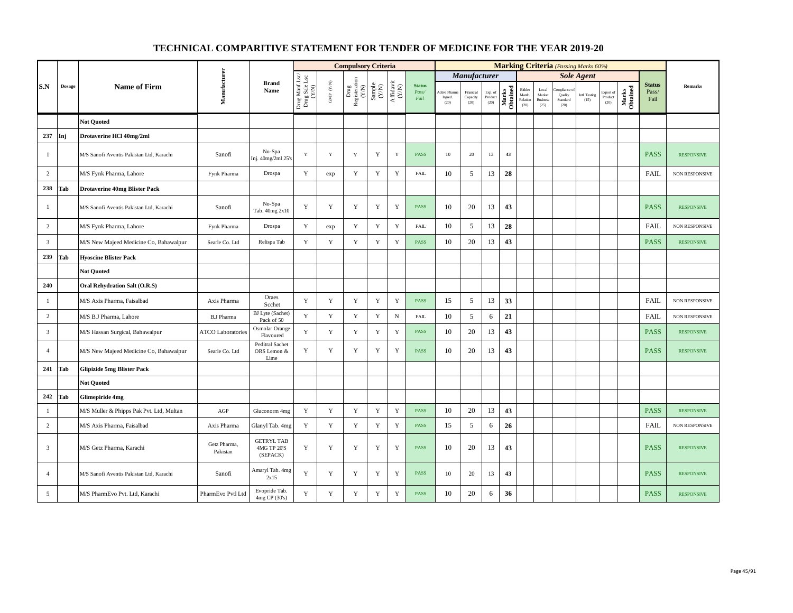|                |               |                                          |                          |                                               |                                          |                                         | <b>Compulsory Criteria</b>                                                               |                                                              |                                      |                                |                                |                               |                            |                   |                                      |                                            | <b>Marking Criteria</b> (Passing Marks 60%) |                       |                              |                   |                                |                   |
|----------------|---------------|------------------------------------------|--------------------------|-----------------------------------------------|------------------------------------------|-----------------------------------------|------------------------------------------------------------------------------------------|--------------------------------------------------------------|--------------------------------------|--------------------------------|--------------------------------|-------------------------------|----------------------------|-------------------|--------------------------------------|--------------------------------------------|---------------------------------------------|-----------------------|------------------------------|-------------------|--------------------------------|-------------------|
|                |               |                                          |                          |                                               |                                          |                                         |                                                                                          |                                                              |                                      |                                |                                | Manufacturer                  |                            |                   |                                      |                                            |                                             | <b>Sole Agent</b>     |                              |                   |                                |                   |
| S.N            | <b>Dosage</b> | <b>Name of Firm</b>                      | Manufacturer             | <b>Brand</b><br>Name                          | Drug Manf.Lsc/<br>Drug Sale Lsc<br>(Y/N) | $\ensuremath{\mathsf{GMP}}\xspace$ (YN) | $\begin{array}{c} \mathrm{Drag} \\ \mathrm{Resisteration} \\ (Y/\mathrm{N}) \end{array}$ | $\begin{array}{c} \text{Sample} \\ (\text{Y/N}) \end{array}$ | $\frac{\text{Affdavit}}{\text{N/N}}$ | <b>Status</b><br>Pass/<br>Fail | Active Phar<br>Ingred.<br>(20) | Financial<br>Capacity<br>(20) | Exp. of<br>Product<br>(20) | Marks<br>Obtained | Bidder<br>Manfe.<br>Relation<br>(20) | Local<br>Market<br><b>Business</b><br>(25) | mpIance<br>Quality<br>Standard<br>(20)      | Intl. Testing<br>(15) | Export of<br>Product<br>(20) | Marks<br>Obtained | <b>Status</b><br>Pass/<br>Fail | <b>Remarks</b>    |
|                |               | <b>Not Ouoted</b>                        |                          |                                               |                                          |                                         |                                                                                          |                                                              |                                      |                                |                                |                               |                            |                   |                                      |                                            |                                             |                       |                              |                   |                                |                   |
| 237            | Inj           | Drotaverine HCl 40mg/2ml                 |                          |                                               |                                          |                                         |                                                                                          |                                                              |                                      |                                |                                |                               |                            |                   |                                      |                                            |                                             |                       |                              |                   |                                |                   |
| -1             |               | M/S Sanofi Aventis Pakistan Ltd, Karachi | Sanofi                   | No-Spa<br>Inj. 40mg/2ml 25's                  | $\mathbf Y$                              | $\mathbf Y$                             | Y                                                                                        | Y                                                            | Y                                    | <b>PASS</b>                    | 10 <sup>°</sup>                | 20                            | 13                         | 43                |                                      |                                            |                                             |                       |                              |                   | <b>PASS</b>                    | <b>RESPONSIVE</b> |
| $\overline{c}$ |               | M/S Fynk Pharma, Lahore                  | Fynk Pharma              | Drospa                                        | Y                                        | exp                                     | $\mathbf Y$                                                                              | $\mathbf Y$                                                  | $\mathbf Y$                          | <b>FAIL</b>                    | 10                             | 5                             | 13                         | 28                |                                      |                                            |                                             |                       |                              |                   | FAIL                           | NON RESPONSIVE    |
| 238            | Tab           | <b>Drotaverine 40mg Blister Pack</b>     |                          |                                               |                                          |                                         |                                                                                          |                                                              |                                      |                                |                                |                               |                            |                   |                                      |                                            |                                             |                       |                              |                   |                                |                   |
| $\overline{1}$ |               | M/S Sanofi Aventis Pakistan Ltd, Karachi | Sanofi                   | No-Spa<br>Tab. 40mg 2x10                      | Y                                        | $\mathbf Y$                             | $\mathbf Y$                                                                              | $\mathbf Y$                                                  | Y                                    | PASS                           | 10                             | 20                            | 13                         | 43                |                                      |                                            |                                             |                       |                              |                   | <b>PASS</b>                    | <b>RESPONSIVE</b> |
| 2              |               | M/S Fynk Pharma, Lahore                  | Fynk Pharma              | Drospa                                        | Y                                        | exp                                     | $\mathbf Y$                                                                              | Y                                                            | $\mathbf Y$                          | <b>FAIL</b>                    | 10                             | 5                             | 13                         | 28                |                                      |                                            |                                             |                       |                              |                   | FAIL                           | NON RESPONSIVE    |
| $\overline{3}$ |               | M/S New Majeed Medicine Co, Bahawalpur   | Searle Co. Ltd           | Relispa Tab                                   | $\mathbf Y$                              | $\mathbf Y$                             | $\mathbf Y$                                                                              | $\mathbf Y$                                                  | $\mathbf Y$                          | <b>PASS</b>                    | 10                             | 20                            | 13                         | 43                |                                      |                                            |                                             |                       |                              |                   | <b>PASS</b>                    | <b>RESPONSIVE</b> |
| 239            | Tab           | <b>Hyoscine Blister Pack</b>             |                          |                                               |                                          |                                         |                                                                                          |                                                              |                                      |                                |                                |                               |                            |                   |                                      |                                            |                                             |                       |                              |                   |                                |                   |
|                |               | <b>Not Quoted</b>                        |                          |                                               |                                          |                                         |                                                                                          |                                                              |                                      |                                |                                |                               |                            |                   |                                      |                                            |                                             |                       |                              |                   |                                |                   |
| 240            |               | Oral Rehydration Salt (O.R.S)            |                          |                                               |                                          |                                         |                                                                                          |                                                              |                                      |                                |                                |                               |                            |                   |                                      |                                            |                                             |                       |                              |                   |                                |                   |
| $\mathbf{1}$   |               | M/S Axis Pharma, Faisalbad               | Axis Pharma              | Oraes<br>Scchet                               | Y                                        | $\mathbf Y$                             | $\mathbf Y$                                                                              | $\mathbf Y$                                                  | $\mathbf Y$                          | PASS                           | 15                             | 5                             | 13                         | 33                |                                      |                                            |                                             |                       |                              |                   | <b>FAIL</b>                    | NON RESPONSIVE    |
| $\overline{2}$ |               | M/S B.J Pharma, Lahore                   | <b>B.J Pharma</b>        | BJ Lyte (Sachet)<br>Pack of 50                | Y                                        | $\mathbf Y$                             | $\mathbf Y$                                                                              | $\mathbf Y$                                                  | $_{\rm N}$                           | <b>FAIL</b>                    | 10                             | 5                             | 6                          | 21                |                                      |                                            |                                             |                       |                              |                   | <b>FAIL</b>                    | NON RESPONSIVE    |
| $\overline{3}$ |               | M/S Hassan Surgical, Bahawalpur          | <b>ATCO</b> Laboratories | Osmolar Orange<br>Flavoured                   | $\mathbf Y$                              | $\mathbf Y$                             | $\mathbf Y$                                                                              | $\mathbf Y$                                                  | $\mathbf Y$                          | PASS                           | 10                             | 20                            | 13                         | 43                |                                      |                                            |                                             |                       |                              |                   | <b>PASS</b>                    | <b>RESPONSIVE</b> |
| $\overline{4}$ |               | M/S New Majeed Medicine Co, Bahawalpur   | Searle Co. Ltd           | <b>Peditral Sachet</b><br>ORS Lemon &<br>Lime | Y                                        | $\mathbf Y$                             | Y                                                                                        | $\mathbf Y$                                                  | $\mathbf Y$                          | <b>PASS</b>                    | 10                             | 20                            | 13                         | 43                |                                      |                                            |                                             |                       |                              |                   | <b>PASS</b>                    | <b>RESPONSIVE</b> |
| 241            | Tab           | <b>Glipizide 5mg Blister Pack</b>        |                          |                                               |                                          |                                         |                                                                                          |                                                              |                                      |                                |                                |                               |                            |                   |                                      |                                            |                                             |                       |                              |                   |                                |                   |
|                |               | <b>Not Quoted</b>                        |                          |                                               |                                          |                                         |                                                                                          |                                                              |                                      |                                |                                |                               |                            |                   |                                      |                                            |                                             |                       |                              |                   |                                |                   |
| 242            | Tab           | <b>Glimepiride 4mg</b>                   |                          |                                               |                                          |                                         |                                                                                          |                                                              |                                      |                                |                                |                               |                            |                   |                                      |                                            |                                             |                       |                              |                   |                                |                   |
| $\mathbf{1}$   |               | M/S Muller & Phipps Pak Pvt. Ltd, Multan | AGP                      | Gluconorm 4mg                                 | Y                                        | Y                                       | $\mathbf Y$                                                                              | $\mathbf Y$                                                  | $\mathbf Y$                          | <b>PASS</b>                    | 10                             | 20                            | 13                         | 43                |                                      |                                            |                                             |                       |                              |                   | <b>PASS</b>                    | <b>RESPONSIVE</b> |
| $\sqrt{2}$     |               | M/S Axis Pharma, Faisalbad               | Axis Pharma              | Glanyl Tab. 4mg                               | Y                                        | Y                                       | $\mathbf Y$                                                                              | Y                                                            | $\mathbf Y$                          | PASS                           | 15                             | 5                             | 6                          | 26                |                                      |                                            |                                             |                       |                              |                   | <b>FAIL</b>                    | NON RESPONSIVE    |
| $\overline{3}$ |               | M/S Getz Pharma, Karachi                 | Getz Pharma,<br>Pakistan | <b>GETRYL TAB</b><br>4MG TP 20'S<br>(SEPACK)  | $\mathbf Y$                              | $\mathbf Y$                             | $\mathbf Y$                                                                              | $\mathbf Y$                                                  | $\mathbf Y$                          | <b>PASS</b>                    | 10                             | 20                            | 13                         | 43                |                                      |                                            |                                             |                       |                              |                   | <b>PASS</b>                    | <b>RESPONSIVE</b> |
| $\overline{4}$ |               | M/S Sanofi Aventis Pakistan Ltd, Karachi | Sanofi                   | Amaryl Tab. 4mg<br>2x15                       | Y                                        | Y                                       | Y                                                                                        | Y                                                            | Y                                    | <b>PASS</b>                    | 10                             | 20                            | 13                         | 43                |                                      |                                            |                                             |                       |                              |                   | <b>PASS</b>                    | <b>RESPONSIVE</b> |
| 5              |               | M/S PharmEvo Pvt. Ltd, Karachi           | PharmEvo Pvtl Ltd        | Evopride Tab.<br>4mg CP (30's)                | $\mathbf Y$                              | $\mathbf Y$                             | $\mathbf Y$                                                                              | $\mathbf Y$                                                  | Y                                    | PASS                           | 10                             | 20                            | 6                          | 36                |                                      |                                            |                                             |                       |                              |                   | <b>PASS</b>                    | <b>RESPONSIVE</b> |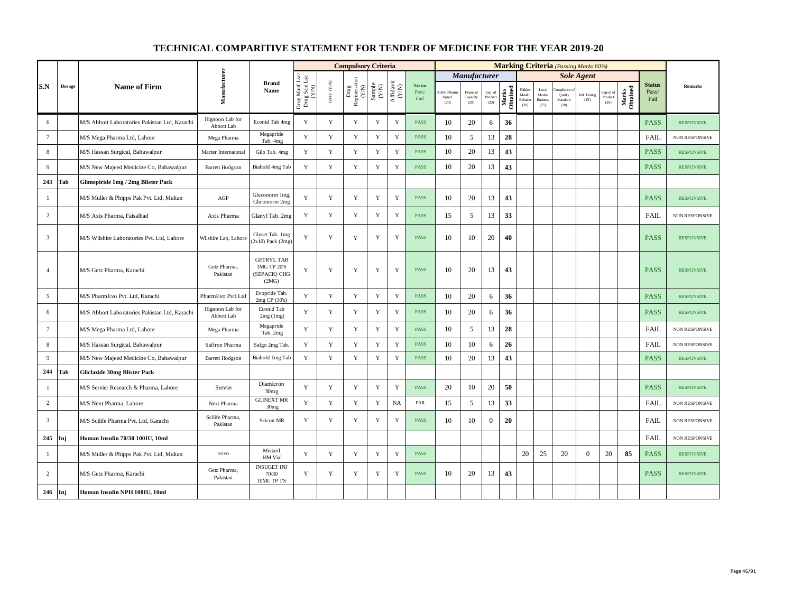|                |               |                                               |                               |                                                           |                                          |                           | <b>Compulsory Criteria</b>                                                                |                                                             |                    |                                |                                |                               |                            |                   |                                      |                                            | <b>Marking Criteria</b> (Passing Marks 60%) |                       |                              |                   |                                |                       |
|----------------|---------------|-----------------------------------------------|-------------------------------|-----------------------------------------------------------|------------------------------------------|---------------------------|-------------------------------------------------------------------------------------------|-------------------------------------------------------------|--------------------|--------------------------------|--------------------------------|-------------------------------|----------------------------|-------------------|--------------------------------------|--------------------------------------------|---------------------------------------------|-----------------------|------------------------------|-------------------|--------------------------------|-----------------------|
|                |               |                                               |                               |                                                           |                                          |                           |                                                                                           |                                                             |                    |                                |                                | <b>Manufacturer</b>           |                            |                   |                                      |                                            |                                             | <b>Sole Agent</b>     |                              |                   |                                |                       |
| S.N            | $\bf{Dosage}$ | <b>Name of Firm</b>                           | Manufacturer                  | <b>Brand</b><br>Name                                      | Drug Manf.Lsc/<br>Drug Sale Lsc<br>(Y/N) | ${\rm GMP}$ ${\rm (V/N)}$ | $\begin{array}{c} \mathrm{ Drug} \\ \mathrm{Registeration} \\ (Y/\mathrm{N}) \end{array}$ | $\begin{array}{c} \text{Sample} \\ \text{C/N)} \end{array}$ | Affidavit<br>(Y/N) | <b>Status</b><br>Pass/<br>Fail | Active Phan<br>Ingred.<br>(20) | Financial<br>Capacity<br>(20) | Exp. of<br>Product<br>(20) | Marks<br>Obtained | Bidder<br>Manfc.<br>Relation<br>(20) | Local<br>Market<br><b>Business</b><br>(25) | mpliance<br>Quality<br>Standard<br>(20)     | Intl. Testing<br>(15) | Export of<br>Product<br>(20) | Marks<br>Obtained | <b>Status</b><br>Pass/<br>Fail | Remarks               |
| 6              |               | M/S Abbott Laboratories Pakistan Ltd, Karachi | Hignoon Lab for<br>Abbott Lab | Econid Tab 4mg                                            | Y                                        | Y                         | Y                                                                                         | Y                                                           | Y                  | <b>PASS</b>                    | 10                             | 20                            | 6                          | 36                |                                      |                                            |                                             |                       |                              |                   | <b>PASS</b>                    | <b>RESPONSIVE</b>     |
| $\overline{7}$ |               | M/S Mega Pharma Ltd, Lahore                   | Mega Pharma                   | Megapride<br>Tab. 4mg                                     | Y                                        | Y                         | Y                                                                                         | Y                                                           | Y                  | <b>PASS</b>                    | 10                             | 5                             | 13                         | 28                |                                      |                                            |                                             |                       |                              |                   | <b>FAIL</b>                    | NON RESPONSIVE        |
| $8\,$          |               | M/S Hassan Surgical, Bahawalpur               | Macter Internaional           | Gilo Tab. 4mg                                             | Y                                        | $\mathbf Y$               | $\mathbf Y$                                                                               | $\mathbf Y$                                                 | $\mathbf Y$        | <b>PASS</b>                    | 10                             | 20                            | 13                         | 43                |                                      |                                            |                                             |                       |                              |                   | <b>PASS</b>                    | <b>RESPONSIVE</b>     |
| 9              |               | M/S New Majeed Medicine Co, Bahawalpur        | <b>Barrett Hodgson</b>        | Biabold 4mg Tab                                           | Y                                        | $\mathbf Y$               | Y                                                                                         | $\mathbf Y$                                                 | Y                  | <b>PASS</b>                    | 10                             | 20                            | 13                         | 43                |                                      |                                            |                                             |                       |                              |                   | <b>PASS</b>                    | <b>RESPONSIVE</b>     |
| 243            | Tab           | Glimepiride 1mg / 2mg Blister Pack            |                               |                                                           |                                          |                           |                                                                                           |                                                             |                    |                                |                                |                               |                            |                   |                                      |                                            |                                             |                       |                              |                   |                                |                       |
| -1             |               | M/S Muller & Phipps Pak Pvt. Ltd, Multan      | AGP                           | Gluconorm 1mg,<br>Gluconorm 2mg                           | Y                                        | Y                         | Y                                                                                         | Y                                                           | $\mathbf Y$        | <b>PASS</b>                    | 10                             | 20                            | 13                         | 43                |                                      |                                            |                                             |                       |                              |                   | <b>PASS</b>                    | <b>RESPONSIVE</b>     |
| $\overline{c}$ |               | M/S Axis Pharma, Faisalbad                    | Axis Pharma                   | Glanyl Tab. 2mg                                           | Y                                        | $\mathbf Y$               | Y                                                                                         | $\mathbf Y$                                                 | $\mathbf Y$        | <b>PASS</b>                    | 15                             | 5                             | 13                         | 33                |                                      |                                            |                                             |                       |                              |                   | <b>FAIL</b>                    | NON RESPONSIVE        |
| $\overline{3}$ |               | M/S Wilshire Laboratories Pvt. Ltd, Lahore    | Wilshire Lab, Lahore          | Glyset Tab. 1mg<br>$(2x10)$ Pack $(2mg)$                  | Y                                        | Y                         | Y                                                                                         | Y                                                           | $\mathbf Y$        | <b>PASS</b>                    | 10                             | 10                            | 20                         | 40                |                                      |                                            |                                             |                       |                              |                   | <b>PASS</b>                    | <b>RESPONSIVE</b>     |
| $\overline{4}$ |               | M/S Getz Pharma, Karachi                      | Getz Pharma,<br>Pakistan      | <b>GETRYL TAB</b><br>1MG TP 20'S<br>(SEPACK) CHG<br>(2MG) | Y                                        | $\mathbf Y$               | Y                                                                                         | $\mathbf Y$                                                 | $\mathbf Y$        | <b>PASS</b>                    | 10                             | 20                            | 13                         | 43                |                                      |                                            |                                             |                       |                              |                   | <b>PASS</b>                    | <b>RESPONSIVE</b>     |
| 5              |               | M/S PharmEvo Pvt. Ltd, Karachi                | PharmEvo Pvtl Ltd             | Evopride Tab.<br>2mg CP (30's)                            | $\mathbf Y$                              | $\mathbf Y$               | $\mathbf Y$                                                                               | $\mathbf Y$                                                 | $\mathbf Y$        | <b>PASS</b>                    | 10                             | 20                            | 6                          | 36                |                                      |                                            |                                             |                       |                              |                   | <b>PASS</b>                    | <b>RESPONSIVE</b>     |
| 6              |               | M/S Abbott Laboratories Pakistan Ltd, Karachi | Hignoon Lab for<br>Abbott Lab | Econid Tab<br>2mg (1mg)                                   | Y                                        | $\mathbf Y$               | $\mathbf Y$                                                                               | $\mathbf Y$                                                 | $\mathbf Y$        | <b>PASS</b>                    | 10                             | 20                            | 6                          | 36                |                                      |                                            |                                             |                       |                              |                   | <b>PASS</b>                    | <b>RESPONSIVE</b>     |
| $\tau$         |               | M/S Mega Pharma Ltd, Lahore                   | Mega Pharma                   | Megapride<br>Tab. 2mg                                     | Y                                        | Y                         | Y                                                                                         | $\mathbf Y$                                                 | $\mathbf Y$        | <b>PASS</b>                    | 10                             | 5                             | 13                         | 28                |                                      |                                            |                                             |                       |                              |                   | <b>FAIL</b>                    | <b>NON RESPONSIVE</b> |
| 8              |               | M/S Hassan Surgical, Bahawalpur               | Saffron Pharma                | Safgo 2mg Tab.                                            | Y                                        | $\mathbf Y$               | $\mathbf Y$                                                                               | $\mathbf Y$                                                 | $\mathbf Y$        | <b>PASS</b>                    | 10                             | 10                            | 6                          | 26                |                                      |                                            |                                             |                       |                              |                   | <b>FAIL</b>                    | NON RESPONSIVE        |
| 9              |               | M/S New Majeed Medicine Co, Bahawalpur        | <b>Barrett Hodgson</b>        | Biabold 1mg Tab                                           | Y                                        | Y                         | Y                                                                                         | Y                                                           | Y                  | <b>PASS</b>                    | 10                             | 20                            | 13                         | 43                |                                      |                                            |                                             |                       |                              |                   | <b>PASS</b>                    | <b>RESPONSIVE</b>     |
| 244            | Tab           | Gliclazide 30mg Blister Pack                  |                               |                                                           |                                          |                           |                                                                                           |                                                             |                    |                                |                                |                               |                            |                   |                                      |                                            |                                             |                       |                              |                   |                                |                       |
| 1              |               | M/S Servier Research & Pharma, Lahore         | Servier                       | Diamicron<br>30 <sub>mg</sub>                             | Y                                        | Y                         | $\mathbf Y$                                                                               | $\mathbf Y$                                                 | $\mathbf Y$        | <b>PASS</b>                    | 20                             | 10                            | 20                         | 50                |                                      |                                            |                                             |                       |                              |                   | <b>PASS</b>                    | <b>RESPONSIVE</b>     |
| $\overline{c}$ |               | M/S Next Pharma, Lahore                       | Next Pharma                   | <b>GLINEXT MR</b><br>30 <sub>mg</sub>                     | Y                                        | $\mathbf Y$               | $\mathbf Y$                                                                               | $\mathbf Y$                                                 | NA                 | <b>FAIL</b>                    | 15                             | 5                             | 13                         | 33                |                                      |                                            |                                             |                       |                              |                   | <b>FAIL</b>                    | NON RESPONSIVE        |
| $\overline{3}$ |               | M/S Scilife Pharma Pvt. Ltd, Karachi          | Scilife Pharma.<br>Pakistan   | Scicon MR                                                 | Y                                        | Y                         | Y                                                                                         | Y                                                           | Y                  | <b>PASS</b>                    | 10                             | 10                            | $\overline{0}$             | 20                |                                      |                                            |                                             |                       |                              |                   | <b>FAIL</b>                    | NON RESPONSIVE        |
| 245            | Inj           | Human Insulin 70/30 100IU, 10ml               |                               |                                                           |                                          |                           |                                                                                           |                                                             |                    |                                |                                |                               |                            |                   |                                      |                                            |                                             |                       |                              |                   | <b>FAIL</b>                    | <b>NON RESPONSIVE</b> |
| -1             |               | M/S Muller & Phipps Pak Pvt. Ltd, Multan      | <b>NOVO</b>                   | Mixtard<br>HM Vial                                        | Y                                        | Y                         | $\mathbf Y$                                                                               | $\mathbf Y$                                                 | $\mathbf Y$        | <b>PASS</b>                    |                                |                               |                            |                   | 20                                   | 25                                         | 20                                          | $\overline{0}$        | 20                           | 85                | <b>PASS</b>                    | <b>RESPONSIVE</b>     |
| $\overline{c}$ |               | M/S Getz Pharma, Karachi                      | Getz Pharma,<br>Pakistan      | <b>INSUGET INJ</b><br>70/30<br>10ML TP 1'S                | Y                                        | Y                         | Y                                                                                         | Y                                                           | $\mathbf Y$        | <b>PASS</b>                    | 10                             | 20                            | 13                         | 43                |                                      |                                            |                                             |                       |                              |                   | <b>PASS</b>                    | <b>RESPONSIVE</b>     |
| 246            | Inj           | Human Insulin NPH 100IU, 10ml                 |                               |                                                           |                                          |                           |                                                                                           |                                                             |                    |                                |                                |                               |                            |                   |                                      |                                            |                                             |                       |                              |                   |                                |                       |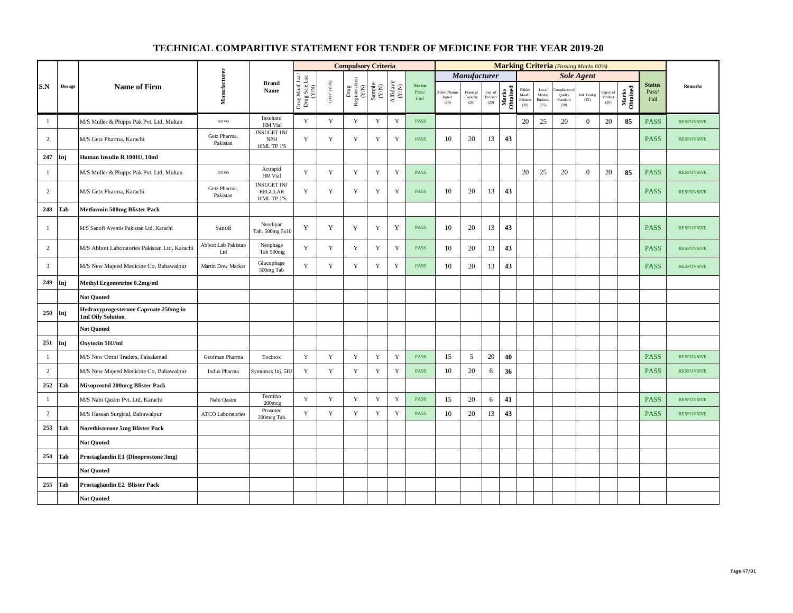|                |               |                                                                   |                            |                                                     |                                          |                                                                       | <b>Compulsory Criteria</b>                                                               |                                                             |                    |                                |                                |                               |                            |                   |                                      |                                            | <b>Marking Criteria</b> (Passing Marks 60%) |                       |                              |                   |                                |                   |
|----------------|---------------|-------------------------------------------------------------------|----------------------------|-----------------------------------------------------|------------------------------------------|-----------------------------------------------------------------------|------------------------------------------------------------------------------------------|-------------------------------------------------------------|--------------------|--------------------------------|--------------------------------|-------------------------------|----------------------------|-------------------|--------------------------------------|--------------------------------------------|---------------------------------------------|-----------------------|------------------------------|-------------------|--------------------------------|-------------------|
|                |               |                                                                   |                            |                                                     |                                          |                                                                       |                                                                                          |                                                             |                    |                                |                                | Manufacturer                  |                            |                   |                                      |                                            |                                             | <b>Sole Agent</b>     |                              |                   |                                |                   |
| S.N            | <b>Dosage</b> | <b>Name of Firm</b>                                               | Manufacturer               | <b>Brand</b><br>Name                                | Drug Manf.Lsc/<br>Drug Sale Lsc<br>(Y/N) | $\ensuremath{\mathsf{GMP}}\xspace$ $\ensuremath{\mathsf{C/N}}\xspace$ | $\begin{array}{c} \mathrm{Drug} \\ \mathrm{Registeration} \\ (Y/\mathrm{N}) \end{array}$ | $\begin{array}{c} \text{Sample} \\ \text{C/N)} \end{array}$ | Affidavit<br>(Y/N) | <b>Status</b><br>Pass/<br>Fail | Active Pham<br>Ingred.<br>(20) | Financial<br>Capacity<br>(20) | Exp. of<br>Product<br>(20) | Marks<br>Obtained | Bidder<br>Manfc.<br>Relation<br>(20) | Local<br>Market<br><b>Business</b><br>(25) | mpliance<br>Quality<br>Standard<br>(20)     | Intl. Testing<br>(15) | Export of<br>Product<br>(20) | Marks<br>Obtained | <b>Status</b><br>Pass/<br>Fail | Remarks           |
| -1             |               | M/S Muller & Phipps Pak Pvt. Ltd, Multan                          | $_{\rm NOVO}$              | Insultard<br>HM Vial                                | $\mathbf Y$                              | $\mathbf Y$                                                           | Y                                                                                        | $\mathbf Y$                                                 | $\mathbf Y$        | <b>PASS</b>                    |                                |                               |                            |                   | 20                                   | 25                                         | 20                                          | $\boldsymbol{0}$      | 20                           | 85                | <b>PASS</b>                    | <b>RESPONSIVE</b> |
| $\overline{c}$ |               | M/S Getz Pharma, Karachi                                          | Getz Pharma,<br>Pakistan   | <b>INSUGET INJ</b><br><b>NPH</b><br>10ML TP 1'S     | Y                                        | $\mathbf Y$                                                           | $\mathbf Y$                                                                              | Y                                                           | $\mathbf Y$        | <b>PASS</b>                    | 10                             | 20                            | 13                         | 43                |                                      |                                            |                                             |                       |                              |                   | <b>PASS</b>                    | <b>RESPONSIVE</b> |
| 247            | Inj           | Human Insulin R 100IU, 10ml                                       |                            |                                                     |                                          |                                                                       |                                                                                          |                                                             |                    |                                |                                |                               |                            |                   |                                      |                                            |                                             |                       |                              |                   |                                |                   |
| $\mathbf{1}$   |               | M/S Muller & Phipps Pak Pvt. Ltd, Multan                          | <b>NOVO</b>                | Actrapid<br>HM Vial                                 | Y                                        | $\mathbf Y$                                                           | $\mathbf Y$                                                                              | $\mathbf Y$                                                 | $\mathbf Y$        | <b>PASS</b>                    |                                |                               |                            |                   | 20                                   | 25                                         | 20                                          | $\mathbf{0}$          | 20                           | 85                | <b>PASS</b>                    | <b>RESPONSIVE</b> |
| $\overline{c}$ |               | M/S Getz Pharma, Karachi                                          | Getz Pharma,<br>Pakistan   | <b>INSUGET INJ</b><br><b>REGULAR</b><br>10ML TP 1'S | $\mathbf Y$                              | $\mathbf Y$                                                           | Y                                                                                        | Y                                                           | $\mathbf Y$        | <b>PASS</b>                    | 10                             | 20                            | 13                         | 43                |                                      |                                            |                                             |                       |                              |                   | <b>PASS</b>                    | <b>RESPONSIVE</b> |
| 248            | Tab           | Metformin 500mg Blister Pack                                      |                            |                                                     |                                          |                                                                       |                                                                                          |                                                             |                    |                                |                                |                               |                            |                   |                                      |                                            |                                             |                       |                              |                   |                                |                   |
| -1             |               | M/S Sanofi Aventis Pakistan Ltd, Karachi                          | Sanofi                     | Neodipar<br>Tab. 500mg 5x10                         | Y                                        | Y                                                                     | Y                                                                                        | Y                                                           | Y                  | <b>PASS</b>                    | 10                             | 20                            | 13                         | 43                |                                      |                                            |                                             |                       |                              |                   | <b>PASS</b>                    | <b>RESPONSIVE</b> |
| $\overline{c}$ |               | M/S Abbott Laboratories Pakistan Ltd, Karachi                     | Abbott Lab Pakistan<br>Ltd | Neophage<br>Tab 500mg                               | $\mathbf Y$                              | $\mathbf Y$                                                           | Y                                                                                        | $\mathbf Y$                                                 | $\mathbf Y$        | <b>PASS</b>                    | 10                             | 20                            | 13                         | 43                |                                      |                                            |                                             |                       |                              |                   | <b>PASS</b>                    | <b>RESPONSIVE</b> |
| $\overline{3}$ |               | M/S New Majeed Medicine Co, Bahawalpur                            | Martin Dow Marker          | Glucophage<br>500mg Tab                             | Y                                        | Y                                                                     | Y                                                                                        | Y                                                           | Y                  | <b>PASS</b>                    | 10                             | 20                            | 13                         | 43                |                                      |                                            |                                             |                       |                              |                   | <b>PASS</b>                    | <b>RESPONSIVE</b> |
| 249            | Inj           | Methyl Ergometrine 0.2mg/ml                                       |                            |                                                     |                                          |                                                                       |                                                                                          |                                                             |                    |                                |                                |                               |                            |                   |                                      |                                            |                                             |                       |                              |                   |                                |                   |
|                |               | <b>Not Quoted</b>                                                 |                            |                                                     |                                          |                                                                       |                                                                                          |                                                             |                    |                                |                                |                               |                            |                   |                                      |                                            |                                             |                       |                              |                   |                                |                   |
| 250            | Inj           | Hydroxyprogesterone Caproate 250mg in<br><b>1ml Oily Solution</b> |                            |                                                     |                                          |                                                                       |                                                                                          |                                                             |                    |                                |                                |                               |                            |                   |                                      |                                            |                                             |                       |                              |                   |                                |                   |
|                |               | <b>Not Ouoted</b>                                                 |                            |                                                     |                                          |                                                                       |                                                                                          |                                                             |                    |                                |                                |                               |                            |                   |                                      |                                            |                                             |                       |                              |                   |                                |                   |
| 251            | Inj           | Oxytocin 5IU/ml                                                   |                            |                                                     |                                          |                                                                       |                                                                                          |                                                             |                    |                                |                                |                               |                            |                   |                                      |                                            |                                             |                       |                              |                   |                                |                   |
| $\mathbf{1}$   |               | M/S New Omni Traders, Faisalamad                                  | Geofman Pharma             | Tocinox                                             | $\mathbf Y$                              | $\mathbf Y$                                                           | $\mathbf Y$                                                                              | $\mathbf Y$                                                 | $\mathbf Y$        | <b>PASS</b>                    | 15                             | 5                             | 20                         | 40                |                                      |                                            |                                             |                       |                              |                   | <b>PASS</b>                    | <b>RESPONSIVE</b> |
| $\overline{c}$ |               | M/S New Majeed Medicine Co, Bahawalpur                            | Indus Pharma               | Syntomax Inj. 5IU                                   | Y                                        | $\mathbf Y$                                                           | $\mathbf Y$                                                                              | $\mathbf Y$                                                 | $\mathbf Y$        | <b>PASS</b>                    | 10                             | 20                            | 6                          | 36                |                                      |                                            |                                             |                       |                              |                   | <b>PASS</b>                    | <b>RESPONSIVE</b> |
| 252            | Tab           | <b>Misoprostol 200mcg Blister Pack</b>                            |                            |                                                     |                                          |                                                                       |                                                                                          |                                                             |                    |                                |                                |                               |                            |                   |                                      |                                            |                                             |                       |                              |                   |                                |                   |
| -1             |               | M/S Nabi Qasim Pvt. Ltd, Karachi                                  | Nabi Qasim                 | Tecmixo<br>$200$ mcg                                | Y                                        | $\mathbf Y$                                                           | Y                                                                                        | $\mathbf Y$                                                 | $\mathbf Y$        | <b>PASS</b>                    | 15                             | 20                            | 6                          | 41                |                                      |                                            |                                             |                       |                              |                   | <b>PASS</b>                    | <b>RESPONSIVE</b> |
| $\overline{c}$ |               | M/S Hassan Surgical, Bahawalpur                                   | <b>ATCO Laboratories</b>   | Prosotec<br>200mcg Tab.                             | Y                                        | $\mathbf Y$                                                           | $\mathbf Y$                                                                              | Y                                                           | $\mathbf Y$        | <b>PASS</b>                    | 10                             | 20                            | 13                         | 43                |                                      |                                            |                                             |                       |                              |                   | <b>PASS</b>                    | <b>RESPONSIVE</b> |
| 253            | Tab           | Norethisterone 5mg Blister Pack                                   |                            |                                                     |                                          |                                                                       |                                                                                          |                                                             |                    |                                |                                |                               |                            |                   |                                      |                                            |                                             |                       |                              |                   |                                |                   |
|                |               | <b>Not Quoted</b>                                                 |                            |                                                     |                                          |                                                                       |                                                                                          |                                                             |                    |                                |                                |                               |                            |                   |                                      |                                            |                                             |                       |                              |                   |                                |                   |
| 254            | Tab           | Prostaglandin E1 (Dinoprostone 3mg)                               |                            |                                                     |                                          |                                                                       |                                                                                          |                                                             |                    |                                |                                |                               |                            |                   |                                      |                                            |                                             |                       |                              |                   |                                |                   |
|                |               | <b>Not Quoted</b>                                                 |                            |                                                     |                                          |                                                                       |                                                                                          |                                                             |                    |                                |                                |                               |                            |                   |                                      |                                            |                                             |                       |                              |                   |                                |                   |
| 255            | Tab           | Prostaglandin E2 Blister Pack                                     |                            |                                                     |                                          |                                                                       |                                                                                          |                                                             |                    |                                |                                |                               |                            |                   |                                      |                                            |                                             |                       |                              |                   |                                |                   |
|                |               | <b>Not Quoted</b>                                                 |                            |                                                     |                                          |                                                                       |                                                                                          |                                                             |                    |                                |                                |                               |                            |                   |                                      |                                            |                                             |                       |                              |                   |                                |                   |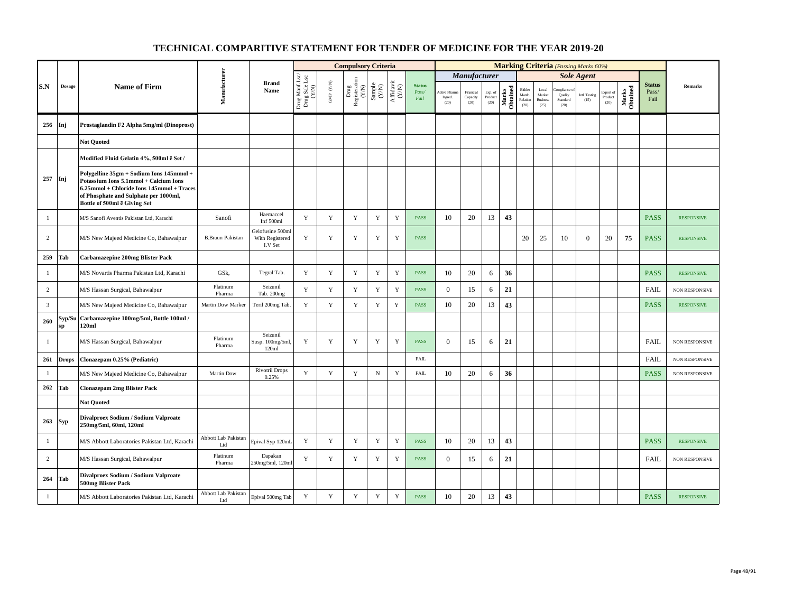|                |              |                                                                                                                                                                                                         |                                   |                                                |                                                                                           |                                         | <b>Compulsory Criteria</b>                                                                |                                                                |                                                                                          |                                |                                        |                               |                            |                   |                                      |                                            |                                         | <b>Marking Criteria</b> (Passing Marks 60%) |                              |                   |                                |                       |
|----------------|--------------|---------------------------------------------------------------------------------------------------------------------------------------------------------------------------------------------------------|-----------------------------------|------------------------------------------------|-------------------------------------------------------------------------------------------|-----------------------------------------|-------------------------------------------------------------------------------------------|----------------------------------------------------------------|------------------------------------------------------------------------------------------|--------------------------------|----------------------------------------|-------------------------------|----------------------------|-------------------|--------------------------------------|--------------------------------------------|-----------------------------------------|---------------------------------------------|------------------------------|-------------------|--------------------------------|-----------------------|
|                |              |                                                                                                                                                                                                         |                                   |                                                |                                                                                           |                                         |                                                                                           |                                                                |                                                                                          |                                |                                        | <b>Manufacturer</b>           |                            |                   |                                      |                                            |                                         | <b>Sole Agent</b>                           |                              |                   |                                |                       |
| S.N            | Dosage       | <b>Name of Firm</b>                                                                                                                                                                                     | Manufacturer                      | <b>Brand</b><br>Name                           | $\begin{array}{c} \text{Drag MantLsc} \\ \text{Drag Sale Lsc} \\ \text{V/M)} \end{array}$ | $\ensuremath{\mathsf{GMP}}\xspace$ (YN) | $\begin{array}{c} \mathrm{ Drug} \\ \mathrm{Registeration} \\ \mathrm{(Y/N)} \end{array}$ | $\begin{array}{c} \mathrm{Sample} \\ \mathrm{CNN} \end{array}$ | $\begin{array}{c} \mathrm{Aff} \mathrm{dav} \, \mathrm{i} \\ (\mathrm{Y/N}) \end{array}$ | <b>Status</b><br>Pass/<br>Fail | <b>Active Pharr</b><br>Ingred.<br>(20) | Financial<br>Capacity<br>(20) | Exp. of<br>Product<br>(20) | Marks<br>Obtained | Bidder<br>Manfc.<br>Relation<br>(20) | Local<br>Market<br><b>Business</b><br>(25) | mpliance<br>Quality<br>Standard<br>(20) | Intl. Testing<br>(15)                       | Export of<br>Product<br>(20) | Marks<br>Obtained | <b>Status</b><br>Pass/<br>Fail | Remarks               |
| 256            | Inj          | Prostaglandin F2 Alpha 5mg/ml (Dinoprost)                                                                                                                                                               |                                   |                                                |                                                                                           |                                         |                                                                                           |                                                                |                                                                                          |                                |                                        |                               |                            |                   |                                      |                                            |                                         |                                             |                              |                   |                                |                       |
|                |              | <b>Not Ouoted</b>                                                                                                                                                                                       |                                   |                                                |                                                                                           |                                         |                                                                                           |                                                                |                                                                                          |                                |                                        |                               |                            |                   |                                      |                                            |                                         |                                             |                              |                   |                                |                       |
|                |              | Modified Fluid Gelatin 4%, 500ml ē Set /                                                                                                                                                                |                                   |                                                |                                                                                           |                                         |                                                                                           |                                                                |                                                                                          |                                |                                        |                               |                            |                   |                                      |                                            |                                         |                                             |                              |                   |                                |                       |
| 257            | Inj          | Polygelline 35gm + Sodium Ions 145mmol +<br>Potassium Ions 5.1mmol + Calcium Ions<br>6.25mmol + Chloride Ions 145mmol + Traces<br>of Phosphate and Sulphate per 1000ml,<br>Bottle of 500ml ë Giving Set |                                   |                                                |                                                                                           |                                         |                                                                                           |                                                                |                                                                                          |                                |                                        |                               |                            |                   |                                      |                                            |                                         |                                             |                              |                   |                                |                       |
| $\mathbf{1}$   |              | M/S Sanofi Aventis Pakistan Ltd, Karachi                                                                                                                                                                | Sanofi                            | Haemaccel<br>Inf 500ml                         | Y                                                                                         | Y                                       | Y                                                                                         | Y                                                              | $\mathbf Y$                                                                              | <b>PASS</b>                    | 10                                     | 20                            | 13                         | 43                |                                      |                                            |                                         |                                             |                              |                   | <b>PASS</b>                    | <b>RESPONSIVE</b>     |
| $\overline{c}$ |              | M/S New Majeed Medicine Co, Bahawalpur                                                                                                                                                                  | <b>B.Braun Pakistan</b>           | Gelofusine 500ml<br>With Registered<br>I.V Set | Y                                                                                         | $\mathbf Y$                             | Y                                                                                         | Y                                                              | $\mathbf Y$                                                                              | <b>PASS</b>                    |                                        |                               |                            |                   | 20                                   | 25                                         | 10                                      | $\overline{0}$                              | 20                           | 75                | <b>PASS</b>                    | <b>RESPONSIVE</b>     |
| 259            | Tab          | <b>Carbamazepine 200mg Blister Pack</b>                                                                                                                                                                 |                                   |                                                |                                                                                           |                                         |                                                                                           |                                                                |                                                                                          |                                |                                        |                               |                            |                   |                                      |                                            |                                         |                                             |                              |                   |                                |                       |
| -1             |              | M/S Novartis Pharma Pakistan Ltd, Karachi                                                                                                                                                               | GSk,                              | Tegral Tab.                                    | Y                                                                                         | Y                                       | Y                                                                                         | Y                                                              | $\mathbf Y$                                                                              | <b>PASS</b>                    | 10                                     | 20                            | 6                          | 36                |                                      |                                            |                                         |                                             |                              |                   | <b>PASS</b>                    | <b>RESPONSIVE</b>     |
| $\overline{c}$ |              | M/S Hassan Surgical, Bahawalpur                                                                                                                                                                         | Platinum<br>Pharma                | Seizunil<br>Tab. 200mg                         | Y                                                                                         | Y                                       | Y                                                                                         | Y                                                              | Y                                                                                        | <b>PASS</b>                    | $\overline{0}$                         | 15                            | 6                          | 21                |                                      |                                            |                                         |                                             |                              |                   | <b>FAIL</b>                    | NON RESPONSIVE        |
| $\overline{3}$ |              | M/S New Majeed Medicine Co, Bahawalpur                                                                                                                                                                  | Martin Dow Marker                 | Teril 200mg Tab.                               | Y                                                                                         | $\mathbf Y$                             | $\mathbf Y$                                                                               | Y                                                              | Y                                                                                        | <b>PASS</b>                    | 10                                     | 20                            | 13                         | 43                |                                      |                                            |                                         |                                             |                              |                   | <b>PASS</b>                    | <b>RESPONSIVE</b>     |
| 260            | Syp/Su<br>sp | Carbamazepine 100mg/5ml, Bottle 100ml /<br>120ml                                                                                                                                                        |                                   |                                                |                                                                                           |                                         |                                                                                           |                                                                |                                                                                          |                                |                                        |                               |                            |                   |                                      |                                            |                                         |                                             |                              |                   |                                |                       |
| -1             |              | M/S Hassan Surgical, Bahawalpur                                                                                                                                                                         | Platinum<br>Pharma                | Seizunil<br>Susp. 100mg/5ml,<br>120ml          | Y                                                                                         | Y                                       | Y                                                                                         | Y                                                              | Y                                                                                        | <b>PASS</b>                    | $\Omega$                               | 15                            | 6                          | 21                |                                      |                                            |                                         |                                             |                              |                   | FAIL                           | <b>NON RESPONSIVE</b> |
| 261            | <b>Drops</b> | Clonazepam 0.25% (Pediatric)                                                                                                                                                                            |                                   |                                                |                                                                                           |                                         |                                                                                           |                                                                |                                                                                          | <b>FAIL</b>                    |                                        |                               |                            |                   |                                      |                                            |                                         |                                             |                              |                   | FAIL                           | NON RESPONSIVE        |
| -1             |              | M/S New Majeed Medicine Co, Bahawalpur                                                                                                                                                                  | Martin Dow                        | <b>Rivotril Drops</b><br>0.25%                 | Y                                                                                         | $\mathbf Y$                             | $\mathbf Y$                                                                               | $_{\rm N}$                                                     | $\mathbf Y$                                                                              | <b>FAIL</b>                    | 10                                     | 20                            | 6                          | 36                |                                      |                                            |                                         |                                             |                              |                   | <b>PASS</b>                    | NON RESPONSIVE        |
| 262            | Tab          | <b>Clonazepam 2mg Blister Pack</b>                                                                                                                                                                      |                                   |                                                |                                                                                           |                                         |                                                                                           |                                                                |                                                                                          |                                |                                        |                               |                            |                   |                                      |                                            |                                         |                                             |                              |                   |                                |                       |
|                |              | <b>Not Quoted</b>                                                                                                                                                                                       |                                   |                                                |                                                                                           |                                         |                                                                                           |                                                                |                                                                                          |                                |                                        |                               |                            |                   |                                      |                                            |                                         |                                             |                              |                   |                                |                       |
| 263            | <b>Syp</b>   | Divalproex Sodium / Sodium Valproate<br>250mg/5ml, 60ml, 120ml                                                                                                                                          |                                   |                                                |                                                                                           |                                         |                                                                                           |                                                                |                                                                                          |                                |                                        |                               |                            |                   |                                      |                                            |                                         |                                             |                              |                   |                                |                       |
| $\mathbf{1}$   |              | M/S Abbott Laboratories Pakistan Ltd, Karachi                                                                                                                                                           | <b>Abbott Lab Pakistan</b><br>Ltd | Epival Syp 120mL                               | Y                                                                                         | $\mathbf Y$                             | $\mathbf Y$                                                                               | Y                                                              | $\mathbf Y$                                                                              | <b>PASS</b>                    | 10                                     | $20\,$                        | 13                         | 43                |                                      |                                            |                                         |                                             |                              |                   | <b>PASS</b>                    | <b>RESPONSIVE</b>     |
| $\overline{c}$ |              | M/S Hassan Surgical, Bahawalpur                                                                                                                                                                         | Platinum<br>Pharma                | Dapakan<br>250mg/5ml, 120ml                    | Y                                                                                         | Y                                       | Y                                                                                         | $\mathbf Y$                                                    | $\mathbf Y$                                                                              | <b>PASS</b>                    | $\overline{0}$                         | 15                            | 6                          | 21                |                                      |                                            |                                         |                                             |                              |                   | FAIL                           | <b>NON RESPONSIVE</b> |
| 264            | Tab          | Divalproex Sodium / Sodium Valproate<br>500mg Blister Pack                                                                                                                                              |                                   |                                                |                                                                                           |                                         |                                                                                           |                                                                |                                                                                          |                                |                                        |                               |                            |                   |                                      |                                            |                                         |                                             |                              |                   |                                |                       |
| $\mathbf{1}$   |              | M/S Abbott Laboratories Pakistan Ltd, Karachi                                                                                                                                                           | Abbott Lab Pakistan<br>Ltd        | Epival 500mg Tab                               | $\mathbf Y$                                                                               | $\mathbf Y$                             | $\mathbf Y$                                                                               | Y                                                              | Y                                                                                        | <b>PASS</b>                    | 10                                     | 20                            | 13                         | 43                |                                      |                                            |                                         |                                             |                              |                   | <b>PASS</b>                    | <b>RESPONSIVE</b>     |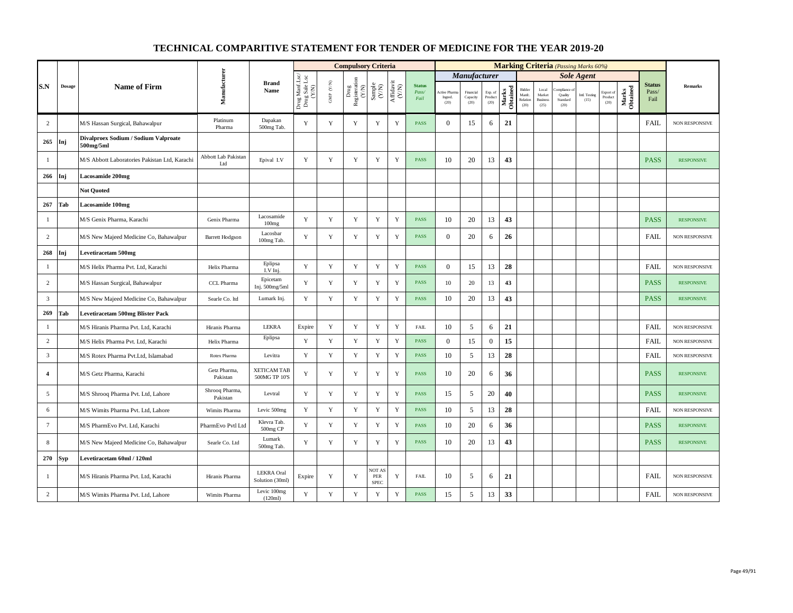|                 |               |                                                   |                            |                                      |                                                                                                                                     |                          | <b>Compulsory Criteria</b>    |                                                            |                                                                              |                                |                                |                               |                            |                   |                                      |                                            | <b>Marking Criteria</b> (Passing Marks 60%) |                       |                              |                   |                                |                       |
|-----------------|---------------|---------------------------------------------------|----------------------------|--------------------------------------|-------------------------------------------------------------------------------------------------------------------------------------|--------------------------|-------------------------------|------------------------------------------------------------|------------------------------------------------------------------------------|--------------------------------|--------------------------------|-------------------------------|----------------------------|-------------------|--------------------------------------|--------------------------------------------|---------------------------------------------|-----------------------|------------------------------|-------------------|--------------------------------|-----------------------|
|                 |               |                                                   |                            |                                      |                                                                                                                                     |                          |                               |                                                            |                                                                              |                                |                                | <b>Manufacturer</b>           |                            |                   |                                      |                                            |                                             | <b>Sole Agent</b>     |                              |                   |                                |                       |
| S.N             | <b>Dosage</b> | <b>Name of Firm</b>                               | Manufacturer               | <b>Brand</b><br>Name                 | $\begin{array}{c} \mathop{\mathrm{Drag\,MantLsc}}\\ \mathop{\mathrm{Drag\,Sale\,Lsc}}\\ \mathop{\mathrm{CVA}}\nolimits \end{array}$ | ${\rm GMP}$ ${\rm (YN)}$ | Drug<br>Registeration $(Y/N)$ | $\begin{array}{c} \text{Sample} \\ \text{CAN} \end{array}$ | $\begin{array}{c} \mathrm{Aff} \mathrm{davit} \\ (\mathrm{Y/N}) \end{array}$ | <b>Status</b><br>Pass/<br>Fail | Active Phan<br>Ingred.<br>(20) | Financial<br>Capacity<br>(20) | Exp. of<br>Product<br>(20) | Marks<br>Obtained | Bidder<br>Manfc.<br>Relation<br>(20) | Local<br>Market<br><b>Business</b><br>(25) | mpliance<br>Quality<br>Standard<br>(20)     | Intl. Testing<br>(15) | Export of<br>Product<br>(20) | Marks<br>Obtained | <b>Status</b><br>Pass/<br>Fail | <b>Remarks</b>        |
| $\overline{c}$  |               | M/S Hassan Surgical, Bahawalpur                   | Platinum<br>Pharma         | Dapakan<br>500mg Tab.                | Y                                                                                                                                   | Y                        | Y                             | Y                                                          | Y                                                                            | <b>PASS</b>                    | $\overline{0}$                 | 15                            | 6                          | 21                |                                      |                                            |                                             |                       |                              |                   | <b>FAIL</b>                    | NON RESPONSIVE        |
| 265             | Inj           | Divalproex Sodium / Sodium Valproate<br>500mg/5ml |                            |                                      |                                                                                                                                     |                          |                               |                                                            |                                                                              |                                |                                |                               |                            |                   |                                      |                                            |                                             |                       |                              |                   |                                |                       |
| -1              |               | M/S Abbott Laboratories Pakistan Ltd, Karachi     | Abbott Lab Pakistan<br>Ltd | Epival I.V                           | Y                                                                                                                                   | Y                        | Y                             | Y                                                          | Y                                                                            | PASS                           | 10                             | 20                            | 13                         | 43                |                                      |                                            |                                             |                       |                              |                   | <b>PASS</b>                    | <b>RESPONSIVE</b>     |
| 266             | Inj           | <b>Lacosamide 200mg</b>                           |                            |                                      |                                                                                                                                     |                          |                               |                                                            |                                                                              |                                |                                |                               |                            |                   |                                      |                                            |                                             |                       |                              |                   |                                |                       |
|                 |               | <b>Not Quoted</b>                                 |                            |                                      |                                                                                                                                     |                          |                               |                                                            |                                                                              |                                |                                |                               |                            |                   |                                      |                                            |                                             |                       |                              |                   |                                |                       |
| 267             | Tab           | Lacosamide 100mg                                  |                            |                                      |                                                                                                                                     |                          |                               |                                                            |                                                                              |                                |                                |                               |                            |                   |                                      |                                            |                                             |                       |                              |                   |                                |                       |
| $\mathbf{1}$    |               | M/S Genix Pharma, Karachi                         | Genix Pharma               | Lacosamide<br>100mg                  | Y                                                                                                                                   | $\mathbf Y$              | $\mathbf Y$                   | $\mathbf Y$                                                | $\mathbf Y$                                                                  | PASS                           | 10                             | 20                            | 13                         | 43                |                                      |                                            |                                             |                       |                              |                   | <b>PASS</b>                    | <b>RESPONSIVE</b>     |
| 2               |               | M/S New Majeed Medicine Co, Bahawalpur            | <b>Barrett Hodgson</b>     | Lacosbar<br>100mg Tab.               | Y                                                                                                                                   | $\mathbf Y$              | Y                             | $\mathbf Y$                                                | Y                                                                            | PASS                           | $\overline{0}$                 | 20                            | 6                          | 26                |                                      |                                            |                                             |                       |                              |                   | <b>FAIL</b>                    | NON RESPONSIVE        |
| 268             | Inj           | <b>Levetiracetam 500mg</b>                        |                            |                                      |                                                                                                                                     |                          |                               |                                                            |                                                                              |                                |                                |                               |                            |                   |                                      |                                            |                                             |                       |                              |                   |                                |                       |
| -1              |               | M/S Helix Pharma Pvt. Ltd, Karachi                | Helix Pharma               | Eplipsa<br>I.V Inj.                  | Y                                                                                                                                   | Y                        | Y                             | Y                                                          | $\mathbf Y$                                                                  | <b>PASS</b>                    | $\mathbf{0}$                   | 15                            | 13                         | 28                |                                      |                                            |                                             |                       |                              |                   | <b>FAIL</b>                    | NON RESPONSIVE        |
| $\overline{c}$  |               | M/S Hassan Surgical, Bahawalpur                   | CCL Pharma                 | Epicetam<br>Inj. 500mg/5ml           | Y                                                                                                                                   | Y                        | Y                             | Y                                                          | $\mathbf Y$                                                                  | PASS                           | 10                             | 20                            | 13                         | 43                |                                      |                                            |                                             |                       |                              |                   | <b>PASS</b>                    | <b>RESPONSIVE</b>     |
| $\overline{3}$  |               | M/S New Majeed Medicine Co, Bahawalpur            | Searle Co. ltd             | Lumark Inj.                          | Y                                                                                                                                   | Y                        | $\mathbf Y$                   | $\mathbf Y$                                                | $\mathbf Y$                                                                  | PASS                           | 10                             | 20                            | 13                         | 43                |                                      |                                            |                                             |                       |                              |                   | <b>PASS</b>                    | <b>RESPONSIVE</b>     |
| 269             | Tab           | <b>Levetiracetam 500mg Blister Pack</b>           |                            |                                      |                                                                                                                                     |                          |                               |                                                            |                                                                              |                                |                                |                               |                            |                   |                                      |                                            |                                             |                       |                              |                   |                                |                       |
| $\mathbf{1}$    |               | M/S Hiranis Pharma Pvt. Ltd, Karachi              | Hiranis Pharma             | <b>LEKRA</b>                         | Expire                                                                                                                              | Y                        | Y                             | Y                                                          | Y                                                                            | FAIL                           | 10                             | 5                             | 6                          | 21                |                                      |                                            |                                             |                       |                              |                   | <b>FAIL</b>                    | NON RESPONSIVE        |
| $\overline{c}$  |               | M/S Helix Pharma Pvt. Ltd, Karachi                | Helix Pharma               | Eplipsa                              | Y                                                                                                                                   | $\mathbf Y$              | $\mathbf Y$                   | $\mathbf Y$                                                | $\mathbf Y$                                                                  | PASS                           | $\mathbf{0}$                   | 15                            | $\boldsymbol{0}$           | 15                |                                      |                                            |                                             |                       |                              |                   | FAIL                           | <b>NON RESPONSIVE</b> |
| $\overline{3}$  |               | M/S Rotex Pharma Pvt.Ltd, Islamabad               | Rotex Pharma               | Levitra                              | Y                                                                                                                                   | $\mathbf Y$              | $\mathbf Y$                   | $\mathbf Y$                                                | $\mathbf Y$                                                                  | <b>PASS</b>                    | 10                             | 5                             | 13                         | 28                |                                      |                                            |                                             |                       |                              |                   | <b>FAIL</b>                    | <b>NON RESPONSIVE</b> |
| $\overline{4}$  |               | M/S Getz Pharma, Karachi                          | Getz Pharma,<br>Pakistan   | <b>XETICAM TAB</b><br>500MG TP 10'S  | Y                                                                                                                                   | Y                        | Y                             | Y                                                          | Y                                                                            | <b>PASS</b>                    | 10                             | 20                            | 6                          | 36                |                                      |                                            |                                             |                       |                              |                   | <b>PASS</b>                    | <b>RESPONSIVE</b>     |
| 5               |               | M/S Shrooq Pharma Pvt. Ltd, Lahore                | Shrooq Pharma,<br>Pakistan | Levtral                              | Y                                                                                                                                   | $\mathbf Y$              | Y                             | $\mathbf Y$                                                | $\mathbf Y$                                                                  | PASS                           | 15                             | 5                             | 20                         | 40                |                                      |                                            |                                             |                       |                              |                   | <b>PASS</b>                    | <b>RESPONSIVE</b>     |
| 6               |               | M/S Wimits Pharma Pvt. Ltd, Lahore                | Wimits Pharma              | Levic 500mg                          | Y                                                                                                                                   | Y                        | $\mathbf Y$                   | $\mathbf Y$                                                | $\mathbf Y$                                                                  | PASS                           | 10                             | 5                             | 13                         | 28                |                                      |                                            |                                             |                       |                              |                   | FAIL                           | NON RESPONSIVE        |
| $7\phantom{.0}$ |               | M/S PharmEvo Pvt. Ltd, Karachi                    | PharmEvo Pvtl Ltd          | Klevra Tab.<br>500mg CP              | Y                                                                                                                                   | Y                        | Y                             | Y                                                          | Y                                                                            | <b>PASS</b>                    | 10                             | 20                            | 6                          | 36                |                                      |                                            |                                             |                       |                              |                   | <b>PASS</b>                    | <b>RESPONSIVE</b>     |
| 8               |               | M/S New Majeed Medicine Co, Bahawalpur            | Searle Co. Ltd             | Lumark<br>500mg Tab.                 | Y                                                                                                                                   | $\mathbf Y$              | $\mathbf Y$                   | $\mathbf Y$                                                | Y                                                                            | PASS                           | 10                             | 20                            | 13                         | 43                |                                      |                                            |                                             |                       |                              |                   | <b>PASS</b>                    | <b>RESPONSIVE</b>     |
| 270             | Syp           | Levetiracetam 60ml / 120ml                        |                            |                                      |                                                                                                                                     |                          |                               |                                                            |                                                                              |                                |                                |                               |                            |                   |                                      |                                            |                                             |                       |                              |                   |                                |                       |
| -1              |               | M/S Hiranis Pharma Pvt. Ltd. Karachi              | Hiranis Pharma             | <b>LEKRA</b> Oral<br>Solution (30ml) | Expire                                                                                                                              | Y                        | Y                             | <b>NOT AS</b><br>PER<br><b>SPEC</b>                        | Y                                                                            | <b>FAIL</b>                    | 10                             | 5                             | 6                          | 21                |                                      |                                            |                                             |                       |                              |                   | <b>FAIL</b>                    | NON RESPONSIVE        |
| $\sqrt{2}$      |               | M/S Wimits Pharma Pvt. Ltd, Lahore                | Wimits Pharma              | Levic 100mg<br>(120ml)               | $\mathbf Y$                                                                                                                         | $\mathbf Y$              | $\mathbf Y$                   | $\mathbf Y$                                                | $\mathbf Y$                                                                  | <b>PASS</b>                    | 15                             | $\sqrt{5}$                    | 13                         | 33                |                                      |                                            |                                             |                       |                              |                   | FAIL                           | NON RESPONSIVE        |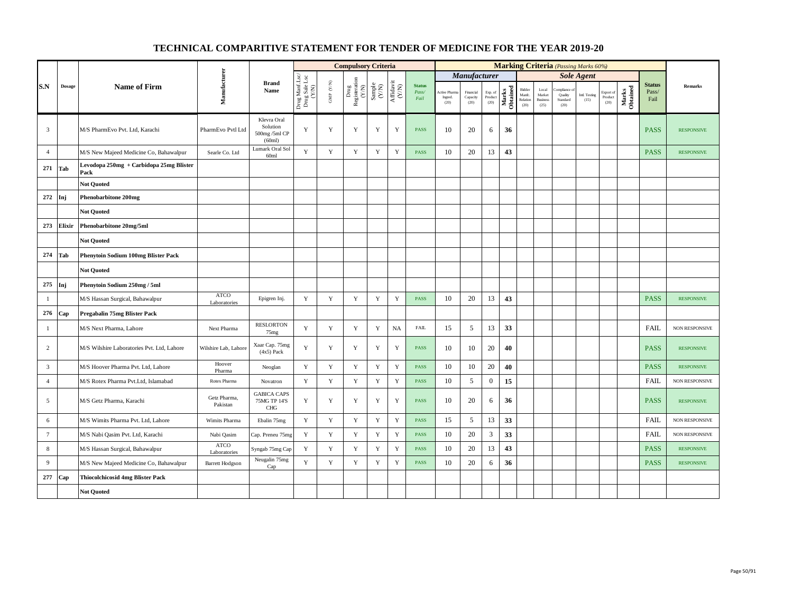|                 |               |                                                 |                             |                                                    |                                          |                          | <b>Compulsory Criteria</b>                                                                |                                                                    |                                                                              |                                |                                |                               |                            |                   |                                      |                                            |                                         | <b>Marking Criteria</b> (Passing Marks 60%) |                              |                   |                                |                       |
|-----------------|---------------|-------------------------------------------------|-----------------------------|----------------------------------------------------|------------------------------------------|--------------------------|-------------------------------------------------------------------------------------------|--------------------------------------------------------------------|------------------------------------------------------------------------------|--------------------------------|--------------------------------|-------------------------------|----------------------------|-------------------|--------------------------------------|--------------------------------------------|-----------------------------------------|---------------------------------------------|------------------------------|-------------------|--------------------------------|-----------------------|
|                 |               |                                                 |                             |                                                    |                                          |                          |                                                                                           |                                                                    |                                                                              |                                |                                | <b>Manufacturer</b>           |                            |                   |                                      |                                            |                                         | <b>Sole Agent</b>                           |                              |                   |                                |                       |
| S.N             | <b>Dosage</b> | <b>Name of Firm</b>                             | Manufacturer                | <b>Brand</b><br>Name                               | Drug Manf.Lsc/<br>Drug Sale Lsc<br>(Y/N) | ${\rm GMP}$ ${\rm (YN)}$ | $\begin{array}{c} \mathrm{ Drug} \\ \mathrm{Registeration} \\ (Y/\mathrm{N}) \end{array}$ | $\begin{array}{c} \text{Sample} \\ \text{C}(\text{N}) \end{array}$ | $\begin{array}{c} \mathrm{Aff} \mathrm{davit} \\ (\mathrm{Y/N}) \end{array}$ | <b>Status</b><br>Pass/<br>Fail | Active Phar<br>Ingred.<br>(20) | Financial<br>Capacity<br>(20) | Exp. of<br>Product<br>(20) | Marks<br>Obtained | Bidder<br>Manfc.<br>Relation<br>(20) | Local<br>Market<br><b>Business</b><br>(25) | mpliance<br>Quality<br>Standard<br>(20) | Intl. Testing<br>(15)                       | Export of<br>Product<br>(20) | Marks<br>Obtained | <b>Status</b><br>Pass/<br>Fail | $\bf Remarks$         |
| $\overline{3}$  |               | M/S PharmEvo Pvt. Ltd, Karachi                  | PharmEvo Pvtl Ltd           | Klevra Oral<br>Solution<br>500mg /5ml CP<br>(60ml) | Y                                        | Y                        | Y                                                                                         | Y                                                                  | Y                                                                            | <b>PASS</b>                    | 10                             | 20                            | 6                          | 36                |                                      |                                            |                                         |                                             |                              |                   | <b>PASS</b>                    | <b>RESPONSIVE</b>     |
| $\overline{4}$  |               | M/S New Majeed Medicine Co, Bahawalpur          | Searle Co. Ltd              | Lumark Oral Sol<br>60ml                            | Y                                        | $\mathbf Y$              | $\mathbf Y$                                                                               | $\mathbf Y$                                                        | $\mathbf Y$                                                                  | <b>PASS</b>                    | 10                             | 20                            | 13                         | 43                |                                      |                                            |                                         |                                             |                              |                   | <b>PASS</b>                    | <b>RESPONSIVE</b>     |
| 271             | Tab           | Levodopa 250mg + Carbidopa 25mg Blister<br>Pack |                             |                                                    |                                          |                          |                                                                                           |                                                                    |                                                                              |                                |                                |                               |                            |                   |                                      |                                            |                                         |                                             |                              |                   |                                |                       |
|                 |               | <b>Not Quoted</b>                               |                             |                                                    |                                          |                          |                                                                                           |                                                                    |                                                                              |                                |                                |                               |                            |                   |                                      |                                            |                                         |                                             |                              |                   |                                |                       |
| 272             | Inj           | <b>Phenobarbitone 200mg</b>                     |                             |                                                    |                                          |                          |                                                                                           |                                                                    |                                                                              |                                |                                |                               |                            |                   |                                      |                                            |                                         |                                             |                              |                   |                                |                       |
|                 |               | <b>Not Quoted</b>                               |                             |                                                    |                                          |                          |                                                                                           |                                                                    |                                                                              |                                |                                |                               |                            |                   |                                      |                                            |                                         |                                             |                              |                   |                                |                       |
| 273             | Elixir        | Phenobarbitone 20mg/5ml                         |                             |                                                    |                                          |                          |                                                                                           |                                                                    |                                                                              |                                |                                |                               |                            |                   |                                      |                                            |                                         |                                             |                              |                   |                                |                       |
|                 |               | <b>Not Quoted</b>                               |                             |                                                    |                                          |                          |                                                                                           |                                                                    |                                                                              |                                |                                |                               |                            |                   |                                      |                                            |                                         |                                             |                              |                   |                                |                       |
| 274             | Tab           | <b>Phenytoin Sodium 100mg Blister Pack</b>      |                             |                                                    |                                          |                          |                                                                                           |                                                                    |                                                                              |                                |                                |                               |                            |                   |                                      |                                            |                                         |                                             |                              |                   |                                |                       |
|                 |               | <b>Not Quoted</b>                               |                             |                                                    |                                          |                          |                                                                                           |                                                                    |                                                                              |                                |                                |                               |                            |                   |                                      |                                            |                                         |                                             |                              |                   |                                |                       |
| 275             | Inj           | Phenytoin Sodium 250mg / 5ml                    |                             |                                                    |                                          |                          |                                                                                           |                                                                    |                                                                              |                                |                                |                               |                            |                   |                                      |                                            |                                         |                                             |                              |                   |                                |                       |
| $\mathbf{1}$    |               | M/S Hassan Surgical, Bahawalpur                 | <b>ATCO</b><br>Laboratories | Epigren Inj.                                       | $\mathbf Y$                              | $\mathbf Y$              | $\mathbf Y$                                                                               | $\mathbf Y$                                                        | $\mathbf Y$                                                                  | PASS                           | 10                             | 20                            | 13                         | 43                |                                      |                                            |                                         |                                             |                              |                   | <b>PASS</b>                    | <b>RESPONSIVE</b>     |
| 276             | Cap           | Pregabalin 75mg Blister Pack                    |                             |                                                    |                                          |                          |                                                                                           |                                                                    |                                                                              |                                |                                |                               |                            |                   |                                      |                                            |                                         |                                             |                              |                   |                                |                       |
| $\mathbf{1}$    |               | M/S Next Pharma, Lahore                         | Next Pharma                 | <b>RESLORTON</b><br>75 <sub>mg</sub>               | Y                                        | Y                        | $\mathbf Y$                                                                               | $\mathbf Y$                                                        | NA                                                                           | ${\rm FAIL}$                   | 15                             | 5                             | 13                         | 33                |                                      |                                            |                                         |                                             |                              |                   | FAIL                           | NON RESPONSIVE        |
| 2               |               | M/S Wilshire Laboratories Pvt. Ltd, Lahore      | Wilshire Lab, Lahore        | Xaar Cap. 75mg<br>$(4x5)$ Pack                     | $\mathbf Y$                              | $\mathbf Y$              | $\mathbf Y$                                                                               | $\mathbf Y$                                                        | Y                                                                            | PASS                           | 10                             | 10                            | 20                         | 40                |                                      |                                            |                                         |                                             |                              |                   | <b>PASS</b>                    | <b>RESPONSIVE</b>     |
| $\mathbf{3}$    |               | M/S Hoover Pharma Pvt. Ltd, Lahore              | Hoover<br>Pharma            | Neoglan                                            | Y                                        | $\mathbf Y$              | $\mathbf Y$                                                                               | $\mathbf Y$                                                        | $\mathbf Y$                                                                  | <b>PASS</b>                    | 10                             | 10                            | 20                         | 40                |                                      |                                            |                                         |                                             |                              |                   | <b>PASS</b>                    | <b>RESPONSIVE</b>     |
| $\overline{4}$  |               | M/S Rotex Pharma Pvt.Ltd, Islamabad             | Rotex Pharma                | Novatron                                           | Y                                        | Y                        | $\mathbf Y$                                                                               | $\mathbf Y$                                                        | $\mathbf Y$                                                                  | <b>PASS</b>                    | 10                             | 5                             | $\boldsymbol{0}$           | 15                |                                      |                                            |                                         |                                             |                              |                   | FAIL                           | NON RESPONSIVE        |
| 5               |               | M/S Getz Pharma, Karachi                        | Getz Pharma,<br>Pakistan    | <b>GABICA CAPS</b><br>75MG TP 14'S<br><b>CHG</b>   | $\mathbf Y$                              | $\mathbf Y$              | $\mathbf Y$                                                                               | $\mathbf Y$                                                        | $\mathbf Y$                                                                  | <b>PASS</b>                    | 10                             | 20                            | 6                          | 36                |                                      |                                            |                                         |                                             |                              |                   | <b>PASS</b>                    | <b>RESPONSIVE</b>     |
| 6               |               | M/S Wimits Pharma Pvt. Ltd, Lahore              | Wimits Pharma               | Ebalin 75mg                                        | $\mathbf Y$                              | $\mathbf Y$              | Y                                                                                         | $\mathbf Y$                                                        | $\mathbf Y$                                                                  | <b>PASS</b>                    | 15                             | 5                             | 13                         | 33                |                                      |                                            |                                         |                                             |                              |                   | <b>FAIL</b>                    | NON RESPONSIVE        |
| $7\phantom{.0}$ |               | M/S Nabi Qasim Pvt. Ltd, Karachi                | Nabi Qasim                  | Cap. Preneu 75mg                                   | $\mathbf Y$                              | $\mathbf Y$              | $\mathbf Y$                                                                               | $\mathbf Y$                                                        | Y                                                                            | <b>PASS</b>                    | 10                             | 20                            | $\mathfrak{Z}$             | 33                |                                      |                                            |                                         |                                             |                              |                   | <b>FAIL</b>                    | <b>NON RESPONSIVE</b> |
| 8               |               | M/S Hassan Surgical, Bahawalpur                 | <b>ATCO</b><br>Laboratories | Syngab 75mg Cap                                    | Y                                        | $\mathbf Y$              | $\mathbf Y$                                                                               | $\mathbf Y$                                                        | Y                                                                            | <b>PASS</b>                    | 10                             | 20                            | 13                         | 43                |                                      |                                            |                                         |                                             |                              |                   | <b>PASS</b>                    | <b>RESPONSIVE</b>     |
| 9               |               | M/S New Majeed Medicine Co, Bahawalpur          | <b>Barrett Hodgson</b>      | Neugalin 75mg<br>Cap                               | Y                                        | Y                        | $\mathbf Y$                                                                               | $\mathbf Y$                                                        | Y                                                                            | <b>PASS</b>                    | 10                             | 20                            | 6                          | 36                |                                      |                                            |                                         |                                             |                              |                   | <b>PASS</b>                    | <b>RESPONSIVE</b>     |
| 277             | Cap           | <b>Thiocolchicosid 4mg Blister Pack</b>         |                             |                                                    |                                          |                          |                                                                                           |                                                                    |                                                                              |                                |                                |                               |                            |                   |                                      |                                            |                                         |                                             |                              |                   |                                |                       |
|                 |               | <b>Not Quoted</b>                               |                             |                                                    |                                          |                          |                                                                                           |                                                                    |                                                                              |                                |                                |                               |                            |                   |                                      |                                            |                                         |                                             |                              |                   |                                |                       |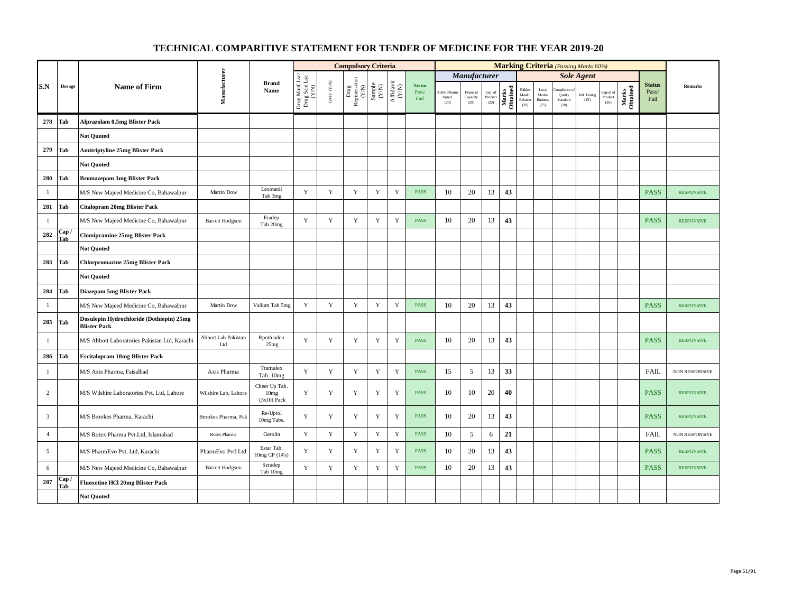|                |                     |                                                                 |                                   |                                                    |                                          |                                                                       | <b>Compulsory Criteria</b>                                                               |                                                                     |                                                                                       |                                |                                |                               |                            |                   |                                      |                                            | <b>Marking Criteria</b> (Passing Marks 60%)                  |                       |                              |                   |                                |                   |
|----------------|---------------------|-----------------------------------------------------------------|-----------------------------------|----------------------------------------------------|------------------------------------------|-----------------------------------------------------------------------|------------------------------------------------------------------------------------------|---------------------------------------------------------------------|---------------------------------------------------------------------------------------|--------------------------------|--------------------------------|-------------------------------|----------------------------|-------------------|--------------------------------------|--------------------------------------------|--------------------------------------------------------------|-----------------------|------------------------------|-------------------|--------------------------------|-------------------|
|                |                     |                                                                 |                                   |                                                    |                                          |                                                                       |                                                                                          |                                                                     |                                                                                       |                                |                                | <b>Manufacturer</b>           |                            |                   |                                      |                                            |                                                              | <b>Sole Agent</b>     |                              |                   |                                |                   |
| S.N            | <b>Dosage</b>       | <b>Name of Firm</b>                                             | Manufacturer                      | <b>Brand</b><br>Name                               | Drug Manf.Lsc/<br>Drug Sale Lsc<br>(Y/N) | $\ensuremath{\mathsf{GMP}}\xspace$ $\ensuremath{\mathsf{C/N}}\xspace$ | $\begin{array}{c} \mathrm{Drug} \\ \mathrm{Registeration} \\ (Y/\mathrm{N}) \end{array}$ | $\begin{array}{c} \text{Sample} \\ \text{C}(\text{NN}) \end{array}$ | $\begin{array}{c} \mathrm{Aff} \mathrm{dav} \mathrm{i} \\ (\mathrm{Y/N}) \end{array}$ | <b>Status</b><br>Pass/<br>Fail | Active Phan<br>Ingred.<br>(20) | Financial<br>Capacity<br>(20) | Exp. of<br>Product<br>(20) | Marks<br>Obtained | Bidder<br>Manfc.<br>Relation<br>(20) | Local<br>Market<br><b>Business</b><br>(25) | mpliance<br>Quality<br>$\operatorname{\bf Standard}$<br>(20) | Intl. Testing<br>(15) | Export of<br>Product<br>(20) | Marks<br>Obtained | <b>Status</b><br>Pass/<br>Fail | <b>Remarks</b>    |
| 278            | Tab                 | Alprazolam 0.5mg Blister Pack                                   |                                   |                                                    |                                          |                                                                       |                                                                                          |                                                                     |                                                                                       |                                |                                |                               |                            |                   |                                      |                                            |                                                              |                       |                              |                   |                                |                   |
|                |                     | <b>Not Ouoted</b>                                               |                                   |                                                    |                                          |                                                                       |                                                                                          |                                                                     |                                                                                       |                                |                                |                               |                            |                   |                                      |                                            |                                                              |                       |                              |                   |                                |                   |
| 279            | Tab                 | <b>Amitriptyline 25mg Blister Pack</b>                          |                                   |                                                    |                                          |                                                                       |                                                                                          |                                                                     |                                                                                       |                                |                                |                               |                            |                   |                                      |                                            |                                                              |                       |                              |                   |                                |                   |
|                |                     | <b>Not Quoted</b>                                               |                                   |                                                    |                                          |                                                                       |                                                                                          |                                                                     |                                                                                       |                                |                                |                               |                            |                   |                                      |                                            |                                                              |                       |                              |                   |                                |                   |
| 280            | Tab                 | <b>Bromazepam 3mg Blister Pack</b>                              |                                   |                                                    |                                          |                                                                       |                                                                                          |                                                                     |                                                                                       |                                |                                |                               |                            |                   |                                      |                                            |                                                              |                       |                              |                   |                                |                   |
| $\mathbf{1}$   |                     | M/S New Majeed Medicine Co, Bahawalpur                          | Martin Dow                        | Lexotanil<br>Tab 3mg                               | Y                                        | Y                                                                     | $\mathbf Y$                                                                              | $\mathbf Y$                                                         | $\mathbf Y$                                                                           | <b>PASS</b>                    | 10                             | 20                            | 13                         | 43                |                                      |                                            |                                                              |                       |                              |                   | <b>PASS</b>                    | <b>RESPONSIVE</b> |
| 281            | Tab                 | <b>Citalopram 20mg Blister Pack</b>                             |                                   |                                                    |                                          |                                                                       |                                                                                          |                                                                     |                                                                                       |                                |                                |                               |                            |                   |                                      |                                            |                                                              |                       |                              |                   |                                |                   |
| $\mathbf{1}$   |                     | M/S New Majeed Medicine Co, Bahawalpur                          | <b>Barrett Hodgson</b>            | Eradep<br>Tab 20mg                                 | Y                                        | $\mathbf Y$                                                           | $\mathbf Y$                                                                              | Y                                                                   | $\mathbf Y$                                                                           | PASS                           | 10                             | 20                            | 13                         | 43                |                                      |                                            |                                                              |                       |                              |                   | <b>PASS</b>                    | <b>RESPONSIVE</b> |
| 282            | Cap /<br><b>Tab</b> | <b>Clomipramine 25mg Blister Pack</b>                           |                                   |                                                    |                                          |                                                                       |                                                                                          |                                                                     |                                                                                       |                                |                                |                               |                            |                   |                                      |                                            |                                                              |                       |                              |                   |                                |                   |
|                |                     | <b>Not Quoted</b>                                               |                                   |                                                    |                                          |                                                                       |                                                                                          |                                                                     |                                                                                       |                                |                                |                               |                            |                   |                                      |                                            |                                                              |                       |                              |                   |                                |                   |
| 283            | Tab                 | <b>Chlorpromazine 25mg Blister Pack</b>                         |                                   |                                                    |                                          |                                                                       |                                                                                          |                                                                     |                                                                                       |                                |                                |                               |                            |                   |                                      |                                            |                                                              |                       |                              |                   |                                |                   |
|                |                     | <b>Not Quoted</b>                                               |                                   |                                                    |                                          |                                                                       |                                                                                          |                                                                     |                                                                                       |                                |                                |                               |                            |                   |                                      |                                            |                                                              |                       |                              |                   |                                |                   |
| 284            | Tab                 | Diazepam 5mg Blister Pack                                       |                                   |                                                    |                                          |                                                                       |                                                                                          |                                                                     |                                                                                       |                                |                                |                               |                            |                   |                                      |                                            |                                                              |                       |                              |                   |                                |                   |
| $\mathbf{1}$   |                     | M/S New Majeed Medicine Co, Bahawalpur                          | Martin Dow                        | Valium Tab 5mg                                     | Y                                        | $\mathbf Y$                                                           | $\mathbf Y$                                                                              | $\mathbf Y$                                                         | $\mathbf Y$                                                                           | <b>PASS</b>                    | 10                             | 20                            | 13                         | 43                |                                      |                                            |                                                              |                       |                              |                   | <b>PASS</b>                    | <b>RESPONSIVE</b> |
|                | 285 Tab             | Dosulepin Hydrochloride (Dothiepin) 25mg<br><b>Blister Pack</b> |                                   |                                                    |                                          |                                                                       |                                                                                          |                                                                     |                                                                                       |                                |                                |                               |                            |                   |                                      |                                            |                                                              |                       |                              |                   |                                |                   |
| $\mathbf{1}$   |                     | M/S Abbott Laboratories Pakistan Ltd, Karachi                   | <b>Abbott Lab Pakistan</b><br>Ltd | Rpothiaden<br>25mg                                 | $\mathbf Y$                              | $\mathbf Y$                                                           | $\mathbf Y$                                                                              | $\mathbf Y$                                                         | $\mathbf Y$                                                                           | <b>PASS</b>                    | 10                             | 20                            | 13                         | 43                |                                      |                                            |                                                              |                       |                              |                   | <b>PASS</b>                    | <b>RESPONSIVE</b> |
| 286            | Tab                 | <b>Escitalopram 10mg Blister Pack</b>                           |                                   |                                                    |                                          |                                                                       |                                                                                          |                                                                     |                                                                                       |                                |                                |                               |                            |                   |                                      |                                            |                                                              |                       |                              |                   |                                |                   |
| $\mathbf{1}$   |                     | M/S Axis Pharma, Faisalbad                                      | Axis Pharma                       | Tramalex<br>Tab. 10mg                              | Y                                        | Y                                                                     | $\mathbf Y$                                                                              | $\mathbf Y$                                                         | $\mathbf Y$                                                                           | <b>PASS</b>                    | 15                             | 5                             | 13                         | 33                |                                      |                                            |                                                              |                       |                              |                   | <b>FAIL</b>                    | NON RESPONSIVE    |
| $\overline{c}$ |                     | M/S Wilshire Laboratories Pvt. Ltd, Lahore                      | Wilshire Lab, Lahore              | Cheer Up Tab.<br>10 <sub>mg</sub><br>$(3x10)$ Pack | $\mathbf Y$                              | $\mathbf Y$                                                           | Y                                                                                        | $\mathbf Y$                                                         | $\mathbf Y$                                                                           | PASS                           | 10                             | 10                            | 20                         | 40                |                                      |                                            |                                                              |                       |                              |                   | <b>PASS</b>                    | <b>RESPONSIVE</b> |
| $\overline{3}$ |                     | M/S Brookes Pharma, Karachi                                     | Brookes Pharma, Pak               | Re-Uptol<br>10mg Tabs.                             | Y                                        | $\mathbf Y$                                                           | Y                                                                                        | Y                                                                   | $\mathbf Y$                                                                           | PASS                           | 10                             | 20                            | 13                         | 43                |                                      |                                            |                                                              |                       |                              |                   | <b>PASS</b>                    | <b>RESPONSIVE</b> |
| $\overline{4}$ |                     | M/S Rotex Pharma Pvt.Ltd, Islamabad                             | Rotex Pharma                      | Gerolin                                            | Y                                        | $\mathbf Y$                                                           | $\mathbf Y$                                                                              | $\mathbf Y$                                                         | $\mathbf Y$                                                                           | <b>PASS</b>                    | 10                             | 5                             | 6                          | 21                |                                      |                                            |                                                              |                       |                              |                   | <b>FAIL</b>                    | NON RESPONSIVE    |
| 5              |                     | M/S PharmEvo Pvt. Ltd, Karachi                                  | PharmEvo Pvtl Ltd                 | Estar Tab.<br>10mg CP (14's)                       | Y                                        | Y                                                                     | Y                                                                                        | $\mathbf Y$                                                         | Y                                                                                     | <b>PASS</b>                    | 10                             | 20                            | 13                         | 43                |                                      |                                            |                                                              |                       |                              |                   | <b>PASS</b>                    | <b>RESPONSIVE</b> |
| 6              |                     | M/S New Majeed Medicine Co, Bahawalpur                          | <b>Barrett Hodgson</b>            | Seradep<br>Tab 10mg                                | Y                                        | Y                                                                     | $\mathbf Y$                                                                              | Y                                                                   | $\mathbf Y$                                                                           | <b>PASS</b>                    | 10                             | 20                            | 13                         | 43                |                                      |                                            |                                                              |                       |                              |                   | <b>PASS</b>                    | <b>RESPONSIVE</b> |
| 287            | Cap /<br>Tab        | <b>Fluoxetine HCl 20mg Blister Pack</b>                         |                                   |                                                    |                                          |                                                                       |                                                                                          |                                                                     |                                                                                       |                                |                                |                               |                            |                   |                                      |                                            |                                                              |                       |                              |                   |                                |                   |
|                |                     | <b>Not Quoted</b>                                               |                                   |                                                    |                                          |                                                                       |                                                                                          |                                                                     |                                                                                       |                                |                                |                               |                            |                   |                                      |                                            |                                                              |                       |                              |                   |                                |                   |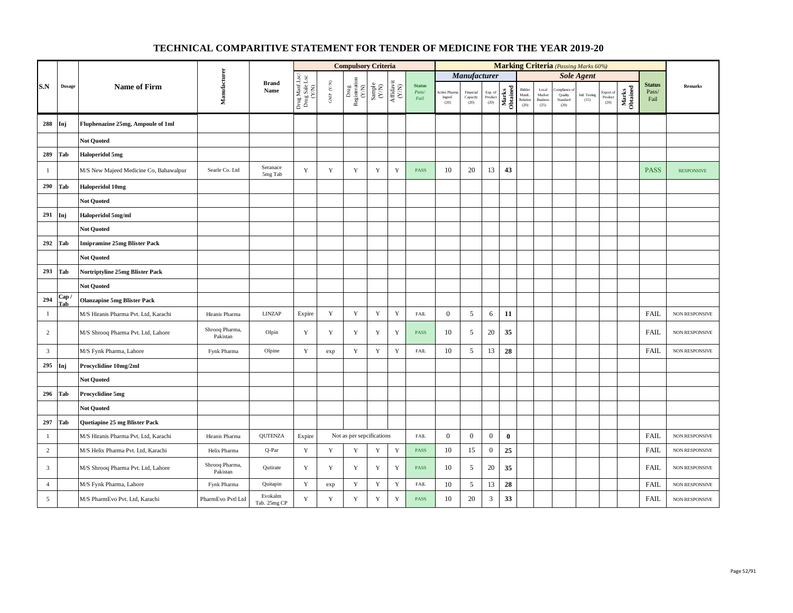|                |               |                                        |                            |                                |                                          |                      | <b>Compulsory Criteria</b>                                                                                                                     |             |                                                                              |                                |                                  |                                                |                                       |                   |                                      |                                            |                                          | <b>Marking Criteria</b> (Passing Marks 60%) |                                          |                   |                                |                       |
|----------------|---------------|----------------------------------------|----------------------------|--------------------------------|------------------------------------------|----------------------|------------------------------------------------------------------------------------------------------------------------------------------------|-------------|------------------------------------------------------------------------------|--------------------------------|----------------------------------|------------------------------------------------|---------------------------------------|-------------------|--------------------------------------|--------------------------------------------|------------------------------------------|---------------------------------------------|------------------------------------------|-------------------|--------------------------------|-----------------------|
|                |               |                                        |                            |                                |                                          |                      |                                                                                                                                                |             |                                                                              |                                |                                  | <b>Manufacturer</b>                            |                                       |                   |                                      |                                            |                                          | <b>Sole Agent</b>                           |                                          |                   |                                |                       |
| S.N            | <b>Dosage</b> | <b>Name of Firm</b>                    | Manufacturer               | <b>Brand</b><br>Name           | Drug Manf.Lsc/<br>Drug Sale Lsc<br>(Y/N) | GMP $(\mathbf{Y/N})$ | $\begin{array}{c} \mathbf{D}\mathbf{rug}\\ \mathbf{Resi} \mathbf{isiteration}\\ (\mathbf{Y/N})\\ \mathbf{Sample}\\ (\mathbf{Y/N}) \end{array}$ |             | $\begin{array}{c} \mathrm{Aff} \mathrm{davit} \\ (\mathrm{Y/N}) \end{array}$ | <b>Status</b><br>Pass/<br>Fail | Active Pharma<br>Ingred.<br>(20) | Financial<br>$\operatorname{Capacity}$<br>(20) | Exp. of<br>Product $\left( 20\right)$ | Marks<br>Obtained | Bidder<br>Manfc.<br>Relation<br>(20) | Local<br>Market<br><b>Business</b><br>(25) | sonalismo<br>Quality<br>Standard<br>(20) | Intl. Testing<br>(15)                       | Export of<br>$P_{\text{roduct}}$<br>(20) | Marks<br>Obtained | <b>Status</b><br>Pass/<br>Fail | <b>Remarks</b>        |
| 288            | Inj           | Fluphenazine 25mg, Ampoule of 1ml      |                            |                                |                                          |                      |                                                                                                                                                |             |                                                                              |                                |                                  |                                                |                                       |                   |                                      |                                            |                                          |                                             |                                          |                   |                                |                       |
|                |               | <b>Not Quoted</b>                      |                            |                                |                                          |                      |                                                                                                                                                |             |                                                                              |                                |                                  |                                                |                                       |                   |                                      |                                            |                                          |                                             |                                          |                   |                                |                       |
| 289            | Tab           | <b>Haloperidol 5mg</b>                 |                            |                                |                                          |                      |                                                                                                                                                |             |                                                                              |                                |                                  |                                                |                                       |                   |                                      |                                            |                                          |                                             |                                          |                   |                                |                       |
| $\mathbf{1}$   |               | M/S New Majeed Medicine Co, Bahawalpur | Searle Co. Ltd             | Seranace<br>$5\mathrm{mg}$ Tab | Y                                        | Y                    | Y                                                                                                                                              | Y           | $\mathbf Y$                                                                  | <b>PASS</b>                    | 10                               | 20                                             | 13                                    | 43                |                                      |                                            |                                          |                                             |                                          |                   | <b>PASS</b>                    | <b>RESPONSIVE</b>     |
| 290            | Tab           | <b>Haloperidol 10mg</b>                |                            |                                |                                          |                      |                                                                                                                                                |             |                                                                              |                                |                                  |                                                |                                       |                   |                                      |                                            |                                          |                                             |                                          |                   |                                |                       |
|                |               | <b>Not Quoted</b>                      |                            |                                |                                          |                      |                                                                                                                                                |             |                                                                              |                                |                                  |                                                |                                       |                   |                                      |                                            |                                          |                                             |                                          |                   |                                |                       |
| 291            | Inj           | Haloperidol 5mg/ml                     |                            |                                |                                          |                      |                                                                                                                                                |             |                                                                              |                                |                                  |                                                |                                       |                   |                                      |                                            |                                          |                                             |                                          |                   |                                |                       |
|                |               | <b>Not Quoted</b>                      |                            |                                |                                          |                      |                                                                                                                                                |             |                                                                              |                                |                                  |                                                |                                       |                   |                                      |                                            |                                          |                                             |                                          |                   |                                |                       |
| 292            | Tab           | <b>Imipramine 25mg Blister Pack</b>    |                            |                                |                                          |                      |                                                                                                                                                |             |                                                                              |                                |                                  |                                                |                                       |                   |                                      |                                            |                                          |                                             |                                          |                   |                                |                       |
|                |               | <b>Not Quoted</b>                      |                            |                                |                                          |                      |                                                                                                                                                |             |                                                                              |                                |                                  |                                                |                                       |                   |                                      |                                            |                                          |                                             |                                          |                   |                                |                       |
| 293            | Tab           | Nortriptyline 25mg Blister Pack        |                            |                                |                                          |                      |                                                                                                                                                |             |                                                                              |                                |                                  |                                                |                                       |                   |                                      |                                            |                                          |                                             |                                          |                   |                                |                       |
|                |               | <b>Not Quoted</b>                      |                            |                                |                                          |                      |                                                                                                                                                |             |                                                                              |                                |                                  |                                                |                                       |                   |                                      |                                            |                                          |                                             |                                          |                   |                                |                       |
| 294            | Cap /<br>Tab  | <b>Olanzapine 5mg Blister Pack</b>     |                            |                                |                                          |                      |                                                                                                                                                |             |                                                                              |                                |                                  |                                                |                                       |                   |                                      |                                            |                                          |                                             |                                          |                   |                                |                       |
| $\mathbf{1}$   |               | M/S Hiranis Pharma Pvt. Ltd, Karachi   | Hiranis Pharma             | <b>LINZAP</b>                  | Expire                                   | $\mathbf Y$          | $\mathbf Y$                                                                                                                                    | $\mathbf Y$ | $\mathbf Y$                                                                  | ${\rm FAIL}$                   | $\mathbf{0}$                     | 5                                              | 6                                     | 11                |                                      |                                            |                                          |                                             |                                          |                   | FAIL                           | NON RESPONSIVE        |
| $\overline{c}$ |               | M/S Shrooq Pharma Pvt. Ltd, Lahore     | Shrooq Pharma,<br>Pakistan | Olpin                          | Y                                        | $\mathbf Y$          | Y                                                                                                                                              | $\mathbf Y$ | $\mathbf Y$                                                                  | <b>PASS</b>                    | 10                               | 5                                              | 20                                    | 35                |                                      |                                            |                                          |                                             |                                          |                   | FAIL                           | NON RESPONSIVE        |
| $\overline{3}$ |               | M/S Fynk Pharma, Lahore                | Fynk Pharma                | Olpine                         | $\mathbf Y$                              | exp                  | $\mathbf Y$                                                                                                                                    | $\mathbf Y$ | $\mathbf Y$                                                                  | ${\rm FAIL}$                   | 10                               | 5                                              | 13                                    | 28                |                                      |                                            |                                          |                                             |                                          |                   | FAIL                           | <b>NON RESPONSIVE</b> |
| 295            | Inj           | Procyclidine 10mg/2ml                  |                            |                                |                                          |                      |                                                                                                                                                |             |                                                                              |                                |                                  |                                                |                                       |                   |                                      |                                            |                                          |                                             |                                          |                   |                                |                       |
|                |               | <b>Not Quoted</b>                      |                            |                                |                                          |                      |                                                                                                                                                |             |                                                                              |                                |                                  |                                                |                                       |                   |                                      |                                            |                                          |                                             |                                          |                   |                                |                       |
| 296            | Tab           | Procyclidine 5mg                       |                            |                                |                                          |                      |                                                                                                                                                |             |                                                                              |                                |                                  |                                                |                                       |                   |                                      |                                            |                                          |                                             |                                          |                   |                                |                       |
|                |               | <b>Not Quoted</b>                      |                            |                                |                                          |                      |                                                                                                                                                |             |                                                                              |                                |                                  |                                                |                                       |                   |                                      |                                            |                                          |                                             |                                          |                   |                                |                       |
| 297            | Tab           | Quetiapine 25 mg Blister Pack          |                            |                                |                                          |                      |                                                                                                                                                |             |                                                                              |                                |                                  |                                                |                                       |                   |                                      |                                            |                                          |                                             |                                          |                   |                                |                       |
| $\mathbf{1}$   |               | M/S Hiranis Pharma Pvt. Ltd, Karachi   | Hiranis Pharma             | QUTENZA                        | Expire                                   |                      | Not as per sepcifications                                                                                                                      |             |                                                                              | <b>FAIL</b>                    | $\mathbf{0}$                     | $\mathbf{0}$                                   | $\mathbf{0}$                          | $\bf{0}$          |                                      |                                            |                                          |                                             |                                          |                   | FAIL                           | NON RESPONSIVE        |
| $\overline{2}$ |               | M/S Helix Pharma Pvt. Ltd, Karachi     | Helix Pharma               | Q-Par                          | $\mathbf Y$                              | $\mathbf Y$          | Y                                                                                                                                              | Y           | $\mathbf Y$                                                                  | PASS                           | 10                               | 15                                             | $\boldsymbol{0}$                      | 25                |                                      |                                            |                                          |                                             |                                          |                   | <b>FAIL</b>                    | NON RESPONSIVE        |
| $\overline{3}$ |               | M/S Shrooq Pharma Pvt. Ltd, Lahore     | Shrooq Pharma,<br>Pakistan | Qutirate                       | Y                                        | $\mathbf Y$          | $\mathbf Y$                                                                                                                                    | $\mathbf Y$ | $\mathbf Y$                                                                  | PASS                           | 10                               | 5                                              | 20                                    | 35                |                                      |                                            |                                          |                                             |                                          |                   | FAIL                           | NON RESPONSIVE        |
| $\overline{4}$ |               | M/S Fynk Pharma, Lahore                | Fynk Pharma                | Quitapin                       | Y                                        | exp                  | $\mathbf Y$                                                                                                                                    | $\mathbf Y$ | $\mathbf Y$                                                                  | ${\rm FAIL}$                   | 10                               | 5                                              | 13                                    | 28                |                                      |                                            |                                          |                                             |                                          |                   | FAIL                           | <b>NON RESPONSIVE</b> |
| 5              |               | M/S PharmEvo Pvt. Ltd, Karachi         | PharmEvo Pvtl Ltd          | Evokalm<br>Tab. 25mg CP        | Y                                        | Y                    | Y                                                                                                                                              | $\mathbf Y$ | Y                                                                            | <b>PASS</b>                    | 10                               | $20\,$                                         | 3                                     | 33                |                                      |                                            |                                          |                                             |                                          |                   | FAIL                           | <b>NON RESPONSIVE</b> |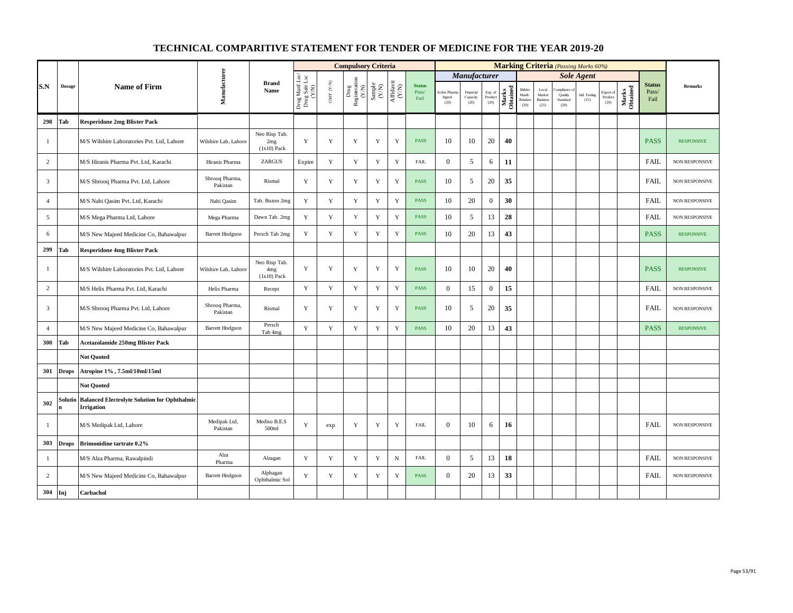|                |              |                                                                   |                            |                                                   |                                          |                      | <b>Compulsory Criteria</b>                                                   |                                                              |                                                                              |                                |                                 |                               |                            |                   |                                      |                                            | <b>Marking Criteria</b> (Passing Marks 60%) |                       |                              |                   |                                |                       |
|----------------|--------------|-------------------------------------------------------------------|----------------------------|---------------------------------------------------|------------------------------------------|----------------------|------------------------------------------------------------------------------|--------------------------------------------------------------|------------------------------------------------------------------------------|--------------------------------|---------------------------------|-------------------------------|----------------------------|-------------------|--------------------------------------|--------------------------------------------|---------------------------------------------|-----------------------|------------------------------|-------------------|--------------------------------|-----------------------|
|                |              |                                                                   |                            |                                                   |                                          |                      |                                                                              |                                                              |                                                                              |                                |                                 | <b>Manufacturer</b>           |                            |                   |                                      |                                            |                                             | <b>Sole Agent</b>     |                              |                   |                                |                       |
| S.N            | Dosage       | <b>Name of Firm</b>                                               | Manufacturer               | <b>Brand</b><br>Name                              | Drug Manf.Lsc/<br>Drug Sale Lsc<br>(Y/N) | GMP $(\mathbf{Y/N})$ | $\begin{array}{c} \rm{Drag} \\ \rm{Registeration} \\ \rm{(Y/N)} \end{array}$ | $\begin{array}{c} \text{Sample} \\ (\text{Y/N}) \end{array}$ | $\begin{array}{c} \mathrm{Aff} \mathrm{davit} \\ (\mathrm{Y/N}) \end{array}$ | <b>Status</b><br>Pass/<br>Fail | Active Pharn<br>Ingred.<br>(20) | Financial<br>Capacity<br>(20) | Exp. of<br>Product<br>(20) | Marks<br>Obtained | Bidder<br>Manfc.<br>Relation<br>(20) | Local<br>Market<br><b>Business</b><br>(25) | mpliance o<br>Quality<br>Standard<br>(20)   | Intl. Testing<br>(15) | Export of<br>Product<br>(20) | Marks<br>Obtained | <b>Status</b><br>Pass/<br>Fail | Remarks               |
| 298            | Tab          | <b>Resperidone 2mg Blister Pack</b>                               |                            |                                                   |                                          |                      |                                                                              |                                                              |                                                                              |                                |                                 |                               |                            |                   |                                      |                                            |                                             |                       |                              |                   |                                |                       |
| -1             |              | M/S Wilshire Laboratories Pvt. Ltd, Lahore                        | Wilshire Lab, Lahore       | Neo Risp Tab.<br>2mg<br>$(1x10)$ Pack             | Y                                        | Y                    | Y                                                                            | Y                                                            | Y                                                                            | <b>PASS</b>                    | 10                              | 10                            | 20                         | 40                |                                      |                                            |                                             |                       |                              |                   | <b>PASS</b>                    | <b>RESPONSIVE</b>     |
| 2              |              | M/S Hiranis Pharma Pvt. Ltd, Karachi                              | Hiranis Pharma             | <b>ZARGUS</b>                                     | Expire                                   | Y                    | $\mathbf Y$                                                                  | $\mathbf Y$                                                  | $\mathbf Y$                                                                  | FAIL                           | $\mathbf{0}$                    | 5                             | 6                          | 11                |                                      |                                            |                                             |                       |                              |                   | <b>FAIL</b>                    | NON RESPONSIVE        |
| $\overline{3}$ |              | M/S Shrooq Pharma Pvt. Ltd, Lahore                                | Shrooq Pharma,<br>Pakistan | Rismal                                            | Y                                        | Y                    | Y                                                                            | Y                                                            | Y                                                                            | PASS                           | 10                              | 5                             | 20                         | 35                |                                      |                                            |                                             |                       |                              |                   | <b>FAIL</b>                    | <b>NON RESPONSIVE</b> |
| $\overline{4}$ |              | M/S Nabi Qasim Pvt. Ltd, Karachi                                  | Nabi Qasim                 | Tab. Buzon 2mg                                    | Y                                        | Y                    | Y                                                                            | $\mathbf Y$                                                  | $\mathbf Y$                                                                  | PASS                           | 10                              | 20                            | $\overline{0}$             | 30                |                                      |                                            |                                             |                       |                              |                   | <b>FAIL</b>                    | NON RESPONSIVE        |
| 5              |              | M/S Mega Pharma Ltd, Lahore                                       | Mega Pharma                | Dawn Tab. 2mg                                     | $\mathbf Y$                              | $\mathbf Y$          | $\mathbf Y$                                                                  | $\mathbf Y$                                                  | $\mathbf Y$                                                                  | <b>PASS</b>                    | 10                              | 5                             | 13                         | 28                |                                      |                                            |                                             |                       |                              |                   | <b>FAIL</b>                    | NON RESPONSIVE        |
| 6              |              | M/S New Majeed Medicine Co, Bahawalpur                            | <b>Barrett Hodgson</b>     | Persch Tab 2mg                                    | Y                                        | Y                    | $\mathbf Y$                                                                  | Y                                                            | $\mathbf Y$                                                                  | <b>PASS</b>                    | 10                              | 20                            | 13                         | 43                |                                      |                                            |                                             |                       |                              |                   | <b>PASS</b>                    | <b>RESPONSIVE</b>     |
| 299            | Tab          | <b>Resperidone 4mg Blister Pack</b>                               |                            |                                                   |                                          |                      |                                                                              |                                                              |                                                                              |                                |                                 |                               |                            |                   |                                      |                                            |                                             |                       |                              |                   |                                |                       |
| -1             |              | M/S Wilshire Laboratories Pvt. Ltd, Lahore                        | Wilshire Lab, Lahore       | Neo Risp Tab.<br>4 <sub>mg</sub><br>$(1x10)$ Pack | Y                                        | Y                    | Y                                                                            | Y                                                            | Y                                                                            | <b>PASS</b>                    | 10                              | 10                            | 20                         | 40                |                                      |                                            |                                             |                       |                              |                   | <b>PASS</b>                    | <b>RESPONSIVE</b>     |
| $\overline{c}$ |              | M/S Helix Pharma Pvt. Ltd. Karachi                                | Helix Pharma               | Recept                                            | Y                                        | Y                    | $\mathbf Y$                                                                  | $\mathbf Y$                                                  | $\mathbf Y$                                                                  | <b>PASS</b>                    | $\overline{0}$                  | 15                            | $\boldsymbol{0}$           | 15                |                                      |                                            |                                             |                       |                              |                   | <b>FAIL</b>                    | NON RESPONSIVE        |
| $\overline{3}$ |              | M/S Shrooq Pharma Pvt. Ltd, Lahore                                | Shrooq Pharma,<br>Pakistan | Rismal                                            | Y                                        | Y                    | Y                                                                            | $\mathbf Y$                                                  | $\mathbf Y$                                                                  | <b>PASS</b>                    | 10                              | 5                             | 20                         | 35                |                                      |                                            |                                             |                       |                              |                   | <b>FAIL</b>                    | <b>NON RESPONSIVE</b> |
| $\overline{4}$ |              | M/S New Majeed Medicine Co, Bahawalpur                            | <b>Barrett Hodgson</b>     | Persch<br>Tab 4mg                                 | Y                                        | $\mathbf Y$          | $\mathbf Y$                                                                  | $\mathbf Y$                                                  | $\mathbf Y$                                                                  | PASS                           | 10                              | 20                            | 13                         | 43                |                                      |                                            |                                             |                       |                              |                   | <b>PASS</b>                    | <b>RESPONSIVE</b>     |
| 300            | Tab          | <b>Acetazolamide 250mg Blister Pack</b>                           |                            |                                                   |                                          |                      |                                                                              |                                                              |                                                                              |                                |                                 |                               |                            |                   |                                      |                                            |                                             |                       |                              |                   |                                |                       |
|                |              | <b>Not Quoted</b>                                                 |                            |                                                   |                                          |                      |                                                                              |                                                              |                                                                              |                                |                                 |                               |                            |                   |                                      |                                            |                                             |                       |                              |                   |                                |                       |
| 301            | <b>Drops</b> | Atropine 1%, 7.5ml/10ml/15ml                                      |                            |                                                   |                                          |                      |                                                                              |                                                              |                                                                              |                                |                                 |                               |                            |                   |                                      |                                            |                                             |                       |                              |                   |                                |                       |
|                |              | <b>Not Quoted</b>                                                 |                            |                                                   |                                          |                      |                                                                              |                                                              |                                                                              |                                |                                 |                               |                            |                   |                                      |                                            |                                             |                       |                              |                   |                                |                       |
| 302            | Solutic<br>n | <b>Balanced Electrolyte Solution for Ophthalmic</b><br>Irrigation |                            |                                                   |                                          |                      |                                                                              |                                                              |                                                                              |                                |                                 |                               |                            |                   |                                      |                                            |                                             |                       |                              |                   |                                |                       |
| $\mathbf{1}$   |              | M/S Medipak Ltd, Lahore                                           | Medipak Ltd,<br>Pakistan   | Mediso B.E.S<br>500ml                             | Y                                        | exp                  | Y                                                                            | Y                                                            | Y                                                                            | <b>FAIL</b>                    | $\mathbf{0}$                    | 10                            | 6                          | 16                |                                      |                                            |                                             |                       |                              |                   | <b>FAIL</b>                    | <b>NON RESPONSIVE</b> |
| 303            | <b>Drops</b> | <b>Brimonidine tartrate 0.2%</b>                                  |                            |                                                   |                                          |                      |                                                                              |                                                              |                                                                              |                                |                                 |                               |                            |                   |                                      |                                            |                                             |                       |                              |                   |                                |                       |
| -1             |              | M/S Alza Pharma, Rawalpindi                                       | Alza<br>Pharma             | Alzagan                                           | Y                                        | Y                    | Y                                                                            | Y                                                            | $\mathbf N$                                                                  | FAIL                           | $\mathbf{0}$                    | 5                             | 13                         | 18                |                                      |                                            |                                             |                       |                              |                   | <b>FAIL</b>                    | NON RESPONSIVE        |
| $\overline{2}$ |              | M/S New Majeed Medicine Co, Bahawalpur                            | <b>Barrett Hodgson</b>     | Alphagan<br>Ophthalmic Sol                        | Y                                        | $\mathbf Y$          | $\mathbf Y$                                                                  | $\mathbf Y$                                                  | Y                                                                            | PASS                           | $\mathbf{0}$                    | 20                            | 13                         | 33                |                                      |                                            |                                             |                       |                              |                   | <b>FAIL</b>                    | NON RESPONSIVE        |
| 304            | Inj          | Carbachol                                                         |                            |                                                   |                                          |                      |                                                                              |                                                              |                                                                              |                                |                                 |                               |                            |                   |                                      |                                            |                                             |                       |                              |                   |                                |                       |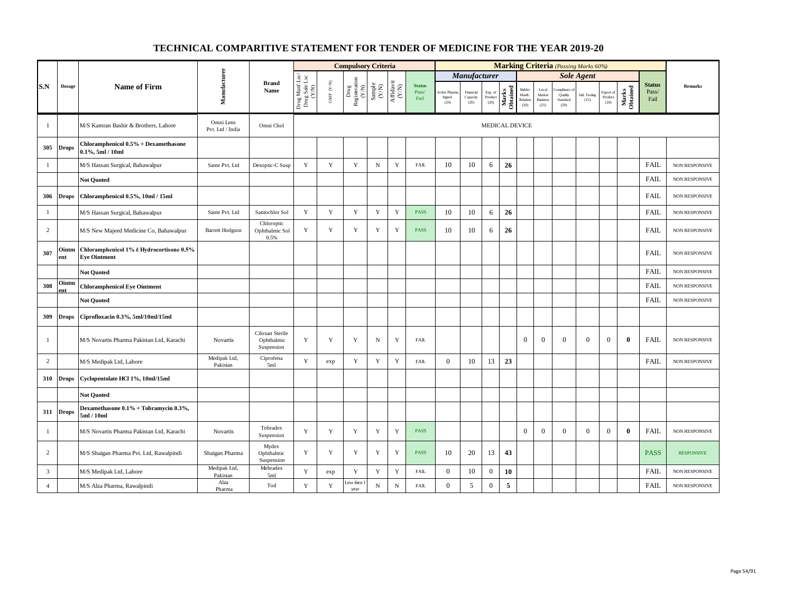|                |               |                                                                 |                               |                                             |                                          |                      | <b>Compulsory Criteria</b>                                                                |                                                                     |                                                                              |                                |                                                                  |                               |                            |                       |                                      |                                            |                                         | <b>Marking Criteria</b> (Passing Marks 60%) |                              |                   |                                |                       |
|----------------|---------------|-----------------------------------------------------------------|-------------------------------|---------------------------------------------|------------------------------------------|----------------------|-------------------------------------------------------------------------------------------|---------------------------------------------------------------------|------------------------------------------------------------------------------|--------------------------------|------------------------------------------------------------------|-------------------------------|----------------------------|-----------------------|--------------------------------------|--------------------------------------------|-----------------------------------------|---------------------------------------------|------------------------------|-------------------|--------------------------------|-----------------------|
|                |               |                                                                 |                               |                                             |                                          |                      |                                                                                           |                                                                     |                                                                              |                                |                                                                  | Manufacturer                  |                            |                       |                                      |                                            |                                         | <b>Sole Agent</b>                           |                              |                   |                                |                       |
| S.N            | <b>Dosage</b> | <b>Name of Firm</b>                                             | Manufacturer                  | <b>Brand</b><br>Name                        | Drug Manf.Lsc/<br>Drug Sale Lsc<br>(Y/N) | GMP $(\mathbf{Y/N})$ | $\begin{array}{c} \mathrm{ Drug} \\ \mathrm{Registeration} \\ (Y/\mathrm{N}) \end{array}$ | $\begin{array}{c} \text{Sample} \\ \text{C}(\text{NN}) \end{array}$ | $\begin{array}{c} \mathrm{Aff} \mathrm{davit} \\ (\mathrm{Y/N}) \end{array}$ | <b>Status</b><br>Pass/<br>Fail | Active Phan<br>$\operatorname*{Ingred.}% \mathcal{M}(G)$<br>(20) | Financial<br>Capacity<br>(20) | Exp. of<br>Product<br>(20) | Marks<br>Obtained     | Bidder<br>Manfc.<br>Relation<br>(20) | Local<br>Market<br><b>Business</b><br>(25) | mpliance<br>Quality<br>Standard<br>(20) | Intl. Testing<br>(15)                       | Export of<br>Product<br>(20) | Marks<br>Obtained | <b>Status</b><br>Pass/<br>Fail | Remarks               |
| 1              |               | M/S Kamran Bashir & Brothers, Lahore                            | Omni Lens<br>Pvt. Ltd / India | Omni Chol                                   |                                          |                      |                                                                                           |                                                                     |                                                                              |                                |                                                                  |                               |                            | <b>MEDICAL DEVICE</b> |                                      |                                            |                                         |                                             |                              |                   |                                |                       |
| 305            | <b>Drops</b>  | Chloramphenicol 0.5% + Dexamethasone<br>$0.1\%$ , 5ml / 10ml    |                               |                                             |                                          |                      |                                                                                           |                                                                     |                                                                              |                                |                                                                  |                               |                            |                       |                                      |                                            |                                         |                                             |                              |                   |                                |                       |
| 1              |               | M/S Hassan Surgical, Bahawalpur                                 | Sante Pvt. Ltd                | Dexoptic-C Susp                             | Y                                        | Y                    | Y                                                                                         | $\mathbf N$                                                         | Y                                                                            | <b>FAIL</b>                    | 10                                                               | 10                            | 6                          | 26                    |                                      |                                            |                                         |                                             |                              |                   | <b>FAIL</b>                    | <b>NON RESPONSIVE</b> |
|                |               | <b>Not Ouoted</b>                                               |                               |                                             |                                          |                      |                                                                                           |                                                                     |                                                                              |                                |                                                                  |                               |                            |                       |                                      |                                            |                                         |                                             |                              |                   | <b>FAIL</b>                    | NON RESPONSIVE        |
| 306            | <b>Drops</b>  | Chloramphenicol 0.5%, 10ml / 15ml                               |                               |                                             |                                          |                      |                                                                                           |                                                                     |                                                                              |                                |                                                                  |                               |                            |                       |                                      |                                            |                                         |                                             |                              |                   | <b>FAIL</b>                    | NON RESPONSIVE        |
| $\mathbf{1}$   |               | M/S Hassan Surgical, Bahawalpur                                 | Sante Pvt. Ltd                | Santochlor Sol                              | Y                                        | $\mathbf Y$          | $\mathbf Y$                                                                               | $\mathbf Y$                                                         | $\mathbf Y$                                                                  | <b>PASS</b>                    | 10                                                               | 10                            | 6                          | 26                    |                                      |                                            |                                         |                                             |                              |                   | <b>FAIL</b>                    | <b>NON RESPONSIVE</b> |
| 2              |               | M/S New Majeed Medicine Co, Bahawalpur                          | <b>Barrett Hodgson</b>        | Chloroptic<br>Ophthalmic Sol<br>0.5%        | Y                                        | $\mathbf Y$          | Y                                                                                         | $\mathbf Y$                                                         | Y                                                                            | <b>PASS</b>                    | 10                                                               | 10                            | 6                          | 26                    |                                      |                                            |                                         |                                             |                              |                   | <b>FAIL</b>                    | <b>NON RESPONSIVE</b> |
| 307            | Ointm<br>ent  | Chloramphenicol 1% ē Hydrocortisone 0.5%<br><b>Eye Ointment</b> |                               |                                             |                                          |                      |                                                                                           |                                                                     |                                                                              |                                |                                                                  |                               |                            |                       |                                      |                                            |                                         |                                             |                              |                   | <b>FAIL</b>                    | NON RESPONSIVE        |
|                |               | <b>Not Quoted</b>                                               |                               |                                             |                                          |                      |                                                                                           |                                                                     |                                                                              |                                |                                                                  |                               |                            |                       |                                      |                                            |                                         |                                             |                              |                   | FAIL                           | NON RESPONSIVE        |
| 308            | Ointm<br>ent  | <b>Chloramphenicol Eye Ointment</b>                             |                               |                                             |                                          |                      |                                                                                           |                                                                     |                                                                              |                                |                                                                  |                               |                            |                       |                                      |                                            |                                         |                                             |                              |                   | <b>FAIL</b>                    | <b>NON RESPONSIVE</b> |
|                |               | <b>Not Quoted</b>                                               |                               |                                             |                                          |                      |                                                                                           |                                                                     |                                                                              |                                |                                                                  |                               |                            |                       |                                      |                                            |                                         |                                             |                              |                   | <b>FAIL</b>                    | NON RESPONSIVE        |
| 309            | <b>Drops</b>  | Ciprofloxacin 0.3%, 5ml/10ml/15ml                               |                               |                                             |                                          |                      |                                                                                           |                                                                     |                                                                              |                                |                                                                  |                               |                            |                       |                                      |                                            |                                         |                                             |                              |                   |                                |                       |
| $\mathbf{1}$   |               | M/S Novartis Pharma Pakistan Ltd, Karachi                       | <b>Novartis</b>               | Ciloxan Sterile<br>Ophthalmic<br>Suspension | Y                                        | Y                    | Y                                                                                         | N                                                                   | Y                                                                            | <b>FAIL</b>                    |                                                                  |                               |                            |                       | $\Omega$                             | $\overline{0}$                             | $\Omega$                                | $\overline{0}$                              | $\overline{0}$               | $\Omega$          | FAIL                           | <b>NON RESPONSIVE</b> |
| $\overline{c}$ |               | M/S Medipak Ltd, Lahore                                         | Medipak Ltd,<br>Pakistan      | Ciprofena<br>5ml                            | Y                                        | exp                  | $\mathbf Y$                                                                               | $\mathbf Y$                                                         | Y                                                                            | <b>FAIL</b>                    | $\mathbf{0}$                                                     | 10                            | 13                         | 23                    |                                      |                                            |                                         |                                             |                              |                   | <b>FAIL</b>                    | <b>NON RESPONSIVE</b> |
| 310            | <b>Drops</b>  | Cyclopentolate HCl 1%, 10ml/15ml                                |                               |                                             |                                          |                      |                                                                                           |                                                                     |                                                                              |                                |                                                                  |                               |                            |                       |                                      |                                            |                                         |                                             |                              |                   |                                |                       |
|                |               | <b>Not Quoted</b>                                               |                               |                                             |                                          |                      |                                                                                           |                                                                     |                                                                              |                                |                                                                  |                               |                            |                       |                                      |                                            |                                         |                                             |                              |                   |                                |                       |
| 311            | <b>Drops</b>  | Dexamethasone 0.1% + Tobramycin 0.3%,<br>5ml / 10ml             |                               |                                             |                                          |                      |                                                                                           |                                                                     |                                                                              |                                |                                                                  |                               |                            |                       |                                      |                                            |                                         |                                             |                              |                   |                                |                       |
| $\mathbf{1}$   |               | M/S Novartis Pharma Pakistan Ltd, Karachi                       | Novartis                      | Tobradex<br>Suspension                      | Y                                        | $\mathbf Y$          | Y                                                                                         | Y                                                                   | Y                                                                            | <b>PASS</b>                    |                                                                  |                               |                            |                       | $\overline{0}$                       | $\mathbf{0}$                               | $\Omega$                                | $\overline{0}$                              | $\mathbf{0}$                 | $\mathbf{0}$      | <b>FAIL</b>                    | NON RESPONSIVE        |
| $\overline{c}$ |               | M/S Shaigan Pharma Pvt. Ltd, Rawalpindi                         | Shaigan Pharma                | Mydex<br>Ophthalmic<br>Suspension           | Y                                        | Y                    | Y                                                                                         | $\mathbf Y$                                                         | Y                                                                            | <b>PASS</b>                    | 10                                                               | 20                            | 13                         | 43                    |                                      |                                            |                                         |                                             |                              |                   | <b>PASS</b>                    | <b>RESPONSIVE</b>     |
| $\overline{3}$ |               | M/S Medipak Ltd, Lahore                                         | Medipak Ltd,<br>Pakistan      | Mebradex<br>5ml                             | Y                                        | exp                  | $\mathbf Y$                                                                               | $\mathbf Y$                                                         | Y                                                                            | <b>FAIL</b>                    | $\boldsymbol{0}$                                                 | 10                            | $\boldsymbol{0}$           | 10                    |                                      |                                            |                                         |                                             |                              |                   | <b>FAIL</b>                    | <b>NON RESPONSIVE</b> |
| $\overline{4}$ |               | M/S Alza Pharma, Rawalpindi                                     | Alza<br>Pharma                | Tod                                         | $\mathbf Y$                              | $\mathbf Y$          | ess then<br>year                                                                          | $_{\rm N}$                                                          | ${\bf N}$                                                                    | ${\rm FAIL}$                   | $\mathbf{0}$                                                     | 5                             | $\boldsymbol{0}$           | 5                     |                                      |                                            |                                         |                                             |                              |                   | <b>FAIL</b>                    | NON RESPONSIVE        |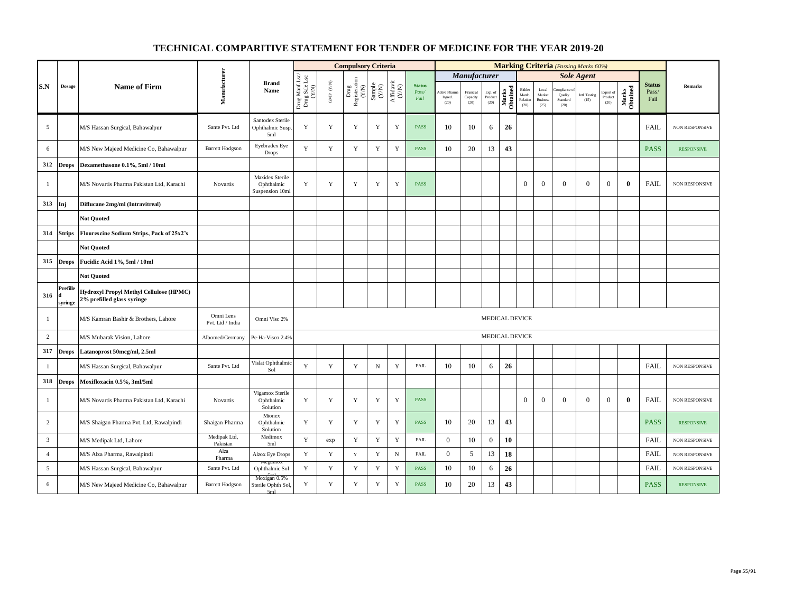|                |                     |                                                                       |                               |                                                  |                                          |                          | <b>Compulsory Criteria</b>                                  |                                                            |                    |                                |                                |                               |                            |                   |                                      |                                                     |                                         | <b>Marking Criteria</b> (Passing Marks 60%) |                              |                   |                                |                   |
|----------------|---------------------|-----------------------------------------------------------------------|-------------------------------|--------------------------------------------------|------------------------------------------|--------------------------|-------------------------------------------------------------|------------------------------------------------------------|--------------------|--------------------------------|--------------------------------|-------------------------------|----------------------------|-------------------|--------------------------------------|-----------------------------------------------------|-----------------------------------------|---------------------------------------------|------------------------------|-------------------|--------------------------------|-------------------|
|                |                     |                                                                       |                               |                                                  |                                          |                          |                                                             |                                                            |                    |                                |                                | Manufacturer                  |                            |                   |                                      |                                                     |                                         | <b>Sole Agent</b>                           |                              |                   |                                |                   |
| S.N            | Dosage              | <b>Name of Firm</b>                                                   | Manufacturer                  | <b>Brand</b><br>Name                             | Drug Manf.Lsc/<br>Drug Sale Lsc<br>(Y/N) | ${\rm GMP}$ ${\rm (YN)}$ | Drug<br>Registeration $\stackrel{\text{N}}{\left(N\right)}$ | $\begin{array}{c} \text{Sample} \\ \text{CAN} \end{array}$ | Affidavit<br>(Y/N) | <b>Status</b><br>Pass/<br>Fail | Active Phar<br>Ingred.<br>(20) | Financial<br>Capacity<br>(20) | Exp. of<br>Product<br>(20) | Marks<br>Obtained | Bidder<br>Manfc.<br>Relation<br>(20) | $_{\rm Local}$<br>Market<br><b>Business</b><br>(25) | mpliance<br>Quality<br>Standard<br>(20) | Intl. Testing<br>(15)                       | Export of<br>Product<br>(20) | Marks<br>Obtained | <b>Status</b><br>Pass/<br>Fail | Remarks           |
| 5              |                     | M/S Hassan Surgical, Bahawalpur                                       | Sante Pvt. Ltd                | Santodex Sterile<br>Ophthalmic Susp<br>5ml       | Y                                        | Y                        | Y                                                           | Y                                                          | $\mathbf Y$        | <b>PASS</b>                    | 10                             | 10                            | 6                          | 26                |                                      |                                                     |                                         |                                             |                              |                   | <b>FAIL</b>                    | NON RESPONSIVE    |
| 6              |                     | M/S New Majeed Medicine Co, Bahawalpur                                | <b>Barrett Hodgson</b>        | Eyebradex Eye<br><b>Drops</b>                    | $\mathbf Y$                              | $\mathbf Y$              | Y                                                           | $\mathbf Y$                                                | $\mathbf Y$        | <b>PASS</b>                    | 10                             | 20                            | 13                         | 43                |                                      |                                                     |                                         |                                             |                              |                   | <b>PASS</b>                    | <b>RESPONSIVE</b> |
| 312            | <b>Drops</b>        | Dexamethasone 0.1%, 5ml / 10ml                                        |                               |                                                  |                                          |                          |                                                             |                                                            |                    |                                |                                |                               |                            |                   |                                      |                                                     |                                         |                                             |                              |                   |                                |                   |
| $\mathbf{1}$   |                     | M/S Novartis Pharma Pakistan Ltd, Karachi                             | Novartis                      | Maxidex Sterile<br>Ophthalmic<br>Suspension 10ml | Y                                        | $\mathbf Y$              | Y                                                           | $\mathbf Y$                                                | $\mathbf Y$        | <b>PASS</b>                    |                                |                               |                            |                   | $\boldsymbol{0}$                     | $\boldsymbol{0}$                                    | $\mathbf{0}$                            | $\mathbf{0}$                                | $\boldsymbol{0}$             | $\bf{0}$          | <b>FAIL</b>                    | NON RESPONSIVE    |
| 313            | Inj                 | Diflucane 2mg/ml (Intravitreal)                                       |                               |                                                  |                                          |                          |                                                             |                                                            |                    |                                |                                |                               |                            |                   |                                      |                                                     |                                         |                                             |                              |                   |                                |                   |
|                |                     | <b>Not Quoted</b>                                                     |                               |                                                  |                                          |                          |                                                             |                                                            |                    |                                |                                |                               |                            |                   |                                      |                                                     |                                         |                                             |                              |                   |                                |                   |
| 314            | <b>Strips</b>       | Flourescine Sodium Strips, Pack of 25x2's                             |                               |                                                  |                                          |                          |                                                             |                                                            |                    |                                |                                |                               |                            |                   |                                      |                                                     |                                         |                                             |                              |                   |                                |                   |
|                |                     | <b>Not Quoted</b>                                                     |                               |                                                  |                                          |                          |                                                             |                                                            |                    |                                |                                |                               |                            |                   |                                      |                                                     |                                         |                                             |                              |                   |                                |                   |
| 315            | <b>Drops</b>        | Fucidic Acid 1%, 5ml / 10ml                                           |                               |                                                  |                                          |                          |                                                             |                                                            |                    |                                |                                |                               |                            |                   |                                      |                                                     |                                         |                                             |                              |                   |                                |                   |
|                |                     | <b>Not Ouoted</b>                                                     |                               |                                                  |                                          |                          |                                                             |                                                            |                    |                                |                                |                               |                            |                   |                                      |                                                     |                                         |                                             |                              |                   |                                |                   |
| 316            | Prefille<br>syringe | Hydroxyl Propyl Methyl Cellulose (HPMC)<br>2% prefilled glass syringe |                               |                                                  |                                          |                          |                                                             |                                                            |                    |                                |                                |                               |                            |                   |                                      |                                                     |                                         |                                             |                              |                   |                                |                   |
| $\mathbf{1}$   |                     | M/S Kamran Bashir & Brothers, Lahore                                  | Omni Lens<br>Pvt. Ltd / India | Omni Visc 2%                                     |                                          |                          |                                                             |                                                            |                    |                                |                                |                               |                            | MEDICAL DEVICE    |                                      |                                                     |                                         |                                             |                              |                   |                                |                   |
| 2              |                     | M/S Mubarak Vision, Lahore                                            | Albomed/Germany               | Pe-Ha-Visco 2.4%                                 |                                          |                          |                                                             |                                                            |                    |                                |                                |                               |                            | MEDICAL DEVICE    |                                      |                                                     |                                         |                                             |                              |                   |                                |                   |
| 317            | <b>Drops</b>        | Latanoprost 50mcg/ml, 2.5ml                                           |                               |                                                  |                                          |                          |                                                             |                                                            |                    |                                |                                |                               |                            |                   |                                      |                                                     |                                         |                                             |                              |                   |                                |                   |
| $\mathbf{1}$   |                     | M/S Hassan Surgical, Bahawalpur                                       | Sante Pvt. Ltd                | Vislat Ophthalmic<br>Sol                         | Y                                        | $\mathbf Y$              | $\mathbf Y$                                                 | ${\bf N}$                                                  | $\mathbf Y$        | <b>FAIL</b>                    | 10                             | 10                            | 6                          | 26                |                                      |                                                     |                                         |                                             |                              |                   | <b>FAIL</b>                    | NON RESPONSIVE    |
| 318            | <b>Drops</b>        | Moxifloxacin 0.5%, 3ml/5ml                                            |                               |                                                  |                                          |                          |                                                             |                                                            |                    |                                |                                |                               |                            |                   |                                      |                                                     |                                         |                                             |                              |                   |                                |                   |
| -1             |                     | M/S Novartis Pharma Pakistan Ltd, Karachi                             | <b>Novartis</b>               | Vigamox Sterile<br>Ophthalmic<br>Solution        | Y                                        | $\mathbf Y$              | Y                                                           | Y                                                          | Y                  | PASS                           |                                |                               |                            |                   | $\mathbf{0}$                         | $\overline{0}$                                      | $\Omega$                                | $\overline{0}$                              | $\boldsymbol{0}$             | $\bf{0}$          | <b>FAIL</b>                    | NON RESPONSIVE    |
| $\overline{c}$ |                     | M/S Shaigan Pharma Pvt. Ltd, Rawalpindi                               | Shaigan Pharma                | Mionex<br>Ophthalmic<br>Solution                 | Y                                        | Y                        | Y                                                           | Y                                                          | Y                  | <b>PASS</b>                    | 10                             | 20                            | 13                         | 43                |                                      |                                                     |                                         |                                             |                              |                   | <b>PASS</b>                    | <b>RESPONSIVE</b> |
| $\overline{3}$ |                     | M/S Medipak Ltd, Lahore                                               | Medipak Ltd,<br>Pakistan      | Medimox<br>5ml                                   | Y                                        | exp                      | $\mathbf Y$                                                 | $\mathbf Y$                                                | $\mathbf Y$        | FAIL                           | $\mathbf{0}$                   | 10                            | $\mathbf{0}$               | 10                |                                      |                                                     |                                         |                                             |                              |                   | <b>FAIL</b>                    | NON RESPONSIVE    |
| $\overline{4}$ |                     | M/S Alza Pharma, Rawalpindi                                           | Alza<br>Pharma                | Alzox Eye Drops                                  | $\mathbf Y$                              | $\mathbf Y$              | $\mathbf Y$                                                 | $\mathbf Y$                                                | $_{\rm N}$         | FAIL                           | $\mathbf{0}$                   | 5                             | 13                         | 18                |                                      |                                                     |                                         |                                             |                              |                   | FAIL                           | NON RESPONSIVE    |
| 5              |                     | M/S Hassan Surgical, Bahawalpur                                       | Sante Pvt. Ltd                | Ophthalmic Sol                                   | Y                                        | $\mathbf Y$              | $\mathbf Y$                                                 | $\mathbf Y$                                                | Y                  | PASS                           | 10                             | 10                            | 6                          | 26                |                                      |                                                     |                                         |                                             |                              |                   | <b>FAIL</b>                    | NON RESPONSIVE    |
| 6              |                     | M/S New Majeed Medicine Co, Bahawalpur                                | Barrett Hodgson               | Moxigan 0.5%<br>Sterile Ophth Sol,<br>5ml        | Y                                        | Y                        | Y                                                           | Y                                                          | Y                  | <b>PASS</b>                    | 10                             | 20                            | 13                         | 43                |                                      |                                                     |                                         |                                             |                              |                   | <b>PASS</b>                    | <b>RESPONSIVE</b> |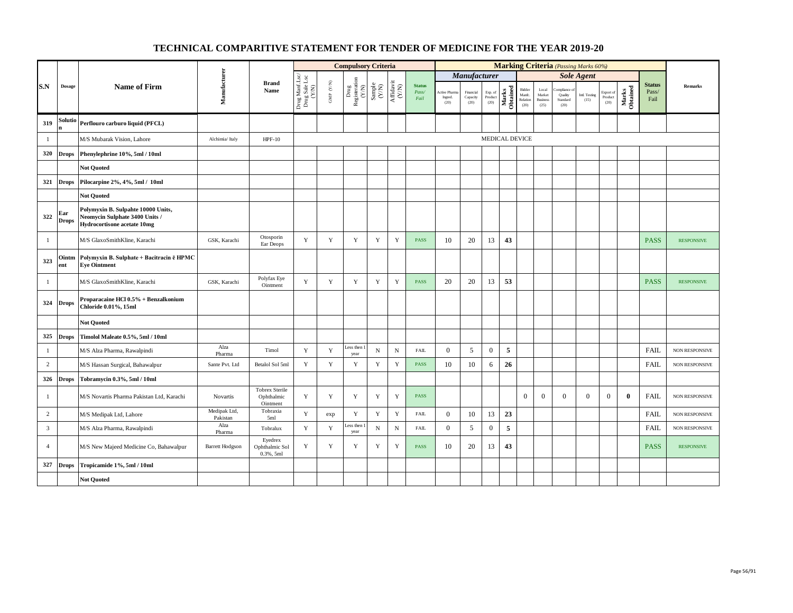|                |                     |                                                                                                            |                          |                                                 |                                          |                      | <b>Compulsory Criteria</b>                                                                                                                |             |                                      |                                |                                  |                               |                            |                   |                                                       |                                            |                                            | <b>Marking Criteria</b> (Passing Marks 60%) |                              |                   |                                |                   |
|----------------|---------------------|------------------------------------------------------------------------------------------------------------|--------------------------|-------------------------------------------------|------------------------------------------|----------------------|-------------------------------------------------------------------------------------------------------------------------------------------|-------------|--------------------------------------|--------------------------------|----------------------------------|-------------------------------|----------------------------|-------------------|-------------------------------------------------------|--------------------------------------------|--------------------------------------------|---------------------------------------------|------------------------------|-------------------|--------------------------------|-------------------|
|                |                     |                                                                                                            |                          |                                                 |                                          |                      |                                                                                                                                           |             |                                      |                                |                                  | <b>Manufacturer</b>           |                            |                   |                                                       |                                            |                                            | <b>Sole Agent</b>                           |                              |                   |                                |                   |
| S.N            | <b>Dosage</b>       | <b>Name of Firm</b>                                                                                        | Manufacturer             | <b>Brand</b><br>Name                            | Drug Manf.Lsc/<br>Drug Sale Lsc<br>(Y/N) | GMP $(\mathbf{Y/N})$ | $\begin{array}{c} \mathrm{Drag} \\ \mathrm{Res} \mathrm{interaction} \\ (\mathrm{Y/N}) \\ \mathrm{Sample} \\ \mathrm{Sample} \end{array}$ |             | $\frac{\text{Affdavit}}{\text{N/N}}$ | <b>Status</b><br>Pass/<br>Fail | Active Pharma<br>Ingred.<br>(20) | Financial<br>Capacity<br>(20) | Exp. of<br>Product<br>(20) | Marks<br>Obtained | Bidder<br>Manfc.<br>$\operatorname{Relation}$<br>(20) | Local<br>Market<br><b>Business</b><br>(25) | ompliance o<br>Quality<br>Standard<br>(20) | Intl. Testing<br>(15)                       | Export of<br>Product<br>(20) | Marks<br>Obtained | <b>Status</b><br>Pass/<br>Fail | <b>Remarks</b>    |
| 319            | Solutio<br>n        | Perflouro carburo liquid (PFCL)                                                                            |                          |                                                 |                                          |                      |                                                                                                                                           |             |                                      |                                |                                  |                               |                            |                   |                                                       |                                            |                                            |                                             |                              |                   |                                |                   |
| -1             |                     | M/S Mubarak Vision, Lahore                                                                                 | Alchimia/ Italy          | $HPF-10$                                        |                                          |                      |                                                                                                                                           |             |                                      |                                |                                  |                               |                            | MEDICAL DEVICE    |                                                       |                                            |                                            |                                             |                              |                   |                                |                   |
| 320            | <b>Drops</b>        | Phenylephrine 10%, 5ml / 10ml                                                                              |                          |                                                 |                                          |                      |                                                                                                                                           |             |                                      |                                |                                  |                               |                            |                   |                                                       |                                            |                                            |                                             |                              |                   |                                |                   |
|                |                     | <b>Not Quoted</b>                                                                                          |                          |                                                 |                                          |                      |                                                                                                                                           |             |                                      |                                |                                  |                               |                            |                   |                                                       |                                            |                                            |                                             |                              |                   |                                |                   |
| 321            | <b>Drops</b>        | Pilocarpine 2%, 4%, 5ml / 10ml                                                                             |                          |                                                 |                                          |                      |                                                                                                                                           |             |                                      |                                |                                  |                               |                            |                   |                                                       |                                            |                                            |                                             |                              |                   |                                |                   |
|                |                     | <b>Not Quoted</b>                                                                                          |                          |                                                 |                                          |                      |                                                                                                                                           |             |                                      |                                |                                  |                               |                            |                   |                                                       |                                            |                                            |                                             |                              |                   |                                |                   |
| 322            | Ear<br><b>Drops</b> | Polymyxin B. Sulpahte 10000 Units,<br>Neomycin Sulphate 3400 Units /<br><b>Hydrocortisone acetate 10mg</b> |                          |                                                 |                                          |                      |                                                                                                                                           |             |                                      |                                |                                  |                               |                            |                   |                                                       |                                            |                                            |                                             |                              |                   |                                |                   |
| $\mathbf{1}$   |                     | M/S GlaxoSmithKline, Karachi                                                                               | GSK, Karachi             | Otosporin<br>Ear Deops                          | Y                                        | $\mathbf Y$          | Y                                                                                                                                         | $\mathbf Y$ | $\mathbf Y$                          | <b>PASS</b>                    | 10                               | 20                            | 13                         | 43                |                                                       |                                            |                                            |                                             |                              |                   | <b>PASS</b>                    | <b>RESPONSIVE</b> |
| 323            | Ointm<br>ent        | Polymyxin B. Sulphate + Bacitracin ē HPMC<br><b>Eye Ointment</b>                                           |                          |                                                 |                                          |                      |                                                                                                                                           |             |                                      |                                |                                  |                               |                            |                   |                                                       |                                            |                                            |                                             |                              |                   |                                |                   |
| 1              |                     | M/S GlaxoSmithKline, Karachi                                                                               | GSK, Karachi             | Polyfax Eye<br>Ointment                         | Y                                        | $\mathbf Y$          | $\mathbf Y$                                                                                                                               | Y           | $\mathbf Y$                          | <b>PASS</b>                    | 20                               | 20                            | 13                         | 53                |                                                       |                                            |                                            |                                             |                              |                   | <b>PASS</b>                    | <b>RESPONSIVE</b> |
| 324            | <b>Drops</b>        | Proparacaine HCl 0.5% + Benzalkonium<br>Chloride 0.01%, 15ml                                               |                          |                                                 |                                          |                      |                                                                                                                                           |             |                                      |                                |                                  |                               |                            |                   |                                                       |                                            |                                            |                                             |                              |                   |                                |                   |
|                |                     | <b>Not Quoted</b>                                                                                          |                          |                                                 |                                          |                      |                                                                                                                                           |             |                                      |                                |                                  |                               |                            |                   |                                                       |                                            |                                            |                                             |                              |                   |                                |                   |
| 325            | <b>Drops</b>        | Timolol Maleate 0.5%, 5ml / 10ml                                                                           |                          |                                                 |                                          |                      |                                                                                                                                           |             |                                      |                                |                                  |                               |                            |                   |                                                       |                                            |                                            |                                             |                              |                   |                                |                   |
| $\mathbf{1}$   |                     | M/S Alza Pharma, Rawalpindi                                                                                | Alza<br>Pharma           | Timol                                           | Y                                        | $\mathbf Y$          | Less then<br>year                                                                                                                         | ${\bf N}$   | ${\bf N}$                            | ${\rm FAIL}$                   | $\mathbf{0}$                     | 5                             | $\boldsymbol{0}$           | 5                 |                                                       |                                            |                                            |                                             |                              |                   | <b>FAIL</b>                    | NON RESPONSIVE    |
| $\overline{c}$ |                     | M/S Hassan Surgical, Bahawalpur                                                                            | Sante Pvt. Ltd           | Betalol Sol 5ml                                 | Y                                        | $\mathbf Y$          | $\mathbf Y$                                                                                                                               | $\mathbf Y$ | $\mathbf Y$                          | <b>PASS</b>                    | 10                               | 10                            | 6                          | 26                |                                                       |                                            |                                            |                                             |                              |                   | <b>FAIL</b>                    | NON RESPONSIVE    |
| 326            | <b>Drops</b>        | Tobramycin 0.3%, 5ml / 10ml                                                                                |                          |                                                 |                                          |                      |                                                                                                                                           |             |                                      |                                |                                  |                               |                            |                   |                                                       |                                            |                                            |                                             |                              |                   |                                |                   |
| $\mathbf{1}$   |                     | M/S Novartis Pharma Pakistan Ltd, Karachi                                                                  | Novartis                 | <b>Tobrex Sterile</b><br>Ophthalmic<br>Ointment | Y                                        | Y                    | Y                                                                                                                                         | Y           | Y                                    | <b>PASS</b>                    |                                  |                               |                            |                   | $\overline{0}$                                        | $\overline{0}$                             | $\overline{0}$                             | $\overline{0}$                              | $\mathbf{0}$                 | $\bf{0}$          | <b>FAIL</b>                    | NON RESPONSIVE    |
| $\overline{c}$ |                     | M/S Medipak Ltd, Lahore                                                                                    | Medipak Ltd,<br>Pakistan | Tobraxia<br>5ml                                 | $\mathbf Y$                              | exp                  | $\mathbf Y$                                                                                                                               | $\mathbf Y$ | $\mathbf Y$                          | <b>FAIL</b>                    | $\mathbf{0}$                     | 10                            | 13                         | 23                |                                                       |                                            |                                            |                                             |                              |                   | FAIL                           | NON RESPONSIVE    |
| 3              |                     | M/S Alza Pharma, Rawalpindi                                                                                | Alza<br>Pharma           | Tobralux                                        | $\mathbf Y$                              | $\mathbf Y$          | ess then<br>year                                                                                                                          | $_{\rm N}$  | ${\bf N}$                            | ${\rm FAIL}$                   | $\overline{0}$                   | 5                             | $\boldsymbol{0}$           | 5                 |                                                       |                                            |                                            |                                             |                              |                   | <b>FAIL</b>                    | NON RESPONSIVE    |
| $\overline{4}$ |                     | M/S New Majeed Medicine Co, Bahawalpur                                                                     | <b>Barrett Hodgson</b>   | Eyedrex<br>Ophthalmic Sol<br>$0.3%$ , 5ml       | Y                                        | $\mathbf Y$          | Y                                                                                                                                         | Y           | Y                                    | <b>PASS</b>                    | 10                               | 20                            | 13                         | 43                |                                                       |                                            |                                            |                                             |                              |                   | <b>PASS</b>                    | <b>RESPONSIVE</b> |
| 327            | <b>Drops</b>        | Tropicamide 1%, 5ml / 10ml                                                                                 |                          |                                                 |                                          |                      |                                                                                                                                           |             |                                      |                                |                                  |                               |                            |                   |                                                       |                                            |                                            |                                             |                              |                   |                                |                   |
|                |                     | <b>Not Quoted</b>                                                                                          |                          |                                                 |                                          |                      |                                                                                                                                           |             |                                      |                                |                                  |                               |                            |                   |                                                       |                                            |                                            |                                             |                              |                   |                                |                   |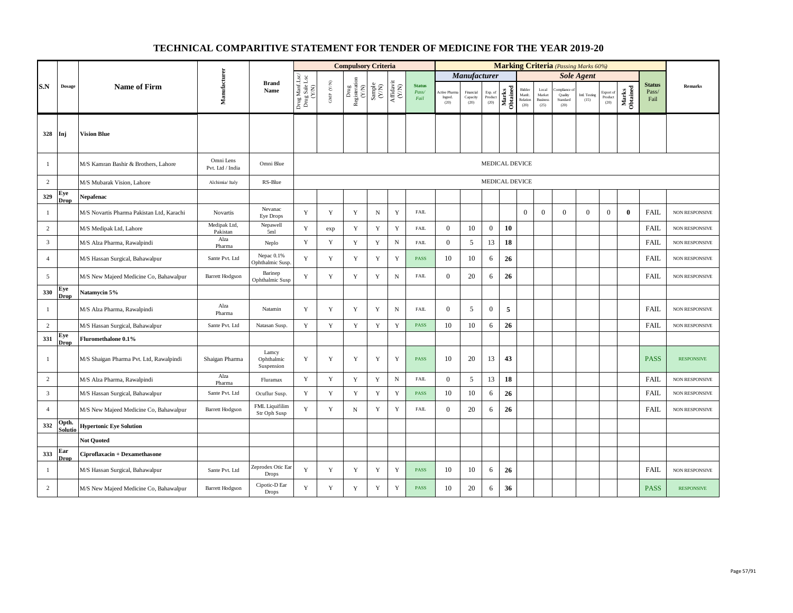|                |                                          |                                           |                               |                                       |                                          |                          | <b>Compulsory Criteria</b>                                                   |                                                                     |                                                                              |                                |                                |                               |                            |                   |                                      |                                                     |                                         | <b>Marking Criteria</b> (Passing Marks 60%) |                              |                   |                                |                       |
|----------------|------------------------------------------|-------------------------------------------|-------------------------------|---------------------------------------|------------------------------------------|--------------------------|------------------------------------------------------------------------------|---------------------------------------------------------------------|------------------------------------------------------------------------------|--------------------------------|--------------------------------|-------------------------------|----------------------------|-------------------|--------------------------------------|-----------------------------------------------------|-----------------------------------------|---------------------------------------------|------------------------------|-------------------|--------------------------------|-----------------------|
|                |                                          |                                           |                               |                                       |                                          |                          |                                                                              |                                                                     |                                                                              |                                |                                | Manufacturer                  |                            |                   |                                      |                                                     |                                         | <b>Sole Agent</b>                           |                              |                   |                                |                       |
| S.N            | Dosage                                   | <b>Name of Firm</b>                       | Manufacturer                  | <b>Brand</b><br>Name                  | Drug Manf.Lsc/<br>Drug Sale Lsc<br>(Y/N) | ${\rm GMP}$ ${\rm (YN)}$ | Drug<br>Registeration $\left( \begin{array}{c} \chi / N \end{array} \right)$ | $\begin{array}{c} \text{Sample} \\ \text{C}(\text{NN}) \end{array}$ | $\begin{array}{c} \mathrm{Aff} \mathrm{davit} \\ (\mathrm{Y/N}) \end{array}$ | <b>Status</b><br>Pass/<br>Fail | Active Phar<br>Ingred.<br>(20) | Financial<br>Capacity<br>(20) | Exp. of<br>Product<br>(20) | Marks<br>Obtained | Bidder<br>Manfc.<br>Relation<br>(20) | $_{\rm Local}$<br>Market<br><b>Business</b><br>(25) | mpliance<br>Quality<br>Standard<br>(20) | Intl. Testing<br>(15)                       | Export of<br>Product<br>(20) | Marks<br>Obtained | <b>Status</b><br>Pass/<br>Fail | Remarks               |
| 328            | Inj                                      | <b>Vision Blue</b>                        |                               |                                       |                                          |                          |                                                                              |                                                                     |                                                                              |                                |                                |                               |                            |                   |                                      |                                                     |                                         |                                             |                              |                   |                                |                       |
| -1             |                                          | M/S Kamran Bashir & Brothers, Lahore      | Omni Lens<br>Pvt. Ltd / India | Omni Blue                             |                                          |                          |                                                                              |                                                                     |                                                                              |                                |                                |                               |                            | MEDICAL DEVICE    |                                      |                                                     |                                         |                                             |                              |                   |                                |                       |
| $\overline{2}$ |                                          | M/S Mubarak Vision, Lahore                | Alchimia/Italy                | RS-Blue                               |                                          |                          |                                                                              |                                                                     |                                                                              |                                |                                |                               |                            | MEDICAL DEVICE    |                                      |                                                     |                                         |                                             |                              |                   |                                |                       |
| 329            | Eye<br><b>Drop</b>                       | Nepafenac                                 |                               |                                       |                                          |                          |                                                                              |                                                                     |                                                                              |                                |                                |                               |                            |                   |                                      |                                                     |                                         |                                             |                              |                   |                                |                       |
| $\mathbf{1}$   |                                          | M/S Novartis Pharma Pakistan Ltd, Karachi | Novartis                      | Nevanac<br><b>Eye Drops</b>           | $\mathbf Y$                              | $\mathbf Y$              | Y                                                                            | ${\bf N}$                                                           | Y                                                                            | <b>FAIL</b>                    |                                |                               |                            |                   | $\mathbf{0}$                         | $\mathbf{0}$                                        | $\Omega$                                | $\mathbf{0}$                                | $\boldsymbol{0}$             | $\mathbf{0}$      | FAIL                           | NON RESPONSIVE        |
| $\overline{2}$ |                                          | M/S Medipak Ltd, Lahore                   | Medipak Ltd,<br>Pakistan      | Nepawell<br>5ml                       | Y                                        | exp                      | $\mathbf Y$                                                                  | $\mathbf Y$                                                         | $\mathbf Y$                                                                  | FAIL                           | $\boldsymbol{0}$               | $10\,$                        | $\boldsymbol{0}$           | 10                |                                      |                                                     |                                         |                                             |                              |                   | <b>FAIL</b>                    | NON RESPONSIVE        |
| $\overline{3}$ |                                          | M/S Alza Pharma, Rawalpindi               | Alza<br>Pharma                | Neplo                                 | Y                                        | $\mathbf Y$              | $\mathbf Y$                                                                  | $\mathbf Y$                                                         | $_{\rm N}$                                                                   | FAIL                           | $\boldsymbol{0}$               | $\sqrt{5}$                    | 13                         | 18                |                                      |                                                     |                                         |                                             |                              |                   | <b>FAIL</b>                    | <b>NON RESPONSIVE</b> |
| $\overline{4}$ |                                          | M/S Hassan Surgical, Bahawalpur           | Sante Pvt. Ltd                | Nepac 0.1%<br>Ophthalmic Susp.        | Y                                        | Y                        | Y                                                                            | $\mathbf Y$                                                         | $\mathbf Y$                                                                  | <b>PASS</b>                    | 10                             | 10                            | 6                          | 26                |                                      |                                                     |                                         |                                             |                              |                   | <b>FAIL</b>                    | <b>NON RESPONSIVE</b> |
| 5              |                                          | M/S New Majeed Medicine Co, Bahawalpur    | <b>Barrett Hodgson</b>        | Barinep<br>Ophthalmic Susp            | Y                                        | $\mathbf Y$              | $\mathbf Y$                                                                  | $\mathbf Y$                                                         | ${\bf N}$                                                                    | FAIL                           | $\overline{0}$                 | 20                            | 6                          | 26                |                                      |                                                     |                                         |                                             |                              |                   | FAIL                           | NON RESPONSIVE        |
| 330            | Eye<br><b>Drop</b>                       | Natamycin 5%                              |                               |                                       |                                          |                          |                                                                              |                                                                     |                                                                              |                                |                                |                               |                            |                   |                                      |                                                     |                                         |                                             |                              |                   |                                |                       |
| -1             |                                          | M/S Alza Pharma, Rawalpindi               | Alza<br>Pharma                | Natamin                               | Y                                        | Y                        | Y                                                                            | Y                                                                   | $_{\rm N}$                                                                   | <b>FAIL</b>                    | $\overline{0}$                 | 5                             | $\overline{0}$             | 5                 |                                      |                                                     |                                         |                                             |                              |                   | <b>FAIL</b>                    | NON RESPONSIVE        |
| $\overline{2}$ |                                          | M/S Hassan Surgical, Bahawalpur           | Sante Pvt. Ltd                | Natasan Susp.                         | $\mathbf Y$                              | $\mathbf Y$              | $\mathbf Y$                                                                  | $\mathbf Y$                                                         | $\mathbf Y$                                                                  | PASS                           | 10                             | 10                            | 6                          | 26                |                                      |                                                     |                                         |                                             |                              |                   | <b>FAIL</b>                    | <b>NON RESPONSIVE</b> |
| 331            | Eye<br>Drop                              | Fluromethalone 0.1%                       |                               |                                       |                                          |                          |                                                                              |                                                                     |                                                                              |                                |                                |                               |                            |                   |                                      |                                                     |                                         |                                             |                              |                   |                                |                       |
| -1             |                                          | M/S Shaigan Pharma Pvt. Ltd, Rawalpindi   | Shaigan Pharma                | Lamcy<br>Ophthalmic<br>Suspension     | Y                                        | Y                        | Y                                                                            | Y                                                                   | Y                                                                            | <b>PASS</b>                    | 10                             | 20                            | 13                         | 43                |                                      |                                                     |                                         |                                             |                              |                   | <b>PASS</b>                    | <b>RESPONSIVE</b>     |
| $\overline{c}$ |                                          | M/S Alza Pharma, Rawalpindi               | Alza<br>Pharma                | Fluramax                              | $\mathbf Y$                              | $\mathbf Y$              | $\mathbf Y$                                                                  | $\mathbf Y$                                                         | $_{\rm N}$                                                                   | FAIL                           | $\boldsymbol{0}$               | 5                             | 13                         | 18                |                                      |                                                     |                                         |                                             |                              |                   | <b>FAIL</b>                    | NON RESPONSIVE        |
| 3              |                                          | M/S Hassan Surgical, Bahawalpur           | Sante Pvt. Ltd                | Ocuflur Susp.                         | Y                                        | $\mathbf Y$              | Y                                                                            | $\mathbf Y$                                                         | $\mathbf Y$                                                                  | PASS                           | 10                             | 10                            | 6                          | 26                |                                      |                                                     |                                         |                                             |                              |                   | <b>FAIL</b>                    | NON RESPONSIVE        |
| $\overline{4}$ |                                          | M/S New Majeed Medicine Co, Bahawalpur    | <b>Barrett Hodgson</b>        | <b>FML</b> Liquifilim<br>Str Oph Susp | Y                                        | Y                        | N                                                                            | Y                                                                   | Y                                                                            | <b>FAIL</b>                    | $\mathbf{0}$                   | 20                            | 6                          | 26                |                                      |                                                     |                                         |                                             |                              |                   | <b>FAIL</b>                    | NON RESPONSIVE        |
| 332            | )pth.<br><u>Solutic</u>                  | <b>Hypertonic Eye Solution</b>            |                               |                                       |                                          |                          |                                                                              |                                                                     |                                                                              |                                |                                |                               |                            |                   |                                      |                                                     |                                         |                                             |                              |                   |                                |                       |
|                |                                          | <b>Not Quoted</b>                         |                               |                                       |                                          |                          |                                                                              |                                                                     |                                                                              |                                |                                |                               |                            |                   |                                      |                                                     |                                         |                                             |                              |                   |                                |                       |
| 333            | ${\bf E} {\bf a} {\bf r}$<br><b>Drop</b> | Ciproflaxacin + Dexamethasone             |                               |                                       |                                          |                          |                                                                              |                                                                     |                                                                              |                                |                                |                               |                            |                   |                                      |                                                     |                                         |                                             |                              |                   |                                |                       |
| -1             |                                          | M/S Hassan Surgical, Bahawalpur           | Sante Pvt. Ltd                | Zeprodex Otic Ear<br>Drops            | Y                                        | Y                        | Y                                                                            | Y                                                                   | Y                                                                            | <b>PASS</b>                    | 10                             | 10                            | 6                          | 26                |                                      |                                                     |                                         |                                             |                              |                   | <b>FAIL</b>                    | NON RESPONSIVE        |
| $\overline{c}$ |                                          | M/S New Majeed Medicine Co, Bahawalpur    | <b>Barrett Hodgson</b>        | Cipotic-D Ear<br><b>Drops</b>         | $\mathbf Y$                              | $\mathbf Y$              | $\mathbf Y$                                                                  | Y                                                                   | $\mathbf Y$                                                                  | <b>PASS</b>                    | 10                             | $20\,$                        | 6                          | 36                |                                      |                                                     |                                         |                                             |                              |                   | <b>PASS</b>                    | <b>RESPONSIVE</b>     |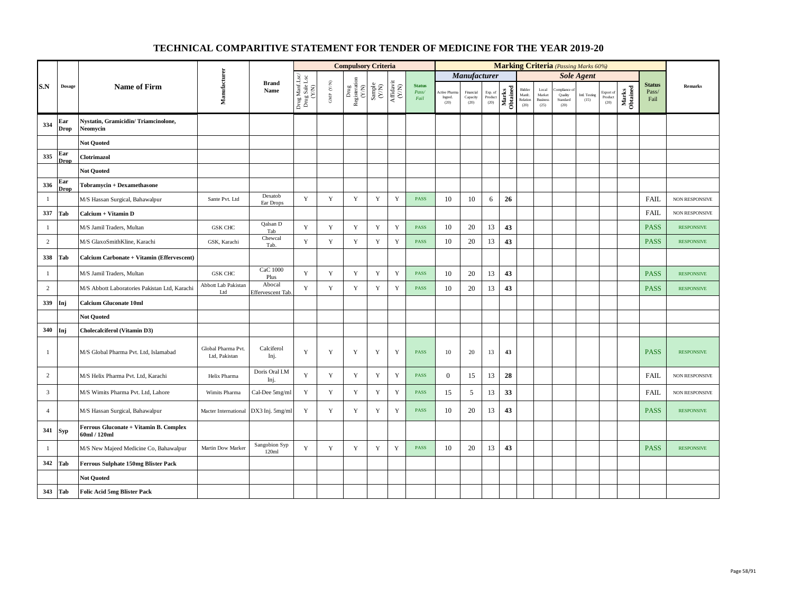|                |                    |                                                        |                                     |                            |                                          |                                          | <b>Compulsory Criteria</b>                                                                                                                |             |                                                                                       |                                |                                 |                               |                            |                   |                                      |                                            |                                           | <b>Marking Criteria</b> (Passing Marks 60%) |                              |                   |                                |                       |
|----------------|--------------------|--------------------------------------------------------|-------------------------------------|----------------------------|------------------------------------------|------------------------------------------|-------------------------------------------------------------------------------------------------------------------------------------------|-------------|---------------------------------------------------------------------------------------|--------------------------------|---------------------------------|-------------------------------|----------------------------|-------------------|--------------------------------------|--------------------------------------------|-------------------------------------------|---------------------------------------------|------------------------------|-------------------|--------------------------------|-----------------------|
|                |                    |                                                        |                                     |                            |                                          |                                          |                                                                                                                                           |             |                                                                                       |                                |                                 | Manufacturer                  |                            |                   |                                      |                                            |                                           | <b>Sole Agent</b>                           |                              |                   |                                |                       |
| S.N            | $\bf{Dosage}$      | <b>Name of Firm</b>                                    | Manufacturer                        | <b>Brand</b><br>Name       | Drug Manf.Lsc/<br>Drug Sale Lsc<br>(Y/N) | $\ensuremath{\mathsf{GMP}}\xspace$ (Y/N) | $\begin{array}{c} \mathrm{Drag} \\ \mathrm{Res} \mathrm{interaction} \\ (\mathrm{Y/N}) \\ \mathrm{Sample} \\ \mathrm{Sample} \end{array}$ |             | $\begin{array}{c} \mathrm{Aff} \mathrm{dav} \mathrm{i} \\ (\mathrm{Y/N}) \end{array}$ | <b>Status</b><br>Pass/<br>Fail | Active Pharm<br>Ingred.<br>(20) | Financial<br>Capacity<br>(20) | Exp. of<br>Product<br>(20) | Marks<br>Obtained | Bidder<br>Manfc.<br>Relation<br>(20) | Local<br>Market<br><b>Business</b><br>(25) | 'ompliance<br>Quality<br>Standard<br>(20) | Intl. Testing<br>(15)                       | Export of<br>Product<br>(20) | Marks<br>Obtained | <b>Status</b><br>Pass/<br>Fail | <b>Remarks</b>        |
| 334            | Ear<br><b>Drop</b> | Nystatin, Gramicidin/Triamcinolone,<br>Neomycin        |                                     |                            |                                          |                                          |                                                                                                                                           |             |                                                                                       |                                |                                 |                               |                            |                   |                                      |                                            |                                           |                                             |                              |                   |                                |                       |
|                |                    | <b>Not Quoted</b>                                      |                                     |                            |                                          |                                          |                                                                                                                                           |             |                                                                                       |                                |                                 |                               |                            |                   |                                      |                                            |                                           |                                             |                              |                   |                                |                       |
| 335            | Ear<br>Drop        | Clotrimazol                                            |                                     |                            |                                          |                                          |                                                                                                                                           |             |                                                                                       |                                |                                 |                               |                            |                   |                                      |                                            |                                           |                                             |                              |                   |                                |                       |
|                |                    | <b>Not Quoted</b>                                      |                                     |                            |                                          |                                          |                                                                                                                                           |             |                                                                                       |                                |                                 |                               |                            |                   |                                      |                                            |                                           |                                             |                              |                   |                                |                       |
| 336            | Ear<br><b>Drop</b> | Tobramycin + Dexamethasone                             |                                     |                            |                                          |                                          |                                                                                                                                           |             |                                                                                       |                                |                                 |                               |                            |                   |                                      |                                            |                                           |                                             |                              |                   |                                |                       |
| $\mathbf{1}$   |                    | M/S Hassan Surgical, Bahawalpur                        | Sante Pvt. Ltd                      | Dexatob<br>Ear Drops       | Y                                        | $\mathbf Y$                              | $\mathbf Y$                                                                                                                               | Y           | $\mathbf Y$                                                                           | <b>PASS</b>                    | 10                              | 10                            | 6                          | 26                |                                      |                                            |                                           |                                             |                              |                   | <b>FAIL</b>                    | NON RESPONSIVE        |
| 337            | Tab                | Calcium + Vitamin D                                    |                                     |                            |                                          |                                          |                                                                                                                                           |             |                                                                                       |                                |                                 |                               |                            |                   |                                      |                                            |                                           |                                             |                              |                   | FAIL                           | NON RESPONSIVE        |
| $\mathbf{1}$   |                    | M/S Jamil Traders, Multan                              | <b>GSK CHC</b>                      | Qalsan D<br>Tab            | $\mathbf Y$                              | $\mathbf Y$                              | $\mathbf Y$                                                                                                                               | $\mathbf Y$ | $\mathbf Y$                                                                           | <b>PASS</b>                    | 10                              | 20                            | 13                         | 43                |                                      |                                            |                                           |                                             |                              |                   | <b>PASS</b>                    | <b>RESPONSIVE</b>     |
| $\overline{c}$ |                    | M/S GlaxoSmithKline, Karachi                           | GSK, Karachi                        | Chewcal<br>Tab.            | Y                                        | Y                                        | Y                                                                                                                                         | Y           | $\mathbf Y$                                                                           | <b>PASS</b>                    | 10                              | 20                            | 13                         | 43                |                                      |                                            |                                           |                                             |                              |                   | <b>PASS</b>                    | <b>RESPONSIVE</b>     |
| 338            | Tab                | Calcium Carbonate + Vitamin (Effervescent)             |                                     |                            |                                          |                                          |                                                                                                                                           |             |                                                                                       |                                |                                 |                               |                            |                   |                                      |                                            |                                           |                                             |                              |                   |                                |                       |
| $\mathbf{1}$   |                    | M/S Jamil Traders, Multan                              | <b>GSK CHC</b>                      | CaC 1000<br>Plus           | Y                                        | $\mathbf Y$                              | $\mathbf Y$                                                                                                                               | $\mathbf Y$ | $\mathbf Y$                                                                           | <b>PASS</b>                    | 10                              | 20                            | 13                         | 43                |                                      |                                            |                                           |                                             |                              |                   | <b>PASS</b>                    | <b>RESPONSIVE</b>     |
| 2              |                    | M/S Abbott Laboratories Pakistan Ltd, Karachi          | Abbott Lab Pakistan<br>Ltd          | Abocal<br>Effervescent Tab | Y                                        | Y                                        | Y                                                                                                                                         | Y           | $\mathbf Y$                                                                           | <b>PASS</b>                    | 10                              | 20                            | 13                         | 43                |                                      |                                            |                                           |                                             |                              |                   | <b>PASS</b>                    | <b>RESPONSIVE</b>     |
| 339            | Inj                | <b>Calcium Gluconate 10ml</b>                          |                                     |                            |                                          |                                          |                                                                                                                                           |             |                                                                                       |                                |                                 |                               |                            |                   |                                      |                                            |                                           |                                             |                              |                   |                                |                       |
|                |                    | <b>Not Ouoted</b>                                      |                                     |                            |                                          |                                          |                                                                                                                                           |             |                                                                                       |                                |                                 |                               |                            |                   |                                      |                                            |                                           |                                             |                              |                   |                                |                       |
| 340            | Inj                | Cholecalciferol (Vitamin D3)                           |                                     |                            |                                          |                                          |                                                                                                                                           |             |                                                                                       |                                |                                 |                               |                            |                   |                                      |                                            |                                           |                                             |                              |                   |                                |                       |
| $\mathbf{1}$   |                    | M/S Global Pharma Pvt. Ltd, Islamabad                  | Global Pharma Pvt.<br>Ltd, Pakistan | Calciferol<br>Inj.         | Y                                        | Y                                        | Y                                                                                                                                         | Y           | Y                                                                                     | <b>PASS</b>                    | 10                              | 20                            | 13                         | 43                |                                      |                                            |                                           |                                             |                              |                   | <b>PASS</b>                    | <b>RESPONSIVE</b>     |
| $\overline{c}$ |                    | M/S Helix Pharma Pvt. Ltd, Karachi                     | Helix Pharma                        | Doris Oral I.M<br>Inj.     | Y                                        | $\mathbf Y$                              | $\mathbf Y$                                                                                                                               | $\mathbf Y$ | $\mathbf Y$                                                                           | <b>PASS</b>                    | $\mathbf{0}$                    | 15                            | 13                         | 28                |                                      |                                            |                                           |                                             |                              |                   | <b>FAIL</b>                    | NON RESPONSIVE        |
| 3              |                    | M/S Wimits Pharma Pvt. Ltd, Lahore                     | Wimits Pharma                       | Cal-Dee 5mg/ml             | Y                                        | $\mathbf Y$                              | $\mathbf Y$                                                                                                                               | $\mathbf Y$ | $\mathbf Y$                                                                           | <b>PASS</b>                    | 15                              | 5                             | 13                         | 33                |                                      |                                            |                                           |                                             |                              |                   | <b>FAIL</b>                    | <b>NON RESPONSIVE</b> |
| $\overline{4}$ |                    | M/S Hassan Surgical, Bahawalpur                        | Macter International                | DX3 Inj. 5mg/ml            | Y                                        | Y                                        | Y                                                                                                                                         | Y           | Y                                                                                     | <b>PASS</b>                    | 10                              | 20                            | 13                         | 43                |                                      |                                            |                                           |                                             |                              |                   | <b>PASS</b>                    | <b>RESPONSIVE</b>     |
| 341            | <b>Syp</b>         | Ferrous Gluconate + Vitamin B. Complex<br>60ml / 120ml |                                     |                            |                                          |                                          |                                                                                                                                           |             |                                                                                       |                                |                                 |                               |                            |                   |                                      |                                            |                                           |                                             |                              |                   |                                |                       |
| $\mathbf{1}$   |                    | M/S New Majeed Medicine Co, Bahawalpur                 | Martin Dow Marker                   | Sangobion Syp<br>120ml     | Y                                        | Y                                        | Y                                                                                                                                         | Y           | Y                                                                                     | <b>PASS</b>                    | 10                              | 20                            | 13                         | 43                |                                      |                                            |                                           |                                             |                              |                   | <b>PASS</b>                    | <b>RESPONSIVE</b>     |
| 342            | Tab                | Ferrous Sulphate 150mg Blister Pack                    |                                     |                            |                                          |                                          |                                                                                                                                           |             |                                                                                       |                                |                                 |                               |                            |                   |                                      |                                            |                                           |                                             |                              |                   |                                |                       |
|                |                    | <b>Not Quoted</b>                                      |                                     |                            |                                          |                                          |                                                                                                                                           |             |                                                                                       |                                |                                 |                               |                            |                   |                                      |                                            |                                           |                                             |                              |                   |                                |                       |
| 343            | Tab                | <b>Folic Acid 5mg Blister Pack</b>                     |                                     |                            |                                          |                                          |                                                                                                                                           |             |                                                                                       |                                |                                 |                               |                            |                   |                                      |                                            |                                           |                                             |                              |                   |                                |                       |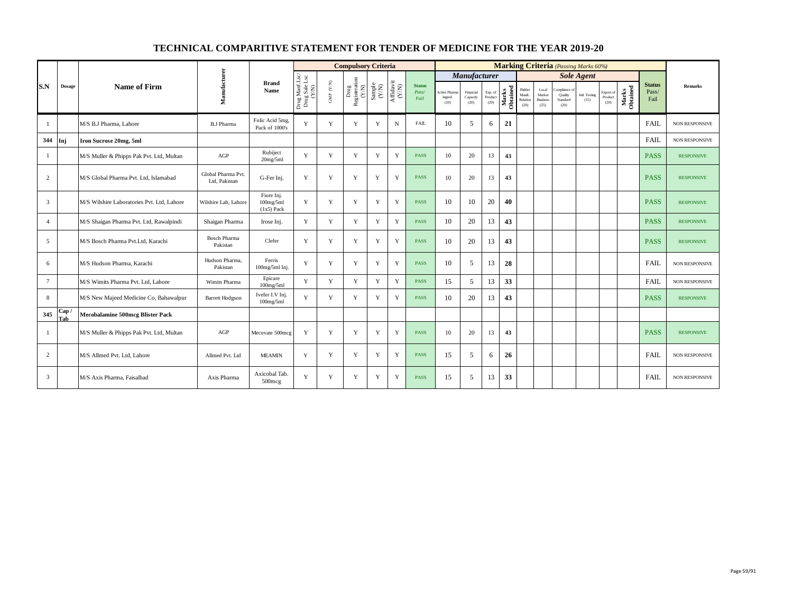|                 |               |                                            |                                    |                                         |                                          |                                          | <b>Compulsory Criteria</b>                           |                                                                                                 |             |                                |                                        |                               |                            |                   |                                      |                                            |                                            | <b>Marking Criteria</b> (Passing Marks 60%) |                              |                   |                                |                       |
|-----------------|---------------|--------------------------------------------|------------------------------------|-----------------------------------------|------------------------------------------|------------------------------------------|------------------------------------------------------|-------------------------------------------------------------------------------------------------|-------------|--------------------------------|----------------------------------------|-------------------------------|----------------------------|-------------------|--------------------------------------|--------------------------------------------|--------------------------------------------|---------------------------------------------|------------------------------|-------------------|--------------------------------|-----------------------|
|                 |               |                                            |                                    |                                         |                                          |                                          |                                                      |                                                                                                 |             |                                |                                        | Manufacturer                  |                            |                   |                                      |                                            |                                            | <b>Sole Agent</b>                           |                              |                   |                                |                       |
| S.N             | <b>Dosage</b> | <b>Name of Firm</b>                        | Manufacturer                       | <b>Brand</b><br>Name                    | Drug Manf.Lsc/<br>Drug Sale Lsc<br>(Y/N) | $\text{GMP}\,$ $\left(\text{Y/N}\right)$ | ${\rm Drug} \atop {\rm Registeration}$ Registeration | $\begin{array}{c} \text{Sample} \\ (\text{Y/N}) \\ \text{Affdavit} \\ (\text{Y/N}) \end{array}$ |             | <b>Status</b><br>Pass/<br>Fail | <b>Active Pharm</b><br>Ingred.<br>(20) | Financial<br>Capacity<br>(20) | Exp. of<br>Product<br>(20) | Marks<br>Obtained | Bidder<br>Manfc.<br>Relation<br>(20) | Local<br>Market<br><b>Business</b><br>(25) | ompliance o<br>Quality<br>Standard<br>(20) | Intl. Testing<br>(15)                       | Export of<br>Product<br>(20) | Marks<br>Obtained | <b>Status</b><br>Pass/<br>Fail | <b>Remarks</b>        |
| $\overline{1}$  |               | M/S B.J Pharma, Lahore                     | <b>B.J Pharma</b>                  | Folic Acid 5mg,<br>Pack of 1000's       | Y                                        | Y                                        | Y                                                    | Y                                                                                               | $\mathbf N$ | <b>FAIL</b>                    | 10                                     | 5                             | 6                          | 21                |                                      |                                            |                                            |                                             |                              |                   | <b>FAIL</b>                    | <b>NON RESPONSIVE</b> |
| 344             | Inj           | Iron Sucrose 20mg, 5ml                     |                                    |                                         |                                          |                                          |                                                      |                                                                                                 |             |                                |                                        |                               |                            |                   |                                      |                                            |                                            |                                             |                              |                   | FAIL                           | NON RESPONSIVE        |
| -1              |               | M/S Muller & Phipps Pak Pvt. Ltd, Multan   | AGP                                | Rubiject<br>20mg/5ml                    | Y                                        | Y                                        | Y                                                    | Y                                                                                               | Y           | <b>PASS</b>                    | 10                                     | 20                            | 13                         | 43                |                                      |                                            |                                            |                                             |                              |                   | <b>PASS</b>                    | <b>RESPONSIVE</b>     |
| 2               |               | M/S Global Pharma Pvt. Ltd. Islamabad      | Global Pharma Pvt<br>Ltd, Pakistan | G-Fer Inj.                              | Y                                        | Y                                        | Y                                                    | Y                                                                                               | Y           | <b>PASS</b>                    | 10                                     | 20                            | 13                         | 43                |                                      |                                            |                                            |                                             |                              |                   | <b>PASS</b>                    | <b>RESPONSIVE</b>     |
| $\overline{3}$  |               | M/S Wilshire Laboratories Pvt. Ltd. Lahore | Wilshire Lab. Lahore               | Fiore Inj.<br>100mg/5ml<br>$(1x5)$ Pack | Y                                        | Y                                        | Y                                                    | Y                                                                                               | Y           | <b>PASS</b>                    | 10                                     | 10                            | 20                         | 40                |                                      |                                            |                                            |                                             |                              |                   | <b>PASS</b>                    | <b>RESPONSIVE</b>     |
| $\overline{4}$  |               | M/S Shaigan Pharma Pvt. Ltd, Rawalpindi    | Shaigan Pharma                     | Irose Ini.                              | Y                                        | Y                                        | Y                                                    | Y                                                                                               | Y           | <b>PASS</b>                    | 10                                     | 20                            | 13                         | 43                |                                      |                                            |                                            |                                             |                              |                   | <b>PASS</b>                    | <b>RESPONSIVE</b>     |
| 5               |               | M/S Bosch Pharma Pvt.Ltd. Karachi          | <b>Bosch Pharma</b><br>Pakistan    | Clefer                                  | Y                                        | Y                                        | Y                                                    | $\mathbf Y$                                                                                     | Y           | <b>PASS</b>                    | 10                                     | 20                            | 13                         | 43                |                                      |                                            |                                            |                                             |                              |                   | <b>PASS</b>                    | <b>RESPONSIVE</b>     |
| 6               |               | M/S Hudson Pharma, Karachi                 | Hudson Pharma.<br>Pakistan         | Ferris<br>100mg/5ml Inj.                | Y                                        | Y                                        | Y                                                    | Y                                                                                               | Y           | <b>PASS</b>                    | 10                                     | 5                             | 13                         | 28                |                                      |                                            |                                            |                                             |                              |                   | <b>FAIL</b>                    | <b>NON RESPONSIVE</b> |
| $7\phantom{.0}$ |               | M/S Wimits Pharma Pvt. Ltd, Lahore         | Wimits Pharma                      | Epicare<br>100mg/5ml                    | Y                                        | Y                                        | Y                                                    | Y                                                                                               | Y           | <b>PASS</b>                    | 15                                     | 5                             | 13                         | 33                |                                      |                                            |                                            |                                             |                              |                   | <b>FAIL</b>                    | NON RESPONSIVE        |
| 8               |               | M/S New Majeed Medicine Co, Bahawalpur     | <b>Barrett Hodgson</b>             | Ivefer I.V Inj.<br>100mg/5ml            | Y                                        | Y                                        | Y                                                    | Y                                                                                               | Y           | <b>PASS</b>                    | 10                                     | 20                            | 13                         | 43                |                                      |                                            |                                            |                                             |                              |                   | <b>PASS</b>                    | <b>RESPONSIVE</b>     |
| 345             | Cap /<br>Tab  | <b>Mecobalamine 500mcg Blister Pack</b>    |                                    |                                         |                                          |                                          |                                                      |                                                                                                 |             |                                |                                        |                               |                            |                   |                                      |                                            |                                            |                                             |                              |                   |                                |                       |
| 1               |               | M/S Muller & Phipps Pak Pvt. Ltd, Multan   | AGP                                | Mecovate 500mcg                         | Y                                        | Y                                        | Y                                                    | Y                                                                                               | Y           | <b>PASS</b>                    | 10                                     | 20                            | 13                         | 43                |                                      |                                            |                                            |                                             |                              |                   | <b>PASS</b>                    | <b>RESPONSIVE</b>     |
| 2               |               | M/S Allmed Pvt. Ltd. Lahore                | Allmed Pvt. Ltd                    | <b>MEAMIN</b>                           | Y                                        | Y                                        | Y                                                    | Y                                                                                               | Y           | <b>PASS</b>                    | 15                                     | 5                             | 6                          | 26                |                                      |                                            |                                            |                                             |                              |                   | <b>FAIL</b>                    | <b>NON RESPONSIVE</b> |
| 3               |               | M/S Axis Pharma, Faisalbad                 | Axis Pharma                        | Axicobal Tab.<br>500mcg                 | Y                                        | Y                                        | Y                                                    | Y                                                                                               | Y           | <b>PASS</b>                    | 15                                     | 5                             | 13                         | 33                |                                      |                                            |                                            |                                             |                              |                   | <b>FAIL</b>                    | NON RESPONSIVE        |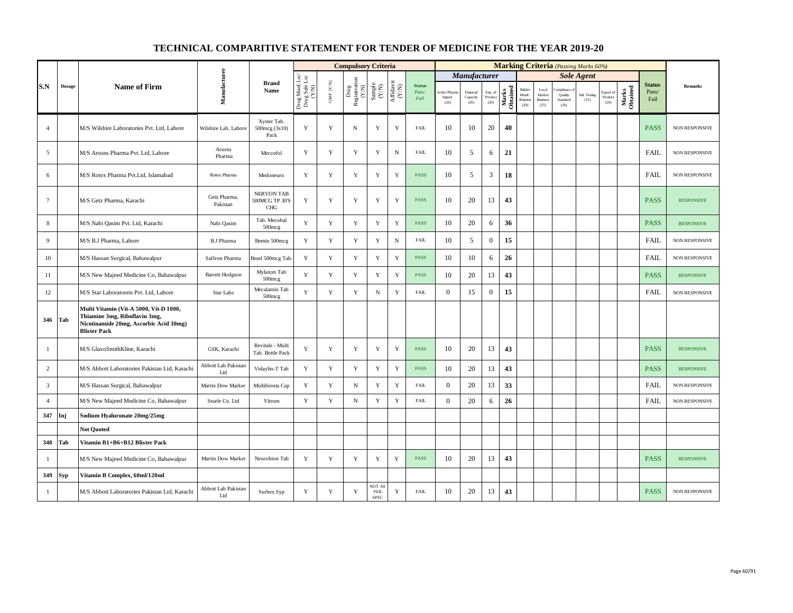|                 |        |                                                                                                                                          |                                   |                                                   |                                          |                          | <b>Compulsory Criteria</b>    |                                                              |                                                                           |                                |                                       |                               |                            |                   |                                      |                                            |                                         | <b>Marking Criteria</b> (Passing Marks 60%) |                              |                   |                                |                       |
|-----------------|--------|------------------------------------------------------------------------------------------------------------------------------------------|-----------------------------------|---------------------------------------------------|------------------------------------------|--------------------------|-------------------------------|--------------------------------------------------------------|---------------------------------------------------------------------------|--------------------------------|---------------------------------------|-------------------------------|----------------------------|-------------------|--------------------------------------|--------------------------------------------|-----------------------------------------|---------------------------------------------|------------------------------|-------------------|--------------------------------|-----------------------|
|                 |        |                                                                                                                                          |                                   |                                                   |                                          |                          |                               |                                                              |                                                                           |                                |                                       | <b>Manufacturer</b>           |                            |                   |                                      |                                            |                                         | <b>Sole Agent</b>                           |                              |                   |                                |                       |
| S.N             | Dosage | <b>Name of Firm</b>                                                                                                                      | Manufacturer                      | <b>Brand</b><br>Name                              | Drug Manf.Lsc/<br>Drug Sale Lsc<br>(Y/N) | ${\rm GMP}$ ${\rm (YN)}$ | Registeration $(Y/N)$<br>Drug | $\begin{array}{c} \text{Sample} \\ (\text{Y/N}) \end{array}$ | $\begin{array}{c} \textrm{Affdavit} \\ \textrm{(\Upsilon/N)} \end{array}$ | <b>Status</b><br>Pass/<br>Fail | <b>Active Phar</b><br>Ingred.<br>(20) | Financial<br>Capacity<br>(20) | Exp. of<br>Product<br>(20) | Marks<br>Obtained | Bidder<br>Manfc.<br>Relation<br>(20) | Local<br>Market<br><b>Business</b><br>(25) | mpliance<br>Quality<br>Standard<br>(20) | Intl. Testing<br>(15)                       | Export of<br>Product<br>(20) | Marks<br>Obtained | <b>Status</b><br>Pass/<br>Fail | <b>Remarks</b>        |
| $\overline{4}$  |        | M/S Wilshire Laboratories Pvt. Ltd, Lahore                                                                                               | Wilshire Lab, Lahore              | Xyster Tab.<br>500mcg (3x10)<br>Pack              | $\mathbf Y$                              | $\mathbf Y$              | N                             | Y                                                            | Y                                                                         | ${\rm FAIL}$                   | 10                                    | 10                            | 20                         | 40                |                                      |                                            |                                         |                                             |                              |                   | <b>PASS</b>                    | NON RESPONSIVE        |
| 5               |        | M/S Arsons Pharma Pvt. Ltd, Lahore                                                                                                       | Arsons<br>Pharma                  | Meccofol                                          | Y                                        | Y                        | Y                             | Y                                                            | $\,$ N                                                                    | <b>FAIL</b>                    | 10                                    | 5                             | 6                          | 21                |                                      |                                            |                                         |                                             |                              |                   | FAIL                           | NON RESPONSIVE        |
| 6               |        | M/S Rotex Pharma Pvt.Ltd, Islamabad                                                                                                      | Rotex Pharma                      | Medoneuro                                         | Y                                        | $\mathbf Y$              | $\mathbf Y$                   | $\mathbf Y$                                                  | Y                                                                         | <b>PASS</b>                    | 10                                    | 5                             | 3                          | 18                |                                      |                                            |                                         |                                             |                              |                   | <b>FAIL</b>                    | NON RESPONSIVE        |
| $7\phantom{.0}$ |        | M/S Getz Pharma, Karachi                                                                                                                 | Getz Pharma,<br>Pakistan          | <b>NERVON TAB</b><br>500MCG TP 30'S<br><b>CHG</b> | $\mathbf Y$                              | $\mathbf Y$              | Y                             | $\mathbf Y$                                                  | Y                                                                         | PASS                           | 10                                    | 20                            | 13                         | 43                |                                      |                                            |                                         |                                             |                              |                   | <b>PASS</b>                    | <b>RESPONSIVE</b>     |
| 8               |        | M/S Nabi Qasim Pvt. Ltd, Karachi                                                                                                         | Nabi Qasim                        | Tab. Mecobal<br>$500$ mcg                         | Y                                        | Y                        | Y                             | Y                                                            | Y                                                                         | <b>PASS</b>                    | 10                                    | 20                            | 6                          | 36                |                                      |                                            |                                         |                                             |                              |                   | <b>PASS</b>                    | <b>RESPONSIVE</b>     |
| 9               |        | M/S B.J Pharma, Lahore                                                                                                                   | <b>B.J Pharma</b>                 | Bemin 500mcg                                      | Y                                        | $\mathbf Y$              | $\mathbf Y$                   | $\mathbf Y$                                                  | ${\bf N}$                                                                 | <b>FAIL</b>                    | 10                                    | 5                             | $\mathbf{0}$               | 15                |                                      |                                            |                                         |                                             |                              |                   | <b>FAIL</b>                    | <b>NON RESPONSIVE</b> |
| 10              |        | M/S Hassan Surgical, Bahawalpur                                                                                                          | Saffron Pharma                    | Bezel 500mcg Tab                                  | Y                                        | $\mathbf Y$              | $\mathbf Y$                   | $\mathbf Y$                                                  | $\mathbf Y$                                                               | <b>PASS</b>                    | 10                                    | 10                            | 6                          | 26                |                                      |                                            |                                         |                                             |                              |                   | <b>FAIL</b>                    | NON RESPONSIVE        |
| 11              |        | M/S New Majeed Medicine Co, Bahawalpur                                                                                                   | <b>Barrett Hodgson</b>            | Mylaxon Tab<br>500mcg                             | Y                                        | Y                        | Y                             | $\mathbf Y$                                                  | $\mathbf Y$                                                               | <b>PASS</b>                    | 10                                    | 20                            | 13                         | 43                |                                      |                                            |                                         |                                             |                              |                   | <b>PASS</b>                    | <b>RESPONSIVE</b>     |
| 12              |        | M/S Star Laboratoreis Pvt. Ltd, Lahore                                                                                                   | Star Labs                         | Mecalamin Tab<br>500mcg                           | Y                                        | $\mathbf Y$              | $\mathbf Y$                   | ${\bf N}$                                                    | $\mathbf Y$                                                               | <b>FAIL</b>                    | $\overline{0}$                        | 15                            | $\overline{0}$             | 15                |                                      |                                            |                                         |                                             |                              |                   | <b>FAIL</b>                    | NON RESPONSIVE        |
| 346             | Tab    | Multi Vitamin (Vit-A 5000, Vit-D 1000,<br>Thiamine 3mg, Riboflavin 3mg,<br>Nicotinamide 20mg, Ascorbic Acid 30mg)<br><b>Blister Pack</b> |                                   |                                                   |                                          |                          |                               |                                                              |                                                                           |                                |                                       |                               |                            |                   |                                      |                                            |                                         |                                             |                              |                   |                                |                       |
| -1              |        | M/S GlaxoSmithKline, Karachi                                                                                                             | GSK, Karachi                      | Revitale - Multi<br>Tab. Bottle Pack              | Y                                        | Y                        | Y                             | Y                                                            | Y                                                                         | PASS                           | 10                                    | 20                            | 13                         | 43                |                                      |                                            |                                         |                                             |                              |                   | <b>PASS</b>                    | <b>RESPONSIVE</b>     |
| 2               |        | M/S Abbott Laboratories Pakistan Ltd, Karachi                                                                                            | <b>Abbott Lab Pakistan</b><br>Ltd | Vidaylin-T Tab                                    | Y                                        | $\mathbf Y$              | Y                             | $\mathbf Y$                                                  | $\mathbf Y$                                                               | <b>PASS</b>                    | 10                                    | 20                            | 13                         | 43                |                                      |                                            |                                         |                                             |                              |                   | <b>PASS</b>                    | <b>RESPONSIVE</b>     |
| $\overline{3}$  |        | M/S Hassan Surgical, Bahawalpur                                                                                                          | Martin Dow Marker                 | Multibionta Cap                                   | Y                                        | Y                        | $_{\rm N}$                    | $\mathbf Y$                                                  | $\mathbf Y$                                                               | <b>FAIL</b>                    | $\overline{0}$                        | 20                            | 13                         | 33                |                                      |                                            |                                         |                                             |                              |                   | <b>FAIL</b>                    | NON RESPONSIVE        |
| $\overline{4}$  |        | M/S New Majeed Medicine Co, Bahawalpur                                                                                                   | Searle Co. Ltd                    | Vitrum                                            | Y                                        | $\mathbf Y$              | $_{\rm N}$                    | $\mathbf Y$                                                  | $\mathbf Y$                                                               | <b>FAIL</b>                    | $\overline{0}$                        | 20                            | 6                          | 26                |                                      |                                            |                                         |                                             |                              |                   | <b>FAIL</b>                    | NON RESPONSIVE        |
| 347             | Inj    | Sodium Hyaluronate 20mg/25mg                                                                                                             |                                   |                                                   |                                          |                          |                               |                                                              |                                                                           |                                |                                       |                               |                            |                   |                                      |                                            |                                         |                                             |                              |                   |                                |                       |
|                 |        | <b>Not Ouoted</b>                                                                                                                        |                                   |                                                   |                                          |                          |                               |                                                              |                                                                           |                                |                                       |                               |                            |                   |                                      |                                            |                                         |                                             |                              |                   |                                |                       |
| 348             | Tab    | Vitamin B1+B6+B12 Blister Pack                                                                                                           |                                   |                                                   |                                          |                          |                               |                                                              |                                                                           |                                |                                       |                               |                            |                   |                                      |                                            |                                         |                                             |                              |                   |                                |                       |
| -1              |        | M/S New Majeed Medicine Co, Bahawalpur                                                                                                   | Martin Dow Marker                 | Neurobion Tab                                     | Y                                        | Y                        | Y                             | Y                                                            | Y                                                                         | <b>PASS</b>                    | 10                                    | 20                            | 13                         | 43                |                                      |                                            |                                         |                                             |                              |                   | <b>PASS</b>                    | <b>RESPONSIVE</b>     |
| 349             | Syp    | Vitamin B Complex, 60ml/120ml                                                                                                            |                                   |                                                   |                                          |                          |                               |                                                              |                                                                           |                                |                                       |                               |                            |                   |                                      |                                            |                                         |                                             |                              |                   |                                |                       |
| $\mathbf{1}$    |        | M/S Abbott Laboratories Pakistan Ltd, Karachi                                                                                            | Abbott Lab Pakistan<br>Ltd        | Surbex Syp                                        | Y                                        | Y                        | Y                             | NOT AS<br>PER<br>SPEC                                        | Y                                                                         | <b>FAIL</b>                    | 10                                    | $20\,$                        | 13                         | 43                |                                      |                                            |                                         |                                             |                              |                   | <b>PASS</b>                    | NON RESPONSIVE        |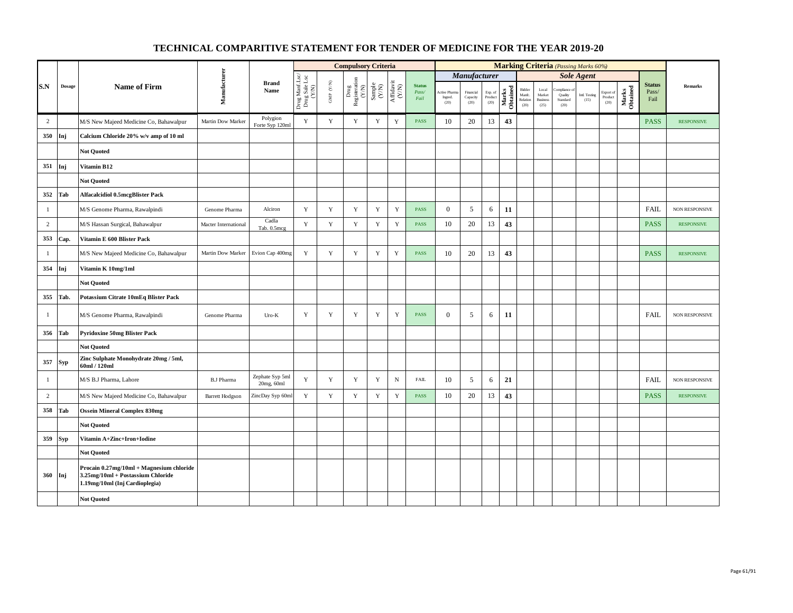|                |            |                                                                                                                 |                                   |                               |                                          |                          | <b>Compulsory Criteria</b>                                  |                                                              |                                      |                                |                                |                               |                            |                   |                                      |                                            | <b>Marking Criteria</b> (Passing Marks 60%) |                       |                                               |                   |                                |                   |
|----------------|------------|-----------------------------------------------------------------------------------------------------------------|-----------------------------------|-------------------------------|------------------------------------------|--------------------------|-------------------------------------------------------------|--------------------------------------------------------------|--------------------------------------|--------------------------------|--------------------------------|-------------------------------|----------------------------|-------------------|--------------------------------------|--------------------------------------------|---------------------------------------------|-----------------------|-----------------------------------------------|-------------------|--------------------------------|-------------------|
|                |            |                                                                                                                 |                                   |                               |                                          |                          |                                                             |                                                              |                                      |                                |                                | Manufacturer                  |                            |                   |                                      |                                            |                                             | <b>Sole Agent</b>     |                                               |                   |                                |                   |
| S.N            | Dosage     | <b>Name of Firm</b>                                                                                             | Manufacturer                      | <b>Brand</b><br>Name          | Drug Manf.Lsc/<br>Drug Sale Lsc<br>(Y/N) | ${\rm GMP}$ ${\rm (YN)}$ | Drug<br>Registeration $\stackrel{\text{N}}{\left(N\right)}$ | $\begin{array}{c} \text{Sample} \\ (\text{Y/N}) \end{array}$ | $\frac{\text{Affdavit}}{\text{N/N}}$ | <b>Status</b><br>Pass/<br>Fail | Active Phan<br>Ingred.<br>(20) | Financial<br>Capacity<br>(20) | Exp. of<br>Product<br>(20) | Marks<br>Obtained | Bidder<br>Manfe.<br>Relation<br>(20) | Local<br>Market<br><b>Business</b><br>(25) | mpliance<br>Quality<br>Standard<br>(20)     | Intl. Testing<br>(15) | $\operatorname{Export}$ of<br>Product<br>(20) | Marks<br>Obtained | <b>Status</b><br>Pass/<br>Fail | <b>Remarks</b>    |
| $\overline{2}$ |            | M/S New Majeed Medicine Co, Bahawalpur                                                                          | Martin Dow Marker                 | Polygion<br>Forte Syp 120ml   | Y                                        | $\mathbf Y$              | $\mathbf Y$                                                 | $\mathbf Y$                                                  | $\mathbf Y$                          | <b>PASS</b>                    | 10                             | 20                            | 13                         | 43                |                                      |                                            |                                             |                       |                                               |                   | <b>PASS</b>                    | <b>RESPONSIVE</b> |
| 350            | Inj        | Calcium Chloride 20% w/v amp of 10 ml                                                                           |                                   |                               |                                          |                          |                                                             |                                                              |                                      |                                |                                |                               |                            |                   |                                      |                                            |                                             |                       |                                               |                   |                                |                   |
|                |            | <b>Not Quoted</b>                                                                                               |                                   |                               |                                          |                          |                                                             |                                                              |                                      |                                |                                |                               |                            |                   |                                      |                                            |                                             |                       |                                               |                   |                                |                   |
| 351            | Inj        | Vitamin B12                                                                                                     |                                   |                               |                                          |                          |                                                             |                                                              |                                      |                                |                                |                               |                            |                   |                                      |                                            |                                             |                       |                                               |                   |                                |                   |
|                |            | <b>Not Quoted</b>                                                                                               |                                   |                               |                                          |                          |                                                             |                                                              |                                      |                                |                                |                               |                            |                   |                                      |                                            |                                             |                       |                                               |                   |                                |                   |
| 352            | Tab        | <b>Alfacalcidiol 0.5mcgBlister Pack</b>                                                                         |                                   |                               |                                          |                          |                                                             |                                                              |                                      |                                |                                |                               |                            |                   |                                      |                                            |                                             |                       |                                               |                   |                                |                   |
| $\mathbf{1}$   |            | M/S Genome Pharma, Rawalpindi                                                                                   | Genome Pharma                     | Alciron                       | Y                                        | $\mathbf Y$              | Y                                                           | $\mathbf Y$                                                  | $\mathbf Y$                          | <b>PASS</b>                    | $\mathbf{0}$                   | 5                             | 6                          | 11                |                                      |                                            |                                             |                       |                                               |                   | <b>FAIL</b>                    | NON RESPONSIVE    |
| 2              |            | M/S Hassan Surgical, Bahawalpur                                                                                 | Macter International              | Cadla<br>Tab. 0.5mcg          | Y                                        | $\mathbf Y$              | $\mathbf Y$                                                 | $\mathbf Y$                                                  | $\mathbf Y$                          | <b>PASS</b>                    | 10                             | 20                            | 13                         | 43                |                                      |                                            |                                             |                       |                                               |                   | <b>PASS</b>                    | <b>RESPONSIVE</b> |
| 353            | Cap.       | Vitamin E 600 Blister Pack                                                                                      |                                   |                               |                                          |                          |                                                             |                                                              |                                      |                                |                                |                               |                            |                   |                                      |                                            |                                             |                       |                                               |                   |                                |                   |
| $\mathbf{1}$   |            | M/S New Majeed Medicine Co, Bahawalpur                                                                          | Martin Dow Marker Evion Cap 400mg |                               | Y                                        | $\mathbf Y$              | $\mathbf Y$                                                 | $\mathbf Y$                                                  | $\mathbf Y$                          | PASS                           | 10                             | 20                            | 13                         | 43                |                                      |                                            |                                             |                       |                                               |                   | <b>PASS</b>                    | <b>RESPONSIVE</b> |
| 354            | Inj        | Vitamin K 10mg/1ml                                                                                              |                                   |                               |                                          |                          |                                                             |                                                              |                                      |                                |                                |                               |                            |                   |                                      |                                            |                                             |                       |                                               |                   |                                |                   |
|                |            | <b>Not Quoted</b>                                                                                               |                                   |                               |                                          |                          |                                                             |                                                              |                                      |                                |                                |                               |                            |                   |                                      |                                            |                                             |                       |                                               |                   |                                |                   |
| 355            | Tab.       | Potassium Citrate 10mEq Blister Pack                                                                            |                                   |                               |                                          |                          |                                                             |                                                              |                                      |                                |                                |                               |                            |                   |                                      |                                            |                                             |                       |                                               |                   |                                |                   |
| $\mathbf{1}$   |            | M/S Genome Pharma, Rawalpindi                                                                                   | Genome Pharma                     | $Uro-K$                       | Y                                        | $\mathbf Y$              | Y                                                           | $\mathbf Y$                                                  | $\mathbf Y$                          | <b>PASS</b>                    | $\mathbf{0}$                   | 5                             | 6                          | 11                |                                      |                                            |                                             |                       |                                               |                   | <b>FAIL</b>                    | NON RESPONSIVE    |
| 356            | Tab        | <b>Pyridoxine 50mg Blister Pack</b>                                                                             |                                   |                               |                                          |                          |                                                             |                                                              |                                      |                                |                                |                               |                            |                   |                                      |                                            |                                             |                       |                                               |                   |                                |                   |
|                |            | <b>Not Quoted</b>                                                                                               |                                   |                               |                                          |                          |                                                             |                                                              |                                      |                                |                                |                               |                            |                   |                                      |                                            |                                             |                       |                                               |                   |                                |                   |
| 357            | <b>Syp</b> | Zinc Sulphate Monohydrate 20mg / 5ml,<br>60ml / 120ml                                                           |                                   |                               |                                          |                          |                                                             |                                                              |                                      |                                |                                |                               |                            |                   |                                      |                                            |                                             |                       |                                               |                   |                                |                   |
| $\mathbf{1}$   |            | M/S B.J Pharma, Lahore                                                                                          | <b>B.J Pharma</b>                 | Zephate Syp 5ml<br>20mg, 60ml | $\mathbf Y$                              | Y                        | Y                                                           | Y                                                            | $\, {\bf N}$                         | <b>FAIL</b>                    | 10                             | 5                             | 6                          | 21                |                                      |                                            |                                             |                       |                                               |                   | <b>FAIL</b>                    | NON RESPONSIVE    |
| $\overline{2}$ |            | M/S New Majeed Medicine Co, Bahawalpur                                                                          | <b>Barrett Hodgson</b>            | ZincDay Syp 60m               | $\mathbf Y$                              | $\mathbf Y$              | $\mathbf Y$                                                 | $\mathbf Y$                                                  | $\mathbf Y$                          | PASS                           | 10                             | 20                            | 13                         | 43                |                                      |                                            |                                             |                       |                                               |                   | <b>PASS</b>                    | <b>RESPONSIVE</b> |
| 358            | Tab        | <b>Ossein Mineral Complex 830mg</b>                                                                             |                                   |                               |                                          |                          |                                                             |                                                              |                                      |                                |                                |                               |                            |                   |                                      |                                            |                                             |                       |                                               |                   |                                |                   |
|                |            | <b>Not Quoted</b>                                                                                               |                                   |                               |                                          |                          |                                                             |                                                              |                                      |                                |                                |                               |                            |                   |                                      |                                            |                                             |                       |                                               |                   |                                |                   |
| 359            | <b>Syp</b> | Vitamin A+Zinc+Iron+Iodine                                                                                      |                                   |                               |                                          |                          |                                                             |                                                              |                                      |                                |                                |                               |                            |                   |                                      |                                            |                                             |                       |                                               |                   |                                |                   |
|                |            | <b>Not Ouoted</b>                                                                                               |                                   |                               |                                          |                          |                                                             |                                                              |                                      |                                |                                |                               |                            |                   |                                      |                                            |                                             |                       |                                               |                   |                                |                   |
| 360 Inj        |            | Procain 0.27mg/10ml + Magnesium chloride<br>3.25mg/10ml + Postassium Chloride<br>1.19mg/10ml (Inj Cardioplegia) |                                   |                               |                                          |                          |                                                             |                                                              |                                      |                                |                                |                               |                            |                   |                                      |                                            |                                             |                       |                                               |                   |                                |                   |
|                |            | <b>Not Quoted</b>                                                                                               |                                   |                               |                                          |                          |                                                             |                                                              |                                      |                                |                                |                               |                            |                   |                                      |                                            |                                             |                       |                                               |                   |                                |                   |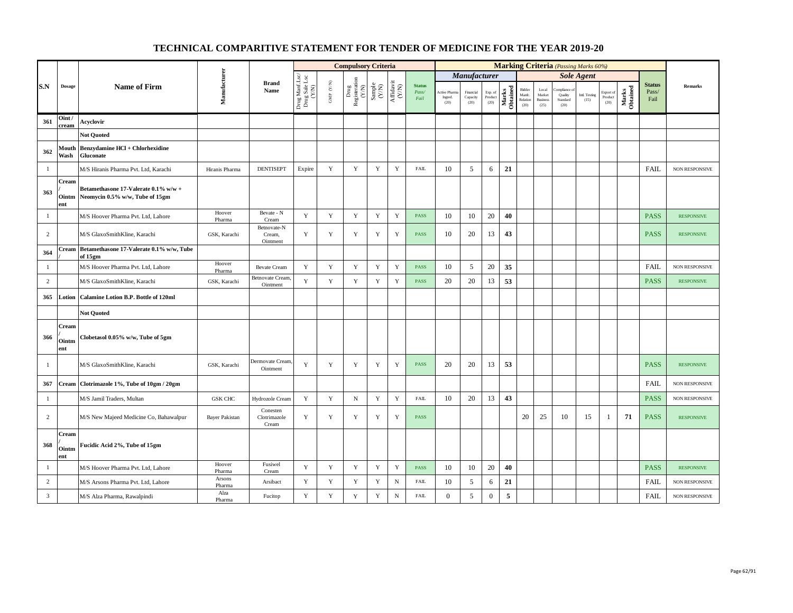|                |                       |                                                                         |                       |                                   |                                          |                                         | <b>Compulsory Criteria</b>                                                                  |                                                              |                                                                              |                                |                                 |                               |                            |                   |                                      |                                            | <b>Marking Criteria</b> (Passing Marks 60%) |                       |                              |                   |                                |                       |
|----------------|-----------------------|-------------------------------------------------------------------------|-----------------------|-----------------------------------|------------------------------------------|-----------------------------------------|---------------------------------------------------------------------------------------------|--------------------------------------------------------------|------------------------------------------------------------------------------|--------------------------------|---------------------------------|-------------------------------|----------------------------|-------------------|--------------------------------------|--------------------------------------------|---------------------------------------------|-----------------------|------------------------------|-------------------|--------------------------------|-----------------------|
|                |                       |                                                                         |                       |                                   |                                          |                                         |                                                                                             |                                                              |                                                                              |                                |                                 | Manufacturer                  |                            |                   |                                      |                                            |                                             | <b>Sole Agent</b>     |                              |                   |                                |                       |
| S.N            | <b>Dosage</b>         | <b>Name of Firm</b>                                                     | Manufacturer          | <b>Brand</b><br>Name              | Drug Manf.Lsc/<br>Drug Sale Lsc<br>(Y/N) | $\ensuremath{\mathsf{GMP}}\xspace$ (YN) | $\begin{tabular}{c} \bf \textit{Drug} \\ \bf \textit{Resisteration} \\ (Y/N) \end{tabular}$ | $\begin{array}{c} \text{Sample} \\ (\text{Y/N}) \end{array}$ | $\begin{array}{c} \mathrm{Aff} \mathrm{davit} \\ (\mathrm{Y/N}) \end{array}$ | <b>Status</b><br>Pass/<br>Fail | Active Pharr<br>Ingred.<br>(20) | Financial<br>Capacity<br>(20) | Exp. of<br>Product<br>(20) | Marks<br>Obtained | Bidder<br>Manfc.<br>Relation<br>(20) | Local<br>Market<br><b>Business</b><br>(25) | mpliance<br>Quality<br>Standard<br>(20)     | Intl. Testing<br>(15) | Export of<br>Product<br>(20) | Marks<br>Obtained | <b>Status</b><br>Pass/<br>Fail | Remarks               |
| 361            | Oint/<br>cream        | Acyclovir                                                               |                       |                                   |                                          |                                         |                                                                                             |                                                              |                                                                              |                                |                                 |                               |                            |                   |                                      |                                            |                                             |                       |                              |                   |                                |                       |
|                |                       | <b>Not Quoted</b>                                                       |                       |                                   |                                          |                                         |                                                                                             |                                                              |                                                                              |                                |                                 |                               |                            |                   |                                      |                                            |                                             |                       |                              |                   |                                |                       |
| 362            | Mouth<br>Wash         | Benzydamine HCl + Chlorhexidine<br><b>Gluconate</b>                     |                       |                                   |                                          |                                         |                                                                                             |                                                              |                                                                              |                                |                                 |                               |                            |                   |                                      |                                            |                                             |                       |                              |                   |                                |                       |
| -1             |                       | M/S Hiranis Pharma Pvt. Ltd, Karachi                                    | Hiranis Pharma        | <b>DENTISEPT</b>                  | Expire                                   | $\mathbf Y$                             | $\mathbf Y$                                                                                 | Y                                                            | $\mathbf Y$                                                                  | <b>FAIL</b>                    | 10                              | 5                             | 6                          | 21                |                                      |                                            |                                             |                       |                              |                   | FAIL                           | NON RESPONSIVE        |
| 363            | Cream<br>Ointm<br>ent | Betamethasone 17-Valerate 0.1% w/w +<br>Neomycin 0.5% w/w, Tube of 15gm |                       |                                   |                                          |                                         |                                                                                             |                                                              |                                                                              |                                |                                 |                               |                            |                   |                                      |                                            |                                             |                       |                              |                   |                                |                       |
| $\mathbf{1}$   |                       | M/S Hoover Pharma Pvt. Ltd, Lahore                                      | Hoover<br>Pharma      | Bevate - N<br>Cream               | $\mathbf Y$                              | $\mathbf Y$                             | $\mathbf Y$                                                                                 | $\mathbf Y$                                                  | $\mathbf Y$                                                                  | <b>PASS</b>                    | 10                              | 10                            | 20                         | 40                |                                      |                                            |                                             |                       |                              |                   | <b>PASS</b>                    | <b>RESPONSIVE</b>     |
| $\overline{c}$ |                       | M/S GlaxoSmithKline, Karachi                                            | GSK, Karachi          | Betnovate-N<br>Cream,<br>Ointment | Y                                        | $\mathbf Y$                             | Y                                                                                           | $\mathbf Y$                                                  | $\mathbf Y$                                                                  | <b>PASS</b>                    | 10                              | 20                            | 13                         | 43                |                                      |                                            |                                             |                       |                              |                   | <b>PASS</b>                    | <b>RESPONSIVE</b>     |
| 364            | Cream                 | Betamethasone 17-Valerate 0.1% w/w, Tube<br>of 15gm                     |                       |                                   |                                          |                                         |                                                                                             |                                                              |                                                                              |                                |                                 |                               |                            |                   |                                      |                                            |                                             |                       |                              |                   |                                |                       |
| $\mathbf{1}$   |                       | M/S Hoover Pharma Pvt. Ltd, Lahore                                      | Hoover<br>Pharma      | <b>Bevate Cream</b>               | $\mathbf Y$                              | $\mathbf Y$                             | $\mathbf Y$                                                                                 | $\mathbf Y$                                                  | $\mathbf Y$                                                                  | PASS                           | 10                              | 5                             | 20                         | 35                |                                      |                                            |                                             |                       |                              |                   | FAIL                           | NON RESPONSIVE        |
| 2              |                       | M/S GlaxoSmithKline, Karachi                                            | GSK, Karachi          | Betnovate Cream,<br>Ointment      | Y                                        | Y                                       | Y                                                                                           | Y                                                            | Y                                                                            | <b>PASS</b>                    | 20                              | 20                            | 13                         | 53                |                                      |                                            |                                             |                       |                              |                   | <b>PASS</b>                    | <b>RESPONSIVE</b>     |
| 365            | Lotion                | Calamine Lotion B.P. Bottle of 120ml                                    |                       |                                   |                                          |                                         |                                                                                             |                                                              |                                                                              |                                |                                 |                               |                            |                   |                                      |                                            |                                             |                       |                              |                   |                                |                       |
|                |                       | <b>Not Quoted</b>                                                       |                       |                                   |                                          |                                         |                                                                                             |                                                              |                                                                              |                                |                                 |                               |                            |                   |                                      |                                            |                                             |                       |                              |                   |                                |                       |
| 366            | Cream<br>Ointm<br>ent | Clobetasol 0.05% w/w, Tube of 5gm                                       |                       |                                   |                                          |                                         |                                                                                             |                                                              |                                                                              |                                |                                 |                               |                            |                   |                                      |                                            |                                             |                       |                              |                   |                                |                       |
| -1             |                       | M/S GlaxoSmithKline, Karachi                                            | GSK, Karachi          | Dermovate Cream<br>Ointment       | Y                                        | $\mathbf Y$                             | $\mathbf Y$                                                                                 | $\mathbf Y$                                                  | $\mathbf Y$                                                                  | <b>PASS</b>                    | 20                              | 20                            | 13                         | 53                |                                      |                                            |                                             |                       |                              |                   | <b>PASS</b>                    | <b>RESPONSIVE</b>     |
| 367            | Cream                 | Clotrimazole 1%, Tube of 10gm / 20gm                                    |                       |                                   |                                          |                                         |                                                                                             |                                                              |                                                                              |                                |                                 |                               |                            |                   |                                      |                                            |                                             |                       |                              |                   | <b>FAIL</b>                    | NON RESPONSIVE        |
| $\mathbf{1}$   |                       | M/S Jamil Traders, Multan                                               | <b>GSK CHC</b>        | Hydrozole Cream                   | Y                                        | $\mathbf Y$                             | $_{\rm N}$                                                                                  | $\mathbf Y$                                                  | $\mathbf Y$                                                                  | <b>FAIL</b>                    | 10                              | 20                            | 13                         | 43                |                                      |                                            |                                             |                       |                              |                   | <b>PASS</b>                    | <b>NON RESPONSIVE</b> |
| $\overline{2}$ |                       | M/S New Majeed Medicine Co, Bahawalpur                                  | <b>Bayer Pakistan</b> | Conesten<br>Clotrimazole<br>Cream | $\mathbf Y$                              | $\mathbf Y$                             | Y                                                                                           | $\mathbf Y$                                                  | $\mathbf Y$                                                                  | <b>PASS</b>                    |                                 |                               |                            |                   | 20                                   | 25                                         | 10                                          | 15                    | -1                           | 71                | <b>PASS</b>                    | <b>RESPONSIVE</b>     |
| 368            | Cream<br>Ointm<br>ent | Fucidic Acid 2%, Tube of 15gm                                           |                       |                                   |                                          |                                         |                                                                                             |                                                              |                                                                              |                                |                                 |                               |                            |                   |                                      |                                            |                                             |                       |                              |                   |                                |                       |
| $\mathbf{1}$   |                       | M/S Hoover Pharma Pvt. Ltd, Lahore                                      | Hoover<br>Pharma      | Fusiwel<br>Cream                  | Y                                        | Y                                       | $\mathbf Y$                                                                                 | Y                                                            | $\mathbf Y$                                                                  | <b>PASS</b>                    | 10                              | 10                            | 20                         | 40                |                                      |                                            |                                             |                       |                              |                   | <b>PASS</b>                    | <b>RESPONSIVE</b>     |
| $\overline{c}$ |                       | M/S Arsons Pharma Pvt. Ltd, Lahore                                      | Arsons<br>Pharma      | Arsibact                          | Y                                        | Y                                       | Y                                                                                           | Y                                                            | ${\bf N}$                                                                    | <b>FAIL</b>                    | 10                              | 5                             | 6                          | 21                |                                      |                                            |                                             |                       |                              |                   | <b>FAIL</b>                    | <b>NON RESPONSIVE</b> |
| $\mathbf{3}$   |                       | M/S Alza Pharma, Rawalpindi                                             | Alza<br>Pharma        | Fucitop                           | $\mathbf Y$                              | $\mathbf Y$                             | $\mathbf Y$                                                                                 | $\mathbf Y$                                                  | $\, {\rm N}$                                                                 | <b>FAIL</b>                    | $\overline{0}$                  | 5                             | $\boldsymbol{0}$           | $\mathbf{5}$      |                                      |                                            |                                             |                       |                              |                   | FAIL                           | NON RESPONSIVE        |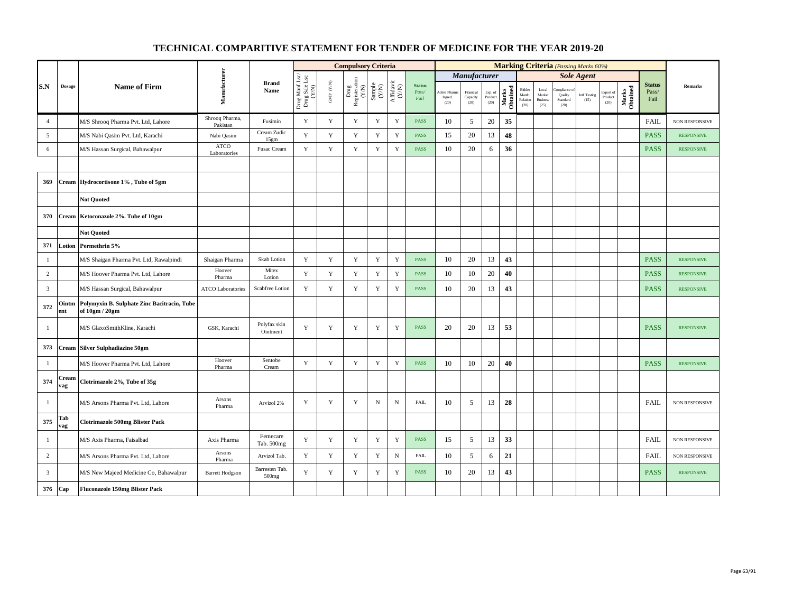|                |              |                                                               |                             |                                     |                                          |                                          | <b>Compulsory Criteria</b>                                                   |                                                              |                                      |                                |                                         |                               |                            |                   |                                      |                                            | <b>Marking Criteria</b> (Passing Marks 60%) |                       |                              |                   |                                |                       |
|----------------|--------------|---------------------------------------------------------------|-----------------------------|-------------------------------------|------------------------------------------|------------------------------------------|------------------------------------------------------------------------------|--------------------------------------------------------------|--------------------------------------|--------------------------------|-----------------------------------------|-------------------------------|----------------------------|-------------------|--------------------------------------|--------------------------------------------|---------------------------------------------|-----------------------|------------------------------|-------------------|--------------------------------|-----------------------|
|                |              |                                                               |                             |                                     |                                          |                                          |                                                                              |                                                              |                                      |                                |                                         | <b>Manufacturer</b>           |                            |                   |                                      |                                            |                                             | <b>Sole Agent</b>     |                              |                   |                                |                       |
| S.N            | Dosage       | <b>Name of Firm</b>                                           | Manufacturer                | <b>Brand</b><br>Name                | Drug Manf.Lsc/<br>Drug Sale Lsc<br>(Y/N) | $\ensuremath{\mathrm{GMP}}\xspace$ (Y/N) | $\begin{array}{c} \rm{Drag} \\ \rm{Registeration} \\ \rm{(Y/N)} \end{array}$ | $\begin{array}{c} \text{Sample} \\ (\text{Y/N}) \end{array}$ | $\frac{\text{Affdavit}}{\text{N/N}}$ | <b>Status</b><br>Pass/<br>Fail | <b>Active Pharms</b><br>Ingred.<br>(20) | Financial<br>Capacity<br>(20) | Exp. of<br>Product<br>(20) | Marks<br>Obtained | Bidder<br>Manfc.<br>Relation<br>(20) | Local<br>Market<br><b>Business</b><br>(25) | ompliance<br>Quality<br>Standard<br>(20)    | Intl. Testing<br>(15) | Export of<br>Product<br>(20) | Marks<br>Obtained | <b>Status</b><br>Pass/<br>Fail | <b>Remarks</b>        |
| $\overline{4}$ |              | M/S Shrooq Pharma Pvt. Ltd, Lahore                            | Shrooq Pharma,<br>Pakistan  | Fusimin                             | Y                                        | Y                                        | Y                                                                            | Y                                                            | Y                                    | <b>PASS</b>                    | 10                                      | 5                             | 20                         | 35                |                                      |                                            |                                             |                       |                              |                   | <b>FAIL</b>                    | <b>NON RESPONSIVE</b> |
| 5              |              | M/S Nabi Qasim Pvt. Ltd, Karachi                              | Nabi Qasim                  | Cream Zudic<br>15gm                 | Y                                        | Y                                        | Y                                                                            | $\mathbf Y$                                                  | Y                                    | <b>PASS</b>                    | 15                                      | 20                            | 13                         | 48                |                                      |                                            |                                             |                       |                              |                   | <b>PASS</b>                    | <b>RESPONSIVE</b>     |
| 6              |              | M/S Hassan Surgical, Bahawalpur                               | <b>ATCO</b><br>Laboratories | Fusac Cream                         | Y                                        | Y                                        | $\mathbf Y$                                                                  | Y                                                            | $\mathbf Y$                          | <b>PASS</b>                    | 10                                      | 20                            | 6                          | 36                |                                      |                                            |                                             |                       |                              |                   | <b>PASS</b>                    | <b>RESPONSIVE</b>     |
|                |              |                                                               |                             |                                     |                                          |                                          |                                                                              |                                                              |                                      |                                |                                         |                               |                            |                   |                                      |                                            |                                             |                       |                              |                   |                                |                       |
| 369            | <b>Cream</b> | Hydrocortisone 1%, Tube of 5gm                                |                             |                                     |                                          |                                          |                                                                              |                                                              |                                      |                                |                                         |                               |                            |                   |                                      |                                            |                                             |                       |                              |                   |                                |                       |
|                |              | <b>Not Quoted</b>                                             |                             |                                     |                                          |                                          |                                                                              |                                                              |                                      |                                |                                         |                               |                            |                   |                                      |                                            |                                             |                       |                              |                   |                                |                       |
| 370            | <b>Cream</b> | Ketoconazole 2%. Tube of 10gm                                 |                             |                                     |                                          |                                          |                                                                              |                                                              |                                      |                                |                                         |                               |                            |                   |                                      |                                            |                                             |                       |                              |                   |                                |                       |
|                |              | <b>Not Quoted</b>                                             |                             |                                     |                                          |                                          |                                                                              |                                                              |                                      |                                |                                         |                               |                            |                   |                                      |                                            |                                             |                       |                              |                   |                                |                       |
| 371            | Lotion       | Permethrin 5%                                                 |                             |                                     |                                          |                                          |                                                                              |                                                              |                                      |                                |                                         |                               |                            |                   |                                      |                                            |                                             |                       |                              |                   |                                |                       |
| $\mathbf{1}$   |              | M/S Shaigan Pharma Pvt. Ltd, Rawalpindi                       | Shaigan Pharma              | Skab Lotion                         | $\mathbf Y$                              | $\mathbf Y$                              | $\mathbf Y$                                                                  | $\mathbf Y$                                                  | $\mathbf Y$                          | <b>PASS</b>                    | 10                                      | 20                            | 13                         | 43                |                                      |                                            |                                             |                       |                              |                   | <b>PASS</b>                    | <b>RESPONSIVE</b>     |
| $\overline{c}$ |              | M/S Hoover Pharma Pvt. Ltd, Lahore                            | Hoover<br>Pharma            | Mitex<br>Lotion                     | Y                                        | $\mathbf Y$                              | $\mathbf Y$                                                                  | $\mathbf Y$                                                  | $\mathbf Y$                          | PASS                           | 10                                      | 10                            | 20                         | 40                |                                      |                                            |                                             |                       |                              |                   | <b>PASS</b>                    | <b>RESPONSIVE</b>     |
| $\overline{3}$ |              | M/S Hassan Surgical, Bahawalpur                               | <b>ATCO Laboratories</b>    | Scabfree Lotion                     | $\mathbf Y$                              | $\mathbf Y$                              | $\mathbf Y$                                                                  | $\mathbf Y$                                                  | $\mathbf Y$                          | <b>PASS</b>                    | 10                                      | 20                            | 13                         | 43                |                                      |                                            |                                             |                       |                              |                   | <b>PASS</b>                    | <b>RESPONSIVE</b>     |
| 372            | Ointm<br>ent | Polymyxin B. Sulphate Zinc Bacitracin, Tube<br>of 10gm / 20gm |                             |                                     |                                          |                                          |                                                                              |                                                              |                                      |                                |                                         |                               |                            |                   |                                      |                                            |                                             |                       |                              |                   |                                |                       |
| $\mathbf{1}$   |              | M/S GlaxoSmithKline, Karachi                                  | GSK, Karachi                | Polyfax skin<br>Ointment            | Y                                        | $\mathbf Y$                              | Y                                                                            | Y                                                            | Y                                    | PASS                           | 20                                      | 20                            | 13                         | 53                |                                      |                                            |                                             |                       |                              |                   | <b>PASS</b>                    | <b>RESPONSIVE</b>     |
| 373            |              | Cream Silver Sulphadiazine 50gm                               |                             |                                     |                                          |                                          |                                                                              |                                                              |                                      |                                |                                         |                               |                            |                   |                                      |                                            |                                             |                       |                              |                   |                                |                       |
| -1             |              | M/S Hoover Pharma Pvt. Ltd, Lahore                            | Hoover<br>Pharma            | Sentobe<br>Cream                    | Y                                        | Y                                        | Y                                                                            | $\mathbf Y$                                                  | $\mathbf Y$                          | <b>PASS</b>                    | 10                                      | 10                            | 20                         | 40                |                                      |                                            |                                             |                       |                              |                   | <b>PASS</b>                    | <b>RESPONSIVE</b>     |
| 374            | Cream<br>vag | Clotrimazole 2%, Tube of 35g                                  |                             |                                     |                                          |                                          |                                                                              |                                                              |                                      |                                |                                         |                               |                            |                   |                                      |                                            |                                             |                       |                              |                   |                                |                       |
| -1             |              | M/S Arsons Pharma Pvt. Ltd, Lahore                            | Arsons<br>Pharma            | Arvizol 2%                          | Y                                        | Y                                        | Y                                                                            | $\mathbf N$                                                  | $_{\rm N}$                           | <b>FAIL</b>                    | 10                                      | 5                             | 13                         | 28                |                                      |                                            |                                             |                       |                              |                   | <b>FAIL</b>                    | <b>NON RESPONSIVE</b> |
| 375            | Tab<br>vag   | <b>Clotrimazole 500mg Blister Pack</b>                        |                             |                                     |                                          |                                          |                                                                              |                                                              |                                      |                                |                                         |                               |                            |                   |                                      |                                            |                                             |                       |                              |                   |                                |                       |
| $\mathbf{1}$   |              | M/S Axis Pharma, Faisalbad                                    | Axis Pharma                 | Femecare<br>Tab. 500mg              | $\mathbf Y$                              | $\mathbf Y$                              | $\mathbf Y$                                                                  | $\mathbf Y$                                                  | $\mathbf Y$                          | PASS                           | 15                                      | 5                             | 13                         | 33                |                                      |                                            |                                             |                       |                              |                   | <b>FAIL</b>                    | <b>NON RESPONSIVE</b> |
| $\overline{c}$ |              | M/S Arsons Pharma Pvt. Ltd, Lahore                            | Arsons<br>Pharma            | Arvizol Tab.                        | Y                                        | $\mathbf Y$                              | $\mathbf Y$                                                                  | $\mathbf Y$                                                  | $_{\rm N}$                           | FAIL                           | 10                                      | 5                             | 6                          | 21                |                                      |                                            |                                             |                       |                              |                   | <b>FAIL</b>                    | NON RESPONSIVE        |
| $\mathbf{3}$   |              | M/S New Majeed Medicine Co, Bahawalpur                        | <b>Barrett Hodgson</b>      | Barresten Tab.<br>500 <sub>mg</sub> | Y                                        | Y                                        | Y                                                                            | Y                                                            | Y                                    | <b>PASS</b>                    | 10                                      | 20                            | 13                         | 43                |                                      |                                            |                                             |                       |                              |                   | <b>PASS</b>                    | <b>RESPONSIVE</b>     |
| 376            | Cap          | <b>Fluconazole 150mg Blister Pack</b>                         |                             |                                     |                                          |                                          |                                                                              |                                                              |                                      |                                |                                         |                               |                            |                   |                                      |                                            |                                             |                       |                              |                   |                                |                       |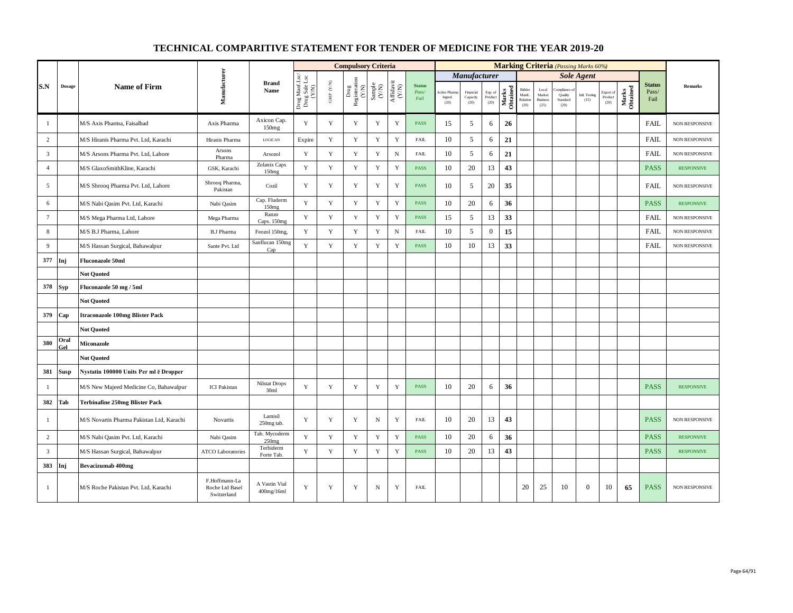|                 |               |                                           |                                                 |                                          |                                          |                          | <b>Compulsory Criteria</b>    |                                                            |                                                                              |                                |                                |                               |                            |                   |                                      |                                                     | <b>Marking Criteria</b> (Passing Marks 60%) |                       |                              |                   |                                |                       |
|-----------------|---------------|-------------------------------------------|-------------------------------------------------|------------------------------------------|------------------------------------------|--------------------------|-------------------------------|------------------------------------------------------------|------------------------------------------------------------------------------|--------------------------------|--------------------------------|-------------------------------|----------------------------|-------------------|--------------------------------------|-----------------------------------------------------|---------------------------------------------|-----------------------|------------------------------|-------------------|--------------------------------|-----------------------|
|                 |               |                                           |                                                 |                                          |                                          |                          |                               |                                                            |                                                                              |                                |                                | Manufacturer                  |                            |                   |                                      |                                                     |                                             | <b>Sole Agent</b>     |                              |                   |                                |                       |
| S.N             | <b>Dosage</b> | <b>Name of Firm</b>                       | Manufacturer                                    | <b>Brand</b><br>Name                     | Drug Manf.Lsc/<br>Drug Sale Lsc<br>(Y/N) | ${\rm GMP}$ ${\rm (YN)}$ | Drug<br>Registeration $(Y/N)$ | $\begin{array}{c} \text{Sample} \\ \text{CAN} \end{array}$ | $\begin{array}{c} \mathrm{Aff} \mathrm{davit} \\ (\mathrm{Y/N}) \end{array}$ | <b>Status</b><br>Pass/<br>Fail | Active Phan<br>Ingred.<br>(20) | Financial<br>Capacity<br>(20) | Exp. of<br>Product<br>(20) | Marks<br>Obtained | Bidder<br>Manfc.<br>Relation<br>(20) | $_{\rm Local}$<br>Market<br><b>Business</b><br>(25) | mpliance<br>Quality<br>Standard<br>(20)     | Intl. Testing<br>(15) | Export of<br>Product<br>(20) | Marks<br>Obtained | <b>Status</b><br>Pass/<br>Fail | <b>Remarks</b>        |
| -1              |               | M/S Axis Pharma, Faisalbad                | Axis Pharma                                     | Axicon Cap.<br>150mg                     | Y                                        | $\mathbf Y$              | Y                             | $\mathbf Y$                                                | Y                                                                            | <b>PASS</b>                    | 15                             | 5                             | 6                          | 26                |                                      |                                                     |                                             |                       |                              |                   | <b>FAIL</b>                    | <b>NON RESPONSIVE</b> |
| $\overline{c}$  |               | M/S Hiranis Pharma Pvt. Ltd, Karachi      | Hiranis Pharma                                  | LOGICAN                                  | Expire                                   | Y                        | Y                             | $\mathbf Y$                                                | Y                                                                            | <b>FAIL</b>                    | 10                             | 5                             | 6                          | 21                |                                      |                                                     |                                             |                       |                              |                   | <b>FAIL</b>                    | NON RESPONSIVE        |
| $\overline{3}$  |               | M/S Arsons Pharma Pvt. Ltd, Lahore        | Arsons<br>Pharma                                | Arsozol                                  | $\mathbf Y$                              | $\mathbf Y$              | $\mathbf Y$                   | $\mathbf Y$                                                | $_{\rm N}$                                                                   | FAIL                           | 10                             | 5                             | 6                          | 21                |                                      |                                                     |                                             |                       |                              |                   | FAIL                           | NON RESPONSIVE        |
| $\overline{4}$  |               | M/S GlaxoSmithKline, Karachi              | GSK, Karachi                                    | Zolanix Caps<br>150mg                    | Y                                        | Y                        | Y                             | $\mathbf Y$                                                | $\mathbf Y$                                                                  | <b>PASS</b>                    | 10                             | 20                            | 13                         | 43                |                                      |                                                     |                                             |                       |                              |                   | <b>PASS</b>                    | <b>RESPONSIVE</b>     |
| 5               |               | M/S Shrooq Pharma Pvt. Ltd, Lahore        | Shrooq Pharma,<br>Pakistan                      | Cozil                                    | Y                                        | $\mathbf Y$              | Y                             | $\mathbf Y$                                                | $\mathbf Y$                                                                  | PASS                           | 10                             | 5                             | 20                         | 35                |                                      |                                                     |                                             |                       |                              |                   | <b>FAIL</b>                    | <b>NON RESPONSIVE</b> |
| 6               |               | M/S Nabi Qasim Pvt. Ltd, Karachi          | Nabi Qasim                                      | Cap. Fluderm<br>150mg                    | Y                                        | $\mathbf Y$              | $\mathbf Y$                   | Y                                                          | $\mathbf Y$                                                                  | PASS                           | 10                             | 20                            | 6                          | 36                |                                      |                                                     |                                             |                       |                              |                   | <b>PASS</b>                    | <b>RESPONSIVE</b>     |
| $7\phantom{.0}$ |               | M/S Mega Pharma Ltd, Lahore               | Mega Pharma                                     | Ranzo<br>Caps. 150mg                     | Y                                        | $\mathbf Y$              | $\mathbf Y$                   | $\mathbf Y$                                                | $\mathbf Y$                                                                  | PASS                           | 15                             | 5                             | 13                         | 33                |                                      |                                                     |                                             |                       |                              |                   | <b>FAIL</b>                    | NON RESPONSIVE        |
| 8               |               | M/S B.J Pharma, Lahore                    | <b>B.J Pharma</b>                               | Feozol 150mg,                            | Y                                        | $\mathbf Y$              | $\mathbf Y$                   | $\mathbf Y$                                                | ${\rm N}$                                                                    | FAIL                           | 10                             | 5                             | $\mathbf{0}$               | 15                |                                      |                                                     |                                             |                       |                              |                   | FAIL                           | NON RESPONSIVE        |
| 9               |               | M/S Hassan Surgical, Bahawalpur           | Sante Pvt. Ltd                                  | Sanflucan 150mg<br>Cap                   | Y                                        | $\mathbf Y$              | $\mathbf Y$                   | $\mathbf Y$                                                | $\mathbf Y$                                                                  | PASS                           | 10                             | $10\,$                        | 13                         | 33                |                                      |                                                     |                                             |                       |                              |                   | <b>FAIL</b>                    | NON RESPONSIVE        |
| 377             | Inj           | <b>Fluconazole 50ml</b>                   |                                                 |                                          |                                          |                          |                               |                                                            |                                                                              |                                |                                |                               |                            |                   |                                      |                                                     |                                             |                       |                              |                   |                                |                       |
|                 |               | <b>Not Quoted</b>                         |                                                 |                                          |                                          |                          |                               |                                                            |                                                                              |                                |                                |                               |                            |                   |                                      |                                                     |                                             |                       |                              |                   |                                |                       |
| 378             | Syp           | Fluconazole 50 mg / 5ml                   |                                                 |                                          |                                          |                          |                               |                                                            |                                                                              |                                |                                |                               |                            |                   |                                      |                                                     |                                             |                       |                              |                   |                                |                       |
|                 |               | <b>Not Quoted</b>                         |                                                 |                                          |                                          |                          |                               |                                                            |                                                                              |                                |                                |                               |                            |                   |                                      |                                                     |                                             |                       |                              |                   |                                |                       |
| 379             | Cap           | <b>Itraconazole 100mg Blister Pack</b>    |                                                 |                                          |                                          |                          |                               |                                                            |                                                                              |                                |                                |                               |                            |                   |                                      |                                                     |                                             |                       |                              |                   |                                |                       |
|                 |               | <b>Not Quoted</b>                         |                                                 |                                          |                                          |                          |                               |                                                            |                                                                              |                                |                                |                               |                            |                   |                                      |                                                     |                                             |                       |                              |                   |                                |                       |
| 380             | Oral<br>Gel   | <b>Miconazole</b>                         |                                                 |                                          |                                          |                          |                               |                                                            |                                                                              |                                |                                |                               |                            |                   |                                      |                                                     |                                             |                       |                              |                   |                                |                       |
|                 |               | <b>Not Quoted</b>                         |                                                 |                                          |                                          |                          |                               |                                                            |                                                                              |                                |                                |                               |                            |                   |                                      |                                                     |                                             |                       |                              |                   |                                |                       |
| 381             | <b>Susp</b>   | Nystatin 100000 Units Per ml ē Dropper    |                                                 |                                          |                                          |                          |                               |                                                            |                                                                              |                                |                                |                               |                            |                   |                                      |                                                     |                                             |                       |                              |                   |                                |                       |
| $\mathbf{1}$    |               | M/S New Majeed Medicine Co, Bahawalpur    | <b>ICI</b> Pakistan                             | <b>Nilstat Drops</b><br>30 <sub>ml</sub> | Y                                        | Y                        | $\mathbf Y$                   | Y                                                          | $\mathbf Y$                                                                  | PASS                           | 10                             | 20                            | 6                          | 36                |                                      |                                                     |                                             |                       |                              |                   | <b>PASS</b>                    | <b>RESPONSIVE</b>     |
| 382             | Tab           | <b>Terbinafine 250mg Blister Pack</b>     |                                                 |                                          |                                          |                          |                               |                                                            |                                                                              |                                |                                |                               |                            |                   |                                      |                                                     |                                             |                       |                              |                   |                                |                       |
| -1              |               | M/S Novartis Pharma Pakistan Ltd, Karachi | <b>Novartis</b>                                 | Lamisil<br>250mg tab.                    | Y                                        | Y                        | Y                             | $_{\rm N}$                                                 | Y                                                                            | <b>FAIL</b>                    | 10                             | 20                            | 13                         | 43                |                                      |                                                     |                                             |                       |                              |                   | <b>PASS</b>                    | NON RESPONSIVE        |
| $\overline{c}$  |               | M/S Nabi Qasim Pvt. Ltd, Karachi          | Nabi Qasim                                      | Tab. Mycoderm<br>250mg                   | Y                                        | Y                        | $\mathbf Y$                   | Y                                                          | $\mathbf Y$                                                                  | PASS                           | 10                             | 20                            | 6                          | 36                |                                      |                                                     |                                             |                       |                              |                   | <b>PASS</b>                    | <b>RESPONSIVE</b>     |
| $\overline{3}$  |               | M/S Hassan Surgical, Bahawalpur           | <b>ATCO Laboratories</b>                        | Terbiderm<br>Forte Tab.                  | Y                                        | $\mathbf Y$              | $\mathbf Y$                   | Y                                                          | Y                                                                            | <b>PASS</b>                    | 10                             | 20                            | 13                         | 43                |                                      |                                                     |                                             |                       |                              |                   | <b>PASS</b>                    | <b>RESPONSIVE</b>     |
| 383             | Inj           | <b>Bevacizumab 400mg</b>                  |                                                 |                                          |                                          |                          |                               |                                                            |                                                                              |                                |                                |                               |                            |                   |                                      |                                                     |                                             |                       |                              |                   |                                |                       |
| $\mathbf{1}$    |               | M/S Roche Pakistan Pvt. Ltd, Karachi      | F.Hoffmann-La<br>Roche Ltd Basel<br>Switzerland | A Vastin Vial<br>400mg/16ml              | $\mathbf Y$                              | $\mathbf Y$              | Y                             | ${\bf N}$                                                  | $\mathbf Y$                                                                  | <b>FAIL</b>                    |                                |                               |                            |                   | 20                                   | 25                                                  | 10                                          | $\boldsymbol{0}$      | 10                           | 65                | <b>PASS</b>                    | NON RESPONSIVE        |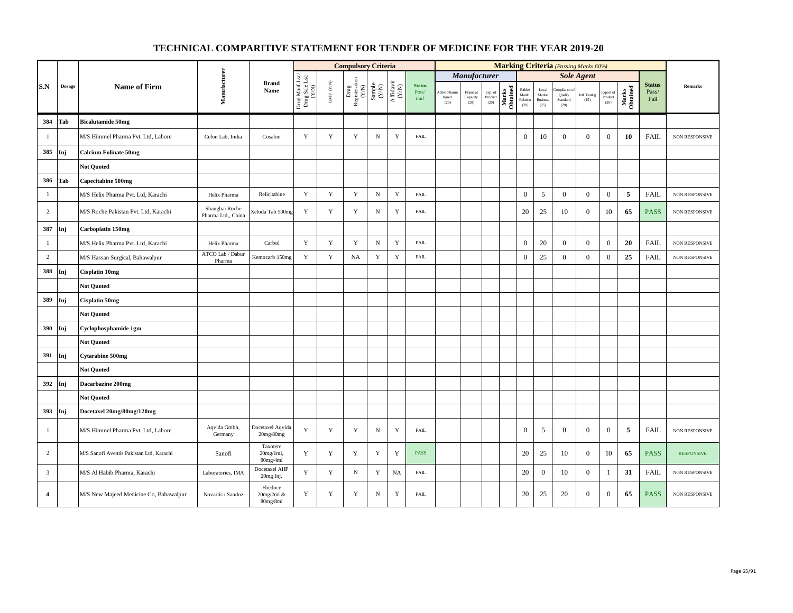|                |        |                                          |                                      |                                      |                                          |                      | <b>Compulsory Criteria</b>                                                      |                                                              |                                      |                                |                                |                               |                            |                   |                                      |                                                     |                                          | <b>Marking Criteria</b> (Passing Marks 60%) |                                                |                   |                                |                   |
|----------------|--------|------------------------------------------|--------------------------------------|--------------------------------------|------------------------------------------|----------------------|---------------------------------------------------------------------------------|--------------------------------------------------------------|--------------------------------------|--------------------------------|--------------------------------|-------------------------------|----------------------------|-------------------|--------------------------------------|-----------------------------------------------------|------------------------------------------|---------------------------------------------|------------------------------------------------|-------------------|--------------------------------|-------------------|
|                |        |                                          |                                      |                                      |                                          |                      |                                                                                 |                                                              |                                      |                                |                                | Manufacturer                  |                            |                   |                                      |                                                     |                                          | <b>Sole Agent</b>                           |                                                |                   |                                |                   |
| S.N            | Dosage | <b>Name of Firm</b>                      | Manufacturer                         | <b>Brand</b><br>Name                 | Drug Manf.Lsc/<br>Drug Sale Lsc<br>(Y/N) | GMP $(\mathbf{Y/N})$ | $\begin{array}{c} \mathrm{Drag} \\ \mathrm{Resisteration} \\ (Y/N) \end{array}$ | $\begin{array}{c} \text{Sample} \\ (\text{Y/N}) \end{array}$ | $\frac{\text{Affdavit}}{\text{Y/N}}$ | <b>Status</b><br>Pass/<br>Fail | Active Pham<br>Ingred.<br>(20) | Financial<br>Capacity<br>(20) | Exp. of<br>Product<br>(20) | Marks<br>Obtained | Bidder<br>Manfc.<br>Relation<br>(20) | $_{\rm Local}$<br>Market<br><b>Business</b><br>(25) | ompliance<br>Quality<br>Standard<br>(20) | Intl. Testing<br>(15)                       | Export of<br>$\mathop{\text{Product}}$<br>(20) | Marks<br>Obtained | <b>Status</b><br>Pass/<br>Fail | <b>Remarks</b>    |
| 384            | Tab    | <b>Bicalutamide 50mg</b>                 |                                      |                                      |                                          |                      |                                                                                 |                                                              |                                      |                                |                                |                               |                            |                   |                                      |                                                     |                                          |                                             |                                                |                   |                                |                   |
| $\mathbf{1}$   |        | M/S Himmel Pharma Pvt. Ltd, Lahore       | Celon Lab, India                     | Cosalon                              | Y                                        | Y                    | $\mathbf Y$                                                                     | ${\bf N}$                                                    | $\mathbf Y$                          | <b>FAIL</b>                    |                                |                               |                            |                   | $\boldsymbol{0}$                     | 10                                                  | $\overline{0}$                           | $\mathbf{0}$                                | $\mathbf{0}$                                   | 10                | <b>FAIL</b>                    | NON RESPONSIVE    |
| 385            | Inj    | <b>Calcium Folinate 50mg</b>             |                                      |                                      |                                          |                      |                                                                                 |                                                              |                                      |                                |                                |                               |                            |                   |                                      |                                                     |                                          |                                             |                                                |                   |                                |                   |
|                |        | <b>Not Quoted</b>                        |                                      |                                      |                                          |                      |                                                                                 |                                                              |                                      |                                |                                |                               |                            |                   |                                      |                                                     |                                          |                                             |                                                |                   |                                |                   |
| 386            | Tab    | <b>Capecitabine 500mg</b>                |                                      |                                      |                                          |                      |                                                                                 |                                                              |                                      |                                |                                |                               |                            |                   |                                      |                                                     |                                          |                                             |                                                |                   |                                |                   |
| $\mathbf{1}$   |        | M/S Helix Pharma Pvt. Ltd, Karachi       | Helix Pharma                         | Relicitabine                         | $\mathbf Y$                              | $\mathbf Y$          | $\mathbf Y$                                                                     | $\mathbf N$                                                  | $\mathbf Y$                          | <b>FAIL</b>                    |                                |                               |                            |                   | $\boldsymbol{0}$                     | $\mathfrak{S}$                                      | $\overline{0}$                           | $\mathbf{0}$                                | $\boldsymbol{0}$                               | 5                 | <b>FAIL</b>                    | NON RESPONSIVE    |
| $\overline{c}$ |        | M/S Roche Pakistan Pvt. Ltd, Karachi     | Shanghai Roche<br>Pharma Ltd., China | Xeloda Tab 500mg                     | $\mathbf Y$                              | $\mathbf Y$          | $\mathbf Y$                                                                     | ${\bf N}$                                                    | $\mathbf Y$                          | <b>FAIL</b>                    |                                |                               |                            |                   | 20                                   | 25                                                  | 10                                       | $\mathbf{0}$                                | 10                                             | 65                | <b>PASS</b>                    | NON RESPONSIVE    |
| 387            | Inj    | Carboplatin 150mg                        |                                      |                                      |                                          |                      |                                                                                 |                                                              |                                      |                                |                                |                               |                            |                   |                                      |                                                     |                                          |                                             |                                                |                   |                                |                   |
| $\mathbf{1}$   |        | M/S Helix Pharma Pvt. Ltd, Karachi       | Helix Pharma                         | Carbol                               | $\mathbf Y$                              | $\mathbf Y$          | $\mathbf Y$                                                                     | ${\bf N}$                                                    | $\mathbf Y$                          | FAIL                           |                                |                               |                            |                   | $\mathbf{0}$                         | 20                                                  | $\overline{0}$                           | $\mathbf{0}$                                | $\boldsymbol{0}$                               | 20                | <b>FAIL</b>                    | NON RESPONSIVE    |
| $\overline{c}$ |        | M/S Hassan Surgical, Bahawalpur          | ATCO Lab / Dabur<br>Pharma           | Kemocarb 150mg                       | $\mathbf Y$                              | $\mathbf Y$          | <b>NA</b>                                                                       | $\mathbf Y$                                                  | $\mathbf Y$                          | <b>FAIL</b>                    |                                |                               |                            |                   | $\mathbf{0}$                         | 25                                                  | $\overline{0}$                           | $\mathbf{0}$                                | $\boldsymbol{0}$                               | 25                | <b>FAIL</b>                    | NON RESPONSIVE    |
| 388            | Inj    | Cisplatin 10mg                           |                                      |                                      |                                          |                      |                                                                                 |                                                              |                                      |                                |                                |                               |                            |                   |                                      |                                                     |                                          |                                             |                                                |                   |                                |                   |
|                |        | <b>Not Quoted</b>                        |                                      |                                      |                                          |                      |                                                                                 |                                                              |                                      |                                |                                |                               |                            |                   |                                      |                                                     |                                          |                                             |                                                |                   |                                |                   |
| 389            | Inj    | Cisplatin 50mg                           |                                      |                                      |                                          |                      |                                                                                 |                                                              |                                      |                                |                                |                               |                            |                   |                                      |                                                     |                                          |                                             |                                                |                   |                                |                   |
|                |        | <b>Not Quoted</b>                        |                                      |                                      |                                          |                      |                                                                                 |                                                              |                                      |                                |                                |                               |                            |                   |                                      |                                                     |                                          |                                             |                                                |                   |                                |                   |
| 390            | Inj    | Cyclophosphamide 1gm                     |                                      |                                      |                                          |                      |                                                                                 |                                                              |                                      |                                |                                |                               |                            |                   |                                      |                                                     |                                          |                                             |                                                |                   |                                |                   |
|                |        | <b>Not Quoted</b>                        |                                      |                                      |                                          |                      |                                                                                 |                                                              |                                      |                                |                                |                               |                            |                   |                                      |                                                     |                                          |                                             |                                                |                   |                                |                   |
| 391            | Inj    | <b>Cytarabine 500mg</b>                  |                                      |                                      |                                          |                      |                                                                                 |                                                              |                                      |                                |                                |                               |                            |                   |                                      |                                                     |                                          |                                             |                                                |                   |                                |                   |
|                |        | <b>Not Quoted</b>                        |                                      |                                      |                                          |                      |                                                                                 |                                                              |                                      |                                |                                |                               |                            |                   |                                      |                                                     |                                          |                                             |                                                |                   |                                |                   |
| 392 Inj        |        | Dacarbazine 200mg                        |                                      |                                      |                                          |                      |                                                                                 |                                                              |                                      |                                |                                |                               |                            |                   |                                      |                                                     |                                          |                                             |                                                |                   |                                |                   |
|                |        | <b>Not Quoted</b>                        |                                      |                                      |                                          |                      |                                                                                 |                                                              |                                      |                                |                                |                               |                            |                   |                                      |                                                     |                                          |                                             |                                                |                   |                                |                   |
| 393            | Inj    | Docetaxel 20mg/80mg/120mg                |                                      |                                      |                                          |                      |                                                                                 |                                                              |                                      |                                |                                |                               |                            |                   |                                      |                                                     |                                          |                                             |                                                |                   |                                |                   |
| $\mathbf{1}$   |        | M/S Himmel Pharma Pvt. Ltd, Lahore       | Aqvida Gmbh,<br>Germany              | Docetaxel Aqvida<br>20mg/80mg        | $\mathbf Y$                              | Y                    | $\mathbf Y$                                                                     | $\, {\rm N}$                                                 | Y                                    | <b>FAIL</b>                    |                                |                               |                            |                   | $\mathbf{0}$                         | 5                                                   | $\overline{0}$                           | $\boldsymbol{0}$                            | $\boldsymbol{0}$                               | 5                 | FAIL                           | NON RESPONSIVE    |
| 2              |        | M/S Sanofi Aventis Pakistan Ltd, Karachi | Sanofi                               | Taxotere<br>$20mg/1ml$ ,<br>80mg/4ml | Y                                        | Y                    | Y                                                                               | $\mathbf Y$                                                  | Y                                    | <b>PASS</b>                    |                                |                               |                            |                   | 20                                   | 25                                                  | 10                                       | $\boldsymbol{0}$                            | 10                                             | 65                | <b>PASS</b>                    | <b>RESPONSIVE</b> |
| 3              |        | M/S Al Habib Pharma, Karachi             | Laboratories, IMA                    | Docetaxel AHP<br>20mg Inj.           | $\mathbf Y$                              | $\mathbf Y$          | $_{\rm N}$                                                                      | $\mathbf Y$                                                  | <b>NA</b>                            | <b>FAIL</b>                    |                                |                               |                            |                   | 20                                   | $\mathbf{0}$                                        | 10                                       | $\boldsymbol{0}$                            | -1                                             | 31                | <b>FAIL</b>                    | NON RESPONSIVE    |
| 4              |        | M/S New Majeed Medicine Co, Bahawalpur   | Novartis / Sandoz                    | Ebedoce<br>20mg/2ml &<br>80mg/8ml    | Y                                        | Y                    | Y                                                                               | $\, {\rm N}$                                                 | $\mathbf Y$                          | ${\rm FAIL}$                   |                                |                               |                            |                   | 20                                   | 25                                                  | 20                                       | $\boldsymbol{0}$                            | $\boldsymbol{0}$                               | 65                | <b>PASS</b>                    | NON RESPONSIVE    |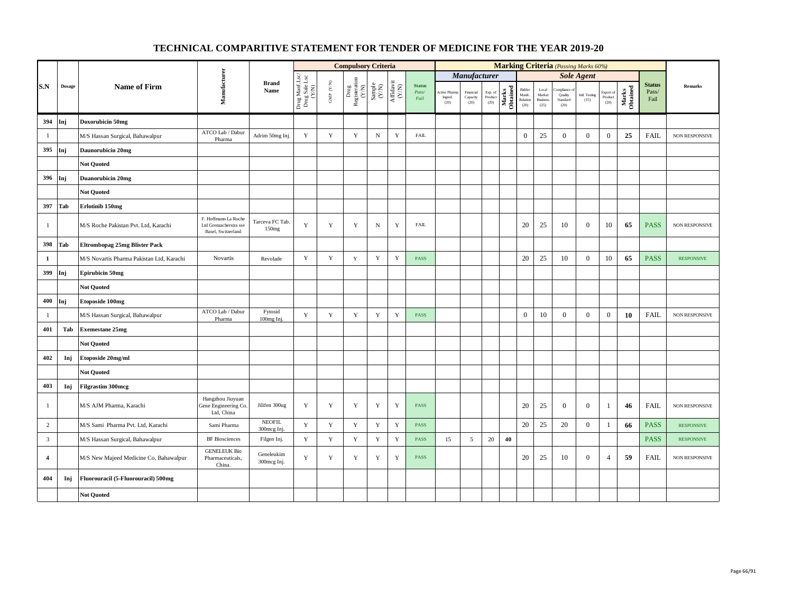|                |               |                                           |                                                                      |                              |                                          |                                                                       | <b>Compulsory Criteria</b>                                                      |                                                              |                                      |                        |                 |                  |                    |                   |                            |                          |                     | <b>Marking Criteria</b> (Passing Marks 60%) |                       |                   |                        |                   |
|----------------|---------------|-------------------------------------------|----------------------------------------------------------------------|------------------------------|------------------------------------------|-----------------------------------------------------------------------|---------------------------------------------------------------------------------|--------------------------------------------------------------|--------------------------------------|------------------------|-----------------|------------------|--------------------|-------------------|----------------------------|--------------------------|---------------------|---------------------------------------------|-----------------------|-------------------|------------------------|-------------------|
|                |               |                                           |                                                                      |                              |                                          |                                                                       |                                                                                 |                                                              |                                      |                        |                 | Manufacturer     |                    |                   |                            |                          |                     | <b>Sole Agent</b>                           |                       |                   |                        |                   |
| S.N            | <b>Dosage</b> | <b>Name of Firm</b>                       | Manufacturer                                                         | <b>Brand</b><br>Name         |                                          | $\ensuremath{\mathsf{GMP}}\xspace$ $\ensuremath{\mathsf{C/N}}\xspace$ | $\begin{array}{c} \mathrm{ Drug} \\ \mathrm{Registeration} \\ (YN) \end{array}$ | $\begin{array}{c} \text{Sample} \\ (\text{Y/N}) \end{array}$ | $\frac{\text{Affdavit}}{\text{N/N}}$ | <b>Status</b><br>Pass/ | Active Pham     | Financial        | Exp. of<br>Product |                   | Bidder                     | $_{\rm Local}$<br>Market | mpliance<br>Quality | Intl. Testing                               | Export of             |                   | <b>Status</b><br>Pass/ | Remarks           |
|                |               |                                           |                                                                      |                              | Drug Manf.Lsc/<br>Drug Sale Lsc<br>(Y/N) |                                                                       |                                                                                 |                                                              |                                      | Fail                   | Ingred.<br>(20) | Capacity<br>(20) | (20)               | Marks<br>Obtained | Manfc.<br>Relation<br>(20) | <b>Business</b><br>(25)  | Standard<br>(20)    | (15)                                        | $\bf Product$<br>(20) | Marks<br>Obtained | Fail                   |                   |
| 394            | Inj           | Doxorubicin 50mg                          |                                                                      |                              |                                          |                                                                       |                                                                                 |                                                              |                                      |                        |                 |                  |                    |                   |                            |                          |                     |                                             |                       |                   |                        |                   |
| -1             |               | M/S Hassan Surgical, Bahawalpur           | ATCO Lab / Dabur<br>Pharma                                           | Adrim 50mg Inj.              | Y                                        | Y                                                                     | Y                                                                               | $_{\rm N}$                                                   | $\mathbf Y$                          | <b>FAIL</b>            |                 |                  |                    |                   | $\boldsymbol{0}$           | 25                       | $\overline{0}$      | $\overline{0}$                              | $\overline{0}$        | 25                | FAIL                   | NON RESPONSIVE    |
| 395            | Inj           | Daunorubicin 20mg                         |                                                                      |                              |                                          |                                                                       |                                                                                 |                                                              |                                      |                        |                 |                  |                    |                   |                            |                          |                     |                                             |                       |                   |                        |                   |
|                |               | <b>Not Ouoted</b>                         |                                                                      |                              |                                          |                                                                       |                                                                                 |                                                              |                                      |                        |                 |                  |                    |                   |                            |                          |                     |                                             |                       |                   |                        |                   |
| 396            | Inj           | <b>Duanorubicin 20mg</b>                  |                                                                      |                              |                                          |                                                                       |                                                                                 |                                                              |                                      |                        |                 |                  |                    |                   |                            |                          |                     |                                             |                       |                   |                        |                   |
|                |               | <b>Not Quoted</b>                         |                                                                      |                              |                                          |                                                                       |                                                                                 |                                                              |                                      |                        |                 |                  |                    |                   |                            |                          |                     |                                             |                       |                   |                        |                   |
| 397            | Tab           | Erlotinib 150mg                           |                                                                      |                              |                                          |                                                                       |                                                                                 |                                                              |                                      |                        |                 |                  |                    |                   |                            |                          |                     |                                             |                       |                   |                        |                   |
| $\mathbf{1}$   |               | M/S Roche Pakistan Pvt. Ltd, Karachi      | F. Hoffmann-La Roche<br>Ltd Grenzacherstra sse<br>Basel, Switzerland | Tarceva FC Tab.<br>150mg     | $\mathbf Y$                              | $\mathbf Y$                                                           | Y                                                                               | $\, {\rm N}$                                                 | Y                                    | <b>FAIL</b>            |                 |                  |                    |                   | 20                         | 25                       | 10                  | $\boldsymbol{0}$                            | 10                    | 65                | <b>PASS</b>            | NON RESPONSIVE    |
| 398            | Tab           | <b>Eltrombopag 25mg Blister Pack</b>      |                                                                      |                              |                                          |                                                                       |                                                                                 |                                                              |                                      |                        |                 |                  |                    |                   |                            |                          |                     |                                             |                       |                   |                        |                   |
| $\mathbf{1}$   |               | M/S Novartis Pharma Pakistan Ltd, Karachi | Novartis                                                             | Revolade                     | $\mathbf Y$                              | $\mathbf Y$                                                           | $\mathbf Y$                                                                     | Y                                                            | $\mathbf Y$                          | PASS                   |                 |                  |                    |                   | 20                         | 25                       | 10                  | $\mathbf{0}$                                | 10                    | 65                | <b>PASS</b>            | <b>RESPONSIVE</b> |
| 399            | Inj           | <b>Epirubicin 50mg</b>                    |                                                                      |                              |                                          |                                                                       |                                                                                 |                                                              |                                      |                        |                 |                  |                    |                   |                            |                          |                     |                                             |                       |                   |                        |                   |
|                |               | <b>Not Quoted</b>                         |                                                                      |                              |                                          |                                                                       |                                                                                 |                                                              |                                      |                        |                 |                  |                    |                   |                            |                          |                     |                                             |                       |                   |                        |                   |
| 400            | Inj           | <b>Etoposide 100mg</b>                    |                                                                      |                              |                                          |                                                                       |                                                                                 |                                                              |                                      |                        |                 |                  |                    |                   |                            |                          |                     |                                             |                       |                   |                        |                   |
| $\mathbf{1}$   |               | M/S Hassan Surgical, Bahawalpur           | ATCO Lab / Dabur<br>Pharma                                           | Fytosid<br>100mg Inj.        | $\mathbf Y$                              | $\mathbf Y$                                                           | $\mathbf Y$                                                                     | $\mathbf Y$                                                  | $\mathbf Y$                          | PASS                   |                 |                  |                    |                   | $\boldsymbol{0}$           | 10                       | $\mathbf{0}$        | $\mathbf{0}$                                | $\mathbf{0}$          | 10                | <b>FAIL</b>            | NON RESPONSIVE    |
| 401            | Tab           | <b>Exemestane 25mg</b>                    |                                                                      |                              |                                          |                                                                       |                                                                                 |                                                              |                                      |                        |                 |                  |                    |                   |                            |                          |                     |                                             |                       |                   |                        |                   |
|                |               | <b>Not Quoted</b>                         |                                                                      |                              |                                          |                                                                       |                                                                                 |                                                              |                                      |                        |                 |                  |                    |                   |                            |                          |                     |                                             |                       |                   |                        |                   |
| 402            | Inj           | Etoposide 20mg/ml                         |                                                                      |                              |                                          |                                                                       |                                                                                 |                                                              |                                      |                        |                 |                  |                    |                   |                            |                          |                     |                                             |                       |                   |                        |                   |
|                |               | <b>Not Quoted</b>                         |                                                                      |                              |                                          |                                                                       |                                                                                 |                                                              |                                      |                        |                 |                  |                    |                   |                            |                          |                     |                                             |                       |                   |                        |                   |
| 403            | Inj           | <b>Filgrastim 300mcg</b>                  |                                                                      |                              |                                          |                                                                       |                                                                                 |                                                              |                                      |                        |                 |                  |                    |                   |                            |                          |                     |                                             |                       |                   |                        |                   |
| -1             |               | M/S AJM Pharma, Karachi                   | Hangzhou Jiuyuan<br>Gene Engineering Co<br>Ltd, China                | Jilifen 300ug                | Y                                        | $\mathbf Y$                                                           | Y                                                                               | $\mathbf Y$                                                  | $\mathbf Y$                          | <b>PASS</b>            |                 |                  |                    |                   | 20                         | 25                       | $\overline{0}$      | $\mathbf{0}$                                | -1                    | 46                | <b>FAIL</b>            | NON RESPONSIVE    |
| $\overline{c}$ |               | M/S Sami Pharma Pvt. Ltd, Karachi         | Sami Pharma                                                          | <b>NEOFIL</b><br>300mcg Inj. | Y                                        | Y                                                                     | Y                                                                               | $\mathbf Y$                                                  | Y                                    | <b>PASS</b>            |                 |                  |                    |                   | 20                         | 25                       | 20                  | $\mathbf{0}$                                | -1                    | 66                | <b>PASS</b>            | <b>RESPONSIVE</b> |
| $\overline{3}$ |               | M/S Hassan Surgical, Bahawalpur           | <b>BF</b> Biosciences                                                | Filgen Inj.                  | $\mathbf Y$                              | $\mathbf Y$                                                           | $\mathbf Y$                                                                     | Y                                                            | $\mathbf Y$                          | PASS                   | 15              | 5                | 20                 | 40                |                            |                          |                     |                                             |                       |                   | <b>PASS</b>            | <b>RESPONSIVE</b> |
| $\overline{4}$ |               | M/S New Majeed Medicine Co, Bahawalpur    | <b>GENELEUK Bio</b><br>Pharmaceuticals,<br>China.                    | Geneleukim<br>300mcg Inj.    | Y                                        | $\mathbf Y$                                                           | Y                                                                               | $\mathbf Y$                                                  | $\mathbf Y$                          | <b>PASS</b>            |                 |                  |                    |                   | 20                         | 25                       | 10                  | $\mathbf{0}$                                | $\overline{4}$        | 59                | <b>FAIL</b>            | NON RESPONSIVE    |
| 404            | Inj           | Fluorouracil (5-Fluorouracil) 500mg       |                                                                      |                              |                                          |                                                                       |                                                                                 |                                                              |                                      |                        |                 |                  |                    |                   |                            |                          |                     |                                             |                       |                   |                        |                   |
|                |               | <b>Not Quoted</b>                         |                                                                      |                              |                                          |                                                                       |                                                                                 |                                                              |                                      |                        |                 |                  |                    |                   |                            |                          |                     |                                             |                       |                   |                        |                   |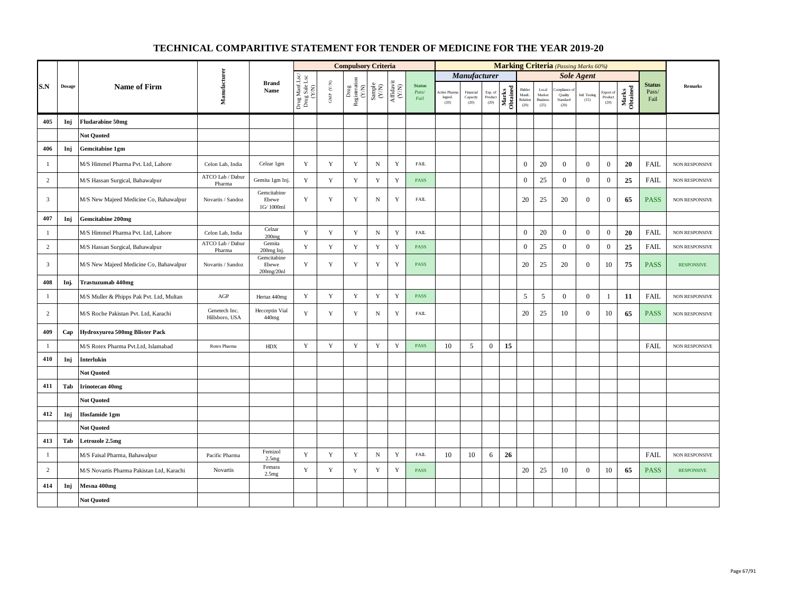|                         |               |                                           |                                 |                                    |                                          |                                          | <b>Compulsory Criteria</b>                                                                          |                                                                    |                                                                                                   |                                |                                        |                               |                            |                   |                                                       |                                            |                                                           | <b>Marking Criteria</b> (Passing Marks 60%) |                              |                   |                                |                   |
|-------------------------|---------------|-------------------------------------------|---------------------------------|------------------------------------|------------------------------------------|------------------------------------------|-----------------------------------------------------------------------------------------------------|--------------------------------------------------------------------|---------------------------------------------------------------------------------------------------|--------------------------------|----------------------------------------|-------------------------------|----------------------------|-------------------|-------------------------------------------------------|--------------------------------------------|-----------------------------------------------------------|---------------------------------------------|------------------------------|-------------------|--------------------------------|-------------------|
|                         |               |                                           |                                 |                                    |                                          |                                          |                                                                                                     |                                                                    |                                                                                                   |                                |                                        | <b>Manufacturer</b>           |                            |                   |                                                       |                                            |                                                           | <b>Sole Agent</b>                           |                              |                   |                                |                   |
| S.N                     | <b>Dosage</b> | <b>Name of Firm</b>                       | Manufacturer                    | <b>Brand</b><br>Name               | Drug Manf.Lsc/<br>Drug Sale Lsc<br>(Y/N) | $\ensuremath{\mathsf{GMP}}\xspace$ (Y/N) | $\begin{tabular}{l} \hline \textbf{Drug} \\ \textbf{Registeration} \\ (\textbf{Y/N}) \end{tabular}$ | $\begin{array}{c} \text{Sample} \\ \text{C}(\text{N}) \end{array}$ | $\begin{array}{c} \mathrm{Aff} \mathrm{dav} \, \mathrm{i} \\ (\mathrm{Y} \mathrm{N}) \end{array}$ | <b>Status</b><br>Pass/<br>Fail | <b>Active Pharm</b><br>Ingred.<br>(20) | Financial<br>Capacity<br>(20) | Exp. of<br>Product<br>(20) | Marks<br>Obtained | Bidder<br>Manfe.<br>$\operatorname{Relation}$<br>(20) | Local<br>Market<br><b>Business</b><br>(25) | ompliance<br>Quality<br>$\operatorname{Standard}$<br>(20) | Intl. Testing<br>(15)                       | Export of<br>Product<br>(20) | Marks<br>Obtained | <b>Status</b><br>Pass/<br>Fail | <b>Remarks</b>    |
| 405                     | Inj           | <b>Fludarabine 50mg</b>                   |                                 |                                    |                                          |                                          |                                                                                                     |                                                                    |                                                                                                   |                                |                                        |                               |                            |                   |                                                       |                                            |                                                           |                                             |                              |                   |                                |                   |
|                         |               | <b>Not Ouoted</b>                         |                                 |                                    |                                          |                                          |                                                                                                     |                                                                    |                                                                                                   |                                |                                        |                               |                            |                   |                                                       |                                            |                                                           |                                             |                              |                   |                                |                   |
| 406                     | Inj           | Gemcitabine 1gm                           |                                 |                                    |                                          |                                          |                                                                                                     |                                                                    |                                                                                                   |                                |                                        |                               |                            |                   |                                                       |                                            |                                                           |                                             |                              |                   |                                |                   |
| $\overline{1}$          |               | M/S Himmel Pharma Pvt. Ltd, Lahore        | Celon Lab, India                | Celzar 1gm                         | Y                                        | $\mathbf Y$                              | $\mathbf Y$                                                                                         | ${\bf N}$                                                          | Y                                                                                                 | <b>FAIL</b>                    |                                        |                               |                            |                   | $\mathbf{0}$                                          | 20                                         | $\overline{0}$                                            | $\mathbf{0}$                                | $\mathbf{0}$                 | 20                | <b>FAIL</b>                    | NON RESPONSIVE    |
| $\sqrt{2}$              |               | M/S Hassan Surgical, Bahawalpur           | ATCO Lab / Dabur<br>Pharma      | Gemita 1gm Inj                     | Y                                        | $\mathbf Y$                              | $\mathbf Y$                                                                                         | $\mathbf Y$                                                        | $\mathbf Y$                                                                                       | <b>PASS</b>                    |                                        |                               |                            |                   | $\boldsymbol{0}$                                      | 25                                         | $\theta$                                                  | $\mathbf{0}$                                | $\boldsymbol{0}$             | 25                | <b>FAIL</b>                    | NON RESPONSIVE    |
| $\overline{\mathbf{3}}$ |               | M/S New Majeed Medicine Co, Bahawalpur    | Novartis / Sandoz               | Gemcitabine<br>Ebewe<br>1G/1000ml  | Y                                        | $\mathbf Y$                              | $\mathbf Y$                                                                                         | ${\bf N}$                                                          | $\mathbf Y$                                                                                       | <b>FAIL</b>                    |                                        |                               |                            |                   | 20                                                    | 25                                         | 20                                                        | $\mathbf{0}$                                | $\boldsymbol{0}$             | 65                | <b>PASS</b>                    | NON RESPONSIVE    |
| 407                     | Inj           | <b>Gemcitabine 200mg</b>                  |                                 |                                    |                                          |                                          |                                                                                                     |                                                                    |                                                                                                   |                                |                                        |                               |                            |                   |                                                       |                                            |                                                           |                                             |                              |                   |                                |                   |
| $\overline{1}$          |               | M/S Himmel Pharma Pvt. Ltd, Lahore        | Celon Lab, India                | Celzar<br>200 <sub>mg</sub>        | Y                                        | $\mathbf Y$                              | $\mathbf Y$                                                                                         | $_{\rm N}$                                                         | $\mathbf Y$                                                                                       | <b>FAIL</b>                    |                                        |                               |                            |                   | $\mathbf{0}$                                          | $20\,$                                     | $\boldsymbol{0}$                                          | $\boldsymbol{0}$                            | $\boldsymbol{0}$             | 20                | <b>FAIL</b>                    | NON RESPONSIVE    |
| $\sqrt{2}$              |               | M/S Hassan Surgical, Bahawalpur           | ATCO Lab / Dabur<br>Pharma      | Gemita<br>200mg Inj.               | Y                                        | $\mathbf Y$                              | $\mathbf Y$                                                                                         | $\mathbf Y$                                                        | $\mathbf Y$                                                                                       | <b>PASS</b>                    |                                        |                               |                            |                   | $\mathbf{0}$                                          | 25                                         | $\mathbf{0}$                                              | $\boldsymbol{0}$                            | $\bf{0}$                     | 25                | <b>FAIL</b>                    | NON RESPONSIVE    |
| $\overline{\mathbf{3}}$ |               | M/S New Majeed Medicine Co, Bahawalpur    | Novartis / Sandoz               | Gemcitabine<br>Ebewe<br>200mg/20nl | Y                                        | $\mathbf Y$                              | Y                                                                                                   | Y                                                                  | Y                                                                                                 | <b>PASS</b>                    |                                        |                               |                            |                   | 20                                                    | 25                                         | 20                                                        | $\mathbf{0}$                                | 10                           | 75                | <b>PASS</b>                    | <b>RESPONSIVE</b> |
| 408                     | Inj.          | <b>Trastuzumab 440mg</b>                  |                                 |                                    |                                          |                                          |                                                                                                     |                                                                    |                                                                                                   |                                |                                        |                               |                            |                   |                                                       |                                            |                                                           |                                             |                              |                   |                                |                   |
| $\mathbf{1}$            |               | M/S Muller & Phipps Pak Pvt. Ltd, Multan  | $\rm{AGP}$                      | Hertaz 440mg                       | Y                                        | $\mathbf Y$                              | $\mathbf Y$                                                                                         | $\mathbf Y$                                                        | $\mathbf Y$                                                                                       | <b>PASS</b>                    |                                        |                               |                            |                   | 5                                                     | 5                                          | $\mathbf{0}$                                              | $\overline{0}$                              | $\mathbf{1}$                 | 11                | <b>FAIL</b>                    | NON RESPONSIVE    |
| 2                       |               | M/S Roche Pakistan Pvt. Ltd, Karachi      | Genetech Inc.<br>Hillsboro, USA | Hecceptin Vial<br>440mg            | Y                                        | Y                                        | Y                                                                                                   | $\mathbf N$                                                        | Y                                                                                                 | <b>FAIL</b>                    |                                        |                               |                            |                   | 20                                                    | 25                                         | 10                                                        | $\mathbf{0}$                                | 10                           | 65                | <b>PASS</b>                    | NON RESPONSIVE    |
| 409                     | Cap           | Hydroxyurea 500mg Blister Pack            |                                 |                                    |                                          |                                          |                                                                                                     |                                                                    |                                                                                                   |                                |                                        |                               |                            |                   |                                                       |                                            |                                                           |                                             |                              |                   |                                |                   |
| -1                      |               | M/S Rotex Pharma Pvt.Ltd, Islamabad       | Rotex Pharma                    | <b>HDX</b>                         | $\mathbf Y$                              | $\mathbf Y$                              | $\mathbf Y$                                                                                         | $\mathbf Y$                                                        | $\mathbf Y$                                                                                       | <b>PASS</b>                    | 10                                     | 5                             | $\mathbf{0}$               | 15                |                                                       |                                            |                                                           |                                             |                              |                   | <b>FAIL</b>                    | NON RESPONSIVE    |
| 410                     | Inj           | Interlukin                                |                                 |                                    |                                          |                                          |                                                                                                     |                                                                    |                                                                                                   |                                |                                        |                               |                            |                   |                                                       |                                            |                                                           |                                             |                              |                   |                                |                   |
|                         |               | <b>Not Quoted</b>                         |                                 |                                    |                                          |                                          |                                                                                                     |                                                                    |                                                                                                   |                                |                                        |                               |                            |                   |                                                       |                                            |                                                           |                                             |                              |                   |                                |                   |
| 411                     | Tab           | <b>Irinotecan 40mg</b>                    |                                 |                                    |                                          |                                          |                                                                                                     |                                                                    |                                                                                                   |                                |                                        |                               |                            |                   |                                                       |                                            |                                                           |                                             |                              |                   |                                |                   |
|                         |               | <b>Not Ouoted</b>                         |                                 |                                    |                                          |                                          |                                                                                                     |                                                                    |                                                                                                   |                                |                                        |                               |                            |                   |                                                       |                                            |                                                           |                                             |                              |                   |                                |                   |
| 412                     | Inj           | <b>Ifosfamide 1gm</b>                     |                                 |                                    |                                          |                                          |                                                                                                     |                                                                    |                                                                                                   |                                |                                        |                               |                            |                   |                                                       |                                            |                                                           |                                             |                              |                   |                                |                   |
|                         |               | <b>Not Quoted</b>                         |                                 |                                    |                                          |                                          |                                                                                                     |                                                                    |                                                                                                   |                                |                                        |                               |                            |                   |                                                       |                                            |                                                           |                                             |                              |                   |                                |                   |
| 413                     | Tab           | Letrozole 2.5mg                           |                                 |                                    |                                          |                                          |                                                                                                     |                                                                    |                                                                                                   |                                |                                        |                               |                            |                   |                                                       |                                            |                                                           |                                             |                              |                   |                                |                   |
| $\mathbf{1}$            |               | M/S Faisal Pharma, Bahawalpur             | Pacific Pharma                  | Femizol<br>2.5mg                   | $\mathbf Y$                              | $\mathbf Y$                              | Y                                                                                                   | $\, {\rm N}$                                                       | Y                                                                                                 | <b>FAIL</b>                    | 10                                     | 10                            | 6                          | 26                |                                                       |                                            |                                                           |                                             |                              |                   | <b>FAIL</b>                    | NON RESPONSIVE    |
| $\overline{c}$          |               | M/S Novartis Pharma Pakistan Ltd, Karachi | Novartis                        | Femara<br>2.5 <sub>mg</sub>        | $\mathbf Y$                              | $\mathbf Y$                              | $\mathbf Y$                                                                                         | $\mathbf Y$                                                        | $\mathbf Y$                                                                                       | <b>PASS</b>                    |                                        |                               |                            |                   | 20                                                    | 25                                         | 10                                                        | $\mathbf{0}$                                | 10                           | 65                | <b>PASS</b>                    | <b>RESPONSIVE</b> |
| 414                     | Inj           | Mesna 400mg                               |                                 |                                    |                                          |                                          |                                                                                                     |                                                                    |                                                                                                   |                                |                                        |                               |                            |                   |                                                       |                                            |                                                           |                                             |                              |                   |                                |                   |
|                         |               | <b>Not Quoted</b>                         |                                 |                                    |                                          |                                          |                                                                                                     |                                                                    |                                                                                                   |                                |                                        |                               |                            |                   |                                                       |                                            |                                                           |                                             |                              |                   |                                |                   |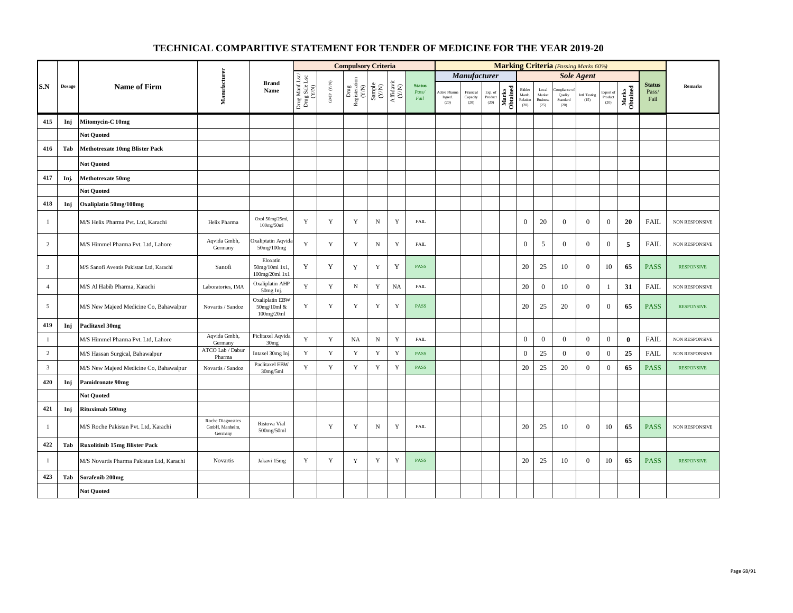|                         |               |                                           |                                                |                                              |                                                                                           |                      | <b>Compulsory Criteria</b>                                                                                    |                                                                     |                                                                                       |                                |                                        |                               |                            |                   |                                                       |                                            |                                          | <b>Marking Criteria</b> (Passing Marks 60%) |                              |                   |                                |                       |
|-------------------------|---------------|-------------------------------------------|------------------------------------------------|----------------------------------------------|-------------------------------------------------------------------------------------------|----------------------|---------------------------------------------------------------------------------------------------------------|---------------------------------------------------------------------|---------------------------------------------------------------------------------------|--------------------------------|----------------------------------------|-------------------------------|----------------------------|-------------------|-------------------------------------------------------|--------------------------------------------|------------------------------------------|---------------------------------------------|------------------------------|-------------------|--------------------------------|-----------------------|
|                         |               |                                           |                                                |                                              |                                                                                           |                      |                                                                                                               |                                                                     |                                                                                       |                                |                                        | Manufacturer                  |                            |                   |                                                       |                                            |                                          | <b>Sole Agent</b>                           |                              |                   |                                |                       |
| S.N                     | <b>Dosage</b> | <b>Name of Firm</b>                       | Manufacturer                                   | <b>Brand</b><br>Name                         | $\begin{array}{c} \text{Drag MantLsc} \\ \text{Drag Sale Lsc} \\ \text{CYN)} \end{array}$ | GMP $(\mathbf{Y/N})$ | $\begin{tabular}{l} \hline \textbf{Drug} \\ \textbf{Registeration} \\ (\textbf{Y/N}) \\ \hline \end{tabular}$ | $\begin{array}{c} \text{Sample} \\ \text{C}(\text{NN}) \end{array}$ | $\begin{array}{c} \mathrm{Aff} \mathrm{dav} \mathrm{i} \\ (\mathrm{Y/N}) \end{array}$ | <b>Status</b><br>Pass/<br>Fail | <b>Active Pharm</b><br>Ingred.<br>(20) | Financial<br>Capacity<br>(20) | Exp. of<br>Product<br>(20) | Marks<br>Obtained | Bidder<br>Manfe.<br>$\operatorname{Relation}$<br>(20) | Local<br>Market<br><b>Business</b><br>(25) | ompliance<br>Quality<br>Standard<br>(20) | Intl. Testing<br>(15)                       | Export of<br>Product<br>(20) | Marks<br>Obtained | <b>Status</b><br>Pass/<br>Fail | Remarks               |
| 415                     | Inj           | Mitomycin-C 10mg                          |                                                |                                              |                                                                                           |                      |                                                                                                               |                                                                     |                                                                                       |                                |                                        |                               |                            |                   |                                                       |                                            |                                          |                                             |                              |                   |                                |                       |
|                         |               | <b>Not Quoted</b>                         |                                                |                                              |                                                                                           |                      |                                                                                                               |                                                                     |                                                                                       |                                |                                        |                               |                            |                   |                                                       |                                            |                                          |                                             |                              |                   |                                |                       |
| 416                     | Tab           | <b>Methotrexate 10mg Blister Pack</b>     |                                                |                                              |                                                                                           |                      |                                                                                                               |                                                                     |                                                                                       |                                |                                        |                               |                            |                   |                                                       |                                            |                                          |                                             |                              |                   |                                |                       |
|                         |               | <b>Not Quoted</b>                         |                                                |                                              |                                                                                           |                      |                                                                                                               |                                                                     |                                                                                       |                                |                                        |                               |                            |                   |                                                       |                                            |                                          |                                             |                              |                   |                                |                       |
| 417                     | Inj.          | <b>Methotrexate 50mg</b>                  |                                                |                                              |                                                                                           |                      |                                                                                                               |                                                                     |                                                                                       |                                |                                        |                               |                            |                   |                                                       |                                            |                                          |                                             |                              |                   |                                |                       |
|                         |               | <b>Not Ouoted</b>                         |                                                |                                              |                                                                                           |                      |                                                                                                               |                                                                     |                                                                                       |                                |                                        |                               |                            |                   |                                                       |                                            |                                          |                                             |                              |                   |                                |                       |
| 418                     | Inj           | Oxaliplatin 50mg/100mg                    |                                                |                                              |                                                                                           |                      |                                                                                                               |                                                                     |                                                                                       |                                |                                        |                               |                            |                   |                                                       |                                            |                                          |                                             |                              |                   |                                |                       |
| $\mathbf{1}$            |               | M/S Helix Pharma Pvt. Ltd, Karachi        | Helix Pharma                                   | Oxol 50mg/25ml,<br>100mg/50ml                | $\mathbf Y$                                                                               | $\mathbf Y$          | $\mathbf Y$                                                                                                   | $_{\rm N}$                                                          | $\mathbf Y$                                                                           | <b>FAIL</b>                    |                                        |                               |                            |                   | $\mathbf{0}$                                          | 20                                         | $\overline{0}$                           | $\mathbf{0}$                                | $\mathbf{0}$                 | 20                | <b>FAIL</b>                    | NON RESPONSIVE        |
| 2                       |               | M/S Himmel Pharma Pvt. Ltd, Lahore        | Aqvida Gmbh,<br>Germany                        | Oxaliptatin Aqvida<br>50mg/100mg             | Y                                                                                         | Y                    | Y                                                                                                             | $_{\rm N}$                                                          | Y                                                                                     | <b>FAIL</b>                    |                                        |                               |                            |                   | $\mathbf{0}$                                          | 5                                          | $\overline{0}$                           | $\overline{0}$                              | $\mathbf{0}$                 | 5                 | <b>FAIL</b>                    | NON RESPONSIVE        |
| 3                       |               | M/S Sanofi Aventis Pakistan Ltd, Karachi  | Sanofi                                         | Eloxatin<br>50mg/10ml 1x1,<br>100mg/20ml 1x1 | Y                                                                                         | Y                    | Y                                                                                                             | $\mathbf Y$                                                         | Y                                                                                     | <b>PASS</b>                    |                                        |                               |                            |                   | 20                                                    | 25                                         | 10                                       | $\mathbf{0}$                                | 10                           | 65                | <b>PASS</b>                    | <b>RESPONSIVE</b>     |
| $\overline{4}$          |               | M/S Al Habib Pharma, Karachi              | Laboratories, IMA                              | Oxaliplatin AHP<br>50mg Inj.                 | Y                                                                                         | $\mathbf Y$          | $_{\rm N}$                                                                                                    | $\mathbf Y$                                                         | <b>NA</b>                                                                             | ${\rm FAIL}$                   |                                        |                               |                            |                   | 20                                                    | $\mathbf{0}$                               | 10                                       | $\mathbf{0}$                                | $\mathbf{1}$                 | 31                | <b>FAIL</b>                    | NON RESPONSIVE        |
| $\overline{5}$          |               | M/S New Majeed Medicine Co, Bahawalpur    | Novartis / Sandoz                              | Oxaliplatin EBW<br>50mg/10ml &<br>100mg/20ml | Y                                                                                         | Y                    | Y                                                                                                             | Y                                                                   | Y                                                                                     | <b>PASS</b>                    |                                        |                               |                            |                   | 20                                                    | 25                                         | 20                                       | $\mathbf{0}$                                | $\boldsymbol{0}$             | 65                | <b>PASS</b>                    | <b>RESPONSIVE</b>     |
| 419                     | Inj           | <b>Paclitaxel 30mg</b>                    |                                                |                                              |                                                                                           |                      |                                                                                                               |                                                                     |                                                                                       |                                |                                        |                               |                            |                   |                                                       |                                            |                                          |                                             |                              |                   |                                |                       |
| $\mathbf{1}$            |               | M/S Himmel Pharma Pvt. Ltd, Lahore        | Aqvida Gmbh,<br>Germany                        | Piclitaxel Aqvida<br>30 <sub>mg</sub>        | Y                                                                                         | $\mathbf Y$          | NA                                                                                                            | $\, {\rm N}$                                                        | $\mathbf Y$                                                                           | ${\rm FAIL}$                   |                                        |                               |                            |                   | $\boldsymbol{0}$                                      | $\mathbf{0}$                               | $\boldsymbol{0}$                         | $\mathbf{0}$                                | $\boldsymbol{0}$             | $\bf{0}$          | FAIL                           | NON RESPONSIVE        |
| $\overline{c}$          |               | M/S Hassan Surgical, Bahawalpur           | ATCO Lab / Dabur<br>Pharma                     | Intaxel 30mg Inj.                            | $\mathbf Y$                                                                               | $\mathbf Y$          | $\mathbf Y$                                                                                                   | $\mathbf Y$                                                         | $\mathbf Y$                                                                           | <b>PASS</b>                    |                                        |                               |                            |                   | $\boldsymbol{0}$                                      | 25                                         | $\overline{0}$                           | $\mathbf{0}$                                | $\boldsymbol{0}$             | 25                | <b>FAIL</b>                    | <b>NON RESPONSIVE</b> |
| $\overline{\mathbf{3}}$ |               | M/S New Majeed Medicine Co, Bahawalpur    | Novartis / Sandoz                              | Paclitaxel EBW<br>30mg/5ml                   | Y                                                                                         | $\mathbf Y$          | $\mathbf Y$                                                                                                   | $\mathbf Y$                                                         | $\mathbf Y$                                                                           | <b>PASS</b>                    |                                        |                               |                            |                   | 20                                                    | 25                                         | 20                                       | $\mathbf{0}$                                | $\boldsymbol{0}$             | 65                | <b>PASS</b>                    | <b>RESPONSIVE</b>     |
| 420                     | Inj           | <b>Pamidronate 90mg</b>                   |                                                |                                              |                                                                                           |                      |                                                                                                               |                                                                     |                                                                                       |                                |                                        |                               |                            |                   |                                                       |                                            |                                          |                                             |                              |                   |                                |                       |
|                         |               | <b>Not Ouoted</b>                         |                                                |                                              |                                                                                           |                      |                                                                                                               |                                                                     |                                                                                       |                                |                                        |                               |                            |                   |                                                       |                                            |                                          |                                             |                              |                   |                                |                       |
| 421                     | Inj           | Rituximab 500mg                           |                                                |                                              |                                                                                           |                      |                                                                                                               |                                                                     |                                                                                       |                                |                                        |                               |                            |                   |                                                       |                                            |                                          |                                             |                              |                   |                                |                       |
| $\mathbf{1}$            |               | M/S Roche Pakistan Pvt. Ltd, Karachi      | Roche Diagnostics<br>GmbH, Manheim,<br>Germany | Ristova Vial<br>500mg/50ml                   |                                                                                           | $\mathbf Y$          | Y                                                                                                             | $_{\rm N}$                                                          | $\mathbf Y$                                                                           | <b>FAIL</b>                    |                                        |                               |                            |                   | 20                                                    | 25                                         | 10                                       | $\mathbf{0}$                                | $10\,$                       | 65                | <b>PASS</b>                    | NON RESPONSIVE        |
| 422                     | Tab           | <b>Ruxolitinib 15mg Blister Pack</b>      |                                                |                                              |                                                                                           |                      |                                                                                                               |                                                                     |                                                                                       |                                |                                        |                               |                            |                   |                                                       |                                            |                                          |                                             |                              |                   |                                |                       |
| $\mathbf{1}$            |               | M/S Novartis Pharma Pakistan Ltd, Karachi | Novartis                                       | Jakavi 15mg                                  | Y                                                                                         | Y                    | $\mathbf Y$                                                                                                   | $\mathbf Y$                                                         | $\mathbf Y$                                                                           | <b>PASS</b>                    |                                        |                               |                            |                   | 20                                                    | 25                                         | 10                                       | $\mathbf{0}$                                | $10\,$                       | 65                | <b>PASS</b>                    | <b>RESPONSIVE</b>     |
| 423                     | Tab           | Sorafenib 200mg                           |                                                |                                              |                                                                                           |                      |                                                                                                               |                                                                     |                                                                                       |                                |                                        |                               |                            |                   |                                                       |                                            |                                          |                                             |                              |                   |                                |                       |
|                         |               | <b>Not Quoted</b>                         |                                                |                                              |                                                                                           |                      |                                                                                                               |                                                                     |                                                                                       |                                |                                        |                               |                            |                   |                                                       |                                            |                                          |                                             |                              |                   |                                |                       |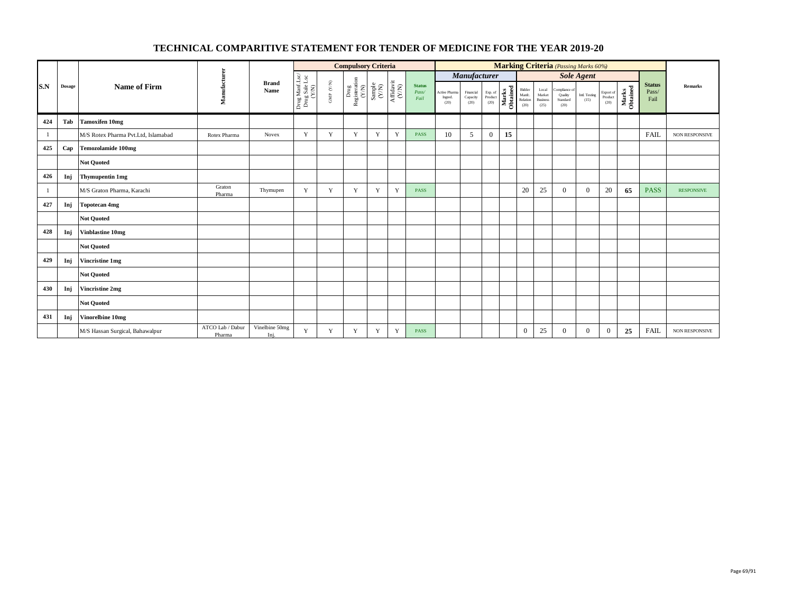|     |               |                                     |                            |                        |                                          |                                  | <b>Compulsory Criteria</b>                                                   |   |                                                                                                 |                                |                                  |                               |                            |                   |                                      |                                            |                                              | <b>Marking Criteria</b> (Passing Marks 60%) |                              |                   |                                |                       |
|-----|---------------|-------------------------------------|----------------------------|------------------------|------------------------------------------|----------------------------------|------------------------------------------------------------------------------|---|-------------------------------------------------------------------------------------------------|--------------------------------|----------------------------------|-------------------------------|----------------------------|-------------------|--------------------------------------|--------------------------------------------|----------------------------------------------|---------------------------------------------|------------------------------|-------------------|--------------------------------|-----------------------|
|     |               |                                     |                            |                        |                                          |                                  |                                                                              |   |                                                                                                 |                                |                                  | <b>Manufacturer</b>           |                            |                   |                                      |                                            |                                              | <b>Sole Agent</b>                           |                              |                   |                                |                       |
| S.N | <b>Dosage</b> | <b>Name of Firm</b>                 | Manufacturer               | <b>Brand</b><br>Name   | Drug Manf.Lsc/<br>Drug Sale Lsc<br>(Y/N) | $\textsc{GMP}\,$ $\textsc{C/N})$ | $\begin{array}{c} \rm{Drag} \\ \rm{Registeration} \\ \rm{(Y/N)} \end{array}$ |   | $\begin{array}{c} \text{Sample} \\ (\text{Y/N}) \\ \text{Affdavit} \\ (\text{Y/N}) \end{array}$ | <b>Status</b><br>Pass/<br>Fail | Active Pharma<br>Ingred.<br>(20) | Financial<br>Capacity<br>(20) | Exp. of<br>Product<br>(20) | Marks<br>Obtained | Bidder<br>Manfc.<br>Relation<br>(20) | Local<br>Market<br><b>Business</b><br>(25) | Compliance of<br>Quality<br>Standard<br>(20) | Intl. Testing<br>(15)                       | Export of<br>Product<br>(20) | Marks<br>Obtained | <b>Status</b><br>Pass/<br>Fail | <b>Remarks</b>        |
| 424 | Tab           | <b>Tamoxifen 10mg</b>               |                            |                        |                                          |                                  |                                                                              |   |                                                                                                 |                                |                                  |                               |                            |                   |                                      |                                            |                                              |                                             |                              |                   |                                |                       |
| -1  |               | M/S Rotex Pharma Pvt.Ltd, Islamabad | Rotex Pharma               | Novex                  | Y                                        | Y                                | Y                                                                            | Y | Y                                                                                               | PASS                           | 10                               | 5                             | $\overline{0}$             | 15                |                                      |                                            |                                              |                                             |                              |                   | FAIL                           | <b>NON RESPONSIVE</b> |
| 425 | Cap           | <b>Temozolamide 100mg</b>           |                            |                        |                                          |                                  |                                                                              |   |                                                                                                 |                                |                                  |                               |                            |                   |                                      |                                            |                                              |                                             |                              |                   |                                |                       |
|     |               | <b>Not Quoted</b>                   |                            |                        |                                          |                                  |                                                                              |   |                                                                                                 |                                |                                  |                               |                            |                   |                                      |                                            |                                              |                                             |                              |                   |                                |                       |
| 426 | Inj           | <b>Thymupentin 1mg</b>              |                            |                        |                                          |                                  |                                                                              |   |                                                                                                 |                                |                                  |                               |                            |                   |                                      |                                            |                                              |                                             |                              |                   |                                |                       |
| -1  |               | M/S Graton Pharma, Karachi          | Graton<br>Pharma           | Thymupen               | Y                                        | Y                                | Y                                                                            | Y | Y                                                                                               | PASS                           |                                  |                               |                            |                   | 20                                   | 25                                         | $\Omega$                                     | $\overline{0}$                              | 20                           | 65                | <b>PASS</b>                    | <b>RESPONSIVE</b>     |
| 427 | Inj           | <b>Topotecan 4mg</b>                |                            |                        |                                          |                                  |                                                                              |   |                                                                                                 |                                |                                  |                               |                            |                   |                                      |                                            |                                              |                                             |                              |                   |                                |                       |
|     |               | <b>Not Quoted</b>                   |                            |                        |                                          |                                  |                                                                              |   |                                                                                                 |                                |                                  |                               |                            |                   |                                      |                                            |                                              |                                             |                              |                   |                                |                       |
| 428 | Inj           | <b>Vinblastine 10mg</b>             |                            |                        |                                          |                                  |                                                                              |   |                                                                                                 |                                |                                  |                               |                            |                   |                                      |                                            |                                              |                                             |                              |                   |                                |                       |
|     |               | <b>Not Quoted</b>                   |                            |                        |                                          |                                  |                                                                              |   |                                                                                                 |                                |                                  |                               |                            |                   |                                      |                                            |                                              |                                             |                              |                   |                                |                       |
| 429 | Inj           | <b>Vincristine 1mg</b>              |                            |                        |                                          |                                  |                                                                              |   |                                                                                                 |                                |                                  |                               |                            |                   |                                      |                                            |                                              |                                             |                              |                   |                                |                       |
|     |               | <b>Not Quoted</b>                   |                            |                        |                                          |                                  |                                                                              |   |                                                                                                 |                                |                                  |                               |                            |                   |                                      |                                            |                                              |                                             |                              |                   |                                |                       |
| 430 | Inj           | Vincristine 2mg                     |                            |                        |                                          |                                  |                                                                              |   |                                                                                                 |                                |                                  |                               |                            |                   |                                      |                                            |                                              |                                             |                              |                   |                                |                       |
|     |               | <b>Not Quoted</b>                   |                            |                        |                                          |                                  |                                                                              |   |                                                                                                 |                                |                                  |                               |                            |                   |                                      |                                            |                                              |                                             |                              |                   |                                |                       |
| 431 | Inj           | Vinorelbine 10mg                    |                            |                        |                                          |                                  |                                                                              |   |                                                                                                 |                                |                                  |                               |                            |                   |                                      |                                            |                                              |                                             |                              |                   |                                |                       |
|     |               | M/S Hassan Surgical, Bahawalpur     | ATCO Lab / Dabur<br>Pharma | Vinelbine 50mg<br>Inj. | Y                                        | Y                                | Y                                                                            | Y | Y                                                                                               | <b>PASS</b>                    |                                  |                               |                            |                   | $\overline{0}$                       | 25                                         | $\Omega$                                     | $\overline{0}$                              | $\mathbf{0}$                 | 25                | <b>FAIL</b>                    | <b>NON RESPONSIVE</b> |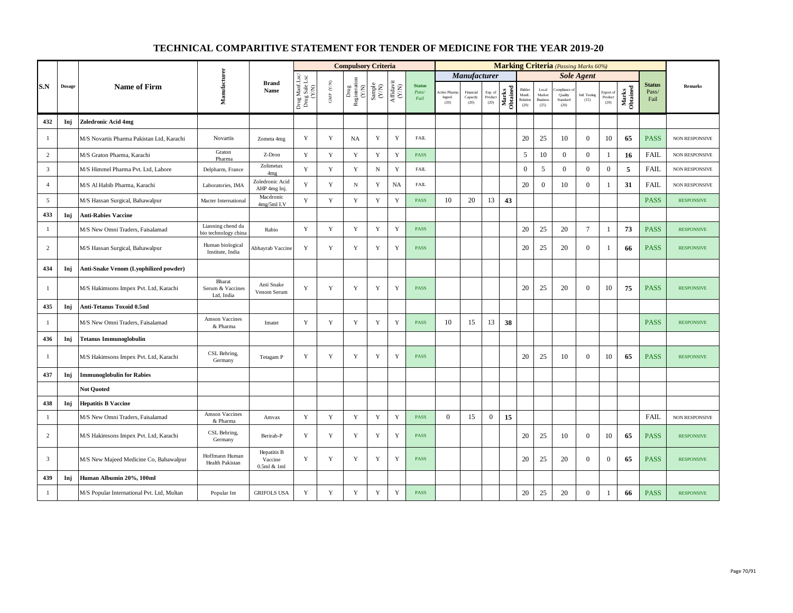|                |               |                                            |                                           |                                       |                                          |                      | <b>Compulsory Criteria</b>                                                                |                                                              |                    |                                |                                 |                               |                            |                   |                                     |                                            |                                           | <b>Marking Criteria</b> (Passing Marks 60%) |                              |                   |                                |                       |
|----------------|---------------|--------------------------------------------|-------------------------------------------|---------------------------------------|------------------------------------------|----------------------|-------------------------------------------------------------------------------------------|--------------------------------------------------------------|--------------------|--------------------------------|---------------------------------|-------------------------------|----------------------------|-------------------|-------------------------------------|--------------------------------------------|-------------------------------------------|---------------------------------------------|------------------------------|-------------------|--------------------------------|-----------------------|
|                |               |                                            |                                           |                                       |                                          |                      |                                                                                           |                                                              |                    |                                |                                 | <b>Manufacturer</b>           |                            |                   |                                     |                                            |                                           | <b>Sole Agent</b>                           |                              |                   |                                |                       |
| S.N            | <b>Dosage</b> | <b>Name of Firm</b>                        | Manufacturer                              | <b>Brand</b><br>Name                  | Drug Manf.Lsc/<br>Drug Sale Lsc<br>(Y/N) | GMP $(\mathbf{Y/N})$ | $\begin{array}{c} \mathrm{ Drug} \\ \mathrm{Registeration} \\ \mathrm{(Y/N)} \end{array}$ | $\begin{array}{c} \text{Sample} \\ (\text{Y/N}) \end{array}$ | Affidavit<br>(Y/N) | <b>Status</b><br>Pass/<br>Fail | Active Pharm<br>Ingred.<br>(20) | Financial<br>Capacity<br>(20) | Exp. of<br>Product<br>(20) | Marks<br>Obtained | Bidder<br>Manfc<br>Relation<br>(20) | Local<br>Market<br><b>Business</b><br>(25) | mpliance :<br>Quality<br>Standard<br>(20) | Intl. Testing<br>(15)                       | Export of<br>Product<br>(20) | Marks<br>Obtained | <b>Status</b><br>Pass/<br>Fail | <b>Remarks</b>        |
| 432            | Inj           | Zoledronic Acid 4mg                        |                                           |                                       |                                          |                      |                                                                                           |                                                              |                    |                                |                                 |                               |                            |                   |                                     |                                            |                                           |                                             |                              |                   |                                |                       |
| -1             |               | M/S Novartis Pharma Pakistan Ltd, Karachi  | Novartis                                  | Zometa 4mg                            | Y                                        | $\mathbf Y$          | NA                                                                                        | Y                                                            | Y                  | <b>FAIL</b>                    |                                 |                               |                            |                   | 20                                  | 25                                         | 10                                        | $\mathbf{0}$                                | 10                           | 65                | <b>PASS</b>                    | NON RESPONSIVE        |
| $\overline{c}$ |               | M/S Graton Pharma, Karachi                 | Graton<br>Pharma                          | Z-Dron                                | $\mathbf Y$                              | $\mathbf Y$          | $\mathbf Y$                                                                               | $\mathbf Y$                                                  | $\mathbf Y$        | <b>PASS</b>                    |                                 |                               |                            |                   | $\sqrt{5}$                          | 10                                         | $\mathbf{0}$                              | $\mathbf{0}$                                | -1                           | 16                | <b>FAIL</b>                    | NON RESPONSIVE        |
| $\overline{3}$ |               | M/S Himmel Pharma Pvt. Ltd, Lahore         | Delpharm, France                          | Zolimetax<br>4 <sub>mg</sub>          | Y                                        | Y                    | $\mathbf Y$                                                                               | ${\bf N}$                                                    | $\mathbf Y$        | <b>FAIL</b>                    |                                 |                               |                            |                   | $\mathbf{0}$                        | 5                                          | $\mathbf{0}$                              | $\mathbf{0}$                                | $\mathbf{0}$                 | 5                 | FAIL                           | <b>NON RESPONSIVE</b> |
| $\overline{4}$ |               | M/S Al Habib Pharma, Karachi               | Laboratories, IMA                         | Zoledronic Acid<br>AHP 4mg Inj.       | Y                                        | Y                    | $_{\rm N}$                                                                                | Y                                                            | <b>NA</b>          | <b>FAIL</b>                    |                                 |                               |                            |                   | 20                                  | $\overline{0}$                             | 10                                        | $\mathbf{0}$                                | - 1                          | 31                | <b>FAIL</b>                    | <b>NON RESPONSIVE</b> |
| 5              |               | M/S Hassan Surgical, Bahawalpur            | Macter International                      | Macdronic<br>4mg/5ml I.V              | $\mathbf Y$                              | $\mathbf Y$          | Y                                                                                         | $\mathbf Y$                                                  | $\mathbf Y$        | PASS                           | 10                              | 20                            | 13                         | 43                |                                     |                                            |                                           |                                             |                              |                   | <b>PASS</b>                    | <b>RESPONSIVE</b>     |
| 433            | Inj           | <b>Anti-Rabies Vaccine</b>                 |                                           |                                       |                                          |                      |                                                                                           |                                                              |                    |                                |                                 |                               |                            |                   |                                     |                                            |                                           |                                             |                              |                   |                                |                       |
| -1             |               | M/S New Omni Traders, Faisalamad           | Liaoning chend da<br>bio technology china | Rabio                                 | $\mathbf Y$                              | $\mathbf Y$          | $\mathbf Y$                                                                               | Y                                                            | Y                  | <b>PASS</b>                    |                                 |                               |                            |                   | 20                                  | 25                                         | 20                                        | $\tau$                                      | -1                           | 73                | <b>PASS</b>                    | <b>RESPONSIVE</b>     |
| 2              |               | M/S Hassan Surgical, Bahawalpur            | Human biological<br>Institute, India      | Abhayrab Vaccine                      | Y                                        | Y                    | Y                                                                                         | Y                                                            | Y                  | <b>PASS</b>                    |                                 |                               |                            |                   | 20                                  | 25                                         | 20                                        | $\mathbf{0}$                                | -1                           | 66                | <b>PASS</b>                    | <b>RESPONSIVE</b>     |
| 434            | Inj           | Anti-Snake Venom (Lyophilized powder)      |                                           |                                       |                                          |                      |                                                                                           |                                                              |                    |                                |                                 |                               |                            |                   |                                     |                                            |                                           |                                             |                              |                   |                                |                       |
| -1             |               | M/S Hakimsons Impex Pvt. Ltd, Karachi      | Bharat<br>Serum & Vaccines<br>Ltd, India  | Anti Snake<br>Venom Serum             | Y                                        | Y                    | Y                                                                                         | Y                                                            | Y                  | <b>PASS</b>                    |                                 |                               |                            |                   | 20                                  | 25                                         | 20                                        | $\overline{0}$                              | 10                           | 75                | <b>PASS</b>                    | <b>RESPONSIVE</b>     |
| 435            | Inj           | Anti-Tetanus Toxoid 0.5ml                  |                                           |                                       |                                          |                      |                                                                                           |                                                              |                    |                                |                                 |                               |                            |                   |                                     |                                            |                                           |                                             |                              |                   |                                |                       |
| 1              |               | M/S New Omni Traders, Faisalamad           | Amson Vaccines<br>& Pharma                | Imatet                                | Y                                        | $\mathbf Y$          | Y                                                                                         | $\mathbf Y$                                                  | $\mathbf Y$        | PASS                           | 10                              | 15                            | 13                         | 38                |                                     |                                            |                                           |                                             |                              |                   | <b>PASS</b>                    | <b>RESPONSIVE</b>     |
| 436            | Inj           | <b>Tetanus Immunoglobulin</b>              |                                           |                                       |                                          |                      |                                                                                           |                                                              |                    |                                |                                 |                               |                            |                   |                                     |                                            |                                           |                                             |                              |                   |                                |                       |
| -1             |               | M/S Hakimsons Impex Pvt. Ltd, Karachi      | CSL Behring,<br>Germany                   | Tetagam P                             | Y                                        | Y                    | Y                                                                                         | Y                                                            | Y                  | <b>PASS</b>                    |                                 |                               |                            |                   | 20                                  | 25                                         | 10                                        | $\mathbf{0}$                                | 10                           | 65                | <b>PASS</b>                    | <b>RESPONSIVE</b>     |
| 437            | Inj           | <b>Immunoglobulin for Rabies</b>           |                                           |                                       |                                          |                      |                                                                                           |                                                              |                    |                                |                                 |                               |                            |                   |                                     |                                            |                                           |                                             |                              |                   |                                |                       |
|                |               | <b>Not Quoted</b>                          |                                           |                                       |                                          |                      |                                                                                           |                                                              |                    |                                |                                 |                               |                            |                   |                                     |                                            |                                           |                                             |                              |                   |                                |                       |
| 438            | Inj           | <b>Hepatitis B Vaccine</b>                 |                                           |                                       |                                          |                      |                                                                                           |                                                              |                    |                                |                                 |                               |                            |                   |                                     |                                            |                                           |                                             |                              |                   |                                |                       |
| -1             |               | M/S New Omni Traders, Faisalamad           | Amson Vaccines<br>& Pharma                | Amvax                                 | Y                                        | Y                    | Y                                                                                         | Y                                                            | Y                  | <b>PASS</b>                    | $\Omega$                        | 15                            | $\overline{0}$             | 15                |                                     |                                            |                                           |                                             |                              |                   | FAIL                           | <b>NON RESPONSIVE</b> |
| 2              |               | M/S Hakimsons Impex Pvt. Ltd, Karachi      | CSL Behring,<br>Germany                   | Berirab-P                             | Y                                        | Y                    | Y                                                                                         | Y                                                            | Y                  | <b>PASS</b>                    |                                 |                               |                            |                   | 20                                  | 25                                         | 10                                        | $\overline{0}$                              | 10                           | 65                | <b>PASS</b>                    | <b>RESPONSIVE</b>     |
| 3              |               | M/S New Majeed Medicine Co, Bahawalpur     | Hoffmann Human<br>Health Pakistan         | Hepatitis B<br>Vaccine<br>0.5ml & 1ml | Y                                        | Y                    | Y                                                                                         | Y                                                            | Y                  | <b>PASS</b>                    |                                 |                               |                            |                   | 20                                  | 25                                         | 20                                        | $\overline{0}$                              | $\theta$                     | 65                | <b>PASS</b>                    | <b>RESPONSIVE</b>     |
| 439            | Inj           | Human Albumin 20%, 100ml                   |                                           |                                       |                                          |                      |                                                                                           |                                                              |                    |                                |                                 |                               |                            |                   |                                     |                                            |                                           |                                             |                              |                   |                                |                       |
| $\mathbf{1}$   |               | M/S Popular International Pvt. Ltd, Multan | Popular Int                               | <b>GRIFOLS USA</b>                    | $\mathbf Y$                              | $\mathbf Y$          | Y                                                                                         | $\mathbf Y$                                                  | $\mathbf Y$        | <b>PASS</b>                    |                                 |                               |                            |                   | 20                                  | 25                                         | 20                                        | $\mathbf{0}$                                | -1                           | 66                | <b>PASS</b>                    | <b>RESPONSIVE</b>     |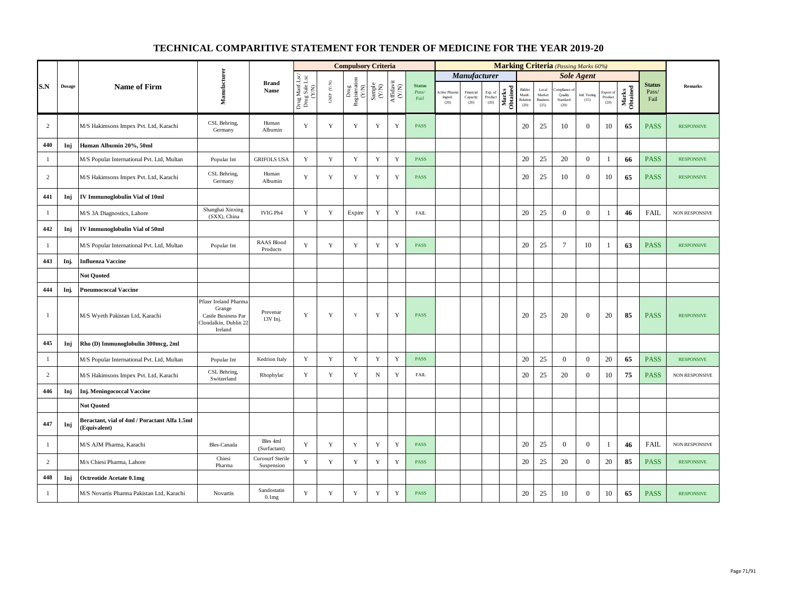|                |        |                                                               |                                                                                            |                                       |                                          |                                                                       | <b>Compulsory Criteria</b>       |                                                                     |                                                                                                |                                |                                       |                               |                            |                   |                                      |                                            | <b>Marking Criteria</b> (Passing Marks 60%) |                       |                              |                   |                                |                       |
|----------------|--------|---------------------------------------------------------------|--------------------------------------------------------------------------------------------|---------------------------------------|------------------------------------------|-----------------------------------------------------------------------|----------------------------------|---------------------------------------------------------------------|------------------------------------------------------------------------------------------------|--------------------------------|---------------------------------------|-------------------------------|----------------------------|-------------------|--------------------------------------|--------------------------------------------|---------------------------------------------|-----------------------|------------------------------|-------------------|--------------------------------|-----------------------|
|                |        |                                                               |                                                                                            |                                       |                                          |                                                                       |                                  |                                                                     |                                                                                                |                                |                                       | Manufacturer                  |                            |                   |                                      |                                            |                                             | <b>Sole Agent</b>     |                              |                   |                                |                       |
| S.N            | Dosage | <b>Name of Firm</b>                                           | Manufacturer                                                                               | <b>Brand</b><br>Name                  | Drug Manf.Lsc/<br>Drug Sale Lsc<br>(Y/N) | $\ensuremath{\mathsf{GMP}}\xspace$ $\ensuremath{\mathsf{C/N}}\xspace$ | ${\rm Drag}$ Registeration (Y/N) | $\begin{array}{c} \text{Sample} \\ \text{C}(\text{NN}) \end{array}$ | $\begin{array}{c} \mathrm{Aff} \mathrm{dav} \mathrm{i} \\ (\mathrm{Y} \mathrm{N}) \end{array}$ | <b>Status</b><br>Pass/<br>Fail | <b>Active Phan</b><br>Ingred.<br>(20) | Financial<br>Capacity<br>(20) | Exp. of<br>Product<br>(20) | Marks<br>Obtained | Bidder<br>Manfc.<br>Relation<br>(20) | Local<br>Market<br><b>Business</b><br>(25) | mpliance<br>Quality<br>Standard<br>(20)     | Intl. Testing<br>(15) | Export of<br>Product<br>(20) | Marks<br>Obtained | <b>Status</b><br>Pass/<br>Fail | <b>Remarks</b>        |
| $\overline{c}$ |        | M/S Hakimsons Impex Pvt. Ltd, Karachi                         | CSL Behring,<br>Germany                                                                    | Human<br>Albumin                      | Y                                        | $\mathbf Y$                                                           | Y                                | Y                                                                   | $\mathbf Y$                                                                                    | <b>PASS</b>                    |                                       |                               |                            |                   | 20                                   | 25                                         | 10                                          | $\overline{0}$        | 10                           | 65                | <b>PASS</b>                    | <b>RESPONSIVE</b>     |
| 440            | Inj    | Human Albumin 20%, 50ml                                       |                                                                                            |                                       |                                          |                                                                       |                                  |                                                                     |                                                                                                |                                |                                       |                               |                            |                   |                                      |                                            |                                             |                       |                              |                   |                                |                       |
| $\mathbf{1}$   |        | M/S Popular International Pvt. Ltd, Multan                    | Popular Int                                                                                | <b>GRIFOLS USA</b>                    | Y                                        | $\mathbf Y$                                                           | $\mathbf Y$                      | $\mathbf Y$                                                         | $\mathbf Y$                                                                                    | <b>PASS</b>                    |                                       |                               |                            |                   | 20                                   | 25                                         | 20                                          | $\mathbf{0}$          | $\mathbf{1}$                 | 66                | <b>PASS</b>                    | <b>RESPONSIVE</b>     |
| 2              |        | M/S Hakimsons Impex Pvt. Ltd, Karachi                         | CSL Behring,<br>Germany                                                                    | Human<br>Albumin                      | Y                                        | Y                                                                     | Y                                | Y                                                                   | Y                                                                                              | <b>PASS</b>                    |                                       |                               |                            |                   | 20                                   | 25                                         | 10                                          | $\overline{0}$        | 10                           | 65                | <b>PASS</b>                    | <b>RESPONSIVE</b>     |
| 441            | Inj    | IV Immunoglobulin Vial of 10ml                                |                                                                                            |                                       |                                          |                                                                       |                                  |                                                                     |                                                                                                |                                |                                       |                               |                            |                   |                                      |                                            |                                             |                       |                              |                   |                                |                       |
| $\mathbf{1}$   |        | M/S 3A Diagnostics, Lahore                                    | Shanghai Xinxing<br>(SXX), China                                                           | IVIG Ph4                              | Y                                        | $\mathbf Y$                                                           | Expire                           | Y                                                                   | $\mathbf Y$                                                                                    | FAIL                           |                                       |                               |                            |                   | 20                                   | 25                                         | $\overline{0}$                              | $\mathbf{0}$          | 1                            | 46                | <b>FAIL</b>                    | NON RESPONSIVE        |
| 442            | Inj    | IV Immunoglobulin Vial of 50ml                                |                                                                                            |                                       |                                          |                                                                       |                                  |                                                                     |                                                                                                |                                |                                       |                               |                            |                   |                                      |                                            |                                             |                       |                              |                   |                                |                       |
| $\mathbf{1}$   |        | M/S Popular International Pvt. Ltd, Multan                    | Popular Int                                                                                | <b>RAAS Blood</b><br>Products         | $\mathbf Y$                              | $\mathbf Y$                                                           | $\mathbf Y$                      | $\mathbf Y$                                                         | $\mathbf Y$                                                                                    | <b>PASS</b>                    |                                       |                               |                            |                   | 20                                   | 25                                         | $\tau$                                      | 10                    | -1                           | 63                | <b>PASS</b>                    | <b>RESPONSIVE</b>     |
| 443            | Inj.   | <b>Influenza Vaccine</b>                                      |                                                                                            |                                       |                                          |                                                                       |                                  |                                                                     |                                                                                                |                                |                                       |                               |                            |                   |                                      |                                            |                                             |                       |                              |                   |                                |                       |
|                |        | <b>Not Ouoted</b>                                             |                                                                                            |                                       |                                          |                                                                       |                                  |                                                                     |                                                                                                |                                |                                       |                               |                            |                   |                                      |                                            |                                             |                       |                              |                   |                                |                       |
| 444            | Inj.   | <b>Pneumococcal Vaccine</b>                                   |                                                                                            |                                       |                                          |                                                                       |                                  |                                                                     |                                                                                                |                                |                                       |                               |                            |                   |                                      |                                            |                                             |                       |                              |                   |                                |                       |
| $\mathbf{1}$   |        | M/S Wyeth Pakistan Ltd, Karachi                               | Pfizer Ireland Pharma<br>Grange<br>Castle Business Par<br>Clondalkin, Dublin 22<br>Ireland | Prevenar<br>13V Inj.                  | Y                                        | $\mathbf Y$                                                           | $\mathbf Y$                      | Y                                                                   | $\mathbf Y$                                                                                    | PASS                           |                                       |                               |                            |                   | 20                                   | 25                                         | 20                                          | $\boldsymbol{0}$      | 20                           | 85                | <b>PASS</b>                    | <b>RESPONSIVE</b>     |
| 445            | Inj    | Rho (D) Immunoglobulin 300mcg, 2ml                            |                                                                                            |                                       |                                          |                                                                       |                                  |                                                                     |                                                                                                |                                |                                       |                               |                            |                   |                                      |                                            |                                             |                       |                              |                   |                                |                       |
| $\mathbf{1}$   |        | M/S Popular International Pvt. Ltd, Multan                    | Popular Int                                                                                | Kedrion Italy                         | Y                                        | $\mathbf Y$                                                           | $\mathbf Y$                      | $\mathbf Y$                                                         | $\mathbf Y$                                                                                    | <b>PASS</b>                    |                                       |                               |                            |                   | 20                                   | 25                                         | $\overline{0}$                              | $\overline{0}$        | 20                           | 65                | <b>PASS</b>                    | <b>RESPONSIVE</b>     |
| $\overline{c}$ |        | M/S Hakimsons Impex Pvt. Ltd, Karachi                         | CSL Behring,<br>Switzerland                                                                | Rhophylac                             | $\mathbf Y$                              | $\mathbf Y$                                                           | $\mathbf Y$                      | ${\bf N}$                                                           | $\mathbf Y$                                                                                    | <b>FAIL</b>                    |                                       |                               |                            |                   | 20                                   | 25                                         | 20                                          | $\mathbf{0}$          | 10                           | 75                | <b>PASS</b>                    | NON RESPONSIVE        |
| 446            | Inj    | <b>Inj. Meningococcal Vaccine</b>                             |                                                                                            |                                       |                                          |                                                                       |                                  |                                                                     |                                                                                                |                                |                                       |                               |                            |                   |                                      |                                            |                                             |                       |                              |                   |                                |                       |
|                |        | <b>Not Quoted</b>                                             |                                                                                            |                                       |                                          |                                                                       |                                  |                                                                     |                                                                                                |                                |                                       |                               |                            |                   |                                      |                                            |                                             |                       |                              |                   |                                |                       |
| 447            | Inj    | Beractant, vial of 4ml / Poractant Alfa 1.5ml<br>(Equivalent) |                                                                                            |                                       |                                          |                                                                       |                                  |                                                                     |                                                                                                |                                |                                       |                               |                            |                   |                                      |                                            |                                             |                       |                              |                   |                                |                       |
| -1             |        | M/S AJM Pharma, Karachi                                       | Bles-Canada                                                                                | Bles 4ml<br>(Surfactant)              | Y                                        | Y                                                                     | Y                                | Y                                                                   | Y                                                                                              | <b>PASS</b>                    |                                       |                               |                            |                   | 20                                   | 25                                         | $\theta$                                    | $\theta$              | -1                           | 46                | <b>FAIL</b>                    | <b>NON RESPONSIVE</b> |
| $\overline{c}$ |        | M/s Chiesi Pharma, Lahore                                     | Chiesi<br>Pharma                                                                           | <b>Curosurf Sterile</b><br>Suspension | $\mathbf Y$                              | $\mathbf Y$                                                           | $\mathbf Y$                      | Y                                                                   | $\mathbf Y$                                                                                    | <b>PASS</b>                    |                                       |                               |                            |                   | 20                                   | 25                                         | 20                                          | $\mathbf{0}$          | 20                           | 85                | <b>PASS</b>                    | <b>RESPONSIVE</b>     |
| 448            | Inj    | <b>Octreotide Acetate 0.1mg</b>                               |                                                                                            |                                       |                                          |                                                                       |                                  |                                                                     |                                                                                                |                                |                                       |                               |                            |                   |                                      |                                            |                                             |                       |                              |                   |                                |                       |
| $\mathbf{1}$   |        | M/S Novartis Pharma Pakistan Ltd, Karachi                     | Novartis                                                                                   | Sandostatin<br>0.1 <sub>mg</sub>      | Y                                        | $\mathbf Y$                                                           | $\mathbf Y$                      | Y                                                                   | $\mathbf Y$                                                                                    | <b>PASS</b>                    |                                       |                               |                            |                   | 20                                   | 25                                         | 10                                          | $\mathbf{0}$          | 10                           | 65                | <b>PASS</b>                    | <b>RESPONSIVE</b>     |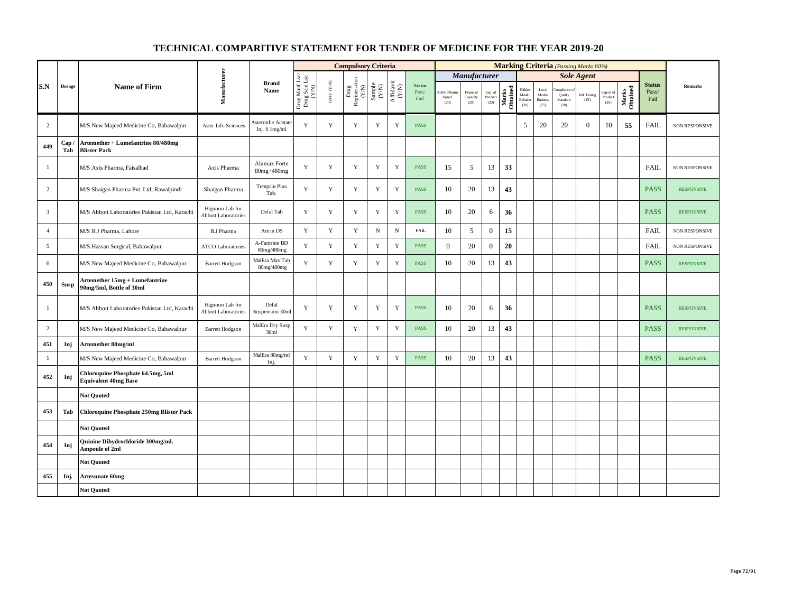|                |            |                                                                  |                                               |                                        |                                          |                      | <b>Compulsory Criteria</b>                                                |                                                              |                                                                              |                                |                                |                               |                            |                   |                                      |                                            | <b>Marking Criteria</b> (Passing Marks 60%) |                       |                              |                   |                                |                   |
|----------------|------------|------------------------------------------------------------------|-----------------------------------------------|----------------------------------------|------------------------------------------|----------------------|---------------------------------------------------------------------------|--------------------------------------------------------------|------------------------------------------------------------------------------|--------------------------------|--------------------------------|-------------------------------|----------------------------|-------------------|--------------------------------------|--------------------------------------------|---------------------------------------------|-----------------------|------------------------------|-------------------|--------------------------------|-------------------|
|                |            |                                                                  |                                               |                                        |                                          |                      |                                                                           |                                                              |                                                                              |                                |                                | <b>Manufacturer</b>           |                            |                   |                                      |                                            |                                             | <b>Sole Agent</b>     |                              |                   |                                |                   |
| S.N            | Dosage     | <b>Name of Firm</b>                                              | Manufacturer                                  | <b>Brand</b><br>Name                   | Drug Manf.Lsc/<br>Drug Sale Lsc<br>(Y/N) | GMP $(\mathbf{Y/N})$ | $\begin{tabular}{l} \bf Drag \\ \bf Registeration \\ (Y/N) \end{tabular}$ | $\begin{array}{c} \text{Sample} \\ (\text{Y/N}) \end{array}$ | $\begin{array}{c} \mathrm{Aff} \mathrm{davit} \\ (\mathrm{Y/N}) \end{array}$ | <b>Status</b><br>Pass/<br>Fail | Active Phan<br>Ingred.<br>(20) | Financial<br>Capacity<br>(20) | Exp. of<br>Product<br>(20) | Marks<br>Obtained | Bidder<br>Manfc.<br>Relation<br>(20) | Local<br>Market<br><b>Business</b><br>(25) | mpliance o<br>Quality<br>Standard<br>(20)   | Intl. Testing<br>(15) | Export of<br>Product<br>(20) | Marks<br>Obtained | <b>Status</b><br>Pass/<br>Fail | <b>Remarks</b>    |
| 2              |            | M/S New Majeed Medicine Co, Bahawalpur                           | Aster Life Sciences                           | Asterotdie Acetate<br>Inj. $0.1$ mg/ml | Y                                        | Y                    | Y                                                                         | Y                                                            | Y                                                                            | <b>PASS</b>                    |                                |                               |                            |                   | 5                                    | 20                                         | 20                                          | $\overline{0}$        | 10                           | 55                | <b>FAIL</b>                    | NON RESPONSIVE    |
| 449            | Cap<br>Tab | Artemether + Lumefantrine 80/480mg<br><b>Blister Pack</b>        |                                               |                                        |                                          |                      |                                                                           |                                                              |                                                                              |                                |                                |                               |                            |                   |                                      |                                            |                                             |                       |                              |                   |                                |                   |
| $\mathbf{1}$   |            | M/S Axis Pharma, Faisalbad                                       | Axis Pharma                                   | Alumax Forte<br>80mg+480mg             | Y                                        | Y                    | Y                                                                         | Y                                                            | $\mathbf Y$                                                                  | <b>PASS</b>                    | 15                             | 5                             | 13                         | 33                |                                      |                                            |                                             |                       |                              |                   | <b>FAIL</b>                    | NON RESPONSIVE    |
| $\overline{c}$ |            | M/S Shaigan Pharma Pvt. Ltd, Rawalpindi                          | Shaigan Pharma                                | Temprin Plus<br>Tab.                   | Y                                        | Y                    | Y                                                                         | Y                                                            | $\mathbf Y$                                                                  | <b>PASS</b>                    | 10                             | 20                            | 13                         | 43                |                                      |                                            |                                             |                       |                              |                   | <b>PASS</b>                    | <b>RESPONSIVE</b> |
| $\mathbf{3}$   |            | M/S Abbott Laboratories Pakistan Ltd, Karachi                    | Hignoon Lab for<br><b>Abbott Laboratories</b> | Defal Tab                              | $\mathbf Y$                              | $\mathbf Y$          | Y                                                                         | $\mathbf Y$                                                  | $\mathbf Y$                                                                  | PASS                           | 10                             | 20                            | 6                          | 36                |                                      |                                            |                                             |                       |                              |                   | <b>PASS</b>                    | <b>RESPONSIVE</b> |
| $\overline{4}$ |            | M/S B.J Pharma, Lahore                                           | <b>B.J Pharma</b>                             | Artrin DS                              | Y                                        | Y                    | Y                                                                         | $_{\rm N}$                                                   | $_{\rm N}$                                                                   | FAIL                           | 10                             | 5                             | $\overline{0}$             | 15                |                                      |                                            |                                             |                       |                              |                   | FAIL                           | NON RESPONSIVE    |
| 5              |            | M/S Hassan Surgical, Bahawalpur                                  | <b>ATCO Laboratories</b>                      | A-Fantrine BD<br>80mg/480mg            | Y                                        | Y                    | Y                                                                         | Y                                                            | $\mathbf Y$                                                                  | <b>PASS</b>                    | $\overline{0}$                 | 20                            | $\boldsymbol{0}$           | 20                |                                      |                                            |                                             |                       |                              |                   | <b>FAIL</b>                    | NON RESPONSIVE    |
| 6              |            | M/S New Majeed Medicine Co, Bahawalpur                           | <b>Barrett Hodgson</b>                        | MalEra Max Tab<br>80mg/480mg           | Y                                        | $\mathbf Y$          | $\mathbf Y$                                                               | Y                                                            | $\mathbf Y$                                                                  | PASS                           | 10                             | 20                            | 13                         | 43                |                                      |                                            |                                             |                       |                              |                   | <b>PASS</b>                    | <b>RESPONSIVE</b> |
| 450            | Susp       | Artemether 15mg + Lumefantrine<br>90mg/5ml, Bottle of 30ml       |                                               |                                        |                                          |                      |                                                                           |                                                              |                                                                              |                                |                                |                               |                            |                   |                                      |                                            |                                             |                       |                              |                   |                                |                   |
| $\mathbf{1}$   |            | M/S Abbott Laboratories Pakistan Ltd, Karachi                    | Hignoon Lab for<br><b>Abbott Laboratories</b> | Defal<br>Suspension 30ml               | Y                                        | Y                    | Y                                                                         | Y                                                            | Y                                                                            | <b>PASS</b>                    | 10                             | 20                            | 6                          | 36                |                                      |                                            |                                             |                       |                              |                   | <b>PASS</b>                    | <b>RESPONSIVE</b> |
| $\overline{c}$ |            | M/S New Majeed Medicine Co, Bahawalpur                           | <b>Barrett Hodgson</b>                        | MalEra Dry Susp<br>30ml                | Y                                        | $\mathbf Y$          | $\mathbf Y$                                                               | $\mathbf Y$                                                  | $\mathbf Y$                                                                  | PASS                           | 10                             | 20                            | 13                         | 43                |                                      |                                            |                                             |                       |                              |                   | <b>PASS</b>                    | <b>RESPONSIVE</b> |
| 451            | Inj        | Artemether 80mg/ml                                               |                                               |                                        |                                          |                      |                                                                           |                                                              |                                                                              |                                |                                |                               |                            |                   |                                      |                                            |                                             |                       |                              |                   |                                |                   |
| $\mathbf{1}$   |            | M/S New Majeed Medicine Co, Bahawalpur                           | <b>Barrett Hodgson</b>                        | MalEra 80mg/ml<br>Inj.                 | Y                                        | $\mathbf Y$          | $\mathbf Y$                                                               | $\mathbf Y$                                                  | $\mathbf Y$                                                                  | PASS                           | 10                             | 20                            | 13                         | 43                |                                      |                                            |                                             |                       |                              |                   | <b>PASS</b>                    | <b>RESPONSIVE</b> |
| 452            | Inj        | Chloroquine Phosphate 64.5mg, 5ml<br><b>Equivalent 40mg Base</b> |                                               |                                        |                                          |                      |                                                                           |                                                              |                                                                              |                                |                                |                               |                            |                   |                                      |                                            |                                             |                       |                              |                   |                                |                   |
|                |            | <b>Not Quoted</b>                                                |                                               |                                        |                                          |                      |                                                                           |                                                              |                                                                              |                                |                                |                               |                            |                   |                                      |                                            |                                             |                       |                              |                   |                                |                   |
| 453            | Tab        | <b>Chloroquine Phosphate 250mg Blister Pack</b>                  |                                               |                                        |                                          |                      |                                                                           |                                                              |                                                                              |                                |                                |                               |                            |                   |                                      |                                            |                                             |                       |                              |                   |                                |                   |
|                |            | <b>Not Ouoted</b>                                                |                                               |                                        |                                          |                      |                                                                           |                                                              |                                                                              |                                |                                |                               |                            |                   |                                      |                                            |                                             |                       |                              |                   |                                |                   |
| 454            | Inj        | Quinine Dihydrochloride 300mg/ml.<br><b>Ampoule of 2ml</b>       |                                               |                                        |                                          |                      |                                                                           |                                                              |                                                                              |                                |                                |                               |                            |                   |                                      |                                            |                                             |                       |                              |                   |                                |                   |
|                |            | <b>Not Quoted</b>                                                |                                               |                                        |                                          |                      |                                                                           |                                                              |                                                                              |                                |                                |                               |                            |                   |                                      |                                            |                                             |                       |                              |                   |                                |                   |
| 455            | Inj.       | <b>Artesunate 60mg</b>                                           |                                               |                                        |                                          |                      |                                                                           |                                                              |                                                                              |                                |                                |                               |                            |                   |                                      |                                            |                                             |                       |                              |                   |                                |                   |
|                |            | <b>Not Quoted</b>                                                |                                               |                                        |                                          |                      |                                                                           |                                                              |                                                                              |                                |                                |                               |                            |                   |                                      |                                            |                                             |                       |                              |                   |                                |                   |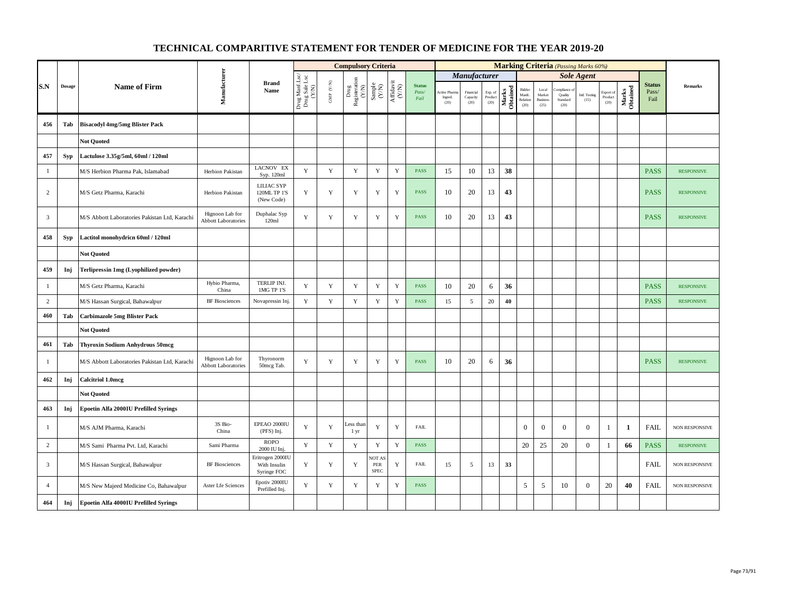|                         |            |                                               |                                               |                                                 |                                                               |                           | <b>Compulsory Criteria</b>     |                                                                     |                                                                                       |                                |                                       |                               |                            |                   |                                      |                                            |                             | <b>Marking Criteria</b> (Passing Marks 60%) |                                                    |                   |                                |                       |
|-------------------------|------------|-----------------------------------------------|-----------------------------------------------|-------------------------------------------------|---------------------------------------------------------------|---------------------------|--------------------------------|---------------------------------------------------------------------|---------------------------------------------------------------------------------------|--------------------------------|---------------------------------------|-------------------------------|----------------------------|-------------------|--------------------------------------|--------------------------------------------|-----------------------------|---------------------------------------------|----------------------------------------------------|-------------------|--------------------------------|-----------------------|
|                         |            |                                               |                                               |                                                 |                                                               |                           |                                |                                                                     |                                                                                       |                                |                                       | <b>Manufacturer</b>           |                            |                   |                                      |                                            |                             | <b>Sole Agent</b>                           |                                                    |                   |                                |                       |
| S.N                     | Dosage     | <b>Name of Firm</b>                           | Manufacturer                                  | <b>Brand</b><br>Name                            | Drug Manf.Lsc/<br>Drug Sale Lsc<br>$\left(\mathrm{NN}\right)$ | ${\rm GMP}$ ${\rm (V/N)}$ | Drug<br>Registeration<br>(Y/N) | $\begin{array}{c} \text{Sample} \\ \text{C}(\text{NN}) \end{array}$ | $\begin{array}{c} \mathrm{Aff} \mathrm{dav} \mathrm{i} \\ (\mathrm{Y/N}) \end{array}$ | <b>Status</b><br>Pass/<br>Fail | <b>Active Phan</b><br>Ingred.<br>(20) | Financial<br>Capacity<br>(20) | Exp. of<br>Product<br>(20) | Marks<br>Obtained | Bidder<br>Manfe.<br>Relation<br>(20) | Local<br>Market<br><b>Business</b><br>(25) | Quality<br>Standard<br>(20) | Intl. Testing<br>(15)                       | Export of<br>$\mathop{\text{\rm Product}}$<br>(20) | Marks<br>Obtained | <b>Status</b><br>Pass/<br>Fail | Remarks               |
| 456                     | Tab        | <b>Bisacodyl 4mg/5mg Blister Pack</b>         |                                               |                                                 |                                                               |                           |                                |                                                                     |                                                                                       |                                |                                       |                               |                            |                   |                                      |                                            |                             |                                             |                                                    |                   |                                |                       |
|                         |            | <b>Not Quoted</b>                             |                                               |                                                 |                                                               |                           |                                |                                                                     |                                                                                       |                                |                                       |                               |                            |                   |                                      |                                            |                             |                                             |                                                    |                   |                                |                       |
| 457                     | <b>Syp</b> | Lactulose 3.35g/5ml, 60ml / 120ml             |                                               |                                                 |                                                               |                           |                                |                                                                     |                                                                                       |                                |                                       |                               |                            |                   |                                      |                                            |                             |                                             |                                                    |                   |                                |                       |
| $\mathbf{1}$            |            | M/S Herbion Pharma Pak, Islamabad             | Herbion Pakistan                              | LACNOV EX<br>Syp. 120ml                         | $\mathbf Y$                                                   | $\mathbf Y$               | $\mathbf Y$                    | $\mathbf Y$                                                         | $\mathbf Y$                                                                           | <b>PASS</b>                    | 15                                    | $10\,$                        | 13                         | 38                |                                      |                                            |                             |                                             |                                                    |                   | <b>PASS</b>                    | <b>RESPONSIVE</b>     |
| 2                       |            | M/S Getz Pharma, Karachi                      | Herbion Pakistan                              | LILIAC SYP<br>120ML TP 1'S<br>(New Code)        | Y                                                             | Y                         | $\mathbf Y$                    | Y                                                                   | Y                                                                                     | <b>PASS</b>                    | 10                                    | 20                            | 13                         | 43                |                                      |                                            |                             |                                             |                                                    |                   | <b>PASS</b>                    | <b>RESPONSIVE</b>     |
| $\overline{\mathbf{3}}$ |            | M/S Abbott Laboratories Pakistan Ltd, Karachi | Hignoon Lab for<br><b>Abbott Laboratories</b> | Duphalac Syp<br>120ml                           | Y                                                             | $\mathbf Y$               | $\mathbf Y$                    | $\mathbf Y$                                                         | $\mathbf Y$                                                                           | <b>PASS</b>                    | 10                                    | 20                            | 13                         | 43                |                                      |                                            |                             |                                             |                                                    |                   | <b>PASS</b>                    | <b>RESPONSIVE</b>     |
| 458                     | <b>Syp</b> | Lactitol monohydricn 60ml / 120ml             |                                               |                                                 |                                                               |                           |                                |                                                                     |                                                                                       |                                |                                       |                               |                            |                   |                                      |                                            |                             |                                             |                                                    |                   |                                |                       |
|                         |            | <b>Not Quoted</b>                             |                                               |                                                 |                                                               |                           |                                |                                                                     |                                                                                       |                                |                                       |                               |                            |                   |                                      |                                            |                             |                                             |                                                    |                   |                                |                       |
| 459                     | Inj        | Terlipressin 1mg (Lyophilized powder)         |                                               |                                                 |                                                               |                           |                                |                                                                     |                                                                                       |                                |                                       |                               |                            |                   |                                      |                                            |                             |                                             |                                                    |                   |                                |                       |
| -1                      |            | M/S Getz Pharma, Karachi                      | Hybio Pharma,<br>China                        | TERLIP INJ.<br>1MG TP 1'S                       | $\mathbf Y$                                                   | $\mathbf Y$               | $\mathbf Y$                    | $\mathbf Y$                                                         | $\mathbf Y$                                                                           | <b>PASS</b>                    | 10                                    | 20                            | $\sqrt{6}$                 | 36                |                                      |                                            |                             |                                             |                                                    |                   | <b>PASS</b>                    | <b>RESPONSIVE</b>     |
| $\overline{c}$          |            | M/S Hassan Surgical, Bahawalpur               | <b>BF</b> Biosciences                         | Novapressin Inj.                                | $\mathbf Y$                                                   | Y                         | $\mathbf Y$                    | $\mathbf Y$                                                         | $\mathbf Y$                                                                           | <b>PASS</b>                    | 15                                    | 5                             | 20                         | 40                |                                      |                                            |                             |                                             |                                                    |                   | <b>PASS</b>                    | <b>RESPONSIVE</b>     |
| 460                     | Tab        | <b>Carbimazole 5mg Blister Pack</b>           |                                               |                                                 |                                                               |                           |                                |                                                                     |                                                                                       |                                |                                       |                               |                            |                   |                                      |                                            |                             |                                             |                                                    |                   |                                |                       |
|                         |            | <b>Not Quoted</b>                             |                                               |                                                 |                                                               |                           |                                |                                                                     |                                                                                       |                                |                                       |                               |                            |                   |                                      |                                            |                             |                                             |                                                    |                   |                                |                       |
| 461                     | Tab        | <b>Thyroxin Sodium Anhydrous 50mcg</b>        |                                               |                                                 |                                                               |                           |                                |                                                                     |                                                                                       |                                |                                       |                               |                            |                   |                                      |                                            |                             |                                             |                                                    |                   |                                |                       |
| -1                      |            | M/S Abbott Laboratories Pakistan Ltd, Karachi | Hignoon Lab for<br><b>Abbott Laboratories</b> | Thyronorm<br>50mcg Tab.                         | Y                                                             | Y                         | Y                              | Y                                                                   | Y                                                                                     | <b>PASS</b>                    | 10                                    | 20                            | 6                          | 36                |                                      |                                            |                             |                                             |                                                    |                   | <b>PASS</b>                    | <b>RESPONSIVE</b>     |
| 462                     | Inj        | <b>Calcitriol 1.0mcg</b>                      |                                               |                                                 |                                                               |                           |                                |                                                                     |                                                                                       |                                |                                       |                               |                            |                   |                                      |                                            |                             |                                             |                                                    |                   |                                |                       |
|                         |            | <b>Not Ouoted</b>                             |                                               |                                                 |                                                               |                           |                                |                                                                     |                                                                                       |                                |                                       |                               |                            |                   |                                      |                                            |                             |                                             |                                                    |                   |                                |                       |
| 463                     | Inj        | Epoetin Alfa 2000IU Prefilled Syrings         |                                               |                                                 |                                                               |                           |                                |                                                                     |                                                                                       |                                |                                       |                               |                            |                   |                                      |                                            |                             |                                             |                                                    |                   |                                |                       |
| $\mathbf{1}$            |            | M/S AJM Pharma, Karachi                       | 3S Bio-<br>China                              | EPEAO 2000IU<br>(PFS) Inj.                      | Y                                                             | $\mathbf Y$               | Less than<br>1 yr              | $\mathbf Y$                                                         | $\mathbf Y$                                                                           | ${\rm FAIL}$                   |                                       |                               |                            |                   | $\mathbf{0}$                         | $\mathbf{0}$                               | $\mathbf{0}$                | $\overline{0}$                              | 1                                                  | 1                 | FAIL                           | NON RESPONSIVE        |
| $\overline{c}$          |            | M/S Sami Pharma Pvt. Ltd, Karachi             | Sami Pharma                                   | <b>ROPO</b><br>2000 IU Inj.                     | $\mathbf Y$                                                   | Y                         | $\mathbf Y$                    | $\mathbf Y$                                                         | Y                                                                                     | <b>PASS</b>                    |                                       |                               |                            |                   | 20                                   | 25                                         | 20                          | $\overline{0}$                              | 1                                                  | 66                | <b>PASS</b>                    | <b>RESPONSIVE</b>     |
| $\overline{3}$          |            | M/S Hassan Surgical, Bahawalpur               | <b>BF</b> Biosciences                         | Eritrogen 2000IU<br>With Insulin<br>Syringe FOC | Y                                                             | $\mathbf Y$               | Y                              | <b>JOT AS</b><br>PER<br><b>SPEC</b>                                 | Y                                                                                     | ${\rm FAIL}$                   | 15                                    | 5                             | 13                         | 33                |                                      |                                            |                             |                                             |                                                    |                   | <b>FAIL</b>                    | <b>NON RESPONSIVE</b> |
| $\overline{4}$          |            | M/S New Majeed Medicine Co, Bahawalpur        | Aster Lfe Sciences                            | Epotiv 2000IU<br>Prefilled Inj.                 | $\mathbf Y$                                                   | $\mathbf Y$               | $\mathbf Y$                    | Y                                                                   | Y                                                                                     | <b>PASS</b>                    |                                       |                               |                            |                   | 5                                    | 5                                          | 10                          | $\overline{0}$                              | 20                                                 | 40                | <b>FAIL</b>                    | NON RESPONSIVE        |
| 464                     | Inj        | Epoetin Alfa 4000IU Prefilled Syrings         |                                               |                                                 |                                                               |                           |                                |                                                                     |                                                                                       |                                |                                       |                               |                            |                   |                                      |                                            |                             |                                             |                                                    |                   |                                |                       |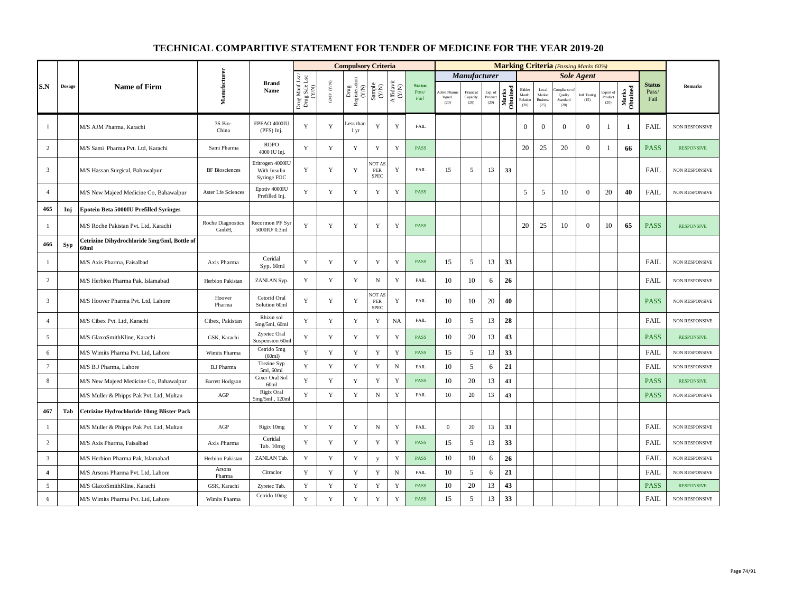|                |               |                                                                  |                            |                                                 |                                          |                                          | <b>Compulsory Criteria</b>                                               |                                                              |                                                                              |                                |                                 |                               |                            |                   |                                     |                                            |                             | <b>Marking Criteria</b> (Passing Marks 60%) |                              |                   |                                |                       |
|----------------|---------------|------------------------------------------------------------------|----------------------------|-------------------------------------------------|------------------------------------------|------------------------------------------|--------------------------------------------------------------------------|--------------------------------------------------------------|------------------------------------------------------------------------------|--------------------------------|---------------------------------|-------------------------------|----------------------------|-------------------|-------------------------------------|--------------------------------------------|-----------------------------|---------------------------------------------|------------------------------|-------------------|--------------------------------|-----------------------|
|                |               |                                                                  |                            |                                                 |                                          |                                          |                                                                          |                                                              |                                                                              |                                |                                 | Manufacturer                  |                            |                   |                                     |                                            |                             | <b>Sole Agent</b>                           |                              |                   |                                |                       |
| S.N            | <b>Dosage</b> | <b>Name of Firm</b>                                              | Manufacturer               | <b>Brand</b><br>Name                            | Drug Manf.Lsc/<br>Drug Sale Lsc<br>(Y/N) | $\text{GMP}\,$ $\left(\text{Y/N}\right)$ | Drug<br>Registeration $\left( \begin{array}{c} \chi \end{array} \right)$ | $\begin{array}{c} \text{Sample} \\ (\text{Y/N}) \end{array}$ | $\begin{array}{c} \mathrm{Aff} \mathrm{davit} \\ (\mathrm{Y/N}) \end{array}$ | <b>Status</b><br>Pass/<br>Fail | Active Pharr<br>Ingred.<br>(20) | Financial<br>Capacity<br>(20) | Exp. of<br>Product<br>(20) | Marks<br>Obtained | Bidder<br>Manfe<br>Relation<br>(20) | Local<br>Market<br><b>Business</b><br>(25) | Quality<br>Standard<br>(20) | <b>Intl. Testing</b><br>(15)                | Export of<br>Product<br>(20) | Marks<br>Obtained | <b>Status</b><br>Pass/<br>Fail | <b>Remarks</b>        |
| 1              |               | M/S AJM Pharma, Karachi                                          | 3S Bio-<br>China           | EPEAO 4000IU<br>$(PFS)$ Inj.                    | Y                                        | $\mathbf Y$                              | Less than<br>1 yr                                                        | $\mathbf Y$                                                  | $\mathbf Y$                                                                  | <b>FAIL</b>                    |                                 |                               |                            |                   | $\boldsymbol{0}$                    | $\mathbf{0}$                               | $\Omega$                    | $\bf{0}$                                    |                              | 1                 | <b>FAIL</b>                    | NON RESPONSIVE        |
| 2              |               | M/S Sami Pharma Pvt. Ltd, Karachi                                | Sami Pharma                | <b>ROPO</b><br>4000 IU Inj.                     | Y                                        | Y                                        | Y                                                                        | Y                                                            | $\mathbf Y$                                                                  | <b>PASS</b>                    |                                 |                               |                            |                   | 20                                  | 25                                         | 20                          | $\mathbf{0}$                                |                              | 66                | <b>PASS</b>                    | <b>RESPONSIVE</b>     |
| $\overline{3}$ |               | M/S Hassan Surgical, Bahawalpur                                  | <b>BF</b> Biosciences      | Eritrogen 4000IL<br>With Insulin<br>Syringe FOC | Y                                        | Y                                        | Y                                                                        | <b>NOT AS</b><br>PER<br><b>SPEC</b>                          | Y                                                                            | <b>FAIL</b>                    | 15                              | 5                             | 13                         | 33                |                                     |                                            |                             |                                             |                              |                   | <b>FAIL</b>                    | <b>NON RESPONSIVE</b> |
| $\overline{4}$ |               | M/S New Majeed Medicine Co, Bahawalpur                           | Aster Lfe Sciences         | Epotiv 4000IU<br>Prefilled Inj.                 | Y                                        | Y                                        | Y                                                                        | Y                                                            | $\mathbf Y$                                                                  | <b>PASS</b>                    |                                 |                               |                            |                   | 5                                   | 5                                          | 10                          | $\mathbf{0}$                                | 20                           | 40                | <b>FAIL</b>                    | NON RESPONSIVE        |
| 465            | Inj           | <b>Epotein Beta 5000IU Prefilled Syringes</b>                    |                            |                                                 |                                          |                                          |                                                                          |                                                              |                                                                              |                                |                                 |                               |                            |                   |                                     |                                            |                             |                                             |                              |                   |                                |                       |
| -1             |               | M/S Roche Pakistan Pvt. Ltd, Karachi                             | Roche Diagnostics<br>GmbH, | Recormon PF Syr<br>5000IU/0.3ml                 | Y                                        | Y                                        | Y                                                                        | Y                                                            | Y                                                                            | <b>PASS</b>                    |                                 |                               |                            |                   | 20                                  | 25                                         | 10                          | $\mathbf{0}$                                | 10                           | 65                | <b>PASS</b>                    | <b>RESPONSIVE</b>     |
| 466            | Syp           | Cetrizine Dihydrochloride 5mg/5ml, Bottle of<br>60 <sub>ml</sub> |                            |                                                 |                                          |                                          |                                                                          |                                                              |                                                                              |                                |                                 |                               |                            |                   |                                     |                                            |                             |                                             |                              |                   |                                |                       |
| -1             |               | M/S Axis Pharma, Faisalbad                                       | Axis Pharma                | Ceridal<br>Syp. 60ml                            | Y                                        | $\mathbf Y$                              | Y                                                                        | Y                                                            | $\mathbf Y$                                                                  | PASS                           | 15                              | 5                             | 13                         | 33                |                                     |                                            |                             |                                             |                              |                   | <b>FAIL</b>                    | NON RESPONSIVE        |
| 2              |               | M/S Herbion Pharma Pak, Islamabad                                | Herbion Pakistan           | ZANLAN Syp.                                     | Y                                        | Y                                        | Y                                                                        | N                                                            | Y                                                                            | <b>FAIL</b>                    | 10                              | 10                            | 6                          | 26                |                                     |                                            |                             |                                             |                              |                   | <b>FAIL</b>                    | NON RESPONSIVE        |
| $\overline{3}$ |               | M/S Hoover Pharma Pvt. Ltd, Lahore                               | Hoover<br>Pharma           | Cetorid Oral<br>Solution 60ml                   | Y                                        | Y                                        | Y                                                                        | <b>NOT AS</b><br>PER<br><b>SPEC</b>                          | Y                                                                            | <b>FAIL</b>                    | 10                              | 10                            | 20                         | 40                |                                     |                                            |                             |                                             |                              |                   | <b>PASS</b>                    | NON RESPONSIVE        |
| $\overline{4}$ |               | M/S Cibex Pvt. Ltd, Karachi                                      | Cibex, Pakistan            | Rhizin sol<br>$5mg/5ml$ , 60ml                  | $\mathbf Y$                              | Y                                        | Y                                                                        | $\mathbf Y$                                                  | <b>NA</b>                                                                    | <b>FAIL</b>                    | 10                              | 5                             | 13                         | 28                |                                     |                                            |                             |                                             |                              |                   | <b>FAIL</b>                    | <b>NON RESPONSIVE</b> |
| 5              |               | M/S GlaxoSmithKline, Karachi                                     | GSK, Karachi               | Zyretec Oral<br>Suspension 60ml                 | Y                                        | $\mathbf Y$                              | Y                                                                        | $\mathbf Y$                                                  | $\mathbf Y$                                                                  | <b>PASS</b>                    | 10                              | 20                            | 13                         | 43                |                                     |                                            |                             |                                             |                              |                   | <b>PASS</b>                    | <b>RESPONSIVE</b>     |
| 6              |               | M/S Wimits Pharma Pvt. Ltd, Lahore                               | Wimits Pharma              | Cetrido 5mg<br>(60ml)                           | Y                                        | Y                                        | Y                                                                        | $\mathbf Y$                                                  | $\mathbf Y$                                                                  | PASS                           | 15                              | 5                             | 13                         | 33                |                                     |                                            |                             |                                             |                              |                   | <b>FAIL</b>                    | NON RESPONSIVE        |
| $\tau$         |               | M/S B.J Pharma, Lahore                                           | <b>B.J Pharma</b>          | <b>Trezine Syp</b><br>5ml, 60ml                 | Y                                        | $\mathbf Y$                              | Y                                                                        | $\mathbf Y$                                                  | ${\bf N}$                                                                    | <b>FAIL</b>                    | 10                              | 5                             | 6                          | 21                |                                     |                                            |                             |                                             |                              |                   | <b>FAIL</b>                    | <b>NON RESPONSIVE</b> |
| 8              |               | M/S New Majeed Medicine Co, Bahawalpur                           | <b>Barrett Hodgson</b>     | Gixer Oral Sol<br>60 <sub>ml</sub>              | $\mathbf{Y}$                             | Y                                        | Y                                                                        | Y                                                            | $\mathbf Y$                                                                  | <b>PASS</b>                    | 10                              | 20                            | 13                         | 43                |                                     |                                            |                             |                                             |                              |                   | <b>PASS</b>                    | <b>RESPONSIVE</b>     |
|                |               | M/S Muller & Phipps Pak Pvt. Ltd, Multan                         | AGP                        | Rigix Oral<br>5mg/5ml, 120ml                    | Y                                        | $\mathbf Y$                              | $\mathbf Y$                                                              | ${\bf N}$                                                    | $\mathbf Y$                                                                  | <b>FAIL</b>                    | $10\,$                          | 20                            | 13                         | 43                |                                     |                                            |                             |                                             |                              |                   | <b>PASS</b>                    | NON RESPONSIVE        |
| 467            | Tab           | Cetrizine Hydrochloride 10mg Blister Pack                        |                            |                                                 |                                          |                                          |                                                                          |                                                              |                                                                              |                                |                                 |                               |                            |                   |                                     |                                            |                             |                                             |                              |                   |                                |                       |
| $\mathbf{1}$   |               | M/S Muller & Phipps Pak Pvt. Ltd, Multan                         | $AGP$                      | Rigix 10mg                                      | Y                                        | Y                                        | Y                                                                        | $\, {\rm N}$                                                 | Y                                                                            | FAIL                           | $\bf{0}$                        | 20                            | 13                         | 33                |                                     |                                            |                             |                                             |                              |                   | <b>FAIL</b>                    | NON RESPONSIVE        |
| $\overline{2}$ |               | M/S Axis Pharma, Faisalbad                                       | Axis Pharma                | Ceridal<br>Tab. 10mg                            | Y                                        | Y                                        | Y                                                                        | $\mathbf Y$                                                  | $\mathbf Y$                                                                  | <b>PASS</b>                    | 15                              | 5                             | 13                         | 33                |                                     |                                            |                             |                                             |                              |                   | <b>FAIL</b>                    | NON RESPONSIVE        |
| $\overline{3}$ |               | M/S Herbion Pharma Pak, Islamabad                                | Herbion Pakistan           | ZANLAN Tab                                      | Y                                        | Y                                        | $\mathbf Y$                                                              | y                                                            | $\mathbf Y$                                                                  | <b>PASS</b>                    | 10                              | 10                            | 6                          | 26                |                                     |                                            |                             |                                             |                              |                   | <b>FAIL</b>                    | <b>NON RESPONSIVE</b> |
| $\overline{4}$ |               | M/S Arsons Pharma Pvt. Ltd, Lahore                               | Arsons<br>Pharma           | Citraclor                                       | Y                                        | $\mathbf Y$                              | Y                                                                        | $\mathbf Y$                                                  | $_{\rm N}$                                                                   | <b>FAIL</b>                    | 10                              | 5                             | 6                          | 21                |                                     |                                            |                             |                                             |                              |                   | <b>FAIL</b>                    | NON RESPONSIVE        |
| 5              |               | M/S GlaxoSmithKline, Karachi                                     | GSK, Karachi               | Zyretec Tab.                                    | Y                                        | $\mathbf Y$                              | Y                                                                        | $\mathbf Y$                                                  | $\mathbf Y$                                                                  | <b>PASS</b>                    | 10                              | 20                            | 13                         | 43                |                                     |                                            |                             |                                             |                              |                   | <b>PASS</b>                    | <b>RESPONSIVE</b>     |
| 6              |               | M/S Wimits Pharma Pvt. Ltd, Lahore                               | Wimits Pharma              | Cetrido 10mg                                    | $\mathbf Y$                              | $\mathbf Y$                              | $\mathbf Y$                                                              | $\mathbf Y$                                                  | $\mathbf Y$                                                                  | PASS                           | 15                              | 5                             | 13                         | 33                |                                     |                                            |                             |                                             |                              |                   | <b>FAIL</b>                    | NON RESPONSIVE        |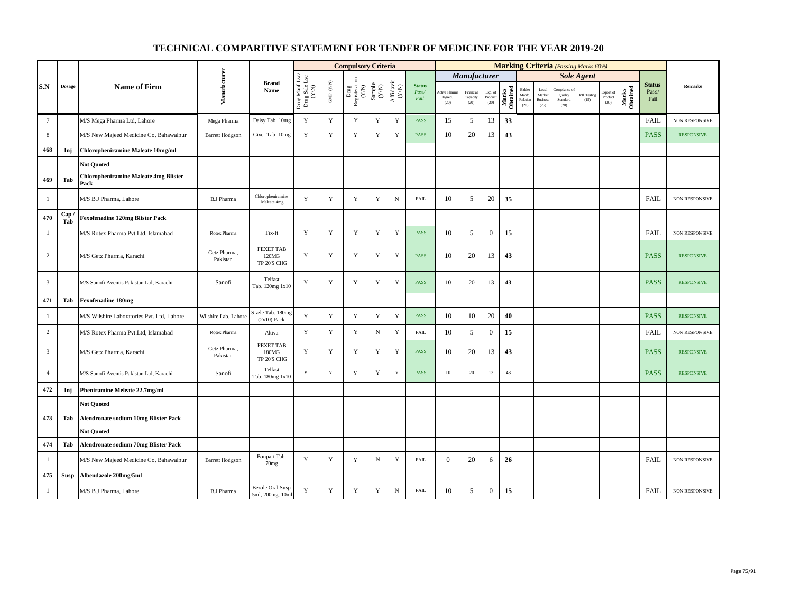|                 |               |                                                      |                          |                                          |                                          |                          | <b>Compulsory Criteria</b>                                                                 |                                                              |                                      |                                |                                |                               |                            |                   |                                     |                                            | <b>Marking Criteria</b> (Passing Marks 60%) |                       |                              |                   |                                |                       |
|-----------------|---------------|------------------------------------------------------|--------------------------|------------------------------------------|------------------------------------------|--------------------------|--------------------------------------------------------------------------------------------|--------------------------------------------------------------|--------------------------------------|--------------------------------|--------------------------------|-------------------------------|----------------------------|-------------------|-------------------------------------|--------------------------------------------|---------------------------------------------|-----------------------|------------------------------|-------------------|--------------------------------|-----------------------|
|                 |               |                                                      |                          |                                          |                                          |                          |                                                                                            |                                                              |                                      |                                |                                | Manufacturer                  |                            |                   |                                     |                                            |                                             | <b>Sole Agent</b>     |                              |                   |                                |                       |
| S.N             | $\bf{Dosage}$ | <b>Name of Firm</b>                                  | Manufacturer             | <b>Brand</b><br>Name                     | Drug Manf.Lsc/<br>Drug Sale Lsc<br>(Y/N) | ${\rm GMP}$ ${\rm (YN)}$ | $\begin{tabular}{c} \hline \texttt{Drug} \\ \texttt{Resisteration} \\ (Y/N) \end{tabular}$ | $\begin{array}{c} \text{Sample} \\ (\text{Y/N}) \end{array}$ | $\frac{\text{Affdavit}}{\text{C/N}}$ | <b>Status</b><br>Pass/<br>Fail | Active Pham<br>Ingred.<br>(20) | Financial<br>Capacity<br>(20) | Exp. of<br>Product<br>(20) | Marks<br>Obtained | Bidder<br>Manfc<br>Relation<br>(20) | Local<br>Market<br><b>Business</b><br>(25) | mpIance<br>Quality<br>Standard<br>(20)      | Intl. Testing<br>(15) | Export of<br>Product<br>(20) | Marks<br>Obtained | <b>Status</b><br>Pass/<br>Fail | Remarks               |
| $7\phantom{.0}$ |               | M/S Mega Pharma Ltd, Lahore                          | Mega Pharma              | Daisy Tab. 10mg                          | Y                                        | $\mathbf Y$              | $\mathbf Y$                                                                                | $\mathbf Y$                                                  | $\mathbf Y$                          | PASS                           | 15                             | 5                             | 13                         | 33                |                                     |                                            |                                             |                       |                              |                   | FAIL                           | NON RESPONSIVE        |
| 8               |               | M/S New Majeed Medicine Co, Bahawalpur               | <b>Barrett Hodgson</b>   | Gixer Tab. 10mg                          | $\mathbf Y$                              | $\mathbf Y$              | $\mathbf Y$                                                                                | $\mathbf Y$                                                  | $\mathbf Y$                          | <b>PASS</b>                    | 10                             | 20                            | 13                         | 43                |                                     |                                            |                                             |                       |                              |                   | <b>PASS</b>                    | <b>RESPONSIVE</b>     |
| 468             | Inj           | Chloropheniramine Maleate 10mg/ml                    |                          |                                          |                                          |                          |                                                                                            |                                                              |                                      |                                |                                |                               |                            |                   |                                     |                                            |                                             |                       |                              |                   |                                |                       |
|                 |               | <b>Not Quoted</b>                                    |                          |                                          |                                          |                          |                                                                                            |                                                              |                                      |                                |                                |                               |                            |                   |                                     |                                            |                                             |                       |                              |                   |                                |                       |
| 469             | Tab           | <b>Chloropheniramine Maleate 4mg Blister</b><br>Pack |                          |                                          |                                          |                          |                                                                                            |                                                              |                                      |                                |                                |                               |                            |                   |                                     |                                            |                                             |                       |                              |                   |                                |                       |
| $\mathbf{1}$    |               | M/S B.J Pharma, Lahore                               | <b>B.J Pharma</b>        | Chloropheniramine<br>Maleate 4mg         | Y                                        | $\mathbf Y$              | $\mathbf Y$                                                                                | $\mathbf Y$                                                  | $\mathbf N$                          | <b>FAIL</b>                    | 10                             | 5                             | 20                         | 35                |                                     |                                            |                                             |                       |                              |                   | <b>FAIL</b>                    | NON RESPONSIVE        |
| 470             | Cap/<br>Tab   | <b>Fexofenadine 120mg Blister Pack</b>               |                          |                                          |                                          |                          |                                                                                            |                                                              |                                      |                                |                                |                               |                            |                   |                                     |                                            |                                             |                       |                              |                   |                                |                       |
| $\mathbf{1}$    |               | M/S Rotex Pharma Pvt.Ltd, Islamabad                  | Rotex Pharma             | Fix-It                                   | Y                                        | $\mathbf Y$              | Y                                                                                          | $\mathbf Y$                                                  | $\mathbf Y$                          | <b>PASS</b>                    | 10                             | $\sqrt{5}$                    | $\mathbf{0}$               | 15                |                                     |                                            |                                             |                       |                              |                   | FAIL                           | NON RESPONSIVE        |
| 2               |               | M/S Getz Pharma, Karachi                             | Getz Pharma,<br>Pakistan | <b>FEXET TAB</b><br>120MG<br>TP 20'S CHG | Y                                        | Y                        | $\mathbf Y$                                                                                | $\mathbf Y$                                                  | $\mathbf Y$                          | PASS                           | 10                             | 20                            | 13                         | 43                |                                     |                                            |                                             |                       |                              |                   | <b>PASS</b>                    | <b>RESPONSIVE</b>     |
| $\overline{3}$  |               | M/S Sanofi Aventis Pakistan Ltd, Karachi             | Sanofi                   | Telfast<br>Tab. 120mg 1x10               | $\mathbf Y$                              | $\mathbf Y$              | $\mathbf Y$                                                                                | $\mathbf Y$                                                  | $\mathbf Y$                          | PASS                           | 10                             | 20                            | 13                         | 43                |                                     |                                            |                                             |                       |                              |                   | <b>PASS</b>                    | <b>RESPONSIVE</b>     |
| 471             | Tab           | <b>Fexofenadine 180mg</b>                            |                          |                                          |                                          |                          |                                                                                            |                                                              |                                      |                                |                                |                               |                            |                   |                                     |                                            |                                             |                       |                              |                   |                                |                       |
| $\mathbf{1}$    |               | M/S Wilshire Laboratories Pvt. Ltd, Lahore           | Wilshire Lab, Lahore     | Sizzle Tab. 180mg<br>$(2x10)$ Pack       | Y                                        | $\mathbf Y$              | Y                                                                                          | $\mathbf Y$                                                  | $\mathbf Y$                          | PASS                           | 10                             | 10                            | 20                         | 40                |                                     |                                            |                                             |                       |                              |                   | <b>PASS</b>                    | <b>RESPONSIVE</b>     |
| 2               |               | M/S Rotex Pharma Pvt.Ltd, Islamabad                  | Rotex Pharma             | Altiva                                   | $\mathbf Y$                              | $\mathbf Y$              | Y                                                                                          | ${\bf N}$                                                    | $\mathbf Y$                          | <b>FAIL</b>                    | 10                             | 5                             | $\mathbf{0}$               | 15                |                                     |                                            |                                             |                       |                              |                   | <b>FAIL</b>                    | <b>NON RESPONSIVE</b> |
| $\overline{3}$  |               | M/S Getz Pharma, Karachi                             | Getz Pharma,<br>Pakistan | <b>FEXET TAB</b><br>180MG<br>TP 20'S CHG | Y                                        | $\mathbf Y$              | Y                                                                                          | $\mathbf Y$                                                  | $\mathbf Y$                          | <b>PASS</b>                    | 10                             | 20                            | 13                         | 43                |                                     |                                            |                                             |                       |                              |                   | <b>PASS</b>                    | <b>RESPONSIVE</b>     |
| $\overline{4}$  |               | M/S Sanofi Aventis Pakistan Ltd, Karachi             | Sanofi                   | Telfast<br>Tab. 180mg 1x10               | Y                                        | $\mathbf Y$              | Y                                                                                          | $\mathbf Y$                                                  | $\mathbf Y$                          | PASS                           | $10\,$                         | 20                            | 13                         | 43                |                                     |                                            |                                             |                       |                              |                   | <b>PASS</b>                    | <b>RESPONSIVE</b>     |
| 472             | Inj           | Pheniramine Meleate 22.7mg/ml                        |                          |                                          |                                          |                          |                                                                                            |                                                              |                                      |                                |                                |                               |                            |                   |                                     |                                            |                                             |                       |                              |                   |                                |                       |
|                 |               | <b>Not Quoted</b>                                    |                          |                                          |                                          |                          |                                                                                            |                                                              |                                      |                                |                                |                               |                            |                   |                                     |                                            |                                             |                       |                              |                   |                                |                       |
| 473             | Tab           | <b>Alendronate sodium 10mg Blister Pack</b>          |                          |                                          |                                          |                          |                                                                                            |                                                              |                                      |                                |                                |                               |                            |                   |                                     |                                            |                                             |                       |                              |                   |                                |                       |
|                 |               | <b>Not Quoted</b>                                    |                          |                                          |                                          |                          |                                                                                            |                                                              |                                      |                                |                                |                               |                            |                   |                                     |                                            |                                             |                       |                              |                   |                                |                       |
| 474             | Tab           | <b>Alendronate sodium 70mg Blister Pack</b>          |                          |                                          |                                          |                          |                                                                                            |                                                              |                                      |                                |                                |                               |                            |                   |                                     |                                            |                                             |                       |                              |                   |                                |                       |
| $\mathbf{1}$    |               | M/S New Majeed Medicine Co, Bahawalpur               | <b>Barrett Hodgson</b>   | Bonpart Tab.<br>70 <sub>mg</sub>         | $\mathbf Y$                              | $\mathbf Y$              | Y                                                                                          | $_{\rm N}$                                                   | $\mathbf Y$                          | <b>FAIL</b>                    | $\boldsymbol{0}$               | 20                            | 6                          | 26                |                                     |                                            |                                             |                       |                              |                   | <b>FAIL</b>                    | NON RESPONSIVE        |
| 475             | Susp          | Albendazole 200mg/5ml                                |                          |                                          |                                          |                          |                                                                                            |                                                              |                                      |                                |                                |                               |                            |                   |                                     |                                            |                                             |                       |                              |                   |                                |                       |
| $\mathbf{1}$    |               | M/S B.J Pharma, Lahore                               | <b>B.J Pharma</b>        | Bezole Oral Susp<br>5ml, 200mg, 10ml     | $\mathbf Y$                              | $\mathbf Y$              | Y                                                                                          | $\mathbf Y$                                                  | ${\bf N}$                            | <b>FAIL</b>                    | 10                             | 5                             | $\overline{0}$             | 15                |                                     |                                            |                                             |                       |                              |                   | <b>FAIL</b>                    | NON RESPONSIVE        |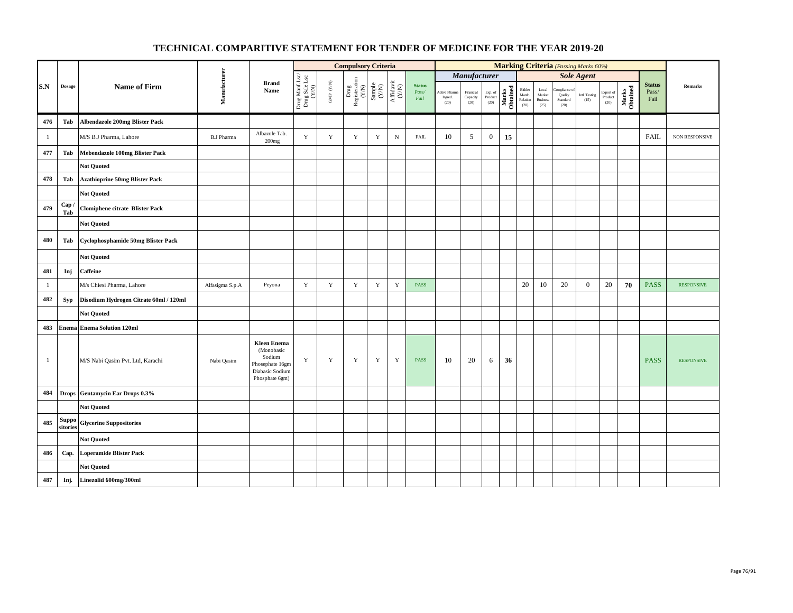|              |                                             |                                           |                   |                                                                                                    |                                          |                                          | <b>Compulsory Criteria</b>                                                                |                                                              |                                      |                                |                                  |                               |                                                                        |                   |                                                       |                                            |                                             | <b>Marking Criteria</b> (Passing Marks 60%) |                              |                   |                                |                   |
|--------------|---------------------------------------------|-------------------------------------------|-------------------|----------------------------------------------------------------------------------------------------|------------------------------------------|------------------------------------------|-------------------------------------------------------------------------------------------|--------------------------------------------------------------|--------------------------------------|--------------------------------|----------------------------------|-------------------------------|------------------------------------------------------------------------|-------------------|-------------------------------------------------------|--------------------------------------------|---------------------------------------------|---------------------------------------------|------------------------------|-------------------|--------------------------------|-------------------|
|              |                                             |                                           |                   |                                                                                                    |                                          |                                          |                                                                                           |                                                              |                                      |                                |                                  | Manufacturer                  |                                                                        |                   |                                                       |                                            |                                             | <b>Sole Agent</b>                           |                              |                   |                                |                   |
| S.N          | Dosage                                      | <b>Name of Firm</b>                       | Manufacturer      | <b>Brand</b><br>Name                                                                               | Drug Manf.Lsc/<br>Drug Sale Lsc<br>(Y/N) | $\ensuremath{\mathrm{GMP}}\xspace$ (Y/N) | $\begin{array}{c} \mathrm{ Drug} \\ \mathrm{Registeration} \\ \mathrm{(Y/N)} \end{array}$ | $\begin{array}{c} \text{Sample} \\ (\text{Y/N}) \end{array}$ | $\frac{\text{Affdavit}}{\text{N/N}}$ | <b>Status</b><br>Pass/<br>Fail | Active Pharma<br>Ingred.<br>(20) | Financial<br>Capacity<br>(20) | $\begin{array}{c} \text{Exp. of}\\ \text{Product} \end{array}$<br>(20) | Marks<br>Obtained | Bidder<br>Manfc.<br>$\operatorname{Relation}$<br>(20) | Local<br>Market<br><b>Business</b><br>(25) | ompliance of<br>Quality<br>Standard<br>(20) | Intl. Testing<br>(15)                       | Export of<br>Product<br>(20) | Marks<br>Obtained | <b>Status</b><br>Pass/<br>Fail | <b>Remarks</b>    |
| 476          | Tab                                         | <b>Albendazole 200mg Blister Pack</b>     |                   |                                                                                                    |                                          |                                          |                                                                                           |                                                              |                                      |                                |                                  |                               |                                                                        |                   |                                                       |                                            |                                             |                                             |                              |                   |                                |                   |
| $\mathbf{1}$ |                                             | M/S B.J Pharma, Lahore                    | <b>B.J Pharma</b> | Albazole Tab.<br>200mg                                                                             | Y                                        | $\mathbf Y$                              | $\mathbf Y$                                                                               | $\mathbf Y$                                                  | $\mathbf N$                          | <b>FAIL</b>                    | 10                               | 5                             | $\mathbf{0}$                                                           | 15                |                                                       |                                            |                                             |                                             |                              |                   | <b>FAIL</b>                    | NON RESPONSIVE    |
| 477          | Tab                                         | Mebendazole 100mg Blister Pack            |                   |                                                                                                    |                                          |                                          |                                                                                           |                                                              |                                      |                                |                                  |                               |                                                                        |                   |                                                       |                                            |                                             |                                             |                              |                   |                                |                   |
|              |                                             | <b>Not Quoted</b>                         |                   |                                                                                                    |                                          |                                          |                                                                                           |                                                              |                                      |                                |                                  |                               |                                                                        |                   |                                                       |                                            |                                             |                                             |                              |                   |                                |                   |
| 478          | Tab                                         | <b>Azathioprine 50mg Blister Pack</b>     |                   |                                                                                                    |                                          |                                          |                                                                                           |                                                              |                                      |                                |                                  |                               |                                                                        |                   |                                                       |                                            |                                             |                                             |                              |                   |                                |                   |
|              |                                             | <b>Not Quoted</b>                         |                   |                                                                                                    |                                          |                                          |                                                                                           |                                                              |                                      |                                |                                  |                               |                                                                        |                   |                                                       |                                            |                                             |                                             |                              |                   |                                |                   |
| 479          | Cap/<br>Tab                                 | <b>Clomiphene citrate Blister Pack</b>    |                   |                                                                                                    |                                          |                                          |                                                                                           |                                                              |                                      |                                |                                  |                               |                                                                        |                   |                                                       |                                            |                                             |                                             |                              |                   |                                |                   |
|              |                                             | <b>Not Quoted</b>                         |                   |                                                                                                    |                                          |                                          |                                                                                           |                                                              |                                      |                                |                                  |                               |                                                                        |                   |                                                       |                                            |                                             |                                             |                              |                   |                                |                   |
| 480          | Tab                                         | <b>Cyclophosphamide 50mg Blister Pack</b> |                   |                                                                                                    |                                          |                                          |                                                                                           |                                                              |                                      |                                |                                  |                               |                                                                        |                   |                                                       |                                            |                                             |                                             |                              |                   |                                |                   |
|              |                                             | <b>Not Quoted</b>                         |                   |                                                                                                    |                                          |                                          |                                                                                           |                                                              |                                      |                                |                                  |                               |                                                                        |                   |                                                       |                                            |                                             |                                             |                              |                   |                                |                   |
| 481          | Inj                                         | <b>Caffeine</b>                           |                   |                                                                                                    |                                          |                                          |                                                                                           |                                                              |                                      |                                |                                  |                               |                                                                        |                   |                                                       |                                            |                                             |                                             |                              |                   |                                |                   |
| $\mathbf{1}$ |                                             | M/s Chiesi Pharma, Lahore                 | Alfasigma S.p.A   | Peyona                                                                                             | $\mathbf Y$                              | $\mathbf Y$                              | $\mathbf Y$                                                                               | $\mathbf Y$                                                  | $\mathbf Y$                          | <b>PASS</b>                    |                                  |                               |                                                                        |                   | 20                                                    | 10                                         | 20                                          | $\mathbf{0}$                                | 20                           | 70                | <b>PASS</b>                    | <b>RESPONSIVE</b> |
| 482          | <b>Syp</b>                                  | Disodium Hydrogen Citrate 60ml / 120ml    |                   |                                                                                                    |                                          |                                          |                                                                                           |                                                              |                                      |                                |                                  |                               |                                                                        |                   |                                                       |                                            |                                             |                                             |                              |                   |                                |                   |
|              |                                             | <b>Not Quoted</b>                         |                   |                                                                                                    |                                          |                                          |                                                                                           |                                                              |                                      |                                |                                  |                               |                                                                        |                   |                                                       |                                            |                                             |                                             |                              |                   |                                |                   |
| 483          |                                             | <b>Enema Enema Solution 120ml</b>         |                   |                                                                                                    |                                          |                                          |                                                                                           |                                                              |                                      |                                |                                  |                               |                                                                        |                   |                                                       |                                            |                                             |                                             |                              |                   |                                |                   |
| $\mathbf{1}$ |                                             | M/S Nabi Qasim Pvt. Ltd, Karachi          | Nabi Qasim        | <b>Kleen Enema</b><br>(Monobasic<br>Sodium<br>Phosephate 16gm<br>Diabasic Sodium<br>Phosphate 6gm) | $\mathbf Y$                              | Y                                        | Y                                                                                         | Y                                                            | Y                                    | <b>PASS</b>                    | 10                               | 20                            | 6                                                                      | 36                |                                                       |                                            |                                             |                                             |                              |                   | <b>PASS</b>                    | <b>RESPONSIVE</b> |
| 484          |                                             | Drops Gentamycin Ear Drops 0.3%           |                   |                                                                                                    |                                          |                                          |                                                                                           |                                                              |                                      |                                |                                  |                               |                                                                        |                   |                                                       |                                            |                                             |                                             |                              |                   |                                |                   |
|              |                                             | <b>Not Quoted</b>                         |                   |                                                                                                    |                                          |                                          |                                                                                           |                                                              |                                      |                                |                                  |                               |                                                                        |                   |                                                       |                                            |                                             |                                             |                              |                   |                                |                   |
| 485          | $\operatorname{\mathbf{Suppo}}$<br>sitories | <b>Glycerine Suppositories</b>            |                   |                                                                                                    |                                          |                                          |                                                                                           |                                                              |                                      |                                |                                  |                               |                                                                        |                   |                                                       |                                            |                                             |                                             |                              |                   |                                |                   |
|              |                                             | <b>Not Quoted</b>                         |                   |                                                                                                    |                                          |                                          |                                                                                           |                                                              |                                      |                                |                                  |                               |                                                                        |                   |                                                       |                                            |                                             |                                             |                              |                   |                                |                   |
| 486          | Cap.                                        | <b>Loperamide Blister Pack</b>            |                   |                                                                                                    |                                          |                                          |                                                                                           |                                                              |                                      |                                |                                  |                               |                                                                        |                   |                                                       |                                            |                                             |                                             |                              |                   |                                |                   |
|              |                                             | <b>Not Quoted</b>                         |                   |                                                                                                    |                                          |                                          |                                                                                           |                                                              |                                      |                                |                                  |                               |                                                                        |                   |                                                       |                                            |                                             |                                             |                              |                   |                                |                   |
| 487          | Inj.                                        | Linezolid 600mg/300ml                     |                   |                                                                                                    |                                          |                                          |                                                                                           |                                                              |                                      |                                |                                  |                               |                                                                        |                   |                                                       |                                            |                                             |                                             |                              |                   |                                |                   |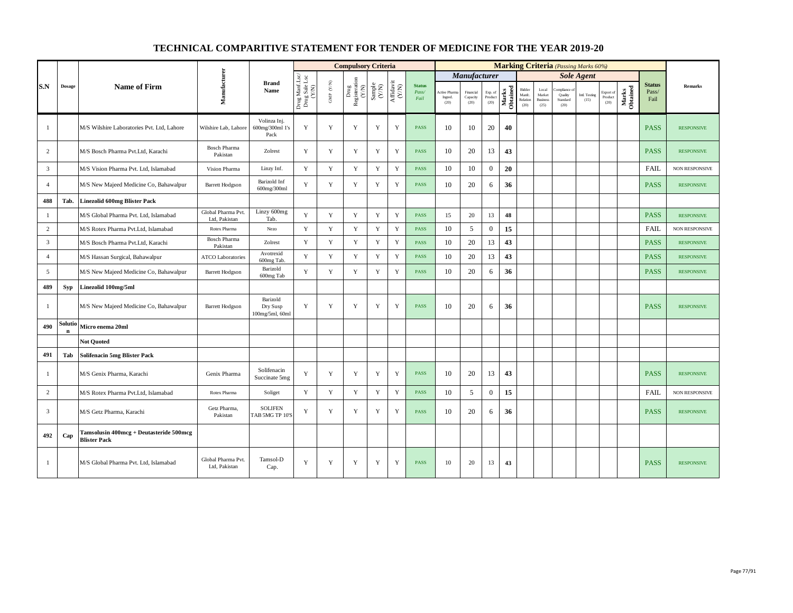|                |               |                                                                |                                     |                                         |                                          |                      | <b>Compulsory Criteria</b>                      |             |                                                                                       |                                |                                |                               |                            |                   |                                      |                                            |                                            | <b>Marking Criteria</b> (Passing Marks 60%) |                              |                   |                                |                       |
|----------------|---------------|----------------------------------------------------------------|-------------------------------------|-----------------------------------------|------------------------------------------|----------------------|-------------------------------------------------|-------------|---------------------------------------------------------------------------------------|--------------------------------|--------------------------------|-------------------------------|----------------------------|-------------------|--------------------------------------|--------------------------------------------|--------------------------------------------|---------------------------------------------|------------------------------|-------------------|--------------------------------|-----------------------|
|                |               |                                                                |                                     |                                         |                                          |                      |                                                 |             |                                                                                       |                                |                                | <b>Manufacturer</b>           |                            |                   |                                      |                                            |                                            | <b>Sole Agent</b>                           |                              |                   |                                |                       |
| S.N            | <b>Dosage</b> | <b>Name of Firm</b>                                            | Manufacturer                        | <b>Brand</b><br>Name                    | Drug Manf.Lsc/<br>Drug Sale Lsc<br>(Y/N) | GMP $(\mathbf{Y/N})$ | Drug<br>Registeration (Y/N)<br>Sample<br>Sample |             | $\begin{array}{c} \mathrm{Aff} \mathrm{dav} \mathrm{i} \\ (\mathrm{Y/N}) \end{array}$ | <b>Status</b><br>Pass/<br>Fail | ctive Pharm<br>Ingred.<br>(20) | Financial<br>Capacity<br>(20) | Exp. of<br>Product<br>(20) | Marks<br>Obtained | Bidder<br>Manfe.<br>Relation<br>(20) | Local<br>Market<br><b>Business</b><br>(25) | ompliance o<br>Quality<br>Standard<br>(20) | Intl. Testing<br>(15)                       | Export of<br>Product<br>(20) | Marks<br>Obtained | <b>Status</b><br>Pass/<br>Fail | Remarks               |
| $\mathbf{1}$   |               | M/S Wilshire Laboratories Pvt. Ltd, Lahore                     | Wilshire Lab, Lahore                | Volinza Inj.<br>600mg/300ml 1's<br>Pack | Y                                        | $\mathbf Y$          | Y                                               | Y           | $\mathbf Y$                                                                           | <b>PASS</b>                    | 10                             | 10                            | 20                         | 40                |                                      |                                            |                                            |                                             |                              |                   | <b>PASS</b>                    | <b>RESPONSIVE</b>     |
| 2              |               | M/S Bosch Pharma Pvt.Ltd. Karachi                              | <b>Bosch Pharma</b><br>Pakistan     | Zolrest                                 | Y                                        | Y                    | Y                                               | $\mathbf Y$ | $\mathbf Y$                                                                           | <b>PASS</b>                    | 10                             | 20                            | 13                         | 43                |                                      |                                            |                                            |                                             |                              |                   | <b>PASS</b>                    | <b>RESPONSIVE</b>     |
| $\mathbf{3}$   |               | M/S Vision Pharma Pvt. Ltd, Islamabad                          | Vision Pharma                       | Linzy Inf.                              | Y                                        | $\mathbf Y$          | $\mathbf Y$                                     | $\mathbf Y$ | $\mathbf Y$                                                                           | <b>PASS</b>                    | 10                             | 10                            | $\mathbf{0}$               | 20                |                                      |                                            |                                            |                                             |                              |                   | <b>FAIL</b>                    | NON RESPONSIVE        |
| $\overline{4}$ |               | M/S New Majeed Medicine Co, Bahawalpur                         | <b>Barrett Hodgson</b>              | Barizold Inf<br>600mg/300ml             | Y                                        | $\mathbf Y$          | Y                                               | $\mathbf Y$ | Y                                                                                     | <b>PASS</b>                    | 10                             | 20                            | 6                          | 36                |                                      |                                            |                                            |                                             |                              |                   | <b>PASS</b>                    | <b>RESPONSIVE</b>     |
| 488            | Tab.          | <b>Linezolid 600mg Blister Pack</b>                            |                                     |                                         |                                          |                      |                                                 |             |                                                                                       |                                |                                |                               |                            |                   |                                      |                                            |                                            |                                             |                              |                   |                                |                       |
| $\mathbf{1}$   |               | M/S Global Pharma Pvt. Ltd, Islamabad                          | Global Pharma Pvt.<br>Ltd, Pakistan | Linzy 600mg<br>Tab.                     | Y                                        | $\mathbf Y$          | $\mathbf Y$                                     | Y           | $\mathbf Y$                                                                           | <b>PASS</b>                    | 15                             | 20                            | 13                         | 48                |                                      |                                            |                                            |                                             |                              |                   | <b>PASS</b>                    | <b>RESPONSIVE</b>     |
| $\overline{2}$ |               | M/S Rotex Pharma Pvt.Ltd, Islamabad                            | Rotex Pharma                        | Nezo                                    | Y                                        | Y                    | $\mathbf Y$                                     | $\mathbf Y$ | $\mathbf Y$                                                                           | <b>PASS</b>                    | 10                             | 5                             | $\mathbf{0}$               | 15                |                                      |                                            |                                            |                                             |                              |                   | <b>FAIL</b>                    | NON RESPONSIVE        |
| $\overline{3}$ |               | M/S Bosch Pharma Pvt.Ltd, Karachi                              | <b>Bosch Pharma</b><br>Pakistan     | Zolrest                                 | Y                                        | Y                    | Y                                               | Y           | $\mathbf Y$                                                                           | <b>PASS</b>                    | 10                             | 20                            | 13                         | 43                |                                      |                                            |                                            |                                             |                              |                   | <b>PASS</b>                    | <b>RESPONSIVE</b>     |
| $\overline{4}$ |               | M/S Hassan Surgical, Bahawalpur                                | <b>ATCO Laboratories</b>            | Avotrexid<br>600mg Tab.                 | Y                                        | $\mathbf Y$          | $\mathbf Y$                                     | $\mathbf Y$ | $\mathbf Y$                                                                           | <b>PASS</b>                    | 10                             | 20                            | 13                         | 43                |                                      |                                            |                                            |                                             |                              |                   | <b>PASS</b>                    | <b>RESPONSIVE</b>     |
| 5              |               | M/S New Majeed Medicine Co, Bahawalpur                         | <b>Barrett Hodgson</b>              | Barizold<br>600mg Tab                   | Y                                        | Y                    | Y                                               | Y           | Y                                                                                     | <b>PASS</b>                    | 10                             | 20                            | 6                          | 36                |                                      |                                            |                                            |                                             |                              |                   | <b>PASS</b>                    | <b>RESPONSIVE</b>     |
| 489            | <b>Syp</b>    | Linezolid 100mg/5ml                                            |                                     |                                         |                                          |                      |                                                 |             |                                                                                       |                                |                                |                               |                            |                   |                                      |                                            |                                            |                                             |                              |                   |                                |                       |
| $\mathbf{1}$   |               | M/S New Majeed Medicine Co, Bahawalpur                         | <b>Barrett Hodgson</b>              | Barizold<br>Dry Susp<br>100mg/5ml, 60ml | Y                                        | Y                    | Y                                               | Y           | Y                                                                                     | <b>PASS</b>                    | 10                             | 20                            | 6                          | 36                |                                      |                                            |                                            |                                             |                              |                   | <b>PASS</b>                    | <b>RESPONSIVE</b>     |
| 490            | Soluti        | Micro enema 20ml                                               |                                     |                                         |                                          |                      |                                                 |             |                                                                                       |                                |                                |                               |                            |                   |                                      |                                            |                                            |                                             |                              |                   |                                |                       |
|                |               | <b>Not Ouoted</b>                                              |                                     |                                         |                                          |                      |                                                 |             |                                                                                       |                                |                                |                               |                            |                   |                                      |                                            |                                            |                                             |                              |                   |                                |                       |
| 491            | Tab           | <b>Solifenacin 5mg Blister Pack</b>                            |                                     |                                         |                                          |                      |                                                 |             |                                                                                       |                                |                                |                               |                            |                   |                                      |                                            |                                            |                                             |                              |                   |                                |                       |
| -1             |               | M/S Genix Pharma, Karachi                                      | Genix Pharma                        | Solifenacin<br>Succinate 5mg            | Y                                        | Y                    | Y                                               | Y           | Y                                                                                     | <b>PASS</b>                    | 10                             | 20                            | 13                         | 43                |                                      |                                            |                                            |                                             |                              |                   | <b>PASS</b>                    | <b>RESPONSIVE</b>     |
| $\overline{c}$ |               | M/S Rotex Pharma Pvt.Ltd. Islamabad                            | Rotex Pharma                        | Soliget                                 | Y                                        | Y                    | $\mathbf Y$                                     | $\mathbf Y$ | $\mathbf Y$                                                                           | <b>PASS</b>                    | 10                             | 5                             | $\mathbf{0}$               | 15                |                                      |                                            |                                            |                                             |                              |                   | <b>FAIL</b>                    | <b>NON RESPONSIVE</b> |
| $\overline{3}$ |               | M/S Getz Pharma, Karachi                                       | Getz Pharma,<br>Pakistan            | <b>SOLIFEN</b><br>TAB 5MG TP 10'S       | Y                                        | Y                    | Y                                               | Y           | Y                                                                                     | PASS                           | 10                             | 20                            | 6                          | 36                |                                      |                                            |                                            |                                             |                              |                   | <b>PASS</b>                    | <b>RESPONSIVE</b>     |
| 492            | Cap           | Tamsolusin 400mcg + Deutasteride 500mcg<br><b>Blister Pack</b> |                                     |                                         |                                          |                      |                                                 |             |                                                                                       |                                |                                |                               |                            |                   |                                      |                                            |                                            |                                             |                              |                   |                                |                       |
| -1             |               | M/S Global Pharma Pvt. Ltd, Islamabad                          | Global Pharma Pvt.<br>Ltd, Pakistan | Tamsol-D<br>Cap.                        | Y                                        | Y                    | Y                                               | Y           | Y                                                                                     | <b>PASS</b>                    | 10                             | 20                            | 13                         | 43                |                                      |                                            |                                            |                                             |                              |                   | <b>PASS</b>                    | <b>RESPONSIVE</b>     |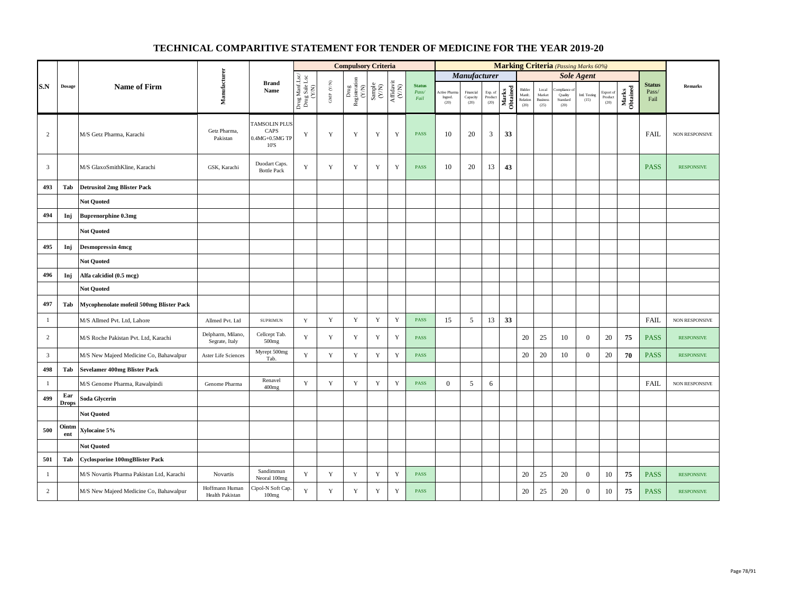|                |                     |                                           |                                     |                                                          |                                          |                          | <b>Compulsory Criteria</b>    |                                                                     |                                                                    |                                |                                 |                               |                            |                   |                                            |                                            |                                          | <b>Marking Criteria</b> (Passing Marks 60%) |                                    |                   |                                |                       |
|----------------|---------------------|-------------------------------------------|-------------------------------------|----------------------------------------------------------|------------------------------------------|--------------------------|-------------------------------|---------------------------------------------------------------------|--------------------------------------------------------------------|--------------------------------|---------------------------------|-------------------------------|----------------------------|-------------------|--------------------------------------------|--------------------------------------------|------------------------------------------|---------------------------------------------|------------------------------------|-------------------|--------------------------------|-----------------------|
|                |                     |                                           |                                     |                                                          |                                          |                          |                               |                                                                     |                                                                    |                                |                                 | Manufacturer                  |                            |                   |                                            |                                            |                                          | <b>Sole Agent</b>                           |                                    |                   |                                |                       |
| S.N            | <b>Dosage</b>       | <b>Name of Firm</b>                       | Manufacturer                        | <b>Brand</b><br>Name                                     | Drug Manf.Lsc/<br>Drug Sale Lsc<br>(Y/N) | ${\rm GMP}$ ${\rm (YN)}$ | Drug<br>Registeration $(Y/N)$ | $\begin{array}{c} \text{Sample} \\ \text{C}(\text{NN}) \end{array}$ | $\begin{array}{c} \mathrm{Affdavit} \\ (\mathrm{Y/N}) \end{array}$ | <b>Status</b><br>Pass/<br>Fail | Active Pharm<br>Ingred.<br>(20) | Financial<br>Capacity<br>(20) | Exp. of<br>Product<br>(20) | Marks<br>Obtained | Bidder<br>Manfc.<br>$\sf Relation$<br>(20) | Local<br>Market<br><b>Business</b><br>(25) | ompliance<br>Quality<br>Standard<br>(20) | Intl. Testing<br>(15)                       | Export of<br>$\bf Product$<br>(20) | Marks<br>Obtained | <b>Status</b><br>Pass/<br>Fail | <b>Remarks</b>        |
| $\overline{c}$ |                     | M/S Getz Pharma, Karachi                  | Getz Pharma,<br>Pakistan            | <b>TAMSOLIN PLUS</b><br>CAPS<br>$0.4MG+0.5MG$ TP<br>10'S | $\mathbf Y$                              | Y                        | Y                             | Y                                                                   | $\mathbf Y$                                                        | PASS                           | 10                              | 20                            | 3                          | 33                |                                            |                                            |                                          |                                             |                                    |                   | <b>FAIL</b>                    | <b>NON RESPONSIVE</b> |
| $\mathbf{3}$   |                     | M/S GlaxoSmithKline, Karachi              | GSK, Karachi                        | Duodart Caps.<br><b>Bottle Pack</b>                      | Y                                        | $\mathbf Y$              | Y                             | $\mathbf Y$                                                         | $\mathbf Y$                                                        | <b>PASS</b>                    | 10                              | 20                            | 13                         | 43                |                                            |                                            |                                          |                                             |                                    |                   | <b>PASS</b>                    | <b>RESPONSIVE</b>     |
| 493            | Tab                 | <b>Detrusitol 2mg Blister Pack</b>        |                                     |                                                          |                                          |                          |                               |                                                                     |                                                                    |                                |                                 |                               |                            |                   |                                            |                                            |                                          |                                             |                                    |                   |                                |                       |
|                |                     | <b>Not Quoted</b>                         |                                     |                                                          |                                          |                          |                               |                                                                     |                                                                    |                                |                                 |                               |                            |                   |                                            |                                            |                                          |                                             |                                    |                   |                                |                       |
| 494            | Inj                 | <b>Buprenorphine 0.3mg</b>                |                                     |                                                          |                                          |                          |                               |                                                                     |                                                                    |                                |                                 |                               |                            |                   |                                            |                                            |                                          |                                             |                                    |                   |                                |                       |
|                |                     | <b>Not Quoted</b>                         |                                     |                                                          |                                          |                          |                               |                                                                     |                                                                    |                                |                                 |                               |                            |                   |                                            |                                            |                                          |                                             |                                    |                   |                                |                       |
| 495            | Inj                 | <b>Desmopressin 4mcg</b>                  |                                     |                                                          |                                          |                          |                               |                                                                     |                                                                    |                                |                                 |                               |                            |                   |                                            |                                            |                                          |                                             |                                    |                   |                                |                       |
|                |                     | <b>Not Quoted</b>                         |                                     |                                                          |                                          |                          |                               |                                                                     |                                                                    |                                |                                 |                               |                            |                   |                                            |                                            |                                          |                                             |                                    |                   |                                |                       |
| 496            | Inj                 | Alfa calcidiol (0.5 mcg)                  |                                     |                                                          |                                          |                          |                               |                                                                     |                                                                    |                                |                                 |                               |                            |                   |                                            |                                            |                                          |                                             |                                    |                   |                                |                       |
|                |                     | <b>Not Quoted</b>                         |                                     |                                                          |                                          |                          |                               |                                                                     |                                                                    |                                |                                 |                               |                            |                   |                                            |                                            |                                          |                                             |                                    |                   |                                |                       |
| 497            | Tab                 | Mycophenolate mofetil 500mg Blister Pack  |                                     |                                                          |                                          |                          |                               |                                                                     |                                                                    |                                |                                 |                               |                            |                   |                                            |                                            |                                          |                                             |                                    |                   |                                |                       |
| $\mathbf{1}$   |                     | M/S Allmed Pvt. Ltd, Lahore               | Allmed Pvt. Ltd                     | <b>SUPRIMUN</b>                                          | $\mathbf Y$                              | $\mathbf Y$              | $\mathbf Y$                   | $\mathbf Y$                                                         | $\mathbf Y$                                                        | <b>PASS</b>                    | 15                              | 5                             | 13                         | 33                |                                            |                                            |                                          |                                             |                                    |                   | FAIL                           | NON RESPONSIVE        |
| $\overline{c}$ |                     | M/S Roche Pakistan Pvt. Ltd, Karachi      | Delpharm, Milano,<br>Segrate, Italy | Cellcept Tab.<br>500 <sub>mg</sub>                       | $\mathbf Y$                              | Y                        | Y                             | $\mathbf Y$                                                         | $\mathbf Y$                                                        | <b>PASS</b>                    |                                 |                               |                            |                   | 20                                         | 25                                         | 10                                       | $\mathbf{0}$                                | 20                                 | 75                | <b>PASS</b>                    | <b>RESPONSIVE</b>     |
| $\overline{3}$ |                     | M/S New Majeed Medicine Co, Bahawalpur    | Aster Life Sciences                 | Myrept 500mg<br>Tab.                                     | Y                                        | $\mathbf Y$              | $\mathbf Y$                   | $\mathbf Y$                                                         | $\mathbf Y$                                                        | <b>PASS</b>                    |                                 |                               |                            |                   | $20\,$                                     | 20                                         | 10                                       | $\mathbf{0}$                                | 20                                 | 70                | <b>PASS</b>                    | <b>RESPONSIVE</b>     |
| 498            | Tab                 | <b>Sevelamer 400mg Blister Pack</b>       |                                     |                                                          |                                          |                          |                               |                                                                     |                                                                    |                                |                                 |                               |                            |                   |                                            |                                            |                                          |                                             |                                    |                   |                                |                       |
| $\overline{1}$ |                     | M/S Genome Pharma, Rawalpindi             | Genome Pharma                       | Renavel<br>400mg                                         | Y                                        | $\mathbf Y$              | $\mathbf Y$                   | $\mathbf Y$                                                         | $\mathbf Y$                                                        | <b>PASS</b>                    | $\mathbf{0}$                    | 5                             | 6                          |                   |                                            |                                            |                                          |                                             |                                    |                   | <b>FAIL</b>                    | NON RESPONSIVE        |
| 499            | Ear<br><b>Drops</b> | Soda Glycerin                             |                                     |                                                          |                                          |                          |                               |                                                                     |                                                                    |                                |                                 |                               |                            |                   |                                            |                                            |                                          |                                             |                                    |                   |                                |                       |
|                |                     | <b>Not Quoted</b>                         |                                     |                                                          |                                          |                          |                               |                                                                     |                                                                    |                                |                                 |                               |                            |                   |                                            |                                            |                                          |                                             |                                    |                   |                                |                       |
| 500            | Ointm<br>ent        | Xylocaine 5%                              |                                     |                                                          |                                          |                          |                               |                                                                     |                                                                    |                                |                                 |                               |                            |                   |                                            |                                            |                                          |                                             |                                    |                   |                                |                       |
|                |                     | <b>Not Quoted</b>                         |                                     |                                                          |                                          |                          |                               |                                                                     |                                                                    |                                |                                 |                               |                            |                   |                                            |                                            |                                          |                                             |                                    |                   |                                |                       |
| 501            | Tab                 | <b>Cyclosporine 100mgBlister Pack</b>     |                                     |                                                          |                                          |                          |                               |                                                                     |                                                                    |                                |                                 |                               |                            |                   |                                            |                                            |                                          |                                             |                                    |                   |                                |                       |
| $\mathbf{1}$   |                     | M/S Novartis Pharma Pakistan Ltd, Karachi | Novartis                            | Sandimmun<br>Neoral 100mg                                | $\mathbf Y$                              | $\mathbf Y$              | $\mathbf Y$                   | $\mathbf Y$                                                         | $\mathbf Y$                                                        | <b>PASS</b>                    |                                 |                               |                            |                   | 20                                         | 25                                         | 20                                       | $\boldsymbol{0}$                            | 10                                 | 75                | <b>PASS</b>                    | <b>RESPONSIVE</b>     |
| $\overline{c}$ |                     | M/S New Majeed Medicine Co, Bahawalpur    | Hoffmann Human<br>Health Pakistan   | Cipol-N Soft Cap.<br>100mg                               | $\mathbf Y$                              | $\mathbf Y$              | $\mathbf Y$                   | $\mathbf Y$                                                         | $\mathbf Y$                                                        | <b>PASS</b>                    |                                 |                               |                            |                   | $20\,$                                     | 25                                         | 20                                       | $\boldsymbol{0}$                            | 10                                 | 75                | <b>PASS</b>                    | <b>RESPONSIVE</b>     |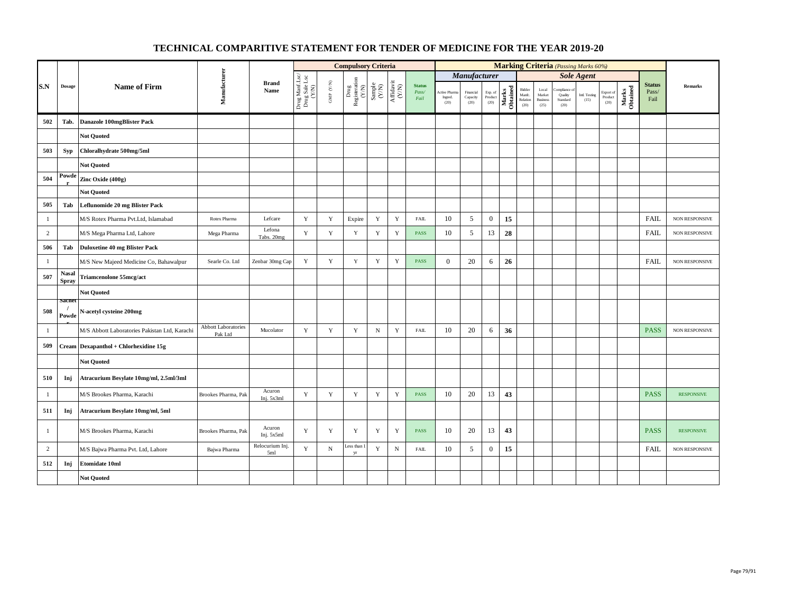|                |                              |                                               |                                       |                        |                                          |                                          | <b>Compulsory Criteria</b>                        |             |                                                                              |                                |                                  |                               |                            |                   |                                      |                                                     |                                            | <b>Marking Criteria</b> (Passing Marks 60%) |                              |                   |                                |                       |
|----------------|------------------------------|-----------------------------------------------|---------------------------------------|------------------------|------------------------------------------|------------------------------------------|---------------------------------------------------|-------------|------------------------------------------------------------------------------|--------------------------------|----------------------------------|-------------------------------|----------------------------|-------------------|--------------------------------------|-----------------------------------------------------|--------------------------------------------|---------------------------------------------|------------------------------|-------------------|--------------------------------|-----------------------|
|                |                              |                                               |                                       |                        |                                          |                                          |                                                   |             |                                                                              |                                |                                  | Manufacturer                  |                            |                   |                                      |                                                     |                                            | <b>Sole Agent</b>                           |                              |                   |                                |                       |
| S.N            | Dosage                       | <b>Name of Firm</b>                           | Manufacturer                          | <b>Brand</b><br>Name   | Drug Manf.Lsc/<br>Drug Sale Lsc<br>(Y/N) | $\ensuremath{\mathrm{GMP}}\xspace$ (Y/N) | Drug<br>Registeration<br>(Y/N)<br>Sample<br>(Y/N) |             | $\begin{array}{c} \mathrm{Aff} \mathrm{davit} \\ (\mathrm{Y/N}) \end{array}$ | <b>Status</b><br>Pass/<br>Fail | Active Pharma<br>Ingred.<br>(20) | Financial<br>Capacity<br>(20) | Exp. of<br>Product<br>(20) | Marks<br>Obtained | Bidder<br>Manfc.<br>Relation<br>(20) | $_{\rm Local}$<br>Market<br><b>Business</b><br>(25) | ompliance o<br>Quality<br>Standard<br>(20) | Intl. Testing<br>(15)                       | Export of<br>Product<br>(20) | Marks<br>Obtained | <b>Status</b><br>Pass/<br>Fail | <b>Remarks</b>        |
| 502            | Tab.                         | <b>Danazole 100mgBlister Pack</b>             |                                       |                        |                                          |                                          |                                                   |             |                                                                              |                                |                                  |                               |                            |                   |                                      |                                                     |                                            |                                             |                              |                   |                                |                       |
|                |                              | <b>Not Quoted</b>                             |                                       |                        |                                          |                                          |                                                   |             |                                                                              |                                |                                  |                               |                            |                   |                                      |                                                     |                                            |                                             |                              |                   |                                |                       |
| 503            | <b>Syp</b>                   | Chloralhydrate 500mg/5ml                      |                                       |                        |                                          |                                          |                                                   |             |                                                                              |                                |                                  |                               |                            |                   |                                      |                                                     |                                            |                                             |                              |                   |                                |                       |
|                |                              | <b>Not Quoted</b>                             |                                       |                        |                                          |                                          |                                                   |             |                                                                              |                                |                                  |                               |                            |                   |                                      |                                                     |                                            |                                             |                              |                   |                                |                       |
| 504            | Powde                        | Zinc Oxide (400g)                             |                                       |                        |                                          |                                          |                                                   |             |                                                                              |                                |                                  |                               |                            |                   |                                      |                                                     |                                            |                                             |                              |                   |                                |                       |
|                |                              | <b>Not Quoted</b>                             |                                       |                        |                                          |                                          |                                                   |             |                                                                              |                                |                                  |                               |                            |                   |                                      |                                                     |                                            |                                             |                              |                   |                                |                       |
| 505            | Tab                          | Leflunomide 20 mg Blister Pack                |                                       |                        |                                          |                                          |                                                   |             |                                                                              |                                |                                  |                               |                            |                   |                                      |                                                     |                                            |                                             |                              |                   |                                |                       |
| $\mathbf{1}$   |                              | M/S Rotex Pharma Pvt.Ltd, Islamabad           | Rotex Pharma                          | Lefcare                | Y                                        | $\mathbf Y$                              | Expire                                            | $\mathbf Y$ | $\mathbf Y$                                                                  | <b>FAIL</b>                    | 10                               | 5                             | $\boldsymbol{0}$           | 15                |                                      |                                                     |                                            |                                             |                              |                   | <b>FAIL</b>                    | <b>NON RESPONSIVE</b> |
| $\overline{c}$ |                              | M/S Mega Pharma Ltd, Lahore                   | Mega Pharma                           | Lefona<br>Tabs. 20mg   | $\mathbf Y$                              | $\mathbf Y$                              | $\mathbf Y$                                       | $\mathbf Y$ | $\mathbf Y$                                                                  | <b>PASS</b>                    | 10                               | 5                             | 13                         | 28                |                                      |                                                     |                                            |                                             |                              |                   | FAIL                           | NON RESPONSIVE        |
| 506            | Tab                          | <b>Duloxetine 40 mg Blister Pack</b>          |                                       |                        |                                          |                                          |                                                   |             |                                                                              |                                |                                  |                               |                            |                   |                                      |                                                     |                                            |                                             |                              |                   |                                |                       |
| $\mathbf{1}$   |                              | M/S New Majeed Medicine Co, Bahawalpur        | Searle Co. Ltd                        | Zenbar 30mg Cap        | $\mathbf Y$                              | $\mathbf Y$                              | $\mathbf Y$                                       | $\mathbf Y$ | $\mathbf Y$                                                                  | <b>PASS</b>                    | $\mathbf{0}$                     | 20                            | 6                          | 26                |                                      |                                                     |                                            |                                             |                              |                   | <b>FAIL</b>                    | <b>NON RESPONSIVE</b> |
| 507            | <b>Nasal</b><br><b>Spray</b> | Triamcenolone 55mcg/act                       |                                       |                        |                                          |                                          |                                                   |             |                                                                              |                                |                                  |                               |                            |                   |                                      |                                                     |                                            |                                             |                              |                   |                                |                       |
|                |                              | <b>Not Ouoted</b>                             |                                       |                        |                                          |                                          |                                                   |             |                                                                              |                                |                                  |                               |                            |                   |                                      |                                                     |                                            |                                             |                              |                   |                                |                       |
| 508            | Sachet<br>Powde              | N-acetyl cysteine 200mg                       |                                       |                        |                                          |                                          |                                                   |             |                                                                              |                                |                                  |                               |                            |                   |                                      |                                                     |                                            |                                             |                              |                   |                                |                       |
| $\mathbf{1}$   |                              | M/S Abbott Laboratories Pakistan Ltd, Karachi | <b>Abbott Laboratories</b><br>Pak Ltd | Mucolator              | Y                                        | $\mathbf Y$                              | $\mathbf Y$                                       | ${\bf N}$   | $\mathbf Y$                                                                  | <b>FAIL</b>                    | 10                               | 20                            | 6                          | 36                |                                      |                                                     |                                            |                                             |                              |                   | <b>PASS</b>                    | NON RESPONSIVE        |
| 509            |                              | Cream Dexapanthol + Chlorhexidine 15g         |                                       |                        |                                          |                                          |                                                   |             |                                                                              |                                |                                  |                               |                            |                   |                                      |                                                     |                                            |                                             |                              |                   |                                |                       |
|                |                              | <b>Not Quoted</b>                             |                                       |                        |                                          |                                          |                                                   |             |                                                                              |                                |                                  |                               |                            |                   |                                      |                                                     |                                            |                                             |                              |                   |                                |                       |
| 510            | Inj                          | Atracurium Besylate 10mg/ml, 2.5ml/3ml        |                                       |                        |                                          |                                          |                                                   |             |                                                                              |                                |                                  |                               |                            |                   |                                      |                                                     |                                            |                                             |                              |                   |                                |                       |
| $\mathbf{1}$   |                              | M/S Brookes Pharma, Karachi                   | Brookes Pharma, Pak                   | Acuron<br>Inj. 5x3ml   | Y                                        | $\mathbf Y$                              | $\mathbf Y$                                       | $\mathbf Y$ | $\mathbf Y$                                                                  | <b>PASS</b>                    | 10                               | 20                            | 13                         | 43                |                                      |                                                     |                                            |                                             |                              |                   | <b>PASS</b>                    | <b>RESPONSIVE</b>     |
| 511            | Inj                          | Atracurium Besylate 10mg/ml, 5ml              |                                       |                        |                                          |                                          |                                                   |             |                                                                              |                                |                                  |                               |                            |                   |                                      |                                                     |                                            |                                             |                              |                   |                                |                       |
| $\mathbf{1}$   |                              | M/S Brookes Pharma, Karachi                   | Brookes Pharma, Pak                   | Acuron<br>Inj. 5x5ml   | Y                                        | Y                                        | Y                                                 | Y           | $\mathbf Y$                                                                  | PASS                           | 10                               | 20                            | 13                         | 43                |                                      |                                                     |                                            |                                             |                              |                   | <b>PASS</b>                    | <b>RESPONSIVE</b>     |
| $\overline{c}$ |                              | M/S Bajwa Pharma Pvt. Ltd, Lahore             | Bajwa Pharma                          | Relocurium Inj.<br>5ml | Y                                        | ${\bf N}$                                | Less than<br>yr                                   | Y           | ${\bf N}$                                                                    | ${\rm FAIL}$                   | 10                               | 5                             | $\boldsymbol{0}$           | 15                |                                      |                                                     |                                            |                                             |                              |                   | <b>FAIL</b>                    | <b>NON RESPONSIVE</b> |
| 512            | Inj                          | <b>Etomidate 10ml</b>                         |                                       |                        |                                          |                                          |                                                   |             |                                                                              |                                |                                  |                               |                            |                   |                                      |                                                     |                                            |                                             |                              |                   |                                |                       |
|                |                              | <b>Not Quoted</b>                             |                                       |                        |                                          |                                          |                                                   |             |                                                                              |                                |                                  |                               |                            |                   |                                      |                                                     |                                            |                                             |                              |                   |                                |                       |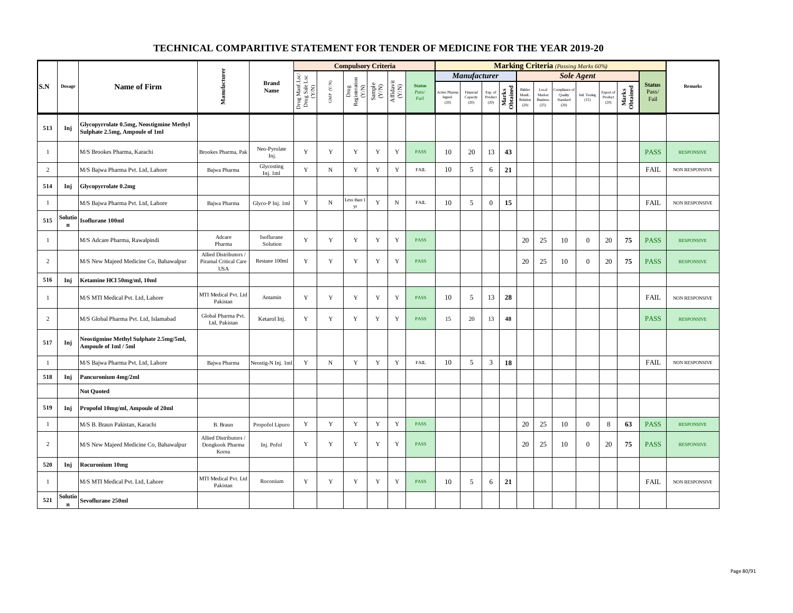|                |                        |                                                                            |                                                            |                        |                                                                                            |                                          | <b>Compulsory Criteria</b>                                                      |                                                             |                                      |                                |                                        |                               |                            |                   |                                      |                                            |                             | <b>Marking Criteria</b> (Passing Marks 60%) |                              |                   |                                |                       |
|----------------|------------------------|----------------------------------------------------------------------------|------------------------------------------------------------|------------------------|--------------------------------------------------------------------------------------------|------------------------------------------|---------------------------------------------------------------------------------|-------------------------------------------------------------|--------------------------------------|--------------------------------|----------------------------------------|-------------------------------|----------------------------|-------------------|--------------------------------------|--------------------------------------------|-----------------------------|---------------------------------------------|------------------------------|-------------------|--------------------------------|-----------------------|
|                |                        |                                                                            |                                                            |                        |                                                                                            |                                          |                                                                                 |                                                             |                                      |                                |                                        | Manufacturer                  |                            |                   |                                      |                                            |                             | <b>Sole Agent</b>                           |                              |                   |                                |                       |
| S.N            | <b>Dosage</b>          | <b>Name of Firm</b>                                                        | Manufacturer                                               | <b>Brand</b><br>Name   | $\begin{array}{c} \mbox{Drug MantLsc} \\ \mbox{Drug Sale Lsc} \\ \mbox{(X/N)} \end{array}$ | $\ensuremath{\mathsf{GMP}}\xspace$ (Y/N) | $\begin{array}{c} \mathrm{ Drug} \\ \mathrm{Registeration} \\ (YN) \end{array}$ | $\begin{array}{c} \text{Sample} \\ \text{C/N)} \end{array}$ | $\frac{\text{Affdavit}}{\text{N/N}}$ | <b>Status</b><br>Pass/<br>Fail | <b>Active Pharm</b><br>Ingred.<br>(20) | Financial<br>Capacity<br>(20) | Exp. of<br>Product<br>(20) | Marks<br>Obtained | Bidder<br>Manfc.<br>Relation<br>(20) | Local<br>Market<br><b>Business</b><br>(25) | Quality<br>Standard<br>(20) | Intl. Testing<br>(15)                       | Export of<br>Product<br>(20) | Marks<br>Obtained | <b>Status</b><br>Pass/<br>Fail | <b>Remarks</b>        |
| 513            | Inj                    | Glycopyrrolate 0.5mg, Neostigmine Methyl<br>Sulphate 2.5mg, Ampoule of 1ml |                                                            |                        |                                                                                            |                                          |                                                                                 |                                                             |                                      |                                |                                        |                               |                            |                   |                                      |                                            |                             |                                             |                              |                   |                                |                       |
| 1              |                        | M/S Brookes Pharma, Karachi                                                | Brookes Pharma, Pak                                        | Neo-Pyrolate<br>Inj.   | Y                                                                                          | $\mathbf Y$                              | $\mathbf Y$                                                                     | $\mathbf Y$                                                 | Y                                    | <b>PASS</b>                    | 10                                     | 20                            | 13                         | 43                |                                      |                                            |                             |                                             |                              |                   | <b>PASS</b>                    | <b>RESPONSIVE</b>     |
| $\overline{c}$ |                        | M/S Bajwa Pharma Pvt. Ltd, Lahore                                          | Bajwa Pharma                                               | Glycosting<br>Inj. 1ml | Y                                                                                          | $\mathbf N$                              | $\mathbf Y$                                                                     | $\mathbf Y$                                                 | $\mathbf Y$                          | <b>FAIL</b>                    | 10                                     | 5                             | 6                          | 21                |                                      |                                            |                             |                                             |                              |                   | <b>FAIL</b>                    | <b>NON RESPONSIVE</b> |
| 514            | Inj                    | Glycopyrrolate 0.2mg                                                       |                                                            |                        |                                                                                            |                                          |                                                                                 |                                                             |                                      |                                |                                        |                               |                            |                   |                                      |                                            |                             |                                             |                              |                   |                                |                       |
| -1             |                        | M/S Bajwa Pharma Pvt. Ltd, Lahore                                          | Bajwa Pharma                                               | Glyco-P Inj. 1ml       | Y                                                                                          | ${\bf N}$                                | ess than<br>yr                                                                  | $\mathbf Y$                                                 | ${\bf N}$                            | FAIL                           | 10                                     | 5                             | $\mathbf{0}$               | 15                |                                      |                                            |                             |                                             |                              |                   | <b>FAIL</b>                    | <b>NON RESPONSIVE</b> |
| 515            | Solutio<br>$\mathbf n$ | Isoflurane 100ml                                                           |                                                            |                        |                                                                                            |                                          |                                                                                 |                                                             |                                      |                                |                                        |                               |                            |                   |                                      |                                            |                             |                                             |                              |                   |                                |                       |
| $\mathbf{1}$   |                        | M/S Adcare Pharma, Rawalpindi                                              | Adcare<br>Pharma                                           | Isoflurane<br>Solution | Y                                                                                          | $\mathbf Y$                              | $\mathbf Y$                                                                     | $\mathbf Y$                                                 | Y                                    | <b>PASS</b>                    |                                        |                               |                            |                   | 20                                   | 25                                         | 10                          | $\overline{0}$                              | 20                           | 75                | <b>PASS</b>                    | <b>RESPONSIVE</b>     |
| 2              |                        | M/S New Majeed Medicine Co, Bahawalpur                                     | Allied Distributors<br>Piramal Critical Care<br><b>USA</b> | Restane 100ml          | Y                                                                                          | $\mathbf Y$                              | $\mathbf Y$                                                                     | $\mathbf Y$                                                 | Y                                    | <b>PASS</b>                    |                                        |                               |                            |                   | 20                                   | 25                                         | 10                          | $\theta$                                    | 20                           | 75                | <b>PASS</b>                    | <b>RESPONSIVE</b>     |
| 516            | Inj                    | Ketamine HCl 50mg/ml, 10ml                                                 |                                                            |                        |                                                                                            |                                          |                                                                                 |                                                             |                                      |                                |                                        |                               |                            |                   |                                      |                                            |                             |                                             |                              |                   |                                |                       |
| $\mathbf{1}$   |                        | M/S MTI Medical Pvt. Ltd, Lahore                                           | MTI Medical Pvt. Ltd<br>Pakistan                           | Antamin                | Y                                                                                          | $\mathbf Y$                              | $\mathbf Y$                                                                     | $\mathbf Y$                                                 | Y                                    | <b>PASS</b>                    | 10                                     | 5                             | 13                         | 28                |                                      |                                            |                             |                                             |                              |                   | <b>FAIL</b>                    | NON RESPONSIVE        |
| $\overline{c}$ |                        | M/S Global Pharma Pvt. Ltd, Islamabad                                      | Global Pharma Pvt.<br>Ltd, Pakistan                        | Ketarol Inj.           | Y                                                                                          | $\mathbf Y$                              | $\mathbf Y$                                                                     | Y                                                           | Y                                    | <b>PASS</b>                    | 15                                     | 20                            | 13                         | 48                |                                      |                                            |                             |                                             |                              |                   | <b>PASS</b>                    | <b>RESPONSIVE</b>     |
| 517            | Inj                    | Neostigmine Methyl Sulphate 2.5mg/5ml,<br>Ampoule of 1ml / 5ml             |                                                            |                        |                                                                                            |                                          |                                                                                 |                                                             |                                      |                                |                                        |                               |                            |                   |                                      |                                            |                             |                                             |                              |                   |                                |                       |
| $\mathbf{1}$   |                        | M/S Bajwa Pharma Pvt. Ltd, Lahore                                          | Bajwa Pharma                                               | Neostig-N Inj. 1m      | Y                                                                                          | ${\bf N}$                                | $\mathbf Y$                                                                     | $\mathbf Y$                                                 | Y                                    | <b>FAIL</b>                    | 10                                     | 5                             | 3                          | 18                |                                      |                                            |                             |                                             |                              |                   | FAIL                           | NON RESPONSIVE        |
| 518            | Inj                    | Pancuronium 4mg/2ml                                                        |                                                            |                        |                                                                                            |                                          |                                                                                 |                                                             |                                      |                                |                                        |                               |                            |                   |                                      |                                            |                             |                                             |                              |                   |                                |                       |
|                |                        | <b>Not Quoted</b>                                                          |                                                            |                        |                                                                                            |                                          |                                                                                 |                                                             |                                      |                                |                                        |                               |                            |                   |                                      |                                            |                             |                                             |                              |                   |                                |                       |
| 519            | Inj                    | Propofol 10mg/ml, Ampoule of 20ml                                          |                                                            |                        |                                                                                            |                                          |                                                                                 |                                                             |                                      |                                |                                        |                               |                            |                   |                                      |                                            |                             |                                             |                              |                   |                                |                       |
| $\mathbf{1}$   |                        | M/S B. Braun Pakistan, Karachi                                             | B. Braun                                                   | Propofol Lipuro        | Y                                                                                          | Y                                        | $\mathbf Y$                                                                     | $\mathbf Y$                                                 | $\mathbf Y$                          | <b>PASS</b>                    |                                        |                               |                            |                   | 20                                   | 25                                         | 10                          | $\overline{0}$                              | 8                            | 63                | <b>PASS</b>                    | <b>RESPONSIVE</b>     |
| $\overline{c}$ |                        | M/S New Majeed Medicine Co, Bahawalpur                                     | Allied Distributors<br>Dongkook Pharma<br>Korea            | Inj. Pofol             | Y                                                                                          | Y                                        | $\mathbf Y$                                                                     | $\mathbf Y$                                                 | Y                                    | <b>PASS</b>                    |                                        |                               |                            |                   | 20                                   | 25                                         | 10                          | $\overline{0}$                              | 20                           | 75                | <b>PASS</b>                    | <b>RESPONSIVE</b>     |
| 520            | Inj                    | Rocuronium 10mg                                                            |                                                            |                        |                                                                                            |                                          |                                                                                 |                                                             |                                      |                                |                                        |                               |                            |                   |                                      |                                            |                             |                                             |                              |                   |                                |                       |
| $\mathbf{1}$   |                        | M/S MTI Medical Pvt. Ltd, Lahore                                           | MTI Medical Pvt. Ltd<br>Pakistan                           | Roconium               | Y                                                                                          | Y                                        | Y                                                                               | Y                                                           | Y                                    | <b>PASS</b>                    | 10                                     | 5                             | 6                          | 21                |                                      |                                            |                             |                                             |                              |                   | <b>FAIL</b>                    | <b>NON RESPONSIVE</b> |
| 521            | Solutio<br>$\mathbf n$ | Sevoflurane 250ml                                                          |                                                            |                        |                                                                                            |                                          |                                                                                 |                                                             |                                      |                                |                                        |                               |                            |                   |                                      |                                            |                             |                                             |                              |                   |                                |                       |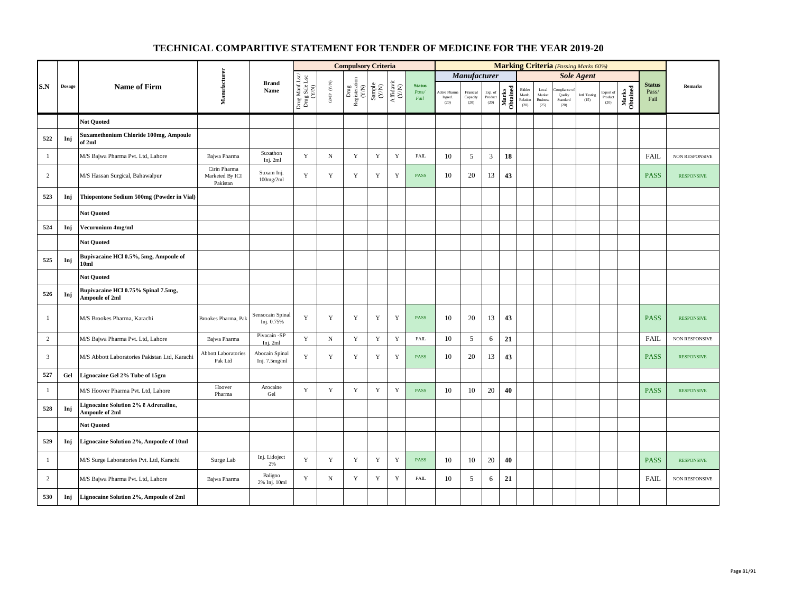|                |        |                                                               |                                             |                                 |                                          |                      | <b>Compulsory Criteria</b>     |                                                                     |                                                                                       |                                |                                        |                               |                            |                   |                                      |                                                     |                                          | <b>Marking Criteria</b> (Passing Marks 60%) |                                                |                   |                                |                       |
|----------------|--------|---------------------------------------------------------------|---------------------------------------------|---------------------------------|------------------------------------------|----------------------|--------------------------------|---------------------------------------------------------------------|---------------------------------------------------------------------------------------|--------------------------------|----------------------------------------|-------------------------------|----------------------------|-------------------|--------------------------------------|-----------------------------------------------------|------------------------------------------|---------------------------------------------|------------------------------------------------|-------------------|--------------------------------|-----------------------|
|                |        |                                                               |                                             |                                 |                                          |                      |                                |                                                                     |                                                                                       |                                |                                        | Manufacturer                  |                            |                   |                                      |                                                     |                                          | <b>Sole Agent</b>                           |                                                |                   |                                |                       |
| S.N            | Dosage | <b>Name of Firm</b>                                           | Manufacturer                                | <b>Brand</b><br>Name            | Drug Manf.Lsc/<br>Drug Sale Lsc<br>(Y/N) | GMP $(\mathbf{Y/N})$ | Drug<br>Registeration<br>(Y/N) | $\begin{array}{c} \text{Sample} \\ \text{C}(\text{NN}) \end{array}$ | $\begin{array}{c} \mathrm{Aff} \mathrm{dav} \mathrm{i} \\ (\mathrm{Y/N}) \end{array}$ | <b>Status</b><br>Pass/<br>Fail | <b>Active Pharm</b><br>Ingred.<br>(20) | Financial<br>Capacity<br>(20) | Exp. of<br>Product<br>(20) | Marks<br>Obtained | Bidder<br>Manfe.<br>Relation<br>(20) | $_{\rm Local}$<br>Market<br><b>Business</b><br>(25) | ompliance<br>Quality<br>Standard<br>(20) | Intl. Testing<br>(15)                       | Export of<br>$\mathop{\text{Product}}$<br>(20) | Marks<br>Obtained | <b>Status</b><br>Pass/<br>Fail | <b>Remarks</b>        |
|                |        | <b>Not Quoted</b>                                             |                                             |                                 |                                          |                      |                                |                                                                     |                                                                                       |                                |                                        |                               |                            |                   |                                      |                                                     |                                          |                                             |                                                |                   |                                |                       |
| 522            | Inj    | <b>Suxamethonium Chloride 100mg, Ampoule</b><br>of 2ml        |                                             |                                 |                                          |                      |                                |                                                                     |                                                                                       |                                |                                        |                               |                            |                   |                                      |                                                     |                                          |                                             |                                                |                   |                                |                       |
| $\mathbf{1}$   |        | M/S Bajwa Pharma Pvt. Ltd, Lahore                             | Bajwa Pharma                                | Suxathon<br>Inj. 2ml            | Y                                        | $\mathbf N$          | $\mathbf Y$                    | Y                                                                   | $\mathbf Y$                                                                           | ${\rm FAIL}$                   | 10                                     | 5                             | $\mathfrak{Z}$             | 18                |                                      |                                                     |                                          |                                             |                                                |                   | <b>FAIL</b>                    | NON RESPONSIVE        |
| $\overline{c}$ |        | M/S Hassan Surgical, Bahawalpur                               | Cirin Pharma<br>Marketed By ICI<br>Pakistan | Suxam Inj.<br>100mg/2ml         | Y                                        | $\mathbf Y$          | $\mathbf Y$                    | $\mathbf Y$                                                         | $\mathbf Y$                                                                           | <b>PASS</b>                    | 10                                     | 20                            | 13                         | 43                |                                      |                                                     |                                          |                                             |                                                |                   | <b>PASS</b>                    | <b>RESPONSIVE</b>     |
| 523            | Inj    | Thiopentone Sodium 500mg (Powder in Vial)                     |                                             |                                 |                                          |                      |                                |                                                                     |                                                                                       |                                |                                        |                               |                            |                   |                                      |                                                     |                                          |                                             |                                                |                   |                                |                       |
|                |        | <b>Not Quoted</b>                                             |                                             |                                 |                                          |                      |                                |                                                                     |                                                                                       |                                |                                        |                               |                            |                   |                                      |                                                     |                                          |                                             |                                                |                   |                                |                       |
| 524            | Inj    | Vecuronium 4mg/ml                                             |                                             |                                 |                                          |                      |                                |                                                                     |                                                                                       |                                |                                        |                               |                            |                   |                                      |                                                     |                                          |                                             |                                                |                   |                                |                       |
|                |        | <b>Not Ouoted</b>                                             |                                             |                                 |                                          |                      |                                |                                                                     |                                                                                       |                                |                                        |                               |                            |                   |                                      |                                                     |                                          |                                             |                                                |                   |                                |                       |
| 525            | Inj    | Bupivacaine HCl 0.5%, 5mg, Ampoule of<br>10ml                 |                                             |                                 |                                          |                      |                                |                                                                     |                                                                                       |                                |                                        |                               |                            |                   |                                      |                                                     |                                          |                                             |                                                |                   |                                |                       |
|                |        | <b>Not Quoted</b>                                             |                                             |                                 |                                          |                      |                                |                                                                     |                                                                                       |                                |                                        |                               |                            |                   |                                      |                                                     |                                          |                                             |                                                |                   |                                |                       |
| 526            | Inj    | Bupivacaine HCl 0.75% Spinal 7.5mg,<br>Ampoule of 2ml         |                                             |                                 |                                          |                      |                                |                                                                     |                                                                                       |                                |                                        |                               |                            |                   |                                      |                                                     |                                          |                                             |                                                |                   |                                |                       |
| $\mathbf{1}$   |        | M/S Brookes Pharma, Karachi                                   | Brookes Pharma, Pak                         | Sensocain Spinal<br>Inj. 0.75%  | Y                                        | $\mathbf Y$          | $\mathbf Y$                    | $\mathbf Y$                                                         | $\mathbf Y$                                                                           | <b>PASS</b>                    | 10                                     | 20                            | 13                         | 43                |                                      |                                                     |                                          |                                             |                                                |                   | <b>PASS</b>                    | <b>RESPONSIVE</b>     |
| $\overline{c}$ |        | M/S Bajwa Pharma Pvt. Ltd, Lahore                             | Bajwa Pharma                                | Pivacain -SP<br>Inj. $2ml$      | Y                                        | ${\bf N}$            | $\mathbf Y$                    | Y                                                                   | $\mathbf Y$                                                                           | ${\rm FAIL}$                   | 10                                     | 5                             | 6                          | 21                |                                      |                                                     |                                          |                                             |                                                |                   | FAIL                           | <b>NON RESPONSIVE</b> |
| 3              |        | M/S Abbott Laboratories Pakistan Ltd, Karachi                 | <b>Abbott Laboratories</b><br>Pak Ltd       | Abocain Spinal<br>Inj. 7.5mg/ml | Y                                        | Y                    | Y                              | Y                                                                   | Y                                                                                     | <b>PASS</b>                    | 10                                     | 20                            | 13                         | 43                |                                      |                                                     |                                          |                                             |                                                |                   | <b>PASS</b>                    | <b>RESPONSIVE</b>     |
| 527            | Gel    | Lignocaine Gel 2% Tube of 15gm                                |                                             |                                 |                                          |                      |                                |                                                                     |                                                                                       |                                |                                        |                               |                            |                   |                                      |                                                     |                                          |                                             |                                                |                   |                                |                       |
| 1              |        | M/S Hoover Pharma Pvt. Ltd, Lahore                            | Hoover<br>Pharma                            | Arocaine<br>Gel                 | $\mathbf Y$                              | $\mathbf Y$          | $\mathbf Y$                    | $\mathbf Y$                                                         | $\mathbf Y$                                                                           | <b>PASS</b>                    | 10                                     | 10                            | $20\,$                     | 40                |                                      |                                                     |                                          |                                             |                                                |                   | <b>PASS</b>                    | <b>RESPONSIVE</b>     |
| 528            | Inj    | Lignocaine Solution 2% ë Adrenaline,<br><b>Ampoule of 2ml</b> |                                             |                                 |                                          |                      |                                |                                                                     |                                                                                       |                                |                                        |                               |                            |                   |                                      |                                                     |                                          |                                             |                                                |                   |                                |                       |
|                |        | <b>Not Quoted</b>                                             |                                             |                                 |                                          |                      |                                |                                                                     |                                                                                       |                                |                                        |                               |                            |                   |                                      |                                                     |                                          |                                             |                                                |                   |                                |                       |
| 529            | Inj    | Lignocaine Solution 2%, Ampoule of 10ml                       |                                             |                                 |                                          |                      |                                |                                                                     |                                                                                       |                                |                                        |                               |                            |                   |                                      |                                                     |                                          |                                             |                                                |                   |                                |                       |
| $\mathbf{1}$   |        | M/S Surge Laboratories Pvt. Ltd, Karachi                      | Surge Lab                                   | Inj. Lidoject<br>2%             | Y                                        | $\mathbf Y$          | $\mathbf Y$                    | $\mathbf Y$                                                         | $\mathbf Y$                                                                           | <b>PASS</b>                    | 10                                     | 10                            | 20                         | 40                |                                      |                                                     |                                          |                                             |                                                |                   | <b>PASS</b>                    | <b>RESPONSIVE</b>     |
| $\overline{c}$ |        | M/S Bajwa Pharma Pvt. Ltd, Lahore                             | Bajwa Pharma                                | Baligno<br>2% Inj. 10ml         | Y                                        | ${\bf N}$            | $\mathbf Y$                    | $\mathbf Y$                                                         | $\mathbf Y$                                                                           | <b>FAIL</b>                    | 10                                     | 5                             | 6                          | 21                |                                      |                                                     |                                          |                                             |                                                |                   | <b>FAIL</b>                    | NON RESPONSIVE        |
| 530            | Inj    | Lignocaine Solution 2%, Ampoule of 2ml                        |                                             |                                 |                                          |                      |                                |                                                                     |                                                                                       |                                |                                        |                               |                            |                   |                                      |                                                     |                                          |                                             |                                                |                   |                                |                       |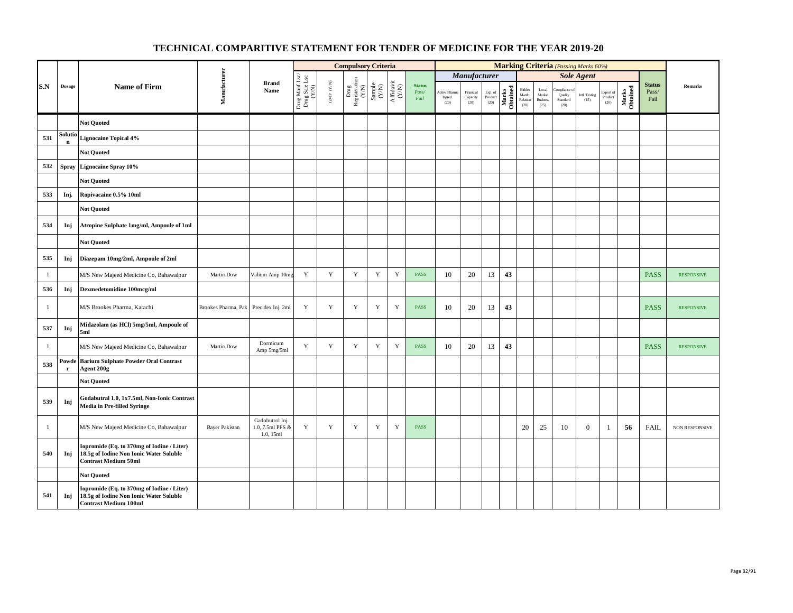|              |                       |                                                                                                                       |                       |                                                  |                                          |                      | <b>Compulsory Criteria</b>                                                      |                                                                    |                                      |                                |                                   |                               |                            |                   |                                      |                                            |                                          | <b>Marking Criteria</b> (Passing Marks 60%) |                              |                   |                                |                   |
|--------------|-----------------------|-----------------------------------------------------------------------------------------------------------------------|-----------------------|--------------------------------------------------|------------------------------------------|----------------------|---------------------------------------------------------------------------------|--------------------------------------------------------------------|--------------------------------------|--------------------------------|-----------------------------------|-------------------------------|----------------------------|-------------------|--------------------------------------|--------------------------------------------|------------------------------------------|---------------------------------------------|------------------------------|-------------------|--------------------------------|-------------------|
|              |                       |                                                                                                                       |                       |                                                  |                                          |                      |                                                                                 |                                                                    |                                      |                                |                                   | <b>Manufacturer</b>           |                            |                   |                                      |                                            |                                          | <b>Sole Agent</b>                           |                              |                   |                                |                   |
| S.N          | <b>Dosage</b>         | <b>Name of Firm</b>                                                                                                   | Manufacturer          | <b>Brand</b><br>Name                             | Drug Manf.Lsc/<br>Drug Sale Lsc<br>(Y/N) | GMP $(\mathbf{Y/N})$ | $\begin{array}{c} \mathrm{ Drug} \\ \mathrm{Registeration} \\ (YN) \end{array}$ | $\begin{array}{c} \text{Sample} \\ \text{C}(\text{N}) \end{array}$ | $\frac{\text{Affdavit}}{\text{N/N}}$ | <b>Status</b><br>Pass/<br>Fail | Active Pharn<br>Ingred.<br>$(20)$ | Financial<br>Capacity<br>(20) | Exp. of<br>Product<br>(20) | Marks<br>Obtained | Bidder<br>Manfe.<br>Relation<br>(20) | Local<br>Market<br><b>Business</b><br>(25) | ompliance<br>Quality<br>Standard<br>(20) | Intl. Testing<br>(15)                       | Export of<br>Product<br>(20) | Marks<br>Obtained | <b>Status</b><br>Pass/<br>Fail | Remarks           |
|              |                       | <b>Not Quoted</b>                                                                                                     |                       |                                                  |                                          |                      |                                                                                 |                                                                    |                                      |                                |                                   |                               |                            |                   |                                      |                                            |                                          |                                             |                              |                   |                                |                   |
| 531          | Solutio               | <b>Lignocaine Topical 4%</b>                                                                                          |                       |                                                  |                                          |                      |                                                                                 |                                                                    |                                      |                                |                                   |                               |                            |                   |                                      |                                            |                                          |                                             |                              |                   |                                |                   |
|              |                       | <b>Not Quoted</b>                                                                                                     |                       |                                                  |                                          |                      |                                                                                 |                                                                    |                                      |                                |                                   |                               |                            |                   |                                      |                                            |                                          |                                             |                              |                   |                                |                   |
| 532          | <b>Spray</b>          | <b>Lignocaine Spray 10%</b>                                                                                           |                       |                                                  |                                          |                      |                                                                                 |                                                                    |                                      |                                |                                   |                               |                            |                   |                                      |                                            |                                          |                                             |                              |                   |                                |                   |
|              |                       | <b>Not Quoted</b>                                                                                                     |                       |                                                  |                                          |                      |                                                                                 |                                                                    |                                      |                                |                                   |                               |                            |                   |                                      |                                            |                                          |                                             |                              |                   |                                |                   |
| 533          | Inj.                  | Ropivacaine 0.5% 10ml                                                                                                 |                       |                                                  |                                          |                      |                                                                                 |                                                                    |                                      |                                |                                   |                               |                            |                   |                                      |                                            |                                          |                                             |                              |                   |                                |                   |
|              |                       | <b>Not Quoted</b>                                                                                                     |                       |                                                  |                                          |                      |                                                                                 |                                                                    |                                      |                                |                                   |                               |                            |                   |                                      |                                            |                                          |                                             |                              |                   |                                |                   |
| 534          | Inj                   | Atropine Sulphate 1mg/ml, Ampoule of 1ml                                                                              |                       |                                                  |                                          |                      |                                                                                 |                                                                    |                                      |                                |                                   |                               |                            |                   |                                      |                                            |                                          |                                             |                              |                   |                                |                   |
|              |                       | <b>Not Quoted</b>                                                                                                     |                       |                                                  |                                          |                      |                                                                                 |                                                                    |                                      |                                |                                   |                               |                            |                   |                                      |                                            |                                          |                                             |                              |                   |                                |                   |
| 535          | Inj                   | Diazepam 10mg/2ml, Ampoule of 2ml                                                                                     |                       |                                                  |                                          |                      |                                                                                 |                                                                    |                                      |                                |                                   |                               |                            |                   |                                      |                                            |                                          |                                             |                              |                   |                                |                   |
| $\mathbf{1}$ |                       | M/S New Majeed Medicine Co, Bahawalpur                                                                                | Martin Dow            | Valium Amp 10m                                   | $\mathbf Y$                              | $\mathbf Y$          | $\mathbf Y$                                                                     | $\mathbf Y$                                                        | $\mathbf Y$                          | PASS                           | 10                                | 20                            | 13                         | 43                |                                      |                                            |                                          |                                             |                              |                   | <b>PASS</b>                    | <b>RESPONSIVE</b> |
| 536          | Inj                   | Dexmedetomidine 100mcg/ml                                                                                             |                       |                                                  |                                          |                      |                                                                                 |                                                                    |                                      |                                |                                   |                               |                            |                   |                                      |                                            |                                          |                                             |                              |                   |                                |                   |
| $\mathbf{1}$ |                       | M/S Brookes Pharma, Karachi                                                                                           | Brookes Pharma, Pak   | Precidex Inj. 2ml                                | Y                                        | $\mathbf Y$          | $\mathbf Y$                                                                     | $\mathbf Y$                                                        | $\mathbf Y$                          | <b>PASS</b>                    | 10                                | 20                            | 13                         | 43                |                                      |                                            |                                          |                                             |                              |                   | <b>PASS</b>                    | <b>RESPONSIVE</b> |
| 537          | Inj                   | Midazolam (as HCl) 5mg/5ml, Ampoule of<br>5ml                                                                         |                       |                                                  |                                          |                      |                                                                                 |                                                                    |                                      |                                |                                   |                               |                            |                   |                                      |                                            |                                          |                                             |                              |                   |                                |                   |
| $\mathbf{1}$ |                       | M/S New Majeed Medicine Co, Bahawalpur                                                                                | Martin Dow            | Dormicum<br>Amp 5mg/5ml                          | $\mathbf Y$                              | $\mathbf Y$          | $\mathbf Y$                                                                     | $\mathbf Y$                                                        | $\mathbf Y$                          | <b>PASS</b>                    | 10                                | 20                            | 13                         | 43                |                                      |                                            |                                          |                                             |                              |                   | <b>PASS</b>                    | <b>RESPONSIVE</b> |
| 538          | Powde<br>$\mathbf{r}$ | <b>Barium Sulphate Powder Oral Contrast</b><br>Agent 200g                                                             |                       |                                                  |                                          |                      |                                                                                 |                                                                    |                                      |                                |                                   |                               |                            |                   |                                      |                                            |                                          |                                             |                              |                   |                                |                   |
|              |                       | <b>Not Quoted</b>                                                                                                     |                       |                                                  |                                          |                      |                                                                                 |                                                                    |                                      |                                |                                   |                               |                            |                   |                                      |                                            |                                          |                                             |                              |                   |                                |                   |
| 539          | Inj                   | Godabutral 1.0, 1x7.5ml, Non-Ionic Contrast<br>Media in Pre-filled Syringe                                            |                       |                                                  |                                          |                      |                                                                                 |                                                                    |                                      |                                |                                   |                               |                            |                   |                                      |                                            |                                          |                                             |                              |                   |                                |                   |
| $\mathbf{1}$ |                       | M/S New Majeed Medicine Co, Bahawalpur                                                                                | <b>Bayer Pakistan</b> | Gadobutrol Inj.<br>1.0, 7.5ml PFS &<br>1.0, 15ml | Y                                        | $\mathbf Y$          | $\mathbf Y$                                                                     | $\mathbf Y$                                                        | $\mathbf Y$                          | <b>PASS</b>                    |                                   |                               |                            |                   | 20                                   | 25                                         | 10                                       | $\overline{0}$                              | 1                            | 56                | <b>FAIL</b>                    | NON RESPONSIVE    |
| 540          | Inj                   | Iopromide (Eq. to 370mg of Iodine / Liter)<br>18.5g of Iodine Non Ionic Water Soluble<br><b>Contrast Medium 50ml</b>  |                       |                                                  |                                          |                      |                                                                                 |                                                                    |                                      |                                |                                   |                               |                            |                   |                                      |                                            |                                          |                                             |                              |                   |                                |                   |
|              |                       | <b>Not Quoted</b>                                                                                                     |                       |                                                  |                                          |                      |                                                                                 |                                                                    |                                      |                                |                                   |                               |                            |                   |                                      |                                            |                                          |                                             |                              |                   |                                |                   |
| 541          | Inj                   | Iopromide (Eq. to 370mg of Iodine / Liter)<br>18.5g of Iodine Non Ionic Water Soluble<br><b>Contrast Medium 100ml</b> |                       |                                                  |                                          |                      |                                                                                 |                                                                    |                                      |                                |                                   |                               |                            |                   |                                      |                                            |                                          |                                             |                              |                   |                                |                   |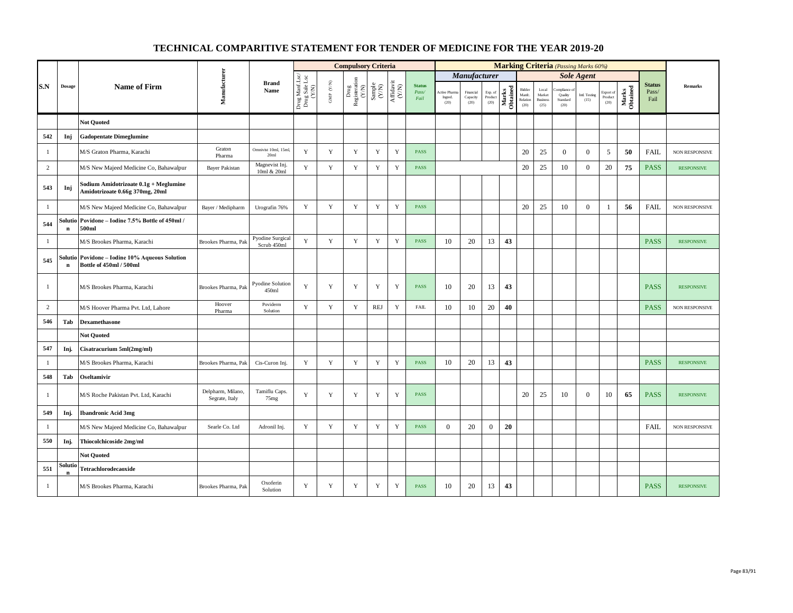|                |                       |                                                                           |                                     |                                        |                                          |                                         | <b>Compulsory Criteria</b>                                                               |                                                              |                                                                              |                                |                                |                               |                            |                   |                                      |                                            | <b>Marking Criteria</b> (Passing Marks 60%) |                       |                              |                   |                                |                   |
|----------------|-----------------------|---------------------------------------------------------------------------|-------------------------------------|----------------------------------------|------------------------------------------|-----------------------------------------|------------------------------------------------------------------------------------------|--------------------------------------------------------------|------------------------------------------------------------------------------|--------------------------------|--------------------------------|-------------------------------|----------------------------|-------------------|--------------------------------------|--------------------------------------------|---------------------------------------------|-----------------------|------------------------------|-------------------|--------------------------------|-------------------|
|                |                       |                                                                           |                                     |                                        |                                          |                                         |                                                                                          |                                                              |                                                                              |                                |                                | <b>Manufacturer</b>           |                            |                   |                                      |                                            |                                             | <b>Sole Agent</b>     |                              |                   |                                |                   |
| S.N            | Dosage                | <b>Name of Firm</b>                                                       | Manufacturer                        | <b>Brand</b><br>Name                   | Drug Manf.Lsc/<br>Drug Sale Lsc<br>(Y/N) | $\ensuremath{\mathsf{GMP}}\xspace$ (YN) | $\begin{array}{c} \mathrm{Drag} \\ \mathrm{Registeration} \\ (Y/\mathrm{N}) \end{array}$ | $\begin{array}{c} \text{Sample} \\ (\text{Y/N}) \end{array}$ | $\begin{array}{c} \mathrm{Aff} \mathrm{davit} \\ (\mathrm{Y/N}) \end{array}$ | <b>Status</b><br>Pass/<br>Fail | Active Pham<br>Ingred.<br>(20) | Financial<br>Capacity<br>(20) | Exp. of<br>Product<br>(20) | Marks<br>Obtained | Bidder<br>Manfe.<br>Relation<br>(20) | Local<br>Market<br><b>Business</b><br>(25) | ompliance o<br>Quality<br>Standard<br>(20)  | Intl. Testing<br>(15) | Export of<br>Product<br>(20) | Marks<br>Obtained | <b>Status</b><br>Pass/<br>Fail | <b>Remarks</b>    |
|                |                       | <b>Not Ouoted</b>                                                         |                                     |                                        |                                          |                                         |                                                                                          |                                                              |                                                                              |                                |                                |                               |                            |                   |                                      |                                            |                                             |                       |                              |                   |                                |                   |
| 542            | Inj                   | <b>Gadopentate Dimeglumine</b>                                            |                                     |                                        |                                          |                                         |                                                                                          |                                                              |                                                                              |                                |                                |                               |                            |                   |                                      |                                            |                                             |                       |                              |                   |                                |                   |
| -1             |                       | M/S Graton Pharma, Karachi                                                | Graton<br>Pharma                    | Omnivist 10ml, 15ml,<br>20ml           | Y                                        | $\mathbf Y$                             | $\mathbf Y$                                                                              | $\mathbf Y$                                                  | $\mathbf Y$                                                                  | PASS                           |                                |                               |                            |                   | 20                                   | 25                                         | $\overline{0}$                              | $\boldsymbol{0}$      | 5                            | 50                | <b>FAIL</b>                    | NON RESPONSIVE    |
| $\overline{c}$ |                       | M/S New Majeed Medicine Co, Bahawalpur                                    | <b>Bayer Pakistan</b>               | Magnevist Inj.<br>10ml & 20ml          | $\mathbf Y$                              | $\mathbf Y$                             | $\mathbf Y$                                                                              | $\mathbf Y$                                                  | $\mathbf Y$                                                                  | <b>PASS</b>                    |                                |                               |                            |                   | 20                                   | 25                                         | 10                                          | $\mathbf{0}$          | 20                           | 75                | <b>PASS</b>                    | <b>RESPONSIVE</b> |
| 543            | Inj                   | Sodium Amidotrizoate 0.1g + Meglumine<br>Amidotrizoate 0.66g 370mg, 20ml  |                                     |                                        |                                          |                                         |                                                                                          |                                                              |                                                                              |                                |                                |                               |                            |                   |                                      |                                            |                                             |                       |                              |                   |                                |                   |
| -1             |                       | M/S New Majeed Medicine Co, Bahawalpur                                    | Bayer / Medipharm                   | Urografin 76%                          | $\mathbf Y$                              | $\mathbf Y$                             | $\mathbf Y$                                                                              | $\mathbf Y$                                                  | $\mathbf Y$                                                                  | <b>PASS</b>                    |                                |                               |                            |                   | 20                                   | 25                                         | 10                                          | $\mathbf{0}$          | -1                           | 56                | <b>FAIL</b>                    | NON RESPONSIVE    |
| 544            | Soluti<br>$\mathbf n$ | Povidone - Iodine 7.5% Bottle of 450ml /<br>500ml                         |                                     |                                        |                                          |                                         |                                                                                          |                                                              |                                                                              |                                |                                |                               |                            |                   |                                      |                                            |                                             |                       |                              |                   |                                |                   |
| <sup>1</sup>   |                       | M/S Brookes Pharma, Karachi                                               | Brookes Pharma, Pak                 | <b>Pyodine Surgical</b><br>Scrub 450ml | Y                                        | Y                                       | Y                                                                                        | Y                                                            | $\mathbf Y$                                                                  | <b>PASS</b>                    | 10                             | 20                            | 13                         | 43                |                                      |                                            |                                             |                       |                              |                   | <b>PASS</b>                    | <b>RESPONSIVE</b> |
| 545            | $\mathbf n$           | Solutio Povidone - Iodine 10% Aqueous Solution<br>Bottle of 450ml / 500ml |                                     |                                        |                                          |                                         |                                                                                          |                                                              |                                                                              |                                |                                |                               |                            |                   |                                      |                                            |                                             |                       |                              |                   |                                |                   |
| -1             |                       | M/S Brookes Pharma, Karachi                                               | Brookes Pharma, Pak                 | <b>Pyodine Solution</b><br>450ml       | Y                                        | $\mathbf Y$                             | Y                                                                                        | Y                                                            | Y                                                                            | <b>PASS</b>                    | 10                             | 20                            | 13                         | 43                |                                      |                                            |                                             |                       |                              |                   | <b>PASS</b>                    | <b>RESPONSIVE</b> |
| $\overline{c}$ |                       | M/S Hoover Pharma Pvt. Ltd, Lahore                                        | Hoover<br>Pharma                    | Poviderm<br>Solution                   | Y                                        | $\mathbf Y$                             | $\mathbf Y$                                                                              | <b>REJ</b>                                                   | $\mathbf Y$                                                                  | <b>FAIL</b>                    | 10                             | 10                            | 20                         | 40                |                                      |                                            |                                             |                       |                              |                   | <b>PASS</b>                    | NON RESPONSIVE    |
| 546            | Tab                   | Dexamethasone                                                             |                                     |                                        |                                          |                                         |                                                                                          |                                                              |                                                                              |                                |                                |                               |                            |                   |                                      |                                            |                                             |                       |                              |                   |                                |                   |
|                |                       | <b>Not Quoted</b>                                                         |                                     |                                        |                                          |                                         |                                                                                          |                                                              |                                                                              |                                |                                |                               |                            |                   |                                      |                                            |                                             |                       |                              |                   |                                |                   |
| 547            | Inj.                  | Cisatracurium 5ml(2mg/ml)                                                 |                                     |                                        |                                          |                                         |                                                                                          |                                                              |                                                                              |                                |                                |                               |                            |                   |                                      |                                            |                                             |                       |                              |                   |                                |                   |
| $\overline{1}$ |                       | M/S Brookes Pharma, Karachi                                               | Brookes Pharma, Pak                 | Cis-Curon Inj.                         | $\mathbf Y$                              | $\mathbf Y$                             | $\mathbf Y$                                                                              | Y                                                            | $\mathbf Y$                                                                  | <b>PASS</b>                    | 10                             | 20                            | 13                         | 43                |                                      |                                            |                                             |                       |                              |                   | <b>PASS</b>                    | <b>RESPONSIVE</b> |
| 548            | Tab                   | <b>Oseltamivir</b>                                                        |                                     |                                        |                                          |                                         |                                                                                          |                                                              |                                                                              |                                |                                |                               |                            |                   |                                      |                                            |                                             |                       |                              |                   |                                |                   |
| $\overline{1}$ |                       | M/S Roche Pakistan Pvt. Ltd, Karachi                                      | Delpharm, Milano,<br>Segrate, Italy | Tamiflu Caps.<br>75 <sub>mg</sub>      | Y                                        | Y                                       | Y                                                                                        | Y                                                            | Y                                                                            | <b>PASS</b>                    |                                |                               |                            |                   | 20                                   | 25                                         | 10                                          | $\overline{0}$        | 10                           | 65                | <b>PASS</b>                    | <b>RESPONSIVE</b> |
| 549            | Inj.                  | <b>Ibandronic Acid 3mg</b>                                                |                                     |                                        |                                          |                                         |                                                                                          |                                                              |                                                                              |                                |                                |                               |                            |                   |                                      |                                            |                                             |                       |                              |                   |                                |                   |
| -1             |                       | M/S New Majeed Medicine Co, Bahawalpur                                    | Searle Co. Ltd                      | Adronil Inj.                           | Y                                        | $\mathbf Y$                             | $\mathbf Y$                                                                              | $\mathbf Y$                                                  | $\mathbf Y$                                                                  | <b>PASS</b>                    | $\mathbf{0}$                   | 20                            | $\mathbf{0}$               | 20                |                                      |                                            |                                             |                       |                              |                   | <b>FAIL</b>                    | NON RESPONSIVE    |
| 550            | Inj.                  | Thiocolchicoside 2mg/ml                                                   |                                     |                                        |                                          |                                         |                                                                                          |                                                              |                                                                              |                                |                                |                               |                            |                   |                                      |                                            |                                             |                       |                              |                   |                                |                   |
|                |                       | <b>Not Quoted</b>                                                         |                                     |                                        |                                          |                                         |                                                                                          |                                                              |                                                                              |                                |                                |                               |                            |                   |                                      |                                            |                                             |                       |                              |                   |                                |                   |
| 551            | Soluti                | Tetrachlorodecaoxide                                                      |                                     |                                        |                                          |                                         |                                                                                          |                                                              |                                                                              |                                |                                |                               |                            |                   |                                      |                                            |                                             |                       |                              |                   |                                |                   |
| <sup>1</sup>   |                       | M/S Brookes Pharma, Karachi                                               | Brookes Pharma, Pak                 | Oxoferin<br>Solution                   | Y                                        | $\mathbf Y$                             | $\mathbf Y$                                                                              | Y                                                            | $\mathbf Y$                                                                  | <b>PASS</b>                    | 10                             | 20                            | 13                         | 43                |                                      |                                            |                                             |                       |                              |                   | <b>PASS</b>                    | <b>RESPONSIVE</b> |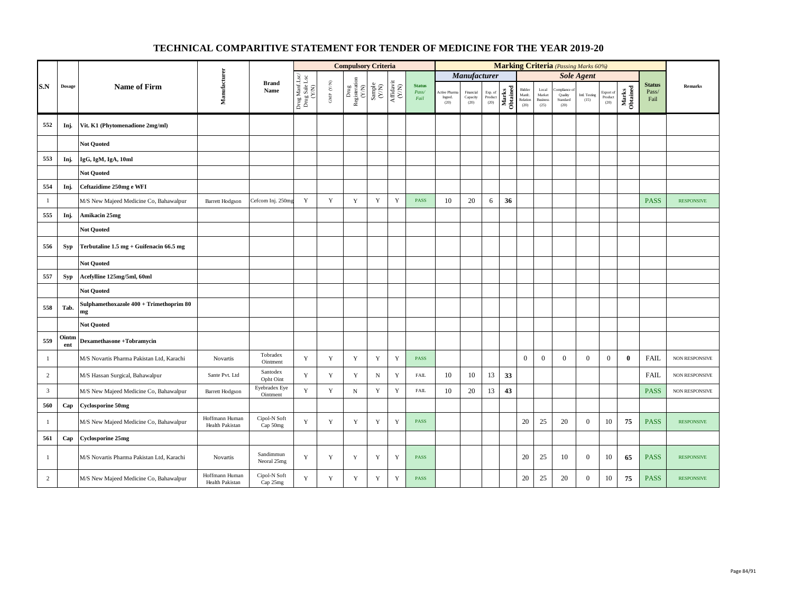|                         |               |                                               |                                   |                           |                                          |                      | <b>Compulsory Criteria</b>                                                                |                                                             |                                      |                                |                                         |                               |                            |                   |                                      |                                            |                                            | <b>Marking Criteria</b> (Passing Marks 60%) |                              |                   |                                |                   |
|-------------------------|---------------|-----------------------------------------------|-----------------------------------|---------------------------|------------------------------------------|----------------------|-------------------------------------------------------------------------------------------|-------------------------------------------------------------|--------------------------------------|--------------------------------|-----------------------------------------|-------------------------------|----------------------------|-------------------|--------------------------------------|--------------------------------------------|--------------------------------------------|---------------------------------------------|------------------------------|-------------------|--------------------------------|-------------------|
|                         |               |                                               |                                   |                           |                                          |                      |                                                                                           |                                                             |                                      |                                |                                         | Manufacturer                  |                            |                   |                                      |                                            |                                            | <b>Sole Agent</b>                           |                              |                   |                                |                   |
| S.N                     | <b>Dosage</b> | <b>Name of Firm</b>                           | Manufacturer                      | <b>Brand</b><br>Name      | Drug Manf.Lsc/<br>Drug Sale Lsc<br>(Y/N) | GMP $(\mathbf{Y/N})$ | $\begin{array}{c} \mathrm{ Drug} \\ \mathrm{Registeration} \\ (Y/\mathrm{N}) \end{array}$ | $\begin{array}{c} \text{Sample} \\ \text{C/N)} \end{array}$ | $\frac{\text{Affdavit}}{\text{N/N}}$ | <b>Status</b><br>Pass/<br>Fail | <b>Active Pharma</b><br>Ingred.<br>(20) | Financial<br>Capacity<br>(20) | Exp. of<br>Product<br>(20) | Marks<br>Obtained | Bidder<br>Manfc.<br>Relation<br>(20) | Local<br>Market<br><b>Business</b><br>(25) | ompliance o<br>Quality<br>Standard<br>(20) | Intl. Testing<br>(15)                       | Export of<br>Product<br>(20) | Marks<br>Obtained | <b>Status</b><br>Pass/<br>Fail | <b>Remarks</b>    |
| 552                     | Inj.          | Vit. K1 (Phytomenadione 2mg/ml)               |                                   |                           |                                          |                      |                                                                                           |                                                             |                                      |                                |                                         |                               |                            |                   |                                      |                                            |                                            |                                             |                              |                   |                                |                   |
|                         |               | <b>Not Quoted</b>                             |                                   |                           |                                          |                      |                                                                                           |                                                             |                                      |                                |                                         |                               |                            |                   |                                      |                                            |                                            |                                             |                              |                   |                                |                   |
| 553                     | Inj.          | IgG, IgM, IgA, 10ml                           |                                   |                           |                                          |                      |                                                                                           |                                                             |                                      |                                |                                         |                               |                            |                   |                                      |                                            |                                            |                                             |                              |                   |                                |                   |
|                         |               | <b>Not Quoted</b>                             |                                   |                           |                                          |                      |                                                                                           |                                                             |                                      |                                |                                         |                               |                            |                   |                                      |                                            |                                            |                                             |                              |                   |                                |                   |
| 554                     | Inj.          | Ceftazidime 250mg e WFI                       |                                   |                           |                                          |                      |                                                                                           |                                                             |                                      |                                |                                         |                               |                            |                   |                                      |                                            |                                            |                                             |                              |                   |                                |                   |
| -1                      |               | M/S New Majeed Medicine Co, Bahawalpur        | <b>Barrett Hodgson</b>            | Cefcom Inj. 250mg         | Y                                        | Y                    | $\mathbf Y$                                                                               | $\mathbf Y$                                                 | Y                                    | <b>PASS</b>                    | 10                                      | 20                            | 6                          | 36                |                                      |                                            |                                            |                                             |                              |                   | <b>PASS</b>                    | <b>RESPONSIVE</b> |
| 555                     | Inj.          | Amikacin 25mg                                 |                                   |                           |                                          |                      |                                                                                           |                                                             |                                      |                                |                                         |                               |                            |                   |                                      |                                            |                                            |                                             |                              |                   |                                |                   |
|                         |               | <b>Not Quoted</b>                             |                                   |                           |                                          |                      |                                                                                           |                                                             |                                      |                                |                                         |                               |                            |                   |                                      |                                            |                                            |                                             |                              |                   |                                |                   |
| 556                     | <b>Syp</b>    | Terbutaline 1.5 mg + Guifenacin 66.5 mg       |                                   |                           |                                          |                      |                                                                                           |                                                             |                                      |                                |                                         |                               |                            |                   |                                      |                                            |                                            |                                             |                              |                   |                                |                   |
|                         |               | <b>Not Quoted</b>                             |                                   |                           |                                          |                      |                                                                                           |                                                             |                                      |                                |                                         |                               |                            |                   |                                      |                                            |                                            |                                             |                              |                   |                                |                   |
| 557                     | <b>Syp</b>    | Acefylline 125mg/5ml, 60ml                    |                                   |                           |                                          |                      |                                                                                           |                                                             |                                      |                                |                                         |                               |                            |                   |                                      |                                            |                                            |                                             |                              |                   |                                |                   |
|                         |               | <b>Not Ouoted</b>                             |                                   |                           |                                          |                      |                                                                                           |                                                             |                                      |                                |                                         |                               |                            |                   |                                      |                                            |                                            |                                             |                              |                   |                                |                   |
| 558                     | Tab.          | Sulphamethoxazole 400 + Trimethoprim 80<br>mg |                                   |                           |                                          |                      |                                                                                           |                                                             |                                      |                                |                                         |                               |                            |                   |                                      |                                            |                                            |                                             |                              |                   |                                |                   |
|                         |               | <b>Not Quoted</b>                             |                                   |                           |                                          |                      |                                                                                           |                                                             |                                      |                                |                                         |                               |                            |                   |                                      |                                            |                                            |                                             |                              |                   |                                |                   |
| 559                     | Ointm<br>ent  | <b>Dexamethasone +Tobramycin</b>              |                                   |                           |                                          |                      |                                                                                           |                                                             |                                      |                                |                                         |                               |                            |                   |                                      |                                            |                                            |                                             |                              |                   |                                |                   |
| $\mathbf{1}$            |               | M/S Novartis Pharma Pakistan Ltd, Karachi     | Novartis                          | Tobradex<br>Ointment      | Y                                        | $\mathbf Y$          | $\mathbf Y$                                                                               | $\mathbf Y$                                                 | $\mathbf Y$                          | PASS                           |                                         |                               |                            |                   | $\boldsymbol{0}$                     | $\mathbf{0}$                               | $\mathbf{0}$                               | $\mathbf{0}$                                | $\mathbf{0}$                 | $\mathbf{0}$      | <b>FAIL</b>                    | NON RESPONSIVE    |
| $\overline{c}$          |               | M/S Hassan Surgical, Bahawalpur               | Sante Pvt. Ltd                    | Santodex<br>Opht Oint     | $\mathbf Y$                              | $\mathbf Y$          | $\mathbf Y$                                                                               | $_{\rm N}$                                                  | $\mathbf Y$                          | <b>FAIL</b>                    | 10                                      | 10                            | 13                         | 33                |                                      |                                            |                                            |                                             |                              |                   | <b>FAIL</b>                    | NON RESPONSIVE    |
| $\overline{\mathbf{3}}$ |               | M/S New Majeed Medicine Co, Bahawalpur        | <b>Barrett Hodgson</b>            | Eyebradex Eye<br>Ointment | Y                                        | $\mathbf Y$          | ${\bf N}$                                                                                 | $\mathbf Y$                                                 | $\mathbf Y$                          | FAIL                           | 10                                      | 20                            | 13                         | 43                |                                      |                                            |                                            |                                             |                              |                   | <b>PASS</b>                    | NON RESPONSIVE    |
| 560                     | Cap           | <b>Cyclosporine 50mg</b>                      |                                   |                           |                                          |                      |                                                                                           |                                                             |                                      |                                |                                         |                               |                            |                   |                                      |                                            |                                            |                                             |                              |                   |                                |                   |
| $\mathbf{1}$            |               | M/S New Majeed Medicine Co, Bahawalpur        | Hoffmann Human<br>Health Pakistan | Cipol-N Soft<br>Cap 50mg  | $\mathbf Y$                              | $\mathbf Y$          | $\mathbf Y$                                                                               | $\mathbf Y$                                                 | $\mathbf Y$                          | <b>PASS</b>                    |                                         |                               |                            |                   | 20                                   | 25                                         | 20                                         | $\overline{0}$                              | 10                           | 75                | <b>PASS</b>                    | <b>RESPONSIVE</b> |
| 561                     | Cap           | <b>Cyclosporine 25mg</b>                      |                                   |                           |                                          |                      |                                                                                           |                                                             |                                      |                                |                                         |                               |                            |                   |                                      |                                            |                                            |                                             |                              |                   |                                |                   |
| 1                       |               | M/S Novartis Pharma Pakistan Ltd, Karachi     | Novartis                          | Sandimmun<br>Neoral 25mg  | Y                                        | Y                    | $\mathbf Y$                                                                               | Y                                                           | Y                                    | <b>PASS</b>                    |                                         |                               |                            |                   | 20                                   | 25                                         | 10                                         | $\overline{0}$                              | 10                           | 65                | <b>PASS</b>                    | <b>RESPONSIVE</b> |
| 2                       |               | M/S New Majeed Medicine Co, Bahawalpur        | Hoffmann Human<br>Health Pakistan | Cipol-N Soft<br>Cap 25mg  | Y                                        | $\mathbf Y$          | $\mathbf Y$                                                                               | $\mathbf Y$                                                 | Y                                    | <b>PASS</b>                    |                                         |                               |                            |                   | 20                                   | 25                                         | 20                                         | $\boldsymbol{0}$                            | 10                           | 75                | <b>PASS</b>                    | <b>RESPONSIVE</b> |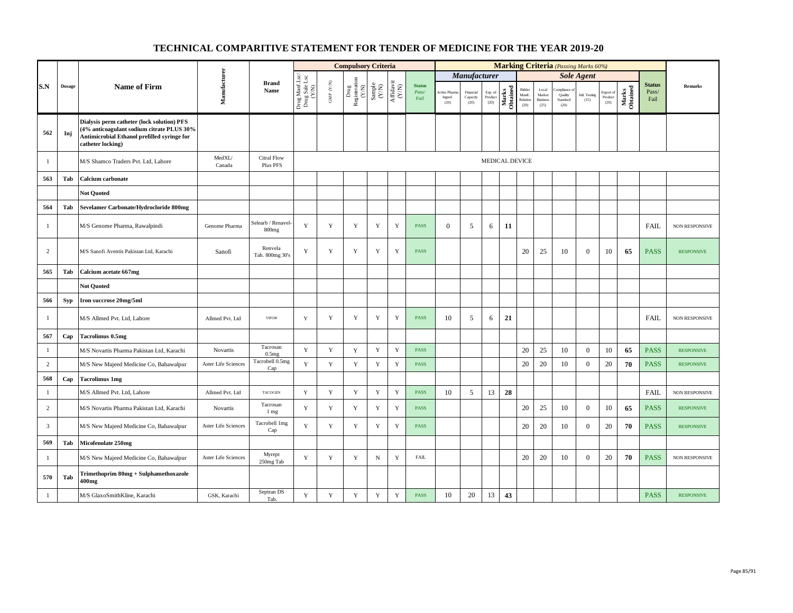|                |            |                                                                                                                                                             |                            |                                |                                          |                          | <b>Compulsory Criteria</b>                                                                |                                                                    |                                                                              |                                |                                |                               |                            |                   |                                      |                                            |                                           | <b>Marking Criteria</b> (Passing Marks 60%) |                              |                   |                                |                       |
|----------------|------------|-------------------------------------------------------------------------------------------------------------------------------------------------------------|----------------------------|--------------------------------|------------------------------------------|--------------------------|-------------------------------------------------------------------------------------------|--------------------------------------------------------------------|------------------------------------------------------------------------------|--------------------------------|--------------------------------|-------------------------------|----------------------------|-------------------|--------------------------------------|--------------------------------------------|-------------------------------------------|---------------------------------------------|------------------------------|-------------------|--------------------------------|-----------------------|
|                |            |                                                                                                                                                             |                            |                                |                                          |                          |                                                                                           |                                                                    |                                                                              |                                |                                | <b>Manufacturer</b>           |                            |                   |                                      |                                            |                                           | <b>Sole Agent</b>                           |                              |                   |                                |                       |
| S.N            | Dosage     | <b>Name of Firm</b>                                                                                                                                         | Manufacturer               | <b>Brand</b><br>Name           | Drug Manf.Lsc/<br>Drug Sale Lsc<br>(Y/N) | ${\rm GMP}$ ${\rm (YN)}$ | $\begin{array}{c} \mathrm{ Drug} \\ \mathrm{Registeration} \\ (Y/\mathrm{N}) \end{array}$ | $\begin{array}{c} \text{Sample} \\ \text{C}(\text{N}) \end{array}$ | $\begin{array}{c} \mathrm{Aff} \mathrm{davit} \\ (\mathrm{Y/N}) \end{array}$ | <b>Status</b><br>Pass/<br>Fail | Active Pham<br>Ingred.<br>(20) | Financial<br>Capacity<br>(20) | Exp. of<br>Product<br>(20) | Marks<br>Obtained | Bidder<br>Manfc.<br>Relation<br>(20) | Local<br>Market<br><b>Business</b><br>(25) | mpliance o<br>Quality<br>Standard<br>(20) | Intl. Testing<br>(15)                       | Export of<br>Product<br>(20) | Marks<br>Obtained | <b>Status</b><br>Pass/<br>Fail | <b>Remarks</b>        |
| 562            | Inj        | Dialysis perm catheter (lock solution) PFS<br>(4% anticoagulant sodium citrate PLUS 30%<br>Antimicrobial Ethanol prefilled syringe for<br>catheter locking) |                            |                                |                                          |                          |                                                                                           |                                                                    |                                                                              |                                |                                |                               |                            |                   |                                      |                                            |                                           |                                             |                              |                   |                                |                       |
| -1             |            | M/S Shamco Traders Pvt. Ltd, Lahore                                                                                                                         | MedXL/<br>Canada           | <b>Citral Flow</b><br>Plus PFS |                                          |                          |                                                                                           |                                                                    |                                                                              |                                |                                |                               | MEDICAL DEVICE             |                   |                                      |                                            |                                           |                                             |                              |                   |                                |                       |
| 563            | Tab        | <b>Calcium</b> carbonate                                                                                                                                    |                            |                                |                                          |                          |                                                                                           |                                                                    |                                                                              |                                |                                |                               |                            |                   |                                      |                                            |                                           |                                             |                              |                   |                                |                       |
|                |            | <b>Not Quoted</b>                                                                                                                                           |                            |                                |                                          |                          |                                                                                           |                                                                    |                                                                              |                                |                                |                               |                            |                   |                                      |                                            |                                           |                                             |                              |                   |                                |                       |
| 564            | Tab        | Sevelamer Carbonate/Hydrocloride 800mg                                                                                                                      |                            |                                |                                          |                          |                                                                                           |                                                                    |                                                                              |                                |                                |                               |                            |                   |                                      |                                            |                                           |                                             |                              |                   |                                |                       |
| $\mathbf{1}$   |            | M/S Genome Pharma, Rawalpindi                                                                                                                               | Genome Pharma              | Selearb / Renavel-<br>$800$ mg | Y                                        | $\mathbf Y$              | $\mathbf Y$                                                                               | $\mathbf Y$                                                        | Y                                                                            | PASS                           | $\mathbf{0}$                   | 5                             | 6                          | 11                |                                      |                                            |                                           |                                             |                              |                   | <b>FAIL</b>                    | NON RESPONSIVE        |
| 2              |            | M/S Sanofi Aventis Pakistan Ltd, Karachi                                                                                                                    | Sanofi                     | Renvela<br>Tab. 800mg 30's     | Y                                        | $\mathbf Y$              | $\mathbf Y$                                                                               | $\mathbf Y$                                                        | Y                                                                            | <b>PASS</b>                    |                                |                               |                            |                   | 20                                   | 25                                         | 10                                        | $\mathbf{0}$                                | 10                           | 65                | <b>PASS</b>                    | <b>RESPONSIVE</b>     |
| 565            | Tab        | Calcium acetate 667mg                                                                                                                                       |                            |                                |                                          |                          |                                                                                           |                                                                    |                                                                              |                                |                                |                               |                            |                   |                                      |                                            |                                           |                                             |                              |                   |                                |                       |
|                |            | <b>Not Quoted</b>                                                                                                                                           |                            |                                |                                          |                          |                                                                                           |                                                                    |                                                                              |                                |                                |                               |                            |                   |                                      |                                            |                                           |                                             |                              |                   |                                |                       |
| 566            | <b>Syp</b> | Iron succrose 20mg/5ml                                                                                                                                      |                            |                                |                                          |                          |                                                                                           |                                                                    |                                                                              |                                |                                |                               |                            |                   |                                      |                                            |                                           |                                             |                              |                   |                                |                       |
| $\mathbf{1}$   |            | M/S Allmed Pvt. Ltd, Lahore                                                                                                                                 | Allmed Pvt. Ltd            | <b>VIFOR</b>                   | Y                                        | $\mathbf Y$              | $\mathbf Y$                                                                               | $\mathbf Y$                                                        | Y                                                                            | PASS                           | 10                             | 5                             | 6                          | 21                |                                      |                                            |                                           |                                             |                              |                   | <b>FAIL</b>                    | <b>NON RESPONSIVE</b> |
| 567            | Cap        | <b>Tacrolimus 0.5mg</b>                                                                                                                                     |                            |                                |                                          |                          |                                                                                           |                                                                    |                                                                              |                                |                                |                               |                            |                   |                                      |                                            |                                           |                                             |                              |                   |                                |                       |
| $\mathbf{1}$   |            | M/S Novartis Pharma Pakistan Ltd, Karachi                                                                                                                   | Novartis                   | Tacrosan<br>0.5 <sub>mg</sub>  | Y                                        | $\mathbf Y$              | $\mathbf Y$                                                                               | $\mathbf Y$                                                        | $\mathbf Y$                                                                  | <b>PASS</b>                    |                                |                               |                            |                   | 20                                   | 25                                         | 10                                        | $\mathbf{0}$                                | 10                           | 65                | <b>PASS</b>                    | <b>RESPONSIVE</b>     |
| $\overline{c}$ |            | M/S New Majeed Medicine Co, Bahawalpur                                                                                                                      | <b>Aster Life Sciences</b> | Tacrobell 0.5mg<br>Cap         | Y                                        | $\mathbf{Y}$             | $\mathbf Y$                                                                               | $\mathbf Y$                                                        | $\mathbf Y$                                                                  | <b>PASS</b>                    |                                |                               |                            |                   | 20                                   | 20                                         | 10                                        | $\mathbf{0}$                                | 20                           | 70                | <b>PASS</b>                    | <b>RESPONSIVE</b>     |
| 568            | Cap        | <b>Tacrolimus 1mg</b>                                                                                                                                       |                            |                                |                                          |                          |                                                                                           |                                                                    |                                                                              |                                |                                |                               |                            |                   |                                      |                                            |                                           |                                             |                              |                   |                                |                       |
| $\mathbf{1}$   |            | M/S Allmed Pvt. Ltd, Lahore                                                                                                                                 | Allmed Pvt. Ltd            | TACOGEN                        | Y                                        | $\mathbf Y$              | $\mathbf Y$                                                                               | $\mathbf Y$                                                        | $\mathbf Y$                                                                  | <b>PASS</b>                    | 10                             | 5                             | 13                         | 28                |                                      |                                            |                                           |                                             |                              |                   | <b>FAIL</b>                    | NON RESPONSIVE        |
| 2              |            | M/S Novartis Pharma Pakistan Ltd, Karachi                                                                                                                   | Novartis                   | Tacrosan<br>1 mg               | Y                                        | $\mathbf Y$              | $\mathbf Y$                                                                               | Y                                                                  | Y                                                                            | PASS                           |                                |                               |                            |                   | 20                                   | 25                                         | 10                                        | $\mathbf{0}$                                | 10                           | 65                | <b>PASS</b>                    | <b>RESPONSIVE</b>     |
| $\overline{3}$ |            | M/S New Majeed Medicine Co, Bahawalpur                                                                                                                      | <b>Aster Life Sciences</b> | Tacrobell 1mg<br>Cap           | Y                                        | Y                        | $\mathbf Y$                                                                               | Y                                                                  | Y                                                                            | <b>PASS</b>                    |                                |                               |                            |                   | 20                                   | 20                                         | 10                                        | $\theta$                                    | 20                           | 70                | <b>PASS</b>                    | <b>RESPONSIVE</b>     |
| 569            | Tab        | Micofenolate 250mg                                                                                                                                          |                            |                                |                                          |                          |                                                                                           |                                                                    |                                                                              |                                |                                |                               |                            |                   |                                      |                                            |                                           |                                             |                              |                   |                                |                       |
| -1             |            | M/S New Majeed Medicine Co, Bahawalpur                                                                                                                      | <b>Aster Life Sciences</b> | Myrept<br>250mg Tab            | Y                                        | $\mathbf Y$              | $\mathbf Y$                                                                               | $_{\rm N}$                                                         | $\mathbf Y$                                                                  | <b>FAIL</b>                    |                                |                               |                            |                   | 20                                   | 20                                         | 10                                        | $\mathbf{0}$                                | 20                           | 70                | <b>PASS</b>                    | NON RESPONSIVE        |
| 570            | Tab        | Trimethoprim 80mg + Sulphamethoxazole<br>400mg                                                                                                              |                            |                                |                                          |                          |                                                                                           |                                                                    |                                                                              |                                |                                |                               |                            |                   |                                      |                                            |                                           |                                             |                              |                   |                                |                       |
| $\mathbf{1}$   |            | M/S GlaxoSmithKline, Karachi                                                                                                                                | GSK, Karachi               | Septran DS<br>Tab.             | $\mathbf Y$                              | $\mathbf Y$              | $\mathbf Y$                                                                               | Y                                                                  | Y                                                                            | <b>PASS</b>                    | 10                             | 20                            | 13                         | 43                |                                      |                                            |                                           |                                             |                              |                   | <b>PASS</b>                    | <b>RESPONSIVE</b>     |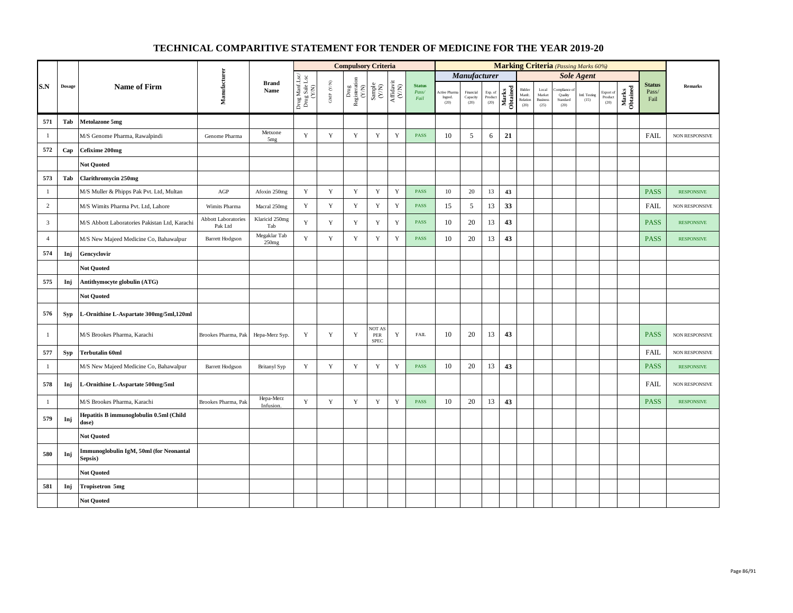|                |            |                                                    |                                |                            |                                          |                      | <b>Compulsory Criteria</b>                                                |                                                            |                                      |                                |                                 |                               |                            |                   |                                      |                                                     |                                         | <b>Marking Criteria</b> (Passing Marks 60%) |                              |                   |                                |                       |
|----------------|------------|----------------------------------------------------|--------------------------------|----------------------------|------------------------------------------|----------------------|---------------------------------------------------------------------------|------------------------------------------------------------|--------------------------------------|--------------------------------|---------------------------------|-------------------------------|----------------------------|-------------------|--------------------------------------|-----------------------------------------------------|-----------------------------------------|---------------------------------------------|------------------------------|-------------------|--------------------------------|-----------------------|
|                |            |                                                    |                                |                            |                                          |                      |                                                                           |                                                            |                                      |                                |                                 | Manufacturer                  |                            |                   |                                      |                                                     |                                         | <b>Sole Agent</b>                           |                              |                   |                                |                       |
| S.N            | Dosage     | <b>Name of Firm</b>                                | Manufacturer                   | <b>Brand</b><br>Name       | Drug Manf.Lsc/<br>Drug Sale Lsc<br>(Y/N) | GMP $(\mathbf{Y/N})$ | $\begin{tabular}{c} \bf Drug \\ \bf Registeration \\ (Y/N) \end{tabular}$ | $\begin{array}{c} \text{Sample} \\ \text{CAN} \end{array}$ | $\frac{\text{Affdavit}}{\text{C/N}}$ | <b>Status</b><br>Pass/<br>Fail | Active Pharm<br>Ingred.<br>(20) | Financial<br>Capacity<br>(20) | Exp. of<br>Product<br>(20) | Marks<br>Obtained | Bidder<br>Manfc.<br>Relation<br>(20) | $_{\rm Local}$<br>Market<br><b>Business</b><br>(25) | am kan y<br>Quality<br>Standard<br>(20) | Intl. Testing<br>(15)                       | Export of<br>Product<br>(20) | Marks<br>Obtained | <b>Status</b><br>Pass/<br>Fail | <b>Remarks</b>        |
| 571            | Tab        | Metolazone 5mg                                     |                                |                            |                                          |                      |                                                                           |                                                            |                                      |                                |                                 |                               |                            |                   |                                      |                                                     |                                         |                                             |                              |                   |                                |                       |
| $\mathbf{1}$   |            | M/S Genome Pharma, Rawalpindi                      | Genome Pharma                  | Metxone<br>5 <sub>mg</sub> | Y                                        | $\mathbf Y$          | Y                                                                         | Y                                                          | $\mathbf Y$                          | <b>PASS</b>                    | 10                              | 5                             | 6                          | 21                |                                      |                                                     |                                         |                                             |                              |                   | <b>FAIL</b>                    | <b>NON RESPONSIVE</b> |
| 572            | Cap        | Cefixime 200mg                                     |                                |                            |                                          |                      |                                                                           |                                                            |                                      |                                |                                 |                               |                            |                   |                                      |                                                     |                                         |                                             |                              |                   |                                |                       |
|                |            | <b>Not Quoted</b>                                  |                                |                            |                                          |                      |                                                                           |                                                            |                                      |                                |                                 |                               |                            |                   |                                      |                                                     |                                         |                                             |                              |                   |                                |                       |
| 573            | Tab        | <b>Clarithromycin 250mg</b>                        |                                |                            |                                          |                      |                                                                           |                                                            |                                      |                                |                                 |                               |                            |                   |                                      |                                                     |                                         |                                             |                              |                   |                                |                       |
| $\mathbf{1}$   |            | M/S Muller & Phipps Pak Pvt. Ltd, Multan           | AGP                            | Afoxin 250mg               | $\mathbf Y$                              | $\mathbf Y$          | $\mathbf Y$                                                               | $\mathbf Y$                                                | $\mathbf Y$                          | <b>PASS</b>                    | $10\,$                          | 20                            | 13                         | 43                |                                      |                                                     |                                         |                                             |                              |                   | <b>PASS</b>                    | <b>RESPONSIVE</b>     |
| $\overline{c}$ |            | M/S Wimits Pharma Pvt. Ltd, Lahore                 | Wimits Pharma                  | Macral 250mg               | $\mathbf Y$                              | $\mathbf Y$          | Y                                                                         | $\mathbf Y$                                                | $\mathbf Y$                          | <b>PASS</b>                    | 15                              | 5                             | 13                         | 33                |                                      |                                                     |                                         |                                             |                              |                   | FAIL                           | NON RESPONSIVE        |
| $\overline{3}$ |            | M/S Abbott Laboratories Pakistan Ltd, Karachi      | Abbott Laboratories<br>Pak Ltd | Klaricid 250mg<br>Tab      | Y                                        | $\mathbf Y$          | Y                                                                         | $\mathbf Y$                                                | $\mathbf Y$                          | <b>PASS</b>                    | 10                              | 20                            | 13                         | 43                |                                      |                                                     |                                         |                                             |                              |                   | <b>PASS</b>                    | <b>RESPONSIVE</b>     |
| $\overline{4}$ |            | M/S New Majeed Medicine Co, Bahawalpur             | <b>Barrett Hodgson</b>         | Megaklar Tab<br>250mg      | $\mathbf Y$                              | $\mathbf Y$          | $\mathbf Y$                                                               | $\mathbf Y$                                                | $\mathbf Y$                          | PASS                           | 10                              | 20                            | 13                         | 43                |                                      |                                                     |                                         |                                             |                              |                   | <b>PASS</b>                    | <b>RESPONSIVE</b>     |
| 574            | Inj        | Gencyclovir                                        |                                |                            |                                          |                      |                                                                           |                                                            |                                      |                                |                                 |                               |                            |                   |                                      |                                                     |                                         |                                             |                              |                   |                                |                       |
|                |            | <b>Not Quoted</b>                                  |                                |                            |                                          |                      |                                                                           |                                                            |                                      |                                |                                 |                               |                            |                   |                                      |                                                     |                                         |                                             |                              |                   |                                |                       |
| 575            | Inj        | Antithymocyte globulin (ATG)                       |                                |                            |                                          |                      |                                                                           |                                                            |                                      |                                |                                 |                               |                            |                   |                                      |                                                     |                                         |                                             |                              |                   |                                |                       |
|                |            | <b>Not Quoted</b>                                  |                                |                            |                                          |                      |                                                                           |                                                            |                                      |                                |                                 |                               |                            |                   |                                      |                                                     |                                         |                                             |                              |                   |                                |                       |
| 576            | <b>Syp</b> | L-Ornithine L-Aspartate 300mg/5ml,120ml            |                                |                            |                                          |                      |                                                                           |                                                            |                                      |                                |                                 |                               |                            |                   |                                      |                                                     |                                         |                                             |                              |                   |                                |                       |
| -1             |            | M/S Brookes Pharma, Karachi                        | Brookes Pharma, Pak            | Hepa-Merz Syp.             | Y                                        | Y                    | Y                                                                         | <b>NOT AS</b><br>PER<br><b>SPEC</b>                        | Y                                    | <b>FAIL</b>                    | 10                              | 20                            | 13                         | 43                |                                      |                                                     |                                         |                                             |                              |                   | <b>PASS</b>                    | <b>NON RESPONSIVE</b> |
| 577            | <b>Syp</b> | <b>Terbutalin 60ml</b>                             |                                |                            |                                          |                      |                                                                           |                                                            |                                      |                                |                                 |                               |                            |                   |                                      |                                                     |                                         |                                             |                              |                   | <b>FAIL</b>                    | <b>NON RESPONSIVE</b> |
| $\mathbf{1}$   |            | M/S New Majeed Medicine Co, Bahawalpur             | <b>Barrett Hodgson</b>         | <b>Britanyl Syp</b>        | Y                                        | Y                    | Y                                                                         | Y                                                          | Y                                    | <b>PASS</b>                    | 10                              | 20                            | 13                         | 43                |                                      |                                                     |                                         |                                             |                              |                   | <b>PASS</b>                    | <b>RESPONSIVE</b>     |
| 578            | Inj        | L-Ornithine L-Aspartate 500mg/5ml                  |                                |                            |                                          |                      |                                                                           |                                                            |                                      |                                |                                 |                               |                            |                   |                                      |                                                     |                                         |                                             |                              |                   | FAIL                           | <b>NON RESPONSIVE</b> |
| $\mathbf{1}$   |            | M/S Brookes Pharma, Karachi                        | Brookes Pharma, Pak            | Hepa-Merz<br>Infusion.     | $\mathbf Y$                              | $\mathbf Y$          | $\mathbf Y$                                                               | $\mathbf Y$                                                | $\mathbf Y$                          | PASS                           | 10                              | 20                            | 13                         | 43                |                                      |                                                     |                                         |                                             |                              |                   | <b>PASS</b>                    | <b>RESPONSIVE</b>     |
| 579            | Inj        | Hepatitis B immunoglobulin 0.5ml (Child<br>dose)   |                                |                            |                                          |                      |                                                                           |                                                            |                                      |                                |                                 |                               |                            |                   |                                      |                                                     |                                         |                                             |                              |                   |                                |                       |
|                |            | <b>Not Quoted</b>                                  |                                |                            |                                          |                      |                                                                           |                                                            |                                      |                                |                                 |                               |                            |                   |                                      |                                                     |                                         |                                             |                              |                   |                                |                       |
| 580            | Inj        | Immunoglobulin IgM, 50ml (for Neonantal<br>Sepsis) |                                |                            |                                          |                      |                                                                           |                                                            |                                      |                                |                                 |                               |                            |                   |                                      |                                                     |                                         |                                             |                              |                   |                                |                       |
|                |            | <b>Not Quoted</b>                                  |                                |                            |                                          |                      |                                                                           |                                                            |                                      |                                |                                 |                               |                            |                   |                                      |                                                     |                                         |                                             |                              |                   |                                |                       |
| 581            | Inj        | <b>Tropisetron 5mg</b>                             |                                |                            |                                          |                      |                                                                           |                                                            |                                      |                                |                                 |                               |                            |                   |                                      |                                                     |                                         |                                             |                              |                   |                                |                       |
|                |            | Not Quoted                                         |                                |                            |                                          |                      |                                                                           |                                                            |                                      |                                |                                 |                               |                            |                   |                                      |                                                     |                                         |                                             |                              |                   |                                |                       |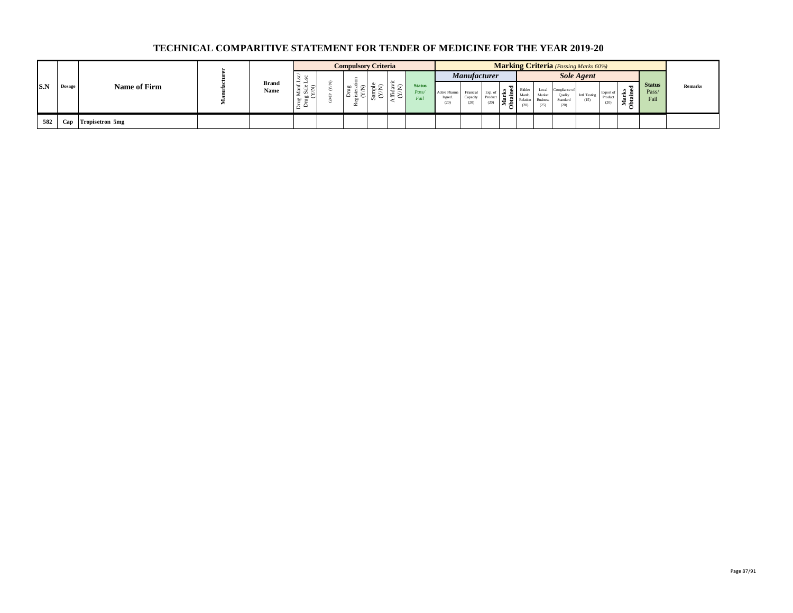|            |        |                 |                      |                   | <b>Compulsory Criteria</b> |            |                        |                                |                                  |                               |                         |        |                                                                     |                                           |                                            | <b>Marking Criteria</b> (Passing Marks 60%) |                           |                    |                                |         |
|------------|--------|-----------------|----------------------|-------------------|----------------------------|------------|------------------------|--------------------------------|----------------------------------|-------------------------------|-------------------------|--------|---------------------------------------------------------------------|-------------------------------------------|--------------------------------------------|---------------------------------------------|---------------------------|--------------------|--------------------------------|---------|
|            |        |                 |                      |                   |                            |            |                        |                                |                                  | <b>Manufacturer</b>           |                         |        |                                                                     |                                           |                                            | Sole Agent                                  |                           |                    |                                |         |
| <b>S.N</b> | Dosage | Name of Firm    | <b>Brand</b><br>Name | <b>bD</b><br>그 모두 | <b>b</b><br>-<br>$\approx$ | $\tilde{}$ | $\equiv$<br>ãΣ<br>l≝≳i | <b>Status</b><br>Pass/<br>Fail | Active Pharma<br>Ingred.<br>(20) | Financial<br>Capacity<br>(20) | Exp.<br>Product<br>(20) | ÷<br>c | $\overline{\Phi}$ Bidder<br>Mant<br>$\mathfrak{S}$ Relation<br>(20) | Local<br>Marke<br><b>Business</b><br>(25) | Complance o<br>Quality<br>Standard<br>(20) | Intl. Testing<br>(15)                       | Export<br>Produc*<br>(20) | ∸ ≃<br>Mar<br>btai | <b>Status</b><br>Pass/<br>Fail | Remarks |
| 582        | Cap    | Tropisetron 5mg |                      |                   |                            |            |                        |                                |                                  |                               |                         |        |                                                                     |                                           |                                            |                                             |                           |                    |                                |         |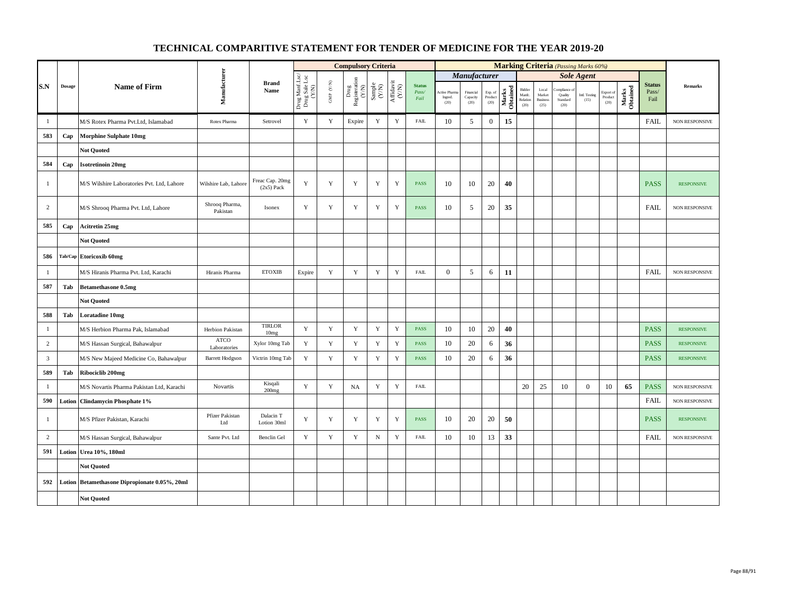|                |        |                                               |                             |                                 |                                          |                      | <b>Compulsory Criteria</b>                                                |                                                              |                                                                              |                                |                                 |                                                |                            |                   |                                      |                                                     | <b>Marking Criteria</b> (Passing Marks 60%) |                       |                                                |                   |                                |                       |
|----------------|--------|-----------------------------------------------|-----------------------------|---------------------------------|------------------------------------------|----------------------|---------------------------------------------------------------------------|--------------------------------------------------------------|------------------------------------------------------------------------------|--------------------------------|---------------------------------|------------------------------------------------|----------------------------|-------------------|--------------------------------------|-----------------------------------------------------|---------------------------------------------|-----------------------|------------------------------------------------|-------------------|--------------------------------|-----------------------|
|                |        |                                               |                             |                                 |                                          |                      |                                                                           |                                                              |                                                                              |                                |                                 | Manufacturer                                   |                            |                   |                                      |                                                     |                                             | <b>Sole Agent</b>     |                                                |                   |                                |                       |
| S.N            | Dosage | <b>Name of Firm</b>                           | Manufacturer                | <b>Brand</b><br>Name            | Drug Manf.Lsc/<br>Drug Sale Lsc<br>(Y/N) | GMP $(\mathbf{Y/N})$ | $\begin{tabular}{c} \bf Drug \\ \bf Registeration \\ (Y/N) \end{tabular}$ | $\begin{array}{c} \text{Sample} \\ (\text{Y/N}) \end{array}$ | $\begin{array}{c} \mathrm{Aff} \mathrm{davit} \\ (\mathrm{Y/N}) \end{array}$ | <b>Status</b><br>Pass/<br>Fail | Active Pharm<br>Ingred.<br>(20) | Financial<br>$\operatorname{Capacity}$<br>(20) | Exp. of<br>Product<br>(20) | Marks<br>Obtained | Bidder<br>Manfc.<br>Relation<br>(20) | $_{\rm Local}$<br>Market<br><b>Business</b><br>(25) | mpliance<br>Quality<br>Standard<br>(20)     | Intl. Testing<br>(15) | Export of<br>$\mathop{\text{Product}}$<br>(20) | Marks<br>Obtained | <b>Status</b><br>Pass/<br>Fail | Remarks               |
| $\mathbf{1}$   |        | M/S Rotex Pharma Pvt.Ltd, Islamabad           | Rotex Pharma                | Setrovel                        | $\mathbf Y$                              | $\mathbf Y$          | Expire                                                                    | $\mathbf Y$                                                  | $\mathbf Y$                                                                  | <b>FAIL</b>                    | 10                              | 5                                              | $\boldsymbol{0}$           | 15                |                                      |                                                     |                                             |                       |                                                |                   | <b>FAIL</b>                    | NON RESPONSIVE        |
| 583            | Cap    | <b>Morphine Sulphate 10mg</b>                 |                             |                                 |                                          |                      |                                                                           |                                                              |                                                                              |                                |                                 |                                                |                            |                   |                                      |                                                     |                                             |                       |                                                |                   |                                |                       |
|                |        | <b>Not Quoted</b>                             |                             |                                 |                                          |                      |                                                                           |                                                              |                                                                              |                                |                                 |                                                |                            |                   |                                      |                                                     |                                             |                       |                                                |                   |                                |                       |
| 584            | Cap    | <b>Isotretinoin 20mg</b>                      |                             |                                 |                                          |                      |                                                                           |                                                              |                                                                              |                                |                                 |                                                |                            |                   |                                      |                                                     |                                             |                       |                                                |                   |                                |                       |
| -1             |        | M/S Wilshire Laboratories Pvt. Ltd, Lahore    | Wilshire Lab, Lahore        | Freac Cap. 20mg<br>$(2x5)$ Pack | $\mathbf Y$                              | $\mathbf Y$          | Y                                                                         | Y                                                            | $\mathbf Y$                                                                  | <b>PASS</b>                    | 10                              | 10                                             | 20                         | 40                |                                      |                                                     |                                             |                       |                                                |                   | <b>PASS</b>                    | <b>RESPONSIVE</b>     |
| 2              |        | M/S Shrooq Pharma Pvt. Ltd, Lahore            | Shrooq Pharma,<br>Pakistan  | Isonex                          | $\mathbf Y$                              | Y                    | Y                                                                         | Y                                                            | $\mathbf Y$                                                                  | <b>PASS</b>                    | 10                              | 5                                              | 20                         | 35                |                                      |                                                     |                                             |                       |                                                |                   | <b>FAIL</b>                    | NON RESPONSIVE        |
| 585            | Cap    | Acitretin 25mg                                |                             |                                 |                                          |                      |                                                                           |                                                              |                                                                              |                                |                                 |                                                |                            |                   |                                      |                                                     |                                             |                       |                                                |                   |                                |                       |
|                |        | <b>Not Quoted</b>                             |                             |                                 |                                          |                      |                                                                           |                                                              |                                                                              |                                |                                 |                                                |                            |                   |                                      |                                                     |                                             |                       |                                                |                   |                                |                       |
| 586            |        | Tab/Cap Etoricoxib 60mg                       |                             |                                 |                                          |                      |                                                                           |                                                              |                                                                              |                                |                                 |                                                |                            |                   |                                      |                                                     |                                             |                       |                                                |                   |                                |                       |
| -1             |        | M/S Hiranis Pharma Pvt. Ltd, Karachi          | Hiranis Pharma              | <b>ETOXIB</b>                   | Expire                                   | $\mathbf Y$          | $\mathbf Y$                                                               | $\mathbf Y$                                                  | $\mathbf Y$                                                                  | <b>FAIL</b>                    | $\overline{0}$                  | 5                                              | 6                          | 11                |                                      |                                                     |                                             |                       |                                                |                   | <b>FAIL</b>                    | NON RESPONSIVE        |
| 587            | Tab    | <b>Betamethasone 0.5mg</b>                    |                             |                                 |                                          |                      |                                                                           |                                                              |                                                                              |                                |                                 |                                                |                            |                   |                                      |                                                     |                                             |                       |                                                |                   |                                |                       |
|                |        | <b>Not Quoted</b>                             |                             |                                 |                                          |                      |                                                                           |                                                              |                                                                              |                                |                                 |                                                |                            |                   |                                      |                                                     |                                             |                       |                                                |                   |                                |                       |
| 588            | Tab    | Loratadine 10mg                               |                             |                                 |                                          |                      |                                                                           |                                                              |                                                                              |                                |                                 |                                                |                            |                   |                                      |                                                     |                                             |                       |                                                |                   |                                |                       |
| $\mathbf{1}$   |        | M/S Herbion Pharma Pak, Islamabad             | Herbion Pakistan            | <b>TIRLOR</b><br>10mg           | Y                                        | $\mathbf Y$          | $\mathbf Y$                                                               | $\mathbf Y$                                                  | $\mathbf Y$                                                                  | <b>PASS</b>                    | 10                              | 10                                             | 20                         | 40                |                                      |                                                     |                                             |                       |                                                |                   | <b>PASS</b>                    | <b>RESPONSIVE</b>     |
| $\overline{c}$ |        | M/S Hassan Surgical, Bahawalpur               | <b>ATCO</b><br>Laboratories | Xylor 10mg Tab                  | Y                                        | $\mathbf Y$          | $\mathbf Y$                                                               | Y                                                            | $\mathbf Y$                                                                  | <b>PASS</b>                    | 10                              | 20                                             | 6                          | 36                |                                      |                                                     |                                             |                       |                                                |                   | <b>PASS</b>                    | <b>RESPONSIVE</b>     |
| $\overline{3}$ |        | M/S New Majeed Medicine Co, Bahawalpur        | <b>Barrett Hodgson</b>      | Victrin 10mg Tab                | $\mathbf Y$                              | $\mathbf Y$          | $\mathbf Y$                                                               | $\mathbf Y$                                                  | $\mathbf Y$                                                                  | PASS                           | 10                              | 20                                             | 6                          | 36                |                                      |                                                     |                                             |                       |                                                |                   | <b>PASS</b>                    | <b>RESPONSIVE</b>     |
| 589            | Tab    | Ribociclib 200mg                              |                             |                                 |                                          |                      |                                                                           |                                                              |                                                                              |                                |                                 |                                                |                            |                   |                                      |                                                     |                                             |                       |                                                |                   |                                |                       |
| $\mathbf{1}$   |        | M/S Novartis Pharma Pakistan Ltd, Karachi     | Novartis                    | Kisqali<br>200mg                | Y                                        | $\mathbf Y$          | NA                                                                        | Y                                                            | $\mathbf Y$                                                                  | <b>FAIL</b>                    |                                 |                                                |                            |                   | 20                                   | 25                                                  | 10                                          | $\mathbf{0}$          | 10                                             | 65                | <b>PASS</b>                    | NON RESPONSIVE        |
| 590            |        | <b>Lotion Clindamycin Phosphate 1%</b>        |                             |                                 |                                          |                      |                                                                           |                                                              |                                                                              |                                |                                 |                                                |                            |                   |                                      |                                                     |                                             |                       |                                                |                   | <b>FAIL</b>                    | <b>NON RESPONSIVE</b> |
| $\mathbf{1}$   |        | M/S Pfizer Pakistan, Karachi                  | Pfizer Pakistan<br>Ltd      | Dalacin T<br>Lotion 30ml        | Y                                        | Y                    | $\mathbf Y$                                                               | $\mathbf Y$                                                  | $\mathbf Y$                                                                  | <b>PASS</b>                    | 10                              | 20                                             | 20                         | 50                |                                      |                                                     |                                             |                       |                                                |                   | <b>PASS</b>                    | <b>RESPONSIVE</b>     |
| $\overline{c}$ |        | M/S Hassan Surgical, Bahawalpur               | Sante Pvt. Ltd              | Benclin Gel                     | $\mathbf Y$                              | $\mathbf Y$          | $\mathbf Y$                                                               | ${\bf N}$                                                    | $\mathbf Y$                                                                  | <b>FAIL</b>                    | 10                              | 10                                             | 13                         | 33                |                                      |                                                     |                                             |                       |                                                |                   | <b>FAIL</b>                    | NON RESPONSIVE        |
| 591            |        | Lotion Urea 10%, 180ml                        |                             |                                 |                                          |                      |                                                                           |                                                              |                                                                              |                                |                                 |                                                |                            |                   |                                      |                                                     |                                             |                       |                                                |                   |                                |                       |
|                |        | <b>Not Quoted</b>                             |                             |                                 |                                          |                      |                                                                           |                                                              |                                                                              |                                |                                 |                                                |                            |                   |                                      |                                                     |                                             |                       |                                                |                   |                                |                       |
| 592            |        | Lotion Betamethasone Dipropionate 0.05%, 20ml |                             |                                 |                                          |                      |                                                                           |                                                              |                                                                              |                                |                                 |                                                |                            |                   |                                      |                                                     |                                             |                       |                                                |                   |                                |                       |
|                |        | <b>Not Quoted</b>                             |                             |                                 |                                          |                      |                                                                           |                                                              |                                                                              |                                |                                 |                                                |                            |                   |                                      |                                                     |                                             |                       |                                                |                   |                                |                       |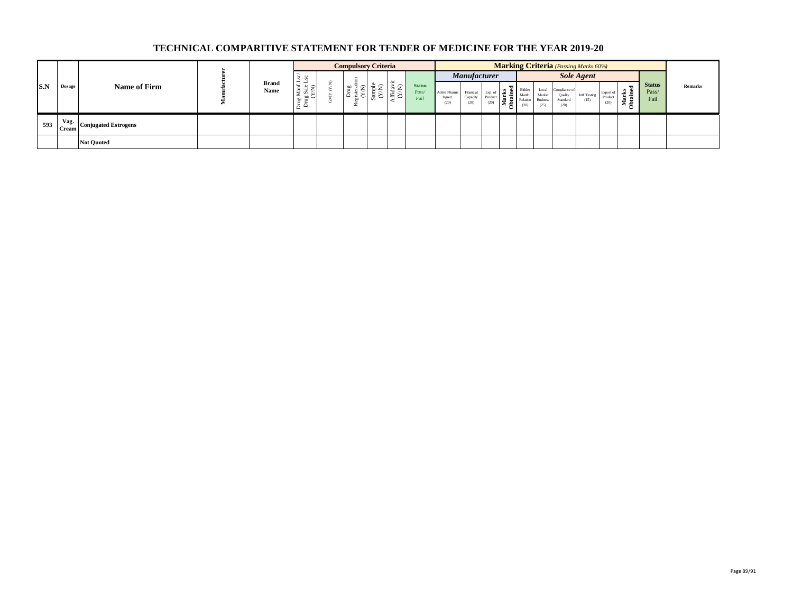|     |               |                                            |                      |               |             | <b>Compulsory Criteria</b> |              |                                            |                                |                                  |                                         |      |                    |                                     | <b>Marking Criteria</b> (Passing Marks 60%) |                       |                             |                           |                                |                |
|-----|---------------|--------------------------------------------|----------------------|---------------|-------------|----------------------------|--------------|--------------------------------------------|--------------------------------|----------------------------------|-----------------------------------------|------|--------------------|-------------------------------------|---------------------------------------------|-----------------------|-----------------------------|---------------------------|--------------------------------|----------------|
|     |               |                                            |                      |               |             |                            |              |                                            |                                |                                  | <b>Manufacturer</b>                     |      |                    |                                     |                                             | <b>Sole Agent</b>     |                             |                           |                                |                |
| S.N | <b>Dosage</b> | Name of Firm                               | <b>Brand</b><br>Name | . ಕೆ ೯<br>통 달 | ◡<br>₩<br>点 | $\bar{5}0$<br>≏ ≏          | C.<br>ਰ<br>∽ | $\widehat{\phantom{1}}$<br>ಹೆ '<br>追と<br>◡ | <b>Status</b><br>Pass/<br>Fail | Active Pharma<br>Ingred.<br>(20) | Financial Exp. of $\frac{1}{6}$<br>(20) | (20) | Bidder<br>Relation | Local<br>Market<br>Business<br>(25) | Complance of<br>Quality<br>Standard<br>(20) | Intl. Testing<br>(15) | Export of<br>Produc<br>(20) | -<br>년 후<br>£.<br>ಿ<br>Σ≘ | <b>Status</b><br>Pass/<br>Fail | <b>Remarks</b> |
| 593 | Vag.          | <sup>93</sup>   Cream Conjugated Estrogens |                      |               |             |                            |              |                                            |                                |                                  |                                         |      |                    |                                     |                                             |                       |                             |                           |                                |                |
|     |               | <b>Not Quoted</b>                          |                      |               |             |                            |              |                                            |                                |                                  |                                         |      |                    |                                     |                                             |                       |                             |                           |                                |                |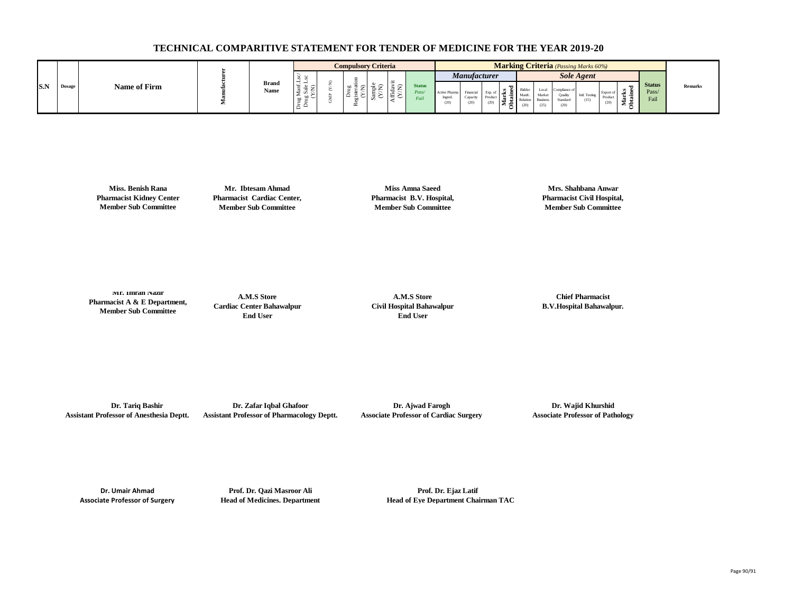|     |        |              |   |                      |                                           | <b>Compulsory Criteria</b> |         |             |                                |                                 |                     |                  |  |                                                 | <b>Marking Criteria</b> (Passing Marks 60%) |                      |      |              |                                |         |
|-----|--------|--------------|---|----------------------|-------------------------------------------|----------------------------|---------|-------------|--------------------------------|---------------------------------|---------------------|------------------|--|-------------------------------------------------|---------------------------------------------|----------------------|------|--------------|--------------------------------|---------|
|     |        |              |   |                      |                                           |                            |         |             |                                |                                 | <b>Manufacturer</b> |                  |  |                                                 |                                             | <b>Sole Agent</b>    |      |              |                                |         |
| S.N | Dosage | Name of Firm | - | <b>Brand</b><br>Name | $\sim$<br>-<br>$\rightarrow$<br><b>CO</b> |                            | $\cdot$ | $\check{ }$ | <b>Status</b><br>Pass/<br>rail | Active Pharm<br>Ingred.<br>(20) | Capacity<br>(20)    | Produc<br>$\sim$ |  | Local<br>Marke.<br><b>Business</b><br>$^{(25)}$ | Compliance o<br>Standar<br>(20)             | Intl. Testin<br>(15) | (20) | -<br><br>- 2 | <b>Status</b><br>Pass/<br>Fail | Remarks |

**Miss. Benish Rana Pharmacist Kidney Center Member Sub Committee**

**Mr. Ibtesam Ahmad Pharmacist Cardiac Center, Member Sub Committee**

**Miss Amna Saeed Pharmacist B.V. Hospital, Member Sub Committee**

**Mrs. Shahbana Anwar Pharmacist Civil Hospital, Member Sub Committee**

**Mr. Imran Nazir Pharmacist A & E Department, Member Sub Committee**

**A.M.S Store Cardiac Center Bahawalpur End User**

**A.M.S Store Civil Hospital Bahawalpur End User**

**Chief Pharmacist B.V.Hospital Bahawalpur.**

 **Dr. Tariq Bashir Assistant Professor of Anesthesia Deptt.**

**Dr. Zafar Iqbal Ghafoor Assistant Professor of Pharmacology Deptt.**

**Dr. Ajwad Farogh Associate Professor of Cardiac Surgery**

**Dr. Wajid Khurshid Associate Professor of Pathology**

**Dr. Umair Ahmad Associate Professor of Surgery**

**Prof. Dr. Qazi Masroor Ali Head of Medicines. Department**

**Prof. Dr. Ejaz Latif Head of Eye Department Chairman TAC**